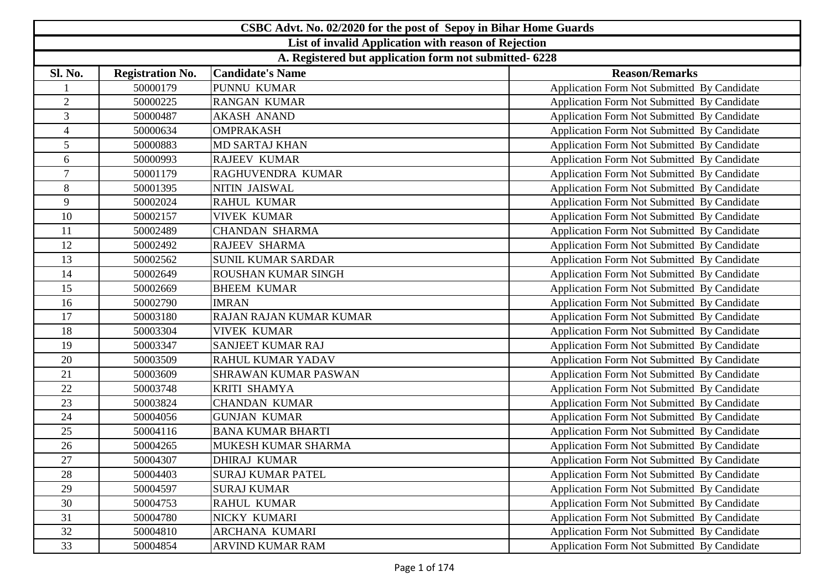| CSBC Advt. No. 02/2020 for the post of Sepoy in Bihar Home Guards |                                                      |                                                        |                                                    |  |
|-------------------------------------------------------------------|------------------------------------------------------|--------------------------------------------------------|----------------------------------------------------|--|
|                                                                   | List of invalid Application with reason of Rejection |                                                        |                                                    |  |
|                                                                   |                                                      | A. Registered but application form not submitted- 6228 |                                                    |  |
| Sl. No.                                                           | <b>Registration No.</b>                              | <b>Candidate's Name</b>                                | <b>Reason/Remarks</b>                              |  |
|                                                                   | 50000179                                             | PUNNU KUMAR                                            | Application Form Not Submitted By Candidate        |  |
| $\overline{2}$                                                    | 50000225                                             | <b>RANGAN KUMAR</b>                                    | Application Form Not Submitted By Candidate        |  |
| 3                                                                 | 50000487                                             | <b>AKASH ANAND</b>                                     | Application Form Not Submitted By Candidate        |  |
| $\overline{4}$                                                    | 50000634                                             | <b>OMPRAKASH</b>                                       | Application Form Not Submitted By Candidate        |  |
| 5                                                                 | 50000883                                             | <b>MD SARTAJ KHAN</b>                                  | Application Form Not Submitted By Candidate        |  |
| 6                                                                 | 50000993                                             | <b>RAJEEV KUMAR</b>                                    | Application Form Not Submitted By Candidate        |  |
| $\overline{7}$                                                    | 50001179                                             | RAGHUVENDRA KUMAR                                      | Application Form Not Submitted By Candidate        |  |
| 8                                                                 | 50001395                                             | NITIN JAISWAL                                          | Application Form Not Submitted By Candidate        |  |
| 9                                                                 | 50002024                                             | <b>RAHUL KUMAR</b>                                     | Application Form Not Submitted By Candidate        |  |
| 10                                                                | 50002157                                             | <b>VIVEK KUMAR</b>                                     | Application Form Not Submitted By Candidate        |  |
| 11                                                                | 50002489                                             | <b>CHANDAN SHARMA</b>                                  | Application Form Not Submitted By Candidate        |  |
| 12                                                                | 50002492                                             | <b>RAJEEV SHARMA</b>                                   | Application Form Not Submitted By Candidate        |  |
| 13                                                                | 50002562                                             | <b>SUNIL KUMAR SARDAR</b>                              | Application Form Not Submitted By Candidate        |  |
| 14                                                                | 50002649                                             | <b>ROUSHAN KUMAR SINGH</b>                             | Application Form Not Submitted By Candidate        |  |
| 15                                                                | 50002669                                             | <b>BHEEM KUMAR</b>                                     | Application Form Not Submitted By Candidate        |  |
| 16                                                                | 50002790                                             | <b>IMRAN</b>                                           | Application Form Not Submitted By Candidate        |  |
| 17                                                                | 50003180                                             | RAJAN RAJAN KUMAR KUMAR                                | Application Form Not Submitted By Candidate        |  |
| 18                                                                | 50003304                                             | <b>VIVEK KUMAR</b>                                     | Application Form Not Submitted By Candidate        |  |
| 19                                                                | 50003347                                             | <b>SANJEET KUMAR RAJ</b>                               | Application Form Not Submitted By Candidate        |  |
| 20                                                                | 50003509                                             | RAHUL KUMAR YADAV                                      | Application Form Not Submitted By Candidate        |  |
| 21                                                                | 50003609                                             | <b>SHRAWAN KUMAR PASWAN</b>                            | Application Form Not Submitted By Candidate        |  |
| 22                                                                | 50003748                                             | KRITI SHAMYA                                           | Application Form Not Submitted By Candidate        |  |
| 23                                                                | 50003824                                             | <b>CHANDAN KUMAR</b>                                   | Application Form Not Submitted By Candidate        |  |
| 24                                                                | 50004056                                             | <b>GUNJAN KUMAR</b>                                    | Application Form Not Submitted By Candidate        |  |
| 25                                                                | 50004116                                             | <b>BANA KUMAR BHARTI</b>                               | Application Form Not Submitted By Candidate        |  |
| 26                                                                | 50004265                                             | MUKESH KUMAR SHARMA                                    | Application Form Not Submitted By Candidate        |  |
| $27\,$                                                            | 50004307                                             | <b>DHIRAJ KUMAR</b>                                    | Application Form Not Submitted By Candidate        |  |
| 28                                                                | 50004403                                             | <b>SURAJ KUMAR PATEL</b>                               | Application Form Not Submitted By Candidate        |  |
| 29                                                                | 50004597                                             | <b>SURAJ KUMAR</b>                                     | Application Form Not Submitted By Candidate        |  |
| 30                                                                | 50004753                                             | RAHUL KUMAR                                            | Application Form Not Submitted By Candidate        |  |
| 31                                                                | 50004780                                             | NICKY KUMARI                                           | <b>Application Form Not Submitted By Candidate</b> |  |
| 32                                                                | 50004810                                             | ARCHANA KUMARI                                         | <b>Application Form Not Submitted By Candidate</b> |  |
| 33                                                                | 50004854                                             | ARVIND KUMAR RAM                                       | Application Form Not Submitted By Candidate        |  |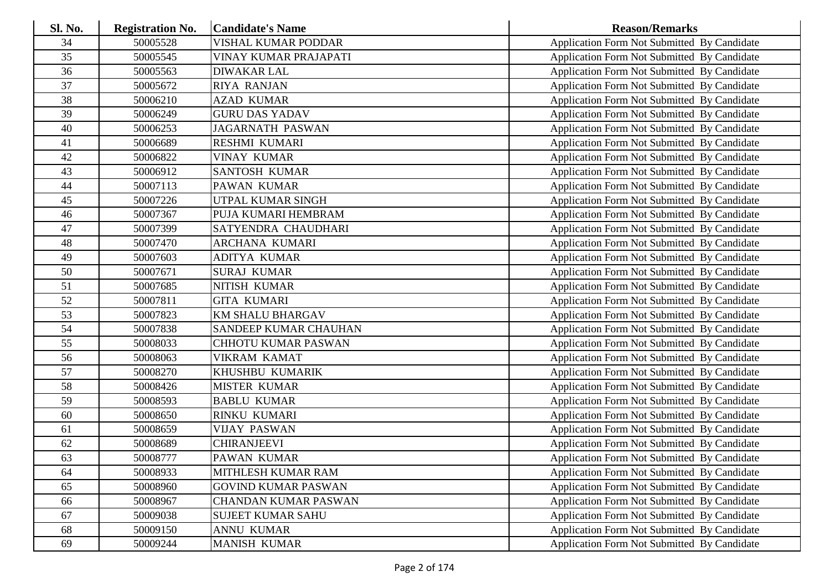| Sl. No. | <b>Registration No.</b> | <b>Candidate's Name</b>      | <b>Reason/Remarks</b>                              |
|---------|-------------------------|------------------------------|----------------------------------------------------|
| 34      | 50005528                | <b>VISHAL KUMAR PODDAR</b>   | Application Form Not Submitted By Candidate        |
| 35      | 50005545                | <b>VINAY KUMAR PRAJAPATI</b> | Application Form Not Submitted By Candidate        |
| 36      | 50005563                | <b>DIWAKAR LAL</b>           | Application Form Not Submitted By Candidate        |
| 37      | 50005672                | <b>RIYA RANJAN</b>           | Application Form Not Submitted By Candidate        |
| 38      | 50006210                | <b>AZAD KUMAR</b>            | Application Form Not Submitted By Candidate        |
| 39      | 50006249                | <b>GURU DAS YADAV</b>        | Application Form Not Submitted By Candidate        |
| 40      | 50006253                | <b>JAGARNATH PASWAN</b>      | Application Form Not Submitted By Candidate        |
| 41      | 50006689                | <b>RESHMI KUMARI</b>         | Application Form Not Submitted By Candidate        |
| 42      | 50006822                | <b>VINAY KUMAR</b>           | Application Form Not Submitted By Candidate        |
| 43      | 50006912                | <b>SANTOSH KUMAR</b>         | Application Form Not Submitted By Candidate        |
| 44      | 50007113                | PAWAN KUMAR                  | Application Form Not Submitted By Candidate        |
| 45      | 50007226                | UTPAL KUMAR SINGH            | Application Form Not Submitted By Candidate        |
| 46      | 50007367                | PUJA KUMARI HEMBRAM          | Application Form Not Submitted By Candidate        |
| 47      | 50007399                | SATYENDRA CHAUDHARI          | Application Form Not Submitted By Candidate        |
| 48      | 50007470                | ARCHANA KUMARI               | Application Form Not Submitted By Candidate        |
| 49      | 50007603                | <b>ADITYA KUMAR</b>          | Application Form Not Submitted By Candidate        |
| 50      | 50007671                | <b>SURAJ KUMAR</b>           | Application Form Not Submitted By Candidate        |
| 51      | 50007685                | NITISH KUMAR                 | Application Form Not Submitted By Candidate        |
| 52      | 50007811                | <b>GITA KUMARI</b>           | Application Form Not Submitted By Candidate        |
| 53      | 50007823                | <b>KM SHALU BHARGAV</b>      | Application Form Not Submitted By Candidate        |
| 54      | 50007838                | <b>SANDEEP KUMAR CHAUHAN</b> | Application Form Not Submitted By Candidate        |
| 55      | 50008033                | CHHOTU KUMAR PASWAN          | Application Form Not Submitted By Candidate        |
| 56      | 50008063                | <b>VIKRAM KAMAT</b>          | Application Form Not Submitted By Candidate        |
| 57      | 50008270                | KHUSHBU KUMARIK              | Application Form Not Submitted By Candidate        |
| 58      | 50008426                | <b>MISTER KUMAR</b>          | Application Form Not Submitted By Candidate        |
| 59      | 50008593                | <b>BABLU KUMAR</b>           | Application Form Not Submitted By Candidate        |
| 60      | 50008650                | <b>RINKU KUMARI</b>          | Application Form Not Submitted By Candidate        |
| 61      | 50008659                | <b>VIJAY PASWAN</b>          | Application Form Not Submitted By Candidate        |
| 62      | 50008689                | <b>CHIRANJEEVI</b>           | Application Form Not Submitted By Candidate        |
| 63      | 50008777                | PAWAN KUMAR                  | Application Form Not Submitted By Candidate        |
| 64      | 50008933                | MITHLESH KUMAR RAM           | <b>Application Form Not Submitted By Candidate</b> |
| 65      | 50008960                | <b>GOVIND KUMAR PASWAN</b>   | Application Form Not Submitted By Candidate        |
| 66      | 50008967                | CHANDAN KUMAR PASWAN         | Application Form Not Submitted By Candidate        |
| 67      | 50009038                | <b>SUJEET KUMAR SAHU</b>     | Application Form Not Submitted By Candidate        |
| 68      | 50009150                | <b>ANNU KUMAR</b>            | Application Form Not Submitted By Candidate        |
| 69      | 50009244                | <b>MANISH KUMAR</b>          | Application Form Not Submitted By Candidate        |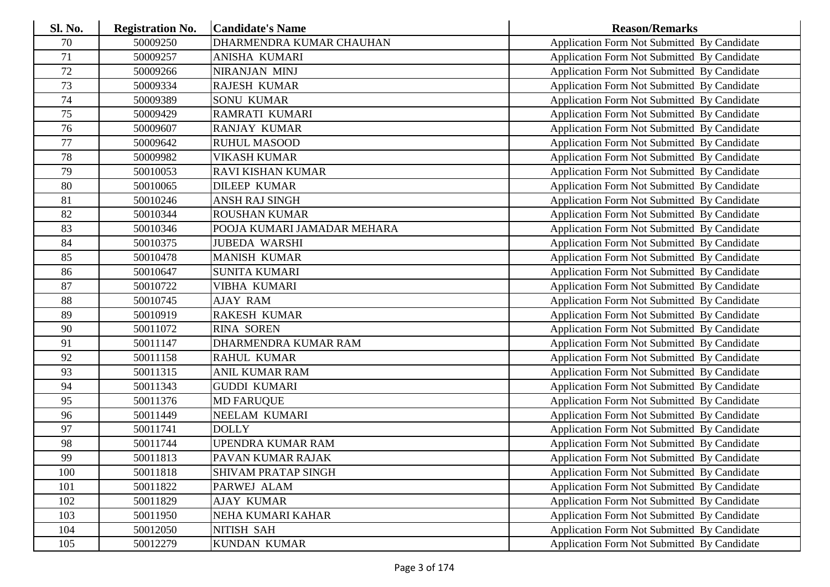| Sl. No. | <b>Registration No.</b> | <b>Candidate's Name</b>     | <b>Reason/Remarks</b>                              |
|---------|-------------------------|-----------------------------|----------------------------------------------------|
| 70      | 50009250                | DHARMENDRA KUMAR CHAUHAN    | Application Form Not Submitted By Candidate        |
| 71      | 50009257                | ANISHA KUMARI               | Application Form Not Submitted By Candidate        |
| 72      | 50009266                | <b>NIRANJAN MINJ</b>        | Application Form Not Submitted By Candidate        |
| 73      | 50009334                | RAJESH KUMAR                | Application Form Not Submitted By Candidate        |
| 74      | 50009389                | <b>SONU KUMAR</b>           | Application Form Not Submitted By Candidate        |
| 75      | 50009429                | <b>RAMRATI KUMARI</b>       | Application Form Not Submitted By Candidate        |
| 76      | 50009607                | <b>RANJAY KUMAR</b>         | Application Form Not Submitted By Candidate        |
| 77      | 50009642                | <b>RUHUL MASOOD</b>         | Application Form Not Submitted By Candidate        |
| 78      | 50009982                | <b>VIKASH KUMAR</b>         | Application Form Not Submitted By Candidate        |
| 79      | 50010053                | <b>RAVI KISHAN KUMAR</b>    | Application Form Not Submitted By Candidate        |
| 80      | 50010065                | <b>DILEEP KUMAR</b>         | Application Form Not Submitted By Candidate        |
| 81      | 50010246                | ANSH RAJ SINGH              | Application Form Not Submitted By Candidate        |
| 82      | 50010344                | <b>ROUSHAN KUMAR</b>        | Application Form Not Submitted By Candidate        |
| 83      | 50010346                | POOJA KUMARI JAMADAR MEHARA | Application Form Not Submitted By Candidate        |
| 84      | 50010375                | <b>JUBEDA WARSHI</b>        | Application Form Not Submitted By Candidate        |
| 85      | 50010478                | <b>MANISH KUMAR</b>         | Application Form Not Submitted By Candidate        |
| 86      | 50010647                | <b>SUNITA KUMARI</b>        | Application Form Not Submitted By Candidate        |
| 87      | 50010722                | <b>VIBHA KUMARI</b>         | Application Form Not Submitted By Candidate        |
| 88      | 50010745                | <b>AJAY RAM</b>             | Application Form Not Submitted By Candidate        |
| 89      | 50010919                | <b>RAKESH KUMAR</b>         | Application Form Not Submitted By Candidate        |
| 90      | 50011072                | <b>RINA SOREN</b>           | Application Form Not Submitted By Candidate        |
| 91      | 50011147                | DHARMENDRA KUMAR RAM        | Application Form Not Submitted By Candidate        |
| 92      | 50011158                | <b>RAHUL KUMAR</b>          | Application Form Not Submitted By Candidate        |
| 93      | 50011315                | <b>ANIL KUMAR RAM</b>       | Application Form Not Submitted By Candidate        |
| 94      | 50011343                | <b>GUDDI KUMARI</b>         | Application Form Not Submitted By Candidate        |
| 95      | 50011376                | <b>MD FARUQUE</b>           | Application Form Not Submitted By Candidate        |
| 96      | 50011449                | NEELAM KUMARI               | Application Form Not Submitted By Candidate        |
| 97      | 50011741                | <b>DOLLY</b>                | Application Form Not Submitted By Candidate        |
| 98      | 50011744                | UPENDRA KUMAR RAM           | Application Form Not Submitted By Candidate        |
| 99      | 50011813                | PAVAN KUMAR RAJAK           | Application Form Not Submitted By Candidate        |
| 100     | 50011818                | <b>SHIVAM PRATAP SINGH</b>  | <b>Application Form Not Submitted By Candidate</b> |
| 101     | 50011822                | PARWEJ ALAM                 | Application Form Not Submitted By Candidate        |
| 102     | 50011829                | <b>AJAY KUMAR</b>           | Application Form Not Submitted By Candidate        |
| 103     | 50011950                | NEHA KUMARI KAHAR           | Application Form Not Submitted By Candidate        |
| 104     | 50012050                | NITISH SAH                  | Application Form Not Submitted By Candidate        |
| 105     | 50012279                | <b>KUNDAN KUMAR</b>         | Application Form Not Submitted By Candidate        |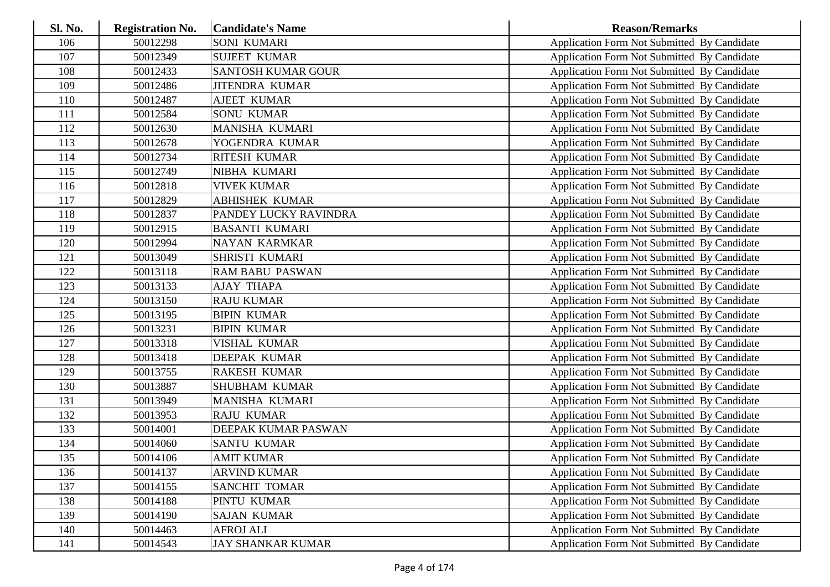| Sl. No. | <b>Registration No.</b> | <b>Candidate's Name</b>   | <b>Reason/Remarks</b>                       |
|---------|-------------------------|---------------------------|---------------------------------------------|
| 106     | 50012298                | <b>SONI KUMARI</b>        | Application Form Not Submitted By Candidate |
| 107     | 50012349                | <b>SUJEET KUMAR</b>       | Application Form Not Submitted By Candidate |
| 108     | 50012433                | <b>SANTOSH KUMAR GOUR</b> | Application Form Not Submitted By Candidate |
| 109     | 50012486                | <b>JITENDRA KUMAR</b>     | Application Form Not Submitted By Candidate |
| 110     | 50012487                | <b>AJEET KUMAR</b>        | Application Form Not Submitted By Candidate |
| 111     | 50012584                | <b>SONU KUMAR</b>         | Application Form Not Submitted By Candidate |
| 112     | 50012630                | MANISHA KUMARI            | Application Form Not Submitted By Candidate |
| 113     | 50012678                | YOGENDRA KUMAR            | Application Form Not Submitted By Candidate |
| 114     | 50012734                | <b>RITESH KUMAR</b>       | Application Form Not Submitted By Candidate |
| 115     | 50012749                | NIBHA KUMARI              | Application Form Not Submitted By Candidate |
| 116     | 50012818                | <b>VIVEK KUMAR</b>        | Application Form Not Submitted By Candidate |
| 117     | 50012829                | <b>ABHISHEK KUMAR</b>     | Application Form Not Submitted By Candidate |
| 118     | 50012837                | PANDEY LUCKY RAVINDRA     | Application Form Not Submitted By Candidate |
| 119     | 50012915                | <b>BASANTI KUMARI</b>     | Application Form Not Submitted By Candidate |
| 120     | 50012994                | <b>NAYAN KARMKAR</b>      | Application Form Not Submitted By Candidate |
| 121     | 50013049                | <b>SHRISTI KUMARI</b>     | Application Form Not Submitted By Candidate |
| 122     | 50013118                | <b>RAM BABU PASWAN</b>    | Application Form Not Submitted By Candidate |
| 123     | 50013133                | <b>AJAY THAPA</b>         | Application Form Not Submitted By Candidate |
| 124     | 50013150                | <b>RAJU KUMAR</b>         | Application Form Not Submitted By Candidate |
| 125     | 50013195                | <b>BIPIN KUMAR</b>        | Application Form Not Submitted By Candidate |
| 126     | 50013231                | <b>BIPIN KUMAR</b>        | Application Form Not Submitted By Candidate |
| 127     | 50013318                | VISHAL KUMAR              | Application Form Not Submitted By Candidate |
| 128     | 50013418                | DEEPAK KUMAR              | Application Form Not Submitted By Candidate |
| 129     | 50013755                | <b>RAKESH KUMAR</b>       | Application Form Not Submitted By Candidate |
| 130     | 50013887                | <b>SHUBHAM KUMAR</b>      | Application Form Not Submitted By Candidate |
| 131     | 50013949                | MANISHA KUMARI            | Application Form Not Submitted By Candidate |
| 132     | 50013953                | <b>RAJU KUMAR</b>         | Application Form Not Submitted By Candidate |
| 133     | 50014001                | DEEPAK KUMAR PASWAN       | Application Form Not Submitted By Candidate |
| 134     | 50014060                | <b>SANTU KUMAR</b>        | Application Form Not Submitted By Candidate |
| 135     | 50014106                | <b>AMIT KUMAR</b>         | Application Form Not Submitted By Candidate |
| 136     | 50014137                | <b>ARVIND KUMAR</b>       | Application Form Not Submitted By Candidate |
| 137     | 50014155                | SANCHIT TOMAR             | Application Form Not Submitted By Candidate |
| 138     | 50014188                | PINTU KUMAR               | Application Form Not Submitted By Candidate |
| 139     | 50014190                | <b>SAJAN KUMAR</b>        | Application Form Not Submitted By Candidate |
| 140     | 50014463                | <b>AFROJ ALI</b>          | Application Form Not Submitted By Candidate |
| 141     | 50014543                | JAY SHANKAR KUMAR         | Application Form Not Submitted By Candidate |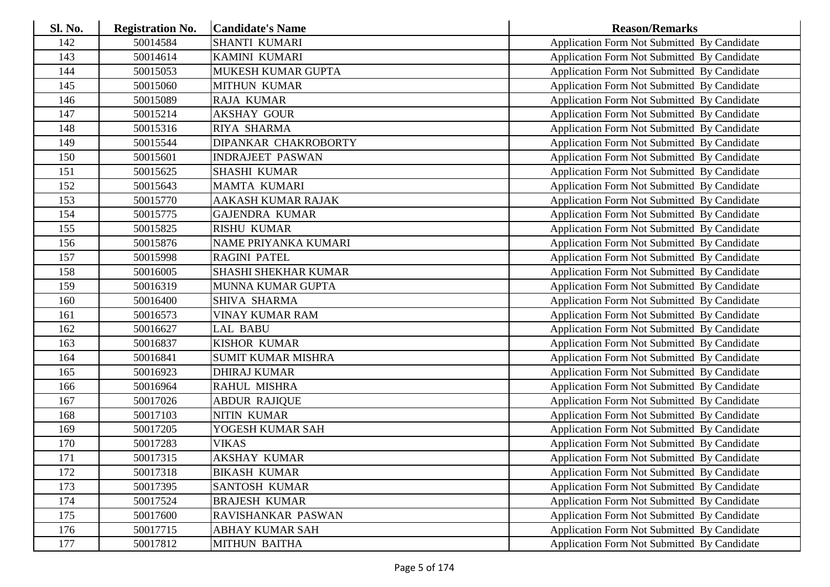| Sl. No. | <b>Registration No.</b> | <b>Candidate's Name</b>     | <b>Reason/Remarks</b>                       |
|---------|-------------------------|-----------------------------|---------------------------------------------|
| 142     | 50014584                | <b>SHANTI KUMARI</b>        | Application Form Not Submitted By Candidate |
| 143     | 50014614                | KAMINI KUMARI               | Application Form Not Submitted By Candidate |
| 144     | 50015053                | MUKESH KUMAR GUPTA          | Application Form Not Submitted By Candidate |
| 145     | 50015060                | <b>MITHUN KUMAR</b>         | Application Form Not Submitted By Candidate |
| 146     | 50015089                | <b>RAJA KUMAR</b>           | Application Form Not Submitted By Candidate |
| 147     | 50015214                | <b>AKSHAY GOUR</b>          | Application Form Not Submitted By Candidate |
| 148     | 50015316                | RIYA SHARMA                 | Application Form Not Submitted By Candidate |
| 149     | 50015544                | DIPANKAR CHAKROBORTY        | Application Form Not Submitted By Candidate |
| 150     | 50015601                | <b>INDRAJEET PASWAN</b>     | Application Form Not Submitted By Candidate |
| 151     | 50015625                | <b>SHASHI KUMAR</b>         | Application Form Not Submitted By Candidate |
| 152     | 50015643                | <b>MAMTA KUMARI</b>         | Application Form Not Submitted By Candidate |
| 153     | 50015770                | AAKASH KUMAR RAJAK          | Application Form Not Submitted By Candidate |
| 154     | 50015775                | <b>GAJENDRA KUMAR</b>       | Application Form Not Submitted By Candidate |
| 155     | 50015825                | <b>RISHU KUMAR</b>          | Application Form Not Submitted By Candidate |
| 156     | 50015876                | NAME PRIYANKA KUMARI        | Application Form Not Submitted By Candidate |
| 157     | 50015998                | <b>RAGINI PATEL</b>         | Application Form Not Submitted By Candidate |
| 158     | 50016005                | <b>SHASHI SHEKHAR KUMAR</b> | Application Form Not Submitted By Candidate |
| 159     | 50016319                | MUNNA KUMAR GUPTA           | Application Form Not Submitted By Candidate |
| 160     | 50016400                | <b>SHIVA SHARMA</b>         | Application Form Not Submitted By Candidate |
| 161     | 50016573                | <b>VINAY KUMAR RAM</b>      | Application Form Not Submitted By Candidate |
| 162     | 50016627                | <b>LAL BABU</b>             | Application Form Not Submitted By Candidate |
| 163     | 50016837                | <b>KISHOR KUMAR</b>         | Application Form Not Submitted By Candidate |
| 164     | 50016841                | <b>SUMIT KUMAR MISHRA</b>   | Application Form Not Submitted By Candidate |
| 165     | 50016923                | <b>DHIRAJ KUMAR</b>         | Application Form Not Submitted By Candidate |
| 166     | 50016964                | RAHUL MISHRA                | Application Form Not Submitted By Candidate |
| 167     | 50017026                | <b>ABDUR RAJIQUE</b>        | Application Form Not Submitted By Candidate |
| 168     | 50017103                | NITIN KUMAR                 | Application Form Not Submitted By Candidate |
| 169     | 50017205                | YOGESH KUMAR SAH            | Application Form Not Submitted By Candidate |
| 170     | 50017283                | <b>VIKAS</b>                | Application Form Not Submitted By Candidate |
| 171     | 50017315                | <b>AKSHAY KUMAR</b>         | Application Form Not Submitted By Candidate |
| 172     | 50017318                | <b>BIKASH KUMAR</b>         | Application Form Not Submitted By Candidate |
| 173     | 50017395                | <b>SANTOSH KUMAR</b>        | Application Form Not Submitted By Candidate |
| 174     | 50017524                | <b>BRAJESH KUMAR</b>        | Application Form Not Submitted By Candidate |
| 175     | 50017600                | RAVISHANKAR PASWAN          | Application Form Not Submitted By Candidate |
| 176     | 50017715                | ABHAY KUMAR SAH             | Application Form Not Submitted By Candidate |
| 177     | 50017812                | <b>MITHUN BAITHA</b>        | Application Form Not Submitted By Candidate |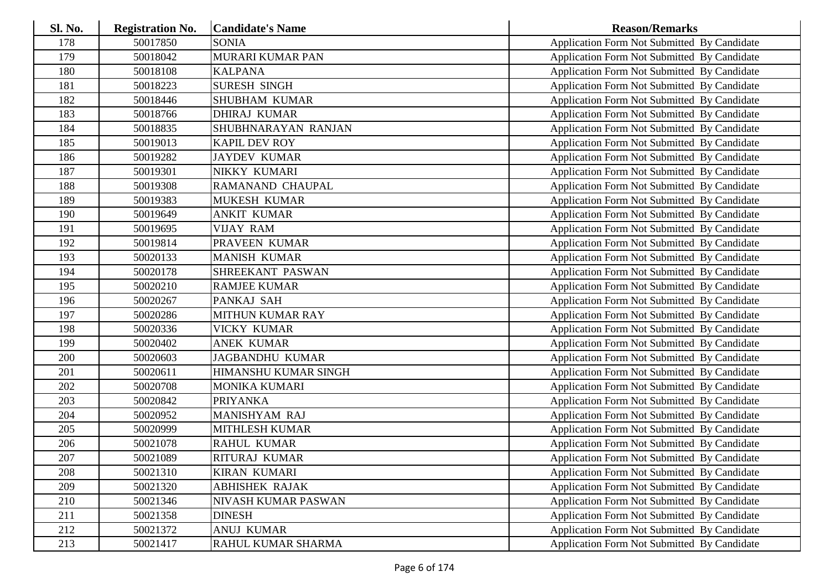| Sl. No. | <b>Registration No.</b> | <b>Candidate's Name</b> | <b>Reason/Remarks</b>                       |
|---------|-------------------------|-------------------------|---------------------------------------------|
| 178     | 50017850                | <b>SONIA</b>            | Application Form Not Submitted By Candidate |
| 179     | 50018042                | MURARI KUMAR PAN        | Application Form Not Submitted By Candidate |
| 180     | 50018108                | <b>KALPANA</b>          | Application Form Not Submitted By Candidate |
| 181     | 50018223                | <b>SURESH SINGH</b>     | Application Form Not Submitted By Candidate |
| 182     | 50018446                | <b>SHUBHAM KUMAR</b>    | Application Form Not Submitted By Candidate |
| 183     | 50018766                | <b>DHIRAJ KUMAR</b>     | Application Form Not Submitted By Candidate |
| 184     | 50018835                | SHUBHNARAYAN RANJAN     | Application Form Not Submitted By Candidate |
| 185     | 50019013                | <b>KAPIL DEV ROY</b>    | Application Form Not Submitted By Candidate |
| 186     | 50019282                | <b>JAYDEV KUMAR</b>     | Application Form Not Submitted By Candidate |
| 187     | 50019301                | NIKKY KUMARI            | Application Form Not Submitted By Candidate |
| 188     | 50019308                | RAMANAND CHAUPAL        | Application Form Not Submitted By Candidate |
| 189     | 50019383                | <b>MUKESH KUMAR</b>     | Application Form Not Submitted By Candidate |
| 190     | 50019649                | <b>ANKIT KUMAR</b>      | Application Form Not Submitted By Candidate |
| 191     | 50019695                | <b>VIJAY RAM</b>        | Application Form Not Submitted By Candidate |
| 192     | 50019814                | PRAVEEN KUMAR           | Application Form Not Submitted By Candidate |
| 193     | 50020133                | <b>MANISH KUMAR</b>     | Application Form Not Submitted By Candidate |
| 194     | 50020178                | SHREEKANT PASWAN        | Application Form Not Submitted By Candidate |
| 195     | 50020210                | <b>RAMJEE KUMAR</b>     | Application Form Not Submitted By Candidate |
| 196     | 50020267                | PANKAJ SAH              | Application Form Not Submitted By Candidate |
| 197     | 50020286                | <b>MITHUN KUMAR RAY</b> | Application Form Not Submitted By Candidate |
| 198     | 50020336                | VICKY KUMAR             | Application Form Not Submitted By Candidate |
| 199     | 50020402                | <b>ANEK KUMAR</b>       | Application Form Not Submitted By Candidate |
| 200     | 50020603                | <b>JAGBANDHU KUMAR</b>  | Application Form Not Submitted By Candidate |
| 201     | 50020611                | HIMANSHU KUMAR SINGH    | Application Form Not Submitted By Candidate |
| 202     | 50020708                | <b>MONIKA KUMARI</b>    | Application Form Not Submitted By Candidate |
| 203     | 50020842                | <b>PRIYANKA</b>         | Application Form Not Submitted By Candidate |
| 204     | 50020952                | MANISHYAM RAJ           | Application Form Not Submitted By Candidate |
| 205     | 50020999                | <b>MITHLESH KUMAR</b>   | Application Form Not Submitted By Candidate |
| 206     | 50021078                | <b>RAHUL KUMAR</b>      | Application Form Not Submitted By Candidate |
| 207     | 50021089                | <b>RITURAJ KUMAR</b>    | Application Form Not Submitted By Candidate |
| 208     | 50021310                | <b>KIRAN KUMARI</b>     | Application Form Not Submitted By Candidate |
| 209     | 50021320                | <b>ABHISHEK RAJAK</b>   | Application Form Not Submitted By Candidate |
| 210     | 50021346                | NIVASH KUMAR PASWAN     | Application Form Not Submitted By Candidate |
| 211     | 50021358                | <b>DINESH</b>           | Application Form Not Submitted By Candidate |
| 212     | 50021372                | <b>ANUJ KUMAR</b>       | Application Form Not Submitted By Candidate |
| 213     | 50021417                | RAHUL KUMAR SHARMA      | Application Form Not Submitted By Candidate |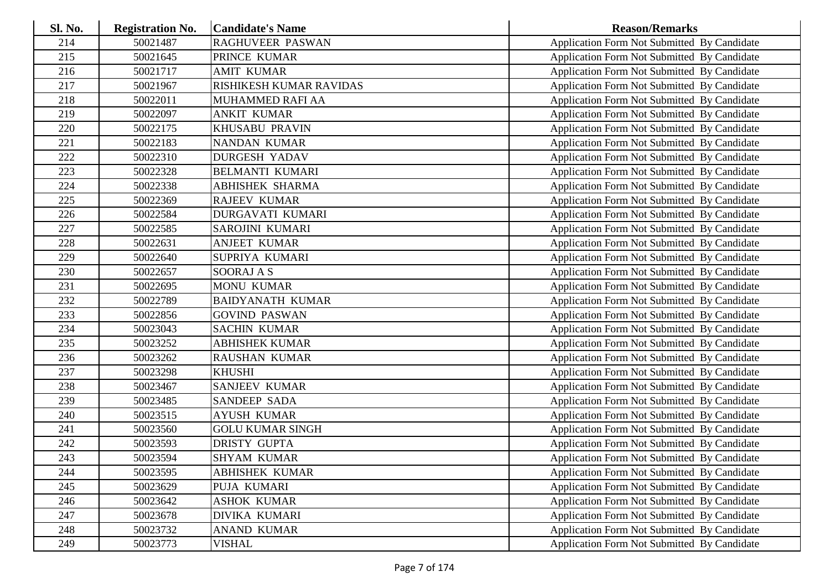| <b>Sl. No.</b> | <b>Registration No.</b> | <b>Candidate's Name</b> | <b>Reason/Remarks</b>                              |
|----------------|-------------------------|-------------------------|----------------------------------------------------|
| 214            | 50021487                | <b>RAGHUVEER PASWAN</b> | Application Form Not Submitted By Candidate        |
| 215            | 50021645                | PRINCE KUMAR            | Application Form Not Submitted By Candidate        |
| 216            | 50021717                | <b>AMIT KUMAR</b>       | Application Form Not Submitted By Candidate        |
| 217            | 50021967                | RISHIKESH KUMAR RAVIDAS | Application Form Not Submitted By Candidate        |
| 218            | 50022011                | MUHAMMED RAFI AA        | Application Form Not Submitted By Candidate        |
| 219            | 50022097                | <b>ANKIT KUMAR</b>      | Application Form Not Submitted By Candidate        |
| 220            | 50022175                | <b>KHUSABU PRAVIN</b>   | Application Form Not Submitted By Candidate        |
| 221            | 50022183                | <b>NANDAN KUMAR</b>     | Application Form Not Submitted By Candidate        |
| 222            | 50022310                | <b>DURGESH YADAV</b>    | Application Form Not Submitted By Candidate        |
| 223            | 50022328                | <b>BELMANTI KUMARI</b>  | Application Form Not Submitted By Candidate        |
| 224            | 50022338                | <b>ABHISHEK SHARMA</b>  | Application Form Not Submitted By Candidate        |
| 225            | 50022369                | <b>RAJEEV KUMAR</b>     | Application Form Not Submitted By Candidate        |
| 226            | 50022584                | <b>DURGAVATI KUMARI</b> | Application Form Not Submitted By Candidate        |
| 227            | 50022585                | SAROJINI KUMARI         | Application Form Not Submitted By Candidate        |
| 228            | 50022631                | <b>ANJEET KUMAR</b>     | Application Form Not Submitted By Candidate        |
| 229            | 50022640                | SUPRIYA KUMARI          | Application Form Not Submitted By Candidate        |
| 230            | 50022657                | <b>SOORAJ A S</b>       | Application Form Not Submitted By Candidate        |
| 231            | 50022695                | <b>MONU KUMAR</b>       | Application Form Not Submitted By Candidate        |
| 232            | 50022789                | <b>BAIDYANATH KUMAR</b> | Application Form Not Submitted By Candidate        |
| 233            | 50022856                | <b>GOVIND PASWAN</b>    | Application Form Not Submitted By Candidate        |
| 234            | 50023043                | <b>SACHIN KUMAR</b>     | Application Form Not Submitted By Candidate        |
| 235            | 50023252                | <b>ABHISHEK KUMAR</b>   | Application Form Not Submitted By Candidate        |
| 236            | 50023262                | <b>RAUSHAN KUMAR</b>    | Application Form Not Submitted By Candidate        |
| 237            | 50023298                | <b>KHUSHI</b>           | Application Form Not Submitted By Candidate        |
| 238            | 50023467                | <b>SANJEEV KUMAR</b>    | Application Form Not Submitted By Candidate        |
| 239            | 50023485                | <b>SANDEEP SADA</b>     | Application Form Not Submitted By Candidate        |
| 240            | 50023515                | <b>AYUSH KUMAR</b>      | Application Form Not Submitted By Candidate        |
| 241            | 50023560                | <b>GOLU KUMAR SINGH</b> | Application Form Not Submitted By Candidate        |
| 242            | 50023593                | <b>DRISTY GUPTA</b>     | Application Form Not Submitted By Candidate        |
| 243            | 50023594                | <b>SHYAM KUMAR</b>      | Application Form Not Submitted By Candidate        |
| 244            | 50023595                | <b>ABHISHEK KUMAR</b>   | Application Form Not Submitted By Candidate        |
| 245            | 50023629                | PUJA KUMARI             | Application Form Not Submitted By Candidate        |
| 246            | 50023642                | <b>ASHOK KUMAR</b>      | Application Form Not Submitted By Candidate        |
| 247            | 50023678                | DIVIKA KUMARI           | Application Form Not Submitted By Candidate        |
| 248            | 50023732                | <b>ANAND KUMAR</b>      | <b>Application Form Not Submitted By Candidate</b> |
| 249            | 50023773                | <b>VISHAL</b>           | Application Form Not Submitted By Candidate        |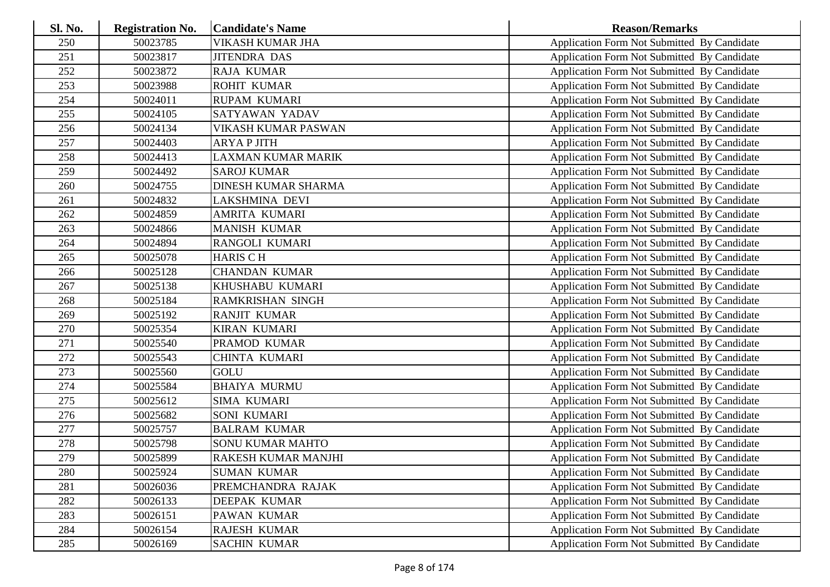| <b>Sl. No.</b> | <b>Registration No.</b> | <b>Candidate's Name</b>    | <b>Reason/Remarks</b>                              |
|----------------|-------------------------|----------------------------|----------------------------------------------------|
| 250            | 50023785                | VIKASH KUMAR JHA           | Application Form Not Submitted By Candidate        |
| 251            | 50023817                | <b>JITENDRA DAS</b>        | Application Form Not Submitted By Candidate        |
| 252            | 50023872                | <b>RAJA KUMAR</b>          | Application Form Not Submitted By Candidate        |
| 253            | 50023988                | <b>ROHIT KUMAR</b>         | Application Form Not Submitted By Candidate        |
| 254            | 50024011                | RUPAM KUMARI               | Application Form Not Submitted By Candidate        |
| 255            | 50024105                | <b>SATYAWAN YADAV</b>      | Application Form Not Submitted By Candidate        |
| 256            | 50024134                | VIKASH KUMAR PASWAN        | Application Form Not Submitted By Candidate        |
| 257            | 50024403                | <b>ARYAP JITH</b>          | Application Form Not Submitted By Candidate        |
| 258            | 50024413                | <b>LAXMAN KUMAR MARIK</b>  | Application Form Not Submitted By Candidate        |
| 259            | 50024492                | <b>SAROJ KUMAR</b>         | Application Form Not Submitted By Candidate        |
| 260            | 50024755                | <b>DINESH KUMAR SHARMA</b> | Application Form Not Submitted By Candidate        |
| 261            | 50024832                | LAKSHMINA DEVI             | Application Form Not Submitted By Candidate        |
| 262            | 50024859                | AMRITA KUMARI              | Application Form Not Submitted By Candidate        |
| 263            | 50024866                | <b>MANISH KUMAR</b>        | Application Form Not Submitted By Candidate        |
| 264            | 50024894                | RANGOLI KUMARI             | Application Form Not Submitted By Candidate        |
| 265            | 50025078                | <b>HARIS CH</b>            | Application Form Not Submitted By Candidate        |
| 266            | 50025128                | <b>CHANDAN KUMAR</b>       | Application Form Not Submitted By Candidate        |
| 267            | 50025138                | KHUSHABU KUMARI            | Application Form Not Submitted By Candidate        |
| 268            | 50025184                | <b>RAMKRISHAN SINGH</b>    | Application Form Not Submitted By Candidate        |
| 269            | 50025192                | <b>RANJIT KUMAR</b>        | Application Form Not Submitted By Candidate        |
| 270            | 50025354                | <b>KIRAN KUMARI</b>        | Application Form Not Submitted By Candidate        |
| 271            | 50025540                | PRAMOD KUMAR               | Application Form Not Submitted By Candidate        |
| 272            | 50025543                | CHINTA KUMARI              | Application Form Not Submitted By Candidate        |
| 273            | 50025560                | <b>GOLU</b>                | Application Form Not Submitted By Candidate        |
| 274            | 50025584                | <b>BHAIYA MURMU</b>        | Application Form Not Submitted By Candidate        |
| 275            | 50025612                | <b>SIMA KUMARI</b>         | Application Form Not Submitted By Candidate        |
| 276            | 50025682                | <b>SONI KUMARI</b>         | Application Form Not Submitted By Candidate        |
| 277            | 50025757                | <b>BALRAM KUMAR</b>        | Application Form Not Submitted By Candidate        |
| 278            | 50025798                | <b>SONU KUMAR MAHTO</b>    | Application Form Not Submitted By Candidate        |
| 279            | 50025899                | <b>RAKESH KUMAR MANJHI</b> | Application Form Not Submitted By Candidate        |
| 280            | 50025924                | <b>SUMAN KUMAR</b>         | Application Form Not Submitted By Candidate        |
| 281            | 50026036                | PREMCHANDRA RAJAK          | Application Form Not Submitted By Candidate        |
| 282            | 50026133                | <b>DEEPAK KUMAR</b>        | Application Form Not Submitted By Candidate        |
| 283            | 50026151                | PAWAN KUMAR                | Application Form Not Submitted By Candidate        |
| 284            | 50026154                | <b>RAJESH KUMAR</b>        | <b>Application Form Not Submitted By Candidate</b> |
| 285            | 50026169                | <b>SACHIN KUMAR</b>        | Application Form Not Submitted By Candidate        |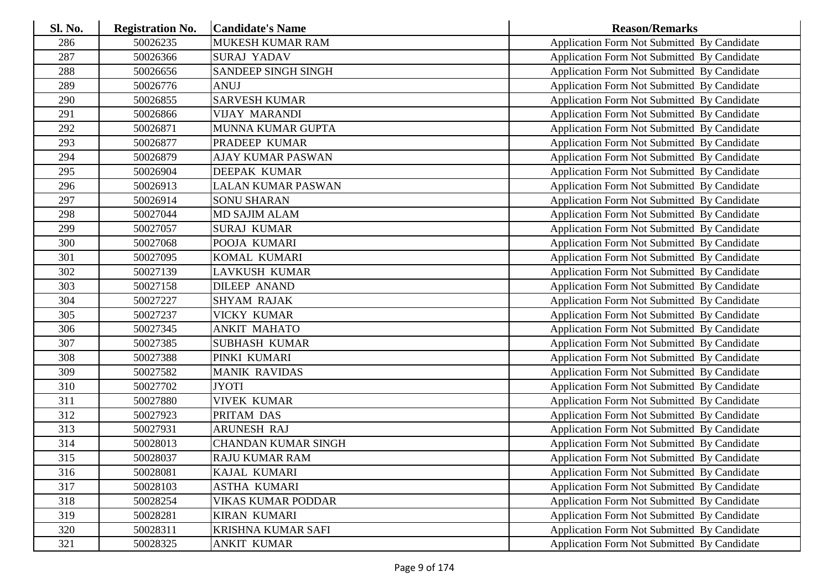| Sl. No. | <b>Registration No.</b> | <b>Candidate's Name</b>    | <b>Reason/Remarks</b>                       |
|---------|-------------------------|----------------------------|---------------------------------------------|
| 286     | 50026235                | MUKESH KUMAR RAM           | Application Form Not Submitted By Candidate |
| 287     | 50026366                | <b>SURAJ YADAV</b>         | Application Form Not Submitted By Candidate |
| 288     | 50026656                | <b>SANDEEP SINGH SINGH</b> | Application Form Not Submitted By Candidate |
| 289     | 50026776                | <b>ANUJ</b>                | Application Form Not Submitted By Candidate |
| 290     | 50026855                | <b>SARVESH KUMAR</b>       | Application Form Not Submitted By Candidate |
| 291     | 50026866                | <b>VIJAY MARANDI</b>       | Application Form Not Submitted By Candidate |
| 292     | 50026871                | MUNNA KUMAR GUPTA          | Application Form Not Submitted By Candidate |
| 293     | 50026877                | PRADEEP KUMAR              | Application Form Not Submitted By Candidate |
| 294     | 50026879                | <b>AJAY KUMAR PASWAN</b>   | Application Form Not Submitted By Candidate |
| 295     | 50026904                | DEEPAK KUMAR               | Application Form Not Submitted By Candidate |
| 296     | 50026913                | <b>LALAN KUMAR PASWAN</b>  | Application Form Not Submitted By Candidate |
| 297     | 50026914                | <b>SONU SHARAN</b>         | Application Form Not Submitted By Candidate |
| 298     | 50027044                | <b>MD SAJIM ALAM</b>       | Application Form Not Submitted By Candidate |
| 299     | 50027057                | <b>SURAJ KUMAR</b>         | Application Form Not Submitted By Candidate |
| 300     | 50027068                | POOJA KUMARI               | Application Form Not Submitted By Candidate |
| 301     | 50027095                | <b>KOMAL KUMARI</b>        | Application Form Not Submitted By Candidate |
| 302     | 50027139                | LAVKUSH KUMAR              | Application Form Not Submitted By Candidate |
| 303     | 50027158                | <b>DILEEP ANAND</b>        | Application Form Not Submitted By Candidate |
| 304     | 50027227                | <b>SHYAM RAJAK</b>         | Application Form Not Submitted By Candidate |
| 305     | 50027237                | VICKY KUMAR                | Application Form Not Submitted By Candidate |
| 306     | 50027345                | <b>ANKIT MAHATO</b>        | Application Form Not Submitted By Candidate |
| 307     | 50027385                | <b>SUBHASH KUMAR</b>       | Application Form Not Submitted By Candidate |
| 308     | 50027388                | PINKI KUMARI               | Application Form Not Submitted By Candidate |
| 309     | 50027582                | <b>MANIK RAVIDAS</b>       | Application Form Not Submitted By Candidate |
| 310     | 50027702                | <b>JYOTI</b>               | Application Form Not Submitted By Candidate |
| 311     | 50027880                | <b>VIVEK KUMAR</b>         | Application Form Not Submitted By Candidate |
| 312     | 50027923                | PRITAM DAS                 | Application Form Not Submitted By Candidate |
| 313     | 50027931                | <b>ARUNESH RAJ</b>         | Application Form Not Submitted By Candidate |
| 314     | 50028013                | <b>CHANDAN KUMAR SINGH</b> | Application Form Not Submitted By Candidate |
| 315     | 50028037                | <b>RAJU KUMAR RAM</b>      | Application Form Not Submitted By Candidate |
| 316     | 50028081                | KAJAL KUMARI               | Application Form Not Submitted By Candidate |
| 317     | 50028103                | <b>ASTHA KUMARI</b>        | Application Form Not Submitted By Candidate |
| 318     | 50028254                | <b>VIKAS KUMAR PODDAR</b>  | Application Form Not Submitted By Candidate |
| 319     | 50028281                | <b>KIRAN KUMARI</b>        | Application Form Not Submitted By Candidate |
| 320     | 50028311                | KRISHNA KUMAR SAFI         | Application Form Not Submitted By Candidate |
| 321     | 50028325                | <b>ANKIT KUMAR</b>         | Application Form Not Submitted By Candidate |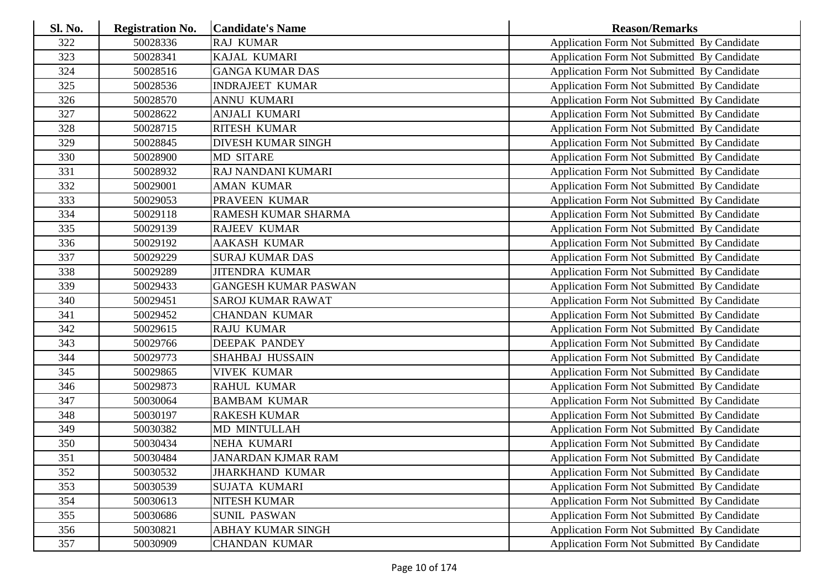| <b>Sl. No.</b> | <b>Registration No.</b> | <b>Candidate's Name</b>     | <b>Reason/Remarks</b>                              |
|----------------|-------------------------|-----------------------------|----------------------------------------------------|
| 322            | 50028336                | <b>RAJ KUMAR</b>            | Application Form Not Submitted By Candidate        |
| 323            | 50028341                | KAJAL KUMARI                | Application Form Not Submitted By Candidate        |
| 324            | 50028516                | <b>GANGA KUMAR DAS</b>      | Application Form Not Submitted By Candidate        |
| 325            | 50028536                | <b>INDRAJEET KUMAR</b>      | Application Form Not Submitted By Candidate        |
| 326            | 50028570                | ANNU KUMARI                 | Application Form Not Submitted By Candidate        |
| 327            | 50028622                | <b>ANJALI KUMARI</b>        | Application Form Not Submitted By Candidate        |
| 328            | 50028715                | <b>RITESH KUMAR</b>         | Application Form Not Submitted By Candidate        |
| 329            | 50028845                | <b>DIVESH KUMAR SINGH</b>   | Application Form Not Submitted By Candidate        |
| 330            | 50028900                | <b>MD SITARE</b>            | Application Form Not Submitted By Candidate        |
| 331            | 50028932                | RAJ NANDANI KUMARI          | Application Form Not Submitted By Candidate        |
| 332            | 50029001                | <b>AMAN KUMAR</b>           | Application Form Not Submitted By Candidate        |
| 333            | 50029053                | PRAVEEN KUMAR               | Application Form Not Submitted By Candidate        |
| 334            | 50029118                | RAMESH KUMAR SHARMA         | Application Form Not Submitted By Candidate        |
| 335            | 50029139                | <b>RAJEEV KUMAR</b>         | <b>Application Form Not Submitted By Candidate</b> |
| 336            | 50029192                | <b>AAKASH KUMAR</b>         | Application Form Not Submitted By Candidate        |
| 337            | 50029229                | <b>SURAJ KUMAR DAS</b>      | Application Form Not Submitted By Candidate        |
| 338            | 50029289                | <b>JITENDRA KUMAR</b>       | Application Form Not Submitted By Candidate        |
| 339            | 50029433                | <b>GANGESH KUMAR PASWAN</b> | Application Form Not Submitted By Candidate        |
| 340            | 50029451                | <b>SAROJ KUMAR RAWAT</b>    | Application Form Not Submitted By Candidate        |
| 341            | 50029452                | <b>CHANDAN KUMAR</b>        | Application Form Not Submitted By Candidate        |
| 342            | 50029615                | <b>RAJU KUMAR</b>           | Application Form Not Submitted By Candidate        |
| 343            | 50029766                | <b>DEEPAK PANDEY</b>        | Application Form Not Submitted By Candidate        |
| 344            | 50029773                | <b>SHAHBAJ HUSSAIN</b>      | Application Form Not Submitted By Candidate        |
| 345            | 50029865                | <b>VIVEK KUMAR</b>          | Application Form Not Submitted By Candidate        |
| 346            | 50029873                | <b>RAHUL KUMAR</b>          | Application Form Not Submitted By Candidate        |
| 347            | 50030064                | <b>BAMBAM KUMAR</b>         | Application Form Not Submitted By Candidate        |
| 348            | 50030197                | <b>RAKESH KUMAR</b>         | Application Form Not Submitted By Candidate        |
| 349            | 50030382                | <b>MD MINTULLAH</b>         | Application Form Not Submitted By Candidate        |
| 350            | 50030434                | NEHA KUMARI                 | Application Form Not Submitted By Candidate        |
| 351            | 50030484                | <b>JANARDAN KJMAR RAM</b>   | Application Form Not Submitted By Candidate        |
| 352            | 50030532                | <b>JHARKHAND KUMAR</b>      | <b>Application Form Not Submitted By Candidate</b> |
| 353            | 50030539                | <b>SUJATA KUMARI</b>        | <b>Application Form Not Submitted By Candidate</b> |
| 354            | 50030613                | <b>NITESH KUMAR</b>         | Application Form Not Submitted By Candidate        |
| 355            | 50030686                | <b>SUNIL PASWAN</b>         | Application Form Not Submitted By Candidate        |
| 356            | 50030821                | ABHAY KUMAR SINGH           | <b>Application Form Not Submitted By Candidate</b> |
| 357            | 50030909                | <b>CHANDAN KUMAR</b>        | Application Form Not Submitted By Candidate        |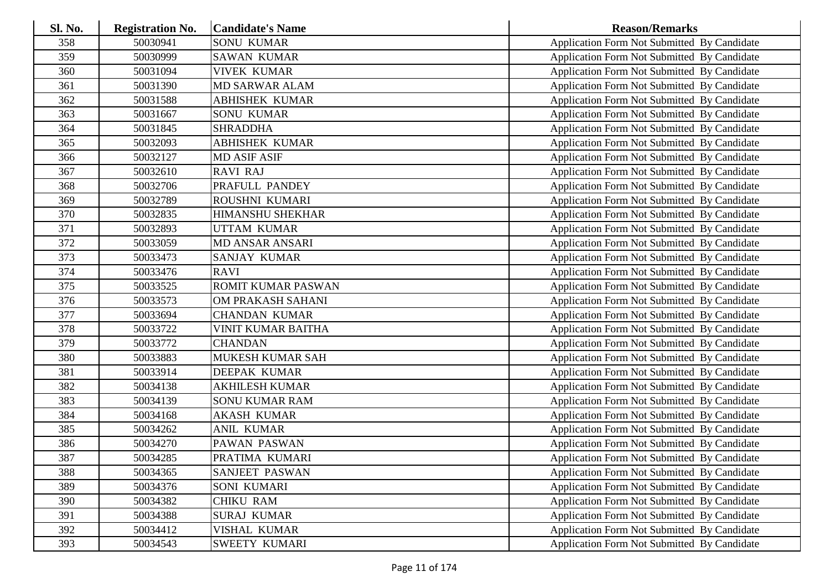| <b>Sl. No.</b> | <b>Registration No.</b> | <b>Candidate's Name</b>   | <b>Reason/Remarks</b>                              |
|----------------|-------------------------|---------------------------|----------------------------------------------------|
| 358            | 50030941                | <b>SONU KUMAR</b>         | Application Form Not Submitted By Candidate        |
| 359            | 50030999                | <b>SAWAN KUMAR</b>        | Application Form Not Submitted By Candidate        |
| 360            | 50031094                | <b>VIVEK KUMAR</b>        | Application Form Not Submitted By Candidate        |
| 361            | 50031390                | <b>MD SARWAR ALAM</b>     | Application Form Not Submitted By Candidate        |
| 362            | 50031588                | <b>ABHISHEK KUMAR</b>     | Application Form Not Submitted By Candidate        |
| 363            | 50031667                | <b>SONU KUMAR</b>         | Application Form Not Submitted By Candidate        |
| 364            | 50031845                | <b>SHRADDHA</b>           | Application Form Not Submitted By Candidate        |
| 365            | 50032093                | <b>ABHISHEK KUMAR</b>     | Application Form Not Submitted By Candidate        |
| 366            | 50032127                | <b>MD ASIF ASIF</b>       | Application Form Not Submitted By Candidate        |
| 367            | 50032610                | <b>RAVI RAJ</b>           | Application Form Not Submitted By Candidate        |
| 368            | 50032706                | PRAFULL PANDEY            | Application Form Not Submitted By Candidate        |
| 369            | 50032789                | ROUSHNI KUMARI            | Application Form Not Submitted By Candidate        |
| 370            | 50032835                | <b>HIMANSHU SHEKHAR</b>   | Application Form Not Submitted By Candidate        |
| 371            | 50032893                | <b>UTTAM KUMAR</b>        | <b>Application Form Not Submitted By Candidate</b> |
| 372            | 50033059                | <b>MD ANSAR ANSARI</b>    | Application Form Not Submitted By Candidate        |
| 373            | 50033473                | <b>SANJAY KUMAR</b>       | Application Form Not Submitted By Candidate        |
| 374            | 50033476                | <b>RAVI</b>               | Application Form Not Submitted By Candidate        |
| 375            | 50033525                | <b>ROMIT KUMAR PASWAN</b> | Application Form Not Submitted By Candidate        |
| 376            | 50033573                | OM PRAKASH SAHANI         | Application Form Not Submitted By Candidate        |
| 377            | 50033694                | <b>CHANDAN KUMAR</b>      | Application Form Not Submitted By Candidate        |
| 378            | 50033722                | <b>VINIT KUMAR BAITHA</b> | Application Form Not Submitted By Candidate        |
| 379            | 50033772                | <b>CHANDAN</b>            | Application Form Not Submitted By Candidate        |
| 380            | 50033883                | MUKESH KUMAR SAH          | Application Form Not Submitted By Candidate        |
| 381            | 50033914                | <b>DEEPAK KUMAR</b>       | Application Form Not Submitted By Candidate        |
| 382            | 50034138                | <b>AKHILESH KUMAR</b>     | Application Form Not Submitted By Candidate        |
| 383            | 50034139                | <b>SONU KUMAR RAM</b>     | Application Form Not Submitted By Candidate        |
| 384            | 50034168                | <b>AKASH KUMAR</b>        | Application Form Not Submitted By Candidate        |
| 385            | 50034262                | <b>ANIL KUMAR</b>         | Application Form Not Submitted By Candidate        |
| 386            | 50034270                | PAWAN PASWAN              | Application Form Not Submitted By Candidate        |
| 387            | 50034285                | PRATIMA KUMARI            | Application Form Not Submitted By Candidate        |
| 388            | 50034365                | <b>SANJEET PASWAN</b>     | Application Form Not Submitted By Candidate        |
| 389            | 50034376                | SONI KUMARI               | <b>Application Form Not Submitted By Candidate</b> |
| 390            | 50034382                | <b>CHIKU RAM</b>          | Application Form Not Submitted By Candidate        |
| 391            | 50034388                | <b>SURAJ KUMAR</b>        | Application Form Not Submitted By Candidate        |
| 392            | 50034412                | VISHAL KUMAR              | Application Form Not Submitted By Candidate        |
| 393            | 50034543                | <b>SWEETY KUMARI</b>      | Application Form Not Submitted By Candidate        |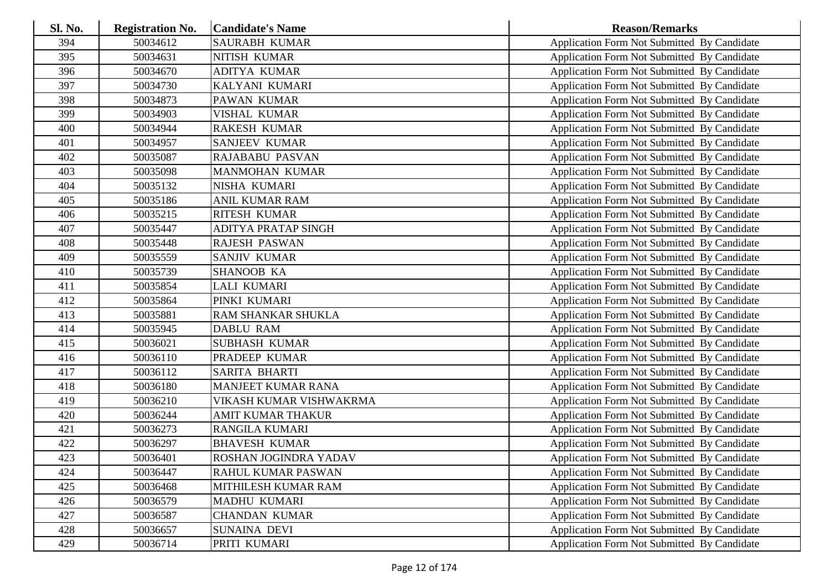| Sl. No. | <b>Registration No.</b> | <b>Candidate's Name</b>    | <b>Reason/Remarks</b>                              |
|---------|-------------------------|----------------------------|----------------------------------------------------|
| 394     | 50034612                | <b>SAURABH KUMAR</b>       | Application Form Not Submitted By Candidate        |
| 395     | 50034631                | NITISH KUMAR               | Application Form Not Submitted By Candidate        |
| 396     | 50034670                | <b>ADITYA KUMAR</b>        | Application Form Not Submitted By Candidate        |
| 397     | 50034730                | KALYANI KUMARI             | Application Form Not Submitted By Candidate        |
| 398     | 50034873                | <b>PAWAN KUMAR</b>         | Application Form Not Submitted By Candidate        |
| 399     | 50034903                | VISHAL KUMAR               | Application Form Not Submitted By Candidate        |
| 400     | 50034944                | <b>RAKESH KUMAR</b>        | Application Form Not Submitted By Candidate        |
| 401     | 50034957                | <b>SANJEEV KUMAR</b>       | Application Form Not Submitted By Candidate        |
| 402     | 50035087                | <b>RAJABABU PASVAN</b>     | Application Form Not Submitted By Candidate        |
| 403     | 50035098                | <b>MANMOHAN KUMAR</b>      | Application Form Not Submitted By Candidate        |
| 404     | 50035132                | NISHA KUMARI               | Application Form Not Submitted By Candidate        |
| 405     | 50035186                | <b>ANIL KUMAR RAM</b>      | Application Form Not Submitted By Candidate        |
| 406     | 50035215                | <b>RITESH KUMAR</b>        | Application Form Not Submitted By Candidate        |
| 407     | 50035447                | <b>ADITYA PRATAP SINGH</b> | Application Form Not Submitted By Candidate        |
| 408     | 50035448                | <b>RAJESH PASWAN</b>       | Application Form Not Submitted By Candidate        |
| 409     | 50035559                | <b>SANJIV KUMAR</b>        | Application Form Not Submitted By Candidate        |
| 410     | 50035739                | SHANOOB KA                 | Application Form Not Submitted By Candidate        |
| 411     | 50035854                | <b>LALI KUMARI</b>         | Application Form Not Submitted By Candidate        |
| 412     | 50035864                | PINKI KUMARI               | Application Form Not Submitted By Candidate        |
| 413     | 50035881                | RAM SHANKAR SHUKLA         | Application Form Not Submitted By Candidate        |
| 414     | 50035945                | <b>DABLU RAM</b>           | Application Form Not Submitted By Candidate        |
| 415     | 50036021                | <b>SUBHASH KUMAR</b>       | Application Form Not Submitted By Candidate        |
| 416     | 50036110                | PRADEEP KUMAR              | Application Form Not Submitted By Candidate        |
| 417     | 50036112                | <b>SARITA BHARTI</b>       | Application Form Not Submitted By Candidate        |
| 418     | 50036180                | <b>MANJEET KUMAR RANA</b>  | Application Form Not Submitted By Candidate        |
| 419     | 50036210                | VIKASH KUMAR VISHWAKRMA    | Application Form Not Submitted By Candidate        |
| 420     | 50036244                | AMIT KUMAR THAKUR          | Application Form Not Submitted By Candidate        |
| 421     | 50036273                | <b>RANGILA KUMARI</b>      | Application Form Not Submitted By Candidate        |
| 422     | 50036297                | <b>BHAVESH KUMAR</b>       | Application Form Not Submitted By Candidate        |
| 423     | 50036401                | ROSHAN JOGINDRA YADAV      | Application Form Not Submitted By Candidate        |
| 424     | 50036447                | RAHUL KUMAR PASWAN         | Application Form Not Submitted By Candidate        |
| 425     | 50036468                | MITHILESH KUMAR RAM        | <b>Application Form Not Submitted By Candidate</b> |
| 426     | 50036579                | MADHU KUMARI               | Application Form Not Submitted By Candidate        |
| 427     | 50036587                | <b>CHANDAN KUMAR</b>       | Application Form Not Submitted By Candidate        |
| 428     | 50036657                | <b>SUNAINA DEVI</b>        | Application Form Not Submitted By Candidate        |
| 429     | 50036714                | PRITI KUMARI               | Application Form Not Submitted By Candidate        |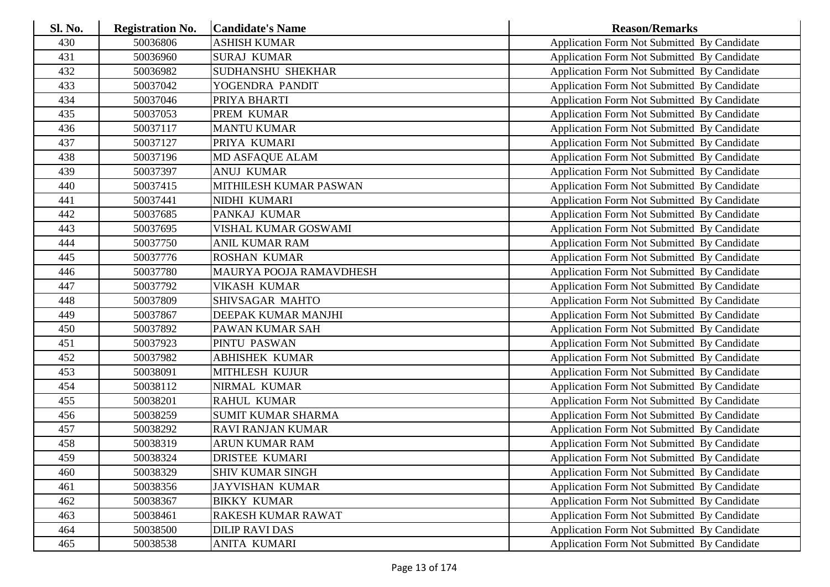| Sl. No. | <b>Registration No.</b> | <b>Candidate's Name</b>   | <b>Reason/Remarks</b>                       |
|---------|-------------------------|---------------------------|---------------------------------------------|
| 430     | 50036806                | <b>ASHISH KUMAR</b>       | Application Form Not Submitted By Candidate |
| 431     | 50036960                | <b>SURAJ KUMAR</b>        | Application Form Not Submitted By Candidate |
| 432     | 50036982                | <b>SUDHANSHU SHEKHAR</b>  | Application Form Not Submitted By Candidate |
| 433     | 50037042                | YOGENDRA PANDIT           | Application Form Not Submitted By Candidate |
| 434     | 50037046                | PRIYA BHARTI              | Application Form Not Submitted By Candidate |
| 435     | 50037053                | PREM KUMAR                | Application Form Not Submitted By Candidate |
| 436     | 50037117                | <b>MANTU KUMAR</b>        | Application Form Not Submitted By Candidate |
| 437     | 50037127                | PRIYA KUMARI              | Application Form Not Submitted By Candidate |
| 438     | 50037196                | MD ASFAQUE ALAM           | Application Form Not Submitted By Candidate |
| 439     | 50037397                | <b>ANUJ KUMAR</b>         | Application Form Not Submitted By Candidate |
| 440     | 50037415                | MITHILESH KUMAR PASWAN    | Application Form Not Submitted By Candidate |
| 441     | 50037441                | NIDHI KUMARI              | Application Form Not Submitted By Candidate |
| 442     | 50037685                | PANKAJ KUMAR              | Application Form Not Submitted By Candidate |
| 443     | 50037695                | VISHAL KUMAR GOSWAMI      | Application Form Not Submitted By Candidate |
| 444     | 50037750                | <b>ANIL KUMAR RAM</b>     | Application Form Not Submitted By Candidate |
| 445     | 50037776                | <b>ROSHAN KUMAR</b>       | Application Form Not Submitted By Candidate |
| 446     | 50037780                | MAURYA POOJA RAMAVDHESH   | Application Form Not Submitted By Candidate |
| 447     | 50037792                | <b>VIKASH KUMAR</b>       | Application Form Not Submitted By Candidate |
| 448     | 50037809                | SHIVSAGAR MAHTO           | Application Form Not Submitted By Candidate |
| 449     | 50037867                | DEEPAK KUMAR MANJHI       | Application Form Not Submitted By Candidate |
| 450     | 50037892                | PAWAN KUMAR SAH           | Application Form Not Submitted By Candidate |
| 451     | 50037923                | PINTU PASWAN              | Application Form Not Submitted By Candidate |
| 452     | 50037982                | <b>ABHISHEK KUMAR</b>     | Application Form Not Submitted By Candidate |
| 453     | 50038091                | <b>MITHLESH KUJUR</b>     | Application Form Not Submitted By Candidate |
| 454     | 50038112                | NIRMAL KUMAR              | Application Form Not Submitted By Candidate |
| 455     | 50038201                | <b>RAHUL KUMAR</b>        | Application Form Not Submitted By Candidate |
| 456     | 50038259                | <b>SUMIT KUMAR SHARMA</b> | Application Form Not Submitted By Candidate |
| 457     | 50038292                | <b>RAVI RANJAN KUMAR</b>  | Application Form Not Submitted By Candidate |
| 458     | 50038319                | <b>ARUN KUMAR RAM</b>     | Application Form Not Submitted By Candidate |
| 459     | 50038324                | DRISTEE KUMARI            | Application Form Not Submitted By Candidate |
| 460     | 50038329                | <b>SHIV KUMAR SINGH</b>   | Application Form Not Submitted By Candidate |
| 461     | 50038356                | <b>JAYVISHAN KUMAR</b>    | Application Form Not Submitted By Candidate |
| 462     | 50038367                | <b>BIKKY KUMAR</b>        | Application Form Not Submitted By Candidate |
| 463     | 50038461                | RAKESH KUMAR RAWAT        | Application Form Not Submitted By Candidate |
| 464     | 50038500                | <b>DILIP RAVI DAS</b>     | Application Form Not Submitted By Candidate |
| 465     | 50038538                | ANITA KUMARI              | Application Form Not Submitted By Candidate |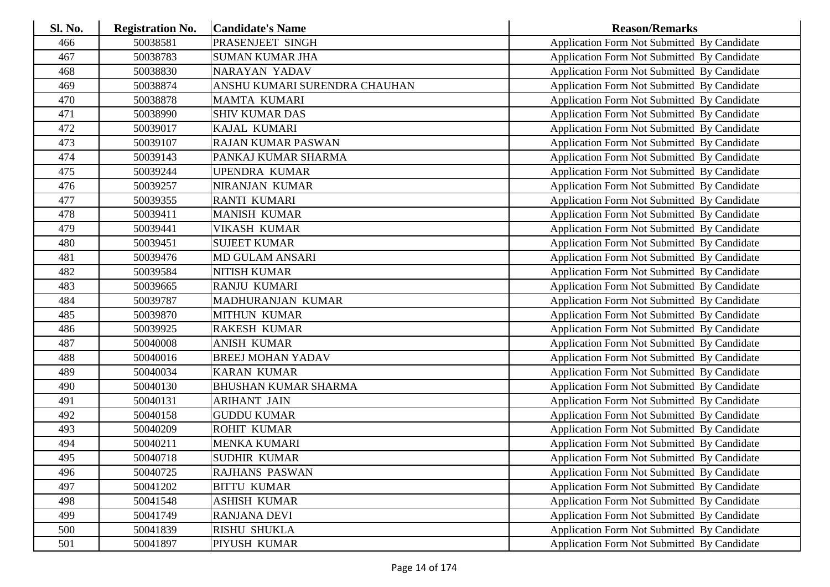| <b>Sl. No.</b> | <b>Registration No.</b> | <b>Candidate's Name</b>       | <b>Reason/Remarks</b>                              |
|----------------|-------------------------|-------------------------------|----------------------------------------------------|
| 466            | 50038581                | PRASENJEET SINGH              | Application Form Not Submitted By Candidate        |
| 467            | 50038783                | <b>SUMAN KUMAR JHA</b>        | Application Form Not Submitted By Candidate        |
| 468            | 50038830                | NARAYAN YADAV                 | Application Form Not Submitted By Candidate        |
| 469            | 50038874                | ANSHU KUMARI SURENDRA CHAUHAN | Application Form Not Submitted By Candidate        |
| 470            | 50038878                | <b>MAMTA KUMARI</b>           | Application Form Not Submitted By Candidate        |
| 471            | 50038990                | <b>SHIV KUMAR DAS</b>         | Application Form Not Submitted By Candidate        |
| 472            | 50039017                | KAJAL KUMARI                  | Application Form Not Submitted By Candidate        |
| 473            | 50039107                | <b>RAJAN KUMAR PASWAN</b>     | Application Form Not Submitted By Candidate        |
| 474            | 50039143                | PANKAJ KUMAR SHARMA           | Application Form Not Submitted By Candidate        |
| 475            | 50039244                | <b>UPENDRA KUMAR</b>          | Application Form Not Submitted By Candidate        |
| 476            | 50039257                | NIRANJAN KUMAR                | Application Form Not Submitted By Candidate        |
| 477            | 50039355                | <b>RANTI KUMARI</b>           | Application Form Not Submitted By Candidate        |
| 478            | 50039411                | <b>MANISH KUMAR</b>           | Application Form Not Submitted By Candidate        |
| 479            | 50039441                | <b>VIKASH KUMAR</b>           | Application Form Not Submitted By Candidate        |
| 480            | 50039451                | <b>SUJEET KUMAR</b>           | Application Form Not Submitted By Candidate        |
| 481            | 50039476                | <b>MD GULAM ANSARI</b>        | Application Form Not Submitted By Candidate        |
| 482            | 50039584                | <b>NITISH KUMAR</b>           | <b>Application Form Not Submitted By Candidate</b> |
| 483            | 50039665                | <b>RANJU KUMARI</b>           | Application Form Not Submitted By Candidate        |
| 484            | 50039787                | MADHURANJAN KUMAR             | Application Form Not Submitted By Candidate        |
| 485            | 50039870                | <b>MITHUN KUMAR</b>           | Application Form Not Submitted By Candidate        |
| 486            | 50039925                | <b>RAKESH KUMAR</b>           | Application Form Not Submitted By Candidate        |
| 487            | 50040008                | <b>ANISH KUMAR</b>            | Application Form Not Submitted By Candidate        |
| 488            | 50040016                | <b>BREEJ MOHAN YADAV</b>      | Application Form Not Submitted By Candidate        |
| 489            | 50040034                | <b>KARAN KUMAR</b>            | Application Form Not Submitted By Candidate        |
| 490            | 50040130                | <b>BHUSHAN KUMAR SHARMA</b>   | Application Form Not Submitted By Candidate        |
| 491            | 50040131                | <b>ARIHANT JAIN</b>           | Application Form Not Submitted By Candidate        |
| 492            | 50040158                | <b>GUDDU KUMAR</b>            | Application Form Not Submitted By Candidate        |
| 493            | 50040209                | <b>ROHIT KUMAR</b>            | Application Form Not Submitted By Candidate        |
| 494            | 50040211                | <b>MENKA KUMARI</b>           | Application Form Not Submitted By Candidate        |
| 495            | 50040718                | <b>SUDHIR KUMAR</b>           | Application Form Not Submitted By Candidate        |
| 496            | 50040725                | <b>RAJHANS PASWAN</b>         | Application Form Not Submitted By Candidate        |
| 497            | 50041202                | <b>BITTU KUMAR</b>            | Application Form Not Submitted By Candidate        |
| 498            | 50041548                | <b>ASHISH KUMAR</b>           | Application Form Not Submitted By Candidate        |
| 499            | 50041749                | <b>RANJANA DEVI</b>           | Application Form Not Submitted By Candidate        |
| 500            | 50041839                | <b>RISHU SHUKLA</b>           | <b>Application Form Not Submitted By Candidate</b> |
| 501            | 50041897                | PIYUSH KUMAR                  | Application Form Not Submitted By Candidate        |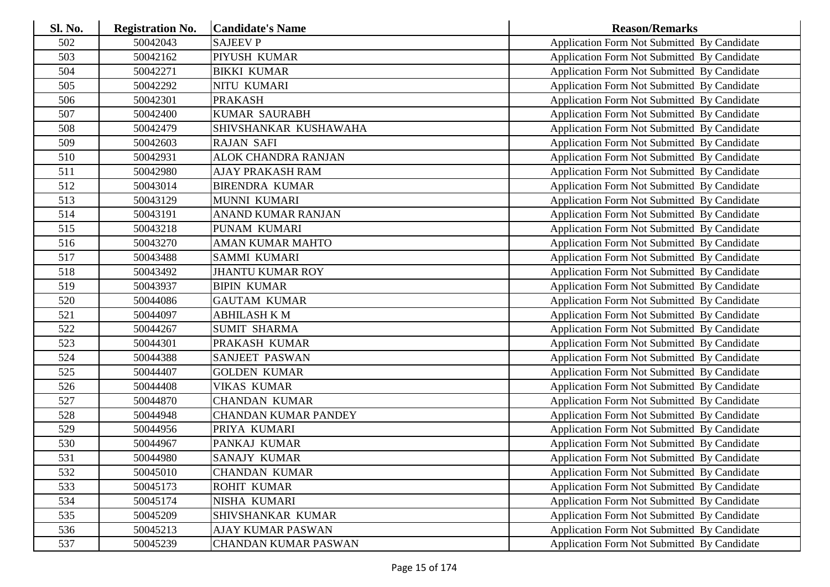| <b>Sl. No.</b> | <b>Registration No.</b> | <b>Candidate's Name</b>     | <b>Reason/Remarks</b>                              |
|----------------|-------------------------|-----------------------------|----------------------------------------------------|
| 502            | 50042043                | <b>SAJEEV P</b>             | Application Form Not Submitted By Candidate        |
| 503            | 50042162                | PIYUSH KUMAR                | <b>Application Form Not Submitted By Candidate</b> |
| 504            | 50042271                | <b>BIKKI KUMAR</b>          | Application Form Not Submitted By Candidate        |
| 505            | 50042292                | NITU KUMARI                 | Application Form Not Submitted By Candidate        |
| 506            | 50042301                | <b>PRAKASH</b>              | Application Form Not Submitted By Candidate        |
| 507            | 50042400                | <b>KUMAR SAURABH</b>        | Application Form Not Submitted By Candidate        |
| 508            | 50042479                | SHIVSHANKAR KUSHAWAHA       | Application Form Not Submitted By Candidate        |
| 509            | 50042603                | <b>RAJAN SAFI</b>           | Application Form Not Submitted By Candidate        |
| 510            | 50042931                | <b>ALOK CHANDRA RANJAN</b>  | Application Form Not Submitted By Candidate        |
| 511            | 50042980                | <b>AJAY PRAKASH RAM</b>     | Application Form Not Submitted By Candidate        |
| 512            | 50043014                | <b>BIRENDRA KUMAR</b>       | Application Form Not Submitted By Candidate        |
| 513            | 50043129                | MUNNI KUMARI                | Application Form Not Submitted By Candidate        |
| 514            | 50043191                | ANAND KUMAR RANJAN          | Application Form Not Submitted By Candidate        |
| 515            | 50043218                | PUNAM KUMARI                | Application Form Not Submitted By Candidate        |
| 516            | 50043270                | <b>AMAN KUMAR MAHTO</b>     | Application Form Not Submitted By Candidate        |
| 517            | 50043488                | <b>SAMMI KUMARI</b>         | Application Form Not Submitted By Candidate        |
| 518            | 50043492                | <b>JHANTU KUMAR ROY</b>     | <b>Application Form Not Submitted By Candidate</b> |
| 519            | 50043937                | <b>BIPIN KUMAR</b>          | Application Form Not Submitted By Candidate        |
| 520            | 50044086                | <b>GAUTAM KUMAR</b>         | Application Form Not Submitted By Candidate        |
| 521            | 50044097                | <b>ABHILASH KM</b>          | Application Form Not Submitted By Candidate        |
| 522            | 50044267                | <b>SUMIT SHARMA</b>         | Application Form Not Submitted By Candidate        |
| 523            | 50044301                | PRAKASH KUMAR               | Application Form Not Submitted By Candidate        |
| 524            | 50044388                | <b>SANJEET PASWAN</b>       | Application Form Not Submitted By Candidate        |
| 525            | 50044407                | <b>GOLDEN KUMAR</b>         | Application Form Not Submitted By Candidate        |
| 526            | 50044408                | <b>VIKAS KUMAR</b>          | Application Form Not Submitted By Candidate        |
| 527            | 50044870                | <b>CHANDAN KUMAR</b>        | Application Form Not Submitted By Candidate        |
| 528            | 50044948                | <b>CHANDAN KUMAR PANDEY</b> | Application Form Not Submitted By Candidate        |
| 529            | 50044956                | PRIYA KUMARI                | Application Form Not Submitted By Candidate        |
| 530            | 50044967                | PANKAJ KUMAR                | Application Form Not Submitted By Candidate        |
| 531            | 50044980                | <b>SANAJY KUMAR</b>         | Application Form Not Submitted By Candidate        |
| 532            | 50045010                | <b>CHANDAN KUMAR</b>        | Application Form Not Submitted By Candidate        |
| 533            | 50045173                | <b>ROHIT KUMAR</b>          | Application Form Not Submitted By Candidate        |
| 534            | 50045174                | NISHA KUMARI                | Application Form Not Submitted By Candidate        |
| 535            | 50045209                | SHIVSHANKAR KUMAR           | Application Form Not Submitted By Candidate        |
| 536            | 50045213                | <b>AJAY KUMAR PASWAN</b>    | <b>Application Form Not Submitted By Candidate</b> |
| 537            | 50045239                | <b>CHANDAN KUMAR PASWAN</b> | <b>Application Form Not Submitted By Candidate</b> |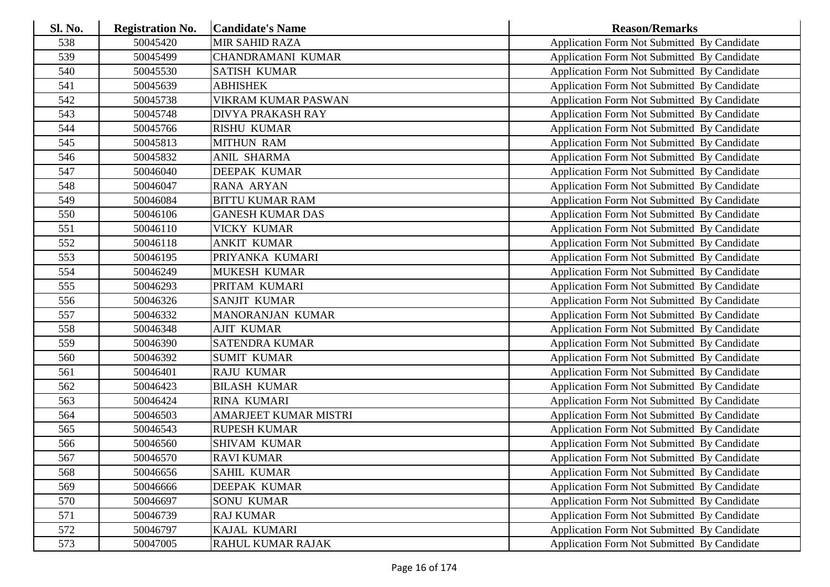| <b>Sl. No.</b> | <b>Registration No.</b> | <b>Candidate's Name</b>      | <b>Reason/Remarks</b>                              |
|----------------|-------------------------|------------------------------|----------------------------------------------------|
| 538            | 50045420                | <b>MIR SAHID RAZA</b>        | Application Form Not Submitted By Candidate        |
| 539            | 50045499                | <b>CHANDRAMANI KUMAR</b>     | Application Form Not Submitted By Candidate        |
| 540            | 50045530                | <b>SATISH KUMAR</b>          | Application Form Not Submitted By Candidate        |
| 541            | 50045639                | <b>ABHISHEK</b>              | Application Form Not Submitted By Candidate        |
| 542            | 50045738                | VIKRAM KUMAR PASWAN          | Application Form Not Submitted By Candidate        |
| 543            | 50045748                | <b>DIVYA PRAKASH RAY</b>     | Application Form Not Submitted By Candidate        |
| 544            | 50045766                | <b>RISHU KUMAR</b>           | Application Form Not Submitted By Candidate        |
| 545            | 50045813                | <b>MITHUN RAM</b>            | Application Form Not Submitted By Candidate        |
| 546            | 50045832                | <b>ANIL SHARMA</b>           | Application Form Not Submitted By Candidate        |
| 547            | 50046040                | <b>DEEPAK KUMAR</b>          | Application Form Not Submitted By Candidate        |
| 548            | 50046047                | RANA ARYAN                   | Application Form Not Submitted By Candidate        |
| 549            | 50046084                | <b>BITTU KUMAR RAM</b>       | Application Form Not Submitted By Candidate        |
| 550            | 50046106                | <b>GANESH KUMAR DAS</b>      | Application Form Not Submitted By Candidate        |
| 551            | 50046110                | <b>VICKY KUMAR</b>           | <b>Application Form Not Submitted By Candidate</b> |
| 552            | 50046118                | <b>ANKIT KUMAR</b>           | Application Form Not Submitted By Candidate        |
| 553            | 50046195                | PRIYANKA KUMARI              | Application Form Not Submitted By Candidate        |
| 554            | 50046249                | MUKESH KUMAR                 | Application Form Not Submitted By Candidate        |
| 555            | 50046293                | PRITAM KUMARI                | Application Form Not Submitted By Candidate        |
| 556            | 50046326                | <b>SANJIT KUMAR</b>          | Application Form Not Submitted By Candidate        |
| 557            | 50046332                | MANORANJAN KUMAR             | Application Form Not Submitted By Candidate        |
| 558            | 50046348                | <b>AJIT KUMAR</b>            | <b>Application Form Not Submitted By Candidate</b> |
| 559            | 50046390                | <b>SATENDRA KUMAR</b>        | Application Form Not Submitted By Candidate        |
| 560            | 50046392                | <b>SUMIT KUMAR</b>           | Application Form Not Submitted By Candidate        |
| 561            | 50046401                | <b>RAJU KUMAR</b>            | Application Form Not Submitted By Candidate        |
| 562            | 50046423                | <b>BILASH KUMAR</b>          | Application Form Not Submitted By Candidate        |
| 563            | 50046424                | <b>RINA KUMARI</b>           | Application Form Not Submitted By Candidate        |
| 564            | 50046503                | <b>AMARJEET KUMAR MISTRI</b> | Application Form Not Submitted By Candidate        |
| 565            | 50046543                | <b>RUPESH KUMAR</b>          | Application Form Not Submitted By Candidate        |
| 566            | 50046560                | <b>SHIVAM KUMAR</b>          | Application Form Not Submitted By Candidate        |
| 567            | 50046570                | <b>RAVI KUMAR</b>            | Application Form Not Submitted By Candidate        |
| 568            | 50046656                | <b>SAHIL KUMAR</b>           | Application Form Not Submitted By Candidate        |
| 569            | 50046666                | <b>DEEPAK KUMAR</b>          | <b>Application Form Not Submitted By Candidate</b> |
| 570            | 50046697                | <b>SONU KUMAR</b>            | Application Form Not Submitted By Candidate        |
| 571            | 50046739                | <b>RAJ KUMAR</b>             | Application Form Not Submitted By Candidate        |
| 572            | 50046797                | KAJAL KUMARI                 | Application Form Not Submitted By Candidate        |
| 573            | 50047005                | RAHUL KUMAR RAJAK            | Application Form Not Submitted By Candidate        |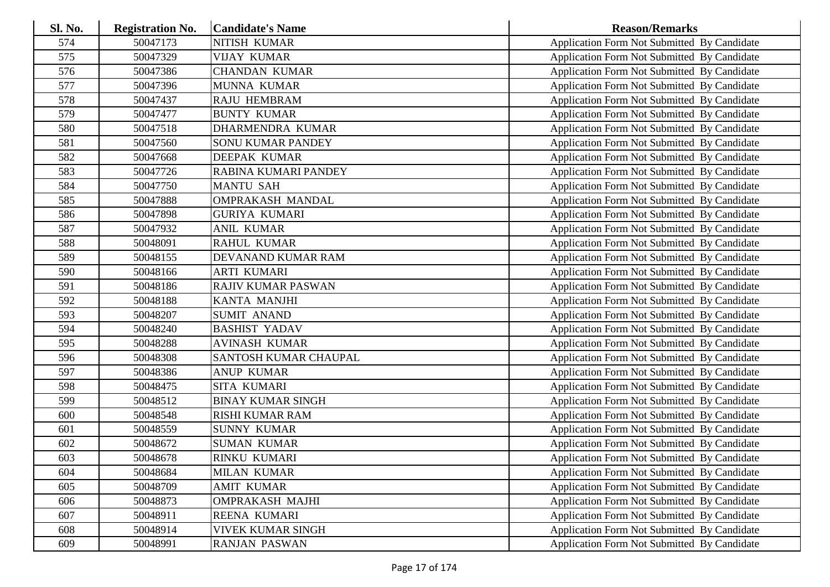| Sl. No. | <b>Registration No.</b> | <b>Candidate's Name</b>      | <b>Reason/Remarks</b>                              |
|---------|-------------------------|------------------------------|----------------------------------------------------|
| 574     | 50047173                | NITISH KUMAR                 | Application Form Not Submitted By Candidate        |
| 575     | 50047329                | <b>VIJAY KUMAR</b>           | Application Form Not Submitted By Candidate        |
| 576     | 50047386                | <b>CHANDAN KUMAR</b>         | Application Form Not Submitted By Candidate        |
| 577     | 50047396                | MUNNA KUMAR                  | Application Form Not Submitted By Candidate        |
| 578     | 50047437                | <b>RAJU HEMBRAM</b>          | Application Form Not Submitted By Candidate        |
| 579     | 50047477                | <b>BUNTY KUMAR</b>           | Application Form Not Submitted By Candidate        |
| 580     | 50047518                | DHARMENDRA KUMAR             | Application Form Not Submitted By Candidate        |
| 581     | 50047560                | <b>SONU KUMAR PANDEY</b>     | Application Form Not Submitted By Candidate        |
| 582     | 50047668                | <b>DEEPAK KUMAR</b>          | Application Form Not Submitted By Candidate        |
| 583     | 50047726                | RABINA KUMARI PANDEY         | Application Form Not Submitted By Candidate        |
| 584     | 50047750                | <b>MANTU SAH</b>             | Application Form Not Submitted By Candidate        |
| 585     | 50047888                | <b>OMPRAKASH MANDAL</b>      | Application Form Not Submitted By Candidate        |
| 586     | 50047898                | <b>GURIYA KUMARI</b>         | Application Form Not Submitted By Candidate        |
| 587     | 50047932                | <b>ANIL KUMAR</b>            | Application Form Not Submitted By Candidate        |
| 588     | 50048091                | <b>RAHUL KUMAR</b>           | Application Form Not Submitted By Candidate        |
| 589     | 50048155                | DEVANAND KUMAR RAM           | Application Form Not Submitted By Candidate        |
| 590     | 50048166                | <b>ARTI KUMARI</b>           | Application Form Not Submitted By Candidate        |
| 591     | 50048186                | <b>RAJIV KUMAR PASWAN</b>    | Application Form Not Submitted By Candidate        |
| 592     | 50048188                | <b>KANTA MANJHI</b>          | Application Form Not Submitted By Candidate        |
| 593     | 50048207                | <b>SUMIT ANAND</b>           | Application Form Not Submitted By Candidate        |
| 594     | 50048240                | <b>BASHIST YADAV</b>         | Application Form Not Submitted By Candidate        |
| 595     | 50048288                | <b>AVINASH KUMAR</b>         | Application Form Not Submitted By Candidate        |
| 596     | 50048308                | <b>SANTOSH KUMAR CHAUPAL</b> | Application Form Not Submitted By Candidate        |
| 597     | 50048386                | <b>ANUP KUMAR</b>            | Application Form Not Submitted By Candidate        |
| 598     | 50048475                | <b>SITA KUMARI</b>           | Application Form Not Submitted By Candidate        |
| 599     | 50048512                | <b>BINAY KUMAR SINGH</b>     | Application Form Not Submitted By Candidate        |
| 600     | 50048548                | <b>RISHI KUMAR RAM</b>       | Application Form Not Submitted By Candidate        |
| 601     | 50048559                | <b>SUNNY KUMAR</b>           | Application Form Not Submitted By Candidate        |
| 602     | 50048672                | <b>SUMAN KUMAR</b>           | Application Form Not Submitted By Candidate        |
| 603     | 50048678                | <b>RINKU KUMARI</b>          | Application Form Not Submitted By Candidate        |
| 604     | 50048684                | <b>MILAN KUMAR</b>           | Application Form Not Submitted By Candidate        |
| 605     | 50048709                | <b>AMIT KUMAR</b>            | <b>Application Form Not Submitted By Candidate</b> |
| 606     | 50048873                | <b>OMPRAKASH MAJHI</b>       | Application Form Not Submitted By Candidate        |
| 607     | 50048911                | REENA KUMARI                 | Application Form Not Submitted By Candidate        |
| 608     | 50048914                | <b>VIVEK KUMAR SINGH</b>     | <b>Application Form Not Submitted By Candidate</b> |
| 609     | 50048991                | <b>RANJAN PASWAN</b>         | Application Form Not Submitted By Candidate        |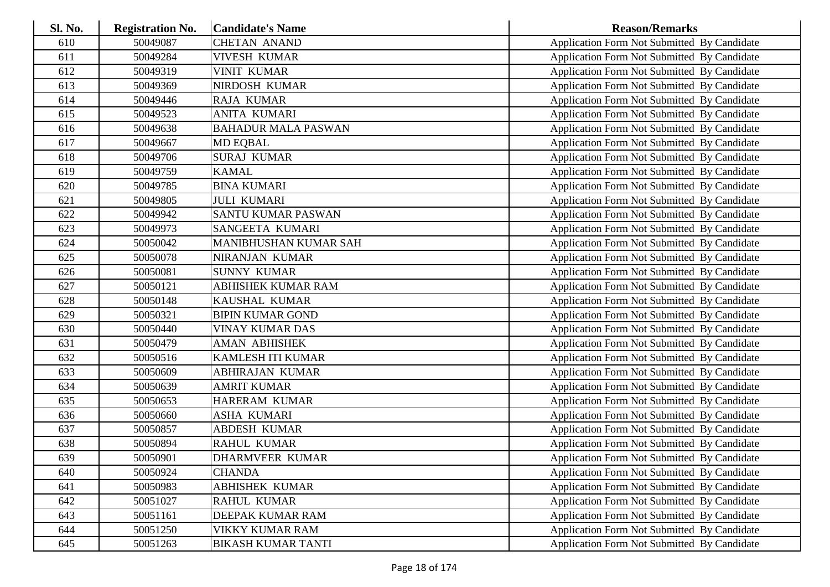| <b>Sl. No.</b> | <b>Registration No.</b> | <b>Candidate's Name</b>    | <b>Reason/Remarks</b>                       |
|----------------|-------------------------|----------------------------|---------------------------------------------|
| 610            | 50049087                | <b>CHETAN ANAND</b>        | Application Form Not Submitted By Candidate |
| 611            | 50049284                | <b>VIVESH KUMAR</b>        | Application Form Not Submitted By Candidate |
| 612            | 50049319                | <b>VINIT KUMAR</b>         | Application Form Not Submitted By Candidate |
| 613            | 50049369                | NIRDOSH KUMAR              | Application Form Not Submitted By Candidate |
| 614            | 50049446                | RAJA KUMAR                 | Application Form Not Submitted By Candidate |
| 615            | 50049523                | <b>ANITA KUMARI</b>        | Application Form Not Submitted By Candidate |
| 616            | 50049638                | <b>BAHADUR MALA PASWAN</b> | Application Form Not Submitted By Candidate |
| 617            | 50049667                | <b>MD EQBAL</b>            | Application Form Not Submitted By Candidate |
| 618            | 50049706                | <b>SURAJ KUMAR</b>         | Application Form Not Submitted By Candidate |
| 619            | 50049759                | <b>KAMAL</b>               | Application Form Not Submitted By Candidate |
| 620            | 50049785                | <b>BINA KUMARI</b>         | Application Form Not Submitted By Candidate |
| 621            | 50049805                | <b>JULI KUMARI</b>         | Application Form Not Submitted By Candidate |
| 622            | 50049942                | <b>SANTU KUMAR PASWAN</b>  | Application Form Not Submitted By Candidate |
| 623            | 50049973                | SANGEETA KUMARI            | Application Form Not Submitted By Candidate |
| 624            | 50050042                | MANIBHUSHAN KUMAR SAH      | Application Form Not Submitted By Candidate |
| 625            | 50050078                | <b>NIRANJAN KUMAR</b>      | Application Form Not Submitted By Candidate |
| 626            | 50050081                | <b>SUNNY KUMAR</b>         | Application Form Not Submitted By Candidate |
| 627            | 50050121                | <b>ABHISHEK KUMAR RAM</b>  | Application Form Not Submitted By Candidate |
| 628            | 50050148                | KAUSHAL KUMAR              | Application Form Not Submitted By Candidate |
| 629            | 50050321                | <b>BIPIN KUMAR GOND</b>    | Application Form Not Submitted By Candidate |
| 630            | 50050440                | <b>VINAY KUMAR DAS</b>     | Application Form Not Submitted By Candidate |
| 631            | 50050479                | <b>AMAN ABHISHEK</b>       | Application Form Not Submitted By Candidate |
| 632            | 50050516                | <b>KAMLESH ITI KUMAR</b>   | Application Form Not Submitted By Candidate |
| 633            | 50050609                | ABHIRAJAN KUMAR            | Application Form Not Submitted By Candidate |
| 634            | 50050639                | <b>AMRIT KUMAR</b>         | Application Form Not Submitted By Candidate |
| 635            | 50050653                | <b>HARERAM KUMAR</b>       | Application Form Not Submitted By Candidate |
| 636            | 50050660                | <b>ASHA KUMARI</b>         | Application Form Not Submitted By Candidate |
| 637            | 50050857                | <b>ABDESH KUMAR</b>        | Application Form Not Submitted By Candidate |
| 638            | 50050894                | <b>RAHUL KUMAR</b>         | Application Form Not Submitted By Candidate |
| 639            | 50050901                | <b>DHARMVEER KUMAR</b>     | Application Form Not Submitted By Candidate |
| 640            | 50050924                | <b>CHANDA</b>              | Application Form Not Submitted By Candidate |
| 641            | 50050983                | <b>ABHISHEK KUMAR</b>      | Application Form Not Submitted By Candidate |
| 642            | 50051027                | <b>RAHUL KUMAR</b>         | Application Form Not Submitted By Candidate |
| 643            | 50051161                | DEEPAK KUMAR RAM           | Application Form Not Submitted By Candidate |
| 644            | 50051250                | <b>VIKKY KUMAR RAM</b>     | Application Form Not Submitted By Candidate |
| 645            | 50051263                | <b>BIKASH KUMAR TANTI</b>  | Application Form Not Submitted By Candidate |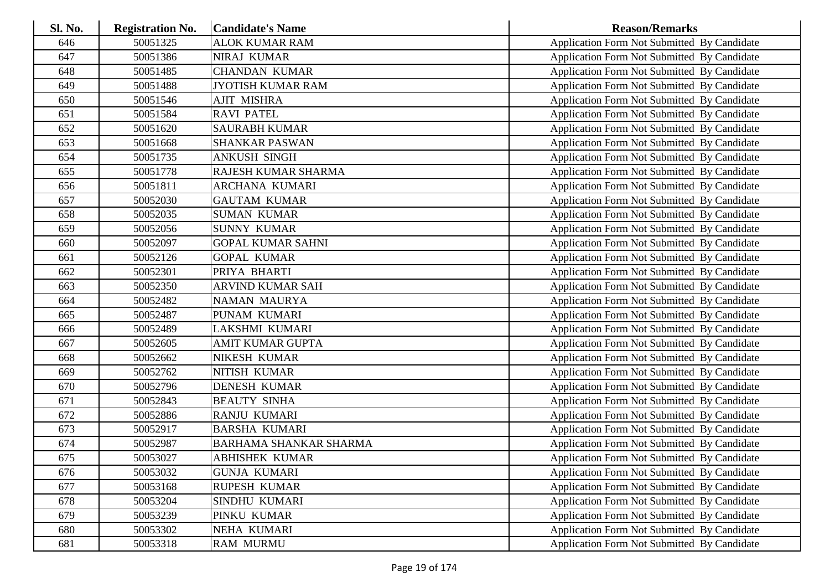| Sl. No. | <b>Registration No.</b> | <b>Candidate's Name</b>       | <b>Reason/Remarks</b>                       |
|---------|-------------------------|-------------------------------|---------------------------------------------|
| 646     | 50051325                | <b>ALOK KUMAR RAM</b>         | Application Form Not Submitted By Candidate |
| 647     | 50051386                | NIRAJ KUMAR                   | Application Form Not Submitted By Candidate |
| 648     | 50051485                | <b>CHANDAN KUMAR</b>          | Application Form Not Submitted By Candidate |
| 649     | 50051488                | JYOTISH KUMAR RAM             | Application Form Not Submitted By Candidate |
| 650     | 50051546                | AJIT MISHRA                   | Application Form Not Submitted By Candidate |
| 651     | 50051584                | <b>RAVI PATEL</b>             | Application Form Not Submitted By Candidate |
| 652     | 50051620                | <b>SAURABH KUMAR</b>          | Application Form Not Submitted By Candidate |
| 653     | 50051668                | <b>SHANKAR PASWAN</b>         | Application Form Not Submitted By Candidate |
| 654     | 50051735                | <b>ANKUSH SINGH</b>           | Application Form Not Submitted By Candidate |
| 655     | 50051778                | RAJESH KUMAR SHARMA           | Application Form Not Submitted By Candidate |
| 656     | 50051811                | ARCHANA KUMARI                | Application Form Not Submitted By Candidate |
| 657     | 50052030                | <b>GAUTAM KUMAR</b>           | Application Form Not Submitted By Candidate |
| 658     | 50052035                | <b>SUMAN KUMAR</b>            | Application Form Not Submitted By Candidate |
| 659     | 50052056                | <b>SUNNY KUMAR</b>            | Application Form Not Submitted By Candidate |
| 660     | 50052097                | <b>GOPAL KUMAR SAHNI</b>      | Application Form Not Submitted By Candidate |
| 661     | 50052126                | <b>GOPAL KUMAR</b>            | Application Form Not Submitted By Candidate |
| 662     | 50052301                | PRIYA BHARTI                  | Application Form Not Submitted By Candidate |
| 663     | 50052350                | ARVIND KUMAR SAH              | Application Form Not Submitted By Candidate |
| 664     | 50052482                | NAMAN MAURYA                  | Application Form Not Submitted By Candidate |
| 665     | 50052487                | PUNAM KUMARI                  | Application Form Not Submitted By Candidate |
| 666     | 50052489                | <b>LAKSHMI KUMARI</b>         | Application Form Not Submitted By Candidate |
| 667     | 50052605                | AMIT KUMAR GUPTA              | Application Form Not Submitted By Candidate |
| 668     | 50052662                | <b>NIKESH KUMAR</b>           | Application Form Not Submitted By Candidate |
| 669     | 50052762                | NITISH KUMAR                  | Application Form Not Submitted By Candidate |
| 670     | 50052796                | <b>DENESH KUMAR</b>           | Application Form Not Submitted By Candidate |
| 671     | 50052843                | <b>BEAUTY SINHA</b>           | Application Form Not Submitted By Candidate |
| 672     | 50052886                | <b>RANJU KUMARI</b>           | Application Form Not Submitted By Candidate |
| 673     | 50052917                | <b>BARSHA KUMARI</b>          | Application Form Not Submitted By Candidate |
| 674     | 50052987                | <b>BARHAMA SHANKAR SHARMA</b> | Application Form Not Submitted By Candidate |
| 675     | 50053027                | ABHISHEK KUMAR                | Application Form Not Submitted By Candidate |
| 676     | 50053032                | <b>GUNJA KUMARI</b>           | Application Form Not Submitted By Candidate |
| 677     | 50053168                | <b>RUPESH KUMAR</b>           | Application Form Not Submitted By Candidate |
| 678     | 50053204                | SINDHU KUMARI                 | Application Form Not Submitted By Candidate |
| 679     | 50053239                | PINKU KUMAR                   | Application Form Not Submitted By Candidate |
| 680     | 50053302                | NEHA KUMARI                   | Application Form Not Submitted By Candidate |
| 681     | 50053318                | <b>RAM MURMU</b>              | Application Form Not Submitted By Candidate |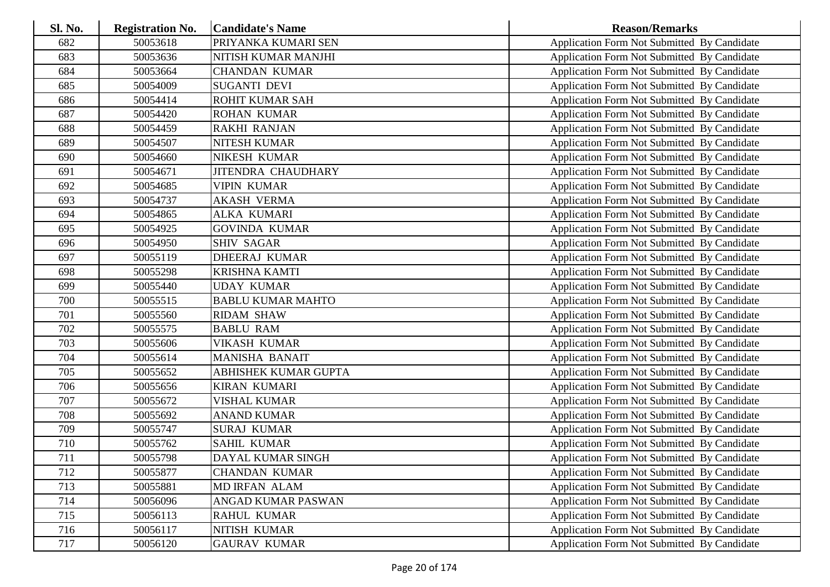| <b>Sl. No.</b> | <b>Registration No.</b> | <b>Candidate's Name</b>   | <b>Reason/Remarks</b>                              |
|----------------|-------------------------|---------------------------|----------------------------------------------------|
| 682            | 50053618                | PRIYANKA KUMARI SEN       | Application Form Not Submitted By Candidate        |
| 683            | 50053636                | NITISH KUMAR MANJHI       | <b>Application Form Not Submitted By Candidate</b> |
| 684            | 50053664                | <b>CHANDAN KUMAR</b>      | Application Form Not Submitted By Candidate        |
| 685            | 50054009                | <b>SUGANTI DEVI</b>       | Application Form Not Submitted By Candidate        |
| 686            | 50054414                | ROHIT KUMAR SAH           | Application Form Not Submitted By Candidate        |
| 687            | 50054420                | <b>ROHAN KUMAR</b>        | Application Form Not Submitted By Candidate        |
| 688            | 50054459                | <b>RAKHI RANJAN</b>       | Application Form Not Submitted By Candidate        |
| 689            | 50054507                | <b>NITESH KUMAR</b>       | Application Form Not Submitted By Candidate        |
| 690            | 50054660                | <b>NIKESH KUMAR</b>       | Application Form Not Submitted By Candidate        |
| 691            | 50054671                | <b>JITENDRA CHAUDHARY</b> | Application Form Not Submitted By Candidate        |
| 692            | 50054685                | <b>VIPIN KUMAR</b>        | Application Form Not Submitted By Candidate        |
| 693            | 50054737                | <b>AKASH VERMA</b>        | Application Form Not Submitted By Candidate        |
| 694            | 50054865                | <b>ALKA KUMARI</b>        | Application Form Not Submitted By Candidate        |
| 695            | 50054925                | <b>GOVINDA KUMAR</b>      | Application Form Not Submitted By Candidate        |
| 696            | 50054950                | <b>SHIV SAGAR</b>         | Application Form Not Submitted By Candidate        |
| 697            | 50055119                | <b>DHEERAJ KUMAR</b>      | Application Form Not Submitted By Candidate        |
| 698            | 50055298                | <b>KRISHNA KAMTI</b>      | <b>Application Form Not Submitted By Candidate</b> |
| 699            | 50055440                | <b>UDAY KUMAR</b>         | Application Form Not Submitted By Candidate        |
| 700            | 50055515                | <b>BABLU KUMAR MAHTO</b>  | Application Form Not Submitted By Candidate        |
| 701            | 50055560                | <b>RIDAM SHAW</b>         | Application Form Not Submitted By Candidate        |
| 702            | 50055575                | <b>BABLU RAM</b>          | Application Form Not Submitted By Candidate        |
| 703            | 50055606                | <b>VIKASH KUMAR</b>       | Application Form Not Submitted By Candidate        |
| 704            | 50055614                | <b>MANISHA BANAIT</b>     | Application Form Not Submitted By Candidate        |
| 705            | 50055652                | ABHISHEK KUMAR GUPTA      | Application Form Not Submitted By Candidate        |
| 706            | 50055656                | <b>KIRAN KUMARI</b>       | Application Form Not Submitted By Candidate        |
| 707            | 50055672                | <b>VISHAL KUMAR</b>       | Application Form Not Submitted By Candidate        |
| 708            | 50055692                | <b>ANAND KUMAR</b>        | Application Form Not Submitted By Candidate        |
| 709            | 50055747                | <b>SURAJ KUMAR</b>        | Application Form Not Submitted By Candidate        |
| 710            | 50055762                | <b>SAHIL KUMAR</b>        | Application Form Not Submitted By Candidate        |
| 711            | 50055798                | DAYAL KUMAR SINGH         | Application Form Not Submitted By Candidate        |
| 712            | 50055877                | <b>CHANDAN KUMAR</b>      | Application Form Not Submitted By Candidate        |
| 713            | 50055881                | <b>MD IRFAN ALAM</b>      | Application Form Not Submitted By Candidate        |
| 714            | 50056096                | ANGAD KUMAR PASWAN        | Application Form Not Submitted By Candidate        |
| 715            | 50056113                | <b>RAHUL KUMAR</b>        | Application Form Not Submitted By Candidate        |
| 716            | 50056117                | NITISH KUMAR              | <b>Application Form Not Submitted By Candidate</b> |
| 717            | 50056120                | <b>GAURAV KUMAR</b>       | Application Form Not Submitted By Candidate        |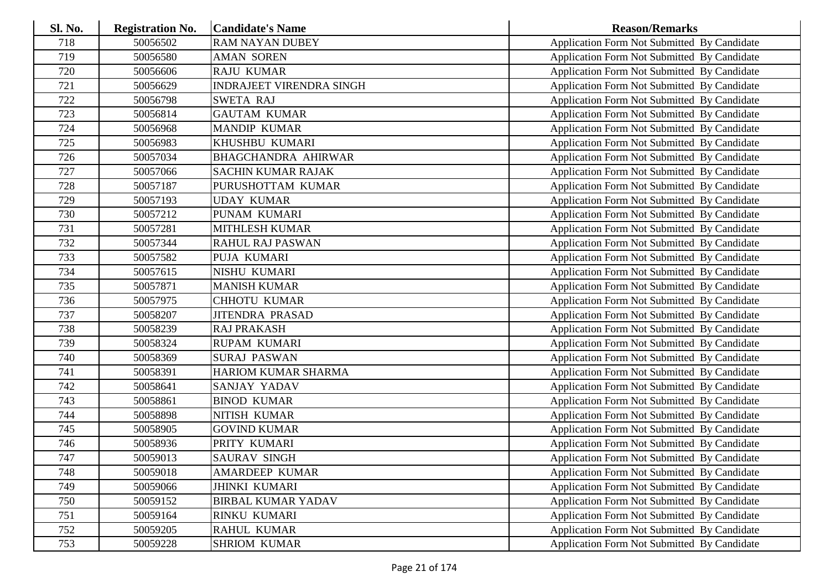| Sl. No. | <b>Registration No.</b> | <b>Candidate's Name</b>         | <b>Reason/Remarks</b>                       |
|---------|-------------------------|---------------------------------|---------------------------------------------|
| 718     | 50056502                | <b>RAM NAYAN DUBEY</b>          | Application Form Not Submitted By Candidate |
| 719     | 50056580                | <b>AMAN SOREN</b>               | Application Form Not Submitted By Candidate |
| 720     | 50056606                | <b>RAJU KUMAR</b>               | Application Form Not Submitted By Candidate |
| 721     | 50056629                | <b>INDRAJEET VIRENDRA SINGH</b> | Application Form Not Submitted By Candidate |
| 722     | 50056798                | <b>SWETA RAJ</b>                | Application Form Not Submitted By Candidate |
| 723     | 50056814                | <b>GAUTAM KUMAR</b>             | Application Form Not Submitted By Candidate |
| 724     | 50056968                | <b>MANDIP KUMAR</b>             | Application Form Not Submitted By Candidate |
| 725     | 50056983                | KHUSHBU KUMARI                  | Application Form Not Submitted By Candidate |
| 726     | 50057034                | <b>BHAGCHANDRA AHIRWAR</b>      | Application Form Not Submitted By Candidate |
| 727     | 50057066                | <b>SACHIN KUMAR RAJAK</b>       | Application Form Not Submitted By Candidate |
| 728     | 50057187                | PURUSHOTTAM KUMAR               | Application Form Not Submitted By Candidate |
| 729     | 50057193                | <b>UDAY KUMAR</b>               | Application Form Not Submitted By Candidate |
| 730     | 50057212                | PUNAM KUMARI                    | Application Form Not Submitted By Candidate |
| 731     | 50057281                | <b>MITHLESH KUMAR</b>           | Application Form Not Submitted By Candidate |
| 732     | 50057344                | <b>RAHUL RAJ PASWAN</b>         | Application Form Not Submitted By Candidate |
| 733     | 50057582                | PUJA KUMARI                     | Application Form Not Submitted By Candidate |
| 734     | 50057615                | NISHU KUMARI                    | Application Form Not Submitted By Candidate |
| 735     | 50057871                | <b>MANISH KUMAR</b>             | Application Form Not Submitted By Candidate |
| 736     | 50057975                | <b>CHHOTU KUMAR</b>             | Application Form Not Submitted By Candidate |
| 737     | 50058207                | <b>JITENDRA PRASAD</b>          | Application Form Not Submitted By Candidate |
| 738     | 50058239                | <b>RAJ PRAKASH</b>              | Application Form Not Submitted By Candidate |
| 739     | 50058324                | <b>RUPAM KUMARI</b>             | Application Form Not Submitted By Candidate |
| 740     | 50058369                | <b>SURAJ PASWAN</b>             | Application Form Not Submitted By Candidate |
| 741     | 50058391                | HARIOM KUMAR SHARMA             | Application Form Not Submitted By Candidate |
| 742     | 50058641                | <b>SANJAY YADAV</b>             | Application Form Not Submitted By Candidate |
| 743     | 50058861                | <b>BINOD KUMAR</b>              | Application Form Not Submitted By Candidate |
| 744     | 50058898                | NITISH KUMAR                    | Application Form Not Submitted By Candidate |
| 745     | 50058905                | <b>GOVIND KUMAR</b>             | Application Form Not Submitted By Candidate |
| 746     | 50058936                | PRITY KUMARI                    | Application Form Not Submitted By Candidate |
| 747     | 50059013                | <b>SAURAV SINGH</b>             | Application Form Not Submitted By Candidate |
| 748     | 50059018                | AMARDEEP KUMAR                  | Application Form Not Submitted By Candidate |
| 749     | 50059066                | <b>JHINKI KUMARI</b>            | Application Form Not Submitted By Candidate |
| 750     | 50059152                | <b>BIRBAL KUMAR YADAV</b>       | Application Form Not Submitted By Candidate |
| 751     | 50059164                | RINKU KUMARI                    | Application Form Not Submitted By Candidate |
| 752     | 50059205                | <b>RAHUL KUMAR</b>              | Application Form Not Submitted By Candidate |
| 753     | 50059228                | <b>SHRIOM KUMAR</b>             | Application Form Not Submitted By Candidate |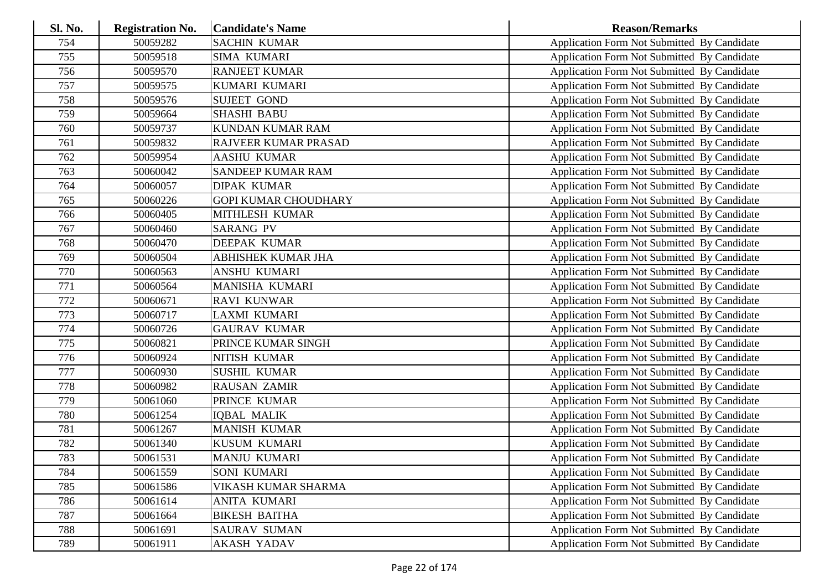| Sl. No. | <b>Registration No.</b> | <b>Candidate's Name</b>     | <b>Reason/Remarks</b>                       |
|---------|-------------------------|-----------------------------|---------------------------------------------|
| 754     | 50059282                | <b>SACHIN KUMAR</b>         | Application Form Not Submitted By Candidate |
| 755     | 50059518                | <b>SIMA KUMARI</b>          | Application Form Not Submitted By Candidate |
| 756     | 50059570                | <b>RANJEET KUMAR</b>        | Application Form Not Submitted By Candidate |
| 757     | 50059575                | KUMARI KUMARI               | Application Form Not Submitted By Candidate |
| 758     | 50059576                | <b>SUJEET GOND</b>          | Application Form Not Submitted By Candidate |
| 759     | 50059664                | <b>SHASHI BABU</b>          | Application Form Not Submitted By Candidate |
| 760     | 50059737                | <b>KUNDAN KUMAR RAM</b>     | Application Form Not Submitted By Candidate |
| 761     | 50059832                | RAJVEER KUMAR PRASAD        | Application Form Not Submitted By Candidate |
| 762     | 50059954                | <b>AASHU KUMAR</b>          | Application Form Not Submitted By Candidate |
| 763     | 50060042                | <b>SANDEEP KUMAR RAM</b>    | Application Form Not Submitted By Candidate |
| 764     | 50060057                | <b>DIPAK KUMAR</b>          | Application Form Not Submitted By Candidate |
| 765     | 50060226                | <b>GOPI KUMAR CHOUDHARY</b> | Application Form Not Submitted By Candidate |
| 766     | 50060405                | MITHLESH KUMAR              | Application Form Not Submitted By Candidate |
| 767     | 50060460                | <b>SARANG PV</b>            | Application Form Not Submitted By Candidate |
| 768     | 50060470                | <b>DEEPAK KUMAR</b>         | Application Form Not Submitted By Candidate |
| 769     | 50060504                | ABHISHEK KUMAR JHA          | Application Form Not Submitted By Candidate |
| 770     | 50060563                | ANSHU KUMARI                | Application Form Not Submitted By Candidate |
| 771     | 50060564                | MANISHA KUMARI              | Application Form Not Submitted By Candidate |
| 772     | 50060671                | <b>RAVI KUNWAR</b>          | Application Form Not Submitted By Candidate |
| 773     | 50060717                | <b>LAXMI KUMARI</b>         | Application Form Not Submitted By Candidate |
| 774     | 50060726                | <b>GAURAV KUMAR</b>         | Application Form Not Submitted By Candidate |
| 775     | 50060821                | PRINCE KUMAR SINGH          | Application Form Not Submitted By Candidate |
| 776     | 50060924                | NITISH KUMAR                | Application Form Not Submitted By Candidate |
| 777     | 50060930                | <b>SUSHIL KUMAR</b>         | Application Form Not Submitted By Candidate |
| 778     | 50060982                | <b>RAUSAN ZAMIR</b>         | Application Form Not Submitted By Candidate |
| 779     | 50061060                | PRINCE KUMAR                | Application Form Not Submitted By Candidate |
| 780     | 50061254                | <b>IQBAL MALIK</b>          | Application Form Not Submitted By Candidate |
| 781     | 50061267                | <b>MANISH KUMAR</b>         | Application Form Not Submitted By Candidate |
| 782     | 50061340                | <b>KUSUM KUMARI</b>         | Application Form Not Submitted By Candidate |
| 783     | 50061531                | <b>MANJU KUMARI</b>         | Application Form Not Submitted By Candidate |
| 784     | 50061559                | <b>SONI KUMARI</b>          | Application Form Not Submitted By Candidate |
| 785     | 50061586                | VIKASH KUMAR SHARMA         | Application Form Not Submitted By Candidate |
| 786     | 50061614                | ANITA KUMARI                | Application Form Not Submitted By Candidate |
| 787     | 50061664                | <b>BIKESH BAITHA</b>        | Application Form Not Submitted By Candidate |
| 788     | 50061691                | <b>SAURAV SUMAN</b>         | Application Form Not Submitted By Candidate |
| 789     | 50061911                | <b>AKASH YADAV</b>          | Application Form Not Submitted By Candidate |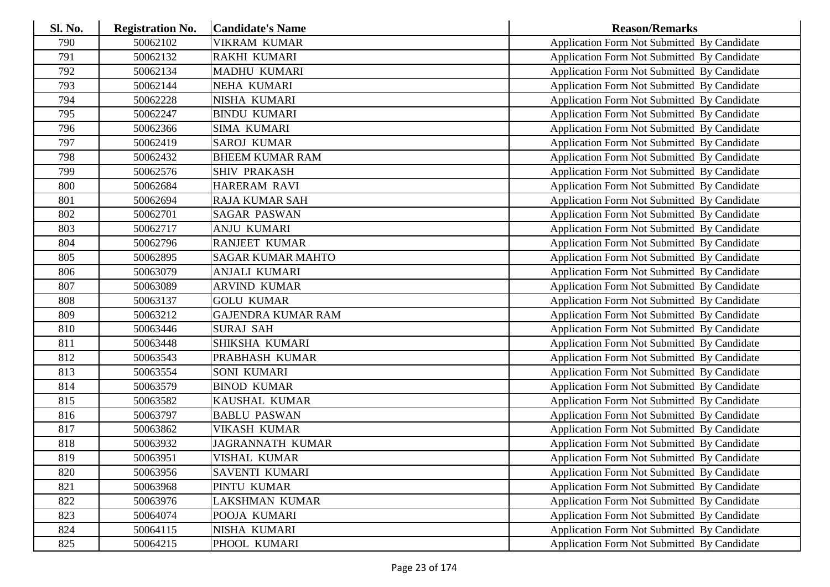| Sl. No. | <b>Registration No.</b> | <b>Candidate's Name</b>   | <b>Reason/Remarks</b>                              |
|---------|-------------------------|---------------------------|----------------------------------------------------|
| 790     | 50062102                | <b>VIKRAM KUMAR</b>       | Application Form Not Submitted By Candidate        |
| 791     | 50062132                | RAKHI KUMARI              | Application Form Not Submitted By Candidate        |
| 792     | 50062134                | <b>MADHU KUMARI</b>       | Application Form Not Submitted By Candidate        |
| 793     | 50062144                | NEHA KUMARI               | Application Form Not Submitted By Candidate        |
| 794     | 50062228                | NISHA KUMARI              | Application Form Not Submitted By Candidate        |
| 795     | 50062247                | <b>BINDU KUMARI</b>       | Application Form Not Submitted By Candidate        |
| 796     | 50062366                | SIMA KUMARI               | Application Form Not Submitted By Candidate        |
| 797     | 50062419                | <b>SAROJ KUMAR</b>        | Application Form Not Submitted By Candidate        |
| 798     | 50062432                | <b>BHEEM KUMAR RAM</b>    | Application Form Not Submitted By Candidate        |
| 799     | 50062576                | <b>SHIV PRAKASH</b>       | Application Form Not Submitted By Candidate        |
| 800     | 50062684                | HARERAM RAVI              | Application Form Not Submitted By Candidate        |
| 801     | 50062694                | <b>RAJA KUMAR SAH</b>     | Application Form Not Submitted By Candidate        |
| 802     | 50062701                | <b>SAGAR PASWAN</b>       | Application Form Not Submitted By Candidate        |
| 803     | 50062717                | <b>ANJU KUMARI</b>        | Application Form Not Submitted By Candidate        |
| 804     | 50062796                | <b>RANJEET KUMAR</b>      | Application Form Not Submitted By Candidate        |
| 805     | 50062895                | <b>SAGAR KUMAR MAHTO</b>  | <b>Application Form Not Submitted By Candidate</b> |
| 806     | 50063079                | <b>ANJALI KUMARI</b>      | <b>Application Form Not Submitted By Candidate</b> |
| 807     | 50063089                | <b>ARVIND KUMAR</b>       | Application Form Not Submitted By Candidate        |
| 808     | 50063137                | <b>GOLU KUMAR</b>         | Application Form Not Submitted By Candidate        |
| 809     | 50063212                | <b>GAJENDRA KUMAR RAM</b> | Application Form Not Submitted By Candidate        |
| 810     | 50063446                | <b>SURAJ SAH</b>          | Application Form Not Submitted By Candidate        |
| 811     | 50063448                | SHIKSHA KUMARI            | Application Form Not Submitted By Candidate        |
| 812     | 50063543                | PRABHASH KUMAR            | Application Form Not Submitted By Candidate        |
| 813     | 50063554                | <b>SONI KUMARI</b>        | Application Form Not Submitted By Candidate        |
| 814     | 50063579                | <b>BINOD KUMAR</b>        | Application Form Not Submitted By Candidate        |
| 815     | 50063582                | KAUSHAL KUMAR             | Application Form Not Submitted By Candidate        |
| 816     | 50063797                | <b>BABLU PASWAN</b>       | Application Form Not Submitted By Candidate        |
| 817     | 50063862                | <b>VIKASH KUMAR</b>       | Application Form Not Submitted By Candidate        |
| 818     | 50063932                | <b>JAGRANNATH KUMAR</b>   | Application Form Not Submitted By Candidate        |
| 819     | 50063951                | VISHAL KUMAR              | Application Form Not Submitted By Candidate        |
| 820     | 50063956                | SAVENTI KUMARI            | Application Form Not Submitted By Candidate        |
| 821     | 50063968                | PINTU KUMAR               | <b>Application Form Not Submitted By Candidate</b> |
| 822     | 50063976                | LAKSHMAN KUMAR            | <b>Application Form Not Submitted By Candidate</b> |
| 823     | 50064074                | POOJA KUMARI              | Application Form Not Submitted By Candidate        |
| 824     | 50064115                | NISHA KUMARI              | <b>Application Form Not Submitted By Candidate</b> |
| 825     | 50064215                | PHOOL KUMARI              | <b>Application Form Not Submitted By Candidate</b> |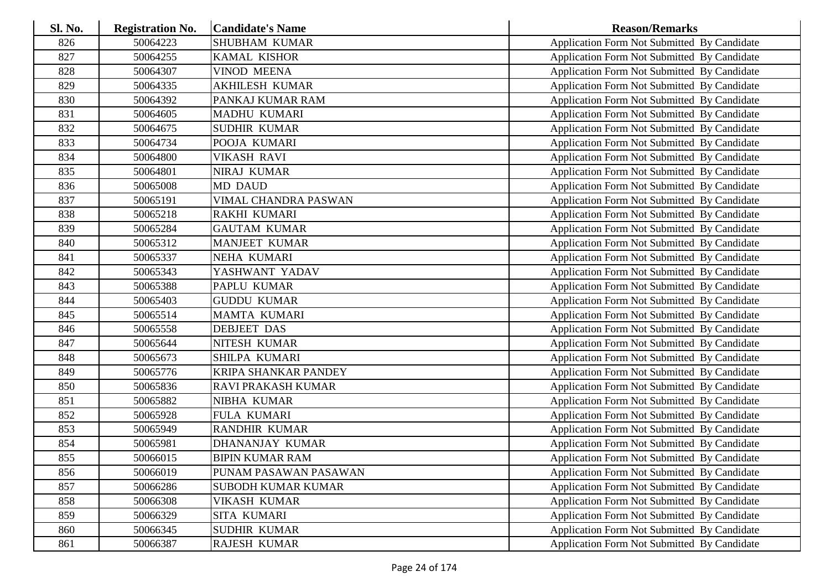| <b>Sl. No.</b> | <b>Registration No.</b> | <b>Candidate's Name</b>     | <b>Reason/Remarks</b>                              |
|----------------|-------------------------|-----------------------------|----------------------------------------------------|
| 826            | 50064223                | <b>SHUBHAM KUMAR</b>        | Application Form Not Submitted By Candidate        |
| 827            | 50064255                | <b>KAMAL KISHOR</b>         | Application Form Not Submitted By Candidate        |
| 828            | 50064307                | <b>VINOD MEENA</b>          | Application Form Not Submitted By Candidate        |
| 829            | 50064335                | <b>AKHILESH KUMAR</b>       | Application Form Not Submitted By Candidate        |
| 830            | 50064392                | PANKAJ KUMAR RAM            | Application Form Not Submitted By Candidate        |
| 831            | 50064605                | <b>MADHU KUMARI</b>         | Application Form Not Submitted By Candidate        |
| 832            | 50064675                | <b>SUDHIR KUMAR</b>         | Application Form Not Submitted By Candidate        |
| 833            | 50064734                | POOJA KUMARI                | Application Form Not Submitted By Candidate        |
| 834            | 50064800                | <b>VIKASH RAVI</b>          | Application Form Not Submitted By Candidate        |
| 835            | 50064801                | NIRAJ KUMAR                 | Application Form Not Submitted By Candidate        |
| 836            | 50065008                | <b>MD DAUD</b>              | Application Form Not Submitted By Candidate        |
| 837            | 50065191                | VIMAL CHANDRA PASWAN        | Application Form Not Submitted By Candidate        |
| 838            | 50065218                | <b>RAKHI KUMARI</b>         | Application Form Not Submitted By Candidate        |
| 839            | 50065284                | <b>GAUTAM KUMAR</b>         | Application Form Not Submitted By Candidate        |
| 840            | 50065312                | <b>MANJEET KUMAR</b>        | Application Form Not Submitted By Candidate        |
| 841            | 50065337                | NEHA KUMARI                 | Application Form Not Submitted By Candidate        |
| 842            | 50065343                | YASHWANT YADAV              | <b>Application Form Not Submitted By Candidate</b> |
| 843            | 50065388                | PAPLU KUMAR                 | Application Form Not Submitted By Candidate        |
| 844            | 50065403                | <b>GUDDU KUMAR</b>          | Application Form Not Submitted By Candidate        |
| 845            | 50065514                | <b>MAMTA KUMARI</b>         | Application Form Not Submitted By Candidate        |
| 846            | 50065558                | <b>DEBJEET DAS</b>          | Application Form Not Submitted By Candidate        |
| 847            | 50065644                | NITESH KUMAR                | Application Form Not Submitted By Candidate        |
| 848            | 50065673                | SHILPA KUMARI               | Application Form Not Submitted By Candidate        |
| 849            | 50065776                | <b>KRIPA SHANKAR PANDEY</b> | Application Form Not Submitted By Candidate        |
| 850            | 50065836                | RAVI PRAKASH KUMAR          | Application Form Not Submitted By Candidate        |
| 851            | 50065882                | NIBHA KUMAR                 | Application Form Not Submitted By Candidate        |
| 852            | 50065928                | FULA KUMARI                 | Application Form Not Submitted By Candidate        |
| 853            | 50065949                | <b>RANDHIR KUMAR</b>        | Application Form Not Submitted By Candidate        |
| 854            | 50065981                | <b>DHANANJAY KUMAR</b>      | Application Form Not Submitted By Candidate        |
| 855            | 50066015                | <b>BIPIN KUMAR RAM</b>      | Application Form Not Submitted By Candidate        |
| 856            | 50066019                | PUNAM PASAWAN PASAWAN       | Application Form Not Submitted By Candidate        |
| 857            | 50066286                | <b>SUBODH KUMAR KUMAR</b>   | Application Form Not Submitted By Candidate        |
| 858            | 50066308                | <b>VIKASH KUMAR</b>         | Application Form Not Submitted By Candidate        |
| 859            | 50066329                | <b>SITA KUMARI</b>          | Application Form Not Submitted By Candidate        |
| 860            | 50066345                | <b>SUDHIR KUMAR</b>         | <b>Application Form Not Submitted By Candidate</b> |
| 861            | 50066387                | <b>RAJESH KUMAR</b>         | Application Form Not Submitted By Candidate        |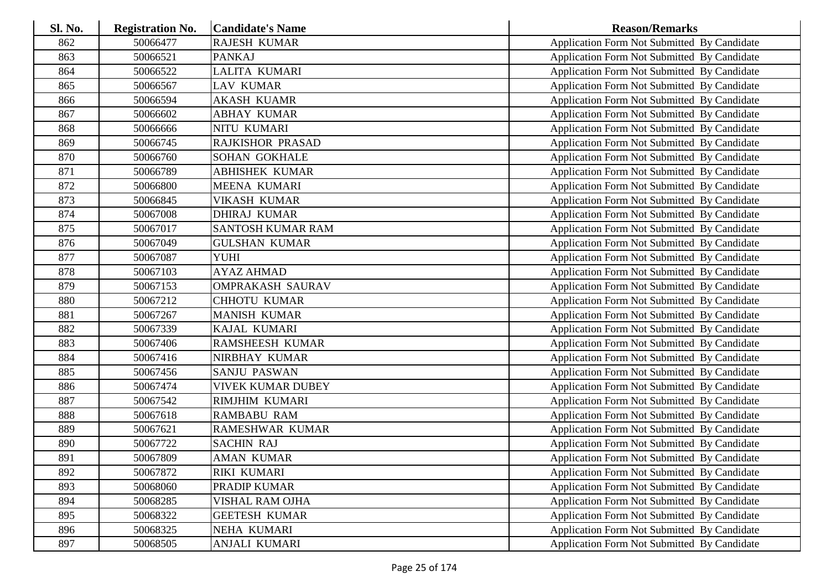| <b>Sl. No.</b> | <b>Registration No.</b> | <b>Candidate's Name</b>  | <b>Reason/Remarks</b>                              |
|----------------|-------------------------|--------------------------|----------------------------------------------------|
| 862            | 50066477                | <b>RAJESH KUMAR</b>      | Application Form Not Submitted By Candidate        |
| 863            | 50066521                | <b>PANKAJ</b>            | Application Form Not Submitted By Candidate        |
| 864            | 50066522                | <b>LALITA KUMARI</b>     | Application Form Not Submitted By Candidate        |
| 865            | 50066567                | <b>LAV KUMAR</b>         | Application Form Not Submitted By Candidate        |
| 866            | 50066594                | <b>AKASH KUAMR</b>       | Application Form Not Submitted By Candidate        |
| 867            | 50066602                | <b>ABHAY KUMAR</b>       | Application Form Not Submitted By Candidate        |
| 868            | 50066666                | NITU KUMARI              | Application Form Not Submitted By Candidate        |
| 869            | 50066745                | <b>RAJKISHOR PRASAD</b>  | Application Form Not Submitted By Candidate        |
| 870            | 50066760                | <b>SOHAN GOKHALE</b>     | Application Form Not Submitted By Candidate        |
| 871            | 50066789                | <b>ABHISHEK KUMAR</b>    | Application Form Not Submitted By Candidate        |
| 872            | 50066800                | <b>MEENA KUMARI</b>      | Application Form Not Submitted By Candidate        |
| 873            | 50066845                | <b>VIKASH KUMAR</b>      | Application Form Not Submitted By Candidate        |
| 874            | 50067008                | <b>DHIRAJ KUMAR</b>      | Application Form Not Submitted By Candidate        |
| 875            | 50067017                | <b>SANTOSH KUMAR RAM</b> | Application Form Not Submitted By Candidate        |
| 876            | 50067049                | <b>GULSHAN KUMAR</b>     | Application Form Not Submitted By Candidate        |
| 877            | 50067087                | <b>YUHI</b>              | Application Form Not Submitted By Candidate        |
| 878            | 50067103                | <b>AYAZ AHMAD</b>        | Application Form Not Submitted By Candidate        |
| 879            | 50067153                | <b>OMPRAKASH SAURAV</b>  | Application Form Not Submitted By Candidate        |
| 880            | 50067212                | <b>CHHOTU KUMAR</b>      | Application Form Not Submitted By Candidate        |
| 881            | 50067267                | <b>MANISH KUMAR</b>      | Application Form Not Submitted By Candidate        |
| 882            | 50067339                | <b>KAJAL KUMARI</b>      | <b>Application Form Not Submitted By Candidate</b> |
| 883            | 50067406                | <b>RAMSHEESH KUMAR</b>   | Application Form Not Submitted By Candidate        |
| 884            | 50067416                | NIRBHAY KUMAR            | Application Form Not Submitted By Candidate        |
| 885            | 50067456                | <b>SANJU PASWAN</b>      | Application Form Not Submitted By Candidate        |
| 886            | 50067474                | <b>VIVEK KUMAR DUBEY</b> | Application Form Not Submitted By Candidate        |
| 887            | 50067542                | <b>RIMJHIM KUMARI</b>    | Application Form Not Submitted By Candidate        |
| 888            | 50067618                | <b>RAMBABU RAM</b>       | Application Form Not Submitted By Candidate        |
| 889            | 50067621                | <b>RAMESHWAR KUMAR</b>   | Application Form Not Submitted By Candidate        |
| 890            | 50067722                | <b>SACHIN RAJ</b>        | Application Form Not Submitted By Candidate        |
| 891            | 50067809                | <b>AMAN KUMAR</b>        | Application Form Not Submitted By Candidate        |
| 892            | 50067872                | <b>RIKI KUMARI</b>       | Application Form Not Submitted By Candidate        |
| 893            | 50068060                | PRADIP KUMAR             | <b>Application Form Not Submitted By Candidate</b> |
| 894            | 50068285                | VISHAL RAM OJHA          | Application Form Not Submitted By Candidate        |
| 895            | 50068322                | <b>GEETESH KUMAR</b>     | Application Form Not Submitted By Candidate        |
| 896            | 50068325                | NEHA KUMARI              | <b>Application Form Not Submitted By Candidate</b> |
| 897            | 50068505                | ANJALI KUMARI            | Application Form Not Submitted By Candidate        |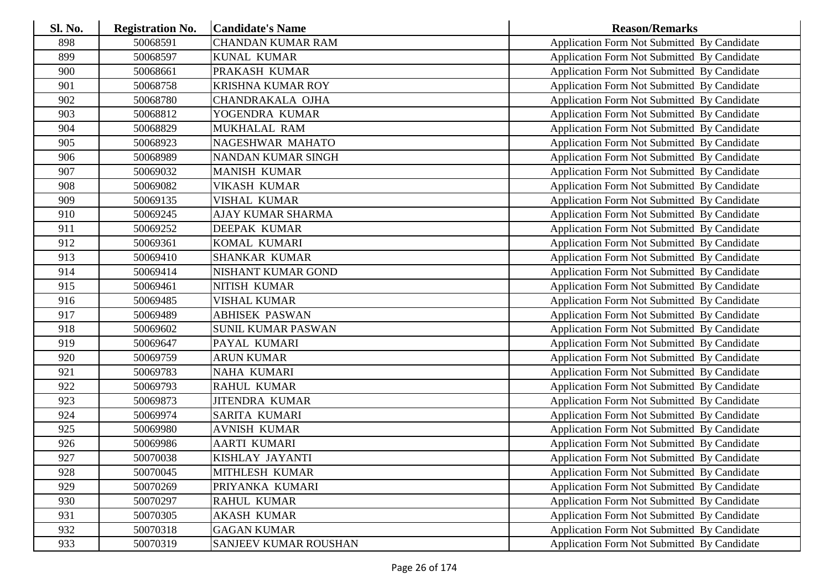| <b>Sl. No.</b> | <b>Registration No.</b> | <b>Candidate's Name</b>      | <b>Reason/Remarks</b>                              |
|----------------|-------------------------|------------------------------|----------------------------------------------------|
| 898            | 50068591                | <b>CHANDAN KUMAR RAM</b>     | Application Form Not Submitted By Candidate        |
| 899            | 50068597                | <b>KUNAL KUMAR</b>           | <b>Application Form Not Submitted By Candidate</b> |
| 900            | 50068661                | PRAKASH KUMAR                | Application Form Not Submitted By Candidate        |
| 901            | 50068758                | <b>KRISHNA KUMAR ROY</b>     | Application Form Not Submitted By Candidate        |
| 902            | 50068780                | CHANDRAKALA OJHA             | Application Form Not Submitted By Candidate        |
| 903            | 50068812                | YOGENDRA KUMAR               | Application Form Not Submitted By Candidate        |
| 904            | 50068829                | MUKHALAL RAM                 | Application Form Not Submitted By Candidate        |
| 905            | 50068923                | NAGESHWAR MAHATO             | Application Form Not Submitted By Candidate        |
| 906            | 50068989                | NANDAN KUMAR SINGH           | Application Form Not Submitted By Candidate        |
| 907            | 50069032                | <b>MANISH KUMAR</b>          | Application Form Not Submitted By Candidate        |
| 908            | 50069082                | VIKASH KUMAR                 | Application Form Not Submitted By Candidate        |
| 909            | 50069135                | VISHAL KUMAR                 | Application Form Not Submitted By Candidate        |
| 910            | 50069245                | AJAY KUMAR SHARMA            | Application Form Not Submitted By Candidate        |
| 911            | 50069252                | DEEPAK KUMAR                 | Application Form Not Submitted By Candidate        |
| 912            | 50069361                | KOMAL KUMARI                 | Application Form Not Submitted By Candidate        |
| 913            | 50069410                | <b>SHANKAR KUMAR</b>         | Application Form Not Submitted By Candidate        |
| 914            | 50069414                | <b>NISHANT KUMAR GOND</b>    | Application Form Not Submitted By Candidate        |
| 915            | 50069461                | NITISH KUMAR                 | Application Form Not Submitted By Candidate        |
| 916            | 50069485                | <b>VISHAL KUMAR</b>          | Application Form Not Submitted By Candidate        |
| 917            | 50069489                | <b>ABHISEK PASWAN</b>        | Application Form Not Submitted By Candidate        |
| 918            | 50069602                | <b>SUNIL KUMAR PASWAN</b>    | Application Form Not Submitted By Candidate        |
| 919            | 50069647                | PAYAL KUMARI                 | Application Form Not Submitted By Candidate        |
| 920            | 50069759                | <b>ARUN KUMAR</b>            | Application Form Not Submitted By Candidate        |
| 921            | 50069783                | NAHA KUMARI                  | Application Form Not Submitted By Candidate        |
| 922            | 50069793                | <b>RAHUL KUMAR</b>           | Application Form Not Submitted By Candidate        |
| 923            | 50069873                | <b>JITENDRA KUMAR</b>        | Application Form Not Submitted By Candidate        |
| 924            | 50069974                | SARITA KUMARI                | Application Form Not Submitted By Candidate        |
| 925            | 50069980                | <b>AVNISH KUMAR</b>          | Application Form Not Submitted By Candidate        |
| 926            | 50069986                | <b>AARTI KUMARI</b>          | Application Form Not Submitted By Candidate        |
| 927            | 50070038                | <b>KISHLAY JAYANTI</b>       | Application Form Not Submitted By Candidate        |
| 928            | 50070045                | MITHLESH KUMAR               | Application Form Not Submitted By Candidate        |
| 929            | 50070269                | PRIYANKA KUMARI              | Application Form Not Submitted By Candidate        |
| 930            | 50070297                | <b>RAHUL KUMAR</b>           | Application Form Not Submitted By Candidate        |
| 931            | 50070305                | <b>AKASH KUMAR</b>           | Application Form Not Submitted By Candidate        |
| 932            | 50070318                | <b>GAGAN KUMAR</b>           | <b>Application Form Not Submitted By Candidate</b> |
| 933            | 50070319                | <b>SANJEEV KUMAR ROUSHAN</b> | Application Form Not Submitted By Candidate        |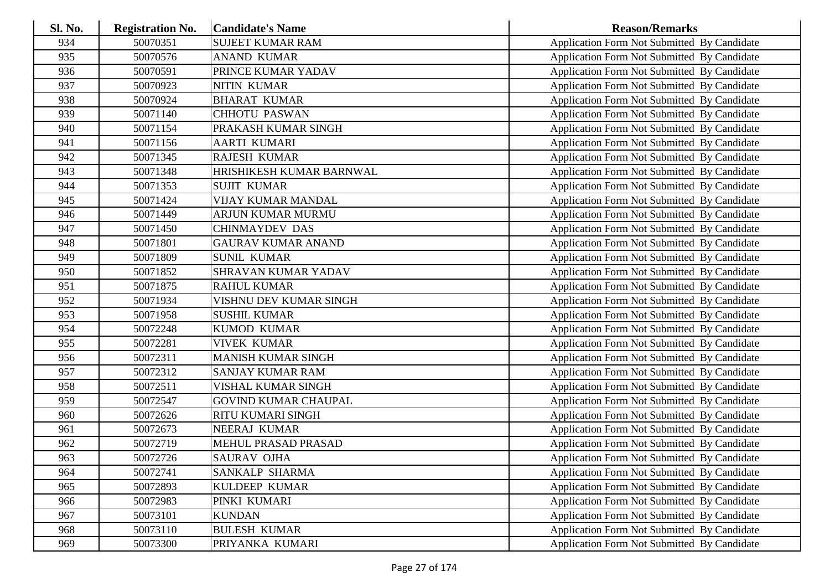| Sl. No. | <b>Registration No.</b> | <b>Candidate's Name</b>     | <b>Reason/Remarks</b>                              |
|---------|-------------------------|-----------------------------|----------------------------------------------------|
| 934     | 50070351                | <b>SUJEET KUMAR RAM</b>     | Application Form Not Submitted By Candidate        |
| 935     | 50070576                | <b>ANAND KUMAR</b>          | Application Form Not Submitted By Candidate        |
| 936     | 50070591                | PRINCE KUMAR YADAV          | Application Form Not Submitted By Candidate        |
| 937     | 50070923                | <b>NITIN KUMAR</b>          | Application Form Not Submitted By Candidate        |
| 938     | 50070924                | <b>BHARAT KUMAR</b>         | Application Form Not Submitted By Candidate        |
| 939     | 50071140                | <b>CHHOTU PASWAN</b>        | Application Form Not Submitted By Candidate        |
| 940     | 50071154                | PRAKASH KUMAR SINGH         | Application Form Not Submitted By Candidate        |
| 941     | 50071156                | <b>AARTI KUMARI</b>         | Application Form Not Submitted By Candidate        |
| 942     | 50071345                | <b>RAJESH KUMAR</b>         | Application Form Not Submitted By Candidate        |
| 943     | 50071348                | HRISHIKESH KUMAR BARNWAL    | Application Form Not Submitted By Candidate        |
| 944     | 50071353                | <b>SUJIT KUMAR</b>          | Application Form Not Submitted By Candidate        |
| 945     | 50071424                | VIJAY KUMAR MANDAL          | Application Form Not Submitted By Candidate        |
| 946     | 50071449                | <b>ARJUN KUMAR MURMU</b>    | Application Form Not Submitted By Candidate        |
| 947     | 50071450                | <b>CHINMAYDEV DAS</b>       | Application Form Not Submitted By Candidate        |
| 948     | 50071801                | <b>GAURAV KUMAR ANAND</b>   | Application Form Not Submitted By Candidate        |
| 949     | 50071809                | <b>SUNIL KUMAR</b>          | Application Form Not Submitted By Candidate        |
| 950     | 50071852                | SHRAVAN KUMAR YADAV         | Application Form Not Submitted By Candidate        |
| 951     | 50071875                | <b>RAHUL KUMAR</b>          | Application Form Not Submitted By Candidate        |
| 952     | 50071934                | VISHNU DEV KUMAR SINGH      | Application Form Not Submitted By Candidate        |
| 953     | 50071958                | <b>SUSHIL KUMAR</b>         | Application Form Not Submitted By Candidate        |
| 954     | 50072248                | <b>KUMOD KUMAR</b>          | Application Form Not Submitted By Candidate        |
| 955     | 50072281                | <b>VIVEK KUMAR</b>          | Application Form Not Submitted By Candidate        |
| 956     | 50072311                | <b>MANISH KUMAR SINGH</b>   | Application Form Not Submitted By Candidate        |
| 957     | 50072312                | <b>SANJAY KUMAR RAM</b>     | Application Form Not Submitted By Candidate        |
| 958     | 50072511                | VISHAL KUMAR SINGH          | Application Form Not Submitted By Candidate        |
| 959     | 50072547                | <b>GOVIND KUMAR CHAUPAL</b> | Application Form Not Submitted By Candidate        |
| 960     | 50072626                | <b>RITU KUMARI SINGH</b>    | Application Form Not Submitted By Candidate        |
| 961     | 50072673                | <b>NEERAJ KUMAR</b>         | Application Form Not Submitted By Candidate        |
| 962     | 50072719                | MEHUL PRASAD PRASAD         | Application Form Not Submitted By Candidate        |
| 963     | 50072726                | <b>SAURAV OJHA</b>          | Application Form Not Submitted By Candidate        |
| 964     | 50072741                | <b>SANKALP SHARMA</b>       | Application Form Not Submitted By Candidate        |
| 965     | 50072893                | KULDEEP KUMAR               | Application Form Not Submitted By Candidate        |
| 966     | 50072983                | PINKI KUMARI                | Application Form Not Submitted By Candidate        |
| 967     | 50073101                | <b>KUNDAN</b>               | Application Form Not Submitted By Candidate        |
| 968     | 50073110                | <b>BULESH KUMAR</b>         | <b>Application Form Not Submitted By Candidate</b> |
| 969     | 50073300                | PRIYANKA KUMARI             | Application Form Not Submitted By Candidate        |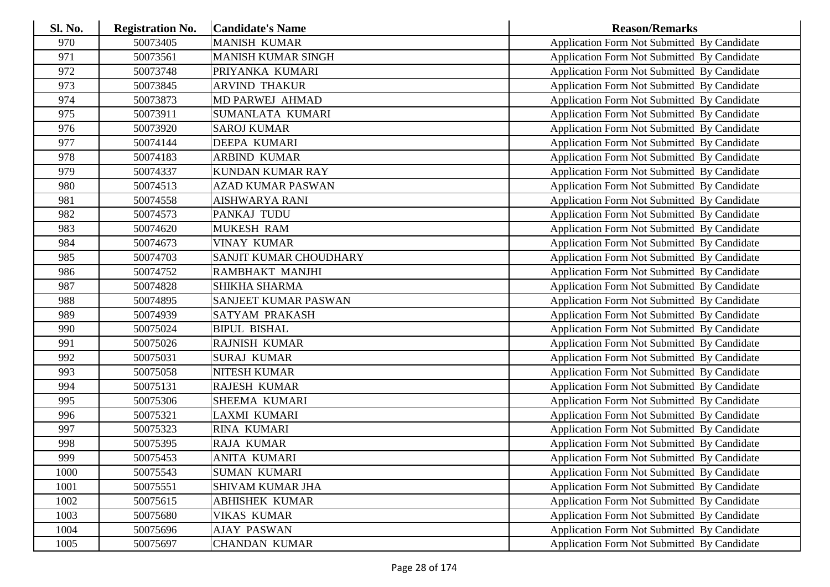| Sl. No. | <b>Registration No.</b> | <b>Candidate's Name</b>   | <b>Reason/Remarks</b>                       |
|---------|-------------------------|---------------------------|---------------------------------------------|
| 970     | 50073405                | <b>MANISH KUMAR</b>       | Application Form Not Submitted By Candidate |
| 971     | 50073561                | <b>MANISH KUMAR SINGH</b> | Application Form Not Submitted By Candidate |
| 972     | 50073748                | PRIYANKA KUMARI           | Application Form Not Submitted By Candidate |
| 973     | 50073845                | <b>ARVIND THAKUR</b>      | Application Form Not Submitted By Candidate |
| 974     | 50073873                | MD PARWEJ AHMAD           | Application Form Not Submitted By Candidate |
| 975     | 50073911                | SUMANLATA KUMARI          | Application Form Not Submitted By Candidate |
| 976     | 50073920                | <b>SAROJ KUMAR</b>        | Application Form Not Submitted By Candidate |
| 977     | 50074144                | DEEPA KUMARI              | Application Form Not Submitted By Candidate |
| 978     | 50074183                | <b>ARBIND KUMAR</b>       | Application Form Not Submitted By Candidate |
| 979     | 50074337                | <b>KUNDAN KUMAR RAY</b>   | Application Form Not Submitted By Candidate |
| 980     | 50074513                | <b>AZAD KUMAR PASWAN</b>  | Application Form Not Submitted By Candidate |
| 981     | 50074558                | <b>AISHWARYA RANI</b>     | Application Form Not Submitted By Candidate |
| 982     | 50074573                | PANKAJ TUDU               | Application Form Not Submitted By Candidate |
| 983     | 50074620                | <b>MUKESH RAM</b>         | Application Form Not Submitted By Candidate |
| 984     | 50074673                | <b>VINAY KUMAR</b>        | Application Form Not Submitted By Candidate |
| 985     | 50074703                | SANJIT KUMAR CHOUDHARY    | Application Form Not Submitted By Candidate |
| 986     | 50074752                | RAMBHAKT MANJHI           | Application Form Not Submitted By Candidate |
| 987     | 50074828                | <b>SHIKHA SHARMA</b>      | Application Form Not Submitted By Candidate |
| 988     | 50074895                | SANJEET KUMAR PASWAN      | Application Form Not Submitted By Candidate |
| 989     | 50074939                | <b>SATYAM PRAKASH</b>     | Application Form Not Submitted By Candidate |
| 990     | 50075024                | <b>BIPUL BISHAL</b>       | Application Form Not Submitted By Candidate |
| 991     | 50075026                | RAJNISH KUMAR             | Application Form Not Submitted By Candidate |
| 992     | 50075031                | <b>SURAJ KUMAR</b>        | Application Form Not Submitted By Candidate |
| 993     | 50075058                | <b>NITESH KUMAR</b>       | Application Form Not Submitted By Candidate |
| 994     | 50075131                | RAJESH KUMAR              | Application Form Not Submitted By Candidate |
| 995     | 50075306                | SHEEMA KUMARI             | Application Form Not Submitted By Candidate |
| 996     | 50075321                | LAXMI KUMARI              | Application Form Not Submitted By Candidate |
| 997     | 50075323                | RINA KUMARI               | Application Form Not Submitted By Candidate |
| 998     | 50075395                | <b>RAJA KUMAR</b>         | Application Form Not Submitted By Candidate |
| 999     | 50075453                | <b>ANITA KUMARI</b>       | Application Form Not Submitted By Candidate |
| 1000    | 50075543                | <b>SUMAN KUMARI</b>       | Application Form Not Submitted By Candidate |
| 1001    | 50075551                | <b>SHIVAM KUMAR JHA</b>   | Application Form Not Submitted By Candidate |
| 1002    | 50075615                | ABHISHEK KUMAR            | Application Form Not Submitted By Candidate |
| 1003    | 50075680                | <b>VIKAS KUMAR</b>        | Application Form Not Submitted By Candidate |
| 1004    | 50075696                | <b>AJAY PASWAN</b>        | Application Form Not Submitted By Candidate |
| 1005    | 50075697                | <b>CHANDAN KUMAR</b>      | Application Form Not Submitted By Candidate |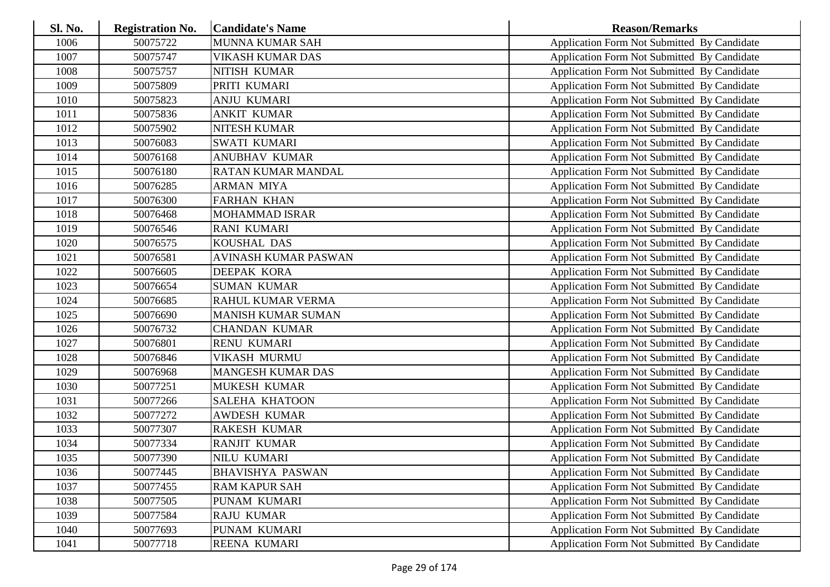| Sl. No. | <b>Registration No.</b> | <b>Candidate's Name</b>     | <b>Reason/Remarks</b>                              |
|---------|-------------------------|-----------------------------|----------------------------------------------------|
| 1006    | 50075722                | MUNNA KUMAR SAH             | Application Form Not Submitted By Candidate        |
| 1007    | 50075747                | <b>VIKASH KUMAR DAS</b>     | Application Form Not Submitted By Candidate        |
| 1008    | 50075757                | NITISH KUMAR                | Application Form Not Submitted By Candidate        |
| 1009    | 50075809                | PRITI KUMARI                | Application Form Not Submitted By Candidate        |
| 1010    | 50075823                | <b>ANJU KUMARI</b>          | Application Form Not Submitted By Candidate        |
| 1011    | 50075836                | <b>ANKIT KUMAR</b>          | Application Form Not Submitted By Candidate        |
| 1012    | 50075902                | <b>NITESH KUMAR</b>         | Application Form Not Submitted By Candidate        |
| 1013    | 50076083                | <b>SWATI KUMARI</b>         | Application Form Not Submitted By Candidate        |
| 1014    | 50076168                | <b>ANUBHAV KUMAR</b>        | Application Form Not Submitted By Candidate        |
| 1015    | 50076180                | RATAN KUMAR MANDAL          | Application Form Not Submitted By Candidate        |
| 1016    | 50076285                | <b>ARMAN MIYA</b>           | Application Form Not Submitted By Candidate        |
| 1017    | 50076300                | <b>FARHAN KHAN</b>          | Application Form Not Submitted By Candidate        |
| 1018    | 50076468                | MOHAMMAD ISRAR              | Application Form Not Submitted By Candidate        |
| 1019    | 50076546                | <b>RANI KUMARI</b>          | Application Form Not Submitted By Candidate        |
| 1020    | 50076575                | KOUSHAL DAS                 | Application Form Not Submitted By Candidate        |
| 1021    | 50076581                | <b>AVINASH KUMAR PASWAN</b> | Application Form Not Submitted By Candidate        |
| 1022    | 50076605                | <b>DEEPAK KORA</b>          | Application Form Not Submitted By Candidate        |
| 1023    | 50076654                | <b>SUMAN KUMAR</b>          | Application Form Not Submitted By Candidate        |
| 1024    | 50076685                | RAHUL KUMAR VERMA           | Application Form Not Submitted By Candidate        |
| 1025    | 50076690                | <b>MANISH KUMAR SUMAN</b>   | Application Form Not Submitted By Candidate        |
| 1026    | 50076732                | <b>CHANDAN KUMAR</b>        | Application Form Not Submitted By Candidate        |
| 1027    | 50076801                | <b>RENU KUMARI</b>          | Application Form Not Submitted By Candidate        |
| 1028    | 50076846                | <b>VIKASH MURMU</b>         | Application Form Not Submitted By Candidate        |
| 1029    | 50076968                | <b>MANGESH KUMAR DAS</b>    | Application Form Not Submitted By Candidate        |
| 1030    | 50077251                | MUKESH KUMAR                | Application Form Not Submitted By Candidate        |
| 1031    | 50077266                | SALEHA KHATOON              | Application Form Not Submitted By Candidate        |
| 1032    | 50077272                | AWDESH KUMAR                | Application Form Not Submitted By Candidate        |
| 1033    | 50077307                | <b>RAKESH KUMAR</b>         | Application Form Not Submitted By Candidate        |
| 1034    | 50077334                | <b>RANJIT KUMAR</b>         | Application Form Not Submitted By Candidate        |
| 1035    | 50077390                | <b>NILU KUMARI</b>          | Application Form Not Submitted By Candidate        |
| 1036    | 50077445                | <b>BHAVISHYA PASWAN</b>     | Application Form Not Submitted By Candidate        |
| 1037    | 50077455                | <b>RAM KAPUR SAH</b>        | Application Form Not Submitted By Candidate        |
| 1038    | 50077505                | PUNAM KUMARI                | Application Form Not Submitted By Candidate        |
| 1039    | 50077584                | RAJU KUMAR                  | Application Form Not Submitted By Candidate        |
| 1040    | 50077693                | PUNAM KUMARI                | Application Form Not Submitted By Candidate        |
| 1041    | 50077718                | REENA KUMARI                | <b>Application Form Not Submitted By Candidate</b> |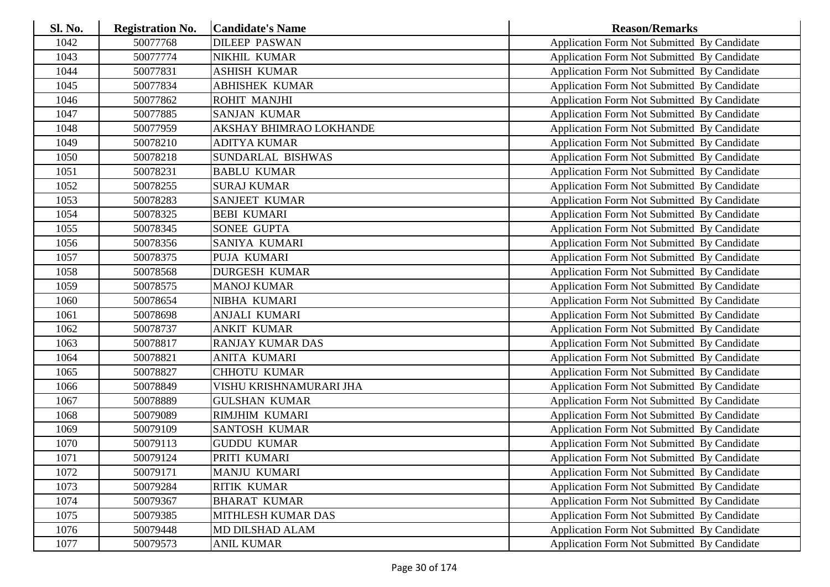| <b>Sl. No.</b> | <b>Registration No.</b> | <b>Candidate's Name</b>        | <b>Reason/Remarks</b>                              |
|----------------|-------------------------|--------------------------------|----------------------------------------------------|
| 1042           | 50077768                | <b>DILEEP PASWAN</b>           | Application Form Not Submitted By Candidate        |
| 1043           | 50077774                | NIKHIL KUMAR                   | Application Form Not Submitted By Candidate        |
| 1044           | 50077831                | <b>ASHISH KUMAR</b>            | Application Form Not Submitted By Candidate        |
| 1045           | 50077834                | <b>ABHISHEK KUMAR</b>          | Application Form Not Submitted By Candidate        |
| 1046           | 50077862                | <b>ROHIT MANJHI</b>            | Application Form Not Submitted By Candidate        |
| 1047           | 50077885                | <b>SANJAN KUMAR</b>            | Application Form Not Submitted By Candidate        |
| 1048           | 50077959                | <b>AKSHAY BHIMRAO LOKHANDE</b> | Application Form Not Submitted By Candidate        |
| 1049           | 50078210                | <b>ADITYA KUMAR</b>            | Application Form Not Submitted By Candidate        |
| 1050           | 50078218                | SUNDARLAL BISHWAS              | <b>Application Form Not Submitted By Candidate</b> |
| 1051           | 50078231                | <b>BABLU KUMAR</b>             | Application Form Not Submitted By Candidate        |
| 1052           | 50078255                | <b>SURAJ KUMAR</b>             | Application Form Not Submitted By Candidate        |
| 1053           | 50078283                | SANJEET KUMAR                  | Application Form Not Submitted By Candidate        |
| 1054           | 50078325                | <b>BEBI KUMARI</b>             | Application Form Not Submitted By Candidate        |
| 1055           | 50078345                | <b>SONEE GUPTA</b>             | Application Form Not Submitted By Candidate        |
| 1056           | 50078356                | SANIYA KUMARI                  | Application Form Not Submitted By Candidate        |
| 1057           | 50078375                | PUJA KUMARI                    | Application Form Not Submitted By Candidate        |
| 1058           | 50078568                | <b>DURGESH KUMAR</b>           | Application Form Not Submitted By Candidate        |
| 1059           | 50078575                | <b>MANOJ KUMAR</b>             | Application Form Not Submitted By Candidate        |
| 1060           | 50078654                | NIBHA KUMARI                   | Application Form Not Submitted By Candidate        |
| 1061           | 50078698                | ANJALI KUMARI                  | Application Form Not Submitted By Candidate        |
| 1062           | 50078737                | <b>ANKIT KUMAR</b>             | Application Form Not Submitted By Candidate        |
| 1063           | 50078817                | <b>RANJAY KUMAR DAS</b>        | Application Form Not Submitted By Candidate        |
| 1064           | 50078821                | <b>ANITA KUMARI</b>            | Application Form Not Submitted By Candidate        |
| 1065           | 50078827                | <b>CHHOTU KUMAR</b>            | Application Form Not Submitted By Candidate        |
| 1066           | 50078849                | VISHU KRISHNAMURARI JHA        | Application Form Not Submitted By Candidate        |
| 1067           | 50078889                | <b>GULSHAN KUMAR</b>           | Application Form Not Submitted By Candidate        |
| 1068           | 50079089                | <b>RIMJHIM KUMARI</b>          | Application Form Not Submitted By Candidate        |
| 1069           | 50079109                | <b>SANTOSH KUMAR</b>           | Application Form Not Submitted By Candidate        |
| 1070           | 50079113                | <b>GUDDU KUMAR</b>             | Application Form Not Submitted By Candidate        |
| 1071           | 50079124                | PRITI KUMARI                   | Application Form Not Submitted By Candidate        |
| 1072           | 50079171                | <b>MANJU KUMARI</b>            | Application Form Not Submitted By Candidate        |
| 1073           | 50079284                | <b>RITIK KUMAR</b>             | Application Form Not Submitted By Candidate        |
| 1074           | 50079367                | <b>BHARAT KUMAR</b>            | Application Form Not Submitted By Candidate        |
| 1075           | 50079385                | MITHLESH KUMAR DAS             | Application Form Not Submitted By Candidate        |
| 1076           | 50079448                | MD DILSHAD ALAM                | Application Form Not Submitted By Candidate        |
| 1077           | 50079573                | <b>ANIL KUMAR</b>              | Application Form Not Submitted By Candidate        |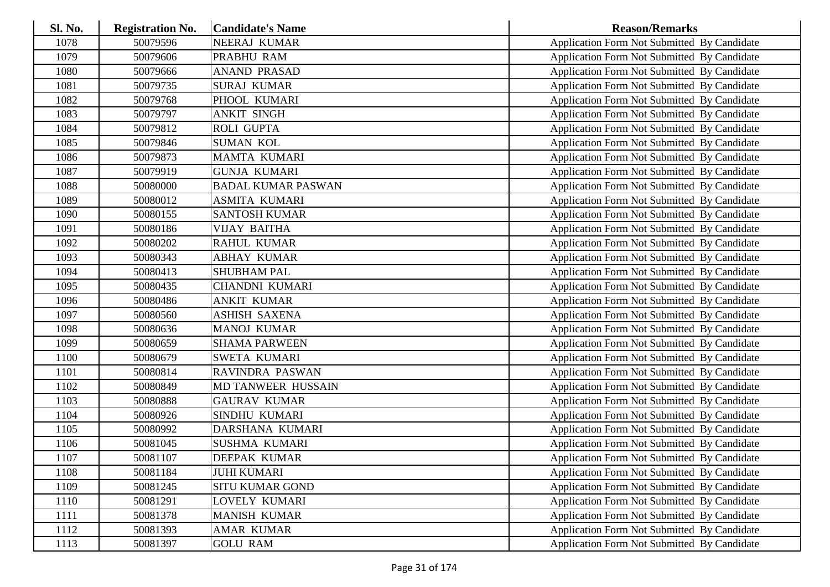| Sl. No. | <b>Registration No.</b> | <b>Candidate's Name</b>   | <b>Reason/Remarks</b>                              |
|---------|-------------------------|---------------------------|----------------------------------------------------|
| 1078    | 50079596                | NEERAJ KUMAR              | Application Form Not Submitted By Candidate        |
| 1079    | 50079606                | PRABHU RAM                | Application Form Not Submitted By Candidate        |
| 1080    | 50079666                | <b>ANAND PRASAD</b>       | Application Form Not Submitted By Candidate        |
| 1081    | 50079735                | <b>SURAJ KUMAR</b>        | Application Form Not Submitted By Candidate        |
| 1082    | 50079768                | PHOOL KUMARI              | Application Form Not Submitted By Candidate        |
| 1083    | 50079797                | <b>ANKIT SINGH</b>        | Application Form Not Submitted By Candidate        |
| 1084    | 50079812                | <b>ROLI GUPTA</b>         | Application Form Not Submitted By Candidate        |
| 1085    | 50079846                | <b>SUMAN KOL</b>          | Application Form Not Submitted By Candidate        |
| 1086    | 50079873                | <b>MAMTA KUMARI</b>       | Application Form Not Submitted By Candidate        |
| 1087    | 50079919                | <b>GUNJA KUMARI</b>       | Application Form Not Submitted By Candidate        |
| 1088    | 50080000                | <b>BADAL KUMAR PASWAN</b> | Application Form Not Submitted By Candidate        |
| 1089    | 50080012                | ASMITA KUMARI             | Application Form Not Submitted By Candidate        |
| 1090    | 50080155                | <b>SANTOSH KUMAR</b>      | Application Form Not Submitted By Candidate        |
| 1091    | 50080186                | <b>VIJAY BAITHA</b>       | Application Form Not Submitted By Candidate        |
| 1092    | 50080202                | <b>RAHUL KUMAR</b>        | Application Form Not Submitted By Candidate        |
| 1093    | 50080343                | <b>ABHAY KUMAR</b>        | Application Form Not Submitted By Candidate        |
| 1094    | 50080413                | <b>SHUBHAM PAL</b>        | Application Form Not Submitted By Candidate        |
| 1095    | 50080435                | <b>CHANDNI KUMARI</b>     | Application Form Not Submitted By Candidate        |
| 1096    | 50080486                | <b>ANKIT KUMAR</b>        | Application Form Not Submitted By Candidate        |
| 1097    | 50080560                | <b>ASHISH SAXENA</b>      | Application Form Not Submitted By Candidate        |
| 1098    | 50080636                | <b>MANOJ KUMAR</b>        | Application Form Not Submitted By Candidate        |
| 1099    | 50080659                | <b>SHAMA PARWEEN</b>      | Application Form Not Submitted By Candidate        |
| 1100    | 50080679                | <b>SWETA KUMARI</b>       | Application Form Not Submitted By Candidate        |
| 1101    | 50080814                | RAVINDRA PASWAN           | Application Form Not Submitted By Candidate        |
| 1102    | 50080849                | MD TANWEER HUSSAIN        | Application Form Not Submitted By Candidate        |
| 1103    | 50080888                | <b>GAURAV KUMAR</b>       | Application Form Not Submitted By Candidate        |
| 1104    | 50080926                | SINDHU KUMARI             | Application Form Not Submitted By Candidate        |
| 1105    | 50080992                | DARSHANA KUMARI           | Application Form Not Submitted By Candidate        |
| 1106    | 50081045                | <b>SUSHMA KUMARI</b>      | Application Form Not Submitted By Candidate        |
| 1107    | 50081107                | DEEPAK KUMAR              | Application Form Not Submitted By Candidate        |
| 1108    | 50081184                | <b>JUHI KUMARI</b>        | Application Form Not Submitted By Candidate        |
| 1109    | 50081245                | <b>SITU KUMAR GOND</b>    | <b>Application Form Not Submitted By Candidate</b> |
| 1110    | 50081291                | LOVELY KUMARI             | Application Form Not Submitted By Candidate        |
| 1111    | 50081378                | <b>MANISH KUMAR</b>       | Application Form Not Submitted By Candidate        |
| 1112    | 50081393                | AMAR KUMAR                | <b>Application Form Not Submitted By Candidate</b> |
| 1113    | 50081397                | <b>GOLU RAM</b>           | Application Form Not Submitted By Candidate        |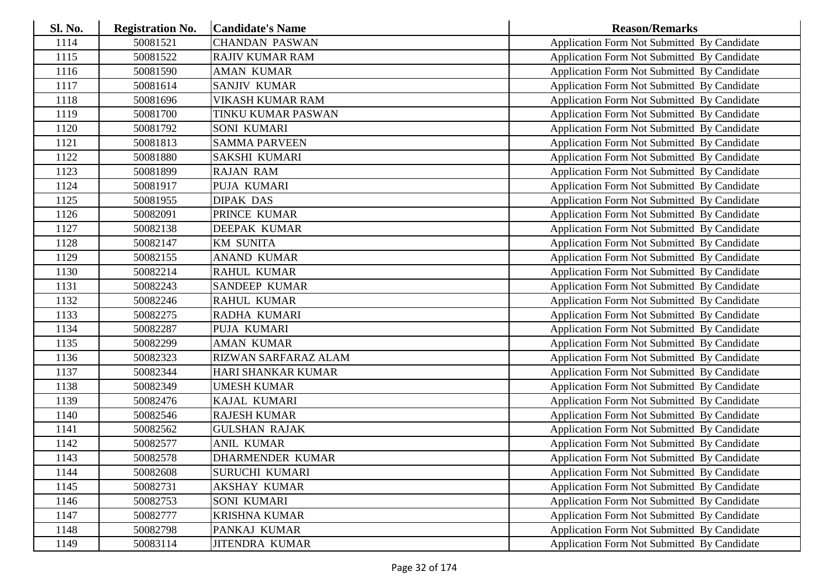| Sl. No. | <b>Registration No.</b> | <b>Candidate's Name</b> | <b>Reason/Remarks</b>                       |
|---------|-------------------------|-------------------------|---------------------------------------------|
| 1114    | 50081521                | <b>CHANDAN PASWAN</b>   | Application Form Not Submitted By Candidate |
| 1115    | 50081522                | <b>RAJIV KUMAR RAM</b>  | Application Form Not Submitted By Candidate |
| 1116    | 50081590                | <b>AMAN KUMAR</b>       | Application Form Not Submitted By Candidate |
| 1117    | 50081614                | <b>SANJIV KUMAR</b>     | Application Form Not Submitted By Candidate |
| 1118    | 50081696                | VIKASH KUMAR RAM        | Application Form Not Submitted By Candidate |
| 1119    | 50081700                | TINKU KUMAR PASWAN      | Application Form Not Submitted By Candidate |
| 1120    | 50081792                | SONI KUMARI             | Application Form Not Submitted By Candidate |
| 1121    | 50081813                | <b>SAMMA PARVEEN</b>    | Application Form Not Submitted By Candidate |
| 1122    | 50081880                | <b>SAKSHI KUMARI</b>    | Application Form Not Submitted By Candidate |
| 1123    | 50081899                | <b>RAJAN RAM</b>        | Application Form Not Submitted By Candidate |
| 1124    | 50081917                | PUJA KUMARI             | Application Form Not Submitted By Candidate |
| 1125    | 50081955                | <b>DIPAK DAS</b>        | Application Form Not Submitted By Candidate |
| 1126    | 50082091                | PRINCE KUMAR            | Application Form Not Submitted By Candidate |
| 1127    | 50082138                | DEEPAK KUMAR            | Application Form Not Submitted By Candidate |
| 1128    | 50082147                | <b>KM SUNITA</b>        | Application Form Not Submitted By Candidate |
| 1129    | 50082155                | <b>ANAND KUMAR</b>      | Application Form Not Submitted By Candidate |
| 1130    | 50082214                | <b>RAHUL KUMAR</b>      | Application Form Not Submitted By Candidate |
| 1131    | 50082243                | SANDEEP KUMAR           | Application Form Not Submitted By Candidate |
| 1132    | 50082246                | <b>RAHUL KUMAR</b>      | Application Form Not Submitted By Candidate |
| 1133    | 50082275                | RADHA KUMARI            | Application Form Not Submitted By Candidate |
| 1134    | 50082287                | PUJA KUMARI             | Application Form Not Submitted By Candidate |
| 1135    | 50082299                | <b>AMAN KUMAR</b>       | Application Form Not Submitted By Candidate |
| 1136    | 50082323                | RIZWAN SARFARAZ ALAM    | Application Form Not Submitted By Candidate |
| 1137    | 50082344                | HARI SHANKAR KUMAR      | Application Form Not Submitted By Candidate |
| 1138    | 50082349                | <b>UMESH KUMAR</b>      | Application Form Not Submitted By Candidate |
| 1139    | 50082476                | KAJAL KUMARI            | Application Form Not Submitted By Candidate |
| 1140    | 50082546                | <b>RAJESH KUMAR</b>     | Application Form Not Submitted By Candidate |
| 1141    | 50082562                | <b>GULSHAN RAJAK</b>    | Application Form Not Submitted By Candidate |
| 1142    | 50082577                | <b>ANIL KUMAR</b>       | Application Form Not Submitted By Candidate |
| 1143    | 50082578                | DHARMENDER KUMAR        | Application Form Not Submitted By Candidate |
| 1144    | 50082608                | SURUCHI KUMARI          | Application Form Not Submitted By Candidate |
| 1145    | 50082731                | <b>AKSHAY KUMAR</b>     | Application Form Not Submitted By Candidate |
| 1146    | 50082753                | SONI KUMARI             | Application Form Not Submitted By Candidate |
| 1147    | 50082777                | <b>KRISHNA KUMAR</b>    | Application Form Not Submitted By Candidate |
| 1148    | 50082798                | PANKAJ KUMAR            | Application Form Not Submitted By Candidate |
| 1149    | 50083114                | <b>JITENDRA KUMAR</b>   | Application Form Not Submitted By Candidate |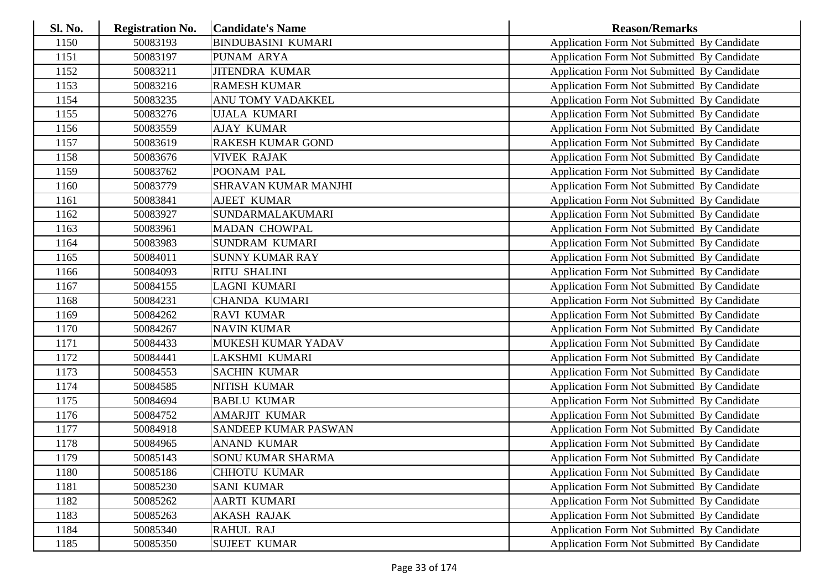| Sl. No. | <b>Registration No.</b> | <b>Candidate's Name</b>     | <b>Reason/Remarks</b>                       |
|---------|-------------------------|-----------------------------|---------------------------------------------|
| 1150    | 50083193                | <b>BINDUBASINI KUMARI</b>   | Application Form Not Submitted By Candidate |
| 1151    | 50083197                | PUNAM ARYA                  | Application Form Not Submitted By Candidate |
| 1152    | 50083211                | <b>JITENDRA KUMAR</b>       | Application Form Not Submitted By Candidate |
| 1153    | 50083216                | <b>RAMESH KUMAR</b>         | Application Form Not Submitted By Candidate |
| 1154    | 50083235                | ANU TOMY VADAKKEL           | Application Form Not Submitted By Candidate |
| 1155    | 50083276                | <b>UJALA KUMARI</b>         | Application Form Not Submitted By Candidate |
| 1156    | 50083559                | <b>AJAY KUMAR</b>           | Application Form Not Submitted By Candidate |
| 1157    | 50083619                | <b>RAKESH KUMAR GOND</b>    | Application Form Not Submitted By Candidate |
| 1158    | 50083676                | <b>VIVEK RAJAK</b>          | Application Form Not Submitted By Candidate |
| 1159    | 50083762                | POONAM PAL                  | Application Form Not Submitted By Candidate |
| 1160    | 50083779                | SHRAVAN KUMAR MANJHI        | Application Form Not Submitted By Candidate |
| 1161    | 50083841                | AJEET KUMAR                 | Application Form Not Submitted By Candidate |
| 1162    | 50083927                | SUNDARMALAKUMARI            | Application Form Not Submitted By Candidate |
| 1163    | 50083961                | <b>MADAN CHOWPAL</b>        | Application Form Not Submitted By Candidate |
| 1164    | 50083983                | <b>SUNDRAM KUMARI</b>       | Application Form Not Submitted By Candidate |
| 1165    | 50084011                | <b>SUNNY KUMAR RAY</b>      | Application Form Not Submitted By Candidate |
| 1166    | 50084093                | <b>RITU SHALINI</b>         | Application Form Not Submitted By Candidate |
| 1167    | 50084155                | <b>LAGNI KUMARI</b>         | Application Form Not Submitted By Candidate |
| 1168    | 50084231                | <b>CHANDA KUMARI</b>        | Application Form Not Submitted By Candidate |
| 1169    | 50084262                | <b>RAVI KUMAR</b>           | Application Form Not Submitted By Candidate |
| 1170    | 50084267                | <b>NAVIN KUMAR</b>          | Application Form Not Submitted By Candidate |
| 1171    | 50084433                | MUKESH KUMAR YADAV          | Application Form Not Submitted By Candidate |
| 1172    | 50084441                | LAKSHMI KUMARI              | Application Form Not Submitted By Candidate |
| 1173    | 50084553                | <b>SACHIN KUMAR</b>         | Application Form Not Submitted By Candidate |
| 1174    | 50084585                | NITISH KUMAR                | Application Form Not Submitted By Candidate |
| 1175    | 50084694                | <b>BABLU KUMAR</b>          | Application Form Not Submitted By Candidate |
| 1176    | 50084752                | <b>AMARJIT KUMAR</b>        | Application Form Not Submitted By Candidate |
| 1177    | 50084918                | <b>SANDEEP KUMAR PASWAN</b> | Application Form Not Submitted By Candidate |
| 1178    | 50084965                | <b>ANAND KUMAR</b>          | Application Form Not Submitted By Candidate |
| 1179    | 50085143                | SONU KUMAR SHARMA           | Application Form Not Submitted By Candidate |
| 1180    | 50085186                | <b>CHHOTU KUMAR</b>         | Application Form Not Submitted By Candidate |
| 1181    | 50085230                | <b>SANI KUMAR</b>           | Application Form Not Submitted By Candidate |
| 1182    | 50085262                | <b>AARTI KUMARI</b>         | Application Form Not Submitted By Candidate |
| 1183    | 50085263                | <b>AKASH RAJAK</b>          | Application Form Not Submitted By Candidate |
| 1184    | 50085340                | <b>RAHUL RAJ</b>            | Application Form Not Submitted By Candidate |
| 1185    | 50085350                | <b>SUJEET KUMAR</b>         | Application Form Not Submitted By Candidate |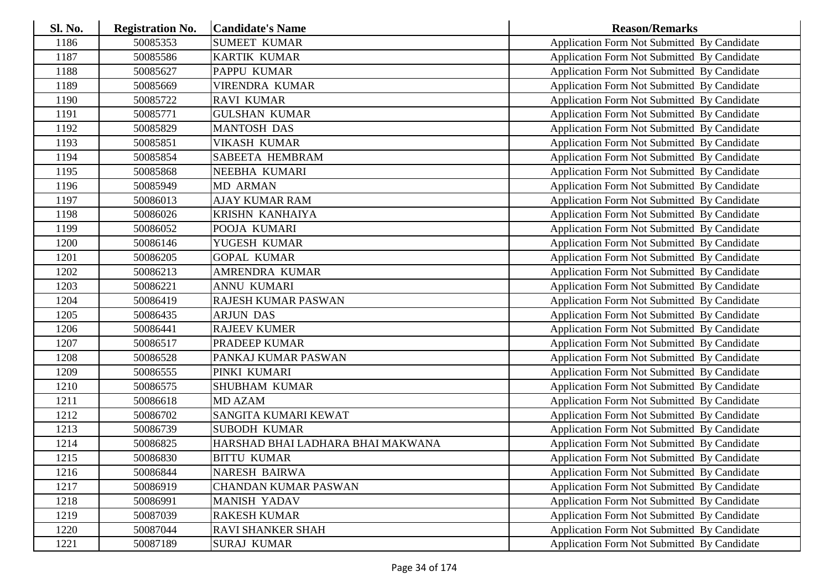| Sl. No. | <b>Registration No.</b> | <b>Candidate's Name</b>           | <b>Reason/Remarks</b>                              |
|---------|-------------------------|-----------------------------------|----------------------------------------------------|
| 1186    | 50085353                | <b>SUMEET KUMAR</b>               | Application Form Not Submitted By Candidate        |
| 1187    | 50085586                | <b>KARTIK KUMAR</b>               | Application Form Not Submitted By Candidate        |
| 1188    | 50085627                | PAPPU KUMAR                       | Application Form Not Submitted By Candidate        |
| 1189    | 50085669                | <b>VIRENDRA KUMAR</b>             | Application Form Not Submitted By Candidate        |
| 1190    | 50085722                | <b>RAVI KUMAR</b>                 | Application Form Not Submitted By Candidate        |
| 1191    | 50085771                | <b>GULSHAN KUMAR</b>              | Application Form Not Submitted By Candidate        |
| 1192    | 50085829                | <b>MANTOSH DAS</b>                | Application Form Not Submitted By Candidate        |
| 1193    | 50085851                | <b>VIKASH KUMAR</b>               | Application Form Not Submitted By Candidate        |
| 1194    | 50085854                | <b>SABEETA HEMBRAM</b>            | Application Form Not Submitted By Candidate        |
| 1195    | 50085868                | NEEBHA KUMARI                     | Application Form Not Submitted By Candidate        |
| 1196    | 50085949                | <b>MD ARMAN</b>                   | Application Form Not Submitted By Candidate        |
| 1197    | 50086013                | <b>AJAY KUMAR RAM</b>             | Application Form Not Submitted By Candidate        |
| 1198    | 50086026                | <b>KRISHN KANHAIYA</b>            | Application Form Not Submitted By Candidate        |
| 1199    | 50086052                | POOJA KUMARI                      | Application Form Not Submitted By Candidate        |
| 1200    | 50086146                | YUGESH KUMAR                      | Application Form Not Submitted By Candidate        |
| 1201    | 50086205                | <b>GOPAL KUMAR</b>                | Application Form Not Submitted By Candidate        |
| 1202    | 50086213                | AMRENDRA KUMAR                    | Application Form Not Submitted By Candidate        |
| 1203    | 50086221                | <b>ANNU KUMARI</b>                | Application Form Not Submitted By Candidate        |
| 1204    | 50086419                | RAJESH KUMAR PASWAN               | Application Form Not Submitted By Candidate        |
| 1205    | 50086435                | <b>ARJUN DAS</b>                  | Application Form Not Submitted By Candidate        |
| 1206    | 50086441                | <b>RAJEEV KUMER</b>               | Application Form Not Submitted By Candidate        |
| 1207    | 50086517                | PRADEEP KUMAR                     | Application Form Not Submitted By Candidate        |
| 1208    | 50086528                | PANKAJ KUMAR PASWAN               | Application Form Not Submitted By Candidate        |
| 1209    | 50086555                | PINKI KUMARI                      | Application Form Not Submitted By Candidate        |
| 1210    | 50086575                | <b>SHUBHAM KUMAR</b>              | Application Form Not Submitted By Candidate        |
| 1211    | 50086618                | <b>MD AZAM</b>                    | Application Form Not Submitted By Candidate        |
| 1212    | 50086702                | SANGITA KUMARI KEWAT              | Application Form Not Submitted By Candidate        |
| 1213    | 50086739                | <b>SUBODH KUMAR</b>               | Application Form Not Submitted By Candidate        |
| 1214    | 50086825                | HARSHAD BHAI LADHARA BHAI MAKWANA | Application Form Not Submitted By Candidate        |
| 1215    | 50086830                | <b>BITTU KUMAR</b>                | Application Form Not Submitted By Candidate        |
| 1216    | 50086844                | <b>NARESH BAIRWA</b>              | Application Form Not Submitted By Candidate        |
| 1217    | 50086919                | <b>CHANDAN KUMAR PASWAN</b>       | Application Form Not Submitted By Candidate        |
| 1218    | 50086991                | <b>MANISH YADAV</b>               | <b>Application Form Not Submitted By Candidate</b> |
| 1219    | 50087039                | <b>RAKESH KUMAR</b>               | Application Form Not Submitted By Candidate        |
| 1220    | 50087044                | <b>RAVI SHANKER SHAH</b>          | <b>Application Form Not Submitted By Candidate</b> |
| 1221    | 50087189                | <b>SURAJ KUMAR</b>                | <b>Application Form Not Submitted By Candidate</b> |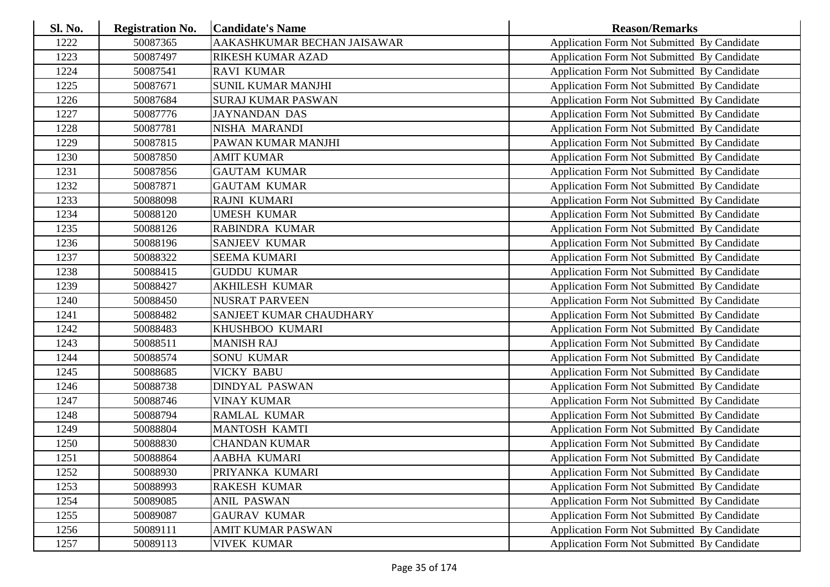| Sl. No. | <b>Registration No.</b> | <b>Candidate's Name</b>     | <b>Reason/Remarks</b>                              |
|---------|-------------------------|-----------------------------|----------------------------------------------------|
| 1222    | 50087365                | AAKASHKUMAR BECHAN JAISAWAR | Application Form Not Submitted By Candidate        |
| 1223    | 50087497                | <b>RIKESH KUMAR AZAD</b>    | Application Form Not Submitted By Candidate        |
| 1224    | 50087541                | <b>RAVI KUMAR</b>           | Application Form Not Submitted By Candidate        |
| 1225    | 50087671                | <b>SUNIL KUMAR MANJHI</b>   | Application Form Not Submitted By Candidate        |
| 1226    | 50087684                | <b>SURAJ KUMAR PASWAN</b>   | Application Form Not Submitted By Candidate        |
| 1227    | 50087776                | <b>JAYNANDAN DAS</b>        | Application Form Not Submitted By Candidate        |
| 1228    | 50087781                | NISHA MARANDI               | Application Form Not Submitted By Candidate        |
| 1229    | 50087815                | PAWAN KUMAR MANJHI          | Application Form Not Submitted By Candidate        |
| 1230    | 50087850                | <b>AMIT KUMAR</b>           | Application Form Not Submitted By Candidate        |
| 1231    | 50087856                | <b>GAUTAM KUMAR</b>         | Application Form Not Submitted By Candidate        |
| 1232    | 50087871                | <b>GAUTAM KUMAR</b>         | Application Form Not Submitted By Candidate        |
| 1233    | 50088098                | <b>RAJNI KUMARI</b>         | Application Form Not Submitted By Candidate        |
| 1234    | 50088120                | <b>UMESH KUMAR</b>          | Application Form Not Submitted By Candidate        |
| 1235    | 50088126                | RABINDRA KUMAR              | Application Form Not Submitted By Candidate        |
| 1236    | 50088196                | <b>SANJEEV KUMAR</b>        | Application Form Not Submitted By Candidate        |
| 1237    | 50088322                | <b>SEEMA KUMARI</b>         | Application Form Not Submitted By Candidate        |
| 1238    | 50088415                | <b>GUDDU KUMAR</b>          | Application Form Not Submitted By Candidate        |
| 1239    | 50088427                | <b>AKHILESH KUMAR</b>       | Application Form Not Submitted By Candidate        |
| 1240    | 50088450                | <b>NUSRAT PARVEEN</b>       | Application Form Not Submitted By Candidate        |
| 1241    | 50088482                | SANJEET KUMAR CHAUDHARY     | Application Form Not Submitted By Candidate        |
| 1242    | 50088483                | KHUSHBOO KUMARI             | Application Form Not Submitted By Candidate        |
| 1243    | 50088511                | <b>MANISH RAJ</b>           | Application Form Not Submitted By Candidate        |
| 1244    | 50088574                | <b>SONU KUMAR</b>           | Application Form Not Submitted By Candidate        |
| 1245    | 50088685                | <b>VICKY BABU</b>           | Application Form Not Submitted By Candidate        |
| 1246    | 50088738                | <b>DINDYAL PASWAN</b>       | Application Form Not Submitted By Candidate        |
| 1247    | 50088746                | <b>VINAY KUMAR</b>          | Application Form Not Submitted By Candidate        |
| 1248    | 50088794                | <b>RAMLAL KUMAR</b>         | Application Form Not Submitted By Candidate        |
| 1249    | 50088804                | <b>MANTOSH KAMTI</b>        | Application Form Not Submitted By Candidate        |
| 1250    | 50088830                | <b>CHANDAN KUMAR</b>        | Application Form Not Submitted By Candidate        |
| 1251    | 50088864                | AABHA KUMARI                | Application Form Not Submitted By Candidate        |
| 1252    | 50088930                | PRIYANKA KUMARI             | Application Form Not Submitted By Candidate        |
| 1253    | 50088993                | <b>RAKESH KUMAR</b>         | Application Form Not Submitted By Candidate        |
| 1254    | 50089085                | <b>ANIL PASWAN</b>          | Application Form Not Submitted By Candidate        |
| 1255    | 50089087                | <b>GAURAV KUMAR</b>         | Application Form Not Submitted By Candidate        |
| 1256    | 50089111                | AMIT KUMAR PASWAN           | <b>Application Form Not Submitted By Candidate</b> |
| 1257    | 50089113                | <b>VIVEK KUMAR</b>          | Application Form Not Submitted By Candidate        |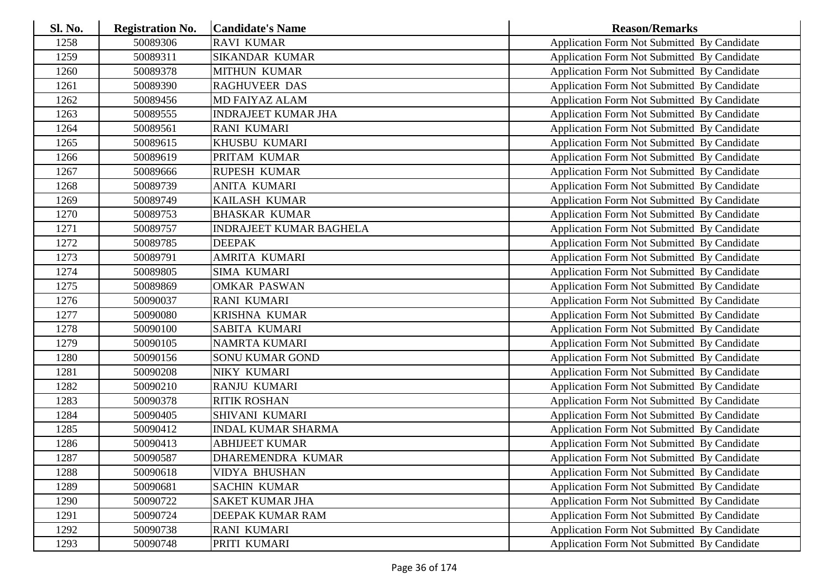| Sl. No. | <b>Registration No.</b> | <b>Candidate's Name</b>        | <b>Reason/Remarks</b>                       |
|---------|-------------------------|--------------------------------|---------------------------------------------|
| 1258    | 50089306                | <b>RAVI KUMAR</b>              | Application Form Not Submitted By Candidate |
| 1259    | 50089311                | <b>SIKANDAR KUMAR</b>          | Application Form Not Submitted By Candidate |
| 1260    | 50089378                | <b>MITHUN KUMAR</b>            | Application Form Not Submitted By Candidate |
| 1261    | 50089390                | <b>RAGHUVEER DAS</b>           | Application Form Not Submitted By Candidate |
| 1262    | 50089456                | <b>MD FAIYAZ ALAM</b>          | Application Form Not Submitted By Candidate |
| 1263    | 50089555                | <b>INDRAJEET KUMAR JHA</b>     | Application Form Not Submitted By Candidate |
| 1264    | 50089561                | <b>RANI KUMARI</b>             | Application Form Not Submitted By Candidate |
| 1265    | 50089615                | KHUSBU KUMARI                  | Application Form Not Submitted By Candidate |
| 1266    | 50089619                | PRITAM KUMAR                   | Application Form Not Submitted By Candidate |
| 1267    | 50089666                | <b>RUPESH KUMAR</b>            | Application Form Not Submitted By Candidate |
| 1268    | 50089739                | ANITA KUMARI                   | Application Form Not Submitted By Candidate |
| 1269    | 50089749                | KAILASH KUMAR                  | Application Form Not Submitted By Candidate |
| 1270    | 50089753                | <b>BHASKAR KUMAR</b>           | Application Form Not Submitted By Candidate |
| 1271    | 50089757                | <b>INDRAJEET KUMAR BAGHELA</b> | Application Form Not Submitted By Candidate |
| 1272    | 50089785                | <b>DEEPAK</b>                  | Application Form Not Submitted By Candidate |
| 1273    | 50089791                | AMRITA KUMARI                  | Application Form Not Submitted By Candidate |
| 1274    | 50089805                | SIMA KUMARI                    | Application Form Not Submitted By Candidate |
| 1275    | 50089869                | <b>OMKAR PASWAN</b>            | Application Form Not Submitted By Candidate |
| 1276    | 50090037                | <b>RANI KUMARI</b>             | Application Form Not Submitted By Candidate |
| 1277    | 50090080                | <b>KRISHNA KUMAR</b>           | Application Form Not Submitted By Candidate |
| 1278    | 50090100                | <b>SABITA KUMARI</b>           | Application Form Not Submitted By Candidate |
| 1279    | 50090105                | NAMRTA KUMARI                  | Application Form Not Submitted By Candidate |
| 1280    | 50090156                | SONU KUMAR GOND                | Application Form Not Submitted By Candidate |
| 1281    | 50090208                | NIKY KUMARI                    | Application Form Not Submitted By Candidate |
| 1282    | 50090210                | <b>RANJU KUMARI</b>            | Application Form Not Submitted By Candidate |
| 1283    | 50090378                | <b>RITIK ROSHAN</b>            | Application Form Not Submitted By Candidate |
| 1284    | 50090405                | SHIVANI KUMARI                 | Application Form Not Submitted By Candidate |
| 1285    | 50090412                | <b>INDAL KUMAR SHARMA</b>      | Application Form Not Submitted By Candidate |
| 1286    | 50090413                | <b>ABHIJEET KUMAR</b>          | Application Form Not Submitted By Candidate |
| 1287    | 50090587                | DHAREMENDRA KUMAR              | Application Form Not Submitted By Candidate |
| 1288    | 50090618                | <b>VIDYA BHUSHAN</b>           | Application Form Not Submitted By Candidate |
| 1289    | 50090681                | <b>SACHIN KUMAR</b>            | Application Form Not Submitted By Candidate |
| 1290    | 50090722                | <b>SAKET KUMAR JHA</b>         | Application Form Not Submitted By Candidate |
| 1291    | 50090724                | DEEPAK KUMAR RAM               | Application Form Not Submitted By Candidate |
| 1292    | 50090738                | RANI KUMARI                    | Application Form Not Submitted By Candidate |
| 1293    | 50090748                | PRITI KUMARI                   | Application Form Not Submitted By Candidate |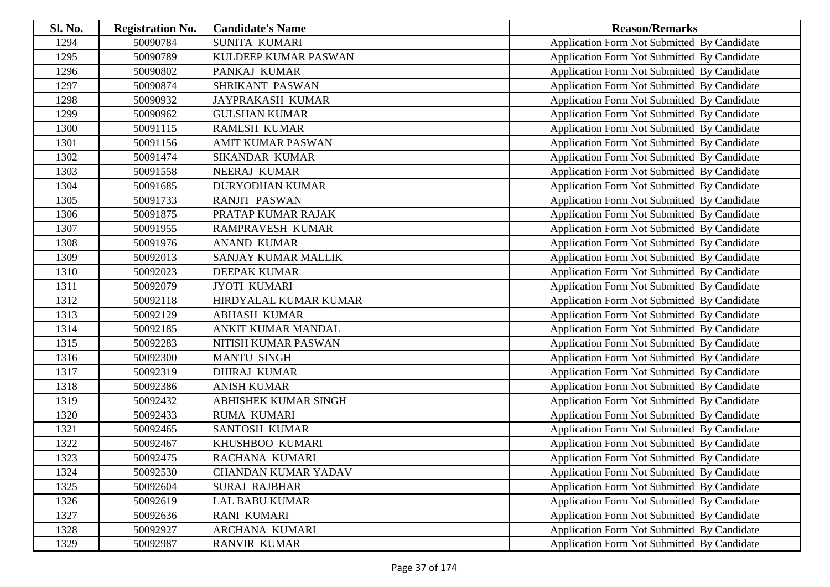| <b>Sl. No.</b> | <b>Registration No.</b> | <b>Candidate's Name</b>     | <b>Reason/Remarks</b>                              |
|----------------|-------------------------|-----------------------------|----------------------------------------------------|
| 1294           | 50090784                | SUNITA KUMARI               | Application Form Not Submitted By Candidate        |
| 1295           | 50090789                | <b>KULDEEP KUMAR PASWAN</b> | Application Form Not Submitted By Candidate        |
| 1296           | 50090802                | PANKAJ KUMAR                | Application Form Not Submitted By Candidate        |
| 1297           | 50090874                | SHRIKANT PASWAN             | Application Form Not Submitted By Candidate        |
| 1298           | 50090932                | JAYPRAKASH KUMAR            | Application Form Not Submitted By Candidate        |
| 1299           | 50090962                | <b>GULSHAN KUMAR</b>        | Application Form Not Submitted By Candidate        |
| 1300           | 50091115                | <b>RAMESH KUMAR</b>         | Application Form Not Submitted By Candidate        |
| 1301           | 50091156                | <b>AMIT KUMAR PASWAN</b>    | Application Form Not Submitted By Candidate        |
| 1302           | 50091474                | <b>SIKANDAR KUMAR</b>       | Application Form Not Submitted By Candidate        |
| 1303           | 50091558                | <b>NEERAJ KUMAR</b>         | Application Form Not Submitted By Candidate        |
| 1304           | 50091685                | <b>DURYODHAN KUMAR</b>      | Application Form Not Submitted By Candidate        |
| 1305           | 50091733                | <b>RANJIT PASWAN</b>        | Application Form Not Submitted By Candidate        |
| 1306           | 50091875                | PRATAP KUMAR RAJAK          | Application Form Not Submitted By Candidate        |
| 1307           | 50091955                | RAMPRAVESH KUMAR            | Application Form Not Submitted By Candidate        |
| 1308           | 50091976                | <b>ANAND KUMAR</b>          | Application Form Not Submitted By Candidate        |
| 1309           | 50092013                | <b>SANJAY KUMAR MALLIK</b>  | Application Form Not Submitted By Candidate        |
| 1310           | 50092023                | <b>DEEPAK KUMAR</b>         | Application Form Not Submitted By Candidate        |
| 1311           | 50092079                | <b>JYOTI KUMARI</b>         | Application Form Not Submitted By Candidate        |
| 1312           | 50092118                | HIRDYALAL KUMAR KUMAR       | Application Form Not Submitted By Candidate        |
| 1313           | 50092129                | <b>ABHASH KUMAR</b>         | Application Form Not Submitted By Candidate        |
| 1314           | 50092185                | ANKIT KUMAR MANDAL          | Application Form Not Submitted By Candidate        |
| 1315           | 50092283                | NITISH KUMAR PASWAN         | Application Form Not Submitted By Candidate        |
| 1316           | 50092300                | <b>MANTU SINGH</b>          | Application Form Not Submitted By Candidate        |
| 1317           | 50092319                | <b>DHIRAJ KUMAR</b>         | Application Form Not Submitted By Candidate        |
| 1318           | 50092386                | <b>ANISH KUMAR</b>          | Application Form Not Submitted By Candidate        |
| 1319           | 50092432                | ABHISHEK KUMAR SINGH        | Application Form Not Submitted By Candidate        |
| 1320           | 50092433                | <b>RUMA KUMARI</b>          | Application Form Not Submitted By Candidate        |
| 1321           | 50092465                | <b>SANTOSH KUMAR</b>        | Application Form Not Submitted By Candidate        |
| 1322           | 50092467                | KHUSHBOO KUMARI             | Application Form Not Submitted By Candidate        |
| 1323           | 50092475                | RACHANA KUMARI              | Application Form Not Submitted By Candidate        |
| 1324           | 50092530                | CHANDAN KUMAR YADAV         | Application Form Not Submitted By Candidate        |
| 1325           | 50092604                | <b>SURAJ RAJBHAR</b>        | Application Form Not Submitted By Candidate        |
| 1326           | 50092619                | <b>LAL BABU KUMAR</b>       | Application Form Not Submitted By Candidate        |
| 1327           | 50092636                | <b>RANI KUMARI</b>          | Application Form Not Submitted By Candidate        |
| 1328           | 50092927                | ARCHANA KUMARI              | <b>Application Form Not Submitted By Candidate</b> |
| 1329           | 50092987                | <b>RANVIR KUMAR</b>         | Application Form Not Submitted By Candidate        |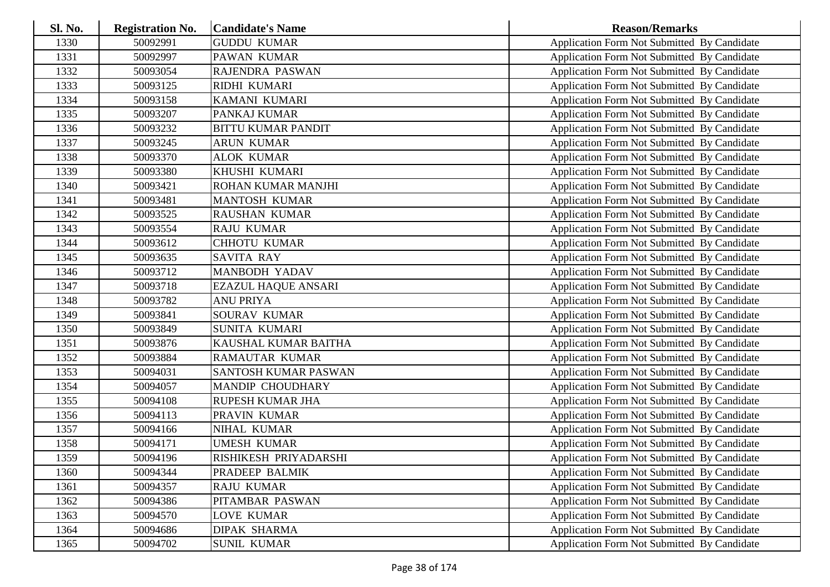| <b>Sl. No.</b> | <b>Registration No.</b> | <b>Candidate's Name</b>     | <b>Reason/Remarks</b>                              |
|----------------|-------------------------|-----------------------------|----------------------------------------------------|
| 1330           | 50092991                | <b>GUDDU KUMAR</b>          | Application Form Not Submitted By Candidate        |
| 1331           | 50092997                | PAWAN KUMAR                 | Application Form Not Submitted By Candidate        |
| 1332           | 50093054                | RAJENDRA PASWAN             | Application Form Not Submitted By Candidate        |
| 1333           | 50093125                | RIDHI KUMARI                | Application Form Not Submitted By Candidate        |
| 1334           | 50093158                | KAMANI KUMARI               | Application Form Not Submitted By Candidate        |
| 1335           | 50093207                | PANKAJ KUMAR                | Application Form Not Submitted By Candidate        |
| 1336           | 50093232                | <b>BITTU KUMAR PANDIT</b>   | Application Form Not Submitted By Candidate        |
| 1337           | 50093245                | <b>ARUN KUMAR</b>           | Application Form Not Submitted By Candidate        |
| 1338           | 50093370                | <b>ALOK KUMAR</b>           | Application Form Not Submitted By Candidate        |
| 1339           | 50093380                | KHUSHI KUMARI               | Application Form Not Submitted By Candidate        |
| 1340           | 50093421                | ROHAN KUMAR MANJHI          | Application Form Not Submitted By Candidate        |
| 1341           | 50093481                | <b>MANTOSH KUMAR</b>        | Application Form Not Submitted By Candidate        |
| 1342           | 50093525                | <b>RAUSHAN KUMAR</b>        | Application Form Not Submitted By Candidate        |
| 1343           | 50093554                | <b>RAJU KUMAR</b>           | Application Form Not Submitted By Candidate        |
| 1344           | 50093612                | <b>CHHOTU KUMAR</b>         | Application Form Not Submitted By Candidate        |
| 1345           | 50093635                | <b>SAVITA RAY</b>           | Application Form Not Submitted By Candidate        |
| 1346           | 50093712                | <b>MANBODH YADAV</b>        | <b>Application Form Not Submitted By Candidate</b> |
| 1347           | 50093718                | <b>EZAZUL HAQUE ANSARI</b>  | Application Form Not Submitted By Candidate        |
| 1348           | 50093782                | <b>ANU PRIYA</b>            | Application Form Not Submitted By Candidate        |
| 1349           | 50093841                | SOURAV KUMAR                | Application Form Not Submitted By Candidate        |
| 1350           | 50093849                | <b>SUNITA KUMARI</b>        | Application Form Not Submitted By Candidate        |
| 1351           | 50093876                | KAUSHAL KUMAR BAITHA        | Application Form Not Submitted By Candidate        |
| 1352           | 50093884                | <b>RAMAUTAR KUMAR</b>       | Application Form Not Submitted By Candidate        |
| 1353           | 50094031                | <b>SANTOSH KUMAR PASWAN</b> | Application Form Not Submitted By Candidate        |
| 1354           | 50094057                | <b>MANDIP CHOUDHARY</b>     | Application Form Not Submitted By Candidate        |
| 1355           | 50094108                | RUPESH KUMAR JHA            | Application Form Not Submitted By Candidate        |
| 1356           | 50094113                | PRAVIN KUMAR                | Application Form Not Submitted By Candidate        |
| 1357           | 50094166                | <b>NIHAL KUMAR</b>          | Application Form Not Submitted By Candidate        |
| 1358           | 50094171                | <b>UMESH KUMAR</b>          | Application Form Not Submitted By Candidate        |
| 1359           | 50094196                | RISHIKESH PRIYADARSHI       | Application Form Not Submitted By Candidate        |
| 1360           | 50094344                | PRADEEP BALMIK              | Application Form Not Submitted By Candidate        |
| 1361           | 50094357                | <b>RAJU KUMAR</b>           | Application Form Not Submitted By Candidate        |
| 1362           | 50094386                | PITAMBAR PASWAN             | Application Form Not Submitted By Candidate        |
| 1363           | 50094570                | <b>LOVE KUMAR</b>           | Application Form Not Submitted By Candidate        |
| 1364           | 50094686                | <b>DIPAK SHARMA</b>         | <b>Application Form Not Submitted By Candidate</b> |
| 1365           | 50094702                | <b>SUNIL KUMAR</b>          | <b>Application Form Not Submitted By Candidate</b> |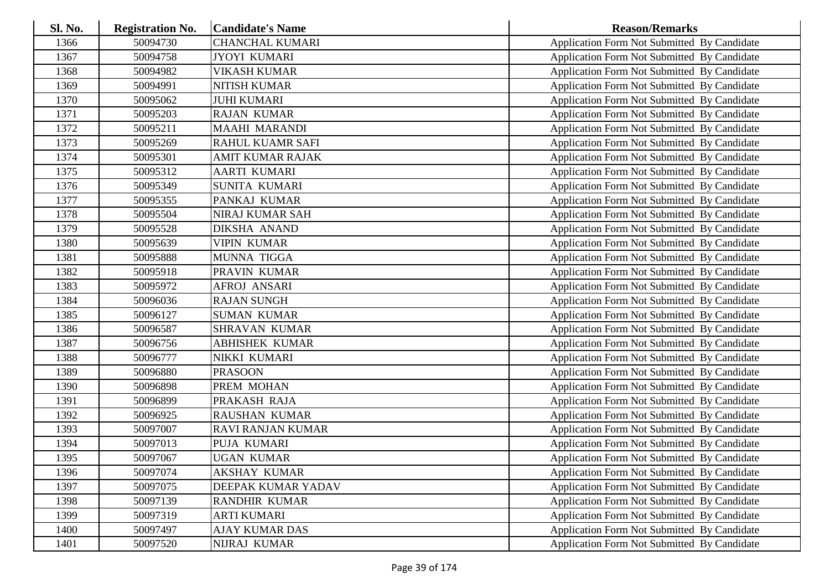| Sl. No. | <b>Registration No.</b> | <b>Candidate's Name</b>  | <b>Reason/Remarks</b>                       |
|---------|-------------------------|--------------------------|---------------------------------------------|
| 1366    | 50094730                | <b>CHANCHAL KUMARI</b>   | Application Form Not Submitted By Candidate |
| 1367    | 50094758                | <b>JYOYI KUMARI</b>      | Application Form Not Submitted By Candidate |
| 1368    | 50094982                | <b>VIKASH KUMAR</b>      | Application Form Not Submitted By Candidate |
| 1369    | 50094991                | <b>NITISH KUMAR</b>      | Application Form Not Submitted By Candidate |
| 1370    | 50095062                | <b>JUHI KUMARI</b>       | Application Form Not Submitted By Candidate |
| 1371    | 50095203                | <b>RAJAN KUMAR</b>       | Application Form Not Submitted By Candidate |
| 1372    | 50095211                | <b>MAAHI MARANDI</b>     | Application Form Not Submitted By Candidate |
| 1373    | 50095269                | <b>RAHUL KUAMR SAFI</b>  | Application Form Not Submitted By Candidate |
| 1374    | 50095301                | <b>AMIT KUMAR RAJAK</b>  | Application Form Not Submitted By Candidate |
| 1375    | 50095312                | <b>AARTI KUMARI</b>      | Application Form Not Submitted By Candidate |
| 1376    | 50095349                | SUNITA KUMARI            | Application Form Not Submitted By Candidate |
| 1377    | 50095355                | PANKAJ KUMAR             | Application Form Not Submitted By Candidate |
| 1378    | 50095504                | <b>NIRAJ KUMAR SAH</b>   | Application Form Not Submitted By Candidate |
| 1379    | 50095528                | DIKSHA ANAND             | Application Form Not Submitted By Candidate |
| 1380    | 50095639                | <b>VIPIN KUMAR</b>       | Application Form Not Submitted By Candidate |
| 1381    | 50095888                | MUNNA TIGGA              | Application Form Not Submitted By Candidate |
| 1382    | 50095918                | PRAVIN KUMAR             | Application Form Not Submitted By Candidate |
| 1383    | 50095972                | <b>AFROJ ANSARI</b>      | Application Form Not Submitted By Candidate |
| 1384    | 50096036                | <b>RAJAN SUNGH</b>       | Application Form Not Submitted By Candidate |
| 1385    | 50096127                | <b>SUMAN KUMAR</b>       | Application Form Not Submitted By Candidate |
| 1386    | 50096587                | <b>SHRAVAN KUMAR</b>     | Application Form Not Submitted By Candidate |
| 1387    | 50096756                | <b>ABHISHEK KUMAR</b>    | Application Form Not Submitted By Candidate |
| 1388    | 50096777                | NIKKI KUMARI             | Application Form Not Submitted By Candidate |
| 1389    | 50096880                | <b>PRASOON</b>           | Application Form Not Submitted By Candidate |
| 1390    | 50096898                | PREM MOHAN               | Application Form Not Submitted By Candidate |
| 1391    | 50096899                | PRAKASH RAJA             | Application Form Not Submitted By Candidate |
| 1392    | 50096925                | <b>RAUSHAN KUMAR</b>     | Application Form Not Submitted By Candidate |
| 1393    | 50097007                | <b>RAVI RANJAN KUMAR</b> | Application Form Not Submitted By Candidate |
| 1394    | 50097013                | PUJA KUMARI              | Application Form Not Submitted By Candidate |
| 1395    | 50097067                | <b>UGAN KUMAR</b>        | Application Form Not Submitted By Candidate |
| 1396    | 50097074                | <b>AKSHAY KUMAR</b>      | Application Form Not Submitted By Candidate |
| 1397    | 50097075                | DEEPAK KUMAR YADAV       | Application Form Not Submitted By Candidate |
| 1398    | 50097139                | RANDHIR KUMAR            | Application Form Not Submitted By Candidate |
| 1399    | 50097319                | <b>ARTI KUMARI</b>       | Application Form Not Submitted By Candidate |
| 1400    | 50097497                | <b>AJAY KUMAR DAS</b>    | Application Form Not Submitted By Candidate |
| 1401    | 50097520                | NIJRAJ KUMAR             | Application Form Not Submitted By Candidate |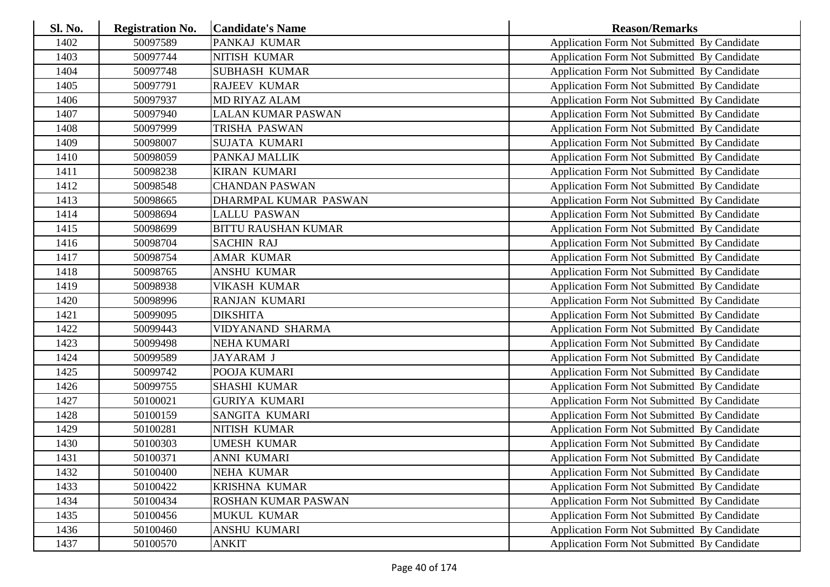| Sl. No. | <b>Registration No.</b> | <b>Candidate's Name</b>    | <b>Reason/Remarks</b>                              |
|---------|-------------------------|----------------------------|----------------------------------------------------|
| 1402    | 50097589                | PANKAJ KUMAR               | Application Form Not Submitted By Candidate        |
| 1403    | 50097744                | NITISH KUMAR               | Application Form Not Submitted By Candidate        |
| 1404    | 50097748                | <b>SUBHASH KUMAR</b>       | Application Form Not Submitted By Candidate        |
| 1405    | 50097791                | <b>RAJEEV KUMAR</b>        | Application Form Not Submitted By Candidate        |
| 1406    | 50097937                | <b>MD RIYAZ ALAM</b>       | Application Form Not Submitted By Candidate        |
| 1407    | 50097940                | <b>LALAN KUMAR PASWAN</b>  | Application Form Not Submitted By Candidate        |
| 1408    | 50097999                | TRISHA PASWAN              | Application Form Not Submitted By Candidate        |
| 1409    | 50098007                | <b>SUJATA KUMARI</b>       | Application Form Not Submitted By Candidate        |
| 1410    | 50098059                | PANKAJ MALLIK              | Application Form Not Submitted By Candidate        |
| 1411    | 50098238                | <b>KIRAN KUMARI</b>        | Application Form Not Submitted By Candidate        |
| 1412    | 50098548                | <b>CHANDAN PASWAN</b>      | Application Form Not Submitted By Candidate        |
| 1413    | 50098665                | DHARMPAL KUMAR PASWAN      | Application Form Not Submitted By Candidate        |
| 1414    | 50098694                | <b>LALLU PASWAN</b>        | Application Form Not Submitted By Candidate        |
| 1415    | 50098699                | <b>BITTU RAUSHAN KUMAR</b> | Application Form Not Submitted By Candidate        |
| 1416    | 50098704                | <b>SACHIN RAJ</b>          | Application Form Not Submitted By Candidate        |
| 1417    | 50098754                | <b>AMAR KUMAR</b>          | Application Form Not Submitted By Candidate        |
| 1418    | 50098765                | <b>ANSHU KUMAR</b>         | Application Form Not Submitted By Candidate        |
| 1419    | 50098938                | <b>VIKASH KUMAR</b>        | Application Form Not Submitted By Candidate        |
| 1420    | 50098996                | <b>RANJAN KUMARI</b>       | Application Form Not Submitted By Candidate        |
| 1421    | 50099095                | <b>DIKSHITA</b>            | Application Form Not Submitted By Candidate        |
| 1422    | 50099443                | VIDYANAND SHARMA           | Application Form Not Submitted By Candidate        |
| 1423    | 50099498                | <b>NEHA KUMARI</b>         | Application Form Not Submitted By Candidate        |
| 1424    | 50099589                | <b>JAYARAM J</b>           | Application Form Not Submitted By Candidate        |
| 1425    | 50099742                | POOJA KUMARI               | Application Form Not Submitted By Candidate        |
| 1426    | 50099755                | SHASHI KUMAR               | Application Form Not Submitted By Candidate        |
| 1427    | 50100021                | <b>GURIYA KUMARI</b>       | Application Form Not Submitted By Candidate        |
| 1428    | 50100159                | SANGITA KUMARI             | Application Form Not Submitted By Candidate        |
| 1429    | 50100281                | NITISH KUMAR               | Application Form Not Submitted By Candidate        |
| 1430    | 50100303                | <b>UMESH KUMAR</b>         | Application Form Not Submitted By Candidate        |
| 1431    | 50100371                | <b>ANNI KUMARI</b>         | Application Form Not Submitted By Candidate        |
| 1432    | 50100400                | <b>NEHA KUMAR</b>          | Application Form Not Submitted By Candidate        |
| 1433    | 50100422                | KRISHNA KUMAR              | Application Form Not Submitted By Candidate        |
| 1434    | 50100434                | ROSHAN KUMAR PASWAN        | <b>Application Form Not Submitted By Candidate</b> |
| 1435    | 50100456                | MUKUL KUMAR                | Application Form Not Submitted By Candidate        |
| 1436    | 50100460                | ANSHU KUMARI               | <b>Application Form Not Submitted By Candidate</b> |
| 1437    | 50100570                | <b>ANKIT</b>               | Application Form Not Submitted By Candidate        |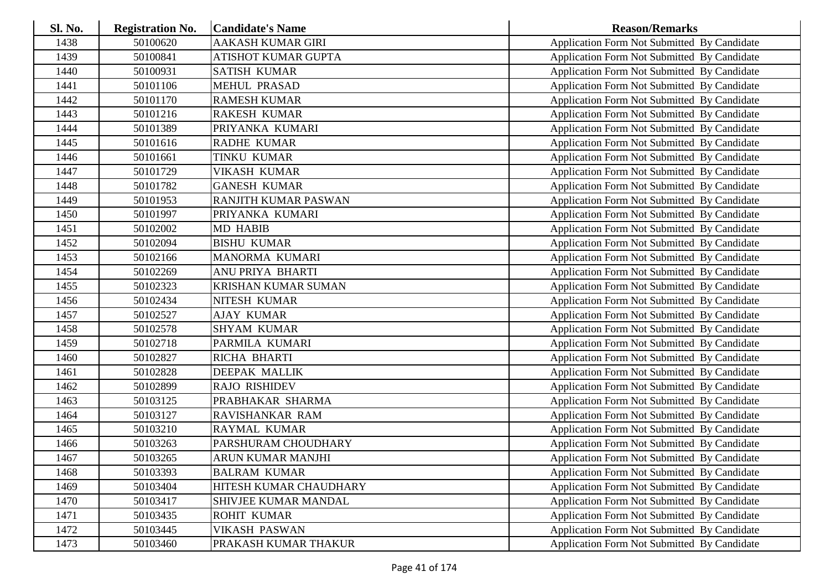| Sl. No. | <b>Registration No.</b> | <b>Candidate's Name</b>    | <b>Reason/Remarks</b>                       |
|---------|-------------------------|----------------------------|---------------------------------------------|
| 1438    | 50100620                | <b>AAKASH KUMAR GIRI</b>   | Application Form Not Submitted By Candidate |
| 1439    | 50100841                | ATISHOT KUMAR GUPTA        | Application Form Not Submitted By Candidate |
| 1440    | 50100931                | <b>SATISH KUMAR</b>        | Application Form Not Submitted By Candidate |
| 1441    | 50101106                | <b>MEHUL PRASAD</b>        | Application Form Not Submitted By Candidate |
| 1442    | 50101170                | <b>RAMESH KUMAR</b>        | Application Form Not Submitted By Candidate |
| 1443    | 50101216                | <b>RAKESH KUMAR</b>        | Application Form Not Submitted By Candidate |
| 1444    | 50101389                | PRIYANKA KUMARI            | Application Form Not Submitted By Candidate |
| 1445    | 50101616                | <b>RADHE KUMAR</b>         | Application Form Not Submitted By Candidate |
| 1446    | 50101661                | <b>TINKU KUMAR</b>         | Application Form Not Submitted By Candidate |
| 1447    | 50101729                | <b>VIKASH KUMAR</b>        | Application Form Not Submitted By Candidate |
| 1448    | 50101782                | <b>GANESH KUMAR</b>        | Application Form Not Submitted By Candidate |
| 1449    | 50101953                | RANJITH KUMAR PASWAN       | Application Form Not Submitted By Candidate |
| 1450    | 50101997                | PRIYANKA KUMARI            | Application Form Not Submitted By Candidate |
| 1451    | 50102002                | <b>MD HABIB</b>            | Application Form Not Submitted By Candidate |
| 1452    | 50102094                | <b>BISHU KUMAR</b>         | Application Form Not Submitted By Candidate |
| 1453    | 50102166                | MANORMA KUMARI             | Application Form Not Submitted By Candidate |
| 1454    | 50102269                | ANU PRIYA BHARTI           | Application Form Not Submitted By Candidate |
| 1455    | 50102323                | <b>KRISHAN KUMAR SUMAN</b> | Application Form Not Submitted By Candidate |
| 1456    | 50102434                | NITESH KUMAR               | Application Form Not Submitted By Candidate |
| 1457    | 50102527                | <b>AJAY KUMAR</b>          | Application Form Not Submitted By Candidate |
| 1458    | 50102578                | <b>SHYAM KUMAR</b>         | Application Form Not Submitted By Candidate |
| 1459    | 50102718                | PARMILA KUMARI             | Application Form Not Submitted By Candidate |
| 1460    | 50102827                | RICHA BHARTI               | Application Form Not Submitted By Candidate |
| 1461    | 50102828                | DEEPAK MALLIK              | Application Form Not Submitted By Candidate |
| 1462    | 50102899                | <b>RAJO RISHIDEV</b>       | Application Form Not Submitted By Candidate |
| 1463    | 50103125                | PRABHAKAR SHARMA           | Application Form Not Submitted By Candidate |
| 1464    | 50103127                | RAVISHANKAR RAM            | Application Form Not Submitted By Candidate |
| 1465    | 50103210                | RAYMAL KUMAR               | Application Form Not Submitted By Candidate |
| 1466    | 50103263                | PARSHURAM CHOUDHARY        | Application Form Not Submitted By Candidate |
| 1467    | 50103265                | ARUN KUMAR MANJHI          | Application Form Not Submitted By Candidate |
| 1468    | 50103393                | <b>BALRAM KUMAR</b>        | Application Form Not Submitted By Candidate |
| 1469    | 50103404                | HITESH KUMAR CHAUDHARY     | Application Form Not Submitted By Candidate |
| 1470    | 50103417                | SHIVJEE KUMAR MANDAL       | Application Form Not Submitted By Candidate |
| 1471    | 50103435                | <b>ROHIT KUMAR</b>         | Application Form Not Submitted By Candidate |
| 1472    | 50103445                | <b>VIKASH PASWAN</b>       | Application Form Not Submitted By Candidate |
| 1473    | 50103460                | PRAKASH KUMAR THAKUR       | Application Form Not Submitted By Candidate |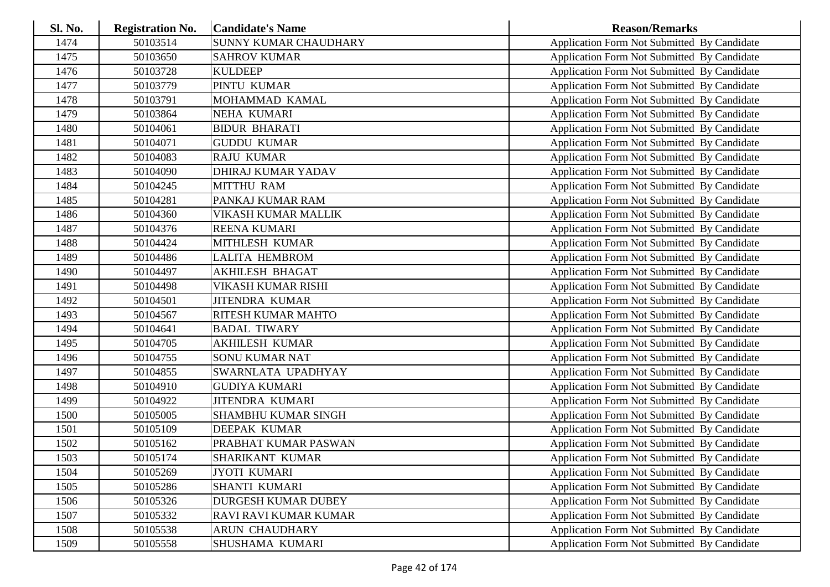| Sl. No. | <b>Registration No.</b> | <b>Candidate's Name</b>      | <b>Reason/Remarks</b>                              |
|---------|-------------------------|------------------------------|----------------------------------------------------|
| 1474    | 50103514                | <b>SUNNY KUMAR CHAUDHARY</b> | Application Form Not Submitted By Candidate        |
| 1475    | 50103650                | <b>SAHROV KUMAR</b>          | Application Form Not Submitted By Candidate        |
| 1476    | 50103728                | <b>KULDEEP</b>               | Application Form Not Submitted By Candidate        |
| 1477    | 50103779                | PINTU KUMAR                  | Application Form Not Submitted By Candidate        |
| 1478    | 50103791                | MOHAMMAD KAMAL               | Application Form Not Submitted By Candidate        |
| 1479    | 50103864                | NEHA KUMARI                  | Application Form Not Submitted By Candidate        |
| 1480    | 50104061                | <b>BIDUR BHARATI</b>         | Application Form Not Submitted By Candidate        |
| 1481    | 50104071                | <b>GUDDU KUMAR</b>           | Application Form Not Submitted By Candidate        |
| 1482    | 50104083                | <b>RAJU KUMAR</b>            | Application Form Not Submitted By Candidate        |
| 1483    | 50104090                | DHIRAJ KUMAR YADAV           | Application Form Not Submitted By Candidate        |
| 1484    | 50104245                | <b>MITTHU RAM</b>            | Application Form Not Submitted By Candidate        |
| 1485    | 50104281                | PANKAJ KUMAR RAM             | Application Form Not Submitted By Candidate        |
| 1486    | 50104360                | VIKASH KUMAR MALLIK          | Application Form Not Submitted By Candidate        |
| 1487    | 50104376                | <b>REENA KUMARI</b>          | Application Form Not Submitted By Candidate        |
| 1488    | 50104424                | MITHLESH KUMAR               | Application Form Not Submitted By Candidate        |
| 1489    | 50104486                | <b>LALITA HEMBROM</b>        | Application Form Not Submitted By Candidate        |
| 1490    | 50104497                | <b>AKHILESH BHAGAT</b>       | Application Form Not Submitted By Candidate        |
| 1491    | 50104498                | VIKASH KUMAR RISHI           | Application Form Not Submitted By Candidate        |
| 1492    | 50104501                | <b>JITENDRA KUMAR</b>        | Application Form Not Submitted By Candidate        |
| 1493    | 50104567                | RITESH KUMAR MAHTO           | Application Form Not Submitted By Candidate        |
| 1494    | 50104641                | <b>BADAL TIWARY</b>          | Application Form Not Submitted By Candidate        |
| 1495    | 50104705                | <b>AKHILESH KUMAR</b>        | Application Form Not Submitted By Candidate        |
| 1496    | 50104755                | <b>SONU KUMAR NAT</b>        | Application Form Not Submitted By Candidate        |
| 1497    | 50104855                | SWARNLATA UPADHYAY           | Application Form Not Submitted By Candidate        |
| 1498    | 50104910                | <b>GUDIYA KUMARI</b>         | Application Form Not Submitted By Candidate        |
| 1499    | 50104922                | <b>JITENDRA KUMARI</b>       | Application Form Not Submitted By Candidate        |
| 1500    | 50105005                | SHAMBHU KUMAR SINGH          | Application Form Not Submitted By Candidate        |
| 1501    | 50105109                | DEEPAK KUMAR                 | Application Form Not Submitted By Candidate        |
| 1502    | 50105162                | PRABHAT KUMAR PASWAN         | Application Form Not Submitted By Candidate        |
| 1503    | 50105174                | SHARIKANT KUMAR              | Application Form Not Submitted By Candidate        |
| 1504    | 50105269                | <b>JYOTI KUMARI</b>          | Application Form Not Submitted By Candidate        |
| 1505    | 50105286                | SHANTI KUMARI                | Application Form Not Submitted By Candidate        |
| 1506    | 50105326                | <b>DURGESH KUMAR DUBEY</b>   | Application Form Not Submitted By Candidate        |
| 1507    | 50105332                | RAVI RAVI KUMAR KUMAR        | Application Form Not Submitted By Candidate        |
| 1508    | 50105538                | <b>ARUN CHAUDHARY</b>        | <b>Application Form Not Submitted By Candidate</b> |
| 1509    | 50105558                | SHUSHAMA KUMARI              | Application Form Not Submitted By Candidate        |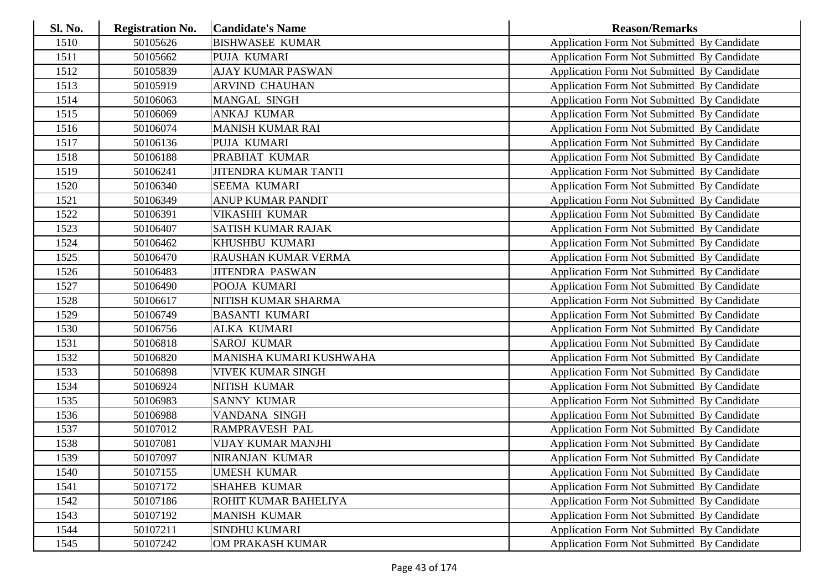| <b>Sl. No.</b> | <b>Registration No.</b> | <b>Candidate's Name</b>     | <b>Reason/Remarks</b>                              |
|----------------|-------------------------|-----------------------------|----------------------------------------------------|
| 1510           | 50105626                | <b>BISHWASEE KUMAR</b>      | Application Form Not Submitted By Candidate        |
| 1511           | 50105662                | PUJA KUMARI                 | Application Form Not Submitted By Candidate        |
| 1512           | 50105839                | <b>AJAY KUMAR PASWAN</b>    | Application Form Not Submitted By Candidate        |
| 1513           | 50105919                | <b>ARVIND CHAUHAN</b>       | Application Form Not Submitted By Candidate        |
| 1514           | 50106063                | MANGAL SINGH                | Application Form Not Submitted By Candidate        |
| 1515           | 50106069                | <b>ANKAJ KUMAR</b>          | Application Form Not Submitted By Candidate        |
| 1516           | 50106074                | <b>MANISH KUMAR RAI</b>     | Application Form Not Submitted By Candidate        |
| 1517           | 50106136                | PUJA KUMARI                 | Application Form Not Submitted By Candidate        |
| 1518           | 50106188                | PRABHAT KUMAR               | Application Form Not Submitted By Candidate        |
| 1519           | 50106241                | <b>JITENDRA KUMAR TANTI</b> | Application Form Not Submitted By Candidate        |
| 1520           | 50106340                | SEEMA KUMARI                | Application Form Not Submitted By Candidate        |
| 1521           | 50106349                | ANUP KUMAR PANDIT           | Application Form Not Submitted By Candidate        |
| 1522           | 50106391                | <b>VIKASHH KUMAR</b>        | Application Form Not Submitted By Candidate        |
| 1523           | 50106407                | <b>SATISH KUMAR RAJAK</b>   | Application Form Not Submitted By Candidate        |
| 1524           | 50106462                | KHUSHBU KUMARI              | Application Form Not Submitted By Candidate        |
| 1525           | 50106470                | RAUSHAN KUMAR VERMA         | Application Form Not Submitted By Candidate        |
| 1526           | 50106483                | <b>JITENDRA PASWAN</b>      | <b>Application Form Not Submitted By Candidate</b> |
| 1527           | 50106490                | POOJA KUMARI                | Application Form Not Submitted By Candidate        |
| 1528           | 50106617                | NITISH KUMAR SHARMA         | Application Form Not Submitted By Candidate        |
| 1529           | 50106749                | <b>BASANTI KUMARI</b>       | Application Form Not Submitted By Candidate        |
| 1530           | 50106756                | <b>ALKA KUMARI</b>          | Application Form Not Submitted By Candidate        |
| 1531           | 50106818                | <b>SAROJ KUMAR</b>          | Application Form Not Submitted By Candidate        |
| 1532           | 50106820                | MANISHA KUMARI KUSHWAHA     | Application Form Not Submitted By Candidate        |
| 1533           | 50106898                | <b>VIVEK KUMAR SINGH</b>    | Application Form Not Submitted By Candidate        |
| 1534           | 50106924                | NITISH KUMAR                | Application Form Not Submitted By Candidate        |
| 1535           | 50106983                | <b>SANNY KUMAR</b>          | Application Form Not Submitted By Candidate        |
| 1536           | 50106988                | VANDANA SINGH               | Application Form Not Submitted By Candidate        |
| 1537           | 50107012                | <b>RAMPRAVESH PAL</b>       | Application Form Not Submitted By Candidate        |
| 1538           | 50107081                | <b>VIJAY KUMAR MANJHI</b>   | Application Form Not Submitted By Candidate        |
| 1539           | 50107097                | NIRANJAN KUMAR              | Application Form Not Submitted By Candidate        |
| 1540           | 50107155                | <b>UMESH KUMAR</b>          | Application Form Not Submitted By Candidate        |
| 1541           | 50107172                | <b>SHAHEB KUMAR</b>         | Application Form Not Submitted By Candidate        |
| 1542           | 50107186                | ROHIT KUMAR BAHELIYA        | Application Form Not Submitted By Candidate        |
| 1543           | 50107192                | <b>MANISH KUMAR</b>         | <b>Application Form Not Submitted By Candidate</b> |
| 1544           | 50107211                | SINDHU KUMARI               | Application Form Not Submitted By Candidate        |
| 1545           | 50107242                | OM PRAKASH KUMAR            | <b>Application Form Not Submitted By Candidate</b> |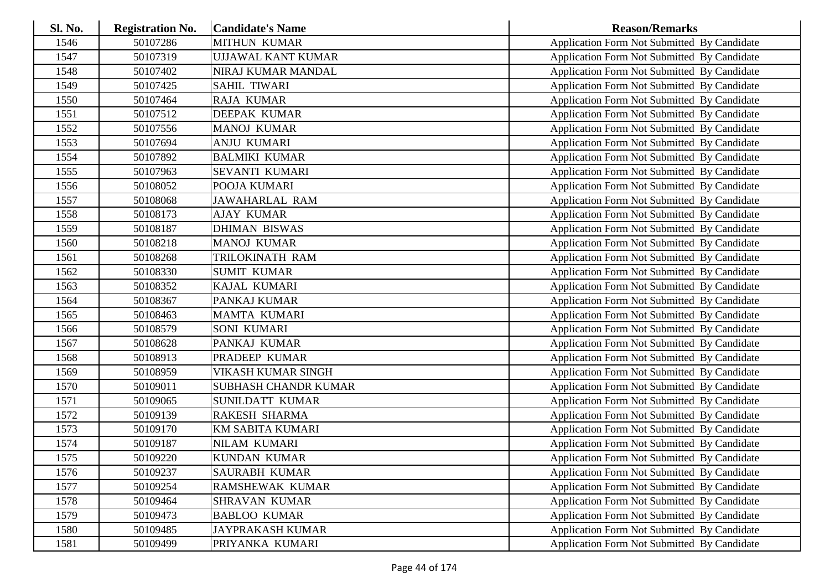| Sl. No. | <b>Registration No.</b> | <b>Candidate's Name</b>     | <b>Reason/Remarks</b>                              |
|---------|-------------------------|-----------------------------|----------------------------------------------------|
| 1546    | 50107286                | <b>MITHUN KUMAR</b>         | Application Form Not Submitted By Candidate        |
| 1547    | 50107319                | UJJAWAL KANT KUMAR          | Application Form Not Submitted By Candidate        |
| 1548    | 50107402                | NIRAJ KUMAR MANDAL          | Application Form Not Submitted By Candidate        |
| 1549    | 50107425                | <b>SAHIL TIWARI</b>         | Application Form Not Submitted By Candidate        |
| 1550    | 50107464                | <b>RAJA KUMAR</b>           | Application Form Not Submitted By Candidate        |
| 1551    | 50107512                | <b>DEEPAK KUMAR</b>         | Application Form Not Submitted By Candidate        |
| 1552    | 50107556                | <b>MANOJ KUMAR</b>          | Application Form Not Submitted By Candidate        |
| 1553    | 50107694                | ANJU KUMARI                 | Application Form Not Submitted By Candidate        |
| 1554    | 50107892                | <b>BALMIKI KUMAR</b>        | Application Form Not Submitted By Candidate        |
| 1555    | 50107963                | SEVANTI KUMARI              | Application Form Not Submitted By Candidate        |
| 1556    | 50108052                | POOJA KUMARI                | Application Form Not Submitted By Candidate        |
| 1557    | 50108068                | <b>JAWAHARLAL RAM</b>       | Application Form Not Submitted By Candidate        |
| 1558    | 50108173                | <b>AJAY KUMAR</b>           | Application Form Not Submitted By Candidate        |
| 1559    | 50108187                | <b>DHIMAN BISWAS</b>        | Application Form Not Submitted By Candidate        |
| 1560    | 50108218                | <b>MANOJ KUMAR</b>          | Application Form Not Submitted By Candidate        |
| 1561    | 50108268                | TRILOKINATH RAM             | Application Form Not Submitted By Candidate        |
| 1562    | 50108330                | <b>SUMIT KUMAR</b>          | Application Form Not Submitted By Candidate        |
| 1563    | 50108352                | KAJAL KUMARI                | Application Form Not Submitted By Candidate        |
| 1564    | 50108367                | PANKAJ KUMAR                | Application Form Not Submitted By Candidate        |
| 1565    | 50108463                | <b>MAMTA KUMARI</b>         | Application Form Not Submitted By Candidate        |
| 1566    | 50108579                | SONI KUMARI                 | Application Form Not Submitted By Candidate        |
| 1567    | 50108628                | PANKAJ KUMAR                | Application Form Not Submitted By Candidate        |
| 1568    | 50108913                | PRADEEP KUMAR               | Application Form Not Submitted By Candidate        |
| 1569    | 50108959                | VIKASH KUMAR SINGH          | Application Form Not Submitted By Candidate        |
| 1570    | 50109011                | <b>SUBHASH CHANDR KUMAR</b> | Application Form Not Submitted By Candidate        |
| 1571    | 50109065                | SUNILDATT KUMAR             | Application Form Not Submitted By Candidate        |
| 1572    | 50109139                | <b>RAKESH SHARMA</b>        | Application Form Not Submitted By Candidate        |
| 1573    | 50109170                | <b>KM SABITA KUMARI</b>     | Application Form Not Submitted By Candidate        |
| 1574    | 50109187                | <b>NILAM KUMARI</b>         | Application Form Not Submitted By Candidate        |
| 1575    | 50109220                | KUNDAN KUMAR                | Application Form Not Submitted By Candidate        |
| 1576    | 50109237                | SAURABH KUMAR               | Application Form Not Submitted By Candidate        |
| 1577    | 50109254                | <b>RAMSHEWAK KUMAR</b>      | Application Form Not Submitted By Candidate        |
| 1578    | 50109464                | SHRAVAN KUMAR               | Application Form Not Submitted By Candidate        |
| 1579    | 50109473                | <b>BABLOO KUMAR</b>         | Application Form Not Submitted By Candidate        |
| 1580    | 50109485                | <b>JAYPRAKASH KUMAR</b>     | <b>Application Form Not Submitted By Candidate</b> |
| 1581    | 50109499                | PRIYANKA KUMARI             | Application Form Not Submitted By Candidate        |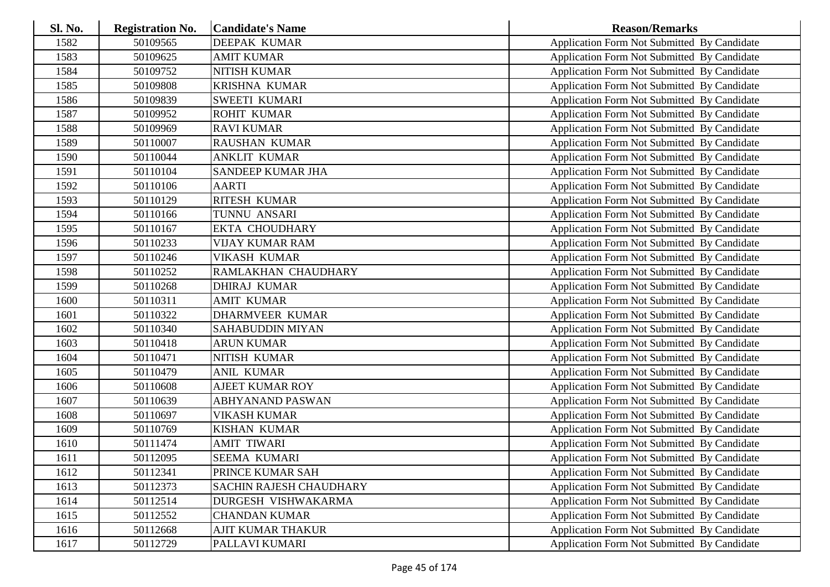| <b>Sl. No.</b> | <b>Registration No.</b> | <b>Candidate's Name</b>        | <b>Reason/Remarks</b>                              |
|----------------|-------------------------|--------------------------------|----------------------------------------------------|
| 1582           | 50109565                | <b>DEEPAK KUMAR</b>            | Application Form Not Submitted By Candidate        |
| 1583           | 50109625                | <b>AMIT KUMAR</b>              | Application Form Not Submitted By Candidate        |
| 1584           | 50109752                | <b>NITISH KUMAR</b>            | Application Form Not Submitted By Candidate        |
| 1585           | 50109808                | <b>KRISHNA KUMAR</b>           | Application Form Not Submitted By Candidate        |
| 1586           | 50109839                | <b>SWEETI KUMARI</b>           | Application Form Not Submitted By Candidate        |
| 1587           | 50109952                | <b>ROHIT KUMAR</b>             | Application Form Not Submitted By Candidate        |
| 1588           | 50109969                | <b>RAVI KUMAR</b>              | Application Form Not Submitted By Candidate        |
| 1589           | 50110007                | <b>RAUSHAN KUMAR</b>           | Application Form Not Submitted By Candidate        |
| 1590           | 50110044                | <b>ANKLIT KUMAR</b>            | Application Form Not Submitted By Candidate        |
| 1591           | 50110104                | <b>SANDEEP KUMAR JHA</b>       | Application Form Not Submitted By Candidate        |
| 1592           | 50110106                | <b>AARTI</b>                   | Application Form Not Submitted By Candidate        |
| 1593           | 50110129                | <b>RITESH KUMAR</b>            | Application Form Not Submitted By Candidate        |
| 1594           | 50110166                | TUNNU ANSARI                   | Application Form Not Submitted By Candidate        |
| 1595           | 50110167                | <b>EKTA CHOUDHARY</b>          | Application Form Not Submitted By Candidate        |
| 1596           | 50110233                | <b>VIJAY KUMAR RAM</b>         | Application Form Not Submitted By Candidate        |
| 1597           | 50110246                | <b>VIKASH KUMAR</b>            | Application Form Not Submitted By Candidate        |
| 1598           | 50110252                | RAMLAKHAN CHAUDHARY            | <b>Application Form Not Submitted By Candidate</b> |
| 1599           | 50110268                | <b>DHIRAJ KUMAR</b>            | Application Form Not Submitted By Candidate        |
| 1600           | 50110311                | <b>AMIT KUMAR</b>              | Application Form Not Submitted By Candidate        |
| 1601           | 50110322                | <b>DHARMVEER KUMAR</b>         | Application Form Not Submitted By Candidate        |
| 1602           | 50110340                | <b>SAHABUDDIN MIYAN</b>        | Application Form Not Submitted By Candidate        |
| 1603           | 50110418                | <b>ARUN KUMAR</b>              | Application Form Not Submitted By Candidate        |
| 1604           | 50110471                | NITISH KUMAR                   | Application Form Not Submitted By Candidate        |
| 1605           | 50110479                | <b>ANIL KUMAR</b>              | Application Form Not Submitted By Candidate        |
| 1606           | 50110608                | <b>AJEET KUMAR ROY</b>         | Application Form Not Submitted By Candidate        |
| 1607           | 50110639                | <b>ABHYANAND PASWAN</b>        | Application Form Not Submitted By Candidate        |
| 1608           | 50110697                | <b>VIKASH KUMAR</b>            | Application Form Not Submitted By Candidate        |
| 1609           | 50110769                | <b>KISHAN KUMAR</b>            | Application Form Not Submitted By Candidate        |
| 1610           | 50111474                | <b>AMIT TIWARI</b>             | Application Form Not Submitted By Candidate        |
| 1611           | 50112095                | <b>SEEMA KUMARI</b>            | Application Form Not Submitted By Candidate        |
| 1612           | 50112341                | PRINCE KUMAR SAH               | Application Form Not Submitted By Candidate        |
| 1613           | 50112373                | <b>SACHIN RAJESH CHAUDHARY</b> | Application Form Not Submitted By Candidate        |
| 1614           | 50112514                | DURGESH VISHWAKARMA            | Application Form Not Submitted By Candidate        |
| 1615           | 50112552                | <b>CHANDAN KUMAR</b>           | Application Form Not Submitted By Candidate        |
| 1616           | 50112668                | AJIT KUMAR THAKUR              | Application Form Not Submitted By Candidate        |
| 1617           | 50112729                | PALLAVI KUMARI                 | Application Form Not Submitted By Candidate        |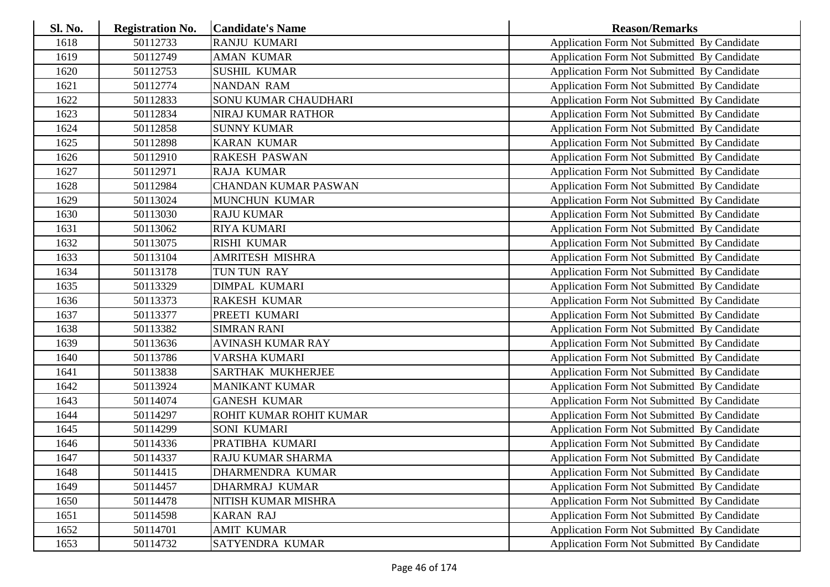| Sl. No. | <b>Registration No.</b> | <b>Candidate's Name</b>     | <b>Reason/Remarks</b>                       |
|---------|-------------------------|-----------------------------|---------------------------------------------|
| 1618    | 50112733                | <b>RANJU KUMARI</b>         | Application Form Not Submitted By Candidate |
| 1619    | 50112749                | <b>AMAN KUMAR</b>           | Application Form Not Submitted By Candidate |
| 1620    | 50112753                | <b>SUSHIL KUMAR</b>         | Application Form Not Submitted By Candidate |
| 1621    | 50112774                | <b>NANDAN RAM</b>           | Application Form Not Submitted By Candidate |
| 1622    | 50112833                | SONU KUMAR CHAUDHARI        | Application Form Not Submitted By Candidate |
| 1623    | 50112834                | NIRAJ KUMAR RATHOR          | Application Form Not Submitted By Candidate |
| 1624    | 50112858                | <b>SUNNY KUMAR</b>          | Application Form Not Submitted By Candidate |
| 1625    | 50112898                | <b>KARAN KUMAR</b>          | Application Form Not Submitted By Candidate |
| 1626    | 50112910                | <b>RAKESH PASWAN</b>        | Application Form Not Submitted By Candidate |
| 1627    | 50112971                | <b>RAJA KUMAR</b>           | Application Form Not Submitted By Candidate |
| 1628    | 50112984                | <b>CHANDAN KUMAR PASWAN</b> | Application Form Not Submitted By Candidate |
| 1629    | 50113024                | MUNCHUN KUMAR               | Application Form Not Submitted By Candidate |
| 1630    | 50113030                | <b>RAJU KUMAR</b>           | Application Form Not Submitted By Candidate |
| 1631    | 50113062                | <b>RIYA KUMARI</b>          | Application Form Not Submitted By Candidate |
| 1632    | 50113075                | <b>RISHI KUMAR</b>          | Application Form Not Submitted By Candidate |
| 1633    | 50113104                | <b>AMRITESH MISHRA</b>      | Application Form Not Submitted By Candidate |
| 1634    | 50113178                | TUN TUN RAY                 | Application Form Not Submitted By Candidate |
| 1635    | 50113329                | <b>DIMPAL KUMARI</b>        | Application Form Not Submitted By Candidate |
| 1636    | 50113373                | <b>RAKESH KUMAR</b>         | Application Form Not Submitted By Candidate |
| 1637    | 50113377                | PREETI KUMARI               | Application Form Not Submitted By Candidate |
| 1638    | 50113382                | <b>SIMRAN RANI</b>          | Application Form Not Submitted By Candidate |
| 1639    | 50113636                | <b>AVINASH KUMAR RAY</b>    | Application Form Not Submitted By Candidate |
| 1640    | 50113786                | VARSHA KUMARI               | Application Form Not Submitted By Candidate |
| 1641    | 50113838                | <b>SARTHAK MUKHERJEE</b>    | Application Form Not Submitted By Candidate |
| 1642    | 50113924                | <b>MANIKANT KUMAR</b>       | Application Form Not Submitted By Candidate |
| 1643    | 50114074                | <b>GANESH KUMAR</b>         | Application Form Not Submitted By Candidate |
| 1644    | 50114297                | ROHIT KUMAR ROHIT KUMAR     | Application Form Not Submitted By Candidate |
| 1645    | 50114299                | <b>SONI KUMARI</b>          | Application Form Not Submitted By Candidate |
| 1646    | 50114336                | PRATIBHA KUMARI             | Application Form Not Submitted By Candidate |
| 1647    | 50114337                | <b>RAJU KUMAR SHARMA</b>    | Application Form Not Submitted By Candidate |
| 1648    | 50114415                | DHARMENDRA KUMAR            | Application Form Not Submitted By Candidate |
| 1649    | 50114457                | DHARMRAJ KUMAR              | Application Form Not Submitted By Candidate |
| 1650    | 50114478                | NITISH KUMAR MISHRA         | Application Form Not Submitted By Candidate |
| 1651    | 50114598                | <b>KARAN RAJ</b>            | Application Form Not Submitted By Candidate |
| 1652    | 50114701                | <b>AMIT KUMAR</b>           | Application Form Not Submitted By Candidate |
| 1653    | 50114732                | SATYENDRA KUMAR             | Application Form Not Submitted By Candidate |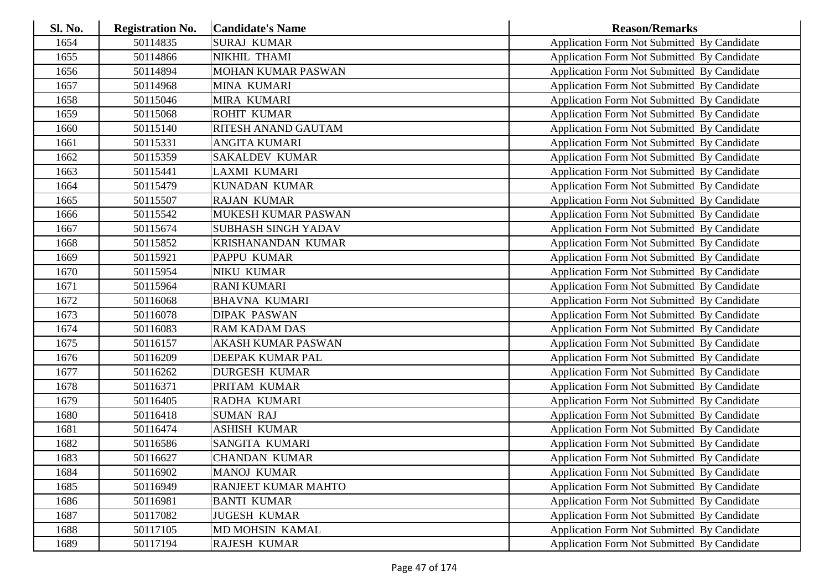| <b>Sl. No.</b> | <b>Registration No.</b> | <b>Candidate's Name</b>    | <b>Reason/Remarks</b>                              |
|----------------|-------------------------|----------------------------|----------------------------------------------------|
| 1654           | 50114835                | <b>SURAJ KUMAR</b>         | Application Form Not Submitted By Candidate        |
| 1655           | 50114866                | <b>NIKHIL THAMI</b>        | Application Form Not Submitted By Candidate        |
| 1656           | 50114894                | <b>MOHAN KUMAR PASWAN</b>  | Application Form Not Submitted By Candidate        |
| 1657           | 50114968                | MINA KUMARI                | Application Form Not Submitted By Candidate        |
| 1658           | 50115046                | MIRA KUMARI                | Application Form Not Submitted By Candidate        |
| 1659           | 50115068                | <b>ROHIT KUMAR</b>         | Application Form Not Submitted By Candidate        |
| 1660           | 50115140                | RITESH ANAND GAUTAM        | Application Form Not Submitted By Candidate        |
| 1661           | 50115331                | <b>ANGITA KUMARI</b>       | Application Form Not Submitted By Candidate        |
| 1662           | 50115359                | <b>SAKALDEV KUMAR</b>      | Application Form Not Submitted By Candidate        |
| 1663           | 50115441                | LAXMI KUMARI               | Application Form Not Submitted By Candidate        |
| 1664           | 50115479                | <b>KUNADAN KUMAR</b>       | Application Form Not Submitted By Candidate        |
| 1665           | 50115507                | <b>RAJAN KUMAR</b>         | Application Form Not Submitted By Candidate        |
| 1666           | 50115542                | MUKESH KUMAR PASWAN        | Application Form Not Submitted By Candidate        |
| 1667           | 50115674                | <b>SUBHASH SINGH YADAV</b> | <b>Application Form Not Submitted By Candidate</b> |
| 1668           | 50115852                | KRISHANANDAN KUMAR         | Application Form Not Submitted By Candidate        |
| 1669           | 50115921                | PAPPU KUMAR                | Application Form Not Submitted By Candidate        |
| 1670           | 50115954                | NIKU KUMAR                 | Application Form Not Submitted By Candidate        |
| 1671           | 50115964                | <b>RANI KUMARI</b>         | Application Form Not Submitted By Candidate        |
| 1672           | 50116068                | <b>BHAVNA KUMARI</b>       | Application Form Not Submitted By Candidate        |
| 1673           | 50116078                | <b>DIPAK PASWAN</b>        | Application Form Not Submitted By Candidate        |
| 1674           | 50116083                | <b>RAM KADAM DAS</b>       | <b>Application Form Not Submitted By Candidate</b> |
| 1675           | 50116157                | AKASH KUMAR PASWAN         | Application Form Not Submitted By Candidate        |
| 1676           | 50116209                | DEEPAK KUMAR PAL           | Application Form Not Submitted By Candidate        |
| 1677           | 50116262                | <b>DURGESH KUMAR</b>       | Application Form Not Submitted By Candidate        |
| 1678           | 50116371                | PRITAM KUMAR               | Application Form Not Submitted By Candidate        |
| 1679           | 50116405                | RADHA KUMARI               | Application Form Not Submitted By Candidate        |
| 1680           | 50116418                | <b>SUMAN RAJ</b>           | Application Form Not Submitted By Candidate        |
| 1681           | 50116474                | <b>ASHISH KUMAR</b>        | Application Form Not Submitted By Candidate        |
| 1682           | 50116586                | SANGITA KUMARI             | Application Form Not Submitted By Candidate        |
| 1683           | 50116627                | <b>CHANDAN KUMAR</b>       | Application Form Not Submitted By Candidate        |
| 1684           | 50116902                | <b>MANOJ KUMAR</b>         | Application Form Not Submitted By Candidate        |
| 1685           | 50116949                | RANJEET KUMAR MAHTO        | <b>Application Form Not Submitted By Candidate</b> |
| 1686           | 50116981                | <b>BANTI KUMAR</b>         | Application Form Not Submitted By Candidate        |
| 1687           | 50117082                | <b>JUGESH KUMAR</b>        | Application Form Not Submitted By Candidate        |
| 1688           | 50117105                | MD MOHSIN KAMAL            | <b>Application Form Not Submitted By Candidate</b> |
| 1689           | 50117194                | <b>RAJESH KUMAR</b>        | <b>Application Form Not Submitted By Candidate</b> |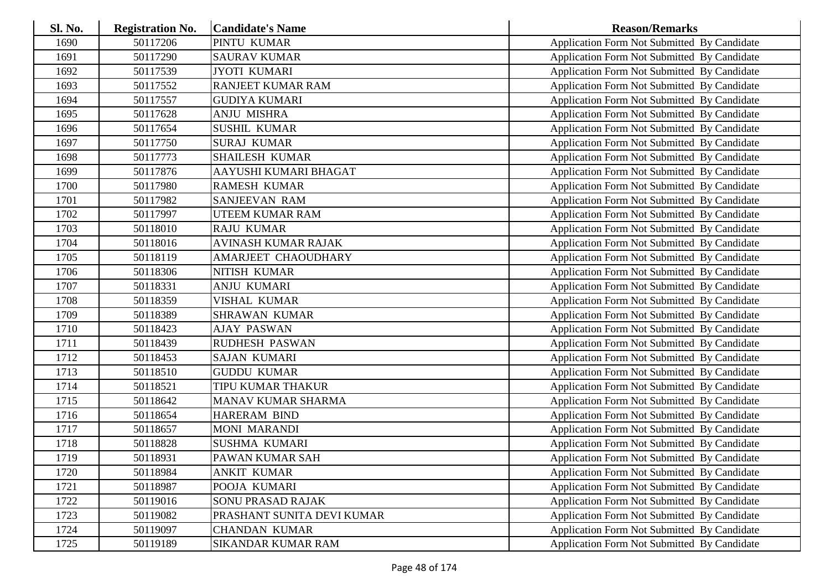| Sl. No. | <b>Registration No.</b> | <b>Candidate's Name</b>    | <b>Reason/Remarks</b>                       |
|---------|-------------------------|----------------------------|---------------------------------------------|
| 1690    | 50117206                | PINTU KUMAR                | Application Form Not Submitted By Candidate |
| 1691    | 50117290                | <b>SAURAV KUMAR</b>        | Application Form Not Submitted By Candidate |
| 1692    | 50117539                | <b>JYOTI KUMARI</b>        | Application Form Not Submitted By Candidate |
| 1693    | 50117552                | RANJEET KUMAR RAM          | Application Form Not Submitted By Candidate |
| 1694    | 50117557                | <b>GUDIYA KUMARI</b>       | Application Form Not Submitted By Candidate |
| 1695    | 50117628                | ANJU MISHRA                | Application Form Not Submitted By Candidate |
| 1696    | 50117654                | <b>SUSHIL KUMAR</b>        | Application Form Not Submitted By Candidate |
| 1697    | 50117750                | <b>SURAJ KUMAR</b>         | Application Form Not Submitted By Candidate |
| 1698    | 50117773                | <b>SHAILESH KUMAR</b>      | Application Form Not Submitted By Candidate |
| 1699    | 50117876                | AAYUSHI KUMARI BHAGAT      | Application Form Not Submitted By Candidate |
| 1700    | 50117980                | <b>RAMESH KUMAR</b>        | Application Form Not Submitted By Candidate |
| 1701    | 50117982                | <b>SANJEEVAN RAM</b>       | Application Form Not Submitted By Candidate |
| 1702    | 50117997                | <b>UTEEM KUMAR RAM</b>     | Application Form Not Submitted By Candidate |
| 1703    | 50118010                | <b>RAJU KUMAR</b>          | Application Form Not Submitted By Candidate |
| 1704    | 50118016                | AVINASH KUMAR RAJAK        | Application Form Not Submitted By Candidate |
| 1705    | 50118119                | AMARJEET CHAOUDHARY        | Application Form Not Submitted By Candidate |
| 1706    | 50118306                | NITISH KUMAR               | Application Form Not Submitted By Candidate |
| 1707    | 50118331                | <b>ANJU KUMARI</b>         | Application Form Not Submitted By Candidate |
| 1708    | 50118359                | VISHAL KUMAR               | Application Form Not Submitted By Candidate |
| 1709    | 50118389                | <b>SHRAWAN KUMAR</b>       | Application Form Not Submitted By Candidate |
| 1710    | 50118423                | <b>AJAY PASWAN</b>         | Application Form Not Submitted By Candidate |
| 1711    | 50118439                | RUDHESH PASWAN             | Application Form Not Submitted By Candidate |
| 1712    | 50118453                | <b>SAJAN KUMARI</b>        | Application Form Not Submitted By Candidate |
| 1713    | 50118510                | <b>GUDDU KUMAR</b>         | Application Form Not Submitted By Candidate |
| 1714    | 50118521                | TIPU KUMAR THAKUR          | Application Form Not Submitted By Candidate |
| 1715    | 50118642                | MANAV KUMAR SHARMA         | Application Form Not Submitted By Candidate |
| 1716    | 50118654                | <b>HARERAM BIND</b>        | Application Form Not Submitted By Candidate |
| 1717    | 50118657                | <b>MONI MARANDI</b>        | Application Form Not Submitted By Candidate |
| 1718    | 50118828                | <b>SUSHMA KUMARI</b>       | Application Form Not Submitted By Candidate |
| 1719    | 50118931                | PAWAN KUMAR SAH            | Application Form Not Submitted By Candidate |
| 1720    | 50118984                | <b>ANKIT KUMAR</b>         | Application Form Not Submitted By Candidate |
| 1721    | 50118987                | POOJA KUMARI               | Application Form Not Submitted By Candidate |
| 1722    | 50119016                | SONU PRASAD RAJAK          | Application Form Not Submitted By Candidate |
| 1723    | 50119082                | PRASHANT SUNITA DEVI KUMAR | Application Form Not Submitted By Candidate |
| 1724    | 50119097                | <b>CHANDAN KUMAR</b>       | Application Form Not Submitted By Candidate |
| 1725    | 50119189                | SIKANDAR KUMAR RAM         | Application Form Not Submitted By Candidate |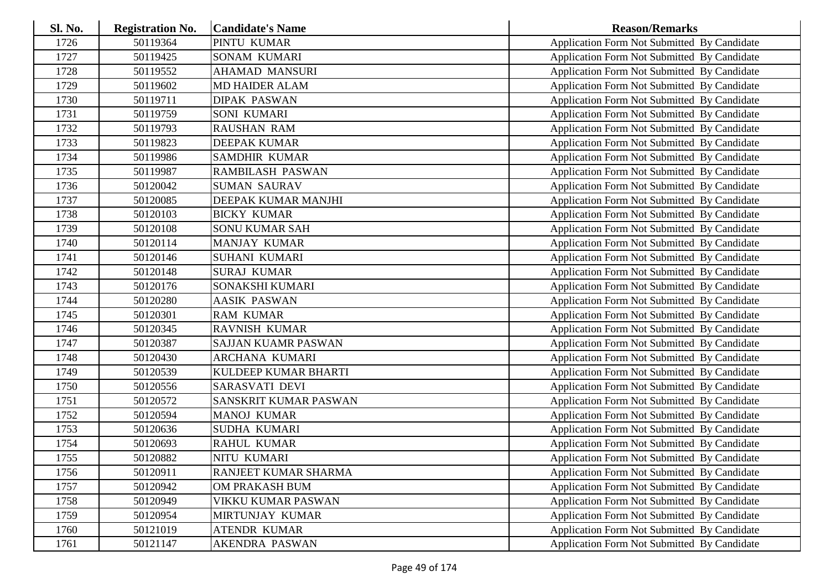| Sl. No. | <b>Registration No.</b> | <b>Candidate's Name</b>    | <b>Reason/Remarks</b>                       |
|---------|-------------------------|----------------------------|---------------------------------------------|
| 1726    | 50119364                | PINTU KUMAR                | Application Form Not Submitted By Candidate |
| 1727    | 50119425                | <b>SONAM KUMARI</b>        | Application Form Not Submitted By Candidate |
| 1728    | 50119552                | <b>AHAMAD MANSURI</b>      | Application Form Not Submitted By Candidate |
| 1729    | 50119602                | <b>MD HAIDER ALAM</b>      | Application Form Not Submitted By Candidate |
| 1730    | 50119711                | <b>DIPAK PASWAN</b>        | Application Form Not Submitted By Candidate |
| 1731    | 50119759                | SONI KUMARI                | Application Form Not Submitted By Candidate |
| 1732    | 50119793                | <b>RAUSHAN RAM</b>         | Application Form Not Submitted By Candidate |
| 1733    | 50119823                | <b>DEEPAK KUMAR</b>        | Application Form Not Submitted By Candidate |
| 1734    | 50119986                | <b>SAMDHIR KUMAR</b>       | Application Form Not Submitted By Candidate |
| 1735    | 50119987                | RAMBILASH PASWAN           | Application Form Not Submitted By Candidate |
| 1736    | 50120042                | <b>SUMAN SAURAV</b>        | Application Form Not Submitted By Candidate |
| 1737    | 50120085                | DEEPAK KUMAR MANJHI        | Application Form Not Submitted By Candidate |
| 1738    | 50120103                | <b>BICKY KUMAR</b>         | Application Form Not Submitted By Candidate |
| 1739    | 50120108                | <b>SONU KUMAR SAH</b>      | Application Form Not Submitted By Candidate |
| 1740    | 50120114                | MANJAY KUMAR               | Application Form Not Submitted By Candidate |
| 1741    | 50120146                | <b>SUHANI KUMARI</b>       | Application Form Not Submitted By Candidate |
| 1742    | 50120148                | <b>SURAJ KUMAR</b>         | Application Form Not Submitted By Candidate |
| 1743    | 50120176                | SONAKSHI KUMARI            | Application Form Not Submitted By Candidate |
| 1744    | 50120280                | <b>AASIK PASWAN</b>        | Application Form Not Submitted By Candidate |
| 1745    | 50120301                | <b>RAM KUMAR</b>           | Application Form Not Submitted By Candidate |
| 1746    | 50120345                | <b>RAVNISH KUMAR</b>       | Application Form Not Submitted By Candidate |
| 1747    | 50120387                | <b>SAJJAN KUAMR PASWAN</b> | Application Form Not Submitted By Candidate |
| 1748    | 50120430                | <b>ARCHANA KUMARI</b>      | Application Form Not Submitted By Candidate |
| 1749    | 50120539                | KULDEEP KUMAR BHARTI       | Application Form Not Submitted By Candidate |
| 1750    | 50120556                | <b>SARASVATI DEVI</b>      | Application Form Not Submitted By Candidate |
| 1751    | 50120572                | SANSKRIT KUMAR PASWAN      | Application Form Not Submitted By Candidate |
| 1752    | 50120594                | <b>MANOJ KUMAR</b>         | Application Form Not Submitted By Candidate |
| 1753    | 50120636                | <b>SUDHA KUMARI</b>        | Application Form Not Submitted By Candidate |
| 1754    | 50120693                | <b>RAHUL KUMAR</b>         | Application Form Not Submitted By Candidate |
| 1755    | 50120882                | NITU KUMARI                | Application Form Not Submitted By Candidate |
| 1756    | 50120911                | RANJEET KUMAR SHARMA       | Application Form Not Submitted By Candidate |
| 1757    | 50120942                | OM PRAKASH BUM             | Application Form Not Submitted By Candidate |
| 1758    | 50120949                | VIKKU KUMAR PASWAN         | Application Form Not Submitted By Candidate |
| 1759    | 50120954                | MIRTUNJAY KUMAR            | Application Form Not Submitted By Candidate |
| 1760    | 50121019                | <b>ATENDR KUMAR</b>        | Application Form Not Submitted By Candidate |
| 1761    | 50121147                | <b>AKENDRA PASWAN</b>      | Application Form Not Submitted By Candidate |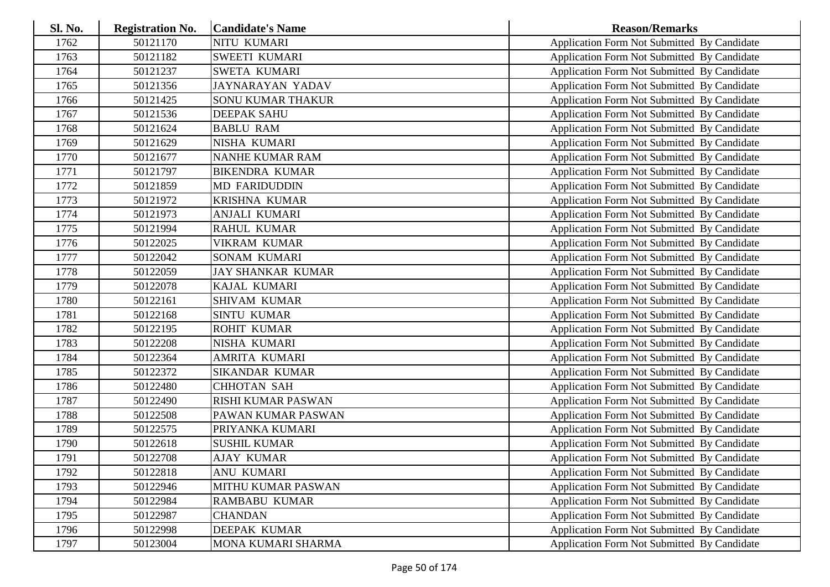| Sl. No. | <b>Registration No.</b> | <b>Candidate's Name</b>  | <b>Reason/Remarks</b>                              |
|---------|-------------------------|--------------------------|----------------------------------------------------|
| 1762    | 50121170                | NITU KUMARI              | Application Form Not Submitted By Candidate        |
| 1763    | 50121182                | SWEETI KUMARI            | <b>Application Form Not Submitted By Candidate</b> |
| 1764    | 50121237                | <b>SWETA KUMARI</b>      | Application Form Not Submitted By Candidate        |
| 1765    | 50121356                | JAYNARAYAN YADAV         | Application Form Not Submitted By Candidate        |
| 1766    | 50121425                | SONU KUMAR THAKUR        | Application Form Not Submitted By Candidate        |
| 1767    | 50121536                | <b>DEEPAK SAHU</b>       | Application Form Not Submitted By Candidate        |
| 1768    | 50121624                | <b>BABLU RAM</b>         | Application Form Not Submitted By Candidate        |
| 1769    | 50121629                | NISHA KUMARI             | Application Form Not Submitted By Candidate        |
| 1770    | 50121677                | <b>NANHE KUMAR RAM</b>   | Application Form Not Submitted By Candidate        |
| 1771    | 50121797                | <b>BIKENDRA KUMAR</b>    | Application Form Not Submitted By Candidate        |
| 1772    | 50121859                | <b>MD FARIDUDDIN</b>     | Application Form Not Submitted By Candidate        |
| 1773    | 50121972                | KRISHNA KUMAR            | Application Form Not Submitted By Candidate        |
| 1774    | 50121973                | <b>ANJALI KUMARI</b>     | Application Form Not Submitted By Candidate        |
| 1775    | 50121994                | <b>RAHUL KUMAR</b>       | Application Form Not Submitted By Candidate        |
| 1776    | 50122025                | <b>VIKRAM KUMAR</b>      | Application Form Not Submitted By Candidate        |
| 1777    | 50122042                | <b>SONAM KUMARI</b>      | Application Form Not Submitted By Candidate        |
| 1778    | 50122059                | <b>JAY SHANKAR KUMAR</b> | Application Form Not Submitted By Candidate        |
| 1779    | 50122078                | KAJAL KUMARI             | Application Form Not Submitted By Candidate        |
| 1780    | 50122161                | <b>SHIVAM KUMAR</b>      | Application Form Not Submitted By Candidate        |
| 1781    | 50122168                | <b>SINTU KUMAR</b>       | Application Form Not Submitted By Candidate        |
| 1782    | 50122195                | <b>ROHIT KUMAR</b>       | Application Form Not Submitted By Candidate        |
| 1783    | 50122208                | NISHA KUMARI             | Application Form Not Submitted By Candidate        |
| 1784    | 50122364                | AMRITA KUMARI            | Application Form Not Submitted By Candidate        |
| 1785    | 50122372                | SIKANDAR KUMAR           | Application Form Not Submitted By Candidate        |
| 1786    | 50122480                | <b>CHHOTAN SAH</b>       | Application Form Not Submitted By Candidate        |
| 1787    | 50122490                | RISHI KUMAR PASWAN       | Application Form Not Submitted By Candidate        |
| 1788    | 50122508                | PAWAN KUMAR PASWAN       | Application Form Not Submitted By Candidate        |
| 1789    | 50122575                | PRIYANKA KUMARI          | Application Form Not Submitted By Candidate        |
| 1790    | 50122618                | <b>SUSHIL KUMAR</b>      | Application Form Not Submitted By Candidate        |
| 1791    | 50122708                | <b>AJAY KUMAR</b>        | Application Form Not Submitted By Candidate        |
| 1792    | 50122818                | <b>ANU KUMARI</b>        | <b>Application Form Not Submitted By Candidate</b> |
| 1793    | 50122946                | MITHU KUMAR PASWAN       | Application Form Not Submitted By Candidate        |
| 1794    | 50122984                | <b>RAMBABU KUMAR</b>     | Application Form Not Submitted By Candidate        |
| 1795    | 50122987                | <b>CHANDAN</b>           | Application Form Not Submitted By Candidate        |
| 1796    | 50122998                | DEEPAK KUMAR             | Application Form Not Submitted By Candidate        |
| 1797    | 50123004                | MONA KUMARI SHARMA       | Application Form Not Submitted By Candidate        |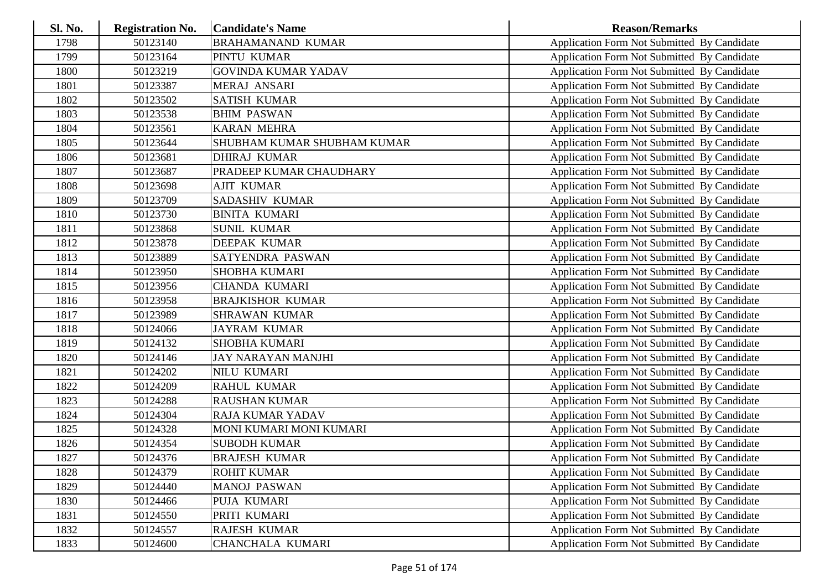| Sl. No. | <b>Registration No.</b> | <b>Candidate's Name</b>     | <b>Reason/Remarks</b>                              |
|---------|-------------------------|-----------------------------|----------------------------------------------------|
| 1798    | 50123140                | <b>BRAHAMANAND KUMAR</b>    | Application Form Not Submitted By Candidate        |
| 1799    | 50123164                | PINTU KUMAR                 | Application Form Not Submitted By Candidate        |
| 1800    | 50123219                | <b>GOVINDA KUMAR YADAV</b>  | Application Form Not Submitted By Candidate        |
| 1801    | 50123387                | <b>MERAJ ANSARI</b>         | Application Form Not Submitted By Candidate        |
| 1802    | 50123502                | <b>SATISH KUMAR</b>         | Application Form Not Submitted By Candidate        |
| 1803    | 50123538                | <b>BHIM PASWAN</b>          | Application Form Not Submitted By Candidate        |
| 1804    | 50123561                | <b>KARAN MEHRA</b>          | Application Form Not Submitted By Candidate        |
| 1805    | 50123644                | SHUBHAM KUMAR SHUBHAM KUMAR | Application Form Not Submitted By Candidate        |
| 1806    | 50123681                | <b>DHIRAJ KUMAR</b>         | Application Form Not Submitted By Candidate        |
| 1807    | 50123687                | PRADEEP KUMAR CHAUDHARY     | Application Form Not Submitted By Candidate        |
| 1808    | 50123698                | <b>AJIT KUMAR</b>           | Application Form Not Submitted By Candidate        |
| 1809    | 50123709                | SADASHIV KUMAR              | Application Form Not Submitted By Candidate        |
| 1810    | 50123730                | <b>BINITA KUMARI</b>        | Application Form Not Submitted By Candidate        |
| 1811    | 50123868                | <b>SUNIL KUMAR</b>          | Application Form Not Submitted By Candidate        |
| 1812    | 50123878                | DEEPAK KUMAR                | Application Form Not Submitted By Candidate        |
| 1813    | 50123889                | SATYENDRA PASWAN            | Application Form Not Submitted By Candidate        |
| 1814    | 50123950                | <b>SHOBHA KUMARI</b>        | Application Form Not Submitted By Candidate        |
| 1815    | 50123956                | <b>CHANDA KUMARI</b>        | Application Form Not Submitted By Candidate        |
| 1816    | 50123958                | <b>BRAJKISHOR KUMAR</b>     | Application Form Not Submitted By Candidate        |
| 1817    | 50123989                | <b>SHRAWAN KUMAR</b>        | Application Form Not Submitted By Candidate        |
| 1818    | 50124066                | <b>JAYRAM KUMAR</b>         | Application Form Not Submitted By Candidate        |
| 1819    | 50124132                | <b>SHOBHA KUMARI</b>        | Application Form Not Submitted By Candidate        |
| 1820    | 50124146                | <b>JAY NARAYAN MANJHI</b>   | Application Form Not Submitted By Candidate        |
| 1821    | 50124202                | NILU KUMARI                 | Application Form Not Submitted By Candidate        |
| 1822    | 50124209                | <b>RAHUL KUMAR</b>          | Application Form Not Submitted By Candidate        |
| 1823    | 50124288                | RAUSHAN KUMAR               | Application Form Not Submitted By Candidate        |
| 1824    | 50124304                | <b>RAJA KUMAR YADAV</b>     | Application Form Not Submitted By Candidate        |
| 1825    | 50124328                | MONI KUMARI MONI KUMARI     | Application Form Not Submitted By Candidate        |
| 1826    | 50124354                | <b>SUBODH KUMAR</b>         | Application Form Not Submitted By Candidate        |
| 1827    | 50124376                | <b>BRAJESH KUMAR</b>        | Application Form Not Submitted By Candidate        |
| 1828    | 50124379                | <b>ROHIT KUMAR</b>          | Application Form Not Submitted By Candidate        |
| 1829    | 50124440                | <b>MANOJ PASWAN</b>         | Application Form Not Submitted By Candidate        |
| 1830    | 50124466                | PUJA KUMARI                 | Application Form Not Submitted By Candidate        |
| 1831    | 50124550                | PRITI KUMARI                | Application Form Not Submitted By Candidate        |
| 1832    | 50124557                | RAJESH KUMAR                | <b>Application Form Not Submitted By Candidate</b> |
| 1833    | 50124600                | CHANCHALA KUMARI            | Application Form Not Submitted By Candidate        |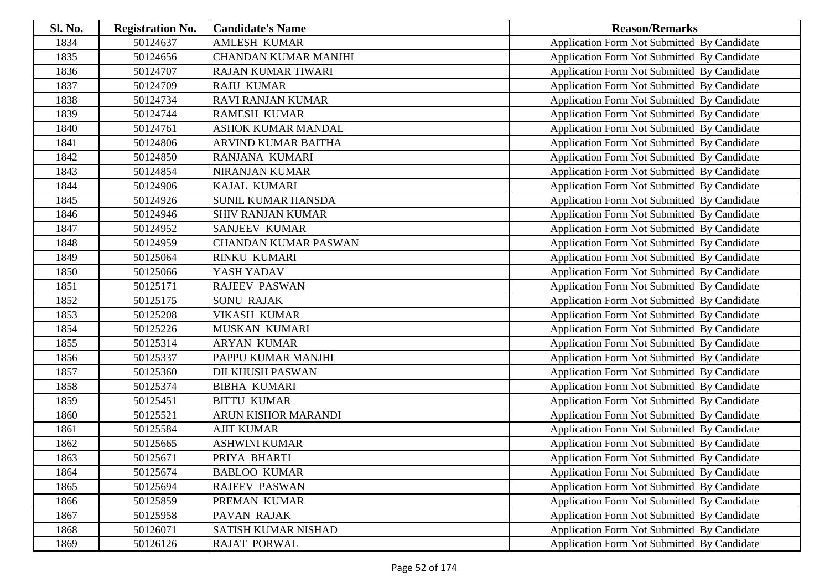| Sl. No. | <b>Registration No.</b> | <b>Candidate's Name</b>     | <b>Reason/Remarks</b>                       |
|---------|-------------------------|-----------------------------|---------------------------------------------|
| 1834    | 50124637                | <b>AMLESH KUMAR</b>         | Application Form Not Submitted By Candidate |
| 1835    | 50124656                | <b>CHANDAN KUMAR MANJHI</b> | Application Form Not Submitted By Candidate |
| 1836    | 50124707                | <b>RAJAN KUMAR TIWARI</b>   | Application Form Not Submitted By Candidate |
| 1837    | 50124709                | <b>RAJU KUMAR</b>           | Application Form Not Submitted By Candidate |
| 1838    | 50124734                | RAVI RANJAN KUMAR           | Application Form Not Submitted By Candidate |
| 1839    | 50124744                | <b>RAMESH KUMAR</b>         | Application Form Not Submitted By Candidate |
| 1840    | 50124761                | ASHOK KUMAR MANDAL          | Application Form Not Submitted By Candidate |
| 1841    | 50124806                | ARVIND KUMAR BAITHA         | Application Form Not Submitted By Candidate |
| 1842    | 50124850                | RANJANA KUMARI              | Application Form Not Submitted By Candidate |
| 1843    | 50124854                | NIRANJAN KUMAR              | Application Form Not Submitted By Candidate |
| 1844    | 50124906                | KAJAL KUMARI                | Application Form Not Submitted By Candidate |
| 1845    | 50124926                | <b>SUNIL KUMAR HANSDA</b>   | Application Form Not Submitted By Candidate |
| 1846    | 50124946                | <b>SHIV RANJAN KUMAR</b>    | Application Form Not Submitted By Candidate |
| 1847    | 50124952                | SANJEEV KUMAR               | Application Form Not Submitted By Candidate |
| 1848    | 50124959                | <b>CHANDAN KUMAR PASWAN</b> | Application Form Not Submitted By Candidate |
| 1849    | 50125064                | RINKU KUMARI                | Application Form Not Submitted By Candidate |
| 1850    | 50125066                | YASH YADAV                  | Application Form Not Submitted By Candidate |
| 1851    | 50125171                | <b>RAJEEV PASWAN</b>        | Application Form Not Submitted By Candidate |
| 1852    | 50125175                | <b>SONU RAJAK</b>           | Application Form Not Submitted By Candidate |
| 1853    | 50125208                | <b>VIKASH KUMAR</b>         | Application Form Not Submitted By Candidate |
| 1854    | 50125226                | MUSKAN KUMARI               | Application Form Not Submitted By Candidate |
| 1855    | 50125314                | <b>ARYAN KUMAR</b>          | Application Form Not Submitted By Candidate |
| 1856    | 50125337                | PAPPU KUMAR MANJHI          | Application Form Not Submitted By Candidate |
| 1857    | 50125360                | <b>DILKHUSH PASWAN</b>      | Application Form Not Submitted By Candidate |
| 1858    | 50125374                | <b>BIBHA KUMARI</b>         | Application Form Not Submitted By Candidate |
| 1859    | 50125451                | <b>BITTU KUMAR</b>          | Application Form Not Submitted By Candidate |
| 1860    | 50125521                | ARUN KISHOR MARANDI         | Application Form Not Submitted By Candidate |
| 1861    | 50125584                | <b>AJIT KUMAR</b>           | Application Form Not Submitted By Candidate |
| 1862    | 50125665                | <b>ASHWINI KUMAR</b>        | Application Form Not Submitted By Candidate |
| 1863    | 50125671                | PRIYA BHARTI                | Application Form Not Submitted By Candidate |
| 1864    | 50125674                | <b>BABLOO KUMAR</b>         | Application Form Not Submitted By Candidate |
| 1865    | 50125694                | <b>RAJEEV PASWAN</b>        | Application Form Not Submitted By Candidate |
| 1866    | 50125859                | PREMAN KUMAR                | Application Form Not Submitted By Candidate |
| 1867    | 50125958                | PAVAN RAJAK                 | Application Form Not Submitted By Candidate |
| 1868    | 50126071                | SATISH KUMAR NISHAD         | Application Form Not Submitted By Candidate |
| 1869    | 50126126                | <b>RAJAT PORWAL</b>         | Application Form Not Submitted By Candidate |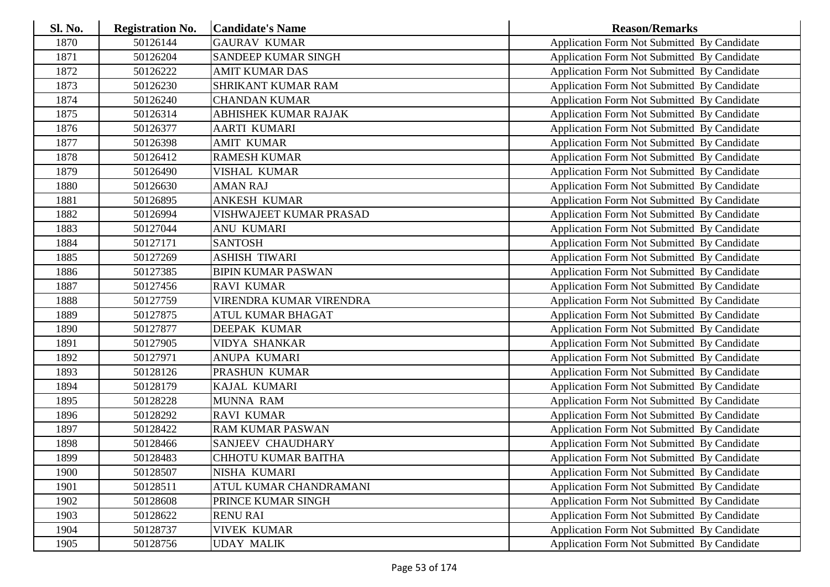| Sl. No. | <b>Registration No.</b> | <b>Candidate's Name</b>     | <b>Reason/Remarks</b>                              |
|---------|-------------------------|-----------------------------|----------------------------------------------------|
| 1870    | 50126144                | <b>GAURAV KUMAR</b>         | Application Form Not Submitted By Candidate        |
| 1871    | 50126204                | SANDEEP KUMAR SINGH         | Application Form Not Submitted By Candidate        |
| 1872    | 50126222                | <b>AMIT KUMAR DAS</b>       | Application Form Not Submitted By Candidate        |
| 1873    | 50126230                | SHRIKANT KUMAR RAM          | Application Form Not Submitted By Candidate        |
| 1874    | 50126240                | <b>CHANDAN KUMAR</b>        | Application Form Not Submitted By Candidate        |
| 1875    | 50126314                | <b>ABHISHEK KUMAR RAJAK</b> | Application Form Not Submitted By Candidate        |
| 1876    | 50126377                | <b>AARTI KUMARI</b>         | Application Form Not Submitted By Candidate        |
| 1877    | 50126398                | <b>AMIT KUMAR</b>           | Application Form Not Submitted By Candidate        |
| 1878    | 50126412                | <b>RAMESH KUMAR</b>         | Application Form Not Submitted By Candidate        |
| 1879    | 50126490                | <b>VISHAL KUMAR</b>         | Application Form Not Submitted By Candidate        |
| 1880    | 50126630                | <b>AMAN RAJ</b>             | Application Form Not Submitted By Candidate        |
| 1881    | 50126895                | <b>ANKESH KUMAR</b>         | Application Form Not Submitted By Candidate        |
| 1882    | 50126994                | VISHWAJEET KUMAR PRASAD     | Application Form Not Submitted By Candidate        |
| 1883    | 50127044                | <b>ANU KUMARI</b>           | Application Form Not Submitted By Candidate        |
| 1884    | 50127171                | <b>SANTOSH</b>              | Application Form Not Submitted By Candidate        |
| 1885    | 50127269                | <b>ASHISH TIWARI</b>        | Application Form Not Submitted By Candidate        |
| 1886    | 50127385                | <b>BIPIN KUMAR PASWAN</b>   | Application Form Not Submitted By Candidate        |
| 1887    | 50127456                | <b>RAVI KUMAR</b>           | Application Form Not Submitted By Candidate        |
| 1888    | 50127759                | VIRENDRA KUMAR VIRENDRA     | Application Form Not Submitted By Candidate        |
| 1889    | 50127875                | ATUL KUMAR BHAGAT           | Application Form Not Submitted By Candidate        |
| 1890    | 50127877                | DEEPAK KUMAR                | Application Form Not Submitted By Candidate        |
| 1891    | 50127905                | <b>VIDYA SHANKAR</b>        | Application Form Not Submitted By Candidate        |
| 1892    | 50127971                | ANUPA KUMARI                | Application Form Not Submitted By Candidate        |
| 1893    | 50128126                | PRASHUN KUMAR               | Application Form Not Submitted By Candidate        |
| 1894    | 50128179                | KAJAL KUMARI                | Application Form Not Submitted By Candidate        |
| 1895    | 50128228                | <b>MUNNA RAM</b>            | Application Form Not Submitted By Candidate        |
| 1896    | 50128292                | <b>RAVI KUMAR</b>           | Application Form Not Submitted By Candidate        |
| 1897    | 50128422                | <b>RAM KUMAR PASWAN</b>     | Application Form Not Submitted By Candidate        |
| 1898    | 50128466                | <b>SANJEEV CHAUDHARY</b>    | Application Form Not Submitted By Candidate        |
| 1899    | 50128483                | <b>CHHOTU KUMAR BAITHA</b>  | Application Form Not Submitted By Candidate        |
| 1900    | 50128507                | NISHA KUMARI                | <b>Application Form Not Submitted By Candidate</b> |
| 1901    | 50128511                | ATUL KUMAR CHANDRAMANI      | Application Form Not Submitted By Candidate        |
| 1902    | 50128608                | PRINCE KUMAR SINGH          | Application Form Not Submitted By Candidate        |
| 1903    | 50128622                | <b>RENU RAI</b>             | Application Form Not Submitted By Candidate        |
| 1904    | 50128737                | <b>VIVEK KUMAR</b>          | Application Form Not Submitted By Candidate        |
| 1905    | 50128756                | <b>UDAY MALIK</b>           | Application Form Not Submitted By Candidate        |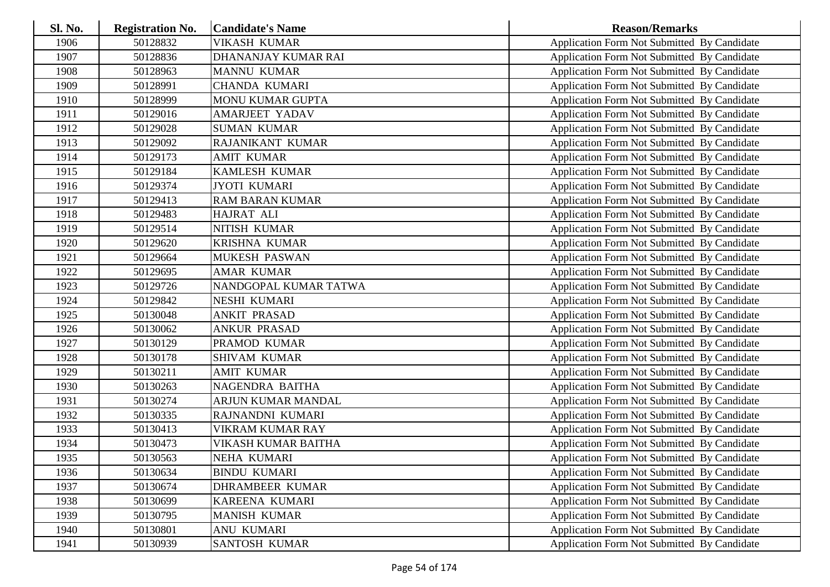| Sl. No. | <b>Registration No.</b> | <b>Candidate's Name</b> | <b>Reason/Remarks</b>                       |
|---------|-------------------------|-------------------------|---------------------------------------------|
| 1906    | 50128832                | <b>VIKASH KUMAR</b>     | Application Form Not Submitted By Candidate |
| 1907    | 50128836                | DHANANJAY KUMAR RAI     | Application Form Not Submitted By Candidate |
| 1908    | 50128963                | <b>MANNU KUMAR</b>      | Application Form Not Submitted By Candidate |
| 1909    | 50128991                | <b>CHANDA KUMARI</b>    | Application Form Not Submitted By Candidate |
| 1910    | 50128999                | MONU KUMAR GUPTA        | Application Form Not Submitted By Candidate |
| 1911    | 50129016                | <b>AMARJEET YADAV</b>   | Application Form Not Submitted By Candidate |
| 1912    | 50129028                | <b>SUMAN KUMAR</b>      | Application Form Not Submitted By Candidate |
| 1913    | 50129092                | RAJANIKANT KUMAR        | Application Form Not Submitted By Candidate |
| 1914    | 50129173                | <b>AMIT KUMAR</b>       | Application Form Not Submitted By Candidate |
| 1915    | 50129184                | <b>KAMLESH KUMAR</b>    | Application Form Not Submitted By Candidate |
| 1916    | 50129374                | <b>JYOTI KUMARI</b>     | Application Form Not Submitted By Candidate |
| 1917    | 50129413                | <b>RAM BARAN KUMAR</b>  | Application Form Not Submitted By Candidate |
| 1918    | 50129483                | HAJRAT ALI              | Application Form Not Submitted By Candidate |
| 1919    | 50129514                | NITISH KUMAR            | Application Form Not Submitted By Candidate |
| 1920    | 50129620                | KRISHNA KUMAR           | Application Form Not Submitted By Candidate |
| 1921    | 50129664                | <b>MUKESH PASWAN</b>    | Application Form Not Submitted By Candidate |
| 1922    | 50129695                | <b>AMAR KUMAR</b>       | Application Form Not Submitted By Candidate |
| 1923    | 50129726                | NANDGOPAL KUMAR TATWA   | Application Form Not Submitted By Candidate |
| 1924    | 50129842                | NESHI KUMARI            | Application Form Not Submitted By Candidate |
| 1925    | 50130048                | <b>ANKIT PRASAD</b>     | Application Form Not Submitted By Candidate |
| 1926    | 50130062                | <b>ANKUR PRASAD</b>     | Application Form Not Submitted By Candidate |
| 1927    | 50130129                | PRAMOD KUMAR            | Application Form Not Submitted By Candidate |
| 1928    | 50130178                | <b>SHIVAM KUMAR</b>     | Application Form Not Submitted By Candidate |
| 1929    | 50130211                | <b>AMIT KUMAR</b>       | Application Form Not Submitted By Candidate |
| 1930    | 50130263                | NAGENDRA BAITHA         | Application Form Not Submitted By Candidate |
| 1931    | 50130274                | ARJUN KUMAR MANDAL      | Application Form Not Submitted By Candidate |
| 1932    | 50130335                | RAJNANDNI KUMARI        | Application Form Not Submitted By Candidate |
| 1933    | 50130413                | VIKRAM KUMAR RAY        | Application Form Not Submitted By Candidate |
| 1934    | 50130473                | VIKASH KUMAR BAITHA     | Application Form Not Submitted By Candidate |
| 1935    | 50130563                | NEHA KUMARI             | Application Form Not Submitted By Candidate |
| 1936    | 50130634                | <b>BINDU KUMARI</b>     | Application Form Not Submitted By Candidate |
| 1937    | 50130674                | <b>DHRAMBEER KUMAR</b>  | Application Form Not Submitted By Candidate |
| 1938    | 50130699                | KAREENA KUMARI          | Application Form Not Submitted By Candidate |
| 1939    | 50130795                | <b>MANISH KUMAR</b>     | Application Form Not Submitted By Candidate |
| 1940    | 50130801                | <b>ANU KUMARI</b>       | Application Form Not Submitted By Candidate |
| 1941    | 50130939                | <b>SANTOSH KUMAR</b>    | Application Form Not Submitted By Candidate |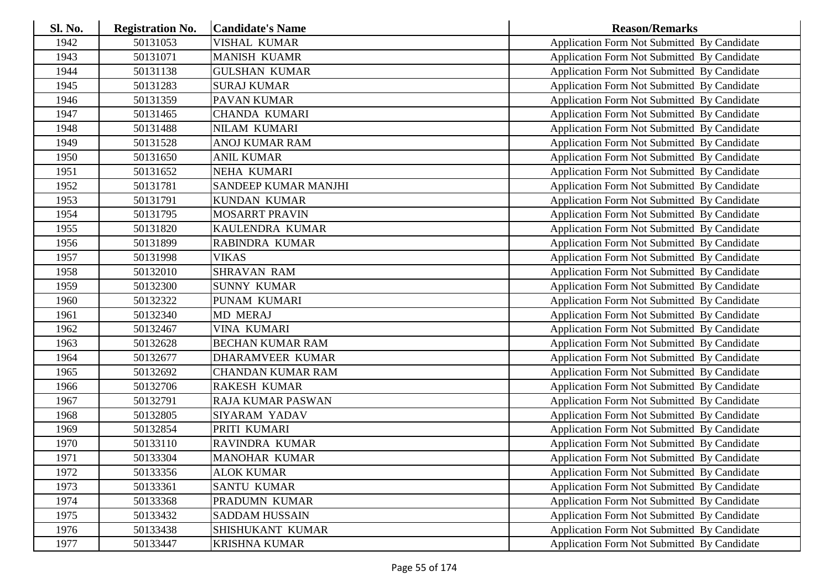| Sl. No. | <b>Registration No.</b> | <b>Candidate's Name</b>  | <b>Reason/Remarks</b>                              |
|---------|-------------------------|--------------------------|----------------------------------------------------|
| 1942    | 50131053                | <b>VISHAL KUMAR</b>      | Application Form Not Submitted By Candidate        |
| 1943    | 50131071                | <b>MANISH KUAMR</b>      | Application Form Not Submitted By Candidate        |
| 1944    | 50131138                | <b>GULSHAN KUMAR</b>     | Application Form Not Submitted By Candidate        |
| 1945    | 50131283                | <b>SURAJ KUMAR</b>       | Application Form Not Submitted By Candidate        |
| 1946    | 50131359                | PAVAN KUMAR              | Application Form Not Submitted By Candidate        |
| 1947    | 50131465                | <b>CHANDA KUMARI</b>     | Application Form Not Submitted By Candidate        |
| 1948    | 50131488                | NILAM KUMARI             | Application Form Not Submitted By Candidate        |
| 1949    | 50131528                | <b>ANOJ KUMAR RAM</b>    | Application Form Not Submitted By Candidate        |
| 1950    | 50131650                | <b>ANIL KUMAR</b>        | Application Form Not Submitted By Candidate        |
| 1951    | 50131652                | NEHA KUMARI              | Application Form Not Submitted By Candidate        |
| 1952    | 50131781                | SANDEEP KUMAR MANJHI     | Application Form Not Submitted By Candidate        |
| 1953    | 50131791                | KUNDAN KUMAR             | Application Form Not Submitted By Candidate        |
| 1954    | 50131795                | <b>MOSARRT PRAVIN</b>    | Application Form Not Submitted By Candidate        |
| 1955    | 50131820                | KAULENDRA KUMAR          | Application Form Not Submitted By Candidate        |
| 1956    | 50131899                | RABINDRA KUMAR           | Application Form Not Submitted By Candidate        |
| 1957    | 50131998                | <b>VIKAS</b>             | Application Form Not Submitted By Candidate        |
| 1958    | 50132010                | <b>SHRAVAN RAM</b>       | Application Form Not Submitted By Candidate        |
| 1959    | 50132300                | <b>SUNNY KUMAR</b>       | Application Form Not Submitted By Candidate        |
| 1960    | 50132322                | PUNAM KUMARI             | Application Form Not Submitted By Candidate        |
| 1961    | 50132340                | <b>MD MERAJ</b>          | Application Form Not Submitted By Candidate        |
| 1962    | 50132467                | <b>VINA KUMARI</b>       | Application Form Not Submitted By Candidate        |
| 1963    | 50132628                | <b>BECHAN KUMAR RAM</b>  | Application Form Not Submitted By Candidate        |
| 1964    | 50132677                | DHARAMVEER KUMAR         | Application Form Not Submitted By Candidate        |
| 1965    | 50132692                | <b>CHANDAN KUMAR RAM</b> | Application Form Not Submitted By Candidate        |
| 1966    | 50132706                | <b>RAKESH KUMAR</b>      | Application Form Not Submitted By Candidate        |
| 1967    | 50132791                | RAJA KUMAR PASWAN        | Application Form Not Submitted By Candidate        |
| 1968    | 50132805                | SIYARAM YADAV            | Application Form Not Submitted By Candidate        |
| 1969    | 50132854                | PRITI KUMARI             | Application Form Not Submitted By Candidate        |
| 1970    | 50133110                | RAVINDRA KUMAR           | Application Form Not Submitted By Candidate        |
| 1971    | 50133304                | <b>MANOHAR KUMAR</b>     | Application Form Not Submitted By Candidate        |
| 1972    | 50133356                | <b>ALOK KUMAR</b>        | Application Form Not Submitted By Candidate        |
| 1973    | 50133361                | <b>SANTU KUMAR</b>       | Application Form Not Submitted By Candidate        |
| 1974    | 50133368                | PRADUMN KUMAR            | Application Form Not Submitted By Candidate        |
| 1975    | 50133432                | <b>SADDAM HUSSAIN</b>    | Application Form Not Submitted By Candidate        |
| 1976    | 50133438                | SHISHUKANT KUMAR         | <b>Application Form Not Submitted By Candidate</b> |
| 1977    | 50133447                | <b>KRISHNA KUMAR</b>     | Application Form Not Submitted By Candidate        |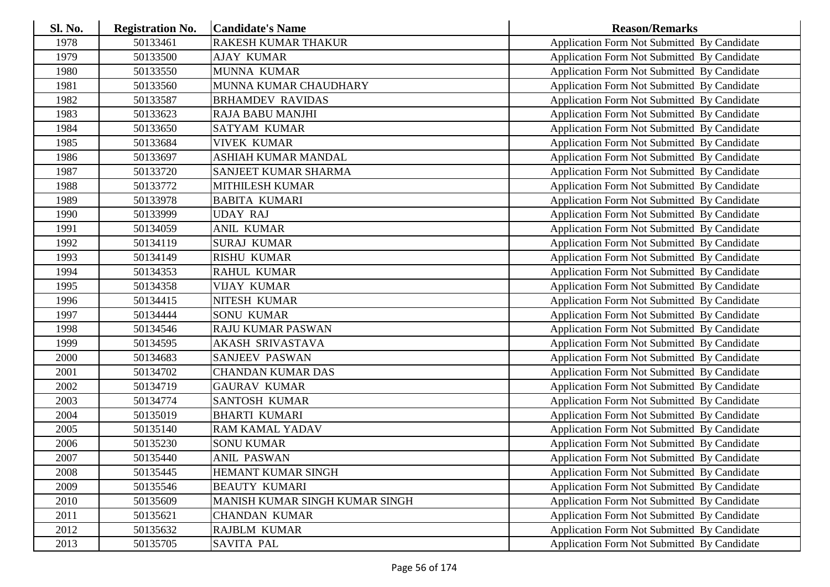| <b>Sl. No.</b> | <b>Registration No.</b> | <b>Candidate's Name</b>        | <b>Reason/Remarks</b>                              |
|----------------|-------------------------|--------------------------------|----------------------------------------------------|
| 1978           | 50133461                | <b>RAKESH KUMAR THAKUR</b>     | Application Form Not Submitted By Candidate        |
| 1979           | 50133500                | <b>AJAY KUMAR</b>              | Application Form Not Submitted By Candidate        |
| 1980           | 50133550                | <b>MUNNA KUMAR</b>             | Application Form Not Submitted By Candidate        |
| 1981           | 50133560                | MUNNA KUMAR CHAUDHARY          | Application Form Not Submitted By Candidate        |
| 1982           | 50133587                | <b>BRHAMDEV RAVIDAS</b>        | Application Form Not Submitted By Candidate        |
| 1983           | 50133623                | <b>RAJA BABU MANJHI</b>        | Application Form Not Submitted By Candidate        |
| 1984           | 50133650                | <b>SATYAM KUMAR</b>            | Application Form Not Submitted By Candidate        |
| 1985           | 50133684                | <b>VIVEK KUMAR</b>             | Application Form Not Submitted By Candidate        |
| 1986           | 50133697                | ASHIAH KUMAR MANDAL            | <b>Application Form Not Submitted By Candidate</b> |
| 1987           | 50133720                | SANJEET KUMAR SHARMA           | Application Form Not Submitted By Candidate        |
| 1988           | 50133772                | <b>MITHILESH KUMAR</b>         | Application Form Not Submitted By Candidate        |
| 1989           | 50133978                | <b>BABITA KUMARI</b>           | Application Form Not Submitted By Candidate        |
| 1990           | 50133999                | <b>UDAY RAJ</b>                | Application Form Not Submitted By Candidate        |
| 1991           | 50134059                | <b>ANIL KUMAR</b>              | Application Form Not Submitted By Candidate        |
| 1992           | 50134119                | <b>SURAJ KUMAR</b>             | Application Form Not Submitted By Candidate        |
| 1993           | 50134149                | <b>RISHU KUMAR</b>             | Application Form Not Submitted By Candidate        |
| 1994           | 50134353                | <b>RAHUL KUMAR</b>             | Application Form Not Submitted By Candidate        |
| 1995           | 50134358                | <b>VIJAY KUMAR</b>             | Application Form Not Submitted By Candidate        |
| 1996           | 50134415                | NITESH KUMAR                   | Application Form Not Submitted By Candidate        |
| 1997           | 50134444                | <b>SONU KUMAR</b>              | Application Form Not Submitted By Candidate        |
| 1998           | 50134546                | <b>RAJU KUMAR PASWAN</b>       | Application Form Not Submitted By Candidate        |
| 1999           | 50134595                | <b>AKASH SRIVASTAVA</b>        | Application Form Not Submitted By Candidate        |
| 2000           | 50134683                | <b>SANJEEV PASWAN</b>          | Application Form Not Submitted By Candidate        |
| 2001           | 50134702                | <b>CHANDAN KUMAR DAS</b>       | Application Form Not Submitted By Candidate        |
| 2002           | 50134719                | <b>GAURAV KUMAR</b>            | Application Form Not Submitted By Candidate        |
| 2003           | 50134774                | <b>SANTOSH KUMAR</b>           | Application Form Not Submitted By Candidate        |
| 2004           | 50135019                | <b>BHARTI KUMARI</b>           | Application Form Not Submitted By Candidate        |
| 2005           | 50135140                | <b>RAM KAMAL YADAV</b>         | Application Form Not Submitted By Candidate        |
| 2006           | 50135230                | <b>SONU KUMAR</b>              | Application Form Not Submitted By Candidate        |
| 2007           | 50135440                | <b>ANIL PASWAN</b>             | Application Form Not Submitted By Candidate        |
| 2008           | 50135445                | HEMANT KUMAR SINGH             | Application Form Not Submitted By Candidate        |
| 2009           | 50135546                | <b>BEAUTY KUMARI</b>           | <b>Application Form Not Submitted By Candidate</b> |
| 2010           | 50135609                | MANISH KUMAR SINGH KUMAR SINGH | Application Form Not Submitted By Candidate        |
| 2011           | 50135621                | <b>CHANDAN KUMAR</b>           | Application Form Not Submitted By Candidate        |
| 2012           | 50135632                | <b>RAJBLM KUMAR</b>            | Application Form Not Submitted By Candidate        |
| 2013           | 50135705                | <b>SAVITA PAL</b>              | <b>Application Form Not Submitted By Candidate</b> |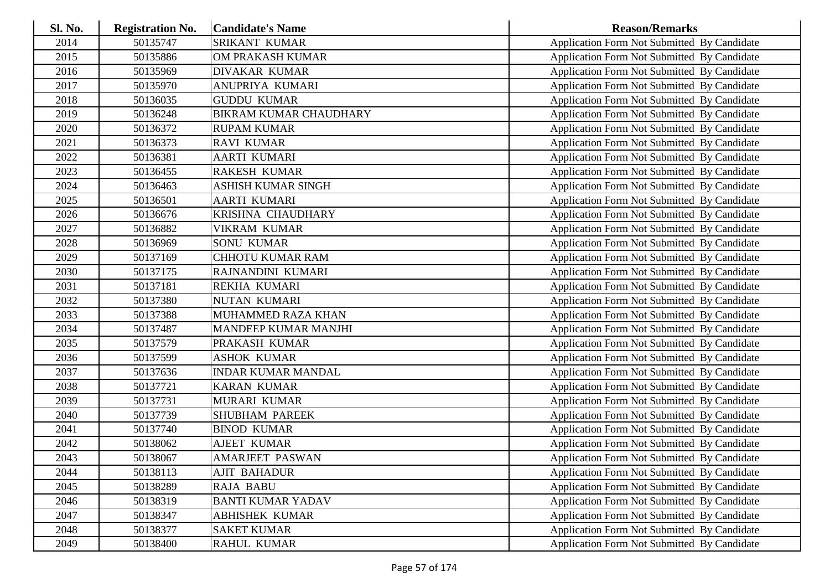| Sl. No. | <b>Registration No.</b> | <b>Candidate's Name</b>       | <b>Reason/Remarks</b>                              |
|---------|-------------------------|-------------------------------|----------------------------------------------------|
| 2014    | 50135747                | SRIKANT KUMAR                 | Application Form Not Submitted By Candidate        |
| 2015    | 50135886                | OM PRAKASH KUMAR              | Application Form Not Submitted By Candidate        |
| 2016    | 50135969                | <b>DIVAKAR KUMAR</b>          | Application Form Not Submitted By Candidate        |
| 2017    | 50135970                | ANUPRIYA KUMARI               | Application Form Not Submitted By Candidate        |
| 2018    | 50136035                | <b>GUDDU KUMAR</b>            | Application Form Not Submitted By Candidate        |
| 2019    | 50136248                | <b>BIKRAM KUMAR CHAUDHARY</b> | Application Form Not Submitted By Candidate        |
| 2020    | 50136372                | <b>RUPAM KUMAR</b>            | Application Form Not Submitted By Candidate        |
| 2021    | 50136373                | <b>RAVI KUMAR</b>             | Application Form Not Submitted By Candidate        |
| 2022    | 50136381                | <b>AARTI KUMARI</b>           | Application Form Not Submitted By Candidate        |
| 2023    | 50136455                | <b>RAKESH KUMAR</b>           | Application Form Not Submitted By Candidate        |
| 2024    | 50136463                | <b>ASHISH KUMAR SINGH</b>     | Application Form Not Submitted By Candidate        |
| 2025    | 50136501                | <b>AARTI KUMARI</b>           | Application Form Not Submitted By Candidate        |
| 2026    | 50136676                | KRISHNA CHAUDHARY             | Application Form Not Submitted By Candidate        |
| 2027    | 50136882                | <b>VIKRAM KUMAR</b>           | Application Form Not Submitted By Candidate        |
| 2028    | 50136969                | <b>SONU KUMAR</b>             | Application Form Not Submitted By Candidate        |
| 2029    | 50137169                | <b>CHHOTU KUMAR RAM</b>       | Application Form Not Submitted By Candidate        |
| 2030    | 50137175                | RAJNANDINI KUMARI             | Application Form Not Submitted By Candidate        |
| 2031    | 50137181                | REKHA KUMARI                  | Application Form Not Submitted By Candidate        |
| 2032    | 50137380                | <b>NUTAN KUMARI</b>           | Application Form Not Submitted By Candidate        |
| 2033    | 50137388                | MUHAMMED RAZA KHAN            | Application Form Not Submitted By Candidate        |
| 2034    | 50137487                | MANDEEP KUMAR MANJHI          | Application Form Not Submitted By Candidate        |
| 2035    | 50137579                | PRAKASH KUMAR                 | Application Form Not Submitted By Candidate        |
| 2036    | 50137599                | <b>ASHOK KUMAR</b>            | Application Form Not Submitted By Candidate        |
| 2037    | 50137636                | <b>INDAR KUMAR MANDAL</b>     | Application Form Not Submitted By Candidate        |
| 2038    | 50137721                | <b>KARAN KUMAR</b>            | Application Form Not Submitted By Candidate        |
| 2039    | 50137731                | MURARI KUMAR                  | Application Form Not Submitted By Candidate        |
| 2040    | 50137739                | <b>SHUBHAM PAREEK</b>         | Application Form Not Submitted By Candidate        |
| 2041    | 50137740                | <b>BINOD KUMAR</b>            | Application Form Not Submitted By Candidate        |
| 2042    | 50138062                | <b>AJEET KUMAR</b>            | Application Form Not Submitted By Candidate        |
| 2043    | 50138067                | <b>AMARJEET PASWAN</b>        | Application Form Not Submitted By Candidate        |
| 2044    | 50138113                | <b>AJIT BAHADUR</b>           | Application Form Not Submitted By Candidate        |
| 2045    | 50138289                | <b>RAJA BABU</b>              | Application Form Not Submitted By Candidate        |
| 2046    | 50138319                | <b>BANTI KUMAR YADAV</b>      | Application Form Not Submitted By Candidate        |
| 2047    | 50138347                | <b>ABHISHEK KUMAR</b>         | Application Form Not Submitted By Candidate        |
| 2048    | 50138377                | <b>SAKET KUMAR</b>            | <b>Application Form Not Submitted By Candidate</b> |
| 2049    | 50138400                | RAHUL KUMAR                   | Application Form Not Submitted By Candidate        |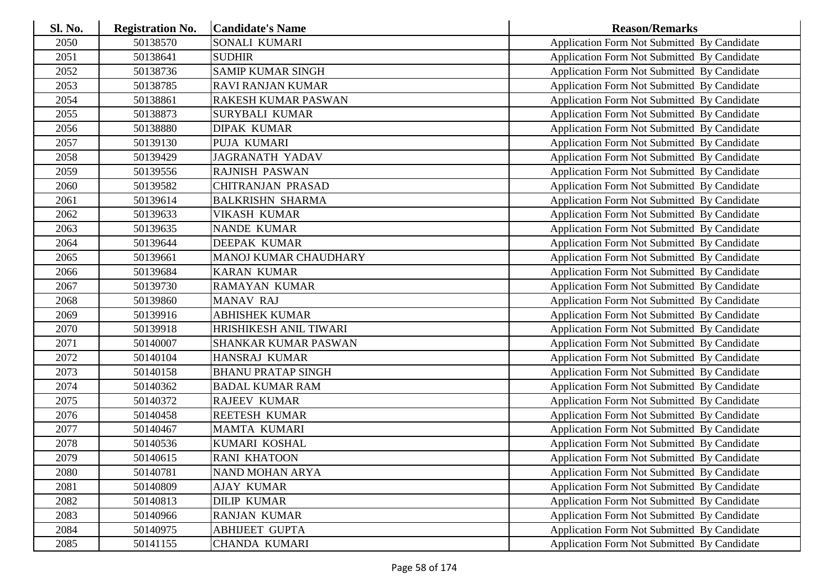| <b>Sl. No.</b> | <b>Registration No.</b> | <b>Candidate's Name</b>     | <b>Reason/Remarks</b>                              |
|----------------|-------------------------|-----------------------------|----------------------------------------------------|
| 2050           | 50138570                | SONALI KUMARI               | Application Form Not Submitted By Candidate        |
| 2051           | 50138641                | <b>SUDHIR</b>               | Application Form Not Submitted By Candidate        |
| 2052           | 50138736                | <b>SAMIP KUMAR SINGH</b>    | Application Form Not Submitted By Candidate        |
| 2053           | 50138785                | <b>RAVI RANJAN KUMAR</b>    | Application Form Not Submitted By Candidate        |
| 2054           | 50138861                | <b>RAKESH KUMAR PASWAN</b>  | Application Form Not Submitted By Candidate        |
| 2055           | 50138873                | <b>SURYBALI KUMAR</b>       | Application Form Not Submitted By Candidate        |
| 2056           | 50138880                | <b>DIPAK KUMAR</b>          | Application Form Not Submitted By Candidate        |
| 2057           | 50139130                | PUJA KUMARI                 | Application Form Not Submitted By Candidate        |
| 2058           | 50139429                | <b>JAGRANATH YADAV</b>      | Application Form Not Submitted By Candidate        |
| 2059           | 50139556                | <b>RAJNISH PASWAN</b>       | Application Form Not Submitted By Candidate        |
| 2060           | 50139582                | <b>CHITRANJAN PRASAD</b>    | Application Form Not Submitted By Candidate        |
| 2061           | 50139614                | <b>BALKRISHN SHARMA</b>     | Application Form Not Submitted By Candidate        |
| 2062           | 50139633                | <b>VIKASH KUMAR</b>         | Application Form Not Submitted By Candidate        |
| 2063           | 50139635                | <b>NANDE KUMAR</b>          | Application Form Not Submitted By Candidate        |
| 2064           | 50139644                | <b>DEEPAK KUMAR</b>         | Application Form Not Submitted By Candidate        |
| 2065           | 50139661                | MANOJ KUMAR CHAUDHARY       | Application Form Not Submitted By Candidate        |
| 2066           | 50139684                | <b>KARAN KUMAR</b>          | Application Form Not Submitted By Candidate        |
| 2067           | 50139730                | <b>RAMAYAN KUMAR</b>        | Application Form Not Submitted By Candidate        |
| 2068           | 50139860                | <b>MANAV RAJ</b>            | Application Form Not Submitted By Candidate        |
| 2069           | 50139916                | <b>ABHISHEK KUMAR</b>       | Application Form Not Submitted By Candidate        |
| 2070           | 50139918                | HRISHIKESH ANIL TIWARI      | <b>Application Form Not Submitted By Candidate</b> |
| 2071           | 50140007                | <b>SHANKAR KUMAR PASWAN</b> | Application Form Not Submitted By Candidate        |
| 2072           | 50140104                | HANSRAJ KUMAR               | Application Form Not Submitted By Candidate        |
| 2073           | 50140158                | <b>BHANU PRATAP SINGH</b>   | Application Form Not Submitted By Candidate        |
| 2074           | 50140362                | <b>BADAL KUMAR RAM</b>      | Application Form Not Submitted By Candidate        |
| 2075           | 50140372                | <b>RAJEEV KUMAR</b>         | Application Form Not Submitted By Candidate        |
| 2076           | 50140458                | <b>REETESH KUMAR</b>        | Application Form Not Submitted By Candidate        |
| 2077           | 50140467                | <b>MAMTA KUMARI</b>         | Application Form Not Submitted By Candidate        |
| 2078           | 50140536                | KUMARI KOSHAL               | Application Form Not Submitted By Candidate        |
| 2079           | 50140615                | <b>RANI KHATOON</b>         | Application Form Not Submitted By Candidate        |
| 2080           | 50140781                | NAND MOHAN ARYA             | Application Form Not Submitted By Candidate        |
| 2081           | 50140809                | <b>AJAY KUMAR</b>           | <b>Application Form Not Submitted By Candidate</b> |
| 2082           | 50140813                | <b>DILIP KUMAR</b>          | Application Form Not Submitted By Candidate        |
| 2083           | 50140966                | <b>RANJAN KUMAR</b>         | Application Form Not Submitted By Candidate        |
| 2084           | 50140975                | <b>ABHIJEET GUPTA</b>       | <b>Application Form Not Submitted By Candidate</b> |
| 2085           | 50141155                | CHANDA KUMARI               | Application Form Not Submitted By Candidate        |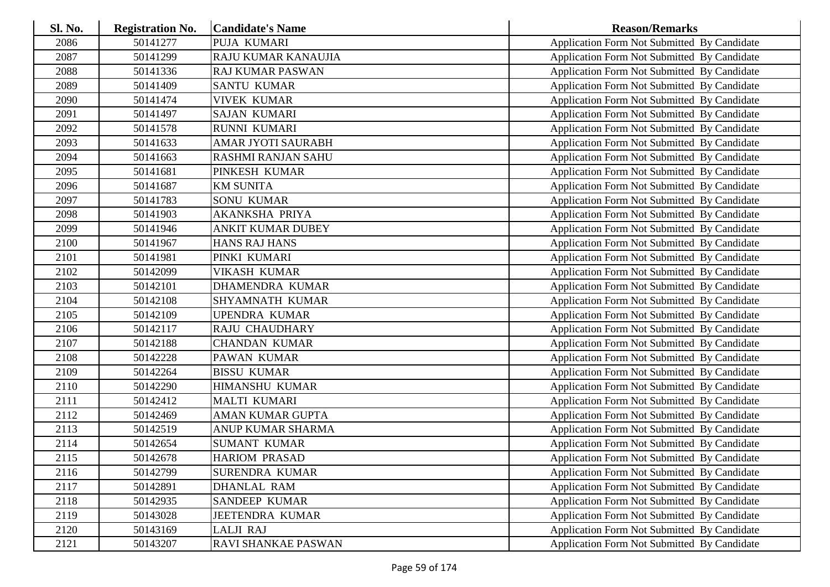| Sl. No. | <b>Registration No.</b> | <b>Candidate's Name</b>  | <b>Reason/Remarks</b>                              |
|---------|-------------------------|--------------------------|----------------------------------------------------|
| 2086    | 50141277                | PUJA KUMARI              | Application Form Not Submitted By Candidate        |
| 2087    | 50141299                | RAJU KUMAR KANAUJIA      | Application Form Not Submitted By Candidate        |
| 2088    | 50141336                | <b>RAJ KUMAR PASWAN</b>  | Application Form Not Submitted By Candidate        |
| 2089    | 50141409                | <b>SANTU KUMAR</b>       | Application Form Not Submitted By Candidate        |
| 2090    | 50141474                | <b>VIVEK KUMAR</b>       | Application Form Not Submitted By Candidate        |
| 2091    | 50141497                | <b>SAJAN KUMARI</b>      | Application Form Not Submitted By Candidate        |
| 2092    | 50141578                | <b>RUNNI KUMARI</b>      | Application Form Not Submitted By Candidate        |
| 2093    | 50141633                | AMAR JYOTI SAURABH       | Application Form Not Submitted By Candidate        |
| 2094    | 50141663                | RASHMI RANJAN SAHU       | Application Form Not Submitted By Candidate        |
| 2095    | 50141681                | PINKESH KUMAR            | Application Form Not Submitted By Candidate        |
| 2096    | 50141687                | <b>KM SUNITA</b>         | Application Form Not Submitted By Candidate        |
| 2097    | 50141783                | <b>SONU KUMAR</b>        | Application Form Not Submitted By Candidate        |
| 2098    | 50141903                | <b>AKANKSHA PRIYA</b>    | Application Form Not Submitted By Candidate        |
| 2099    | 50141946                | <b>ANKIT KUMAR DUBEY</b> | Application Form Not Submitted By Candidate        |
| 2100    | 50141967                | <b>HANS RAJ HANS</b>     | Application Form Not Submitted By Candidate        |
| 2101    | 50141981                | PINKI KUMARI             | Application Form Not Submitted By Candidate        |
| 2102    | 50142099                | <b>VIKASH KUMAR</b>      | Application Form Not Submitted By Candidate        |
| 2103    | 50142101                | <b>DHAMENDRA KUMAR</b>   | Application Form Not Submitted By Candidate        |
| 2104    | 50142108                | SHYAMNATH KUMAR          | Application Form Not Submitted By Candidate        |
| 2105    | 50142109                | <b>UPENDRA KUMAR</b>     | Application Form Not Submitted By Candidate        |
| 2106    | 50142117                | <b>RAJU CHAUDHARY</b>    | Application Form Not Submitted By Candidate        |
| 2107    | 50142188                | <b>CHANDAN KUMAR</b>     | Application Form Not Submitted By Candidate        |
| 2108    | 50142228                | PAWAN KUMAR              | Application Form Not Submitted By Candidate        |
| 2109    | 50142264                | <b>BISSU KUMAR</b>       | Application Form Not Submitted By Candidate        |
| 2110    | 50142290                | <b>HIMANSHU KUMAR</b>    | Application Form Not Submitted By Candidate        |
| 2111    | 50142412                | <b>MALTI KUMARI</b>      | Application Form Not Submitted By Candidate        |
| 2112    | 50142469                | <b>AMAN KUMAR GUPTA</b>  | Application Form Not Submitted By Candidate        |
| 2113    | 50142519                | <b>ANUP KUMAR SHARMA</b> | Application Form Not Submitted By Candidate        |
| 2114    | 50142654                | <b>SUMANT KUMAR</b>      | Application Form Not Submitted By Candidate        |
| 2115    | 50142678                | <b>HARIOM PRASAD</b>     | Application Form Not Submitted By Candidate        |
| 2116    | 50142799                | SURENDRA KUMAR           | Application Form Not Submitted By Candidate        |
| 2117    | 50142891                | <b>DHANLAL RAM</b>       | Application Form Not Submitted By Candidate        |
| 2118    | 50142935                | SANDEEP KUMAR            | Application Form Not Submitted By Candidate        |
| 2119    | 50143028                | <b>JEETENDRA KUMAR</b>   | Application Form Not Submitted By Candidate        |
| 2120    | 50143169                | LALJI RAJ                | <b>Application Form Not Submitted By Candidate</b> |
| 2121    | 50143207                | RAVI SHANKAE PASWAN      | <b>Application Form Not Submitted By Candidate</b> |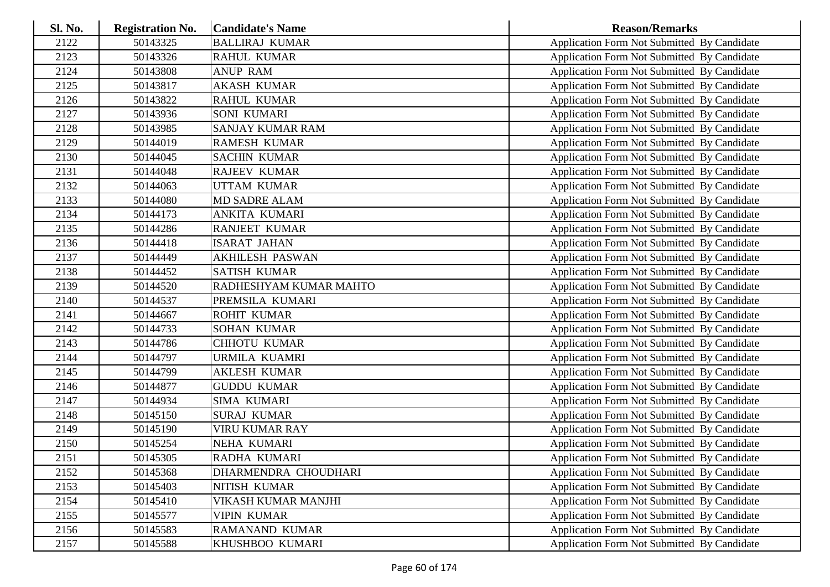| Sl. No. | <b>Registration No.</b> | <b>Candidate's Name</b> | <b>Reason/Remarks</b>                              |
|---------|-------------------------|-------------------------|----------------------------------------------------|
| 2122    | 50143325                | <b>BALLIRAJ KUMAR</b>   | Application Form Not Submitted By Candidate        |
| 2123    | 50143326                | <b>RAHUL KUMAR</b>      | Application Form Not Submitted By Candidate        |
| 2124    | 50143808                | <b>ANUP RAM</b>         | Application Form Not Submitted By Candidate        |
| 2125    | 50143817                | <b>AKASH KUMAR</b>      | Application Form Not Submitted By Candidate        |
| 2126    | 50143822                | <b>RAHUL KUMAR</b>      | Application Form Not Submitted By Candidate        |
| 2127    | 50143936                | SONI KUMARI             | Application Form Not Submitted By Candidate        |
| 2128    | 50143985                | <b>SANJAY KUMAR RAM</b> | Application Form Not Submitted By Candidate        |
| 2129    | 50144019                | <b>RAMESH KUMAR</b>     | Application Form Not Submitted By Candidate        |
| 2130    | 50144045                | <b>SACHIN KUMAR</b>     | Application Form Not Submitted By Candidate        |
| 2131    | 50144048                | <b>RAJEEV KUMAR</b>     | Application Form Not Submitted By Candidate        |
| 2132    | 50144063                | <b>UTTAM KUMAR</b>      | Application Form Not Submitted By Candidate        |
| 2133    | 50144080                | <b>MD SADRE ALAM</b>    | Application Form Not Submitted By Candidate        |
| 2134    | 50144173                | ANKITA KUMARI           | Application Form Not Submitted By Candidate        |
| 2135    | 50144286                | RANJEET KUMAR           | Application Form Not Submitted By Candidate        |
| 2136    | 50144418                | <b>ISARAT JAHAN</b>     | Application Form Not Submitted By Candidate        |
| 2137    | 50144449                | <b>AKHILESH PASWAN</b>  | Application Form Not Submitted By Candidate        |
| 2138    | 50144452                | <b>SATISH KUMAR</b>     | Application Form Not Submitted By Candidate        |
| 2139    | 50144520                | RADHESHYAM KUMAR MAHTO  | Application Form Not Submitted By Candidate        |
| 2140    | 50144537                | PREMSILA KUMARI         | Application Form Not Submitted By Candidate        |
| 2141    | 50144667                | ROHIT KUMAR             | Application Form Not Submitted By Candidate        |
| 2142    | 50144733                | <b>SOHAN KUMAR</b>      | Application Form Not Submitted By Candidate        |
| 2143    | 50144786                | <b>CHHOTU KUMAR</b>     | Application Form Not Submitted By Candidate        |
| 2144    | 50144797                | URMILA KUAMRI           | Application Form Not Submitted By Candidate        |
| 2145    | 50144799                | <b>AKLESH KUMAR</b>     | Application Form Not Submitted By Candidate        |
| 2146    | 50144877                | <b>GUDDU KUMAR</b>      | Application Form Not Submitted By Candidate        |
| 2147    | 50144934                | SIMA KUMARI             | Application Form Not Submitted By Candidate        |
| 2148    | 50145150                | <b>SURAJ KUMAR</b>      | Application Form Not Submitted By Candidate        |
| 2149    | 50145190                | VIRU KUMAR RAY          | Application Form Not Submitted By Candidate        |
| 2150    | 50145254                | NEHA KUMARI             | Application Form Not Submitted By Candidate        |
| 2151    | 50145305                | RADHA KUMARI            | Application Form Not Submitted By Candidate        |
| 2152    | 50145368                | DHARMENDRA CHOUDHARI    | Application Form Not Submitted By Candidate        |
| 2153    | 50145403                | NITISH KUMAR            | Application Form Not Submitted By Candidate        |
| 2154    | 50145410                | VIKASH KUMAR MANJHI     | Application Form Not Submitted By Candidate        |
| 2155    | 50145577                | <b>VIPIN KUMAR</b>      | Application Form Not Submitted By Candidate        |
| 2156    | 50145583                | <b>RAMANAND KUMAR</b>   | <b>Application Form Not Submitted By Candidate</b> |
| 2157    | 50145588                | KHUSHBOO KUMARI         | Application Form Not Submitted By Candidate        |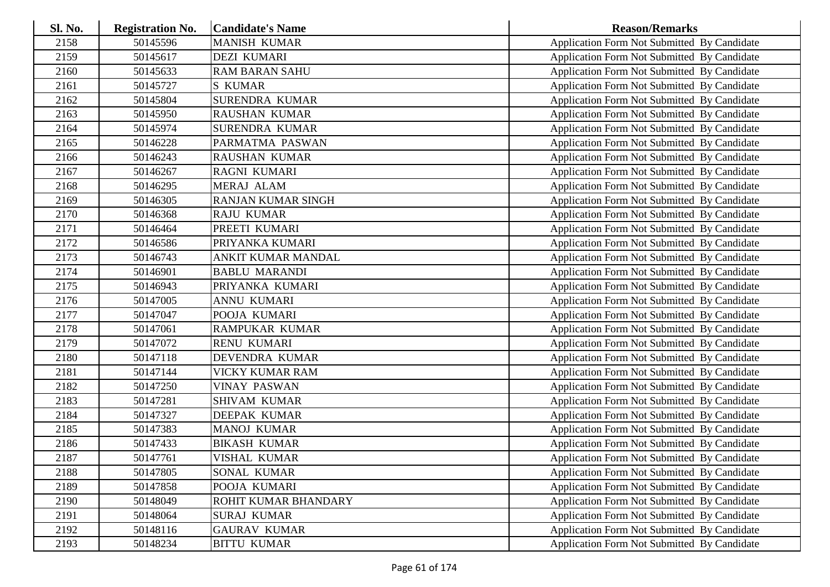| <b>Sl. No.</b> | <b>Registration No.</b> | <b>Candidate's Name</b>   | <b>Reason/Remarks</b>                              |
|----------------|-------------------------|---------------------------|----------------------------------------------------|
| 2158           | 50145596                | <b>MANISH KUMAR</b>       | Application Form Not Submitted By Candidate        |
| 2159           | 50145617                | <b>DEZI KUMARI</b>        | Application Form Not Submitted By Candidate        |
| 2160           | 50145633                | <b>RAM BARAN SAHU</b>     | Application Form Not Submitted By Candidate        |
| 2161           | 50145727                | <b>S KUMAR</b>            | Application Form Not Submitted By Candidate        |
| 2162           | 50145804                | SURENDRA KUMAR            | Application Form Not Submitted By Candidate        |
| 2163           | 50145950                | <b>RAUSHAN KUMAR</b>      | Application Form Not Submitted By Candidate        |
| 2164           | 50145974                | SURENDRA KUMAR            | Application Form Not Submitted By Candidate        |
| 2165           | 50146228                | PARMATMA PASWAN           | Application Form Not Submitted By Candidate        |
| 2166           | 50146243                | <b>RAUSHAN KUMAR</b>      | Application Form Not Submitted By Candidate        |
| 2167           | 50146267                | <b>RAGNI KUMARI</b>       | Application Form Not Submitted By Candidate        |
| 2168           | 50146295                | MERAJ ALAM                | Application Form Not Submitted By Candidate        |
| 2169           | 50146305                | <b>RANJAN KUMAR SINGH</b> | Application Form Not Submitted By Candidate        |
| 2170           | 50146368                | <b>RAJU KUMAR</b>         | Application Form Not Submitted By Candidate        |
| 2171           | 50146464                | PREETI KUMARI             | Application Form Not Submitted By Candidate        |
| 2172           | 50146586                | PRIYANKA KUMARI           | Application Form Not Submitted By Candidate        |
| 2173           | 50146743                | <b>ANKIT KUMAR MANDAL</b> | Application Form Not Submitted By Candidate        |
| 2174           | 50146901                | <b>BABLU MARANDI</b>      | Application Form Not Submitted By Candidate        |
| 2175           | 50146943                | PRIYANKA KUMARI           | Application Form Not Submitted By Candidate        |
| 2176           | 50147005                | <b>ANNU KUMARI</b>        | Application Form Not Submitted By Candidate        |
| 2177           | 50147047                | POOJA KUMARI              | Application Form Not Submitted By Candidate        |
| 2178           | 50147061                | <b>RAMPUKAR KUMAR</b>     | Application Form Not Submitted By Candidate        |
| 2179           | 50147072                | <b>RENU KUMARI</b>        | Application Form Not Submitted By Candidate        |
| 2180           | 50147118                | DEVENDRA KUMAR            | Application Form Not Submitted By Candidate        |
| 2181           | 50147144                | VICKY KUMAR RAM           | Application Form Not Submitted By Candidate        |
| 2182           | 50147250                | <b>VINAY PASWAN</b>       | Application Form Not Submitted By Candidate        |
| 2183           | 50147281                | <b>SHIVAM KUMAR</b>       | Application Form Not Submitted By Candidate        |
| 2184           | 50147327                | DEEPAK KUMAR              | Application Form Not Submitted By Candidate        |
| 2185           | 50147383                | <b>MANOJ KUMAR</b>        | Application Form Not Submitted By Candidate        |
| 2186           | 50147433                | <b>BIKASH KUMAR</b>       | Application Form Not Submitted By Candidate        |
| 2187           | 50147761                | VISHAL KUMAR              | Application Form Not Submitted By Candidate        |
| 2188           | 50147805                | <b>SONAL KUMAR</b>        | Application Form Not Submitted By Candidate        |
| 2189           | 50147858                | POOJA KUMARI              | Application Form Not Submitted By Candidate        |
| 2190           | 50148049                | ROHIT KUMAR BHANDARY      | Application Form Not Submitted By Candidate        |
| 2191           | 50148064                | <b>SURAJ KUMAR</b>        | Application Form Not Submitted By Candidate        |
| 2192           | 50148116                | <b>GAURAV KUMAR</b>       | <b>Application Form Not Submitted By Candidate</b> |
| 2193           | 50148234                | <b>BITTU KUMAR</b>        | Application Form Not Submitted By Candidate        |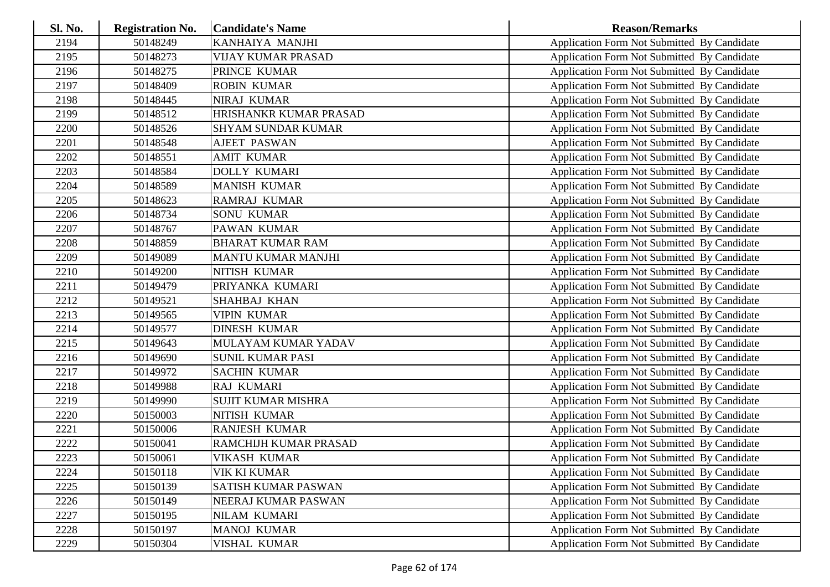| <b>Sl. No.</b> | <b>Registration No.</b> | <b>Candidate's Name</b>    | <b>Reason/Remarks</b>                              |
|----------------|-------------------------|----------------------------|----------------------------------------------------|
| 2194           | 50148249                | KANHAIYA MANJHI            | Application Form Not Submitted By Candidate        |
| 2195           | 50148273                | <b>VIJAY KUMAR PRASAD</b>  | Application Form Not Submitted By Candidate        |
| 2196           | 50148275                | PRINCE KUMAR               | Application Form Not Submitted By Candidate        |
| 2197           | 50148409                | <b>ROBIN KUMAR</b>         | Application Form Not Submitted By Candidate        |
| 2198           | 50148445                | NIRAJ KUMAR                | Application Form Not Submitted By Candidate        |
| 2199           | 50148512                | HRISHANKR KUMAR PRASAD     | Application Form Not Submitted By Candidate        |
| 2200           | 50148526                | <b>SHYAM SUNDAR KUMAR</b>  | Application Form Not Submitted By Candidate        |
| 2201           | 50148548                | <b>AJEET PASWAN</b>        | Application Form Not Submitted By Candidate        |
| 2202           | 50148551                | <b>AMIT KUMAR</b>          | Application Form Not Submitted By Candidate        |
| 2203           | 50148584                | <b>DOLLY KUMARI</b>        | Application Form Not Submitted By Candidate        |
| 2204           | 50148589                | <b>MANISH KUMAR</b>        | Application Form Not Submitted By Candidate        |
| 2205           | 50148623                | <b>RAMRAJ KUMAR</b>        | Application Form Not Submitted By Candidate        |
| 2206           | 50148734                | <b>SONU KUMAR</b>          | Application Form Not Submitted By Candidate        |
| 2207           | 50148767                | PAWAN KUMAR                | Application Form Not Submitted By Candidate        |
| 2208           | 50148859                | <b>BHARAT KUMAR RAM</b>    | Application Form Not Submitted By Candidate        |
| 2209           | 50149089                | <b>MANTU KUMAR MANJHI</b>  | Application Form Not Submitted By Candidate        |
| 2210           | 50149200                | NITISH KUMAR               | <b>Application Form Not Submitted By Candidate</b> |
| 2211           | 50149479                | PRIYANKA KUMARI            | Application Form Not Submitted By Candidate        |
| 2212           | 50149521                | SHAHBAJ KHAN               | Application Form Not Submitted By Candidate        |
| 2213           | 50149565                | <b>VIPIN KUMAR</b>         | Application Form Not Submitted By Candidate        |
| 2214           | 50149577                | <b>DINESH KUMAR</b>        | Application Form Not Submitted By Candidate        |
| 2215           | 50149643                | MULAYAM KUMAR YADAV        | Application Form Not Submitted By Candidate        |
| 2216           | 50149690                | <b>SUNIL KUMAR PASI</b>    | Application Form Not Submitted By Candidate        |
| 2217           | 50149972                | <b>SACHIN KUMAR</b>        | Application Form Not Submitted By Candidate        |
| 2218           | 50149988                | RAJ KUMARI                 | Application Form Not Submitted By Candidate        |
| 2219           | 50149990                | <b>SUJIT KUMAR MISHRA</b>  | Application Form Not Submitted By Candidate        |
| 2220           | 50150003                | NITISH KUMAR               | Application Form Not Submitted By Candidate        |
| 2221           | 50150006                | <b>RANJESH KUMAR</b>       | Application Form Not Submitted By Candidate        |
| 2222           | 50150041                | RAMCHIJH KUMAR PRASAD      | Application Form Not Submitted By Candidate        |
| 2223           | 50150061                | <b>VIKASH KUMAR</b>        | Application Form Not Submitted By Candidate        |
| 2224           | 50150118                | <b>VIK KI KUMAR</b>        | Application Form Not Submitted By Candidate        |
| 2225           | 50150139                | <b>SATISH KUMAR PASWAN</b> | Application Form Not Submitted By Candidate        |
| 2226           | 50150149                | NEERAJ KUMAR PASWAN        | Application Form Not Submitted By Candidate        |
| 2227           | 50150195                | NILAM KUMARI               | Application Form Not Submitted By Candidate        |
| 2228           | 50150197                | <b>MANOJ KUMAR</b>         | <b>Application Form Not Submitted By Candidate</b> |
| 2229           | 50150304                | VISHAL KUMAR               | <b>Application Form Not Submitted By Candidate</b> |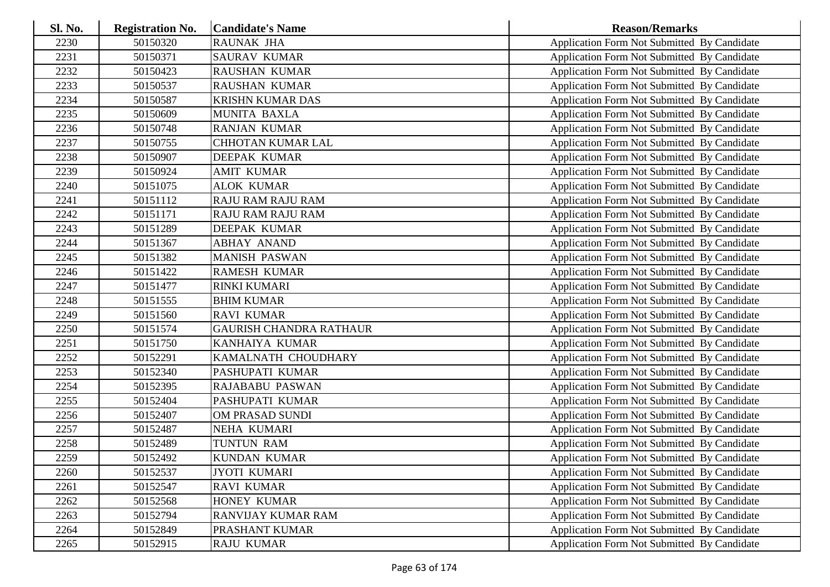| <b>Sl. No.</b> | <b>Registration No.</b> | <b>Candidate's Name</b>        | <b>Reason/Remarks</b>                              |
|----------------|-------------------------|--------------------------------|----------------------------------------------------|
| 2230           | 50150320                | <b>RAUNAK JHA</b>              | Application Form Not Submitted By Candidate        |
| 2231           | 50150371                | <b>SAURAV KUMAR</b>            | Application Form Not Submitted By Candidate        |
| 2232           | 50150423                | <b>RAUSHAN KUMAR</b>           | Application Form Not Submitted By Candidate        |
| 2233           | 50150537                | <b>RAUSHAN KUMAR</b>           | Application Form Not Submitted By Candidate        |
| 2234           | 50150587                | <b>KRISHN KUMAR DAS</b>        | Application Form Not Submitted By Candidate        |
| 2235           | 50150609                | <b>MUNITA BAXLA</b>            | Application Form Not Submitted By Candidate        |
| 2236           | 50150748                | <b>RANJAN KUMAR</b>            | Application Form Not Submitted By Candidate        |
| 2237           | 50150755                | <b>CHHOTAN KUMAR LAL</b>       | Application Form Not Submitted By Candidate        |
| 2238           | 50150907                | <b>DEEPAK KUMAR</b>            | <b>Application Form Not Submitted By Candidate</b> |
| 2239           | 50150924                | <b>AMIT KUMAR</b>              | Application Form Not Submitted By Candidate        |
| 2240           | 50151075                | <b>ALOK KUMAR</b>              | Application Form Not Submitted By Candidate        |
| 2241           | 50151112                | <b>RAJU RAM RAJU RAM</b>       | Application Form Not Submitted By Candidate        |
| 2242           | 50151171                | <b>RAJU RAM RAJU RAM</b>       | Application Form Not Submitted By Candidate        |
| 2243           | 50151289                | DEEPAK KUMAR                   | Application Form Not Submitted By Candidate        |
| 2244           | 50151367                | <b>ABHAY ANAND</b>             | Application Form Not Submitted By Candidate        |
| 2245           | 50151382                | <b>MANISH PASWAN</b>           | Application Form Not Submitted By Candidate        |
| 2246           | 50151422                | <b>RAMESH KUMAR</b>            | <b>Application Form Not Submitted By Candidate</b> |
| 2247           | 50151477                | <b>RINKI KUMARI</b>            | Application Form Not Submitted By Candidate        |
| 2248           | 50151555                | <b>BHIM KUMAR</b>              | Application Form Not Submitted By Candidate        |
| 2249           | 50151560                | <b>RAVI KUMAR</b>              | Application Form Not Submitted By Candidate        |
| 2250           | 50151574                | <b>GAURISH CHANDRA RATHAUR</b> | Application Form Not Submitted By Candidate        |
| 2251           | 50151750                | KANHAIYA KUMAR                 | Application Form Not Submitted By Candidate        |
| 2252           | 50152291                | KAMALNATH CHOUDHARY            | Application Form Not Submitted By Candidate        |
| 2253           | 50152340                | PASHUPATI KUMAR                | Application Form Not Submitted By Candidate        |
| 2254           | 50152395                | <b>RAJABABU PASWAN</b>         | Application Form Not Submitted By Candidate        |
| 2255           | 50152404                | PASHUPATI KUMAR                | Application Form Not Submitted By Candidate        |
| 2256           | 50152407                | OM PRASAD SUNDI                | Application Form Not Submitted By Candidate        |
| 2257           | 50152487                | <b>NEHA KUMARI</b>             | Application Form Not Submitted By Candidate        |
| 2258           | 50152489                | TUNTUN RAM                     | Application Form Not Submitted By Candidate        |
| 2259           | 50152492                | <b>KUNDAN KUMAR</b>            | Application Form Not Submitted By Candidate        |
| 2260           | 50152537                | <b>JYOTI KUMARI</b>            | Application Form Not Submitted By Candidate        |
| 2261           | 50152547                | <b>RAVI KUMAR</b>              | Application Form Not Submitted By Candidate        |
| 2262           | 50152568                | HONEY KUMAR                    | Application Form Not Submitted By Candidate        |
| 2263           | 50152794                | <b>RANVIJAY KUMAR RAM</b>      | <b>Application Form Not Submitted By Candidate</b> |
| 2264           | 50152849                | PRASHANT KUMAR                 | <b>Application Form Not Submitted By Candidate</b> |
| 2265           | 50152915                | <b>RAJU KUMAR</b>              | Application Form Not Submitted By Candidate        |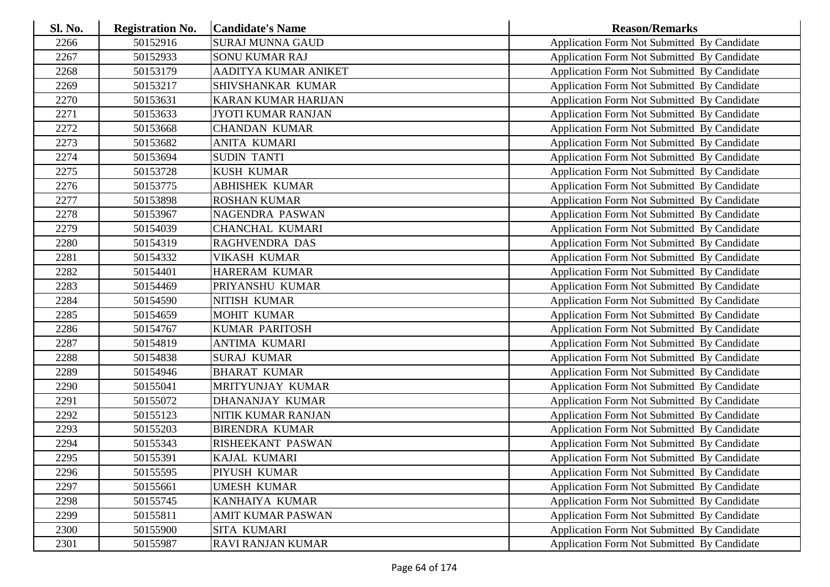| Sl. No. | <b>Registration No.</b> | <b>Candidate's Name</b>   | <b>Reason/Remarks</b>                              |
|---------|-------------------------|---------------------------|----------------------------------------------------|
| 2266    | 50152916                | <b>SURAJ MUNNA GAUD</b>   | Application Form Not Submitted By Candidate        |
| 2267    | 50152933                | <b>SONU KUMAR RAJ</b>     | Application Form Not Submitted By Candidate        |
| 2268    | 50153179                | AADITYA KUMAR ANIKET      | Application Form Not Submitted By Candidate        |
| 2269    | 50153217                | SHIVSHANKAR KUMAR         | Application Form Not Submitted By Candidate        |
| 2270    | 50153631                | KARAN KUMAR HARIJAN       | Application Form Not Submitted By Candidate        |
| 2271    | 50153633                | <b>JYOTI KUMAR RANJAN</b> | Application Form Not Submitted By Candidate        |
| 2272    | 50153668                | <b>CHANDAN KUMAR</b>      | Application Form Not Submitted By Candidate        |
| 2273    | 50153682                | <b>ANITA KUMARI</b>       | Application Form Not Submitted By Candidate        |
| 2274    | 50153694                | <b>SUDIN TANTI</b>        | Application Form Not Submitted By Candidate        |
| 2275    | 50153728                | <b>KUSH KUMAR</b>         | Application Form Not Submitted By Candidate        |
| 2276    | 50153775                | <b>ABHISHEK KUMAR</b>     | Application Form Not Submitted By Candidate        |
| 2277    | 50153898                | <b>ROSHAN KUMAR</b>       | Application Form Not Submitted By Candidate        |
| 2278    | 50153967                | NAGENDRA PASWAN           | Application Form Not Submitted By Candidate        |
| 2279    | 50154039                | <b>CHANCHAL KUMARI</b>    | Application Form Not Submitted By Candidate        |
| 2280    | 50154319                | <b>RAGHVENDRA DAS</b>     | Application Form Not Submitted By Candidate        |
| 2281    | 50154332                | <b>VIKASH KUMAR</b>       | Application Form Not Submitted By Candidate        |
| 2282    | 50154401                | <b>HARERAM KUMAR</b>      | Application Form Not Submitted By Candidate        |
| 2283    | 50154469                | PRIYANSHU KUMAR           | Application Form Not Submitted By Candidate        |
| 2284    | 50154590                | NITISH KUMAR              | Application Form Not Submitted By Candidate        |
| 2285    | 50154659                | MOHIT KUMAR               | Application Form Not Submitted By Candidate        |
| 2286    | 50154767                | <b>KUMAR PARITOSH</b>     | Application Form Not Submitted By Candidate        |
| 2287    | 50154819                | ANTIMA KUMARI             | Application Form Not Submitted By Candidate        |
| 2288    | 50154838                | <b>SURAJ KUMAR</b>        | Application Form Not Submitted By Candidate        |
| 2289    | 50154946                | <b>BHARAT KUMAR</b>       | Application Form Not Submitted By Candidate        |
| 2290    | 50155041                | MRITYUNJAY KUMAR          | Application Form Not Submitted By Candidate        |
| 2291    | 50155072                | DHANANJAY KUMAR           | Application Form Not Submitted By Candidate        |
| 2292    | 50155123                | NITIK KUMAR RANJAN        | Application Form Not Submitted By Candidate        |
| 2293    | 50155203                | <b>BIRENDRA KUMAR</b>     | Application Form Not Submitted By Candidate        |
| 2294    | 50155343                | RISHEEKANT PASWAN         | Application Form Not Submitted By Candidate        |
| 2295    | 50155391                | KAJAL KUMARI              | Application Form Not Submitted By Candidate        |
| 2296    | 50155595                | PIYUSH KUMAR              | <b>Application Form Not Submitted By Candidate</b> |
| 2297    | 50155661                | <b>UMESH KUMAR</b>        | Application Form Not Submitted By Candidate        |
| 2298    | 50155745                | KANHAIYA KUMAR            | Application Form Not Submitted By Candidate        |
| 2299    | 50155811                | AMIT KUMAR PASWAN         | Application Form Not Submitted By Candidate        |
| 2300    | 50155900                | <b>SITA KUMARI</b>        | Application Form Not Submitted By Candidate        |
| 2301    | 50155987                | <b>RAVI RANJAN KUMAR</b>  | <b>Application Form Not Submitted By Candidate</b> |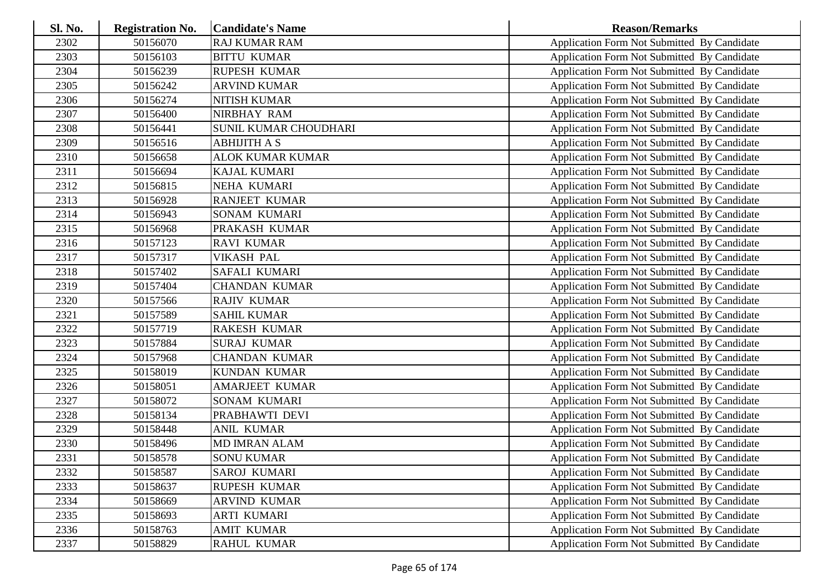| <b>Sl. No.</b> | <b>Registration No.</b> | <b>Candidate's Name</b> | <b>Reason/Remarks</b>                              |
|----------------|-------------------------|-------------------------|----------------------------------------------------|
| 2302           | 50156070                | <b>RAJ KUMAR RAM</b>    | Application Form Not Submitted By Candidate        |
| 2303           | 50156103                | <b>BITTU KUMAR</b>      | Application Form Not Submitted By Candidate        |
| 2304           | 50156239                | <b>RUPESH KUMAR</b>     | Application Form Not Submitted By Candidate        |
| 2305           | 50156242                | <b>ARVIND KUMAR</b>     | Application Form Not Submitted By Candidate        |
| 2306           | 50156274                | <b>NITISH KUMAR</b>     | Application Form Not Submitted By Candidate        |
| 2307           | 50156400                | NIRBHAY RAM             | Application Form Not Submitted By Candidate        |
| 2308           | 50156441                | SUNIL KUMAR CHOUDHARI   | Application Form Not Submitted By Candidate        |
| 2309           | 50156516                | <b>ABHIJITH A S</b>     | Application Form Not Submitted By Candidate        |
| 2310           | 50156658                | <b>ALOK KUMAR KUMAR</b> | Application Form Not Submitted By Candidate        |
| 2311           | 50156694                | <b>KAJAL KUMARI</b>     | Application Form Not Submitted By Candidate        |
| 2312           | 50156815                | NEHA KUMARI             | Application Form Not Submitted By Candidate        |
| 2313           | 50156928                | <b>RANJEET KUMAR</b>    | Application Form Not Submitted By Candidate        |
| 2314           | 50156943                | SONAM KUMARI            | Application Form Not Submitted By Candidate        |
| 2315           | 50156968                | PRAKASH KUMAR           | Application Form Not Submitted By Candidate        |
| 2316           | 50157123                | <b>RAVI KUMAR</b>       | Application Form Not Submitted By Candidate        |
| 2317           | 50157317                | <b>VIKASH PAL</b>       | Application Form Not Submitted By Candidate        |
| 2318           | 50157402                | <b>SAFALI KUMARI</b>    | Application Form Not Submitted By Candidate        |
| 2319           | 50157404                | <b>CHANDAN KUMAR</b>    | Application Form Not Submitted By Candidate        |
| 2320           | 50157566                | <b>RAJIV KUMAR</b>      | Application Form Not Submitted By Candidate        |
| 2321           | 50157589                | <b>SAHIL KUMAR</b>      | Application Form Not Submitted By Candidate        |
| 2322           | 50157719                | <b>RAKESH KUMAR</b>     | Application Form Not Submitted By Candidate        |
| 2323           | 50157884                | <b>SURAJ KUMAR</b>      | Application Form Not Submitted By Candidate        |
| 2324           | 50157968                | <b>CHANDAN KUMAR</b>    | Application Form Not Submitted By Candidate        |
| 2325           | 50158019                | <b>KUNDAN KUMAR</b>     | Application Form Not Submitted By Candidate        |
| 2326           | 50158051                | <b>AMARJEET KUMAR</b>   | Application Form Not Submitted By Candidate        |
| 2327           | 50158072                | <b>SONAM KUMARI</b>     | Application Form Not Submitted By Candidate        |
| 2328           | 50158134                | PRABHAWTI DEVI          | Application Form Not Submitted By Candidate        |
| 2329           | 50158448                | <b>ANIL KUMAR</b>       | Application Form Not Submitted By Candidate        |
| 2330           | 50158496                | <b>MD IMRAN ALAM</b>    | Application Form Not Submitted By Candidate        |
| 2331           | 50158578                | <b>SONU KUMAR</b>       | Application Form Not Submitted By Candidate        |
| 2332           | 50158587                | <b>SAROJ KUMARI</b>     | Application Form Not Submitted By Candidate        |
| 2333           | 50158637                | <b>RUPESH KUMAR</b>     | <b>Application Form Not Submitted By Candidate</b> |
| 2334           | 50158669                | <b>ARVIND KUMAR</b>     | <b>Application Form Not Submitted By Candidate</b> |
| 2335           | 50158693                | <b>ARTI KUMARI</b>      | Application Form Not Submitted By Candidate        |
| 2336           | 50158763                | <b>AMIT KUMAR</b>       | <b>Application Form Not Submitted By Candidate</b> |
| 2337           | 50158829                | <b>RAHUL KUMAR</b>      | Application Form Not Submitted By Candidate        |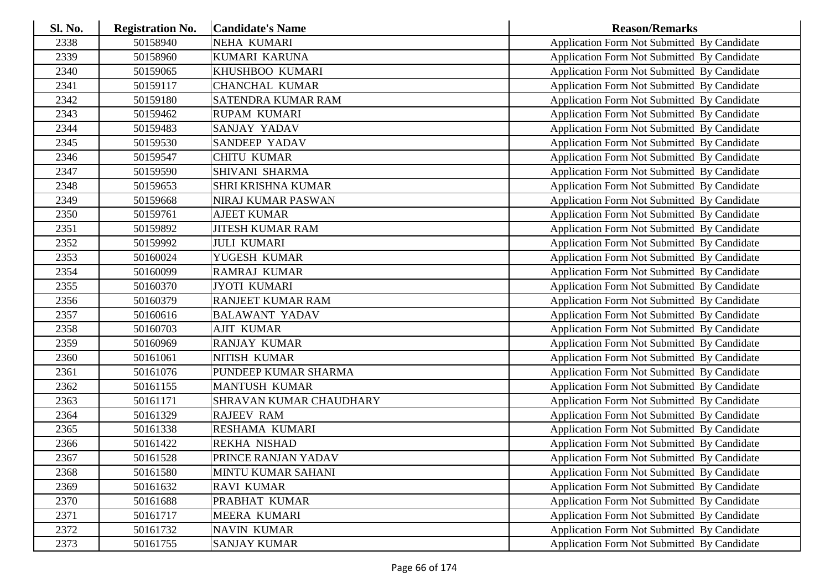| <b>Sl. No.</b> | <b>Registration No.</b> | <b>Candidate's Name</b>   | <b>Reason/Remarks</b>                              |
|----------------|-------------------------|---------------------------|----------------------------------------------------|
| 2338           | 50158940                | NEHA KUMARI               | Application Form Not Submitted By Candidate        |
| 2339           | 50158960                | KUMARI KARUNA             | Application Form Not Submitted By Candidate        |
| 2340           | 50159065                | KHUSHBOO KUMARI           | Application Form Not Submitted By Candidate        |
| 2341           | 50159117                | <b>CHANCHAL KUMAR</b>     | Application Form Not Submitted By Candidate        |
| 2342           | 50159180                | SATENDRA KUMAR RAM        | Application Form Not Submitted By Candidate        |
| 2343           | 50159462                | <b>RUPAM KUMARI</b>       | Application Form Not Submitted By Candidate        |
| 2344           | 50159483                | SANJAY YADAV              | Application Form Not Submitted By Candidate        |
| 2345           | 50159530                | <b>SANDEEP YADAV</b>      | Application Form Not Submitted By Candidate        |
| 2346           | 50159547                | <b>CHITU KUMAR</b>        | Application Form Not Submitted By Candidate        |
| 2347           | 50159590                | SHIVANI SHARMA            | Application Form Not Submitted By Candidate        |
| 2348           | 50159653                | <b>SHRI KRISHNA KUMAR</b> | Application Form Not Submitted By Candidate        |
| 2349           | 50159668                | NIRAJ KUMAR PASWAN        | Application Form Not Submitted By Candidate        |
| 2350           | 50159761                | <b>AJEET KUMAR</b>        | Application Form Not Submitted By Candidate        |
| 2351           | 50159892                | <b>JITESH KUMAR RAM</b>   | Application Form Not Submitted By Candidate        |
| 2352           | 50159992                | <b>JULI KUMARI</b>        | Application Form Not Submitted By Candidate        |
| 2353           | 50160024                | YUGESH KUMAR              | Application Form Not Submitted By Candidate        |
| 2354           | 50160099                | <b>RAMRAJ KUMAR</b>       | Application Form Not Submitted By Candidate        |
| 2355           | 50160370                | <b>JYOTI KUMARI</b>       | Application Form Not Submitted By Candidate        |
| 2356           | 50160379                | <b>RANJEET KUMAR RAM</b>  | Application Form Not Submitted By Candidate        |
| 2357           | 50160616                | <b>BALAWANT YADAV</b>     | Application Form Not Submitted By Candidate        |
| 2358           | 50160703                | <b>AJIT KUMAR</b>         | Application Form Not Submitted By Candidate        |
| 2359           | 50160969                | <b>RANJAY KUMAR</b>       | Application Form Not Submitted By Candidate        |
| 2360           | 50161061                | NITISH KUMAR              | Application Form Not Submitted By Candidate        |
| 2361           | 50161076                | PUNDEEP KUMAR SHARMA      | Application Form Not Submitted By Candidate        |
| 2362           | 50161155                | <b>MANTUSH KUMAR</b>      | Application Form Not Submitted By Candidate        |
| 2363           | 50161171                | SHRAVAN KUMAR CHAUDHARY   | Application Form Not Submitted By Candidate        |
| 2364           | 50161329                | <b>RAJEEV RAM</b>         | Application Form Not Submitted By Candidate        |
| 2365           | 50161338                | RESHAMA KUMARI            | Application Form Not Submitted By Candidate        |
| 2366           | 50161422                | <b>REKHA NISHAD</b>       | Application Form Not Submitted By Candidate        |
| 2367           | 50161528                | PRINCE RANJAN YADAV       | Application Form Not Submitted By Candidate        |
| 2368           | 50161580                | MINTU KUMAR SAHANI        | Application Form Not Submitted By Candidate        |
| 2369           | 50161632                | <b>RAVI KUMAR</b>         | Application Form Not Submitted By Candidate        |
| 2370           | 50161688                | PRABHAT KUMAR             | Application Form Not Submitted By Candidate        |
| 2371           | 50161717                | MEERA KUMARI              | Application Form Not Submitted By Candidate        |
| 2372           | 50161732                | <b>NAVIN KUMAR</b>        | <b>Application Form Not Submitted By Candidate</b> |
| 2373           | 50161755                | <b>SANJAY KUMAR</b>       | Application Form Not Submitted By Candidate        |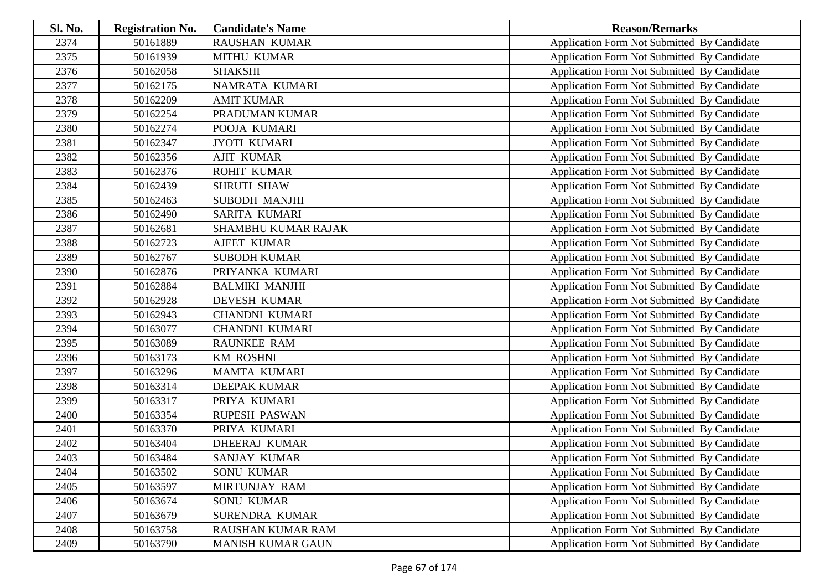| Sl. No. | <b>Registration No.</b> | <b>Candidate's Name</b>  | <b>Reason/Remarks</b>                              |
|---------|-------------------------|--------------------------|----------------------------------------------------|
| 2374    | 50161889                | <b>RAUSHAN KUMAR</b>     | Application Form Not Submitted By Candidate        |
| 2375    | 50161939                | <b>MITHU KUMAR</b>       | Application Form Not Submitted By Candidate        |
| 2376    | 50162058                | <b>SHAKSHI</b>           | Application Form Not Submitted By Candidate        |
| 2377    | 50162175                | NAMRATA KUMARI           | Application Form Not Submitted By Candidate        |
| 2378    | 50162209                | <b>AMIT KUMAR</b>        | Application Form Not Submitted By Candidate        |
| 2379    | 50162254                | PRADUMAN KUMAR           | Application Form Not Submitted By Candidate        |
| 2380    | 50162274                | POOJA KUMARI             | Application Form Not Submitted By Candidate        |
| 2381    | 50162347                | <b>JYOTI KUMARI</b>      | Application Form Not Submitted By Candidate        |
| 2382    | 50162356                | <b>AJIT KUMAR</b>        | Application Form Not Submitted By Candidate        |
| 2383    | 50162376                | ROHIT KUMAR              | Application Form Not Submitted By Candidate        |
| 2384    | 50162439                | <b>SHRUTI SHAW</b>       | Application Form Not Submitted By Candidate        |
| 2385    | 50162463                | <b>SUBODH MANJHI</b>     | Application Form Not Submitted By Candidate        |
| 2386    | 50162490                | <b>SARITA KUMARI</b>     | Application Form Not Submitted By Candidate        |
| 2387    | 50162681                | SHAMBHU KUMAR RAJAK      | Application Form Not Submitted By Candidate        |
| 2388    | 50162723                | <b>AJEET KUMAR</b>       | Application Form Not Submitted By Candidate        |
| 2389    | 50162767                | <b>SUBODH KUMAR</b>      | Application Form Not Submitted By Candidate        |
| 2390    | 50162876                | PRIYANKA KUMARI          | Application Form Not Submitted By Candidate        |
| 2391    | 50162884                | <b>BALMIKI MANJHI</b>    | Application Form Not Submitted By Candidate        |
| 2392    | 50162928                | <b>DEVESH KUMAR</b>      | Application Form Not Submitted By Candidate        |
| 2393    | 50162943                | <b>CHANDNI KUMARI</b>    | Application Form Not Submitted By Candidate        |
| 2394    | 50163077                | <b>CHANDNI KUMARI</b>    | Application Form Not Submitted By Candidate        |
| 2395    | 50163089                | <b>RAUNKEE RAM</b>       | Application Form Not Submitted By Candidate        |
| 2396    | 50163173                | <b>KM ROSHNI</b>         | Application Form Not Submitted By Candidate        |
| 2397    | 50163296                | MAMTA KUMARI             | Application Form Not Submitted By Candidate        |
| 2398    | 50163314                | <b>DEEPAK KUMAR</b>      | Application Form Not Submitted By Candidate        |
| 2399    | 50163317                | PRIYA KUMARI             | Application Form Not Submitted By Candidate        |
| 2400    | 50163354                | <b>RUPESH PASWAN</b>     | Application Form Not Submitted By Candidate        |
| 2401    | 50163370                | PRIYA KUMARI             | Application Form Not Submitted By Candidate        |
| 2402    | 50163404                | DHEERAJ KUMAR            | Application Form Not Submitted By Candidate        |
| 2403    | 50163484                | <b>SANJAY KUMAR</b>      | Application Form Not Submitted By Candidate        |
| 2404    | 50163502                | SONU KUMAR               | Application Form Not Submitted By Candidate        |
| 2405    | 50163597                | MIRTUNJAY RAM            | Application Form Not Submitted By Candidate        |
| 2406    | 50163674                | <b>SONU KUMAR</b>        | Application Form Not Submitted By Candidate        |
| 2407    | 50163679                | SURENDRA KUMAR           | Application Form Not Submitted By Candidate        |
| 2408    | 50163758                | RAUSHAN KUMAR RAM        | <b>Application Form Not Submitted By Candidate</b> |
| 2409    | 50163790                | <b>MANISH KUMAR GAUN</b> | Application Form Not Submitted By Candidate        |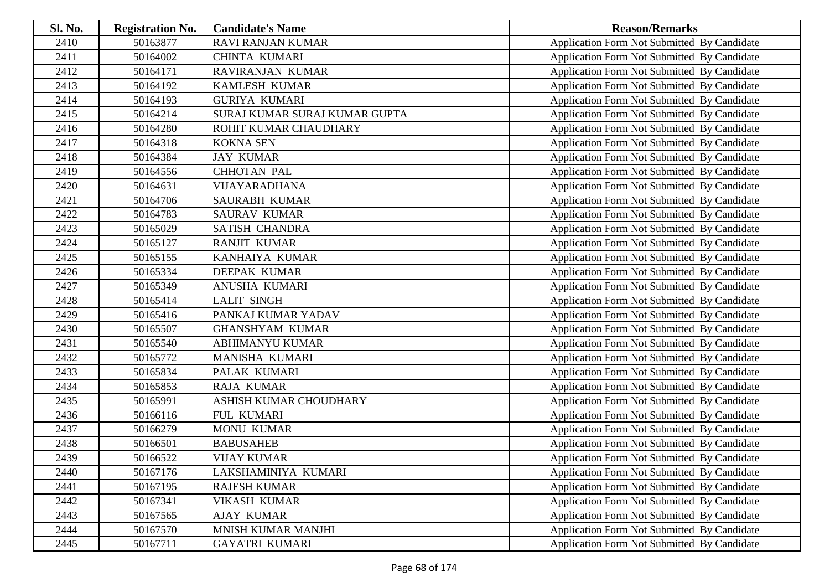| Sl. No. | <b>Registration No.</b> | <b>Candidate's Name</b>       | <b>Reason/Remarks</b>                       |
|---------|-------------------------|-------------------------------|---------------------------------------------|
| 2410    | 50163877                | <b>RAVI RANJAN KUMAR</b>      | Application Form Not Submitted By Candidate |
| 2411    | 50164002                | <b>CHINTA KUMARI</b>          | Application Form Not Submitted By Candidate |
| 2412    | 50164171                | RAVIRANJAN KUMAR              | Application Form Not Submitted By Candidate |
| 2413    | 50164192                | <b>KAMLESH KUMAR</b>          | Application Form Not Submitted By Candidate |
| 2414    | 50164193                | <b>GURIYA KUMARI</b>          | Application Form Not Submitted By Candidate |
| 2415    | 50164214                | SURAJ KUMAR SURAJ KUMAR GUPTA | Application Form Not Submitted By Candidate |
| 2416    | 50164280                | ROHIT KUMAR CHAUDHARY         | Application Form Not Submitted By Candidate |
| 2417    | 50164318                | <b>KOKNA SEN</b>              | Application Form Not Submitted By Candidate |
| 2418    | 50164384                | <b>JAY KUMAR</b>              | Application Form Not Submitted By Candidate |
| 2419    | 50164556                | <b>CHHOTAN PAL</b>            | Application Form Not Submitted By Candidate |
| 2420    | 50164631                | <b>VIJAYARADHANA</b>          | Application Form Not Submitted By Candidate |
| 2421    | 50164706                | <b>SAURABH KUMAR</b>          | Application Form Not Submitted By Candidate |
| 2422    | 50164783                | <b>SAURAV KUMAR</b>           | Application Form Not Submitted By Candidate |
| 2423    | 50165029                | <b>SATISH CHANDRA</b>         | Application Form Not Submitted By Candidate |
| 2424    | 50165127                | <b>RANJIT KUMAR</b>           | Application Form Not Submitted By Candidate |
| 2425    | 50165155                | KANHAIYA KUMAR                | Application Form Not Submitted By Candidate |
| 2426    | 50165334                | DEEPAK KUMAR                  | Application Form Not Submitted By Candidate |
| 2427    | 50165349                | ANUSHA KUMARI                 | Application Form Not Submitted By Candidate |
| 2428    | 50165414                | <b>LALIT SINGH</b>            | Application Form Not Submitted By Candidate |
| 2429    | 50165416                | PANKAJ KUMAR YADAV            | Application Form Not Submitted By Candidate |
| 2430    | 50165507                | <b>GHANSHYAM KUMAR</b>        | Application Form Not Submitted By Candidate |
| 2431    | 50165540                | ABHIMANYU KUMAR               | Application Form Not Submitted By Candidate |
| 2432    | 50165772                | MANISHA KUMARI                | Application Form Not Submitted By Candidate |
| 2433    | 50165834                | PALAK KUMARI                  | Application Form Not Submitted By Candidate |
| 2434    | 50165853                | <b>RAJA KUMAR</b>             | Application Form Not Submitted By Candidate |
| 2435    | 50165991                | ASHISH KUMAR CHOUDHARY        | Application Form Not Submitted By Candidate |
| 2436    | 50166116                | FUL KUMARI                    | Application Form Not Submitted By Candidate |
| 2437    | 50166279                | <b>MONU KUMAR</b>             | Application Form Not Submitted By Candidate |
| 2438    | 50166501                | <b>BABUSAHEB</b>              | Application Form Not Submitted By Candidate |
| 2439    | 50166522                | <b>VIJAY KUMAR</b>            | Application Form Not Submitted By Candidate |
| 2440    | 50167176                | LAKSHAMINIYA KUMARI           | Application Form Not Submitted By Candidate |
| 2441    | 50167195                | <b>RAJESH KUMAR</b>           | Application Form Not Submitted By Candidate |
| 2442    | 50167341                | <b>VIKASH KUMAR</b>           | Application Form Not Submitted By Candidate |
| 2443    | 50167565                | <b>AJAY KUMAR</b>             | Application Form Not Submitted By Candidate |
| 2444    | 50167570                | MNISH KUMAR MANJHI            | Application Form Not Submitted By Candidate |
| 2445    | 50167711                | <b>GAYATRI KUMARI</b>         | Application Form Not Submitted By Candidate |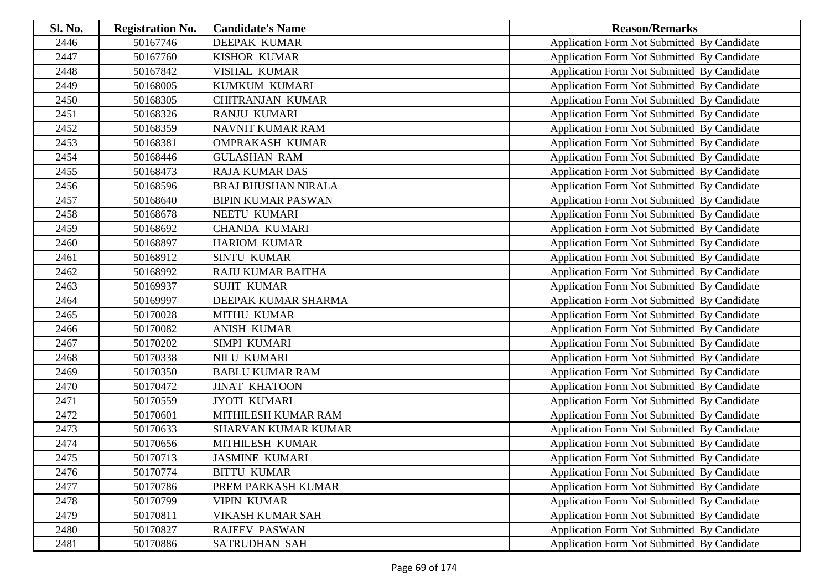| Sl. No. | <b>Registration No.</b> | <b>Candidate's Name</b>    | <b>Reason/Remarks</b>                       |
|---------|-------------------------|----------------------------|---------------------------------------------|
| 2446    | 50167746                | DEEPAK KUMAR               | Application Form Not Submitted By Candidate |
| 2447    | 50167760                | KISHOR KUMAR               | Application Form Not Submitted By Candidate |
| 2448    | 50167842                | <b>VISHAL KUMAR</b>        | Application Form Not Submitted By Candidate |
| 2449    | 50168005                | KUMKUM KUMARI              | Application Form Not Submitted By Candidate |
| 2450    | 50168305                | <b>CHITRANJAN KUMAR</b>    | Application Form Not Submitted By Candidate |
| 2451    | 50168326                | <b>RANJU KUMARI</b>        | Application Form Not Submitted By Candidate |
| 2452    | 50168359                | <b>NAVNIT KUMAR RAM</b>    | Application Form Not Submitted By Candidate |
| 2453    | 50168381                | <b>OMPRAKASH KUMAR</b>     | Application Form Not Submitted By Candidate |
| 2454    | 50168446                | <b>GULASHAN RAM</b>        | Application Form Not Submitted By Candidate |
| 2455    | 50168473                | <b>RAJA KUMAR DAS</b>      | Application Form Not Submitted By Candidate |
| 2456    | 50168596                | <b>BRAJ BHUSHAN NIRALA</b> | Application Form Not Submitted By Candidate |
| 2457    | 50168640                | <b>BIPIN KUMAR PASWAN</b>  | Application Form Not Submitted By Candidate |
| 2458    | 50168678                | NEETU KUMARI               | Application Form Not Submitted By Candidate |
| 2459    | 50168692                | CHANDA KUMARI              | Application Form Not Submitted By Candidate |
| 2460    | 50168897                | <b>HARIOM KUMAR</b>        | Application Form Not Submitted By Candidate |
| 2461    | 50168912                | <b>SINTU KUMAR</b>         | Application Form Not Submitted By Candidate |
| 2462    | 50168992                | RAJU KUMAR BAITHA          | Application Form Not Submitted By Candidate |
| 2463    | 50169937                | <b>SUJIT KUMAR</b>         | Application Form Not Submitted By Candidate |
| 2464    | 50169997                | DEEPAK KUMAR SHARMA        | Application Form Not Submitted By Candidate |
| 2465    | 50170028                | <b>MITHU KUMAR</b>         | Application Form Not Submitted By Candidate |
| 2466    | 50170082                | <b>ANISH KUMAR</b>         | Application Form Not Submitted By Candidate |
| 2467    | 50170202                | SIMPI KUMARI               | Application Form Not Submitted By Candidate |
| 2468    | 50170338                | NILU KUMARI                | Application Form Not Submitted By Candidate |
| 2469    | 50170350                | <b>BABLU KUMAR RAM</b>     | Application Form Not Submitted By Candidate |
| 2470    | 50170472                | <b>JINAT KHATOON</b>       | Application Form Not Submitted By Candidate |
| 2471    | 50170559                | <b>JYOTI KUMARI</b>        | Application Form Not Submitted By Candidate |
| 2472    | 50170601                | MITHILESH KUMAR RAM        | Application Form Not Submitted By Candidate |
| 2473    | 50170633                | <b>SHARVAN KUMAR KUMAR</b> | Application Form Not Submitted By Candidate |
| 2474    | 50170656                | MITHILESH KUMAR            | Application Form Not Submitted By Candidate |
| 2475    | 50170713                | <b>JASMINE KUMARI</b>      | Application Form Not Submitted By Candidate |
| 2476    | 50170774                | <b>BITTU KUMAR</b>         | Application Form Not Submitted By Candidate |
| 2477    | 50170786                | PREM PARKASH KUMAR         | Application Form Not Submitted By Candidate |
| 2478    | 50170799                | <b>VIPIN KUMAR</b>         | Application Form Not Submitted By Candidate |
| 2479    | 50170811                | VIKASH KUMAR SAH           | Application Form Not Submitted By Candidate |
| 2480    | 50170827                | <b>RAJEEV PASWAN</b>       | Application Form Not Submitted By Candidate |
| 2481    | 50170886                | SATRUDHAN SAH              | Application Form Not Submitted By Candidate |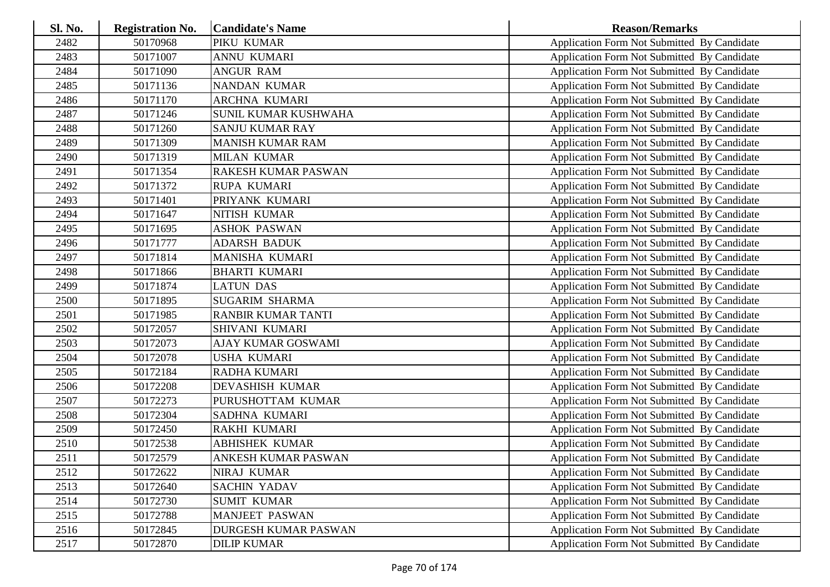| <b>Sl. No.</b> | <b>Registration No.</b> | <b>Candidate's Name</b>    | <b>Reason/Remarks</b>                              |
|----------------|-------------------------|----------------------------|----------------------------------------------------|
| 2482           | 50170968                | PIKU KUMAR                 | Application Form Not Submitted By Candidate        |
| 2483           | 50171007                | <b>ANNU KUMARI</b>         | Application Form Not Submitted By Candidate        |
| 2484           | 50171090                | <b>ANGUR RAM</b>           | Application Form Not Submitted By Candidate        |
| 2485           | 50171136                | NANDAN KUMAR               | Application Form Not Submitted By Candidate        |
| 2486           | 50171170                | ARCHNA KUMARI              | Application Form Not Submitted By Candidate        |
| 2487           | 50171246                | SUNIL KUMAR KUSHWAHA       | Application Form Not Submitted By Candidate        |
| 2488           | 50171260                | <b>SANJU KUMAR RAY</b>     | Application Form Not Submitted By Candidate        |
| 2489           | 50171309                | <b>MANISH KUMAR RAM</b>    | Application Form Not Submitted By Candidate        |
| 2490           | 50171319                | <b>MILAN KUMAR</b>         | Application Form Not Submitted By Candidate        |
| 2491           | 50171354                | RAKESH KUMAR PASWAN        | Application Form Not Submitted By Candidate        |
| 2492           | 50171372                | <b>RUPA KUMARI</b>         | Application Form Not Submitted By Candidate        |
| 2493           | 50171401                | PRIYANK KUMARI             | Application Form Not Submitted By Candidate        |
| 2494           | 50171647                | NITISH KUMAR               | Application Form Not Submitted By Candidate        |
| 2495           | 50171695                | <b>ASHOK PASWAN</b>        | Application Form Not Submitted By Candidate        |
| 2496           | 50171777                | <b>ADARSH BADUK</b>        | Application Form Not Submitted By Candidate        |
| 2497           | 50171814                | MANISHA KUMARI             | Application Form Not Submitted By Candidate        |
| 2498           | 50171866                | <b>BHARTI KUMARI</b>       | Application Form Not Submitted By Candidate        |
| 2499           | 50171874                | <b>LATUN DAS</b>           | Application Form Not Submitted By Candidate        |
| 2500           | 50171895                | <b>SUGARIM SHARMA</b>      | Application Form Not Submitted By Candidate        |
| 2501           | 50171985                | <b>RANBIR KUMAR TANTI</b>  | Application Form Not Submitted By Candidate        |
| 2502           | 50172057                | SHIVANI KUMARI             | Application Form Not Submitted By Candidate        |
| 2503           | 50172073                | AJAY KUMAR GOSWAMI         | Application Form Not Submitted By Candidate        |
| 2504           | 50172078                | <b>USHA KUMARI</b>         | Application Form Not Submitted By Candidate        |
| 2505           | 50172184                | <b>RADHA KUMARI</b>        | Application Form Not Submitted By Candidate        |
| 2506           | 50172208                | <b>DEVASHISH KUMAR</b>     | Application Form Not Submitted By Candidate        |
| 2507           | 50172273                | PURUSHOTTAM KUMAR          | Application Form Not Submitted By Candidate        |
| 2508           | 50172304                | SADHNA KUMARI              | Application Form Not Submitted By Candidate        |
| 2509           | 50172450                | <b>RAKHI KUMARI</b>        | Application Form Not Submitted By Candidate        |
| 2510           | 50172538                | <b>ABHISHEK KUMAR</b>      | Application Form Not Submitted By Candidate        |
| 2511           | 50172579                | <b>ANKESH KUMAR PASWAN</b> | Application Form Not Submitted By Candidate        |
| 2512           | 50172622                | NIRAJ KUMAR                | <b>Application Form Not Submitted By Candidate</b> |
| 2513           | 50172640                | <b>SACHIN YADAV</b>        | <b>Application Form Not Submitted By Candidate</b> |
| 2514           | 50172730                | <b>SUMIT KUMAR</b>         | Application Form Not Submitted By Candidate        |
| 2515           | 50172788                | <b>MANJEET PASWAN</b>      | Application Form Not Submitted By Candidate        |
| 2516           | 50172845                | DURGESH KUMAR PASWAN       | <b>Application Form Not Submitted By Candidate</b> |
| 2517           | 50172870                | <b>DILIP KUMAR</b>         | Application Form Not Submitted By Candidate        |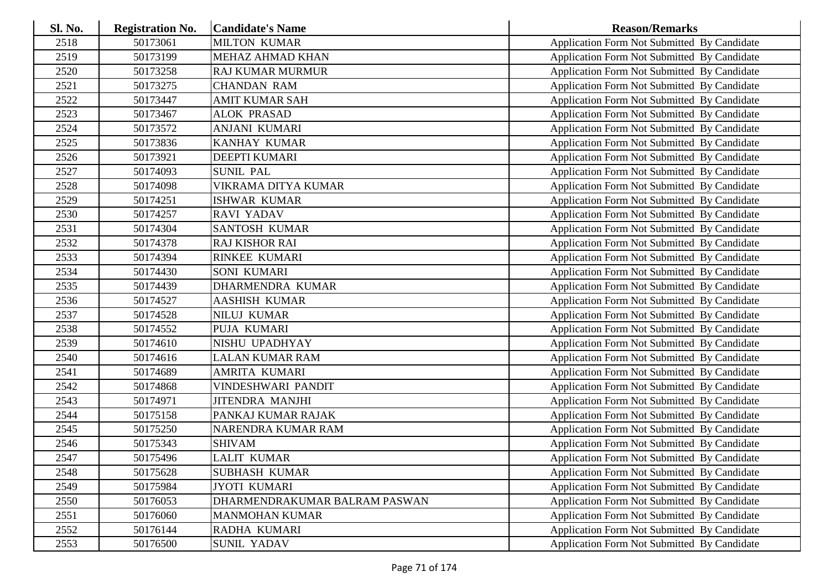| <b>Sl. No.</b> | <b>Registration No.</b> | <b>Candidate's Name</b>       | <b>Reason/Remarks</b>                              |
|----------------|-------------------------|-------------------------------|----------------------------------------------------|
| 2518           | 50173061                | <b>MILTON KUMAR</b>           | Application Form Not Submitted By Candidate        |
| 2519           | 50173199                | <b>MEHAZ AHMAD KHAN</b>       | Application Form Not Submitted By Candidate        |
| 2520           | 50173258                | <b>RAJ KUMAR MURMUR</b>       | Application Form Not Submitted By Candidate        |
| 2521           | 50173275                | <b>CHANDAN RAM</b>            | <b>Application Form Not Submitted By Candidate</b> |
| 2522           | 50173447                | <b>AMIT KUMAR SAH</b>         | Application Form Not Submitted By Candidate        |
| 2523           | 50173467                | <b>ALOK PRASAD</b>            | Application Form Not Submitted By Candidate        |
| 2524           | 50173572                | <b>ANJANI KUMARI</b>          | Application Form Not Submitted By Candidate        |
| 2525           | 50173836                | KANHAY KUMAR                  | Application Form Not Submitted By Candidate        |
| 2526           | 50173921                | <b>DEEPTI KUMARI</b>          | Application Form Not Submitted By Candidate        |
| 2527           | 50174093                | <b>SUNIL PAL</b>              | Application Form Not Submitted By Candidate        |
| 2528           | 50174098                | VIKRAMA DITYA KUMAR           | Application Form Not Submitted By Candidate        |
| 2529           | 50174251                | <b>ISHWAR KUMAR</b>           | Application Form Not Submitted By Candidate        |
| 2530           | 50174257                | <b>RAVI YADAV</b>             | Application Form Not Submitted By Candidate        |
| 2531           | 50174304                | SANTOSH KUMAR                 | <b>Application Form Not Submitted By Candidate</b> |
| 2532           | 50174378                | RAJ KISHOR RAI                | Application Form Not Submitted By Candidate        |
| 2533           | 50174394                | <b>RINKEE KUMARI</b>          | <b>Application Form Not Submitted By Candidate</b> |
| 2534           | 50174430                | <b>SONI KUMARI</b>            | <b>Application Form Not Submitted By Candidate</b> |
| 2535           | 50174439                | DHARMENDRA KUMAR              | Application Form Not Submitted By Candidate        |
| 2536           | 50174527                | <b>AASHISH KUMAR</b>          | Application Form Not Submitted By Candidate        |
| 2537           | 50174528                | <b>NILUJ KUMAR</b>            | Application Form Not Submitted By Candidate        |
| 2538           | 50174552                | PUJA KUMARI                   | Application Form Not Submitted By Candidate        |
| 2539           | 50174610                | NISHU UPADHYAY                | Application Form Not Submitted By Candidate        |
| 2540           | 50174616                | <b>LALAN KUMAR RAM</b>        | Application Form Not Submitted By Candidate        |
| 2541           | 50174689                | AMRITA KUMARI                 | Application Form Not Submitted By Candidate        |
| 2542           | 50174868                | <b>VINDESHWARI PANDIT</b>     | Application Form Not Submitted By Candidate        |
| 2543           | 50174971                | <b>JITENDRA MANJHI</b>        | Application Form Not Submitted By Candidate        |
| 2544           | 50175158                | PANKAJ KUMAR RAJAK            | Application Form Not Submitted By Candidate        |
| 2545           | 50175250                | NARENDRA KUMAR RAM            | <b>Application Form Not Submitted By Candidate</b> |
| 2546           | 50175343                | <b>SHIVAM</b>                 | Application Form Not Submitted By Candidate        |
| 2547           | 50175496                | <b>LALIT KUMAR</b>            | Application Form Not Submitted By Candidate        |
| 2548           | 50175628                | <b>SUBHASH KUMAR</b>          | <b>Application Form Not Submitted By Candidate</b> |
| 2549           | 50175984                | <b>JYOTI KUMARI</b>           | <b>Application Form Not Submitted By Candidate</b> |
| 2550           | 50176053                | DHARMENDRAKUMAR BALRAM PASWAN | <b>Application Form Not Submitted By Candidate</b> |
| 2551           | 50176060                | <b>MANMOHAN KUMAR</b>         | Application Form Not Submitted By Candidate        |
| 2552           | 50176144                | RADHA KUMARI                  | <b>Application Form Not Submitted By Candidate</b> |
| 2553           | 50176500                | <b>SUNIL YADAV</b>            | Application Form Not Submitted By Candidate        |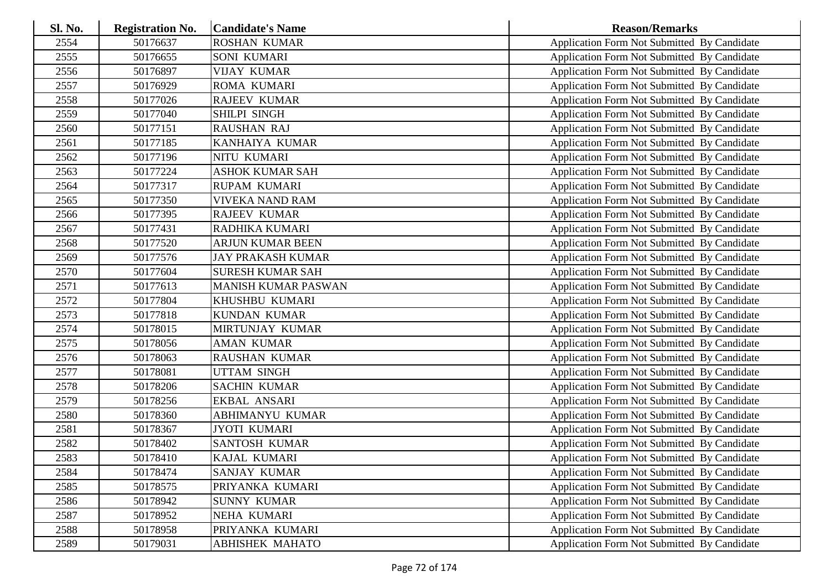| <b>Sl. No.</b> | <b>Registration No.</b> | <b>Candidate's Name</b>    | <b>Reason/Remarks</b>                              |
|----------------|-------------------------|----------------------------|----------------------------------------------------|
| 2554           | 50176637                | <b>ROSHAN KUMAR</b>        | Application Form Not Submitted By Candidate        |
| 2555           | 50176655                | <b>SONI KUMARI</b>         | <b>Application Form Not Submitted By Candidate</b> |
| 2556           | 50176897                | <b>VIJAY KUMAR</b>         | Application Form Not Submitted By Candidate        |
| 2557           | 50176929                | <b>ROMA KUMARI</b>         | Application Form Not Submitted By Candidate        |
| 2558           | 50177026                | <b>RAJEEV KUMAR</b>        | Application Form Not Submitted By Candidate        |
| 2559           | 50177040                | SHILPI SINGH               | Application Form Not Submitted By Candidate        |
| 2560           | 50177151                | <b>RAUSHAN RAJ</b>         | Application Form Not Submitted By Candidate        |
| 2561           | 50177185                | KANHAIYA KUMAR             | Application Form Not Submitted By Candidate        |
| 2562           | 50177196                | NITU KUMARI                | Application Form Not Submitted By Candidate        |
| 2563           | 50177224                | <b>ASHOK KUMAR SAH</b>     | Application Form Not Submitted By Candidate        |
| 2564           | 50177317                | <b>RUPAM KUMARI</b>        | Application Form Not Submitted By Candidate        |
| 2565           | 50177350                | <b>VIVEKA NAND RAM</b>     | Application Form Not Submitted By Candidate        |
| 2566           | 50177395                | <b>RAJEEV KUMAR</b>        | Application Form Not Submitted By Candidate        |
| 2567           | 50177431                | RADHIKA KUMARI             | Application Form Not Submitted By Candidate        |
| 2568           | 50177520                | <b>ARJUN KUMAR BEEN</b>    | Application Form Not Submitted By Candidate        |
| 2569           | 50177576                | <b>JAY PRAKASH KUMAR</b>   | Application Form Not Submitted By Candidate        |
| 2570           | 50177604                | <b>SURESH KUMAR SAH</b>    | Application Form Not Submitted By Candidate        |
| 2571           | 50177613                | <b>MANISH KUMAR PASWAN</b> | Application Form Not Submitted By Candidate        |
| 2572           | 50177804                | KHUSHBU KUMARI             | Application Form Not Submitted By Candidate        |
| 2573           | 50177818                | <b>KUNDAN KUMAR</b>        | Application Form Not Submitted By Candidate        |
| 2574           | 50178015                | MIRTUNJAY KUMAR            | Application Form Not Submitted By Candidate        |
| 2575           | 50178056                | <b>AMAN KUMAR</b>          | Application Form Not Submitted By Candidate        |
| 2576           | 50178063                | <b>RAUSHAN KUMAR</b>       | Application Form Not Submitted By Candidate        |
| 2577           | 50178081                | <b>UTTAM SINGH</b>         | Application Form Not Submitted By Candidate        |
| 2578           | 50178206                | <b>SACHIN KUMAR</b>        | Application Form Not Submitted By Candidate        |
| 2579           | 50178256                | EKBAL ANSARI               | Application Form Not Submitted By Candidate        |
| 2580           | 50178360                | <b>ABHIMANYU KUMAR</b>     | Application Form Not Submitted By Candidate        |
| 2581           | 50178367                | <b>JYOTI KUMARI</b>        | Application Form Not Submitted By Candidate        |
| 2582           | 50178402                | <b>SANTOSH KUMAR</b>       | Application Form Not Submitted By Candidate        |
| 2583           | 50178410                | KAJAL KUMARI               | Application Form Not Submitted By Candidate        |
| 2584           | 50178474                | <b>SANJAY KUMAR</b>        | Application Form Not Submitted By Candidate        |
| 2585           | 50178575                | PRIYANKA KUMARI            | Application Form Not Submitted By Candidate        |
| 2586           | 50178942                | <b>SUNNY KUMAR</b>         | Application Form Not Submitted By Candidate        |
| 2587           | 50178952                | NEHA KUMARI                | Application Form Not Submitted By Candidate        |
| 2588           | 50178958                | PRIYANKA KUMARI            | <b>Application Form Not Submitted By Candidate</b> |
| 2589           | 50179031                | <b>ABHISHEK MAHATO</b>     | <b>Application Form Not Submitted By Candidate</b> |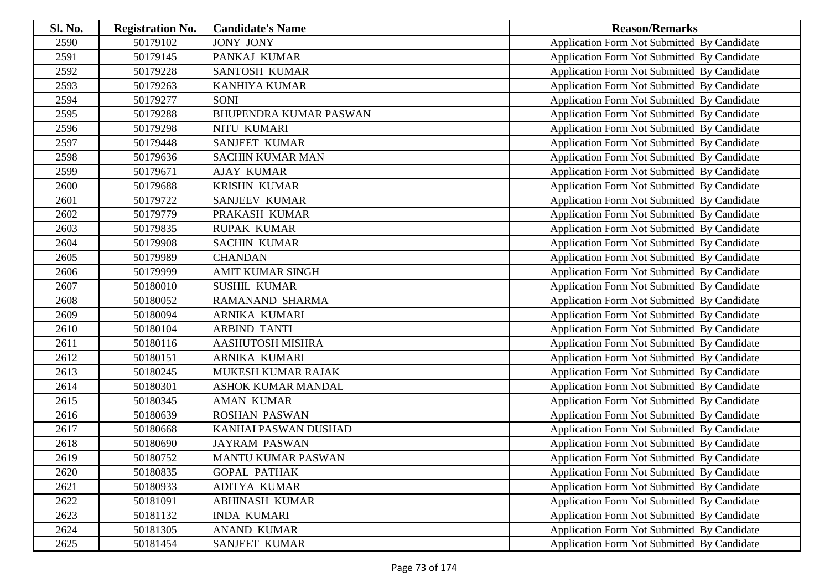| <b>Sl. No.</b> | <b>Registration No.</b> | <b>Candidate's Name</b>       | <b>Reason/Remarks</b>                              |
|----------------|-------------------------|-------------------------------|----------------------------------------------------|
| 2590           | 50179102                | <b>JONY JONY</b>              | Application Form Not Submitted By Candidate        |
| 2591           | 50179145                | PANKAJ KUMAR                  | Application Form Not Submitted By Candidate        |
| 2592           | 50179228                | <b>SANTOSH KUMAR</b>          | Application Form Not Submitted By Candidate        |
| 2593           | 50179263                | <b>KANHIYA KUMAR</b>          | Application Form Not Submitted By Candidate        |
| 2594           | 50179277                | <b>SONI</b>                   | Application Form Not Submitted By Candidate        |
| 2595           | 50179288                | <b>BHUPENDRA KUMAR PASWAN</b> | Application Form Not Submitted By Candidate        |
| 2596           | 50179298                | NITU KUMARI                   | Application Form Not Submitted By Candidate        |
| 2597           | 50179448                | <b>SANJEET KUMAR</b>          | Application Form Not Submitted By Candidate        |
| 2598           | 50179636                | <b>SACHIN KUMAR MAN</b>       | Application Form Not Submitted By Candidate        |
| 2599           | 50179671                | <b>AJAY KUMAR</b>             | Application Form Not Submitted By Candidate        |
| 2600           | 50179688                | <b>KRISHN KUMAR</b>           | Application Form Not Submitted By Candidate        |
| 2601           | 50179722                | <b>SANJEEV KUMAR</b>          | Application Form Not Submitted By Candidate        |
| 2602           | 50179779                | PRAKASH KUMAR                 | Application Form Not Submitted By Candidate        |
| 2603           | 50179835                | <b>RUPAK KUMAR</b>            | Application Form Not Submitted By Candidate        |
| 2604           | 50179908                | <b>SACHIN KUMAR</b>           | Application Form Not Submitted By Candidate        |
| 2605           | 50179989                | <b>CHANDAN</b>                | Application Form Not Submitted By Candidate        |
| 2606           | 50179999                | AMIT KUMAR SINGH              | <b>Application Form Not Submitted By Candidate</b> |
| 2607           | 50180010                | <b>SUSHIL KUMAR</b>           | Application Form Not Submitted By Candidate        |
| 2608           | 50180052                | RAMANAND SHARMA               | Application Form Not Submitted By Candidate        |
| 2609           | 50180094                | ARNIKA KUMARI                 | Application Form Not Submitted By Candidate        |
| 2610           | 50180104                | <b>ARBIND TANTI</b>           | Application Form Not Submitted By Candidate        |
| 2611           | 50180116                | <b>AASHUTOSH MISHRA</b>       | Application Form Not Submitted By Candidate        |
| 2612           | 50180151                | <b>ARNIKA KUMARI</b>          | Application Form Not Submitted By Candidate        |
| 2613           | 50180245                | MUKESH KUMAR RAJAK            | Application Form Not Submitted By Candidate        |
| 2614           | 50180301                | <b>ASHOK KUMAR MANDAL</b>     | Application Form Not Submitted By Candidate        |
| 2615           | 50180345                | <b>AMAN KUMAR</b>             | Application Form Not Submitted By Candidate        |
| 2616           | 50180639                | <b>ROSHAN PASWAN</b>          | Application Form Not Submitted By Candidate        |
| 2617           | 50180668                | KANHAI PASWAN DUSHAD          | Application Form Not Submitted By Candidate        |
| 2618           | 50180690                | <b>JAYRAM PASWAN</b>          | Application Form Not Submitted By Candidate        |
| 2619           | 50180752                | <b>MANTU KUMAR PASWAN</b>     | Application Form Not Submitted By Candidate        |
| 2620           | 50180835                | <b>GOPAL PATHAK</b>           | Application Form Not Submitted By Candidate        |
| 2621           | 50180933                | ADITYA KUMAR                  | Application Form Not Submitted By Candidate        |
| 2622           | 50181091                | ABHINASH KUMAR                | Application Form Not Submitted By Candidate        |
| 2623           | 50181132                | <b>INDA KUMARI</b>            | Application Form Not Submitted By Candidate        |
| 2624           | 50181305                | <b>ANAND KUMAR</b>            | <b>Application Form Not Submitted By Candidate</b> |
| 2625           | 50181454                | <b>SANJEET KUMAR</b>          | Application Form Not Submitted By Candidate        |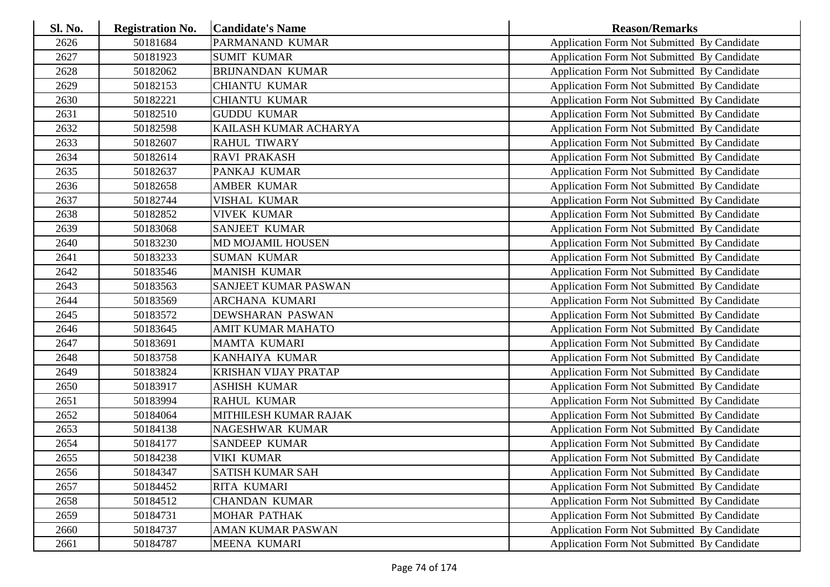| Sl. No. | <b>Registration No.</b> | <b>Candidate's Name</b>     | <b>Reason/Remarks</b>                       |
|---------|-------------------------|-----------------------------|---------------------------------------------|
| 2626    | 50181684                | PARMANAND KUMAR             | Application Form Not Submitted By Candidate |
| 2627    | 50181923                | <b>SUMIT KUMAR</b>          | Application Form Not Submitted By Candidate |
| 2628    | 50182062                | BRIJNANDAN KUMAR            | Application Form Not Submitted By Candidate |
| 2629    | 50182153                | <b>CHIANTU KUMAR</b>        | Application Form Not Submitted By Candidate |
| 2630    | 50182221                | <b>CHIANTU KUMAR</b>        | Application Form Not Submitted By Candidate |
| 2631    | 50182510                | <b>GUDDU KUMAR</b>          | Application Form Not Submitted By Candidate |
| 2632    | 50182598                | KAILASH KUMAR ACHARYA       | Application Form Not Submitted By Candidate |
| 2633    | 50182607                | <b>RAHUL TIWARY</b>         | Application Form Not Submitted By Candidate |
| 2634    | 50182614                | <b>RAVI PRAKASH</b>         | Application Form Not Submitted By Candidate |
| 2635    | 50182637                | PANKAJ KUMAR                | Application Form Not Submitted By Candidate |
| 2636    | 50182658                | AMBER KUMAR                 | Application Form Not Submitted By Candidate |
| 2637    | 50182744                | VISHAL KUMAR                | Application Form Not Submitted By Candidate |
| 2638    | 50182852                | <b>VIVEK KUMAR</b>          | Application Form Not Submitted By Candidate |
| 2639    | 50183068                | SANJEET KUMAR               | Application Form Not Submitted By Candidate |
| 2640    | 50183230                | MD MOJAMIL HOUSEN           | Application Form Not Submitted By Candidate |
| 2641    | 50183233                | <b>SUMAN KUMAR</b>          | Application Form Not Submitted By Candidate |
| 2642    | 50183546                | <b>MANISH KUMAR</b>         | Application Form Not Submitted By Candidate |
| 2643    | 50183563                | SANJEET KUMAR PASWAN        | Application Form Not Submitted By Candidate |
| 2644    | 50183569                | ARCHANA KUMARI              | Application Form Not Submitted By Candidate |
| 2645    | 50183572                | DEWSHARAN PASWAN            | Application Form Not Submitted By Candidate |
| 2646    | 50183645                | <b>AMIT KUMAR MAHATO</b>    | Application Form Not Submitted By Candidate |
| 2647    | 50183691                | MAMTA KUMARI                | Application Form Not Submitted By Candidate |
| 2648    | 50183758                | KANHAIYA KUMAR              | Application Form Not Submitted By Candidate |
| 2649    | 50183824                | <b>KRISHAN VIJAY PRATAP</b> | Application Form Not Submitted By Candidate |
| 2650    | 50183917                | <b>ASHISH KUMAR</b>         | Application Form Not Submitted By Candidate |
| 2651    | 50183994                | <b>RAHUL KUMAR</b>          | Application Form Not Submitted By Candidate |
| 2652    | 50184064                | MITHILESH KUMAR RAJAK       | Application Form Not Submitted By Candidate |
| 2653    | 50184138                | NAGESHWAR KUMAR             | Application Form Not Submitted By Candidate |
| 2654    | 50184177                | SANDEEP KUMAR               | Application Form Not Submitted By Candidate |
| 2655    | 50184238                | VIKI KUMAR                  | Application Form Not Submitted By Candidate |
| 2656    | 50184347                | SATISH KUMAR SAH            | Application Form Not Submitted By Candidate |
| 2657    | 50184452                | RITA KUMARI                 | Application Form Not Submitted By Candidate |
| 2658    | 50184512                | <b>CHANDAN KUMAR</b>        | Application Form Not Submitted By Candidate |
| 2659    | 50184731                | MOHAR PATHAK                | Application Form Not Submitted By Candidate |
| 2660    | 50184737                | AMAN KUMAR PASWAN           | Application Form Not Submitted By Candidate |
| 2661    | 50184787                | MEENA KUMARI                | Application Form Not Submitted By Candidate |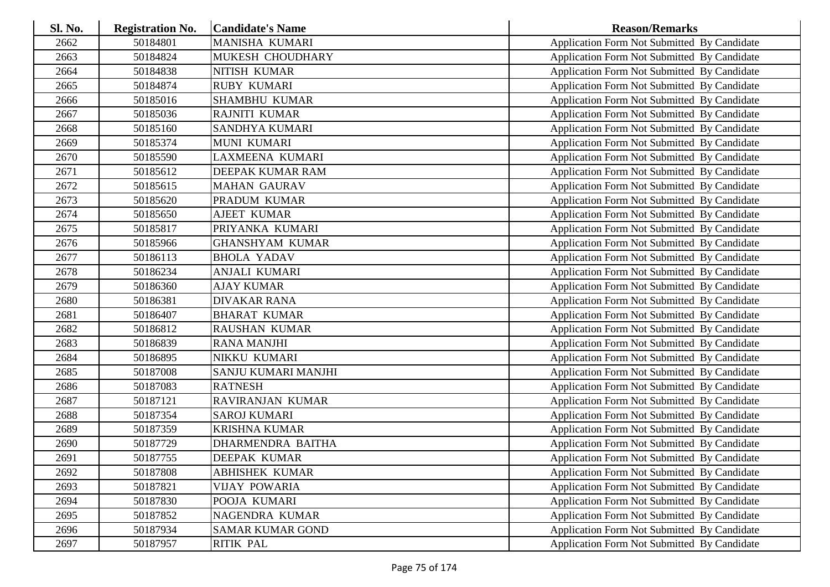| Sl. No. | <b>Registration No.</b> | <b>Candidate's Name</b> | <b>Reason/Remarks</b>                       |
|---------|-------------------------|-------------------------|---------------------------------------------|
| 2662    | 50184801                | MANISHA KUMARI          | Application Form Not Submitted By Candidate |
| 2663    | 50184824                | MUKESH CHOUDHARY        | Application Form Not Submitted By Candidate |
| 2664    | 50184838                | NITISH KUMAR            | Application Form Not Submitted By Candidate |
| 2665    | 50184874                | <b>RUBY KUMARI</b>      | Application Form Not Submitted By Candidate |
| 2666    | 50185016                | <b>SHAMBHU KUMAR</b>    | Application Form Not Submitted By Candidate |
| 2667    | 50185036                | RAJNITI KUMAR           | Application Form Not Submitted By Candidate |
| 2668    | 50185160                | SANDHYA KUMARI          | Application Form Not Submitted By Candidate |
| 2669    | 50185374                | <b>MUNI KUMARI</b>      | Application Form Not Submitted By Candidate |
| 2670    | 50185590                | LAXMEENA KUMARI         | Application Form Not Submitted By Candidate |
| 2671    | 50185612                | DEEPAK KUMAR RAM        | Application Form Not Submitted By Candidate |
| 2672    | 50185615                | <b>MAHAN GAURAV</b>     | Application Form Not Submitted By Candidate |
| 2673    | 50185620                | PRADUM KUMAR            | Application Form Not Submitted By Candidate |
| 2674    | 50185650                | <b>AJEET KUMAR</b>      | Application Form Not Submitted By Candidate |
| 2675    | 50185817                | PRIYANKA KUMARI         | Application Form Not Submitted By Candidate |
| 2676    | 50185966                | <b>GHANSHYAM KUMAR</b>  | Application Form Not Submitted By Candidate |
| 2677    | 50186113                | <b>BHOLA YADAV</b>      | Application Form Not Submitted By Candidate |
| 2678    | 50186234                | <b>ANJALI KUMARI</b>    | Application Form Not Submitted By Candidate |
| 2679    | 50186360                | <b>AJAY KUMAR</b>       | Application Form Not Submitted By Candidate |
| 2680    | 50186381                | <b>DIVAKAR RANA</b>     | Application Form Not Submitted By Candidate |
| 2681    | 50186407                | <b>BHARAT KUMAR</b>     | Application Form Not Submitted By Candidate |
| 2682    | 50186812                | <b>RAUSHAN KUMAR</b>    | Application Form Not Submitted By Candidate |
| 2683    | 50186839                | <b>RANA MANJHI</b>      | Application Form Not Submitted By Candidate |
| 2684    | 50186895                | NIKKU KUMARI            | Application Form Not Submitted By Candidate |
| 2685    | 50187008                | SANJU KUMARI MANJHI     | Application Form Not Submitted By Candidate |
| 2686    | 50187083                | <b>RATNESH</b>          | Application Form Not Submitted By Candidate |
| 2687    | 50187121                | RAVIRANJAN KUMAR        | Application Form Not Submitted By Candidate |
| 2688    | 50187354                | <b>SAROJ KUMARI</b>     | Application Form Not Submitted By Candidate |
| 2689    | 50187359                | <b>KRISHNA KUMAR</b>    | Application Form Not Submitted By Candidate |
| 2690    | 50187729                | DHARMENDRA BAITHA       | Application Form Not Submitted By Candidate |
| 2691    | 50187755                | <b>DEEPAK KUMAR</b>     | Application Form Not Submitted By Candidate |
| 2692    | 50187808                | <b>ABHISHEK KUMAR</b>   | Application Form Not Submitted By Candidate |
| 2693    | 50187821                | <b>VIJAY POWARIA</b>    | Application Form Not Submitted By Candidate |
| 2694    | 50187830                | POOJA KUMARI            | Application Form Not Submitted By Candidate |
| 2695    | 50187852                | NAGENDRA KUMAR          | Application Form Not Submitted By Candidate |
| 2696    | 50187934                | <b>SAMAR KUMAR GOND</b> | Application Form Not Submitted By Candidate |
| 2697    | 50187957                | <b>RITIK PAL</b>        | Application Form Not Submitted By Candidate |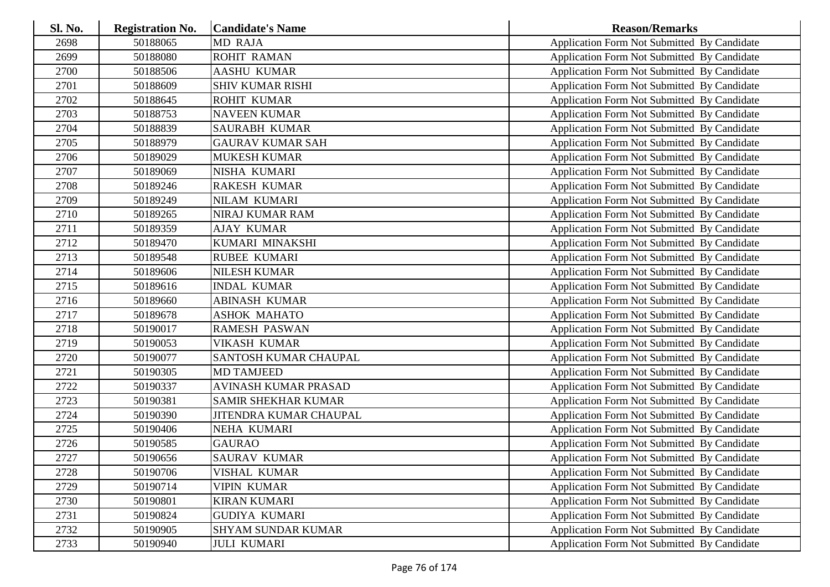| <b>Sl. No.</b> | <b>Registration No.</b> | <b>Candidate's Name</b>     | <b>Reason/Remarks</b>                              |
|----------------|-------------------------|-----------------------------|----------------------------------------------------|
| 2698           | 50188065                | <b>MD RAJA</b>              | Application Form Not Submitted By Candidate        |
| 2699           | 50188080                | <b>ROHIT RAMAN</b>          | Application Form Not Submitted By Candidate        |
| 2700           | 50188506                | <b>AASHU KUMAR</b>          | Application Form Not Submitted By Candidate        |
| 2701           | 50188609                | <b>SHIV KUMAR RISHI</b>     | Application Form Not Submitted By Candidate        |
| 2702           | 50188645                | <b>ROHIT KUMAR</b>          | Application Form Not Submitted By Candidate        |
| 2703           | 50188753                | <b>NAVEEN KUMAR</b>         | Application Form Not Submitted By Candidate        |
| 2704           | 50188839                | <b>SAURABH KUMAR</b>        | Application Form Not Submitted By Candidate        |
| 2705           | 50188979                | <b>GAURAV KUMAR SAH</b>     | Application Form Not Submitted By Candidate        |
| 2706           | 50189029                | <b>MUKESH KUMAR</b>         | Application Form Not Submitted By Candidate        |
| 2707           | 50189069                | NISHA KUMARI                | Application Form Not Submitted By Candidate        |
| 2708           | 50189246                | <b>RAKESH KUMAR</b>         | Application Form Not Submitted By Candidate        |
| 2709           | 50189249                | <b>NILAM KUMARI</b>         | Application Form Not Submitted By Candidate        |
| 2710           | 50189265                | <b>NIRAJ KUMAR RAM</b>      | Application Form Not Submitted By Candidate        |
| 2711           | 50189359                | <b>AJAY KUMAR</b>           | Application Form Not Submitted By Candidate        |
| 2712           | 50189470                | KUMARI MINAKSHI             | Application Form Not Submitted By Candidate        |
| 2713           | 50189548                | <b>RUBEE KUMARI</b>         | Application Form Not Submitted By Candidate        |
| 2714           | 50189606                | <b>NILESH KUMAR</b>         | Application Form Not Submitted By Candidate        |
| 2715           | 50189616                | <b>INDAL KUMAR</b>          | Application Form Not Submitted By Candidate        |
| 2716           | 50189660                | <b>ABINASH KUMAR</b>        | <b>Application Form Not Submitted By Candidate</b> |
| 2717           | 50189678                | <b>ASHOK MAHATO</b>         | Application Form Not Submitted By Candidate        |
| 2718           | 50190017                | <b>RAMESH PASWAN</b>        | <b>Application Form Not Submitted By Candidate</b> |
| 2719           | 50190053                | <b>VIKASH KUMAR</b>         | Application Form Not Submitted By Candidate        |
| 2720           | 50190077                | SANTOSH KUMAR CHAUPAL       | Application Form Not Submitted By Candidate        |
| 2721           | 50190305                | <b>MD TAMJEED</b>           | Application Form Not Submitted By Candidate        |
| 2722           | 50190337                | <b>AVINASH KUMAR PRASAD</b> | Application Form Not Submitted By Candidate        |
| 2723           | 50190381                | <b>SAMIR SHEKHAR KUMAR</b>  | Application Form Not Submitted By Candidate        |
| 2724           | 50190390                | JITENDRA KUMAR CHAUPAL      | Application Form Not Submitted By Candidate        |
| 2725           | 50190406                | NEHA KUMARI                 | Application Form Not Submitted By Candidate        |
| 2726           | 50190585                | <b>GAURAO</b>               | Application Form Not Submitted By Candidate        |
| 2727           | 50190656                | <b>SAURAV KUMAR</b>         | Application Form Not Submitted By Candidate        |
| 2728           | 50190706                | VISHAL KUMAR                | Application Form Not Submitted By Candidate        |
| 2729           | 50190714                | <b>VIPIN KUMAR</b>          | <b>Application Form Not Submitted By Candidate</b> |
| 2730           | 50190801                | <b>KIRAN KUMARI</b>         | Application Form Not Submitted By Candidate        |
| 2731           | 50190824                | <b>GUDIYA KUMARI</b>        | Application Form Not Submitted By Candidate        |
| 2732           | 50190905                | <b>SHYAM SUNDAR KUMAR</b>   | Application Form Not Submitted By Candidate        |
| 2733           | 50190940                | <b>JULI KUMARI</b>          | Application Form Not Submitted By Candidate        |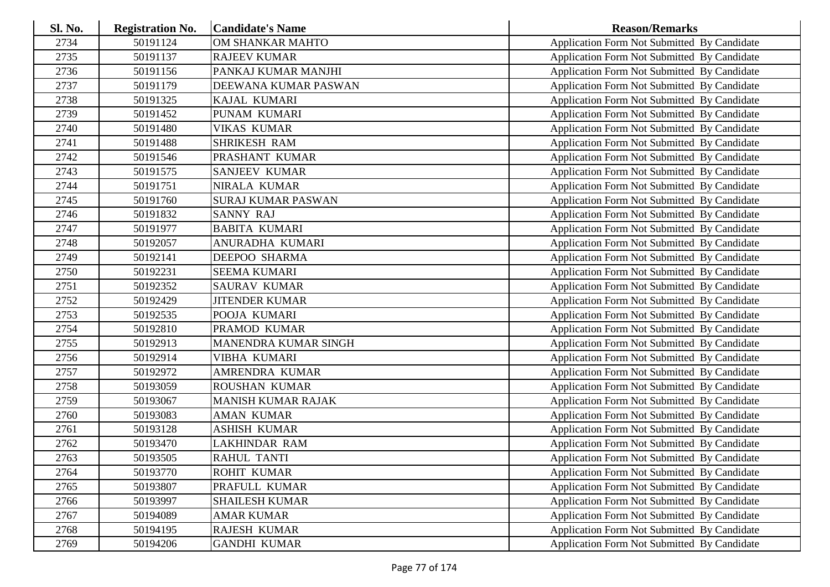| Sl. No. | <b>Registration No.</b> | <b>Candidate's Name</b>   | <b>Reason/Remarks</b>                              |
|---------|-------------------------|---------------------------|----------------------------------------------------|
| 2734    | 50191124                | <b>OM SHANKAR MAHTO</b>   | Application Form Not Submitted By Candidate        |
| 2735    | 50191137                | <b>RAJEEV KUMAR</b>       | Application Form Not Submitted By Candidate        |
| 2736    | 50191156                | PANKAJ KUMAR MANJHI       | Application Form Not Submitted By Candidate        |
| 2737    | 50191179                | DEEWANA KUMAR PASWAN      | Application Form Not Submitted By Candidate        |
| 2738    | 50191325                | KAJAL KUMARI              | Application Form Not Submitted By Candidate        |
| 2739    | 50191452                | PUNAM KUMARI              | Application Form Not Submitted By Candidate        |
| 2740    | 50191480                | <b>VIKAS KUMAR</b>        | Application Form Not Submitted By Candidate        |
| 2741    | 50191488                | <b>SHRIKESH RAM</b>       | Application Form Not Submitted By Candidate        |
| 2742    | 50191546                | PRASHANT KUMAR            | Application Form Not Submitted By Candidate        |
| 2743    | 50191575                | SANJEEV KUMAR             | Application Form Not Submitted By Candidate        |
| 2744    | 50191751                | NIRALA KUMAR              | Application Form Not Submitted By Candidate        |
| 2745    | 50191760                | <b>SURAJ KUMAR PASWAN</b> | Application Form Not Submitted By Candidate        |
| 2746    | 50191832                | <b>SANNY RAJ</b>          | Application Form Not Submitted By Candidate        |
| 2747    | 50191977                | <b>BABITA KUMARI</b>      | Application Form Not Submitted By Candidate        |
| 2748    | 50192057                | ANURADHA KUMARI           | Application Form Not Submitted By Candidate        |
| 2749    | 50192141                | <b>DEEPOO SHARMA</b>      | Application Form Not Submitted By Candidate        |
| 2750    | 50192231                | <b>SEEMA KUMARI</b>       | Application Form Not Submitted By Candidate        |
| 2751    | 50192352                | <b>SAURAV KUMAR</b>       | Application Form Not Submitted By Candidate        |
| 2752    | 50192429                | <b>JITENDER KUMAR</b>     | Application Form Not Submitted By Candidate        |
| 2753    | 50192535                | POOJA KUMARI              | Application Form Not Submitted By Candidate        |
| 2754    | 50192810                | PRAMOD KUMAR              | Application Form Not Submitted By Candidate        |
| 2755    | 50192913                | MANENDRA KUMAR SINGH      | Application Form Not Submitted By Candidate        |
| 2756    | 50192914                | VIBHA KUMARI              | Application Form Not Submitted By Candidate        |
| 2757    | 50192972                | AMRENDRA KUMAR            | Application Form Not Submitted By Candidate        |
| 2758    | 50193059                | ROUSHAN KUMAR             | Application Form Not Submitted By Candidate        |
| 2759    | 50193067                | <b>MANISH KUMAR RAJAK</b> | Application Form Not Submitted By Candidate        |
| 2760    | 50193083                | <b>AMAN KUMAR</b>         | Application Form Not Submitted By Candidate        |
| 2761    | 50193128                | <b>ASHISH KUMAR</b>       | Application Form Not Submitted By Candidate        |
| 2762    | 50193470                | LAKHINDAR RAM             | Application Form Not Submitted By Candidate        |
| 2763    | 50193505                | <b>RAHUL TANTI</b>        | Application Form Not Submitted By Candidate        |
| 2764    | 50193770                | <b>ROHIT KUMAR</b>        | Application Form Not Submitted By Candidate        |
| 2765    | 50193807                | PRAFULL KUMAR             | Application Form Not Submitted By Candidate        |
| 2766    | 50193997                | <b>SHAILESH KUMAR</b>     | Application Form Not Submitted By Candidate        |
| 2767    | 50194089                | <b>AMAR KUMAR</b>         | Application Form Not Submitted By Candidate        |
| 2768    | 50194195                | RAJESH KUMAR              | <b>Application Form Not Submitted By Candidate</b> |
| 2769    | 50194206                | <b>GANDHI KUMAR</b>       | Application Form Not Submitted By Candidate        |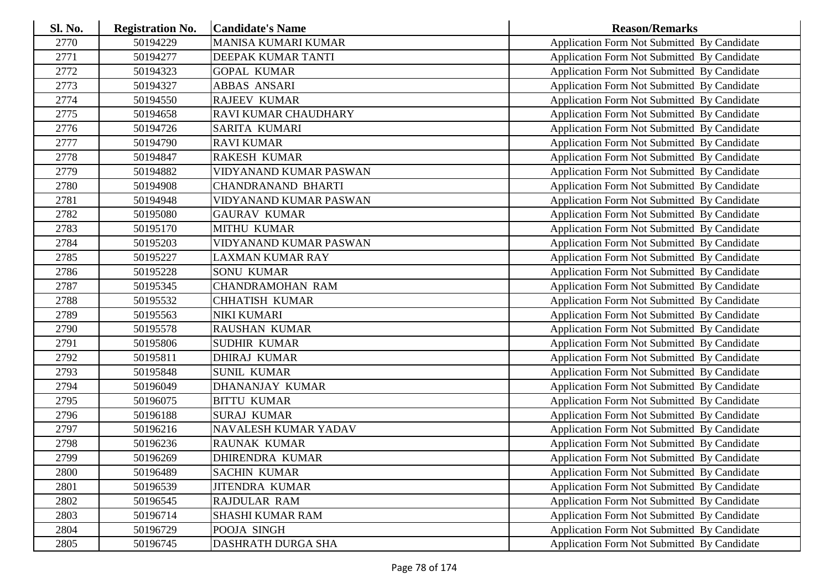| Sl. No. | <b>Registration No.</b> | <b>Candidate's Name</b>     | <b>Reason/Remarks</b>                              |
|---------|-------------------------|-----------------------------|----------------------------------------------------|
| 2770    | 50194229                | MANISA KUMARI KUMAR         | Application Form Not Submitted By Candidate        |
| 2771    | 50194277                | DEEPAK KUMAR TANTI          | Application Form Not Submitted By Candidate        |
| 2772    | 50194323                | <b>GOPAL KUMAR</b>          | Application Form Not Submitted By Candidate        |
| 2773    | 50194327                | ABBAS ANSARI                | Application Form Not Submitted By Candidate        |
| 2774    | 50194550                | <b>RAJEEV KUMAR</b>         | Application Form Not Submitted By Candidate        |
| 2775    | 50194658                | <b>RAVI KUMAR CHAUDHARY</b> | Application Form Not Submitted By Candidate        |
| 2776    | 50194726                | SARITA KUMARI               | Application Form Not Submitted By Candidate        |
| 2777    | 50194790                | <b>RAVI KUMAR</b>           | Application Form Not Submitted By Candidate        |
| 2778    | 50194847                | <b>RAKESH KUMAR</b>         | Application Form Not Submitted By Candidate        |
| 2779    | 50194882                | VIDYANAND KUMAR PASWAN      | Application Form Not Submitted By Candidate        |
| 2780    | 50194908                | <b>CHANDRANAND BHARTI</b>   | Application Form Not Submitted By Candidate        |
| 2781    | 50194948                | VIDYANAND KUMAR PASWAN      | Application Form Not Submitted By Candidate        |
| 2782    | 50195080                | <b>GAURAV KUMAR</b>         | Application Form Not Submitted By Candidate        |
| 2783    | 50195170                | <b>MITHU KUMAR</b>          | Application Form Not Submitted By Candidate        |
| 2784    | 50195203                | VIDYANAND KUMAR PASWAN      | Application Form Not Submitted By Candidate        |
| 2785    | 50195227                | <b>LAXMAN KUMAR RAY</b>     | Application Form Not Submitted By Candidate        |
| 2786    | 50195228                | <b>SONU KUMAR</b>           | Application Form Not Submitted By Candidate        |
| 2787    | 50195345                | <b>CHANDRAMOHAN RAM</b>     | Application Form Not Submitted By Candidate        |
| 2788    | 50195532                | <b>CHHATISH KUMAR</b>       | Application Form Not Submitted By Candidate        |
| 2789    | 50195563                | NIKI KUMARI                 | Application Form Not Submitted By Candidate        |
| 2790    | 50195578                | <b>RAUSHAN KUMAR</b>        | Application Form Not Submitted By Candidate        |
| 2791    | 50195806                | <b>SUDHIR KUMAR</b>         | Application Form Not Submitted By Candidate        |
| 2792    | 50195811                | <b>DHIRAJ KUMAR</b>         | Application Form Not Submitted By Candidate        |
| 2793    | 50195848                | <b>SUNIL KUMAR</b>          | Application Form Not Submitted By Candidate        |
| 2794    | 50196049                | <b>DHANANJAY KUMAR</b>      | Application Form Not Submitted By Candidate        |
| 2795    | 50196075                | <b>BITTU KUMAR</b>          | Application Form Not Submitted By Candidate        |
| 2796    | 50196188                | <b>SURAJ KUMAR</b>          | Application Form Not Submitted By Candidate        |
| 2797    | 50196216                | NAVALESH KUMAR YADAV        | Application Form Not Submitted By Candidate        |
| 2798    | 50196236                | <b>RAUNAK KUMAR</b>         | Application Form Not Submitted By Candidate        |
| 2799    | 50196269                | <b>DHIRENDRA KUMAR</b>      | Application Form Not Submitted By Candidate        |
| 2800    | 50196489                | <b>SACHIN KUMAR</b>         | Application Form Not Submitted By Candidate        |
| 2801    | 50196539                | <b>JITENDRA KUMAR</b>       | Application Form Not Submitted By Candidate        |
| 2802    | 50196545                | RAJDULAR RAM                | Application Form Not Submitted By Candidate        |
| 2803    | 50196714                | SHASHI KUMAR RAM            | Application Form Not Submitted By Candidate        |
| 2804    | 50196729                | POOJA SINGH                 | <b>Application Form Not Submitted By Candidate</b> |
| 2805    | 50196745                | DASHRATH DURGA SHA          | Application Form Not Submitted By Candidate        |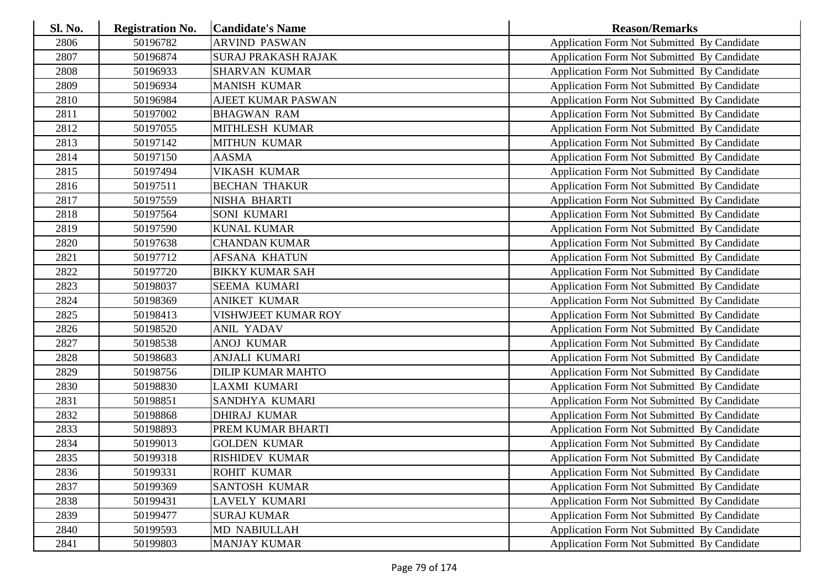| Sl. No. | <b>Registration No.</b> | <b>Candidate's Name</b>    | <b>Reason/Remarks</b>                              |
|---------|-------------------------|----------------------------|----------------------------------------------------|
| 2806    | 50196782                | <b>ARVIND PASWAN</b>       | Application Form Not Submitted By Candidate        |
| 2807    | 50196874                | <b>SURAJ PRAKASH RAJAK</b> | Application Form Not Submitted By Candidate        |
| 2808    | 50196933                | <b>SHARVAN KUMAR</b>       | Application Form Not Submitted By Candidate        |
| 2809    | 50196934                | <b>MANISH KUMAR</b>        | Application Form Not Submitted By Candidate        |
| 2810    | 50196984                | <b>AJEET KUMAR PASWAN</b>  | Application Form Not Submitted By Candidate        |
| 2811    | 50197002                | <b>BHAGWAN RAM</b>         | Application Form Not Submitted By Candidate        |
| 2812    | 50197055                | MITHLESH KUMAR             | <b>Application Form Not Submitted By Candidate</b> |
| 2813    | 50197142                | <b>MITHUN KUMAR</b>        | Application Form Not Submitted By Candidate        |
| 2814    | 50197150                | <b>AASMA</b>               | Application Form Not Submitted By Candidate        |
| 2815    | 50197494                | <b>VIKASH KUMAR</b>        | Application Form Not Submitted By Candidate        |
| 2816    | 50197511                | <b>BECHAN THAKUR</b>       | Application Form Not Submitted By Candidate        |
| 2817    | 50197559                | NISHA BHARTI               | Application Form Not Submitted By Candidate        |
| 2818    | 50197564                | SONI KUMARI                | Application Form Not Submitted By Candidate        |
| 2819    | 50197590                | <b>KUNAL KUMAR</b>         | Application Form Not Submitted By Candidate        |
| 2820    | 50197638                | <b>CHANDAN KUMAR</b>       | Application Form Not Submitted By Candidate        |
| 2821    | 50197712                | <b>AFSANA KHATUN</b>       | Application Form Not Submitted By Candidate        |
| 2822    | 50197720                | <b>BIKKY KUMAR SAH</b>     | Application Form Not Submitted By Candidate        |
| 2823    | 50198037                | SEEMA KUMARI               | Application Form Not Submitted By Candidate        |
| 2824    | 50198369                | <b>ANIKET KUMAR</b>        | Application Form Not Submitted By Candidate        |
| 2825    | 50198413                | VISHWJEET KUMAR ROY        | Application Form Not Submitted By Candidate        |
| 2826    | 50198520                | <b>ANIL YADAV</b>          | Application Form Not Submitted By Candidate        |
| 2827    | 50198538                | <b>ANOJ KUMAR</b>          | Application Form Not Submitted By Candidate        |
| 2828    | 50198683                | <b>ANJALI KUMARI</b>       | Application Form Not Submitted By Candidate        |
| 2829    | 50198756                | <b>DILIP KUMAR MAHTO</b>   | Application Form Not Submitted By Candidate        |
| 2830    | 50198830                | <b>LAXMI KUMARI</b>        | Application Form Not Submitted By Candidate        |
| 2831    | 50198851                | SANDHYA KUMARI             | Application Form Not Submitted By Candidate        |
| 2832    | 50198868                | <b>DHIRAJ KUMAR</b>        | Application Form Not Submitted By Candidate        |
| 2833    | 50198893                | PREM KUMAR BHARTI          | Application Form Not Submitted By Candidate        |
| 2834    | 50199013                | <b>GOLDEN KUMAR</b>        | Application Form Not Submitted By Candidate        |
| 2835    | 50199318                | <b>RISHIDEV KUMAR</b>      | Application Form Not Submitted By Candidate        |
| 2836    | 50199331                | <b>ROHIT KUMAR</b>         | Application Form Not Submitted By Candidate        |
| 2837    | 50199369                | SANTOSH KUMAR              | <b>Application Form Not Submitted By Candidate</b> |
| 2838    | 50199431                | LAVELY KUMARI              | Application Form Not Submitted By Candidate        |
| 2839    | 50199477                | <b>SURAJ KUMAR</b>         | Application Form Not Submitted By Candidate        |
| 2840    | 50199593                | <b>MD NABIULLAH</b>        | <b>Application Form Not Submitted By Candidate</b> |
| 2841    | 50199803                | <b>MANJAY KUMAR</b>        | <b>Application Form Not Submitted By Candidate</b> |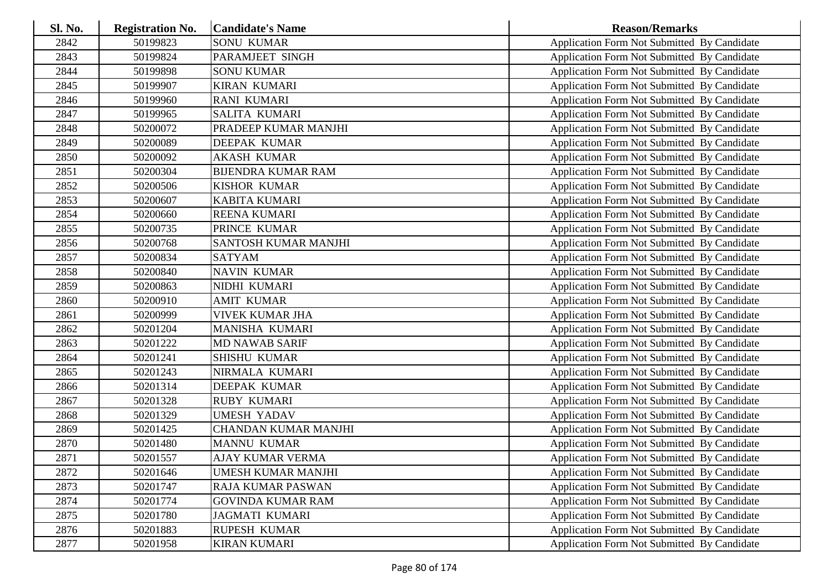| <b>Sl. No.</b> | <b>Registration No.</b> | <b>Candidate's Name</b>     | <b>Reason/Remarks</b>                              |
|----------------|-------------------------|-----------------------------|----------------------------------------------------|
| 2842           | 50199823                | <b>SONU KUMAR</b>           | Application Form Not Submitted By Candidate        |
| 2843           | 50199824                | PARAMJEET SINGH             | <b>Application Form Not Submitted By Candidate</b> |
| 2844           | 50199898                | <b>SONU KUMAR</b>           | Application Form Not Submitted By Candidate        |
| 2845           | 50199907                | <b>KIRAN KUMARI</b>         | Application Form Not Submitted By Candidate        |
| 2846           | 50199960                | <b>RANI KUMARI</b>          | Application Form Not Submitted By Candidate        |
| 2847           | 50199965                | <b>SALITA KUMARI</b>        | Application Form Not Submitted By Candidate        |
| 2848           | 50200072                | PRADEEP KUMAR MANJHI        | Application Form Not Submitted By Candidate        |
| 2849           | 50200089                | <b>DEEPAK KUMAR</b>         | Application Form Not Submitted By Candidate        |
| 2850           | 50200092                | <b>AKASH KUMAR</b>          | Application Form Not Submitted By Candidate        |
| 2851           | 50200304                | <b>BIJENDRA KUMAR RAM</b>   | Application Form Not Submitted By Candidate        |
| 2852           | 50200506                | KISHOR KUMAR                | Application Form Not Submitted By Candidate        |
| 2853           | 50200607                | <b>KABITA KUMARI</b>        | Application Form Not Submitted By Candidate        |
| 2854           | 50200660                | <b>REENA KUMARI</b>         | Application Form Not Submitted By Candidate        |
| 2855           | 50200735                | PRINCE KUMAR                | Application Form Not Submitted By Candidate        |
| 2856           | 50200768                | SANTOSH KUMAR MANJHI        | Application Form Not Submitted By Candidate        |
| 2857           | 50200834                | <b>SATYAM</b>               | Application Form Not Submitted By Candidate        |
| 2858           | 50200840                | <b>NAVIN KUMAR</b>          | <b>Application Form Not Submitted By Candidate</b> |
| 2859           | 50200863                | NIDHI KUMARI                | Application Form Not Submitted By Candidate        |
| 2860           | 50200910                | <b>AMIT KUMAR</b>           | Application Form Not Submitted By Candidate        |
| 2861           | 50200999                | <b>VIVEK KUMAR JHA</b>      | Application Form Not Submitted By Candidate        |
| 2862           | 50201204                | MANISHA KUMARI              | Application Form Not Submitted By Candidate        |
| 2863           | 50201222                | <b>MD NAWAB SARIF</b>       | Application Form Not Submitted By Candidate        |
| 2864           | 50201241                | <b>SHISHU KUMAR</b>         | Application Form Not Submitted By Candidate        |
| 2865           | 50201243                | NIRMALA KUMARI              | Application Form Not Submitted By Candidate        |
| 2866           | 50201314                | <b>DEEPAK KUMAR</b>         | Application Form Not Submitted By Candidate        |
| 2867           | 50201328                | <b>RUBY KUMARI</b>          | Application Form Not Submitted By Candidate        |
| 2868           | 50201329                | <b>UMESH YADAV</b>          | Application Form Not Submitted By Candidate        |
| 2869           | 50201425                | <b>CHANDAN KUMAR MANJHI</b> | Application Form Not Submitted By Candidate        |
| 2870           | 50201480                | <b>MANNU KUMAR</b>          | Application Form Not Submitted By Candidate        |
| 2871           | 50201557                | <b>AJAY KUMAR VERMA</b>     | Application Form Not Submitted By Candidate        |
| 2872           | 50201646                | <b>UMESH KUMAR MANJHI</b>   | Application Form Not Submitted By Candidate        |
| 2873           | 50201747                | <b>RAJA KUMAR PASWAN</b>    | Application Form Not Submitted By Candidate        |
| 2874           | 50201774                | <b>GOVINDA KUMAR RAM</b>    | Application Form Not Submitted By Candidate        |
| 2875           | 50201780                | <b>JAGMATI KUMARI</b>       | Application Form Not Submitted By Candidate        |
| 2876           | 50201883                | <b>RUPESH KUMAR</b>         | Application Form Not Submitted By Candidate        |
| 2877           | 50201958                | <b>KIRAN KUMARI</b>         | Application Form Not Submitted By Candidate        |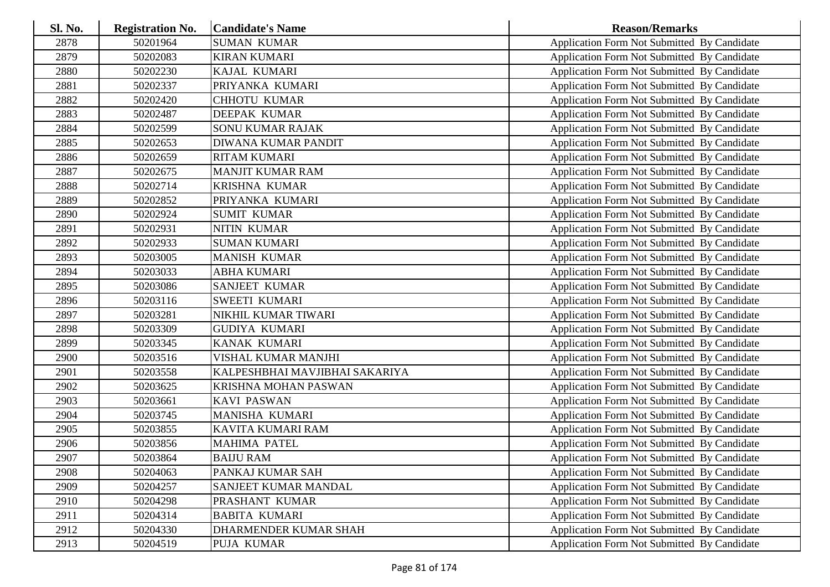| <b>Sl. No.</b> | <b>Registration No.</b> | <b>Candidate's Name</b>        | <b>Reason/Remarks</b>                              |
|----------------|-------------------------|--------------------------------|----------------------------------------------------|
| 2878           | 50201964                | <b>SUMAN KUMAR</b>             | Application Form Not Submitted By Candidate        |
| 2879           | 50202083                | <b>KIRAN KUMARI</b>            | Application Form Not Submitted By Candidate        |
| 2880           | 50202230                | KAJAL KUMARI                   | Application Form Not Submitted By Candidate        |
| 2881           | 50202337                | PRIYANKA KUMARI                | Application Form Not Submitted By Candidate        |
| 2882           | 50202420                | <b>CHHOTU KUMAR</b>            | Application Form Not Submitted By Candidate        |
| 2883           | 50202487                | <b>DEEPAK KUMAR</b>            | Application Form Not Submitted By Candidate        |
| 2884           | 50202599                | <b>SONU KUMAR RAJAK</b>        | Application Form Not Submitted By Candidate        |
| 2885           | 50202653                | <b>DIWANA KUMAR PANDIT</b>     | Application Form Not Submitted By Candidate        |
| 2886           | 50202659                | <b>RITAM KUMARI</b>            | Application Form Not Submitted By Candidate        |
| 2887           | 50202675                | <b>MANJIT KUMAR RAM</b>        | Application Form Not Submitted By Candidate        |
| 2888           | 50202714                | KRISHNA KUMAR                  | Application Form Not Submitted By Candidate        |
| 2889           | 50202852                | PRIYANKA KUMARI                | Application Form Not Submitted By Candidate        |
| 2890           | 50202924                | <b>SUMIT KUMAR</b>             | Application Form Not Submitted By Candidate        |
| 2891           | 50202931                | <b>NITIN KUMAR</b>             | Application Form Not Submitted By Candidate        |
| 2892           | 50202933                | <b>SUMAN KUMARI</b>            | Application Form Not Submitted By Candidate        |
| 2893           | 50203005                | <b>MANISH KUMAR</b>            | Application Form Not Submitted By Candidate        |
| 2894           | 50203033                | <b>ABHA KUMARI</b>             | Application Form Not Submitted By Candidate        |
| 2895           | 50203086                | <b>SANJEET KUMAR</b>           | Application Form Not Submitted By Candidate        |
| 2896           | 50203116                | <b>SWEETI KUMARI</b>           | Application Form Not Submitted By Candidate        |
| 2897           | 50203281                | NIKHIL KUMAR TIWARI            | Application Form Not Submitted By Candidate        |
| 2898           | 50203309                | <b>GUDIYA KUMARI</b>           | <b>Application Form Not Submitted By Candidate</b> |
| 2899           | 50203345                | KANAK KUMARI                   | Application Form Not Submitted By Candidate        |
| 2900           | 50203516                | VISHAL KUMAR MANJHI            | Application Form Not Submitted By Candidate        |
| 2901           | 50203558                | KALPESHBHAI MAVJIBHAI SAKARIYA | Application Form Not Submitted By Candidate        |
| 2902           | 50203625                | <b>KRISHNA MOHAN PASWAN</b>    | Application Form Not Submitted By Candidate        |
| 2903           | 50203661                | <b>KAVI PASWAN</b>             | Application Form Not Submitted By Candidate        |
| 2904           | 50203745                | <b>MANISHA KUMARI</b>          | Application Form Not Submitted By Candidate        |
| 2905           | 50203855                | KAVITA KUMARI RAM              | Application Form Not Submitted By Candidate        |
| 2906           | 50203856                | <b>MAHIMA PATEL</b>            | Application Form Not Submitted By Candidate        |
| 2907           | 50203864                | <b>BAIJU RAM</b>               | Application Form Not Submitted By Candidate        |
| 2908           | 50204063                | PANKAJ KUMAR SAH               | Application Form Not Submitted By Candidate        |
| 2909           | 50204257                | SANJEET KUMAR MANDAL           | <b>Application Form Not Submitted By Candidate</b> |
| 2910           | 50204298                | PRASHANT KUMAR                 | Application Form Not Submitted By Candidate        |
| 2911           | 50204314                | <b>BABITA KUMARI</b>           | Application Form Not Submitted By Candidate        |
| 2912           | 50204330                | DHARMENDER KUMAR SHAH          | <b>Application Form Not Submitted By Candidate</b> |
| 2913           | 50204519                | PUJA KUMAR                     | <b>Application Form Not Submitted By Candidate</b> |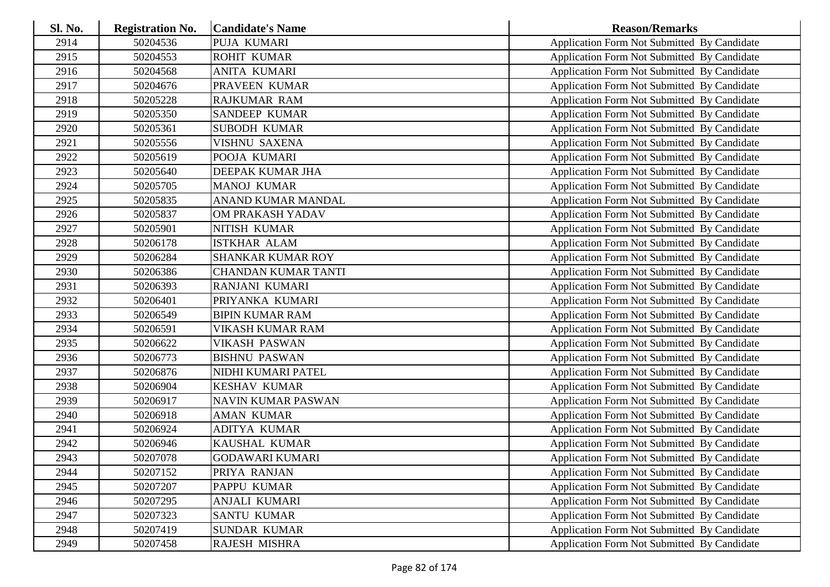| <b>Sl. No.</b> | <b>Registration No.</b> | <b>Candidate's Name</b>    | <b>Reason/Remarks</b>                              |
|----------------|-------------------------|----------------------------|----------------------------------------------------|
| 2914           | 50204536                | PUJA KUMARI                | Application Form Not Submitted By Candidate        |
| 2915           | 50204553                | <b>ROHIT KUMAR</b>         | Application Form Not Submitted By Candidate        |
| 2916           | 50204568                | <b>ANITA KUMARI</b>        | Application Form Not Submitted By Candidate        |
| 2917           | 50204676                | PRAVEEN KUMAR              | Application Form Not Submitted By Candidate        |
| 2918           | 50205228                | <b>RAJKUMAR RAM</b>        | Application Form Not Submitted By Candidate        |
| 2919           | 50205350                | <b>SANDEEP KUMAR</b>       | Application Form Not Submitted By Candidate        |
| 2920           | 50205361                | <b>SUBODH KUMAR</b>        | Application Form Not Submitted By Candidate        |
| 2921           | 50205556                | <b>VISHNU SAXENA</b>       | Application Form Not Submitted By Candidate        |
| 2922           | 50205619                | POOJA KUMARI               | Application Form Not Submitted By Candidate        |
| 2923           | 50205640                | DEEPAK KUMAR JHA           | Application Form Not Submitted By Candidate        |
| 2924           | 50205705                | <b>MANOJ KUMAR</b>         | Application Form Not Submitted By Candidate        |
| 2925           | 50205835                | ANAND KUMAR MANDAL         | Application Form Not Submitted By Candidate        |
| 2926           | 50205837                | OM PRAKASH YADAV           | Application Form Not Submitted By Candidate        |
| 2927           | 50205901                | NITISH KUMAR               | Application Form Not Submitted By Candidate        |
| 2928           | 50206178                | <b>ISTKHAR ALAM</b>        | Application Form Not Submitted By Candidate        |
| 2929           | 50206284                | <b>SHANKAR KUMAR ROY</b>   | Application Form Not Submitted By Candidate        |
| 2930           | 50206386                | <b>CHANDAN KUMAR TANTI</b> | Application Form Not Submitted By Candidate        |
| 2931           | 50206393                | <b>RANJANI KUMARI</b>      | Application Form Not Submitted By Candidate        |
| 2932           | 50206401                | PRIYANKA KUMARI            | Application Form Not Submitted By Candidate        |
| 2933           | 50206549                | <b>BIPIN KUMAR RAM</b>     | Application Form Not Submitted By Candidate        |
| 2934           | 50206591                | <b>VIKASH KUMAR RAM</b>    | Application Form Not Submitted By Candidate        |
| 2935           | 50206622                | VIKASH PASWAN              | Application Form Not Submitted By Candidate        |
| 2936           | 50206773                | <b>BISHNU PASWAN</b>       | Application Form Not Submitted By Candidate        |
| 2937           | 50206876                | NIDHI KUMARI PATEL         | Application Form Not Submitted By Candidate        |
| 2938           | 50206904                | <b>KESHAV KUMAR</b>        | Application Form Not Submitted By Candidate        |
| 2939           | 50206917                | <b>NAVIN KUMAR PASWAN</b>  | Application Form Not Submitted By Candidate        |
| 2940           | 50206918                | <b>AMAN KUMAR</b>          | Application Form Not Submitted By Candidate        |
| 2941           | 50206924                | <b>ADITYA KUMAR</b>        | Application Form Not Submitted By Candidate        |
| 2942           | 50206946                | <b>KAUSHAL KUMAR</b>       | Application Form Not Submitted By Candidate        |
| 2943           | 50207078                | <b>GODAWARI KUMARI</b>     | Application Form Not Submitted By Candidate        |
| 2944           | 50207152                | PRIYA RANJAN               | <b>Application Form Not Submitted By Candidate</b> |
| 2945           | 50207207                | PAPPU KUMAR                | <b>Application Form Not Submitted By Candidate</b> |
| 2946           | 50207295                | <b>ANJALI KUMARI</b>       | <b>Application Form Not Submitted By Candidate</b> |
| 2947           | 50207323                | <b>SANTU KUMAR</b>         | Application Form Not Submitted By Candidate        |
| 2948           | 50207419                | <b>SUNDAR KUMAR</b>        | Application Form Not Submitted By Candidate        |
| 2949           | 50207458                | RAJESH MISHRA              | <b>Application Form Not Submitted By Candidate</b> |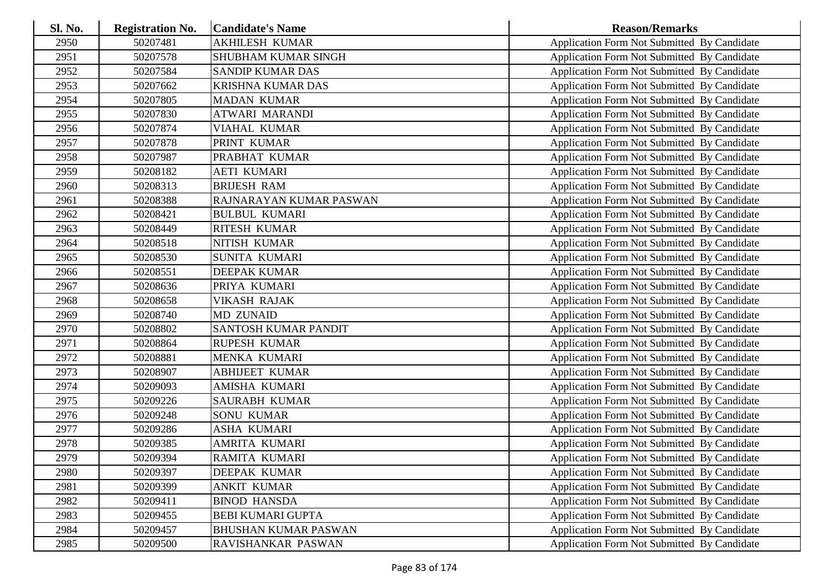| Sl. No. | <b>Registration No.</b> | <b>Candidate's Name</b>     | <b>Reason/Remarks</b>                              |
|---------|-------------------------|-----------------------------|----------------------------------------------------|
| 2950    | 50207481                | <b>AKHILESH KUMAR</b>       | Application Form Not Submitted By Candidate        |
| 2951    | 50207578                | SHUBHAM KUMAR SINGH         | Application Form Not Submitted By Candidate        |
| 2952    | 50207584                | <b>SANDIP KUMAR DAS</b>     | Application Form Not Submitted By Candidate        |
| 2953    | 50207662                | <b>KRISHNA KUMAR DAS</b>    | Application Form Not Submitted By Candidate        |
| 2954    | 50207805                | <b>MADAN KUMAR</b>          | Application Form Not Submitted By Candidate        |
| 2955    | 50207830                | <b>ATWARI MARANDI</b>       | Application Form Not Submitted By Candidate        |
| 2956    | 50207874                | VIAHAL KUMAR                | Application Form Not Submitted By Candidate        |
| 2957    | 50207878                | PRINT KUMAR                 | Application Form Not Submitted By Candidate        |
| 2958    | 50207987                | PRABHAT KUMAR               | Application Form Not Submitted By Candidate        |
| 2959    | 50208182                | <b>AETI KUMARI</b>          | Application Form Not Submitted By Candidate        |
| 2960    | 50208313                | <b>BRIJESH RAM</b>          | Application Form Not Submitted By Candidate        |
| 2961    | 50208388                | RAJNARAYAN KUMAR PASWAN     | Application Form Not Submitted By Candidate        |
| 2962    | 50208421                | <b>BULBUL KUMARI</b>        | Application Form Not Submitted By Candidate        |
| 2963    | 50208449                | <b>RITESH KUMAR</b>         | Application Form Not Submitted By Candidate        |
| 2964    | 50208518                | NITISH KUMAR                | Application Form Not Submitted By Candidate        |
| 2965    | 50208530                | SUNITA KUMARI               | Application Form Not Submitted By Candidate        |
| 2966    | 50208551                | DEEPAK KUMAR                | Application Form Not Submitted By Candidate        |
| 2967    | 50208636                | PRIYA KUMARI                | Application Form Not Submitted By Candidate        |
| 2968    | 50208658                | <b>VIKASH RAJAK</b>         | Application Form Not Submitted By Candidate        |
| 2969    | 50208740                | <b>MD ZUNAID</b>            | Application Form Not Submitted By Candidate        |
| 2970    | 50208802                | SANTOSH KUMAR PANDIT        | Application Form Not Submitted By Candidate        |
| 2971    | 50208864                | <b>RUPESH KUMAR</b>         | Application Form Not Submitted By Candidate        |
| 2972    | 50208881                | MENKA KUMARI                | Application Form Not Submitted By Candidate        |
| 2973    | 50208907                | <b>ABHIJEET KUMAR</b>       | Application Form Not Submitted By Candidate        |
| 2974    | 50209093                | AMISHA KUMARI               | Application Form Not Submitted By Candidate        |
| 2975    | 50209226                | <b>SAURABH KUMAR</b>        | Application Form Not Submitted By Candidate        |
| 2976    | 50209248                | SONU KUMAR                  | Application Form Not Submitted By Candidate        |
| 2977    | 50209286                | <b>ASHA KUMARI</b>          | Application Form Not Submitted By Candidate        |
| 2978    | 50209385                | AMRITA KUMARI               | Application Form Not Submitted By Candidate        |
| 2979    | 50209394                | RAMITA KUMARI               | Application Form Not Submitted By Candidate        |
| 2980    | 50209397                | DEEPAK KUMAR                | Application Form Not Submitted By Candidate        |
| 2981    | 50209399                | <b>ANKIT KUMAR</b>          | Application Form Not Submitted By Candidate        |
| 2982    | 50209411                | <b>BINOD HANSDA</b>         | Application Form Not Submitted By Candidate        |
| 2983    | 50209455                | <b>BEBI KUMARI GUPTA</b>    | Application Form Not Submitted By Candidate        |
| 2984    | 50209457                | <b>BHUSHAN KUMAR PASWAN</b> | <b>Application Form Not Submitted By Candidate</b> |
| 2985    | 50209500                | RAVISHANKAR PASWAN          | Application Form Not Submitted By Candidate        |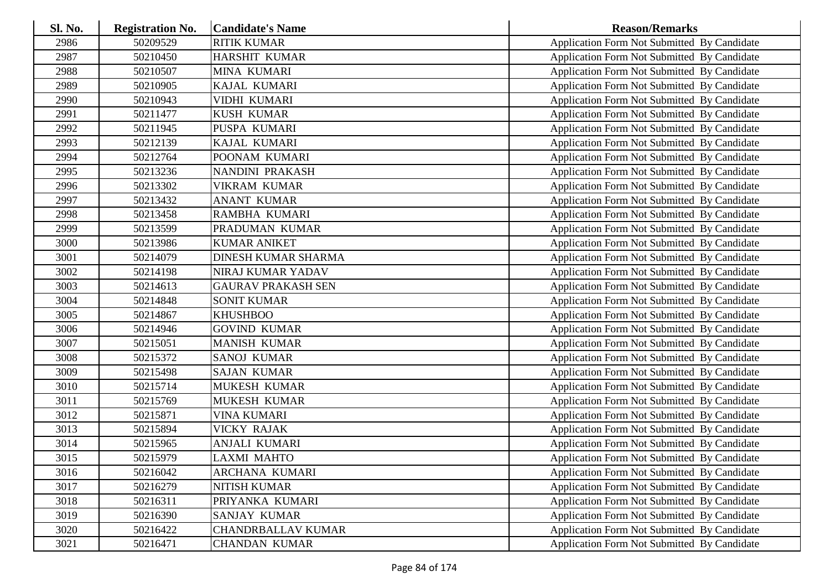| <b>Sl. No.</b> | <b>Registration No.</b> | <b>Candidate's Name</b>    | <b>Reason/Remarks</b>                              |
|----------------|-------------------------|----------------------------|----------------------------------------------------|
| 2986           | 50209529                | <b>RITIK KUMAR</b>         | Application Form Not Submitted By Candidate        |
| 2987           | 50210450                | HARSHIT KUMAR              | Application Form Not Submitted By Candidate        |
| 2988           | 50210507                | MINA KUMARI                | Application Form Not Submitted By Candidate        |
| 2989           | 50210905                | KAJAL KUMARI               | Application Form Not Submitted By Candidate        |
| 2990           | 50210943                | <b>VIDHI KUMARI</b>        | Application Form Not Submitted By Candidate        |
| 2991           | 50211477                | <b>KUSH KUMAR</b>          | Application Form Not Submitted By Candidate        |
| 2992           | 50211945                | PUSPA KUMARI               | Application Form Not Submitted By Candidate        |
| 2993           | 50212139                | KAJAL KUMARI               | Application Form Not Submitted By Candidate        |
| 2994           | 50212764                | POONAM KUMARI              | <b>Application Form Not Submitted By Candidate</b> |
| 2995           | 50213236                | <b>NANDINI PRAKASH</b>     | Application Form Not Submitted By Candidate        |
| 2996           | 50213302                | <b>VIKRAM KUMAR</b>        | Application Form Not Submitted By Candidate        |
| 2997           | 50213432                | <b>ANANT KUMAR</b>         | Application Form Not Submitted By Candidate        |
| 2998           | 50213458                | <b>RAMBHA KUMARI</b>       | Application Form Not Submitted By Candidate        |
| 2999           | 50213599                | PRADUMAN KUMAR             | Application Form Not Submitted By Candidate        |
| 3000           | 50213986                | <b>KUMAR ANIKET</b>        | Application Form Not Submitted By Candidate        |
| 3001           | 50214079                | <b>DINESH KUMAR SHARMA</b> | Application Form Not Submitted By Candidate        |
| 3002           | 50214198                | NIRAJ KUMAR YADAV          | Application Form Not Submitted By Candidate        |
| 3003           | 50214613                | <b>GAURAV PRAKASH SEN</b>  | Application Form Not Submitted By Candidate        |
| 3004           | 50214848                | <b>SONIT KUMAR</b>         | Application Form Not Submitted By Candidate        |
| 3005           | 50214867                | <b>KHUSHBOO</b>            | Application Form Not Submitted By Candidate        |
| 3006           | 50214946                | <b>GOVIND KUMAR</b>        | Application Form Not Submitted By Candidate        |
| 3007           | 50215051                | <b>MANISH KUMAR</b>        | Application Form Not Submitted By Candidate        |
| 3008           | 50215372                | <b>SANOJ KUMAR</b>         | Application Form Not Submitted By Candidate        |
| 3009           | 50215498                | <b>SAJAN KUMAR</b>         | Application Form Not Submitted By Candidate        |
| 3010           | 50215714                | <b>MUKESH KUMAR</b>        | Application Form Not Submitted By Candidate        |
| 3011           | 50215769                | MUKESH KUMAR               | Application Form Not Submitted By Candidate        |
| 3012           | 50215871                | <b>VINA KUMARI</b>         | Application Form Not Submitted By Candidate        |
| 3013           | 50215894                | <b>VICKY RAJAK</b>         | Application Form Not Submitted By Candidate        |
| 3014           | 50215965                | <b>ANJALI KUMARI</b>       | Application Form Not Submitted By Candidate        |
| 3015           | 50215979                | <b>LAXMI MAHTO</b>         | Application Form Not Submitted By Candidate        |
| 3016           | 50216042                | ARCHANA KUMARI             | Application Form Not Submitted By Candidate        |
| 3017           | 50216279                | <b>NITISH KUMAR</b>        | Application Form Not Submitted By Candidate        |
| 3018           | 50216311                | PRIYANKA KUMARI            | Application Form Not Submitted By Candidate        |
| 3019           | 50216390                | <b>SANJAY KUMAR</b>        | Application Form Not Submitted By Candidate        |
| 3020           | 50216422                | <b>CHANDRBALLAV KUMAR</b>  | Application Form Not Submitted By Candidate        |
| 3021           | 50216471                | <b>CHANDAN KUMAR</b>       | <b>Application Form Not Submitted By Candidate</b> |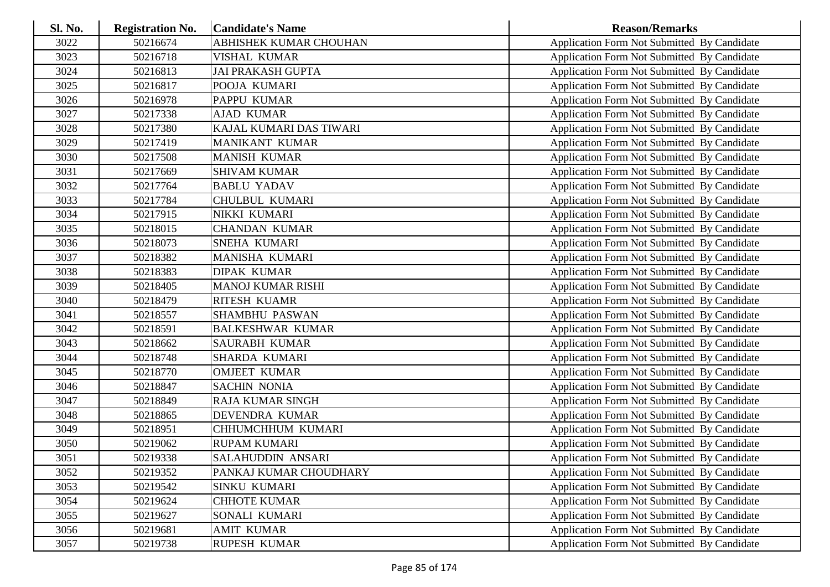| <b>Sl. No.</b> | <b>Registration No.</b> | <b>Candidate's Name</b>  | <b>Reason/Remarks</b>                              |
|----------------|-------------------------|--------------------------|----------------------------------------------------|
| 3022           | 50216674                | ABHISHEK KUMAR CHOUHAN   | Application Form Not Submitted By Candidate        |
| 3023           | 50216718                | VISHAL KUMAR             | <b>Application Form Not Submitted By Candidate</b> |
| 3024           | 50216813                | <b>JAI PRAKASH GUPTA</b> | Application Form Not Submitted By Candidate        |
| 3025           | 50216817                | POOJA KUMARI             | Application Form Not Submitted By Candidate        |
| 3026           | 50216978                | PAPPU KUMAR              | Application Form Not Submitted By Candidate        |
| 3027           | 50217338                | <b>AJAD KUMAR</b>        | Application Form Not Submitted By Candidate        |
| 3028           | 50217380                | KAJAL KUMARI DAS TIWARI  | Application Form Not Submitted By Candidate        |
| 3029           | 50217419                | MANIKANT KUMAR           | Application Form Not Submitted By Candidate        |
| 3030           | 50217508                | <b>MANISH KUMAR</b>      | Application Form Not Submitted By Candidate        |
| 3031           | 50217669                | <b>SHIVAM KUMAR</b>      | Application Form Not Submitted By Candidate        |
| 3032           | 50217764                | <b>BABLU YADAV</b>       | Application Form Not Submitted By Candidate        |
| 3033           | 50217784                | CHULBUL KUMARI           | Application Form Not Submitted By Candidate        |
| 3034           | 50217915                | NIKKI KUMARI             | Application Form Not Submitted By Candidate        |
| 3035           | 50218015                | <b>CHANDAN KUMAR</b>     | Application Form Not Submitted By Candidate        |
| 3036           | 50218073                | SNEHA KUMARI             | Application Form Not Submitted By Candidate        |
| 3037           | 50218382                | MANISHA KUMARI           | Application Form Not Submitted By Candidate        |
| 3038           | 50218383                | <b>DIPAK KUMAR</b>       | Application Form Not Submitted By Candidate        |
| 3039           | 50218405                | <b>MANOJ KUMAR RISHI</b> | Application Form Not Submitted By Candidate        |
| 3040           | 50218479                | <b>RITESH KUAMR</b>      | Application Form Not Submitted By Candidate        |
| 3041           | 50218557                | <b>SHAMBHU PASWAN</b>    | Application Form Not Submitted By Candidate        |
| 3042           | 50218591                | <b>BALKESHWAR KUMAR</b>  | Application Form Not Submitted By Candidate        |
| 3043           | 50218662                | <b>SAURABH KUMAR</b>     | Application Form Not Submitted By Candidate        |
| 3044           | 50218748                | <b>SHARDA KUMARI</b>     | Application Form Not Submitted By Candidate        |
| 3045           | 50218770                | <b>OMJEET KUMAR</b>      | Application Form Not Submitted By Candidate        |
| 3046           | 50218847                | <b>SACHIN NONIA</b>      | Application Form Not Submitted By Candidate        |
| 3047           | 50218849                | <b>RAJA KUMAR SINGH</b>  | Application Form Not Submitted By Candidate        |
| 3048           | 50218865                | DEVENDRA KUMAR           | Application Form Not Submitted By Candidate        |
| 3049           | 50218951                | CHHUMCHHUM KUMARI        | Application Form Not Submitted By Candidate        |
| 3050           | 50219062                | <b>RUPAM KUMARI</b>      | Application Form Not Submitted By Candidate        |
| 3051           | 50219338                | <b>SALAHUDDIN ANSARI</b> | Application Form Not Submitted By Candidate        |
| 3052           | 50219352                | PANKAJ KUMAR CHOUDHARY   | Application Form Not Submitted By Candidate        |
| 3053           | 50219542                | SINKU KUMARI             | Application Form Not Submitted By Candidate        |
| 3054           | 50219624                | <b>CHHOTE KUMAR</b>      | Application Form Not Submitted By Candidate        |
| 3055           | 50219627                | SONALI KUMARI            | Application Form Not Submitted By Candidate        |
| 3056           | 50219681                | <b>AMIT KUMAR</b>        | <b>Application Form Not Submitted By Candidate</b> |
| 3057           | 50219738                | <b>RUPESH KUMAR</b>      | Application Form Not Submitted By Candidate        |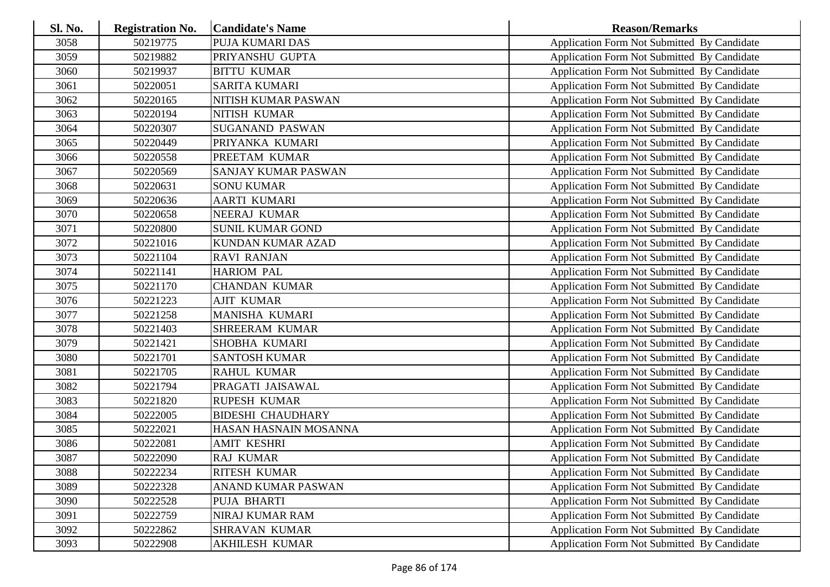| Sl. No. | <b>Registration No.</b> | <b>Candidate's Name</b>    | <b>Reason/Remarks</b>                       |
|---------|-------------------------|----------------------------|---------------------------------------------|
| 3058    | 50219775                | PUJA KUMARI DAS            | Application Form Not Submitted By Candidate |
| 3059    | 50219882                | PRIYANSHU GUPTA            | Application Form Not Submitted By Candidate |
| 3060    | 50219937                | <b>BITTU KUMAR</b>         | Application Form Not Submitted By Candidate |
| 3061    | 50220051                | <b>SARITA KUMARI</b>       | Application Form Not Submitted By Candidate |
| 3062    | 50220165                | NITISH KUMAR PASWAN        | Application Form Not Submitted By Candidate |
| 3063    | 50220194                | NITISH KUMAR               | Application Form Not Submitted By Candidate |
| 3064    | 50220307                | SUGANAND PASWAN            | Application Form Not Submitted By Candidate |
| 3065    | 50220449                | PRIYANKA KUMARI            | Application Form Not Submitted By Candidate |
| 3066    | 50220558                | PREETAM KUMAR              | Application Form Not Submitted By Candidate |
| 3067    | 50220569                | <b>SANJAY KUMAR PASWAN</b> | Application Form Not Submitted By Candidate |
| 3068    | 50220631                | <b>SONU KUMAR</b>          | Application Form Not Submitted By Candidate |
| 3069    | 50220636                | <b>AARTI KUMARI</b>        | Application Form Not Submitted By Candidate |
| 3070    | 50220658                | NEERAJ KUMAR               | Application Form Not Submitted By Candidate |
| 3071    | 50220800                | <b>SUNIL KUMAR GOND</b>    | Application Form Not Submitted By Candidate |
| 3072    | 50221016                | <b>KUNDAN KUMAR AZAD</b>   | Application Form Not Submitted By Candidate |
| 3073    | 50221104                | <b>RAVI RANJAN</b>         | Application Form Not Submitted By Candidate |
| 3074    | 50221141                | <b>HARIOM PAL</b>          | Application Form Not Submitted By Candidate |
| 3075    | 50221170                | <b>CHANDAN KUMAR</b>       | Application Form Not Submitted By Candidate |
| 3076    | 50221223                | <b>AJIT KUMAR</b>          | Application Form Not Submitted By Candidate |
| 3077    | 50221258                | MANISHA KUMARI             | Application Form Not Submitted By Candidate |
| 3078    | 50221403                | <b>SHREERAM KUMAR</b>      | Application Form Not Submitted By Candidate |
| 3079    | 50221421                | SHOBHA KUMARI              | Application Form Not Submitted By Candidate |
| 3080    | 50221701                | <b>SANTOSH KUMAR</b>       | Application Form Not Submitted By Candidate |
| 3081    | 50221705                | RAHUL KUMAR                | Application Form Not Submitted By Candidate |
| 3082    | 50221794                | PRAGATI JAISAWAL           | Application Form Not Submitted By Candidate |
| 3083    | 50221820                | RUPESH KUMAR               | Application Form Not Submitted By Candidate |
| 3084    | 50222005                | <b>BIDESHI CHAUDHARY</b>   | Application Form Not Submitted By Candidate |
| 3085    | 50222021                | HASAN HASNAIN MOSANNA      | Application Form Not Submitted By Candidate |
| 3086    | 50222081                | <b>AMIT KESHRI</b>         | Application Form Not Submitted By Candidate |
| 3087    | 50222090                | <b>RAJ KUMAR</b>           | Application Form Not Submitted By Candidate |
| 3088    | 50222234                | <b>RITESH KUMAR</b>        | Application Form Not Submitted By Candidate |
| 3089    | 50222328                | ANAND KUMAR PASWAN         | Application Form Not Submitted By Candidate |
| 3090    | 50222528                | PUJA BHARTI                | Application Form Not Submitted By Candidate |
| 3091    | 50222759                | NIRAJ KUMAR RAM            | Application Form Not Submitted By Candidate |
| 3092    | 50222862                | <b>SHRAVAN KUMAR</b>       | Application Form Not Submitted By Candidate |
| 3093    | 50222908                | <b>AKHILESH KUMAR</b>      | Application Form Not Submitted By Candidate |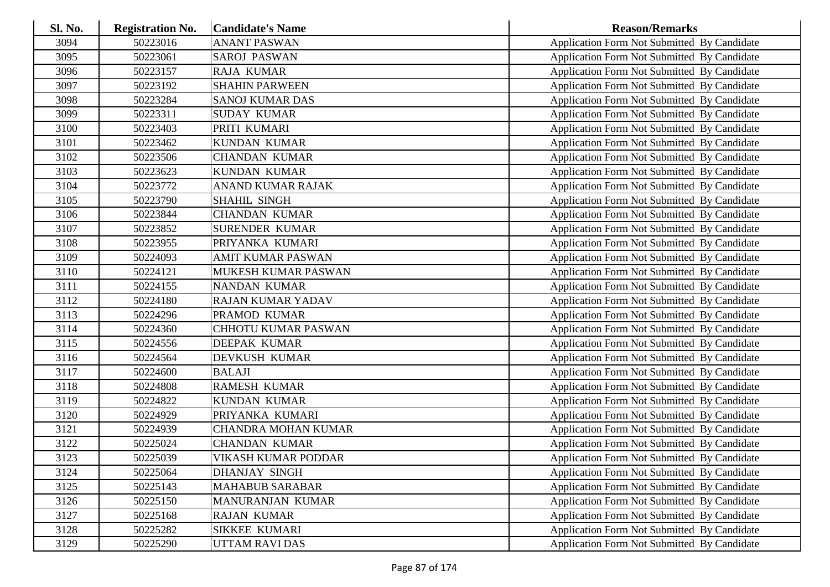| <b>Sl. No.</b> | <b>Registration No.</b> | <b>Candidate's Name</b>    | <b>Reason/Remarks</b>                              |
|----------------|-------------------------|----------------------------|----------------------------------------------------|
| 3094           | 50223016                | <b>ANANT PASWAN</b>        | Application Form Not Submitted By Candidate        |
| 3095           | 50223061                | <b>SAROJ PASWAN</b>        | Application Form Not Submitted By Candidate        |
| 3096           | 50223157                | <b>RAJA KUMAR</b>          | Application Form Not Submitted By Candidate        |
| 3097           | 50223192                | <b>SHAHIN PARWEEN</b>      | Application Form Not Submitted By Candidate        |
| 3098           | 50223284                | <b>SANOJ KUMAR DAS</b>     | Application Form Not Submitted By Candidate        |
| 3099           | 50223311                | <b>SUDAY KUMAR</b>         | Application Form Not Submitted By Candidate        |
| 3100           | 50223403                | PRITI KUMARI               | Application Form Not Submitted By Candidate        |
| 3101           | 50223462                | <b>KUNDAN KUMAR</b>        | Application Form Not Submitted By Candidate        |
| 3102           | 50223506                | <b>CHANDAN KUMAR</b>       | Application Form Not Submitted By Candidate        |
| 3103           | 50223623                | <b>KUNDAN KUMAR</b>        | Application Form Not Submitted By Candidate        |
| 3104           | 50223772                | <b>ANAND KUMAR RAJAK</b>   | Application Form Not Submitted By Candidate        |
| 3105           | 50223790                | SHAHIL SINGH               | Application Form Not Submitted By Candidate        |
| 3106           | 50223844                | <b>CHANDAN KUMAR</b>       | Application Form Not Submitted By Candidate        |
| 3107           | 50223852                | SURENDER KUMAR             | Application Form Not Submitted By Candidate        |
| 3108           | 50223955                | PRIYANKA KUMARI            | Application Form Not Submitted By Candidate        |
| 3109           | 50224093                | <b>AMIT KUMAR PASWAN</b>   | Application Form Not Submitted By Candidate        |
| 3110           | 50224121                | <b>MUKESH KUMAR PASWAN</b> | <b>Application Form Not Submitted By Candidate</b> |
| 3111           | 50224155                | <b>NANDAN KUMAR</b>        | Application Form Not Submitted By Candidate        |
| 3112           | 50224180                | <b>RAJAN KUMAR YADAV</b>   | Application Form Not Submitted By Candidate        |
| 3113           | 50224296                | PRAMOD KUMAR               | Application Form Not Submitted By Candidate        |
| 3114           | 50224360                | <b>CHHOTU KUMAR PASWAN</b> | Application Form Not Submitted By Candidate        |
| 3115           | 50224556                | <b>DEEPAK KUMAR</b>        | Application Form Not Submitted By Candidate        |
| 3116           | 50224564                | <b>DEVKUSH KUMAR</b>       | Application Form Not Submitted By Candidate        |
| 3117           | 50224600                | <b>BALAJI</b>              | Application Form Not Submitted By Candidate        |
| 3118           | 50224808                | <b>RAMESH KUMAR</b>        | Application Form Not Submitted By Candidate        |
| 3119           | 50224822                | <b>KUNDAN KUMAR</b>        | Application Form Not Submitted By Candidate        |
| 3120           | 50224929                | PRIYANKA KUMARI            | Application Form Not Submitted By Candidate        |
| 3121           | 50224939                | <b>CHANDRA MOHAN KUMAR</b> | Application Form Not Submitted By Candidate        |
| 3122           | 50225024                | <b>CHANDAN KUMAR</b>       | Application Form Not Submitted By Candidate        |
| 3123           | 50225039                | VIKASH KUMAR PODDAR        | Application Form Not Submitted By Candidate        |
| 3124           | 50225064                | <b>DHANJAY SINGH</b>       | Application Form Not Submitted By Candidate        |
| 3125           | 50225143                | <b>MAHABUB SARABAR</b>     | Application Form Not Submitted By Candidate        |
| 3126           | 50225150                | MANURANJAN KUMAR           | Application Form Not Submitted By Candidate        |
| 3127           | 50225168                | <b>RAJAN KUMAR</b>         | Application Form Not Submitted By Candidate        |
| 3128           | 50225282                | <b>SIKKEE KUMARI</b>       | <b>Application Form Not Submitted By Candidate</b> |
| 3129           | 50225290                | UTTAM RAVI DAS             | Application Form Not Submitted By Candidate        |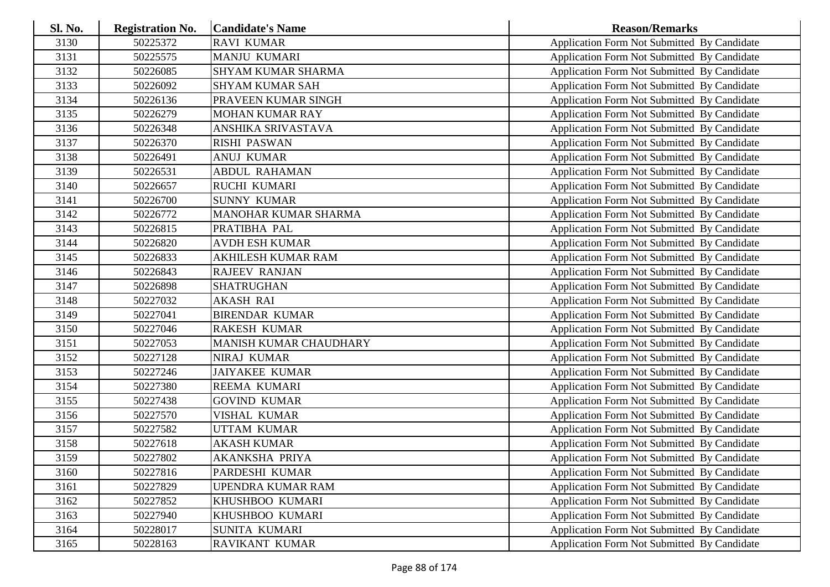| <b>Sl. No.</b> | <b>Registration No.</b> | <b>Candidate's Name</b>   | <b>Reason/Remarks</b>                              |
|----------------|-------------------------|---------------------------|----------------------------------------------------|
| 3130           | 50225372                | <b>RAVI KUMAR</b>         | Application Form Not Submitted By Candidate        |
| 3131           | 50225575                | <b>MANJU KUMARI</b>       | Application Form Not Submitted By Candidate        |
| 3132           | 50226085                | <b>SHYAM KUMAR SHARMA</b> | Application Form Not Submitted By Candidate        |
| 3133           | 50226092                | <b>SHYAM KUMAR SAH</b>    | Application Form Not Submitted By Candidate        |
| 3134           | 50226136                | PRAVEEN KUMAR SINGH       | Application Form Not Submitted By Candidate        |
| 3135           | 50226279                | MOHAN KUMAR RAY           | Application Form Not Submitted By Candidate        |
| 3136           | 50226348                | ANSHIKA SRIVASTAVA        | Application Form Not Submitted By Candidate        |
| 3137           | 50226370                | <b>RISHI PASWAN</b>       | Application Form Not Submitted By Candidate        |
| 3138           | 50226491                | <b>ANUJ KUMAR</b>         | Application Form Not Submitted By Candidate        |
| 3139           | 50226531                | <b>ABDUL RAHAMAN</b>      | Application Form Not Submitted By Candidate        |
| 3140           | 50226657                | <b>RUCHI KUMARI</b>       | Application Form Not Submitted By Candidate        |
| 3141           | 50226700                | <b>SUNNY KUMAR</b>        | Application Form Not Submitted By Candidate        |
| 3142           | 50226772                | MANOHAR KUMAR SHARMA      | Application Form Not Submitted By Candidate        |
| 3143           | 50226815                | PRATIBHA PAL              | Application Form Not Submitted By Candidate        |
| 3144           | 50226820                | <b>AVDH ESH KUMAR</b>     | Application Form Not Submitted By Candidate        |
| 3145           | 50226833                | <b>AKHILESH KUMAR RAM</b> | Application Form Not Submitted By Candidate        |
| 3146           | 50226843                | <b>RAJEEV RANJAN</b>      | Application Form Not Submitted By Candidate        |
| 3147           | 50226898                | <b>SHATRUGHAN</b>         | Application Form Not Submitted By Candidate        |
| 3148           | 50227032                | <b>AKASH RAI</b>          | Application Form Not Submitted By Candidate        |
| 3149           | 50227041                | <b>BIRENDAR KUMAR</b>     | Application Form Not Submitted By Candidate        |
| 3150           | 50227046                | <b>RAKESH KUMAR</b>       | Application Form Not Submitted By Candidate        |
| 3151           | 50227053                | MANISH KUMAR CHAUDHARY    | Application Form Not Submitted By Candidate        |
| 3152           | 50227128                | NIRAJ KUMAR               | Application Form Not Submitted By Candidate        |
| 3153           | 50227246                | <b>JAIYAKEE KUMAR</b>     | Application Form Not Submitted By Candidate        |
| 3154           | 50227380                | REEMA KUMARI              | Application Form Not Submitted By Candidate        |
| 3155           | 50227438                | <b>GOVIND KUMAR</b>       | Application Form Not Submitted By Candidate        |
| 3156           | 50227570                | VISHAL KUMAR              | Application Form Not Submitted By Candidate        |
| 3157           | 50227582                | <b>UTTAM KUMAR</b>        | Application Form Not Submitted By Candidate        |
| 3158           | 50227618                | <b>AKASH KUMAR</b>        | Application Form Not Submitted By Candidate        |
| 3159           | 50227802                | AKANKSHA PRIYA            | Application Form Not Submitted By Candidate        |
| 3160           | 50227816                | PARDESHI KUMAR            | Application Form Not Submitted By Candidate        |
| 3161           | 50227829                | <b>UPENDRA KUMAR RAM</b>  | <b>Application Form Not Submitted By Candidate</b> |
| 3162           | 50227852                | KHUSHBOO KUMARI           | <b>Application Form Not Submitted By Candidate</b> |
| 3163           | 50227940                | KHUSHBOO KUMARI           | Application Form Not Submitted By Candidate        |
| 3164           | 50228017                | SUNITA KUMARI             | <b>Application Form Not Submitted By Candidate</b> |
| 3165           | 50228163                | <b>RAVIKANT KUMAR</b>     | Application Form Not Submitted By Candidate        |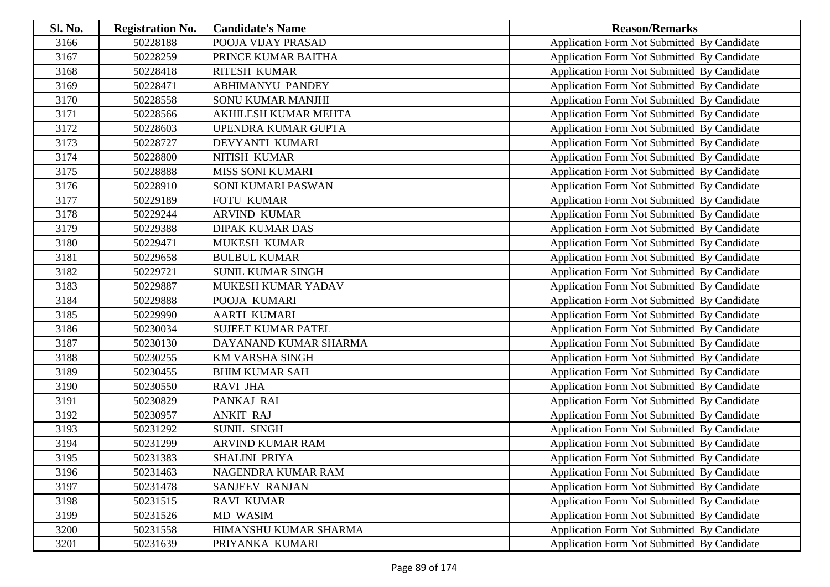| Sl. No. | <b>Registration No.</b> | <b>Candidate's Name</b>   | <b>Reason/Remarks</b>                              |
|---------|-------------------------|---------------------------|----------------------------------------------------|
| 3166    | 50228188                | POOJA VIJAY PRASAD        | Application Form Not Submitted By Candidate        |
| 3167    | 50228259                | PRINCE KUMAR BAITHA       | Application Form Not Submitted By Candidate        |
| 3168    | 50228418                | <b>RITESH KUMAR</b>       | Application Form Not Submitted By Candidate        |
| 3169    | 50228471                | <b>ABHIMANYU PANDEY</b>   | Application Form Not Submitted By Candidate        |
| 3170    | 50228558                | SONU KUMAR MANJHI         | Application Form Not Submitted By Candidate        |
| 3171    | 50228566                | AKHILESH KUMAR MEHTA      | Application Form Not Submitted By Candidate        |
| 3172    | 50228603                | UPENDRA KUMAR GUPTA       | Application Form Not Submitted By Candidate        |
| 3173    | 50228727                | DEVYANTI KUMARI           | Application Form Not Submitted By Candidate        |
| 3174    | 50228800                | NITISH KUMAR              | Application Form Not Submitted By Candidate        |
| 3175    | 50228888                | MISS SONI KUMARI          | Application Form Not Submitted By Candidate        |
| 3176    | 50228910                | SONI KUMARI PASWAN        | Application Form Not Submitted By Candidate        |
| 3177    | 50229189                | <b>FOTU KUMAR</b>         | Application Form Not Submitted By Candidate        |
| 3178    | 50229244                | <b>ARVIND KUMAR</b>       | Application Form Not Submitted By Candidate        |
| 3179    | 50229388                | <b>DIPAK KUMAR DAS</b>    | <b>Application Form Not Submitted By Candidate</b> |
| 3180    | 50229471                | MUKESH KUMAR              | Application Form Not Submitted By Candidate        |
| 3181    | 50229658                | <b>BULBUL KUMAR</b>       | Application Form Not Submitted By Candidate        |
| 3182    | 50229721                | SUNIL KUMAR SINGH         | Application Form Not Submitted By Candidate        |
| 3183    | 50229887                | MUKESH KUMAR YADAV        | Application Form Not Submitted By Candidate        |
| 3184    | 50229888                | POOJA KUMARI              | Application Form Not Submitted By Candidate        |
| 3185    | 50229990                | <b>AARTI KUMARI</b>       | Application Form Not Submitted By Candidate        |
| 3186    | 50230034                | <b>SUJEET KUMAR PATEL</b> | Application Form Not Submitted By Candidate        |
| 3187    | 50230130                | DAYANAND KUMAR SHARMA     | Application Form Not Submitted By Candidate        |
| 3188    | 50230255                | <b>KM VARSHA SINGH</b>    | Application Form Not Submitted By Candidate        |
| 3189    | 50230455                | <b>BHIM KUMAR SAH</b>     | Application Form Not Submitted By Candidate        |
| 3190    | 50230550                | <b>RAVI JHA</b>           | Application Form Not Submitted By Candidate        |
| 3191    | 50230829                | PANKAJ RAI                | Application Form Not Submitted By Candidate        |
| 3192    | 50230957                | <b>ANKIT RAJ</b>          | Application Form Not Submitted By Candidate        |
| 3193    | 50231292                | <b>SUNIL SINGH</b>        | Application Form Not Submitted By Candidate        |
| 3194    | 50231299                | ARVIND KUMAR RAM          | Application Form Not Submitted By Candidate        |
| 3195    | 50231383                | SHALINI PRIYA             | Application Form Not Submitted By Candidate        |
| 3196    | 50231463                | NAGENDRA KUMAR RAM        | Application Form Not Submitted By Candidate        |
| 3197    | 50231478                | SANJEEV RANJAN            | <b>Application Form Not Submitted By Candidate</b> |
| 3198    | 50231515                | <b>RAVI KUMAR</b>         | Application Form Not Submitted By Candidate        |
| 3199    | 50231526                | MD WASIM                  | Application Form Not Submitted By Candidate        |
| 3200    | 50231558                | HIMANSHU KUMAR SHARMA     | Application Form Not Submitted By Candidate        |
| 3201    | 50231639                | PRIYANKA KUMARI           | Application Form Not Submitted By Candidate        |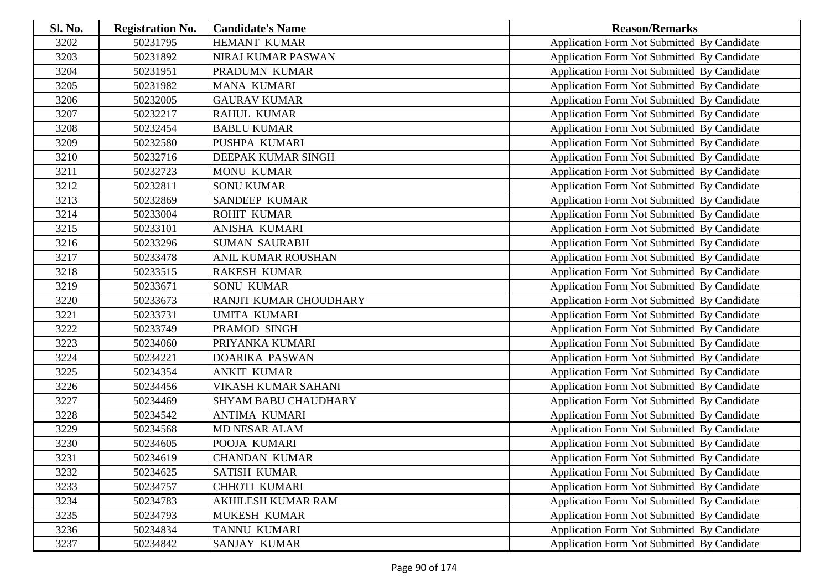| <b>Sl. No.</b> | <b>Registration No.</b> | <b>Candidate's Name</b>   | <b>Reason/Remarks</b>                              |
|----------------|-------------------------|---------------------------|----------------------------------------------------|
| 3202           | 50231795                | HEMANT KUMAR              | Application Form Not Submitted By Candidate        |
| 3203           | 50231892                | NIRAJ KUMAR PASWAN        | Application Form Not Submitted By Candidate        |
| 3204           | 50231951                | PRADUMN KUMAR             | Application Form Not Submitted By Candidate        |
| 3205           | 50231982                | <b>MANA KUMARI</b>        | Application Form Not Submitted By Candidate        |
| 3206           | 50232005                | <b>GAURAV KUMAR</b>       | Application Form Not Submitted By Candidate        |
| 3207           | 50232217                | <b>RAHUL KUMAR</b>        | Application Form Not Submitted By Candidate        |
| 3208           | 50232454                | <b>BABLU KUMAR</b>        | Application Form Not Submitted By Candidate        |
| 3209           | 50232580                | PUSHPA KUMARI             | Application Form Not Submitted By Candidate        |
| 3210           | 50232716                | DEEPAK KUMAR SINGH        | Application Form Not Submitted By Candidate        |
| 3211           | 50232723                | <b>MONU KUMAR</b>         | Application Form Not Submitted By Candidate        |
| 3212           | 50232811                | <b>SONU KUMAR</b>         | Application Form Not Submitted By Candidate        |
| 3213           | 50232869                | <b>SANDEEP KUMAR</b>      | Application Form Not Submitted By Candidate        |
| 3214           | 50233004                | <b>ROHIT KUMAR</b>        | Application Form Not Submitted By Candidate        |
| 3215           | 50233101                | ANISHA KUMARI             | Application Form Not Submitted By Candidate        |
| 3216           | 50233296                | <b>SUMAN SAURABH</b>      | Application Form Not Submitted By Candidate        |
| 3217           | 50233478                | <b>ANIL KUMAR ROUSHAN</b> | Application Form Not Submitted By Candidate        |
| 3218           | 50233515                | <b>RAKESH KUMAR</b>       | Application Form Not Submitted By Candidate        |
| 3219           | 50233671                | <b>SONU KUMAR</b>         | Application Form Not Submitted By Candidate        |
| 3220           | 50233673                | RANJIT KUMAR CHOUDHARY    | Application Form Not Submitted By Candidate        |
| 3221           | 50233731                | <b>UMITA KUMARI</b>       | Application Form Not Submitted By Candidate        |
| 3222           | 50233749                | PRAMOD SINGH              | Application Form Not Submitted By Candidate        |
| 3223           | 50234060                | PRIYANKA KUMARI           | Application Form Not Submitted By Candidate        |
| 3224           | 50234221                | <b>DOARIKA PASWAN</b>     | Application Form Not Submitted By Candidate        |
| 3225           | 50234354                | <b>ANKIT KUMAR</b>        | Application Form Not Submitted By Candidate        |
| 3226           | 50234456                | VIKASH KUMAR SAHANI       | Application Form Not Submitted By Candidate        |
| 3227           | 50234469                | SHYAM BABU CHAUDHARY      | Application Form Not Submitted By Candidate        |
| 3228           | 50234542                | <b>ANTIMA KUMARI</b>      | Application Form Not Submitted By Candidate        |
| 3229           | 50234568                | <b>MD NESAR ALAM</b>      | Application Form Not Submitted By Candidate        |
| 3230           | 50234605                | POOJA KUMARI              | Application Form Not Submitted By Candidate        |
| 3231           | 50234619                | <b>CHANDAN KUMAR</b>      | Application Form Not Submitted By Candidate        |
| 3232           | 50234625                | <b>SATISH KUMAR</b>       | Application Form Not Submitted By Candidate        |
| 3233           | 50234757                | CHHOTI KUMARI             | Application Form Not Submitted By Candidate        |
| 3234           | 50234783                | AKHILESH KUMAR RAM        | <b>Application Form Not Submitted By Candidate</b> |
| 3235           | 50234793                | MUKESH KUMAR              | Application Form Not Submitted By Candidate        |
| 3236           | 50234834                | <b>TANNU KUMARI</b>       | <b>Application Form Not Submitted By Candidate</b> |
| 3237           | 50234842                | <b>SANJAY KUMAR</b>       | Application Form Not Submitted By Candidate        |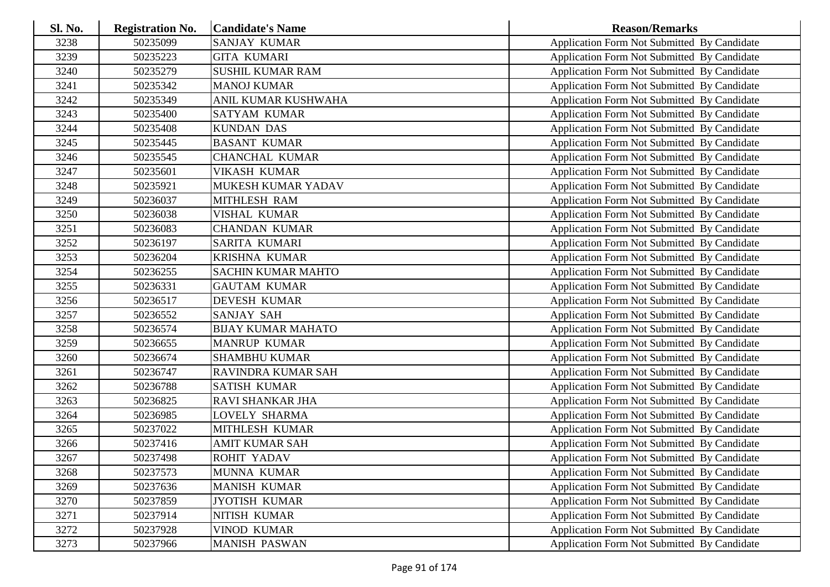| <b>Sl. No.</b> | <b>Registration No.</b> | <b>Candidate's Name</b>   | <b>Reason/Remarks</b>                              |
|----------------|-------------------------|---------------------------|----------------------------------------------------|
| 3238           | 50235099                | <b>SANJAY KUMAR</b>       | Application Form Not Submitted By Candidate        |
| 3239           | 50235223                | <b>GITA KUMARI</b>        | Application Form Not Submitted By Candidate        |
| 3240           | 50235279                | <b>SUSHIL KUMAR RAM</b>   | Application Form Not Submitted By Candidate        |
| 3241           | 50235342                | <b>MANOJ KUMAR</b>        | Application Form Not Submitted By Candidate        |
| 3242           | 50235349                | ANIL KUMAR KUSHWAHA       | Application Form Not Submitted By Candidate        |
| 3243           | 50235400                | <b>SATYAM KUMAR</b>       | Application Form Not Submitted By Candidate        |
| 3244           | 50235408                | <b>KUNDAN DAS</b>         | Application Form Not Submitted By Candidate        |
| 3245           | 50235445                | <b>BASANT KUMAR</b>       | Application Form Not Submitted By Candidate        |
| 3246           | 50235545                | <b>CHANCHAL KUMAR</b>     | Application Form Not Submitted By Candidate        |
| 3247           | 50235601                | <b>VIKASH KUMAR</b>       | Application Form Not Submitted By Candidate        |
| 3248           | 50235921                | MUKESH KUMAR YADAV        | Application Form Not Submitted By Candidate        |
| 3249           | 50236037                | <b>MITHLESH RAM</b>       | Application Form Not Submitted By Candidate        |
| 3250           | 50236038                | VISHAL KUMAR              | Application Form Not Submitted By Candidate        |
| 3251           | 50236083                | <b>CHANDAN KUMAR</b>      | Application Form Not Submitted By Candidate        |
| 3252           | 50236197                | <b>SARITA KUMARI</b>      | Application Form Not Submitted By Candidate        |
| 3253           | 50236204                | <b>KRISHNA KUMAR</b>      | Application Form Not Submitted By Candidate        |
| 3254           | 50236255                | <b>SACHIN KUMAR MAHTO</b> | Application Form Not Submitted By Candidate        |
| 3255           | 50236331                | <b>GAUTAM KUMAR</b>       | Application Form Not Submitted By Candidate        |
| 3256           | 50236517                | <b>DEVESH KUMAR</b>       | Application Form Not Submitted By Candidate        |
| 3257           | 50236552                | <b>SANJAY SAH</b>         | Application Form Not Submitted By Candidate        |
| 3258           | 50236574                | <b>BIJAY KUMAR MAHATO</b> | Application Form Not Submitted By Candidate        |
| 3259           | 50236655                | <b>MANRUP KUMAR</b>       | Application Form Not Submitted By Candidate        |
| 3260           | 50236674                | <b>SHAMBHU KUMAR</b>      | Application Form Not Submitted By Candidate        |
| 3261           | 50236747                | RAVINDRA KUMAR SAH        | Application Form Not Submitted By Candidate        |
| 3262           | 50236788                | <b>SATISH KUMAR</b>       | Application Form Not Submitted By Candidate        |
| 3263           | 50236825                | RAVI SHANKAR JHA          | Application Form Not Submitted By Candidate        |
| 3264           | 50236985                | <b>LOVELY SHARMA</b>      | Application Form Not Submitted By Candidate        |
| 3265           | 50237022                | MITHLESH KUMAR            | Application Form Not Submitted By Candidate        |
| 3266           | 50237416                | <b>AMIT KUMAR SAH</b>     | Application Form Not Submitted By Candidate        |
| 3267           | 50237498                | <b>ROHIT YADAV</b>        | Application Form Not Submitted By Candidate        |
| 3268           | 50237573                | MUNNA KUMAR               | Application Form Not Submitted By Candidate        |
| 3269           | 50237636                | <b>MANISH KUMAR</b>       | <b>Application Form Not Submitted By Candidate</b> |
| 3270           | 50237859                | <b>JYOTISH KUMAR</b>      | <b>Application Form Not Submitted By Candidate</b> |
| 3271           | 50237914                | NITISH KUMAR              | Application Form Not Submitted By Candidate        |
| 3272           | 50237928                | <b>VINOD KUMAR</b>        | Application Form Not Submitted By Candidate        |
| 3273           | 50237966                | <b>MANISH PASWAN</b>      | <b>Application Form Not Submitted By Candidate</b> |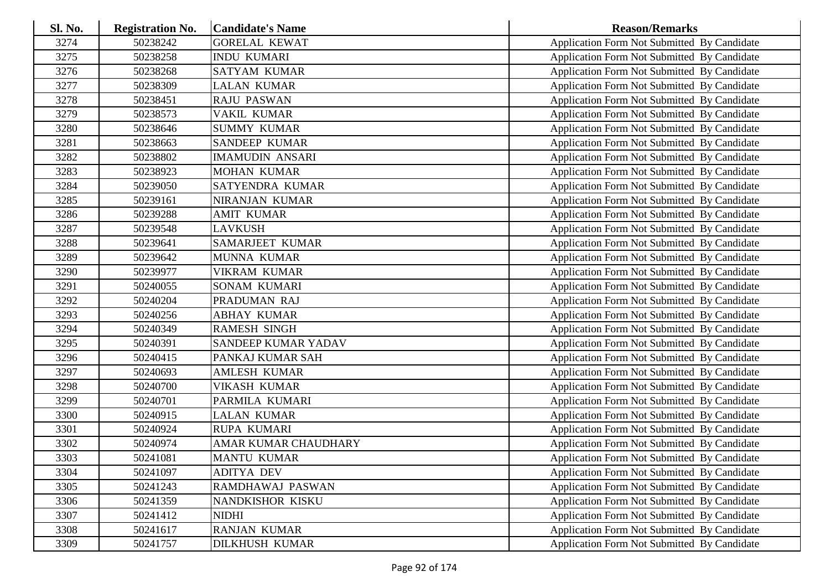| <b>Sl. No.</b> | <b>Registration No.</b> | <b>Candidate's Name</b>     | <b>Reason/Remarks</b>                              |
|----------------|-------------------------|-----------------------------|----------------------------------------------------|
| 3274           | 50238242                | <b>GORELAL KEWAT</b>        | Application Form Not Submitted By Candidate        |
| 3275           | 50238258                | <b>INDU KUMARI</b>          | Application Form Not Submitted By Candidate        |
| 3276           | 50238268                | <b>SATYAM KUMAR</b>         | Application Form Not Submitted By Candidate        |
| 3277           | 50238309                | <b>LALAN KUMAR</b>          | Application Form Not Submitted By Candidate        |
| 3278           | 50238451                | <b>RAJU PASWAN</b>          | Application Form Not Submitted By Candidate        |
| 3279           | 50238573                | VAKIL KUMAR                 | Application Form Not Submitted By Candidate        |
| 3280           | 50238646                | <b>SUMMY KUMAR</b>          | Application Form Not Submitted By Candidate        |
| 3281           | 50238663                | <b>SANDEEP KUMAR</b>        | Application Form Not Submitted By Candidate        |
| 3282           | 50238802                | <b>IMAMUDIN ANSARI</b>      | Application Form Not Submitted By Candidate        |
| 3283           | 50238923                | <b>MOHAN KUMAR</b>          | Application Form Not Submitted By Candidate        |
| 3284           | 50239050                | SATYENDRA KUMAR             | Application Form Not Submitted By Candidate        |
| 3285           | 50239161                | NIRANJAN KUMAR              | Application Form Not Submitted By Candidate        |
| 3286           | 50239288                | <b>AMIT KUMAR</b>           | Application Form Not Submitted By Candidate        |
| 3287           | 50239548                | LAVKUSH                     | Application Form Not Submitted By Candidate        |
| 3288           | 50239641                | <b>SAMARJEET KUMAR</b>      | Application Form Not Submitted By Candidate        |
| 3289           | 50239642                | <b>MUNNA KUMAR</b>          | <b>Application Form Not Submitted By Candidate</b> |
| 3290           | 50239977                | <b>VIKRAM KUMAR</b>         | Application Form Not Submitted By Candidate        |
| 3291           | 50240055                | <b>SONAM KUMARI</b>         | Application Form Not Submitted By Candidate        |
| 3292           | 50240204                | PRADUMAN RAJ                | Application Form Not Submitted By Candidate        |
| 3293           | 50240256                | <b>ABHAY KUMAR</b>          | Application Form Not Submitted By Candidate        |
| 3294           | 50240349                | <b>RAMESH SINGH</b>         | Application Form Not Submitted By Candidate        |
| 3295           | 50240391                | <b>SANDEEP KUMAR YADAV</b>  | Application Form Not Submitted By Candidate        |
| 3296           | 50240415                | PANKAJ KUMAR SAH            | Application Form Not Submitted By Candidate        |
| 3297           | 50240693                | <b>AMLESH KUMAR</b>         | Application Form Not Submitted By Candidate        |
| 3298           | 50240700                | VIKASH KUMAR                | Application Form Not Submitted By Candidate        |
| 3299           | 50240701                | PARMILA KUMARI              | Application Form Not Submitted By Candidate        |
| 3300           | 50240915                | <b>LALAN KUMAR</b>          | Application Form Not Submitted By Candidate        |
| 3301           | 50240924                | <b>RUPA KUMARI</b>          | <b>Application Form Not Submitted By Candidate</b> |
| 3302           | 50240974                | <b>AMAR KUMAR CHAUDHARY</b> | Application Form Not Submitted By Candidate        |
| 3303           | 50241081                | <b>MANTU KUMAR</b>          | Application Form Not Submitted By Candidate        |
| 3304           | 50241097                | <b>ADITYA DEV</b>           | Application Form Not Submitted By Candidate        |
| 3305           | 50241243                | RAMDHAWAJ PASWAN            | <b>Application Form Not Submitted By Candidate</b> |
| 3306           | 50241359                | NANDKISHOR KISKU            | <b>Application Form Not Submitted By Candidate</b> |
| 3307           | 50241412                | <b>NIDHI</b>                | Application Form Not Submitted By Candidate        |
| 3308           | 50241617                | <b>RANJAN KUMAR</b>         | <b>Application Form Not Submitted By Candidate</b> |
| 3309           | 50241757                | <b>DILKHUSH KUMAR</b>       | Application Form Not Submitted By Candidate        |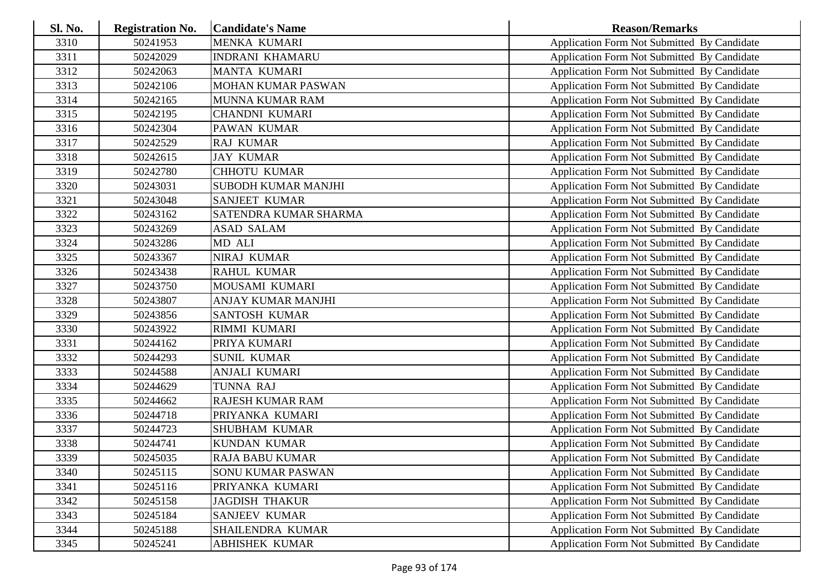| <b>Sl. No.</b> | <b>Registration No.</b> | <b>Candidate's Name</b>    | <b>Reason/Remarks</b>                              |
|----------------|-------------------------|----------------------------|----------------------------------------------------|
| 3310           | 50241953                | <b>MENKA KUMARI</b>        | Application Form Not Submitted By Candidate        |
| 3311           | 50242029                | <b>INDRANI KHAMARU</b>     | Application Form Not Submitted By Candidate        |
| 3312           | 50242063                | <b>MANTA KUMARI</b>        | Application Form Not Submitted By Candidate        |
| 3313           | 50242106                | MOHAN KUMAR PASWAN         | Application Form Not Submitted By Candidate        |
| 3314           | 50242165                | MUNNA KUMAR RAM            | Application Form Not Submitted By Candidate        |
| 3315           | 50242195                | <b>CHANDNI KUMARI</b>      | Application Form Not Submitted By Candidate        |
| 3316           | 50242304                | PAWAN KUMAR                | <b>Application Form Not Submitted By Candidate</b> |
| 3317           | 50242529                | <b>RAJ KUMAR</b>           | Application Form Not Submitted By Candidate        |
| 3318           | 50242615                | <b>JAY KUMAR</b>           | Application Form Not Submitted By Candidate        |
| 3319           | 50242780                | <b>CHHOTU KUMAR</b>        | Application Form Not Submitted By Candidate        |
| 3320           | 50243031                | <b>SUBODH KUMAR MANJHI</b> | Application Form Not Submitted By Candidate        |
| 3321           | 50243048                | SANJEET KUMAR              | Application Form Not Submitted By Candidate        |
| 3322           | 50243162                | SATENDRA KUMAR SHARMA      | Application Form Not Submitted By Candidate        |
| 3323           | 50243269                | <b>ASAD SALAM</b>          | Application Form Not Submitted By Candidate        |
| 3324           | 50243286                | MD ALI                     | Application Form Not Submitted By Candidate        |
| 3325           | 50243367                | NIRAJ KUMAR                | Application Form Not Submitted By Candidate        |
| 3326           | 50243438                | <b>RAHUL KUMAR</b>         | Application Form Not Submitted By Candidate        |
| 3327           | 50243750                | MOUSAMI KUMARI             | Application Form Not Submitted By Candidate        |
| 3328           | 50243807                | <b>ANJAY KUMAR MANJHI</b>  | Application Form Not Submitted By Candidate        |
| 3329           | 50243856                | <b>SANTOSH KUMAR</b>       | Application Form Not Submitted By Candidate        |
| 3330           | 50243922                | RIMMI KUMARI               | <b>Application Form Not Submitted By Candidate</b> |
| 3331           | 50244162                | PRIYA KUMARI               | Application Form Not Submitted By Candidate        |
| 3332           | 50244293                | <b>SUNIL KUMAR</b>         | Application Form Not Submitted By Candidate        |
| 3333           | 50244588                | <b>ANJALI KUMARI</b>       | Application Form Not Submitted By Candidate        |
| 3334           | 50244629                | TUNNA RAJ                  | Application Form Not Submitted By Candidate        |
| 3335           | 50244662                | RAJESH KUMAR RAM           | Application Form Not Submitted By Candidate        |
| 3336           | 50244718                | PRIYANKA KUMARI            | Application Form Not Submitted By Candidate        |
| 3337           | 50244723                | <b>SHUBHAM KUMAR</b>       | Application Form Not Submitted By Candidate        |
| 3338           | 50244741                | <b>KUNDAN KUMAR</b>        | Application Form Not Submitted By Candidate        |
| 3339           | 50245035                | <b>RAJA BABU KUMAR</b>     | <b>Application Form Not Submitted By Candidate</b> |
| 3340           | 50245115                | <b>SONU KUMAR PASWAN</b>   | Application Form Not Submitted By Candidate        |
| 3341           | 50245116                | PRIYANKA KUMARI            | <b>Application Form Not Submitted By Candidate</b> |
| 3342           | 50245158                | <b>JAGDISH THAKUR</b>      | Application Form Not Submitted By Candidate        |
| 3343           | 50245184                | <b>SANJEEV KUMAR</b>       | Application Form Not Submitted By Candidate        |
| 3344           | 50245188                | SHAILENDRA KUMAR           | <b>Application Form Not Submitted By Candidate</b> |
| 3345           | 50245241                | <b>ABHISHEK KUMAR</b>      | Application Form Not Submitted By Candidate        |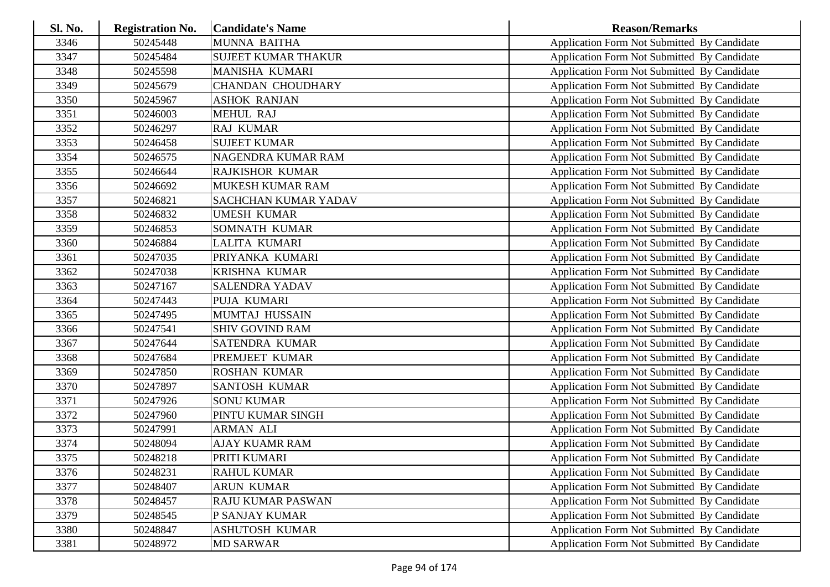| Sl. No. | <b>Registration No.</b> | <b>Candidate's Name</b>    | <b>Reason/Remarks</b>                       |
|---------|-------------------------|----------------------------|---------------------------------------------|
| 3346    | 50245448                | <b>MUNNA BAITHA</b>        | Application Form Not Submitted By Candidate |
| 3347    | 50245484                | <b>SUJEET KUMAR THAKUR</b> | Application Form Not Submitted By Candidate |
| 3348    | 50245598                | MANISHA KUMARI             | Application Form Not Submitted By Candidate |
| 3349    | 50245679                | <b>CHANDAN CHOUDHARY</b>   | Application Form Not Submitted By Candidate |
| 3350    | 50245967                | <b>ASHOK RANJAN</b>        | Application Form Not Submitted By Candidate |
| 3351    | 50246003                | <b>MEHUL RAJ</b>           | Application Form Not Submitted By Candidate |
| 3352    | 50246297                | <b>RAJ KUMAR</b>           | Application Form Not Submitted By Candidate |
| 3353    | 50246458                | <b>SUJEET KUMAR</b>        | Application Form Not Submitted By Candidate |
| 3354    | 50246575                | NAGENDRA KUMAR RAM         | Application Form Not Submitted By Candidate |
| 3355    | 50246644                | <b>RAJKISHOR KUMAR</b>     | Application Form Not Submitted By Candidate |
| 3356    | 50246692                | MUKESH KUMAR RAM           | Application Form Not Submitted By Candidate |
| 3357    | 50246821                | SACHCHAN KUMAR YADAV       | Application Form Not Submitted By Candidate |
| 3358    | 50246832                | <b>UMESH KUMAR</b>         | Application Form Not Submitted By Candidate |
| 3359    | 50246853                | SOMNATH KUMAR              | Application Form Not Submitted By Candidate |
| 3360    | 50246884                | LALITA KUMARI              | Application Form Not Submitted By Candidate |
| 3361    | 50247035                | PRIYANKA KUMARI            | Application Form Not Submitted By Candidate |
| 3362    | 50247038                | <b>KRISHNA KUMAR</b>       | Application Form Not Submitted By Candidate |
| 3363    | 50247167                | <b>SALENDRA YADAV</b>      | Application Form Not Submitted By Candidate |
| 3364    | 50247443                | PUJA KUMARI                | Application Form Not Submitted By Candidate |
| 3365    | 50247495                | MUMTAJ HUSSAIN             | Application Form Not Submitted By Candidate |
| 3366    | 50247541                | <b>SHIV GOVIND RAM</b>     | Application Form Not Submitted By Candidate |
| 3367    | 50247644                | SATENDRA KUMAR             | Application Form Not Submitted By Candidate |
| 3368    | 50247684                | PREMJEET KUMAR             | Application Form Not Submitted By Candidate |
| 3369    | 50247850                | <b>ROSHAN KUMAR</b>        | Application Form Not Submitted By Candidate |
| 3370    | 50247897                | <b>SANTOSH KUMAR</b>       | Application Form Not Submitted By Candidate |
| 3371    | 50247926                | <b>SONU KUMAR</b>          | Application Form Not Submitted By Candidate |
| 3372    | 50247960                | PINTU KUMAR SINGH          | Application Form Not Submitted By Candidate |
| 3373    | 50247991                | <b>ARMAN ALI</b>           | Application Form Not Submitted By Candidate |
| 3374    | 50248094                | <b>AJAY KUAMR RAM</b>      | Application Form Not Submitted By Candidate |
| 3375    | 50248218                | PRITI KUMARI               | Application Form Not Submitted By Candidate |
| 3376    | 50248231                | <b>RAHUL KUMAR</b>         | Application Form Not Submitted By Candidate |
| 3377    | 50248407                | <b>ARUN KUMAR</b>          | Application Form Not Submitted By Candidate |
| 3378    | 50248457                | RAJU KUMAR PASWAN          | Application Form Not Submitted By Candidate |
| 3379    | 50248545                | P SANJAY KUMAR             | Application Form Not Submitted By Candidate |
| 3380    | 50248847                | ASHUTOSH KUMAR             | Application Form Not Submitted By Candidate |
| 3381    | 50248972                | <b>MD SARWAR</b>           | Application Form Not Submitted By Candidate |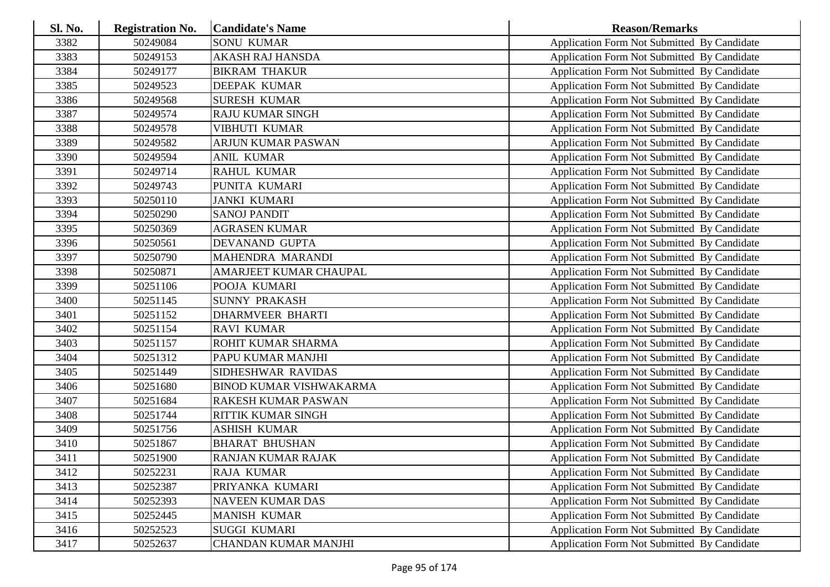| <b>Sl. No.</b> | <b>Registration No.</b> | <b>Candidate's Name</b>        | <b>Reason/Remarks</b>                       |
|----------------|-------------------------|--------------------------------|---------------------------------------------|
| 3382           | 50249084                | <b>SONU KUMAR</b>              | Application Form Not Submitted By Candidate |
| 3383           | 50249153                | <b>AKASH RAJ HANSDA</b>        | Application Form Not Submitted By Candidate |
| 3384           | 50249177                | <b>BIKRAM THAKUR</b>           | Application Form Not Submitted By Candidate |
| 3385           | 50249523                | DEEPAK KUMAR                   | Application Form Not Submitted By Candidate |
| 3386           | 50249568                | <b>SURESH KUMAR</b>            | Application Form Not Submitted By Candidate |
| 3387           | 50249574                | <b>RAJU KUMAR SINGH</b>        | Application Form Not Submitted By Candidate |
| 3388           | 50249578                | <b>VIBHUTI KUMAR</b>           | Application Form Not Submitted By Candidate |
| 3389           | 50249582                | ARJUN KUMAR PASWAN             | Application Form Not Submitted By Candidate |
| 3390           | 50249594                | <b>ANIL KUMAR</b>              | Application Form Not Submitted By Candidate |
| 3391           | 50249714                | <b>RAHUL KUMAR</b>             | Application Form Not Submitted By Candidate |
| 3392           | 50249743                | PUNITA KUMARI                  | Application Form Not Submitted By Candidate |
| 3393           | 50250110                | <b>JANKI KUMARI</b>            | Application Form Not Submitted By Candidate |
| 3394           | 50250290                | <b>SANOJ PANDIT</b>            | Application Form Not Submitted By Candidate |
| 3395           | 50250369                | <b>AGRASEN KUMAR</b>           | Application Form Not Submitted By Candidate |
| 3396           | 50250561                | DEVANAND GUPTA                 | Application Form Not Submitted By Candidate |
| 3397           | 50250790                | MAHENDRA MARANDI               | Application Form Not Submitted By Candidate |
| 3398           | 50250871                | AMARJEET KUMAR CHAUPAL         | Application Form Not Submitted By Candidate |
| 3399           | 50251106                | POOJA KUMARI                   | Application Form Not Submitted By Candidate |
| 3400           | 50251145                | <b>SUNNY PRAKASH</b>           | Application Form Not Submitted By Candidate |
| 3401           | 50251152                | <b>DHARMVEER BHARTI</b>        | Application Form Not Submitted By Candidate |
| 3402           | 50251154                | <b>RAVI KUMAR</b>              | Application Form Not Submitted By Candidate |
| 3403           | 50251157                | ROHIT KUMAR SHARMA             | Application Form Not Submitted By Candidate |
| 3404           | 50251312                | PAPU KUMAR MANJHI              | Application Form Not Submitted By Candidate |
| 3405           | 50251449                | SIDHESHWAR RAVIDAS             | Application Form Not Submitted By Candidate |
| 3406           | 50251680                | <b>BINOD KUMAR VISHWAKARMA</b> | Application Form Not Submitted By Candidate |
| 3407           | 50251684                | RAKESH KUMAR PASWAN            | Application Form Not Submitted By Candidate |
| 3408           | 50251744                | <b>RITTIK KUMAR SINGH</b>      | Application Form Not Submitted By Candidate |
| 3409           | 50251756                | <b>ASHISH KUMAR</b>            | Application Form Not Submitted By Candidate |
| 3410           | 50251867                | <b>BHARAT BHUSHAN</b>          | Application Form Not Submitted By Candidate |
| 3411           | 50251900                | RANJAN KUMAR RAJAK             | Application Form Not Submitted By Candidate |
| 3412           | 50252231                | <b>RAJA KUMAR</b>              | Application Form Not Submitted By Candidate |
| 3413           | 50252387                | PRIYANKA KUMARI                | Application Form Not Submitted By Candidate |
| 3414           | 50252393                | <b>NAVEEN KUMAR DAS</b>        | Application Form Not Submitted By Candidate |
| 3415           | 50252445                | <b>MANISH KUMAR</b>            | Application Form Not Submitted By Candidate |
| 3416           | 50252523                | <b>SUGGI KUMARI</b>            | Application Form Not Submitted By Candidate |
| 3417           | 50252637                | <b>CHANDAN KUMAR MANJHI</b>    | Application Form Not Submitted By Candidate |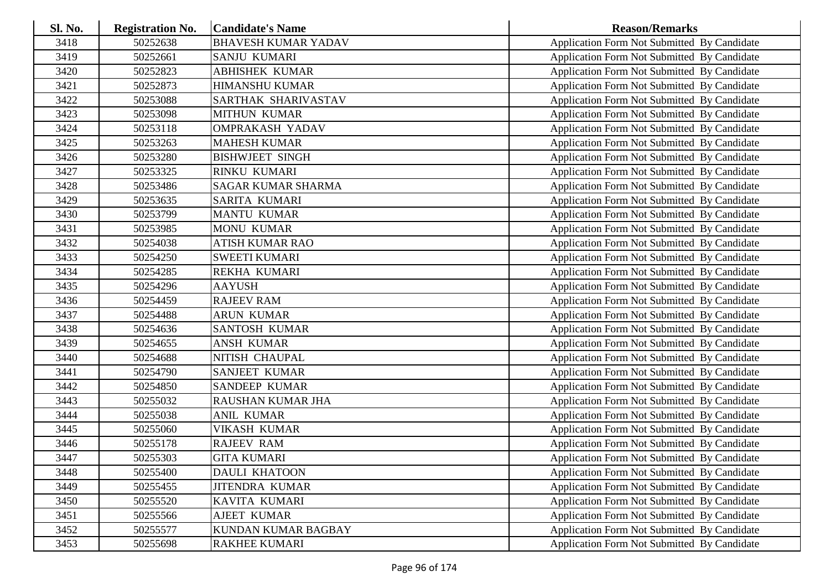| <b>Sl. No.</b> | <b>Registration No.</b> | <b>Candidate's Name</b>    | <b>Reason/Remarks</b>                              |
|----------------|-------------------------|----------------------------|----------------------------------------------------|
| 3418           | 50252638                | <b>BHAVESH KUMAR YADAV</b> | Application Form Not Submitted By Candidate        |
| 3419           | 50252661                | <b>SANJU KUMARI</b>        | Application Form Not Submitted By Candidate        |
| 3420           | 50252823                | <b>ABHISHEK KUMAR</b>      | Application Form Not Submitted By Candidate        |
| 3421           | 50252873                | <b>HIMANSHU KUMAR</b>      | Application Form Not Submitted By Candidate        |
| 3422           | 50253088                | SARTHAK SHARIVASTAV        | Application Form Not Submitted By Candidate        |
| 3423           | 50253098                | <b>MITHUN KUMAR</b>        | Application Form Not Submitted By Candidate        |
| 3424           | 50253118                | <b>OMPRAKASH YADAV</b>     | <b>Application Form Not Submitted By Candidate</b> |
| 3425           | 50253263                | <b>MAHESH KUMAR</b>        | Application Form Not Submitted By Candidate        |
| 3426           | 50253280                | <b>BISHWJEET SINGH</b>     | Application Form Not Submitted By Candidate        |
| 3427           | 50253325                | RINKU KUMARI               | Application Form Not Submitted By Candidate        |
| 3428           | 50253486                | <b>SAGAR KUMAR SHARMA</b>  | Application Form Not Submitted By Candidate        |
| 3429           | 50253635                | SARITA KUMARI              | Application Form Not Submitted By Candidate        |
| 3430           | 50253799                | <b>MANTU KUMAR</b>         | Application Form Not Submitted By Candidate        |
| 3431           | 50253985                | <b>MONU KUMAR</b>          | Application Form Not Submitted By Candidate        |
| 3432           | 50254038                | <b>ATISH KUMAR RAO</b>     | Application Form Not Submitted By Candidate        |
| 3433           | 50254250                | <b>SWEETI KUMARI</b>       | Application Form Not Submitted By Candidate        |
| 3434           | 50254285                | REKHA KUMARI               | Application Form Not Submitted By Candidate        |
| 3435           | 50254296                | <b>AAYUSH</b>              | Application Form Not Submitted By Candidate        |
| 3436           | 50254459                | <b>RAJEEV RAM</b>          | <b>Application Form Not Submitted By Candidate</b> |
| 3437           | 50254488                | <b>ARUN KUMAR</b>          | Application Form Not Submitted By Candidate        |
| 3438           | 50254636                | <b>SANTOSH KUMAR</b>       | <b>Application Form Not Submitted By Candidate</b> |
| 3439           | 50254655                | <b>ANSH KUMAR</b>          | Application Form Not Submitted By Candidate        |
| 3440           | 50254688                | NITISH CHAUPAL             | Application Form Not Submitted By Candidate        |
| 3441           | 50254790                | SANJEET KUMAR              | Application Form Not Submitted By Candidate        |
| 3442           | 50254850                | <b>SANDEEP KUMAR</b>       | Application Form Not Submitted By Candidate        |
| 3443           | 50255032                | RAUSHAN KUMAR JHA          | Application Form Not Submitted By Candidate        |
| 3444           | 50255038                | <b>ANIL KUMAR</b>          | Application Form Not Submitted By Candidate        |
| 3445           | 50255060                | VIKASH KUMAR               | Application Form Not Submitted By Candidate        |
| 3446           | 50255178                | <b>RAJEEV RAM</b>          | Application Form Not Submitted By Candidate        |
| 3447           | 50255303                | <b>GITA KUMARI</b>         | Application Form Not Submitted By Candidate        |
| 3448           | 50255400                | <b>DAULI KHATOON</b>       | Application Form Not Submitted By Candidate        |
| 3449           | 50255455                | <b>JITENDRA KUMAR</b>      | <b>Application Form Not Submitted By Candidate</b> |
| 3450           | 50255520                | KAVITA KUMARI              | Application Form Not Submitted By Candidate        |
| 3451           | 50255566                | <b>AJEET KUMAR</b>         | Application Form Not Submitted By Candidate        |
| 3452           | 50255577                | <b>KUNDAN KUMAR BAGBAY</b> | <b>Application Form Not Submitted By Candidate</b> |
| 3453           | 50255698                | <b>RAKHEE KUMARI</b>       | Application Form Not Submitted By Candidate        |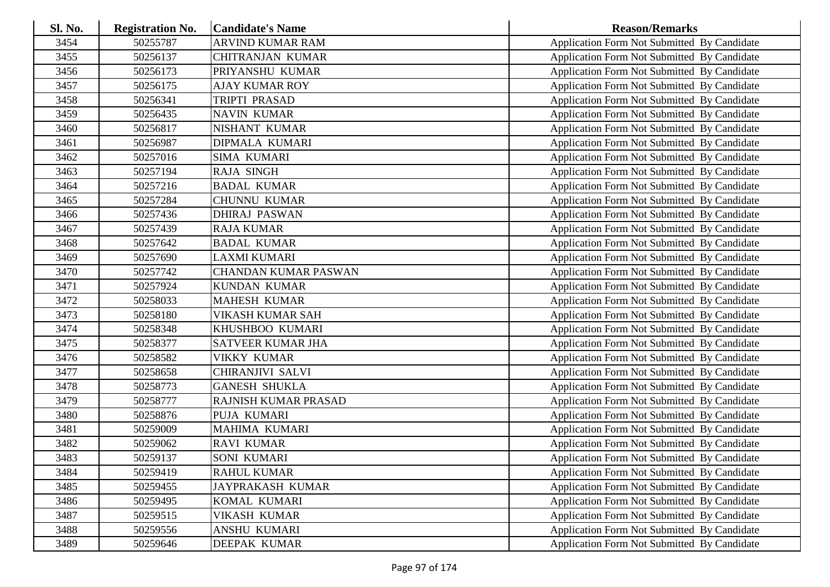| Sl. No. | <b>Registration No.</b> | <b>Candidate's Name</b>     | <b>Reason/Remarks</b>                              |
|---------|-------------------------|-----------------------------|----------------------------------------------------|
| 3454    | 50255787                | ARVIND KUMAR RAM            | Application Form Not Submitted By Candidate        |
| 3455    | 50256137                | <b>CHITRANJAN KUMAR</b>     | Application Form Not Submitted By Candidate        |
| 3456    | 50256173                | PRIYANSHU KUMAR             | Application Form Not Submitted By Candidate        |
| 3457    | 50256175                | <b>AJAY KUMAR ROY</b>       | Application Form Not Submitted By Candidate        |
| 3458    | 50256341                | TRIPTI PRASAD               | Application Form Not Submitted By Candidate        |
| 3459    | 50256435                | <b>NAVIN KUMAR</b>          | Application Form Not Submitted By Candidate        |
| 3460    | 50256817                | NISHANT KUMAR               | Application Form Not Submitted By Candidate        |
| 3461    | 50256987                | <b>DIPMALA KUMARI</b>       | Application Form Not Submitted By Candidate        |
| 3462    | 50257016                | <b>SIMA KUMARI</b>          | Application Form Not Submitted By Candidate        |
| 3463    | 50257194                | <b>RAJA SINGH</b>           | Application Form Not Submitted By Candidate        |
| 3464    | 50257216                | <b>BADAL KUMAR</b>          | Application Form Not Submitted By Candidate        |
| 3465    | 50257284                | <b>CHUNNU KUMAR</b>         | Application Form Not Submitted By Candidate        |
| 3466    | 50257436                | <b>DHIRAJ PASWAN</b>        | Application Form Not Submitted By Candidate        |
| 3467    | 50257439                | <b>RAJA KUMAR</b>           | Application Form Not Submitted By Candidate        |
| 3468    | 50257642                | <b>BADAL KUMAR</b>          | Application Form Not Submitted By Candidate        |
| 3469    | 50257690                | <b>LAXMI KUMARI</b>         | Application Form Not Submitted By Candidate        |
| 3470    | 50257742                | <b>CHANDAN KUMAR PASWAN</b> | Application Form Not Submitted By Candidate        |
| 3471    | 50257924                | <b>KUNDAN KUMAR</b>         | Application Form Not Submitted By Candidate        |
| 3472    | 50258033                | <b>MAHESH KUMAR</b>         | Application Form Not Submitted By Candidate        |
| 3473    | 50258180                | <b>VIKASH KUMAR SAH</b>     | Application Form Not Submitted By Candidate        |
| 3474    | 50258348                | KHUSHBOO KUMARI             | Application Form Not Submitted By Candidate        |
| 3475    | 50258377                | <b>SATVEER KUMAR JHA</b>    | Application Form Not Submitted By Candidate        |
| 3476    | 50258582                | <b>VIKKY KUMAR</b>          | Application Form Not Submitted By Candidate        |
| 3477    | 50258658                | <b>CHIRANJIVI SALVI</b>     | Application Form Not Submitted By Candidate        |
| 3478    | 50258773                | <b>GANESH SHUKLA</b>        | Application Form Not Submitted By Candidate        |
| 3479    | 50258777                | RAJNISH KUMAR PRASAD        | Application Form Not Submitted By Candidate        |
| 3480    | 50258876                | PUJA KUMARI                 | Application Form Not Submitted By Candidate        |
| 3481    | 50259009                | MAHIMA KUMARI               | Application Form Not Submitted By Candidate        |
| 3482    | 50259062                | <b>RAVI KUMAR</b>           | Application Form Not Submitted By Candidate        |
| 3483    | 50259137                | SONI KUMARI                 | Application Form Not Submitted By Candidate        |
| 3484    | 50259419                | <b>RAHUL KUMAR</b>          | Application Form Not Submitted By Candidate        |
| 3485    | 50259455                | <b>JAYPRAKASH KUMAR</b>     | Application Form Not Submitted By Candidate        |
| 3486    | 50259495                | KOMAL KUMARI                | Application Form Not Submitted By Candidate        |
| 3487    | 50259515                | <b>VIKASH KUMAR</b>         | Application Form Not Submitted By Candidate        |
| 3488    | 50259556                | ANSHU KUMARI                | <b>Application Form Not Submitted By Candidate</b> |
| 3489    | 50259646                | <b>DEEPAK KUMAR</b>         | Application Form Not Submitted By Candidate        |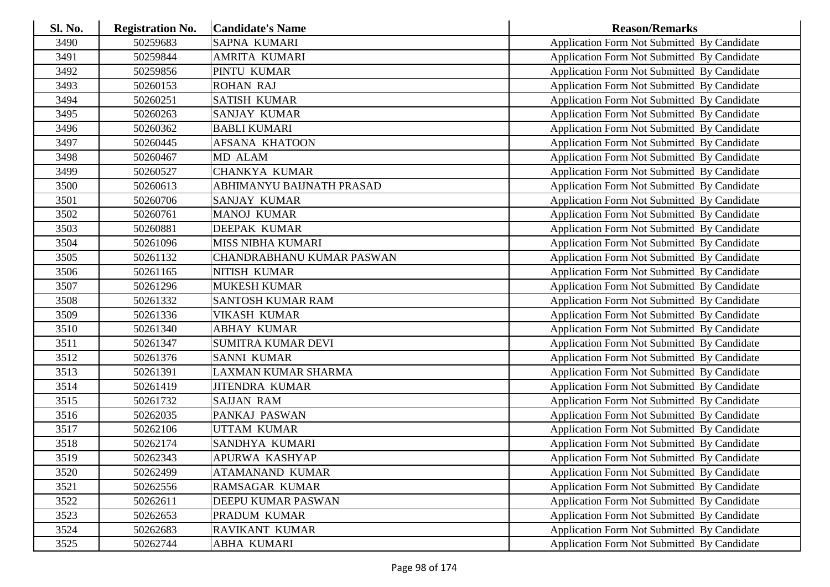| <b>Sl. No.</b> | <b>Registration No.</b> | <b>Candidate's Name</b>   | <b>Reason/Remarks</b>                              |
|----------------|-------------------------|---------------------------|----------------------------------------------------|
| 3490           | 50259683                | SAPNA KUMARI              | Application Form Not Submitted By Candidate        |
| 3491           | 50259844                | AMRITA KUMARI             | Application Form Not Submitted By Candidate        |
| 3492           | 50259856                | PINTU KUMAR               | Application Form Not Submitted By Candidate        |
| 3493           | 50260153                | <b>ROHAN RAJ</b>          | Application Form Not Submitted By Candidate        |
| 3494           | 50260251                | <b>SATISH KUMAR</b>       | Application Form Not Submitted By Candidate        |
| 3495           | 50260263                | <b>SANJAY KUMAR</b>       | Application Form Not Submitted By Candidate        |
| 3496           | 50260362                | <b>BABLI KUMARI</b>       | Application Form Not Submitted By Candidate        |
| 3497           | 50260445                | <b>AFSANA KHATOON</b>     | Application Form Not Submitted By Candidate        |
| 3498           | 50260467                | MD ALAM                   | Application Form Not Submitted By Candidate        |
| 3499           | 50260527                | <b>CHANKYA KUMAR</b>      | Application Form Not Submitted By Candidate        |
| 3500           | 50260613                | ABHIMANYU BAIJNATH PRASAD | Application Form Not Submitted By Candidate        |
| 3501           | 50260706                | <b>SANJAY KUMAR</b>       | Application Form Not Submitted By Candidate        |
| 3502           | 50260761                | <b>MANOJ KUMAR</b>        | Application Form Not Submitted By Candidate        |
| 3503           | 50260881                | DEEPAK KUMAR              | Application Form Not Submitted By Candidate        |
| 3504           | 50261096                | <b>MISS NIBHA KUMARI</b>  | Application Form Not Submitted By Candidate        |
| 3505           | 50261132                | CHANDRABHANU KUMAR PASWAN | Application Form Not Submitted By Candidate        |
| 3506           | 50261165                | NITISH KUMAR              | <b>Application Form Not Submitted By Candidate</b> |
| 3507           | 50261296                | <b>MUKESH KUMAR</b>       | Application Form Not Submitted By Candidate        |
| 3508           | 50261332                | <b>SANTOSH KUMAR RAM</b>  | Application Form Not Submitted By Candidate        |
| 3509           | 50261336                | <b>VIKASH KUMAR</b>       | Application Form Not Submitted By Candidate        |
| 3510           | 50261340                | <b>ABHAY KUMAR</b>        | Application Form Not Submitted By Candidate        |
| 3511           | 50261347                | <b>SUMITRA KUMAR DEVI</b> | Application Form Not Submitted By Candidate        |
| 3512           | 50261376                | <b>SANNI KUMAR</b>        | Application Form Not Submitted By Candidate        |
| 3513           | 50261391                | LAXMAN KUMAR SHARMA       | Application Form Not Submitted By Candidate        |
| 3514           | 50261419                | <b>JITENDRA KUMAR</b>     | Application Form Not Submitted By Candidate        |
| 3515           | 50261732                | <b>SAJJAN RAM</b>         | Application Form Not Submitted By Candidate        |
| 3516           | 50262035                | PANKAJ PASWAN             | Application Form Not Submitted By Candidate        |
| 3517           | 50262106                | <b>UTTAM KUMAR</b>        | Application Form Not Submitted By Candidate        |
| 3518           | 50262174                | SANDHYA KUMARI            | Application Form Not Submitted By Candidate        |
| 3519           | 50262343                | APURWA KASHYAP            | Application Form Not Submitted By Candidate        |
| 3520           | 50262499                | <b>ATAMANAND KUMAR</b>    | Application Form Not Submitted By Candidate        |
| 3521           | 50262556                | <b>RAMSAGAR KUMAR</b>     | <b>Application Form Not Submitted By Candidate</b> |
| 3522           | 50262611                | DEEPU KUMAR PASWAN        | Application Form Not Submitted By Candidate        |
| 3523           | 50262653                | PRADUM KUMAR              | Application Form Not Submitted By Candidate        |
| 3524           | 50262683                | <b>RAVIKANT KUMAR</b>     | Application Form Not Submitted By Candidate        |
| 3525           | 50262744                | ABHA KUMARI               | Application Form Not Submitted By Candidate        |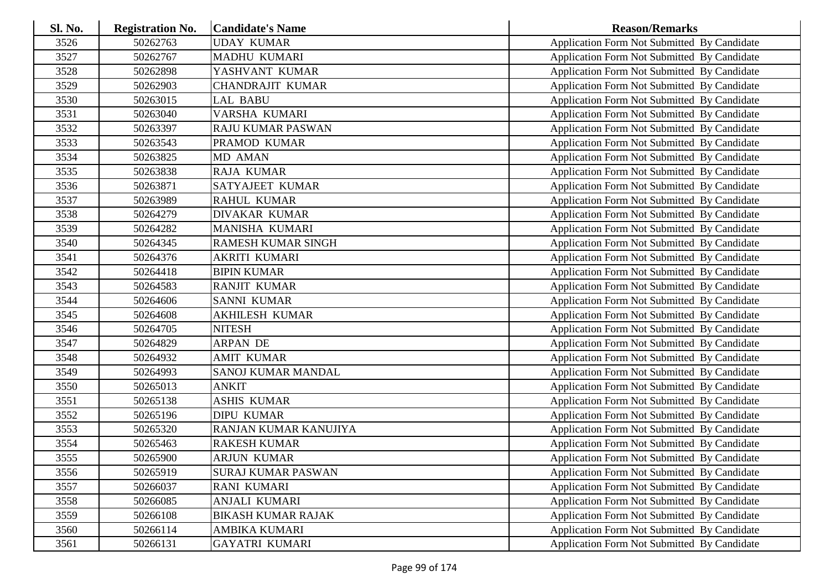| <b>Sl. No.</b> | <b>Registration No.</b> | <b>Candidate's Name</b>   | <b>Reason/Remarks</b>                              |
|----------------|-------------------------|---------------------------|----------------------------------------------------|
| 3526           | 50262763                | <b>UDAY KUMAR</b>         | Application Form Not Submitted By Candidate        |
| 3527           | 50262767                | <b>MADHU KUMARI</b>       | Application Form Not Submitted By Candidate        |
| 3528           | 50262898                | YASHVANT KUMAR            | Application Form Not Submitted By Candidate        |
| 3529           | 50262903                | <b>CHANDRAJIT KUMAR</b>   | Application Form Not Submitted By Candidate        |
| 3530           | 50263015                | LAL BABU                  | Application Form Not Submitted By Candidate        |
| 3531           | 50263040                | VARSHA KUMARI             | Application Form Not Submitted By Candidate        |
| 3532           | 50263397                | <b>RAJU KUMAR PASWAN</b>  | Application Form Not Submitted By Candidate        |
| 3533           | 50263543                | PRAMOD KUMAR              | Application Form Not Submitted By Candidate        |
| 3534           | 50263825                | <b>MD AMAN</b>            | Application Form Not Submitted By Candidate        |
| 3535           | 50263838                | <b>RAJA KUMAR</b>         | Application Form Not Submitted By Candidate        |
| 3536           | 50263871                | <b>SATYAJEET KUMAR</b>    | Application Form Not Submitted By Candidate        |
| 3537           | 50263989                | <b>RAHUL KUMAR</b>        | Application Form Not Submitted By Candidate        |
| 3538           | 50264279                | <b>DIVAKAR KUMAR</b>      | Application Form Not Submitted By Candidate        |
| 3539           | 50264282                | MANISHA KUMARI            | Application Form Not Submitted By Candidate        |
| 3540           | 50264345                | <b>RAMESH KUMAR SINGH</b> | Application Form Not Submitted By Candidate        |
| 3541           | 50264376                | <b>AKRITI KUMARI</b>      | Application Form Not Submitted By Candidate        |
| 3542           | 50264418                | <b>BIPIN KUMAR</b>        | Application Form Not Submitted By Candidate        |
| 3543           | 50264583                | <b>RANJIT KUMAR</b>       | Application Form Not Submitted By Candidate        |
| 3544           | 50264606                | <b>SANNI KUMAR</b>        | Application Form Not Submitted By Candidate        |
| 3545           | 50264608                | <b>AKHILESH KUMAR</b>     | Application Form Not Submitted By Candidate        |
| 3546           | 50264705                | <b>NITESH</b>             | <b>Application Form Not Submitted By Candidate</b> |
| 3547           | 50264829                | <b>ARPAN DE</b>           | Application Form Not Submitted By Candidate        |
| 3548           | 50264932                | <b>AMIT KUMAR</b>         | Application Form Not Submitted By Candidate        |
| 3549           | 50264993                | SANOJ KUMAR MANDAL        | Application Form Not Submitted By Candidate        |
| 3550           | 50265013                | <b>ANKIT</b>              | Application Form Not Submitted By Candidate        |
| 3551           | 50265138                | <b>ASHIS KUMAR</b>        | Application Form Not Submitted By Candidate        |
| 3552           | 50265196                | <b>DIPU KUMAR</b>         | Application Form Not Submitted By Candidate        |
| 3553           | 50265320                | RANJAN KUMAR KANUJIYA     | Application Form Not Submitted By Candidate        |
| 3554           | 50265463                | <b>RAKESH KUMAR</b>       | Application Form Not Submitted By Candidate        |
| 3555           | 50265900                | <b>ARJUN KUMAR</b>        | Application Form Not Submitted By Candidate        |
| 3556           | 50265919                | <b>SURAJ KUMAR PASWAN</b> | Application Form Not Submitted By Candidate        |
| 3557           | 50266037                | <b>RANI KUMARI</b>        | <b>Application Form Not Submitted By Candidate</b> |
| 3558           | 50266085                | <b>ANJALI KUMARI</b>      | Application Form Not Submitted By Candidate        |
| 3559           | 50266108                | <b>BIKASH KUMAR RAJAK</b> | Application Form Not Submitted By Candidate        |
| 3560           | 50266114                | <b>AMBIKA KUMARI</b>      | <b>Application Form Not Submitted By Candidate</b> |
| 3561           | 50266131                | <b>GAYATRI KUMARI</b>     | Application Form Not Submitted By Candidate        |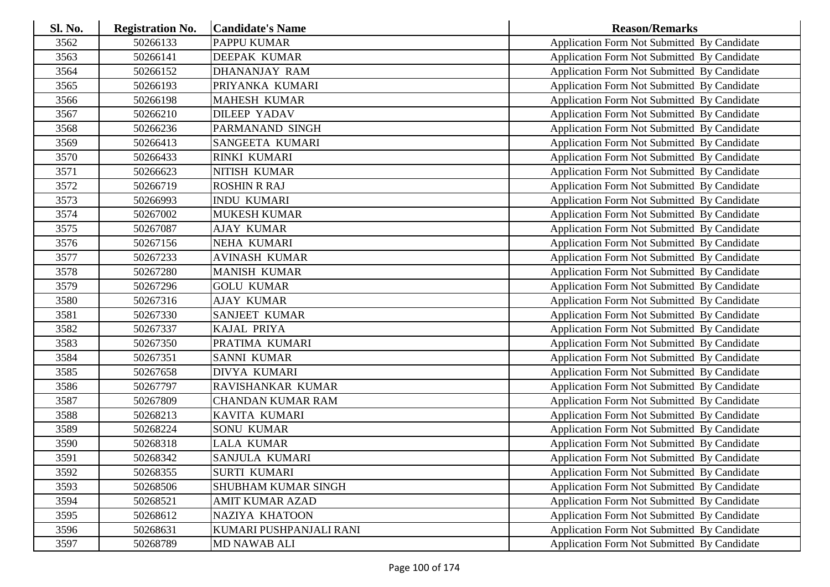| <b>Sl. No.</b> | <b>Registration No.</b> | <b>Candidate's Name</b>    | <b>Reason/Remarks</b>                              |
|----------------|-------------------------|----------------------------|----------------------------------------------------|
| 3562           | 50266133                | PAPPU KUMAR                | Application Form Not Submitted By Candidate        |
| 3563           | 50266141                | <b>DEEPAK KUMAR</b>        | Application Form Not Submitted By Candidate        |
| 3564           | 50266152                | <b>DHANANJAY RAM</b>       | Application Form Not Submitted By Candidate        |
| 3565           | 50266193                | PRIYANKA KUMARI            | Application Form Not Submitted By Candidate        |
| 3566           | 50266198                | <b>MAHESH KUMAR</b>        | Application Form Not Submitted By Candidate        |
| 3567           | 50266210                | <b>DILEEP YADAV</b>        | Application Form Not Submitted By Candidate        |
| 3568           | 50266236                | PARMANAND SINGH            | Application Form Not Submitted By Candidate        |
| 3569           | 50266413                | SANGEETA KUMARI            | Application Form Not Submitted By Candidate        |
| 3570           | 50266433                | <b>RINKI KUMARI</b>        | Application Form Not Submitted By Candidate        |
| 3571           | 50266623                | NITISH KUMAR               | Application Form Not Submitted By Candidate        |
| 3572           | 50266719                | <b>ROSHIN R RAJ</b>        | Application Form Not Submitted By Candidate        |
| 3573           | 50266993                | <b>INDU KUMARI</b>         | Application Form Not Submitted By Candidate        |
| 3574           | 50267002                | <b>MUKESH KUMAR</b>        | Application Form Not Submitted By Candidate        |
| 3575           | 50267087                | <b>AJAY KUMAR</b>          | Application Form Not Submitted By Candidate        |
| 3576           | 50267156                | NEHA KUMARI                | Application Form Not Submitted By Candidate        |
| 3577           | 50267233                | <b>AVINASH KUMAR</b>       | Application Form Not Submitted By Candidate        |
| 3578           | 50267280                | <b>MANISH KUMAR</b>        | <b>Application Form Not Submitted By Candidate</b> |
| 3579           | 50267296                | <b>GOLU KUMAR</b>          | Application Form Not Submitted By Candidate        |
| 3580           | 50267316                | <b>AJAY KUMAR</b>          | Application Form Not Submitted By Candidate        |
| 3581           | 50267330                | <b>SANJEET KUMAR</b>       | Application Form Not Submitted By Candidate        |
| 3582           | 50267337                | <b>KAJAL PRIYA</b>         | Application Form Not Submitted By Candidate        |
| 3583           | 50267350                | PRATIMA KUMARI             | Application Form Not Submitted By Candidate        |
| 3584           | 50267351                | <b>SANNI KUMAR</b>         | Application Form Not Submitted By Candidate        |
| 3585           | 50267658                | <b>DIVYA KUMARI</b>        | Application Form Not Submitted By Candidate        |
| 3586           | 50267797                | RAVISHANKAR KUMAR          | Application Form Not Submitted By Candidate        |
| 3587           | 50267809                | <b>CHANDAN KUMAR RAM</b>   | Application Form Not Submitted By Candidate        |
| 3588           | 50268213                | KAVITA KUMARI              | Application Form Not Submitted By Candidate        |
| 3589           | 50268224                | <b>SONU KUMAR</b>          | Application Form Not Submitted By Candidate        |
| 3590           | 50268318                | <b>LALA KUMAR</b>          | Application Form Not Submitted By Candidate        |
| 3591           | 50268342                | SANJULA KUMARI             | Application Form Not Submitted By Candidate        |
| 3592           | 50268355                | <b>SURTI KUMARI</b>        | Application Form Not Submitted By Candidate        |
| 3593           | 50268506                | <b>SHUBHAM KUMAR SINGH</b> | Application Form Not Submitted By Candidate        |
| 3594           | 50268521                | <b>AMIT KUMAR AZAD</b>     | Application Form Not Submitted By Candidate        |
| 3595           | 50268612                | <b>NAZIYA KHATOON</b>      | Application Form Not Submitted By Candidate        |
| 3596           | 50268631                | KUMARI PUSHPANJALI RANI    | Application Form Not Submitted By Candidate        |
| 3597           | 50268789                | MD NAWAB ALI               | Application Form Not Submitted By Candidate        |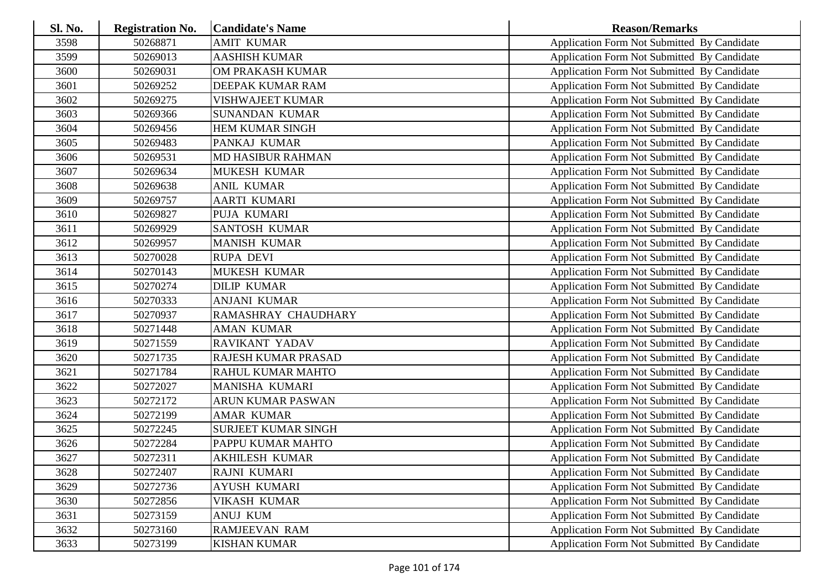| <b>Sl. No.</b> | <b>Registration No.</b> | <b>Candidate's Name</b>    | <b>Reason/Remarks</b>                              |
|----------------|-------------------------|----------------------------|----------------------------------------------------|
| 3598           | 50268871                | <b>AMIT KUMAR</b>          | Application Form Not Submitted By Candidate        |
| 3599           | 50269013                | <b>AASHISH KUMAR</b>       | Application Form Not Submitted By Candidate        |
| 3600           | 50269031                | OM PRAKASH KUMAR           | Application Form Not Submitted By Candidate        |
| 3601           | 50269252                | DEEPAK KUMAR RAM           | Application Form Not Submitted By Candidate        |
| 3602           | 50269275                | <b>VISHWAJEET KUMAR</b>    | Application Form Not Submitted By Candidate        |
| 3603           | 50269366                | <b>SUNANDAN KUMAR</b>      | Application Form Not Submitted By Candidate        |
| 3604           | 50269456                | HEM KUMAR SINGH            | Application Form Not Submitted By Candidate        |
| 3605           | 50269483                | PANKAJ KUMAR               | Application Form Not Submitted By Candidate        |
| 3606           | 50269531                | <b>MD HASIBUR RAHMAN</b>   | Application Form Not Submitted By Candidate        |
| 3607           | 50269634                | MUKESH KUMAR               | Application Form Not Submitted By Candidate        |
| 3608           | 50269638                | <b>ANIL KUMAR</b>          | Application Form Not Submitted By Candidate        |
| 3609           | 50269757                | <b>AARTI KUMARI</b>        | Application Form Not Submitted By Candidate        |
| 3610           | 50269827                | PUJA KUMARI                | Application Form Not Submitted By Candidate        |
| 3611           | 50269929                | <b>SANTOSH KUMAR</b>       | <b>Application Form Not Submitted By Candidate</b> |
| 3612           | 50269957                | <b>MANISH KUMAR</b>        | Application Form Not Submitted By Candidate        |
| 3613           | 50270028                | <b>RUPA DEVI</b>           | Application Form Not Submitted By Candidate        |
| 3614           | 50270143                | <b>MUKESH KUMAR</b>        | Application Form Not Submitted By Candidate        |
| 3615           | 50270274                | <b>DILIP KUMAR</b>         | Application Form Not Submitted By Candidate        |
| 3616           | 50270333                | <b>ANJANI KUMAR</b>        | Application Form Not Submitted By Candidate        |
| 3617           | 50270937                | RAMASHRAY CHAUDHARY        | Application Form Not Submitted By Candidate        |
| 3618           | 50271448                | <b>AMAN KUMAR</b>          | Application Form Not Submitted By Candidate        |
| 3619           | 50271559                | RAVIKANT YADAV             | Application Form Not Submitted By Candidate        |
| 3620           | 50271735                | RAJESH KUMAR PRASAD        | Application Form Not Submitted By Candidate        |
| 3621           | 50271784                | RAHUL KUMAR MAHTO          | Application Form Not Submitted By Candidate        |
| 3622           | 50272027                | MANISHA KUMARI             | Application Form Not Submitted By Candidate        |
| 3623           | 50272172                | ARUN KUMAR PASWAN          | Application Form Not Submitted By Candidate        |
| 3624           | 50272199                | <b>AMAR KUMAR</b>          | Application Form Not Submitted By Candidate        |
| 3625           | 50272245                | <b>SURJEET KUMAR SINGH</b> | Application Form Not Submitted By Candidate        |
| 3626           | 50272284                | PAPPU KUMAR MAHTO          | Application Form Not Submitted By Candidate        |
| 3627           | 50272311                | <b>AKHILESH KUMAR</b>      | Application Form Not Submitted By Candidate        |
| 3628           | 50272407                | <b>RAJNI KUMARI</b>        | Application Form Not Submitted By Candidate        |
| 3629           | 50272736                | <b>AYUSH KUMARI</b>        | <b>Application Form Not Submitted By Candidate</b> |
| 3630           | 50272856                | <b>VIKASH KUMAR</b>        | Application Form Not Submitted By Candidate        |
| 3631           | 50273159                | <b>ANUJ KUM</b>            | Application Form Not Submitted By Candidate        |
| 3632           | 50273160                | <b>RAMJEEVAN RAM</b>       | <b>Application Form Not Submitted By Candidate</b> |
| 3633           | 50273199                | <b>KISHAN KUMAR</b>        | Application Form Not Submitted By Candidate        |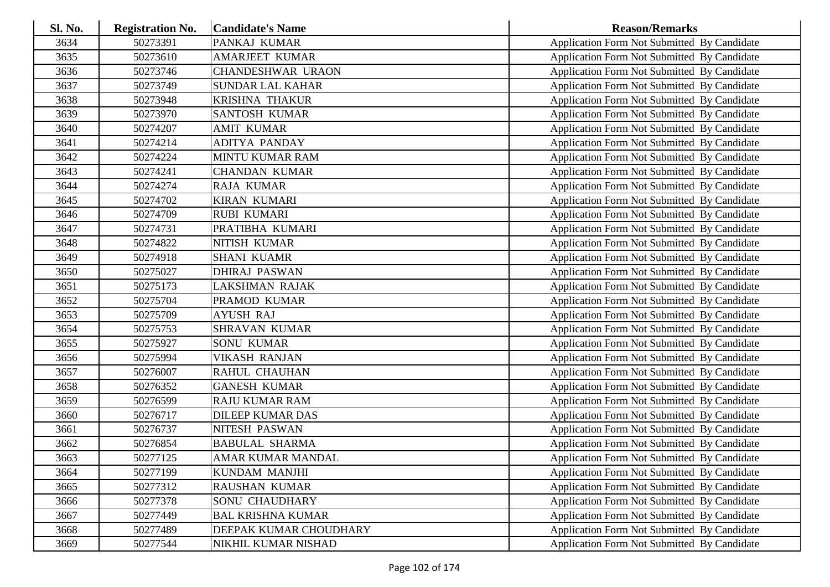| <b>Sl. No.</b> | <b>Registration No.</b> | <b>Candidate's Name</b>  | <b>Reason/Remarks</b>                              |
|----------------|-------------------------|--------------------------|----------------------------------------------------|
| 3634           | 50273391                | PANKAJ KUMAR             | Application Form Not Submitted By Candidate        |
| 3635           | 50273610                | <b>AMARJEET KUMAR</b>    | Application Form Not Submitted By Candidate        |
| 3636           | 50273746                | <b>CHANDESHWAR URAON</b> | Application Form Not Submitted By Candidate        |
| 3637           | 50273749                | <b>SUNDAR LAL KAHAR</b>  | Application Form Not Submitted By Candidate        |
| 3638           | 50273948                | <b>KRISHNA THAKUR</b>    | Application Form Not Submitted By Candidate        |
| 3639           | 50273970                | <b>SANTOSH KUMAR</b>     | Application Form Not Submitted By Candidate        |
| 3640           | 50274207                | <b>AMIT KUMAR</b>        | Application Form Not Submitted By Candidate        |
| 3641           | 50274214                | <b>ADITYA PANDAY</b>     | Application Form Not Submitted By Candidate        |
| 3642           | 50274224                | <b>MINTU KUMAR RAM</b>   | Application Form Not Submitted By Candidate        |
| 3643           | 50274241                | <b>CHANDAN KUMAR</b>     | Application Form Not Submitted By Candidate        |
| 3644           | 50274274                | RAJA KUMAR               | Application Form Not Submitted By Candidate        |
| 3645           | 50274702                | <b>KIRAN KUMARI</b>      | Application Form Not Submitted By Candidate        |
| 3646           | 50274709                | <b>RUBI KUMARI</b>       | Application Form Not Submitted By Candidate        |
| 3647           | 50274731                | PRATIBHA KUMARI          | Application Form Not Submitted By Candidate        |
| 3648           | 50274822                | NITISH KUMAR             | Application Form Not Submitted By Candidate        |
| 3649           | 50274918                | <b>SHANI KUAMR</b>       | Application Form Not Submitted By Candidate        |
| 3650           | 50275027                | <b>DHIRAJ PASWAN</b>     | Application Form Not Submitted By Candidate        |
| 3651           | 50275173                | <b>LAKSHMAN RAJAK</b>    | Application Form Not Submitted By Candidate        |
| 3652           | 50275704                | PRAMOD KUMAR             | Application Form Not Submitted By Candidate        |
| 3653           | 50275709                | <b>AYUSH RAJ</b>         | Application Form Not Submitted By Candidate        |
| 3654           | 50275753                | <b>SHRAVAN KUMAR</b>     | Application Form Not Submitted By Candidate        |
| 3655           | 50275927                | <b>SONU KUMAR</b>        | Application Form Not Submitted By Candidate        |
| 3656           | 50275994                | <b>VIKASH RANJAN</b>     | Application Form Not Submitted By Candidate        |
| 3657           | 50276007                | RAHUL CHAUHAN            | Application Form Not Submitted By Candidate        |
| 3658           | 50276352                | <b>GANESH KUMAR</b>      | Application Form Not Submitted By Candidate        |
| 3659           | 50276599                | <b>RAJU KUMAR RAM</b>    | Application Form Not Submitted By Candidate        |
| 3660           | 50276717                | <b>DILEEP KUMAR DAS</b>  | Application Form Not Submitted By Candidate        |
| 3661           | 50276737                | <b>NITESH PASWAN</b>     | Application Form Not Submitted By Candidate        |
| 3662           | 50276854                | <b>BABULAL SHARMA</b>    | Application Form Not Submitted By Candidate        |
| 3663           | 50277125                | AMAR KUMAR MANDAL        | Application Form Not Submitted By Candidate        |
| 3664           | 50277199                | <b>KUNDAM MANJHI</b>     | Application Form Not Submitted By Candidate        |
| 3665           | 50277312                | <b>RAUSHAN KUMAR</b>     | Application Form Not Submitted By Candidate        |
| 3666           | 50277378                | <b>SONU CHAUDHARY</b>    | Application Form Not Submitted By Candidate        |
| 3667           | 50277449                | <b>BAL KRISHNA KUMAR</b> | Application Form Not Submitted By Candidate        |
| 3668           | 50277489                | DEEPAK KUMAR CHOUDHARY   | <b>Application Form Not Submitted By Candidate</b> |
| 3669           | 50277544                | NIKHIL KUMAR NISHAD      | <b>Application Form Not Submitted By Candidate</b> |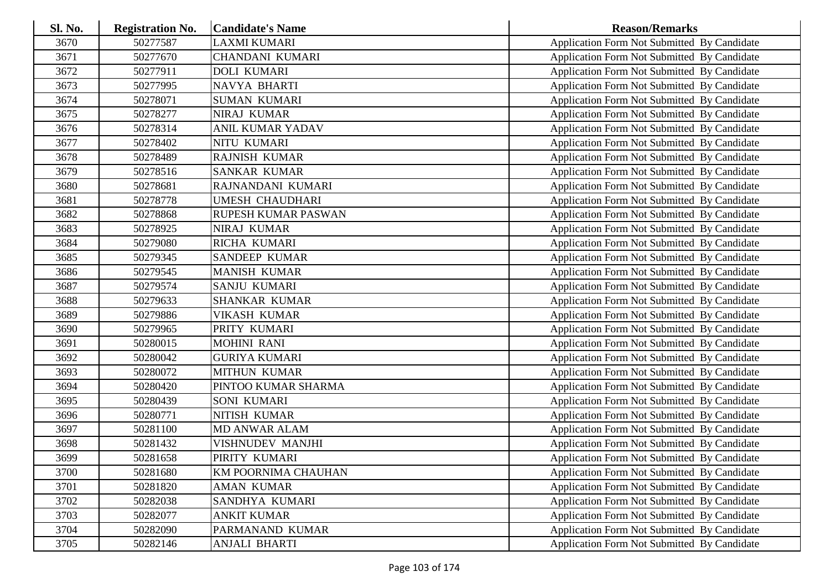| Sl. No. | <b>Registration No.</b> | <b>Candidate's Name</b> | <b>Reason/Remarks</b>                              |
|---------|-------------------------|-------------------------|----------------------------------------------------|
| 3670    | 50277587                | <b>LAXMI KUMARI</b>     | Application Form Not Submitted By Candidate        |
| 3671    | 50277670                | <b>CHANDANI KUMARI</b>  | Application Form Not Submitted By Candidate        |
| 3672    | 50277911                | <b>DOLI KUMARI</b>      | Application Form Not Submitted By Candidate        |
| 3673    | 50277995                | NAVYA BHARTI            | Application Form Not Submitted By Candidate        |
| 3674    | 50278071                | <b>SUMAN KUMARI</b>     | Application Form Not Submitted By Candidate        |
| 3675    | 50278277                | NIRAJ KUMAR             | Application Form Not Submitted By Candidate        |
| 3676    | 50278314                | <b>ANIL KUMAR YADAV</b> | Application Form Not Submitted By Candidate        |
| 3677    | 50278402                | NITU KUMARI             | Application Form Not Submitted By Candidate        |
| 3678    | 50278489                | <b>RAJNISH KUMAR</b>    | Application Form Not Submitted By Candidate        |
| 3679    | 50278516                | <b>SANKAR KUMAR</b>     | Application Form Not Submitted By Candidate        |
| 3680    | 50278681                | RAJNANDANI KUMARI       | Application Form Not Submitted By Candidate        |
| 3681    | 50278778                | <b>UMESH CHAUDHARI</b>  | Application Form Not Submitted By Candidate        |
| 3682    | 50278868                | RUPESH KUMAR PASWAN     | Application Form Not Submitted By Candidate        |
| 3683    | 50278925                | NIRAJ KUMAR             | Application Form Not Submitted By Candidate        |
| 3684    | 50279080                | RICHA KUMARI            | Application Form Not Submitted By Candidate        |
| 3685    | 50279345                | <b>SANDEEP KUMAR</b>    | Application Form Not Submitted By Candidate        |
| 3686    | 50279545                | <b>MANISH KUMAR</b>     | Application Form Not Submitted By Candidate        |
| 3687    | 50279574                | SANJU KUMARI            | Application Form Not Submitted By Candidate        |
| 3688    | 50279633                | <b>SHANKAR KUMAR</b>    | Application Form Not Submitted By Candidate        |
| 3689    | 50279886                | VIKASH KUMAR            | Application Form Not Submitted By Candidate        |
| 3690    | 50279965                | PRITY KUMARI            | Application Form Not Submitted By Candidate        |
| 3691    | 50280015                | <b>MOHINI RANI</b>      | Application Form Not Submitted By Candidate        |
| 3692    | 50280042                | <b>GURIYA KUMARI</b>    | Application Form Not Submitted By Candidate        |
| 3693    | 50280072                | <b>MITHUN KUMAR</b>     | Application Form Not Submitted By Candidate        |
| 3694    | 50280420                | PINTOO KUMAR SHARMA     | Application Form Not Submitted By Candidate        |
| 3695    | 50280439                | SONI KUMARI             | Application Form Not Submitted By Candidate        |
| 3696    | 50280771                | NITISH KUMAR            | Application Form Not Submitted By Candidate        |
| 3697    | 50281100                | <b>MD ANWAR ALAM</b>    | Application Form Not Submitted By Candidate        |
| 3698    | 50281432                | VISHNUDEV MANJHI        | Application Form Not Submitted By Candidate        |
| 3699    | 50281658                | PIRITY KUMARI           | Application Form Not Submitted By Candidate        |
| 3700    | 50281680                | KM POORNIMA CHAUHAN     | Application Form Not Submitted By Candidate        |
| 3701    | 50281820                | <b>AMAN KUMAR</b>       | Application Form Not Submitted By Candidate        |
| 3702    | 50282038                | SANDHYA KUMARI          | Application Form Not Submitted By Candidate        |
| 3703    | 50282077                | <b>ANKIT KUMAR</b>      | Application Form Not Submitted By Candidate        |
| 3704    | 50282090                | PARMANAND KUMAR         | <b>Application Form Not Submitted By Candidate</b> |
| 3705    | 50282146                | <b>ANJALI BHARTI</b>    | Application Form Not Submitted By Candidate        |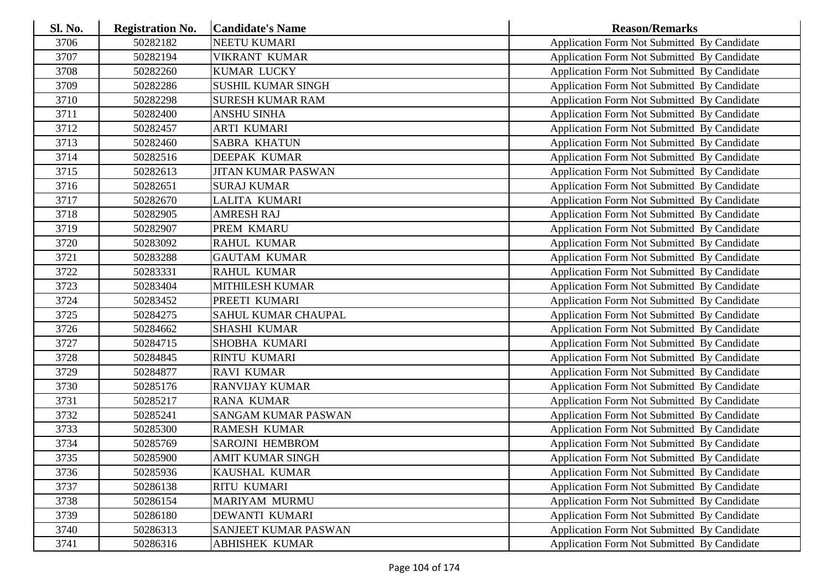| Sl. No. | <b>Registration No.</b> | <b>Candidate's Name</b>   | <b>Reason/Remarks</b>                              |
|---------|-------------------------|---------------------------|----------------------------------------------------|
| 3706    | 50282182                | NEETU KUMARI              | Application Form Not Submitted By Candidate        |
| 3707    | 50282194                | <b>VIKRANT KUMAR</b>      | Application Form Not Submitted By Candidate        |
| 3708    | 50282260                | <b>KUMAR LUCKY</b>        | Application Form Not Submitted By Candidate        |
| 3709    | 50282286                | <b>SUSHIL KUMAR SINGH</b> | Application Form Not Submitted By Candidate        |
| 3710    | 50282298                | <b>SURESH KUMAR RAM</b>   | Application Form Not Submitted By Candidate        |
| 3711    | 50282400                | <b>ANSHU SINHA</b>        | Application Form Not Submitted By Candidate        |
| 3712    | 50282457                | <b>ARTI KUMARI</b>        | Application Form Not Submitted By Candidate        |
| 3713    | 50282460                | <b>SABRA KHATUN</b>       | Application Form Not Submitted By Candidate        |
| 3714    | 50282516                | <b>DEEPAK KUMAR</b>       | Application Form Not Submitted By Candidate        |
| 3715    | 50282613                | <b>JITAN KUMAR PASWAN</b> | Application Form Not Submitted By Candidate        |
| 3716    | 50282651                | <b>SURAJ KUMAR</b>        | Application Form Not Submitted By Candidate        |
| 3717    | 50282670                | LALITA KUMARI             | Application Form Not Submitted By Candidate        |
| 3718    | 50282905                | <b>AMRESH RAJ</b>         | Application Form Not Submitted By Candidate        |
| 3719    | 50282907                | PREM KMARU                | Application Form Not Submitted By Candidate        |
| 3720    | 50283092                | <b>RAHUL KUMAR</b>        | Application Form Not Submitted By Candidate        |
| 3721    | 50283288                | <b>GAUTAM KUMAR</b>       | Application Form Not Submitted By Candidate        |
| 3722    | 50283331                | <b>RAHUL KUMAR</b>        | Application Form Not Submitted By Candidate        |
| 3723    | 50283404                | <b>MITHILESH KUMAR</b>    | Application Form Not Submitted By Candidate        |
| 3724    | 50283452                | PREETI KUMARI             | Application Form Not Submitted By Candidate        |
| 3725    | 50284275                | SAHUL KUMAR CHAUPAL       | Application Form Not Submitted By Candidate        |
| 3726    | 50284662                | <b>SHASHI KUMAR</b>       | Application Form Not Submitted By Candidate        |
| 3727    | 50284715                | SHOBHA KUMARI             | Application Form Not Submitted By Candidate        |
| 3728    | 50284845                | RINTU KUMARI              | Application Form Not Submitted By Candidate        |
| 3729    | 50284877                | <b>RAVI KUMAR</b>         | Application Form Not Submitted By Candidate        |
| 3730    | 50285176                | <b>RANVIJAY KUMAR</b>     | Application Form Not Submitted By Candidate        |
| 3731    | 50285217                | <b>RANA KUMAR</b>         | Application Form Not Submitted By Candidate        |
| 3732    | 50285241                | SANGAM KUMAR PASWAN       | Application Form Not Submitted By Candidate        |
| 3733    | 50285300                | <b>RAMESH KUMAR</b>       | Application Form Not Submitted By Candidate        |
| 3734    | 50285769                | <b>SAROJNI HEMBROM</b>    | Application Form Not Submitted By Candidate        |
| 3735    | 50285900                | AMIT KUMAR SINGH          | Application Form Not Submitted By Candidate        |
| 3736    | 50285936                | KAUSHAL KUMAR             | <b>Application Form Not Submitted By Candidate</b> |
| 3737    | 50286138                | <b>RITU KUMARI</b>        | Application Form Not Submitted By Candidate        |
| 3738    | 50286154                | MARIYAM MURMU             | Application Form Not Submitted By Candidate        |
| 3739    | 50286180                | DEWANTI KUMARI            | Application Form Not Submitted By Candidate        |
| 3740    | 50286313                | SANJEET KUMAR PASWAN      | <b>Application Form Not Submitted By Candidate</b> |
| 3741    | 50286316                | ABHISHEK KUMAR            | Application Form Not Submitted By Candidate        |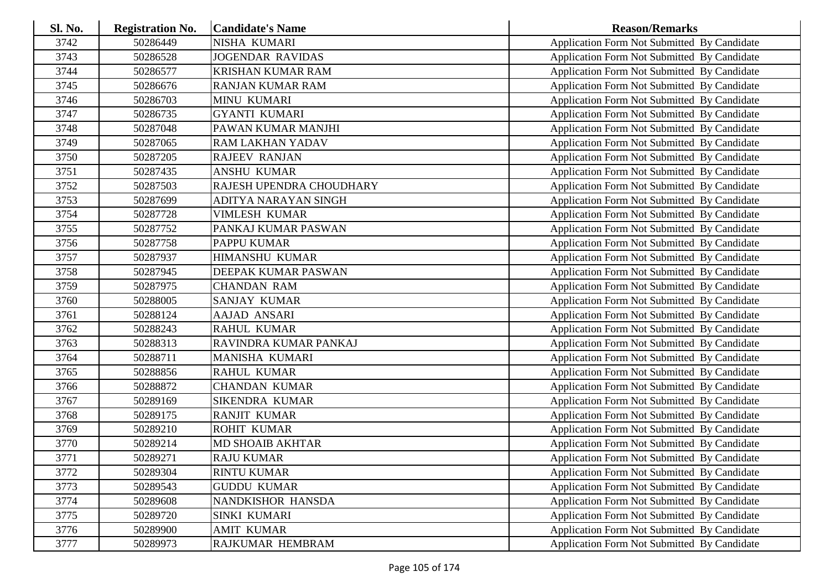| Sl. No. | <b>Registration No.</b> | <b>Candidate's Name</b>  | <b>Reason/Remarks</b>                              |
|---------|-------------------------|--------------------------|----------------------------------------------------|
| 3742    | 50286449                | NISHA KUMARI             | Application Form Not Submitted By Candidate        |
| 3743    | 50286528                | <b>JOGENDAR RAVIDAS</b>  | Application Form Not Submitted By Candidate        |
| 3744    | 50286577                | <b>KRISHAN KUMAR RAM</b> | Application Form Not Submitted By Candidate        |
| 3745    | 50286676                | RANJAN KUMAR RAM         | Application Form Not Submitted By Candidate        |
| 3746    | 50286703                | <b>MINU KUMARI</b>       | Application Form Not Submitted By Candidate        |
| 3747    | 50286735                | <b>GYANTI KUMARI</b>     | Application Form Not Submitted By Candidate        |
| 3748    | 50287048                | PAWAN KUMAR MANJHI       | <b>Application Form Not Submitted By Candidate</b> |
| 3749    | 50287065                | <b>RAM LAKHAN YADAV</b>  | Application Form Not Submitted By Candidate        |
| 3750    | 50287205                | <b>RAJEEV RANJAN</b>     | Application Form Not Submitted By Candidate        |
| 3751    | 50287435                | <b>ANSHU KUMAR</b>       | Application Form Not Submitted By Candidate        |
| 3752    | 50287503                | RAJESH UPENDRA CHOUDHARY | Application Form Not Submitted By Candidate        |
| 3753    | 50287699                | ADITYA NARAYAN SINGH     | Application Form Not Submitted By Candidate        |
| 3754    | 50287728                | <b>VIMLESH KUMAR</b>     | Application Form Not Submitted By Candidate        |
| 3755    | 50287752                | PANKAJ KUMAR PASWAN      | Application Form Not Submitted By Candidate        |
| 3756    | 50287758                | PAPPU KUMAR              | Application Form Not Submitted By Candidate        |
| 3757    | 50287937                | <b>HIMANSHU KUMAR</b>    | Application Form Not Submitted By Candidate        |
| 3758    | 50287945                | DEEPAK KUMAR PASWAN      | Application Form Not Submitted By Candidate        |
| 3759    | 50287975                | <b>CHANDAN RAM</b>       | Application Form Not Submitted By Candidate        |
| 3760    | 50288005                | SANJAY KUMAR             | Application Form Not Submitted By Candidate        |
| 3761    | 50288124                | AAJAD ANSARI             | Application Form Not Submitted By Candidate        |
| 3762    | 50288243                | <b>RAHUL KUMAR</b>       | Application Form Not Submitted By Candidate        |
| 3763    | 50288313                | RAVINDRA KUMAR PANKAJ    | Application Form Not Submitted By Candidate        |
| 3764    | 50288711                | MANISHA KUMARI           | Application Form Not Submitted By Candidate        |
| 3765    | 50288856                | <b>RAHUL KUMAR</b>       | Application Form Not Submitted By Candidate        |
| 3766    | 50288872                | <b>CHANDAN KUMAR</b>     | Application Form Not Submitted By Candidate        |
| 3767    | 50289169                | SIKENDRA KUMAR           | Application Form Not Submitted By Candidate        |
| 3768    | 50289175                | <b>RANJIT KUMAR</b>      | Application Form Not Submitted By Candidate        |
| 3769    | 50289210                | <b>ROHIT KUMAR</b>       | Application Form Not Submitted By Candidate        |
| 3770    | 50289214                | MD SHOAIB AKHTAR         | Application Form Not Submitted By Candidate        |
| 3771    | 50289271                | <b>RAJU KUMAR</b>        | Application Form Not Submitted By Candidate        |
| 3772    | 50289304                | <b>RINTU KUMAR</b>       | <b>Application Form Not Submitted By Candidate</b> |
| 3773    | 50289543                | <b>GUDDU KUMAR</b>       | Application Form Not Submitted By Candidate        |
| 3774    | 50289608                | NANDKISHOR HANSDA        | Application Form Not Submitted By Candidate        |
| 3775    | 50289720                | <b>SINKI KUMARI</b>      | Application Form Not Submitted By Candidate        |
| 3776    | 50289900                | <b>AMIT KUMAR</b>        | Application Form Not Submitted By Candidate        |
| 3777    | 50289973                | RAJKUMAR HEMBRAM         | Application Form Not Submitted By Candidate        |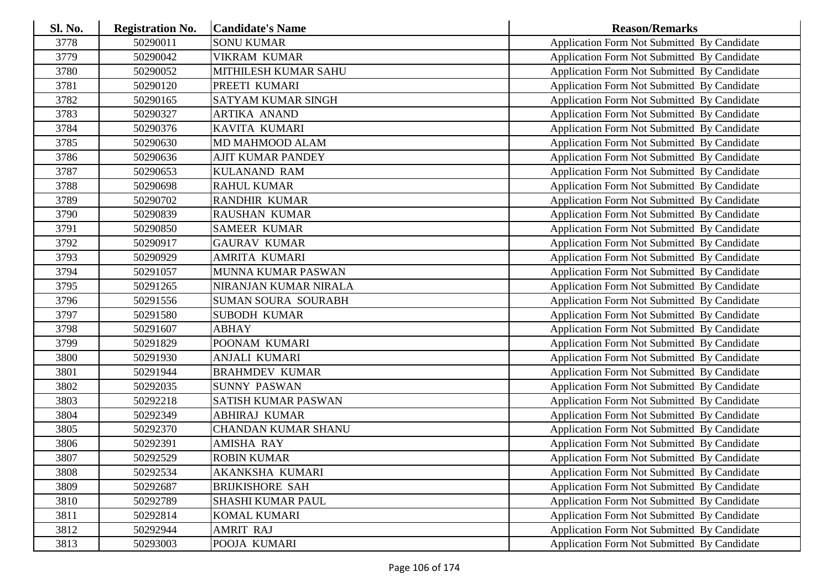| <b>Sl. No.</b> | <b>Registration No.</b> | <b>Candidate's Name</b>    | <b>Reason/Remarks</b>                              |
|----------------|-------------------------|----------------------------|----------------------------------------------------|
| 3778           | 50290011                | <b>SONU KUMAR</b>          | Application Form Not Submitted By Candidate        |
| 3779           | 50290042                | <b>VIKRAM KUMAR</b>        | Application Form Not Submitted By Candidate        |
| 3780           | 50290052                | MITHILESH KUMAR SAHU       | Application Form Not Submitted By Candidate        |
| 3781           | 50290120                | PREETI KUMARI              | Application Form Not Submitted By Candidate        |
| 3782           | 50290165                | <b>SATYAM KUMAR SINGH</b>  | Application Form Not Submitted By Candidate        |
| 3783           | 50290327                | <b>ARTIKA ANAND</b>        | Application Form Not Submitted By Candidate        |
| 3784           | 50290376                | KAVITA KUMARI              | Application Form Not Submitted By Candidate        |
| 3785           | 50290630                | MD MAHMOOD ALAM            | Application Form Not Submitted By Candidate        |
| 3786           | 50290636                | <b>AJIT KUMAR PANDEY</b>   | Application Form Not Submitted By Candidate        |
| 3787           | 50290653                | <b>KULANAND RAM</b>        | Application Form Not Submitted By Candidate        |
| 3788           | 50290698                | <b>RAHUL KUMAR</b>         | Application Form Not Submitted By Candidate        |
| 3789           | 50290702                | <b>RANDHIR KUMAR</b>       | Application Form Not Submitted By Candidate        |
| 3790           | 50290839                | <b>RAUSHAN KUMAR</b>       | Application Form Not Submitted By Candidate        |
| 3791           | 50290850                | <b>SAMEER KUMAR</b>        | Application Form Not Submitted By Candidate        |
| 3792           | 50290917                | <b>GAURAV KUMAR</b>        | Application Form Not Submitted By Candidate        |
| 3793           | 50290929                | AMRITA KUMARI              | Application Form Not Submitted By Candidate        |
| 3794           | 50291057                | MUNNA KUMAR PASWAN         | <b>Application Form Not Submitted By Candidate</b> |
| 3795           | 50291265                | NIRANJAN KUMAR NIRALA      | Application Form Not Submitted By Candidate        |
| 3796           | 50291556                | <b>SUMAN SOURA SOURABH</b> | Application Form Not Submitted By Candidate        |
| 3797           | 50291580                | <b>SUBODH KUMAR</b>        | Application Form Not Submitted By Candidate        |
| 3798           | 50291607                | <b>ABHAY</b>               | Application Form Not Submitted By Candidate        |
| 3799           | 50291829                | POONAM KUMARI              | Application Form Not Submitted By Candidate        |
| 3800           | 50291930                | <b>ANJALI KUMARI</b>       | Application Form Not Submitted By Candidate        |
| 3801           | 50291944                | <b>BRAHMDEV KUMAR</b>      | Application Form Not Submitted By Candidate        |
| 3802           | 50292035                | <b>SUNNY PASWAN</b>        | Application Form Not Submitted By Candidate        |
| 3803           | 50292218                | <b>SATISH KUMAR PASWAN</b> | Application Form Not Submitted By Candidate        |
| 3804           | 50292349                | <b>ABHIRAJ KUMAR</b>       | Application Form Not Submitted By Candidate        |
| 3805           | 50292370                | <b>CHANDAN KUMAR SHANU</b> | <b>Application Form Not Submitted By Candidate</b> |
| 3806           | 50292391                | <b>AMISHA RAY</b>          | Application Form Not Submitted By Candidate        |
| 3807           | 50292529                | <b>ROBIN KUMAR</b>         | Application Form Not Submitted By Candidate        |
| 3808           | 50292534                | AKANKSHA KUMARI            | Application Form Not Submitted By Candidate        |
| 3809           | 50292687                | <b>BRIJKISHORE SAH</b>     | Application Form Not Submitted By Candidate        |
| 3810           | 50292789                | <b>SHASHI KUMAR PAUL</b>   | Application Form Not Submitted By Candidate        |
| 3811           | 50292814                | <b>KOMAL KUMARI</b>        | Application Form Not Submitted By Candidate        |
| 3812           | 50292944                | <b>AMRIT RAJ</b>           | Application Form Not Submitted By Candidate        |
| 3813           | 50293003                | POOJA KUMARI               | Application Form Not Submitted By Candidate        |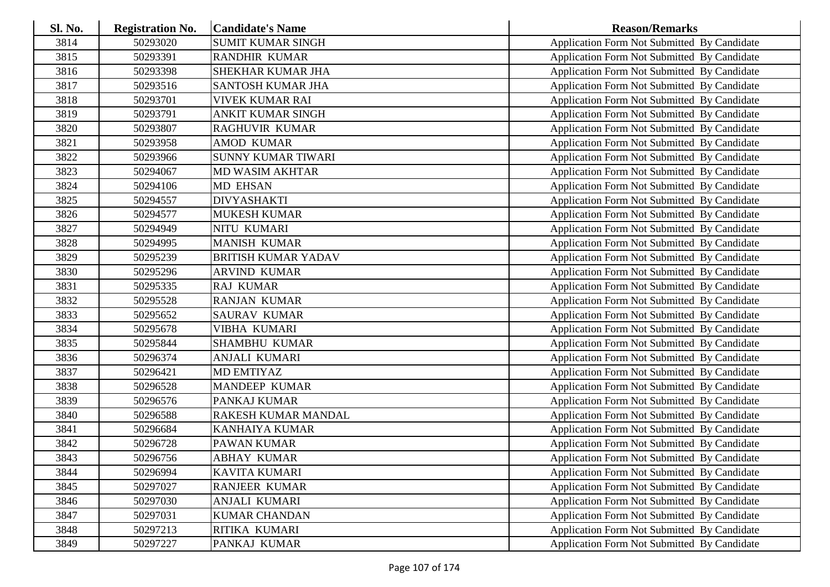| <b>Sl. No.</b> | <b>Registration No.</b> | <b>Candidate's Name</b>    | <b>Reason/Remarks</b>                              |
|----------------|-------------------------|----------------------------|----------------------------------------------------|
| 3814           | 50293020                | <b>SUMIT KUMAR SINGH</b>   | Application Form Not Submitted By Candidate        |
| 3815           | 50293391                | <b>RANDHIR KUMAR</b>       | Application Form Not Submitted By Candidate        |
| 3816           | 50293398                | <b>SHEKHAR KUMAR JHA</b>   | Application Form Not Submitted By Candidate        |
| 3817           | 50293516                | <b>SANTOSH KUMAR JHA</b>   | Application Form Not Submitted By Candidate        |
| 3818           | 50293701                | <b>VIVEK KUMAR RAI</b>     | Application Form Not Submitted By Candidate        |
| 3819           | 50293791                | <b>ANKIT KUMAR SINGH</b>   | Application Form Not Submitted By Candidate        |
| 3820           | 50293807                | <b>RAGHUVIR KUMAR</b>      | Application Form Not Submitted By Candidate        |
| 3821           | 50293958                | <b>AMOD KUMAR</b>          | Application Form Not Submitted By Candidate        |
| 3822           | 50293966                | <b>SUNNY KUMAR TIWARI</b>  | Application Form Not Submitted By Candidate        |
| 3823           | 50294067                | <b>MD WASIM AKHTAR</b>     | Application Form Not Submitted By Candidate        |
| 3824           | 50294106                | <b>MD EHSAN</b>            | Application Form Not Submitted By Candidate        |
| 3825           | 50294557                | <b>DIVYASHAKTI</b>         | Application Form Not Submitted By Candidate        |
| 3826           | 50294577                | <b>MUKESH KUMAR</b>        | Application Form Not Submitted By Candidate        |
| 3827           | 50294949                | NITU KUMARI                | Application Form Not Submitted By Candidate        |
| 3828           | 50294995                | <b>MANISH KUMAR</b>        | Application Form Not Submitted By Candidate        |
| 3829           | 50295239                | <b>BRITISH KUMAR YADAV</b> | Application Form Not Submitted By Candidate        |
| 3830           | 50295296                | <b>ARVIND KUMAR</b>        | <b>Application Form Not Submitted By Candidate</b> |
| 3831           | 50295335                | <b>RAJ KUMAR</b>           | Application Form Not Submitted By Candidate        |
| 3832           | 50295528                | <b>RANJAN KUMAR</b>        | Application Form Not Submitted By Candidate        |
| 3833           | 50295652                | <b>SAURAV KUMAR</b>        | Application Form Not Submitted By Candidate        |
| 3834           | 50295678                | <b>VIBHA KUMARI</b>        | Application Form Not Submitted By Candidate        |
| 3835           | 50295844                | <b>SHAMBHU KUMAR</b>       | Application Form Not Submitted By Candidate        |
| 3836           | 50296374                | <b>ANJALI KUMARI</b>       | Application Form Not Submitted By Candidate        |
| 3837           | 50296421                | <b>MD EMTIYAZ</b>          | Application Form Not Submitted By Candidate        |
| 3838           | 50296528                | <b>MANDEEP KUMAR</b>       | Application Form Not Submitted By Candidate        |
| 3839           | 50296576                | PANKAJ KUMAR               | Application Form Not Submitted By Candidate        |
| 3840           | 50296588                | <b>RAKESH KUMAR MANDAL</b> | Application Form Not Submitted By Candidate        |
| 3841           | 50296684                | <b>KANHAIYA KUMAR</b>      | Application Form Not Submitted By Candidate        |
| 3842           | 50296728                | <b>PAWAN KUMAR</b>         | Application Form Not Submitted By Candidate        |
| 3843           | 50296756                | <b>ABHAY KUMAR</b>         | Application Form Not Submitted By Candidate        |
| 3844           | 50296994                | <b>KAVITA KUMARI</b>       | Application Form Not Submitted By Candidate        |
| 3845           | 50297027                | <b>RANJEER KUMAR</b>       | Application Form Not Submitted By Candidate        |
| 3846           | 50297030                | ANJALI KUMARI              | Application Form Not Submitted By Candidate        |
| 3847           | 50297031                | <b>KUMAR CHANDAN</b>       | Application Form Not Submitted By Candidate        |
| 3848           | 50297213                | RITIKA KUMARI              | <b>Application Form Not Submitted By Candidate</b> |
| 3849           | 50297227                | PANKAJ KUMAR               | Application Form Not Submitted By Candidate        |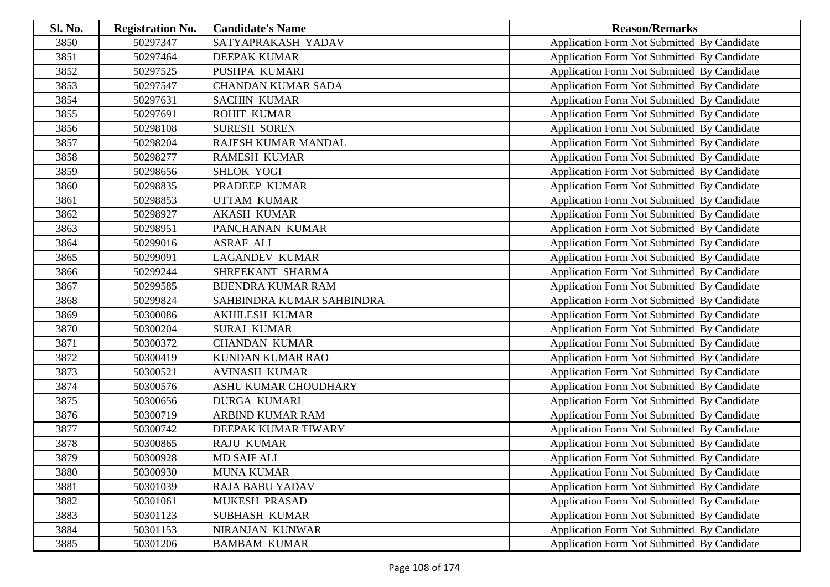| <b>Sl. No.</b> | <b>Registration No.</b> | <b>Candidate's Name</b>   | <b>Reason/Remarks</b>                              |
|----------------|-------------------------|---------------------------|----------------------------------------------------|
| 3850           | 50297347                | SATYAPRAKASH YADAV        | Application Form Not Submitted By Candidate        |
| 3851           | 50297464                | <b>DEEPAK KUMAR</b>       | Application Form Not Submitted By Candidate        |
| 3852           | 50297525                | PUSHPA KUMARI             | Application Form Not Submitted By Candidate        |
| 3853           | 50297547                | <b>CHANDAN KUMAR SADA</b> | Application Form Not Submitted By Candidate        |
| 3854           | 50297631                | <b>SACHIN KUMAR</b>       | Application Form Not Submitted By Candidate        |
| 3855           | 50297691                | <b>ROHIT KUMAR</b>        | Application Form Not Submitted By Candidate        |
| 3856           | 50298108                | <b>SURESH SOREN</b>       | Application Form Not Submitted By Candidate        |
| 3857           | 50298204                | RAJESH KUMAR MANDAL       | Application Form Not Submitted By Candidate        |
| 3858           | 50298277                | <b>RAMESH KUMAR</b>       | Application Form Not Submitted By Candidate        |
| 3859           | 50298656                | <b>SHLOK YOGI</b>         | Application Form Not Submitted By Candidate        |
| 3860           | 50298835                | PRADEEP KUMAR             | Application Form Not Submitted By Candidate        |
| 3861           | 50298853                | <b>UTTAM KUMAR</b>        | Application Form Not Submitted By Candidate        |
| 3862           | 50298927                | <b>AKASH KUMAR</b>        | Application Form Not Submitted By Candidate        |
| 3863           | 50298951                | PANCHANAN KUMAR           | Application Form Not Submitted By Candidate        |
| 3864           | 50299016                | <b>ASRAF ALI</b>          | Application Form Not Submitted By Candidate        |
| 3865           | 50299091                | <b>LAGANDEV KUMAR</b>     | Application Form Not Submitted By Candidate        |
| 3866           | 50299244                | SHREEKANT SHARMA          | Application Form Not Submitted By Candidate        |
| 3867           | 50299585                | <b>BIJENDRA KUMAR RAM</b> | Application Form Not Submitted By Candidate        |
| 3868           | 50299824                | SAHBINDRA KUMAR SAHBINDRA | Application Form Not Submitted By Candidate        |
| 3869           | 50300086                | <b>AKHILESH KUMAR</b>     | Application Form Not Submitted By Candidate        |
| 3870           | 50300204                | <b>SURAJ KUMAR</b>        | <b>Application Form Not Submitted By Candidate</b> |
| 3871           | 50300372                | <b>CHANDAN KUMAR</b>      | Application Form Not Submitted By Candidate        |
| 3872           | 50300419                | KUNDAN KUMAR RAO          | Application Form Not Submitted By Candidate        |
| 3873           | 50300521                | <b>AVINASH KUMAR</b>      | Application Form Not Submitted By Candidate        |
| 3874           | 50300576                | ASHU KUMAR CHOUDHARY      | Application Form Not Submitted By Candidate        |
| 3875           | 50300656                | <b>DURGA KUMARI</b>       | Application Form Not Submitted By Candidate        |
| 3876           | 50300719                | <b>ARBIND KUMAR RAM</b>   | Application Form Not Submitted By Candidate        |
| 3877           | 50300742                | DEEPAK KUMAR TIWARY       | Application Form Not Submitted By Candidate        |
| 3878           | 50300865                | <b>RAJU KUMAR</b>         | Application Form Not Submitted By Candidate        |
| 3879           | 50300928                | <b>MD SAIF ALI</b>        | Application Form Not Submitted By Candidate        |
| 3880           | 50300930                | <b>MUNA KUMAR</b>         | Application Form Not Submitted By Candidate        |
| 3881           | 50301039                | <b>RAJA BABU YADAV</b>    | <b>Application Form Not Submitted By Candidate</b> |
| 3882           | 50301061                | MUKESH PRASAD             | Application Form Not Submitted By Candidate        |
| 3883           | 50301123                | <b>SUBHASH KUMAR</b>      | Application Form Not Submitted By Candidate        |
| 3884           | 50301153                | NIRANJAN KUNWAR           | <b>Application Form Not Submitted By Candidate</b> |
| 3885           | 50301206                | <b>BAMBAM KUMAR</b>       | <b>Application Form Not Submitted By Candidate</b> |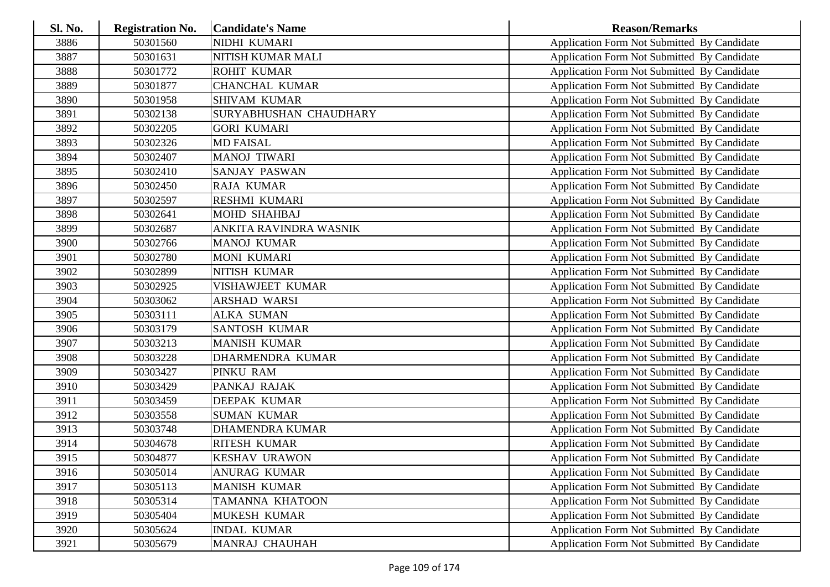| <b>Sl. No.</b> | <b>Registration No.</b> | <b>Candidate's Name</b> | <b>Reason/Remarks</b>                              |
|----------------|-------------------------|-------------------------|----------------------------------------------------|
| 3886           | 50301560                | NIDHI KUMARI            | Application Form Not Submitted By Candidate        |
| 3887           | 50301631                | NITISH KUMAR MALI       | Application Form Not Submitted By Candidate        |
| 3888           | 50301772                | <b>ROHIT KUMAR</b>      | Application Form Not Submitted By Candidate        |
| 3889           | 50301877                | <b>CHANCHAL KUMAR</b>   | Application Form Not Submitted By Candidate        |
| 3890           | 50301958                | <b>SHIVAM KUMAR</b>     | Application Form Not Submitted By Candidate        |
| 3891           | 50302138                | SURYABHUSHAN CHAUDHARY  | Application Form Not Submitted By Candidate        |
| 3892           | 50302205                | <b>GORI KUMARI</b>      | Application Form Not Submitted By Candidate        |
| 3893           | 50302326                | <b>MD FAISAL</b>        | Application Form Not Submitted By Candidate        |
| 3894           | 50302407                | <b>MANOJ TIWARI</b>     | Application Form Not Submitted By Candidate        |
| 3895           | 50302410                | <b>SANJAY PASWAN</b>    | Application Form Not Submitted By Candidate        |
| 3896           | 50302450                | RAJA KUMAR              | Application Form Not Submitted By Candidate        |
| 3897           | 50302597                | <b>RESHMI KUMARI</b>    | Application Form Not Submitted By Candidate        |
| 3898           | 50302641                | <b>MOHD SHAHBAJ</b>     | Application Form Not Submitted By Candidate        |
| 3899           | 50302687                | ANKITA RAVINDRA WASNIK  | Application Form Not Submitted By Candidate        |
| 3900           | 50302766                | <b>MANOJ KUMAR</b>      | Application Form Not Submitted By Candidate        |
| 3901           | 50302780                | MONI KUMARI             | Application Form Not Submitted By Candidate        |
| 3902           | 50302899                | NITISH KUMAR            | Application Form Not Submitted By Candidate        |
| 3903           | 50302925                | <b>VISHAWJEET KUMAR</b> | Application Form Not Submitted By Candidate        |
| 3904           | 50303062                | ARSHAD WARSI            | Application Form Not Submitted By Candidate        |
| 3905           | 50303111                | <b>ALKA SUMAN</b>       | Application Form Not Submitted By Candidate        |
| 3906           | 50303179                | <b>SANTOSH KUMAR</b>    | <b>Application Form Not Submitted By Candidate</b> |
| 3907           | 50303213                | <b>MANISH KUMAR</b>     | Application Form Not Submitted By Candidate        |
| 3908           | 50303228                | DHARMENDRA KUMAR        | Application Form Not Submitted By Candidate        |
| 3909           | 50303427                | PINKU RAM               | Application Form Not Submitted By Candidate        |
| 3910           | 50303429                | PANKAJ RAJAK            | Application Form Not Submitted By Candidate        |
| 3911           | 50303459                | DEEPAK KUMAR            | Application Form Not Submitted By Candidate        |
| 3912           | 50303558                | <b>SUMAN KUMAR</b>      | Application Form Not Submitted By Candidate        |
| 3913           | 50303748                | <b>DHAMENDRA KUMAR</b>  | Application Form Not Submitted By Candidate        |
| 3914           | 50304678                | <b>RITESH KUMAR</b>     | Application Form Not Submitted By Candidate        |
| 3915           | 50304877                | <b>KESHAV URAWON</b>    | Application Form Not Submitted By Candidate        |
| 3916           | 50305014                | ANURAG KUMAR            | Application Form Not Submitted By Candidate        |
| 3917           | 50305113                | <b>MANISH KUMAR</b>     | <b>Application Form Not Submitted By Candidate</b> |
| 3918           | 50305314                | TAMANNA KHATOON         | <b>Application Form Not Submitted By Candidate</b> |
| 3919           | 50305404                | MUKESH KUMAR            | Application Form Not Submitted By Candidate        |
| 3920           | 50305624                | <b>INDAL KUMAR</b>      | <b>Application Form Not Submitted By Candidate</b> |
| 3921           | 50305679                | MANRAJ CHAUHAH          | <b>Application Form Not Submitted By Candidate</b> |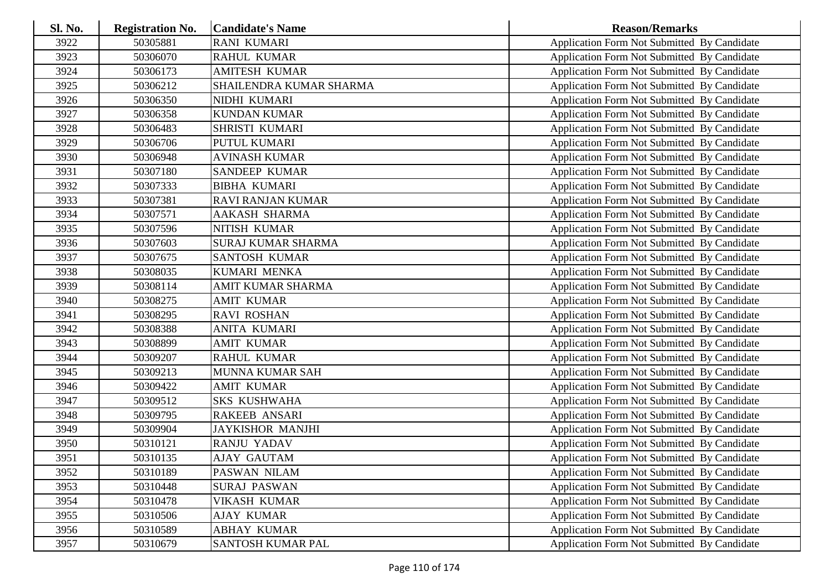| <b>Sl. No.</b> | <b>Registration No.</b> | <b>Candidate's Name</b>   | <b>Reason/Remarks</b>                              |
|----------------|-------------------------|---------------------------|----------------------------------------------------|
| 3922           | 50305881                | <b>RANI KUMARI</b>        | Application Form Not Submitted By Candidate        |
| 3923           | 50306070                | <b>RAHUL KUMAR</b>        | Application Form Not Submitted By Candidate        |
| 3924           | 50306173                | <b>AMITESH KUMAR</b>      | Application Form Not Submitted By Candidate        |
| 3925           | 50306212                | SHAILENDRA KUMAR SHARMA   | Application Form Not Submitted By Candidate        |
| 3926           | 50306350                | NIDHI KUMARI              | Application Form Not Submitted By Candidate        |
| 3927           | 50306358                | <b>KUNDAN KUMAR</b>       | Application Form Not Submitted By Candidate        |
| 3928           | 50306483                | SHRISTI KUMARI            | Application Form Not Submitted By Candidate        |
| 3929           | 50306706                | PUTUL KUMARI              | Application Form Not Submitted By Candidate        |
| 3930           | 50306948                | <b>AVINASH KUMAR</b>      | Application Form Not Submitted By Candidate        |
| 3931           | 50307180                | <b>SANDEEP KUMAR</b>      | Application Form Not Submitted By Candidate        |
| 3932           | 50307333                | <b>BIBHA KUMARI</b>       | Application Form Not Submitted By Candidate        |
| 3933           | 50307381                | <b>RAVI RANJAN KUMAR</b>  | Application Form Not Submitted By Candidate        |
| 3934           | 50307571                | <b>AAKASH SHARMA</b>      | Application Form Not Submitted By Candidate        |
| 3935           | 50307596                | NITISH KUMAR              | Application Form Not Submitted By Candidate        |
| 3936           | 50307603                | <b>SURAJ KUMAR SHARMA</b> | Application Form Not Submitted By Candidate        |
| 3937           | 50307675                | <b>SANTOSH KUMAR</b>      | Application Form Not Submitted By Candidate        |
| 3938           | 50308035                | <b>KUMARI MENKA</b>       | Application Form Not Submitted By Candidate        |
| 3939           | 50308114                | <b>AMIT KUMAR SHARMA</b>  | Application Form Not Submitted By Candidate        |
| 3940           | 50308275                | <b>AMIT KUMAR</b>         | <b>Application Form Not Submitted By Candidate</b> |
| 3941           | 50308295                | <b>RAVI ROSHAN</b>        | Application Form Not Submitted By Candidate        |
| 3942           | 50308388                | <b>ANITA KUMARI</b>       | <b>Application Form Not Submitted By Candidate</b> |
| 3943           | 50308899                | <b>AMIT KUMAR</b>         | Application Form Not Submitted By Candidate        |
| 3944           | 50309207                | <b>RAHUL KUMAR</b>        | Application Form Not Submitted By Candidate        |
| 3945           | 50309213                | MUNNA KUMAR SAH           | Application Form Not Submitted By Candidate        |
| 3946           | 50309422                | <b>AMIT KUMAR</b>         | Application Form Not Submitted By Candidate        |
| 3947           | 50309512                | <b>SKS KUSHWAHA</b>       | Application Form Not Submitted By Candidate        |
| 3948           | 50309795                | <b>RAKEEB ANSARI</b>      | Application Form Not Submitted By Candidate        |
| 3949           | 50309904                | <b>JAYKISHOR MANJHI</b>   | Application Form Not Submitted By Candidate        |
| 3950           | 50310121                | <b>RANJU YADAV</b>        | Application Form Not Submitted By Candidate        |
| 3951           | 50310135                | <b>AJAY GAUTAM</b>        | Application Form Not Submitted By Candidate        |
| 3952           | 50310189                | PASWAN NILAM              | Application Form Not Submitted By Candidate        |
| 3953           | 50310448                | <b>SURAJ PASWAN</b>       | <b>Application Form Not Submitted By Candidate</b> |
| 3954           | 50310478                | <b>VIKASH KUMAR</b>       | Application Form Not Submitted By Candidate        |
| 3955           | 50310506                | <b>AJAY KUMAR</b>         | Application Form Not Submitted By Candidate        |
| 3956           | 50310589                | <b>ABHAY KUMAR</b>        | Application Form Not Submitted By Candidate        |
| 3957           | 50310679                | <b>SANTOSH KUMAR PAL</b>  | Application Form Not Submitted By Candidate        |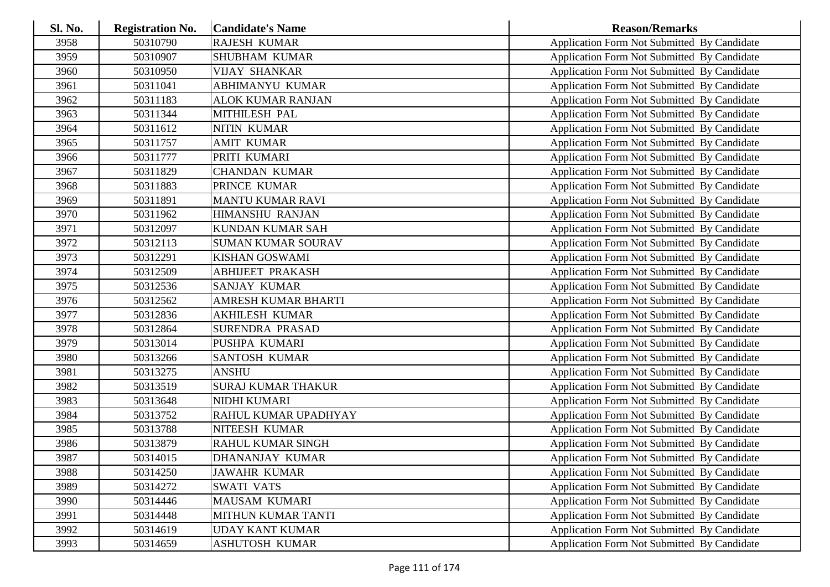| <b>Sl. No.</b> | <b>Registration No.</b> | <b>Candidate's Name</b>    | <b>Reason/Remarks</b>                              |
|----------------|-------------------------|----------------------------|----------------------------------------------------|
| 3958           | 50310790                | <b>RAJESH KUMAR</b>        | Application Form Not Submitted By Candidate        |
| 3959           | 50310907                | <b>SHUBHAM KUMAR</b>       | Application Form Not Submitted By Candidate        |
| 3960           | 50310950                | <b>VIJAY SHANKAR</b>       | Application Form Not Submitted By Candidate        |
| 3961           | 50311041                | <b>ABHIMANYU KUMAR</b>     | Application Form Not Submitted By Candidate        |
| 3962           | 50311183                | <b>ALOK KUMAR RANJAN</b>   | Application Form Not Submitted By Candidate        |
| 3963           | 50311344                | <b>MITHILESH PAL</b>       | Application Form Not Submitted By Candidate        |
| 3964           | 50311612                | NITIN KUMAR                | Application Form Not Submitted By Candidate        |
| 3965           | 50311757                | <b>AMIT KUMAR</b>          | Application Form Not Submitted By Candidate        |
| 3966           | 50311777                | PRITI KUMARI               | Application Form Not Submitted By Candidate        |
| 3967           | 50311829                | <b>CHANDAN KUMAR</b>       | Application Form Not Submitted By Candidate        |
| 3968           | 50311883                | PRINCE KUMAR               | Application Form Not Submitted By Candidate        |
| 3969           | 50311891                | <b>MANTU KUMAR RAVI</b>    | Application Form Not Submitted By Candidate        |
| 3970           | 50311962                | <b>HIMANSHU RANJAN</b>     | Application Form Not Submitted By Candidate        |
| 3971           | 50312097                | KUNDAN KUMAR SAH           | Application Form Not Submitted By Candidate        |
| 3972           | 50312113                | <b>SUMAN KUMAR SOURAV</b>  | Application Form Not Submitted By Candidate        |
| 3973           | 50312291                | <b>KISHAN GOSWAMI</b>      | Application Form Not Submitted By Candidate        |
| 3974           | 50312509                | <b>ABHIJEET PRAKASH</b>    | Application Form Not Submitted By Candidate        |
| 3975           | 50312536                | <b>SANJAY KUMAR</b>        | Application Form Not Submitted By Candidate        |
| 3976           | 50312562                | <b>AMRESH KUMAR BHARTI</b> | Application Form Not Submitted By Candidate        |
| 3977           | 50312836                | <b>AKHILESH KUMAR</b>      | Application Form Not Submitted By Candidate        |
| 3978           | 50312864                | <b>SURENDRA PRASAD</b>     | Application Form Not Submitted By Candidate        |
| 3979           | 50313014                | PUSHPA KUMARI              | Application Form Not Submitted By Candidate        |
| 3980           | 50313266                | <b>SANTOSH KUMAR</b>       | Application Form Not Submitted By Candidate        |
| 3981           | 50313275                | <b>ANSHU</b>               | Application Form Not Submitted By Candidate        |
| 3982           | 50313519                | <b>SURAJ KUMAR THAKUR</b>  | Application Form Not Submitted By Candidate        |
| 3983           | 50313648                | NIDHI KUMARI               | Application Form Not Submitted By Candidate        |
| 3984           | 50313752                | RAHUL KUMAR UPADHYAY       | Application Form Not Submitted By Candidate        |
| 3985           | 50313788                | NITEESH KUMAR              | Application Form Not Submitted By Candidate        |
| 3986           | 50313879                | RAHUL KUMAR SINGH          | Application Form Not Submitted By Candidate        |
| 3987           | 50314015                | <b>DHANANJAY KUMAR</b>     | Application Form Not Submitted By Candidate        |
| 3988           | 50314250                | <b>JAWAHR KUMAR</b>        | Application Form Not Submitted By Candidate        |
| 3989           | 50314272                | <b>SWATI VATS</b>          | Application Form Not Submitted By Candidate        |
| 3990           | 50314446                | MAUSAM KUMARI              | Application Form Not Submitted By Candidate        |
| 3991           | 50314448                | MITHUN KUMAR TANTI         | Application Form Not Submitted By Candidate        |
| 3992           | 50314619                | <b>UDAY KANT KUMAR</b>     | <b>Application Form Not Submitted By Candidate</b> |
| 3993           | 50314659                | <b>ASHUTOSH KUMAR</b>      | <b>Application Form Not Submitted By Candidate</b> |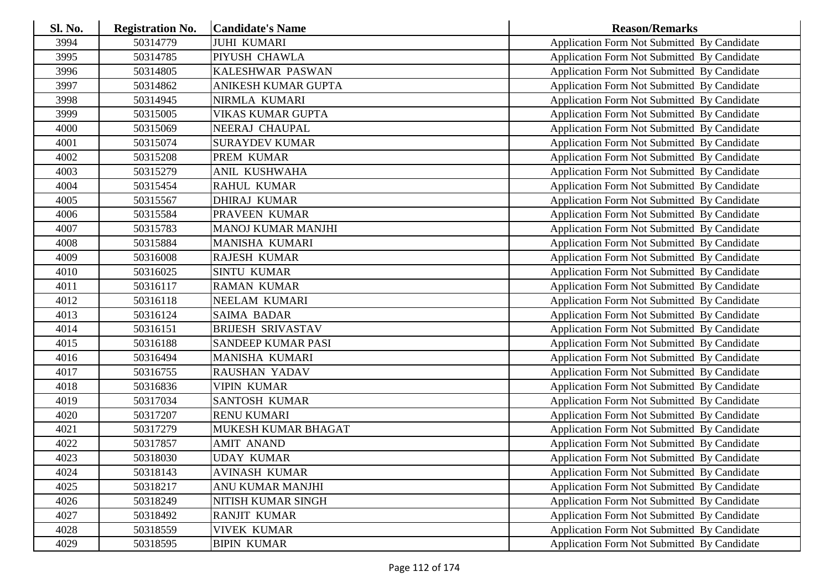| <b>Sl. No.</b> | <b>Registration No.</b> | <b>Candidate's Name</b>   | <b>Reason/Remarks</b>                              |
|----------------|-------------------------|---------------------------|----------------------------------------------------|
| 3994           | 50314779                | <b>JUHI KUMARI</b>        | Application Form Not Submitted By Candidate        |
| 3995           | 50314785                | PIYUSH CHAWLA             | Application Form Not Submitted By Candidate        |
| 3996           | 50314805                | KALESHWAR PASWAN          | Application Form Not Submitted By Candidate        |
| 3997           | 50314862                | ANIKESH KUMAR GUPTA       | Application Form Not Submitted By Candidate        |
| 3998           | 50314945                | NIRMLA KUMARI             | Application Form Not Submitted By Candidate        |
| 3999           | 50315005                | <b>VIKAS KUMAR GUPTA</b>  | Application Form Not Submitted By Candidate        |
| 4000           | 50315069                | NEERAJ CHAUPAL            | Application Form Not Submitted By Candidate        |
| 4001           | 50315074                | <b>SURAYDEV KUMAR</b>     | Application Form Not Submitted By Candidate        |
| 4002           | 50315208                | PREM KUMAR                | Application Form Not Submitted By Candidate        |
| 4003           | 50315279                | ANIL KUSHWAHA             | Application Form Not Submitted By Candidate        |
| 4004           | 50315454                | <b>RAHUL KUMAR</b>        | Application Form Not Submitted By Candidate        |
| 4005           | 50315567                | <b>DHIRAJ KUMAR</b>       | Application Form Not Submitted By Candidate        |
| 4006           | 50315584                | PRAVEEN KUMAR             | Application Form Not Submitted By Candidate        |
| 4007           | 50315783                | <b>MANOJ KUMAR MANJHI</b> | <b>Application Form Not Submitted By Candidate</b> |
| 4008           | 50315884                | MANISHA KUMARI            | Application Form Not Submitted By Candidate        |
| 4009           | 50316008                | <b>RAJESH KUMAR</b>       | Application Form Not Submitted By Candidate        |
| 4010           | 50316025                | <b>SINTU KUMAR</b>        | Application Form Not Submitted By Candidate        |
| 4011           | 50316117                | <b>RAMAN KUMAR</b>        | Application Form Not Submitted By Candidate        |
| 4012           | 50316118                | NEELAM KUMARI             | <b>Application Form Not Submitted By Candidate</b> |
| 4013           | 50316124                | <b>SAIMA BADAR</b>        | Application Form Not Submitted By Candidate        |
| 4014           | 50316151                | <b>BRIJESH SRIVASTAV</b>  | <b>Application Form Not Submitted By Candidate</b> |
| 4015           | 50316188                | <b>SANDEEP KUMAR PASI</b> | Application Form Not Submitted By Candidate        |
| 4016           | 50316494                | MANISHA KUMARI            | Application Form Not Submitted By Candidate        |
| 4017           | 50316755                | RAUSHAN YADAV             | Application Form Not Submitted By Candidate        |
| 4018           | 50316836                | <b>VIPIN KUMAR</b>        | Application Form Not Submitted By Candidate        |
| 4019           | 50317034                | <b>SANTOSH KUMAR</b>      | Application Form Not Submitted By Candidate        |
| 4020           | 50317207                | <b>RENU KUMARI</b>        | Application Form Not Submitted By Candidate        |
| 4021           | 50317279                | MUKESH KUMAR BHAGAT       | Application Form Not Submitted By Candidate        |
| 4022           | 50317857                | <b>AMIT ANAND</b>         | Application Form Not Submitted By Candidate        |
| 4023           | 50318030                | <b>UDAY KUMAR</b>         | Application Form Not Submitted By Candidate        |
| 4024           | 50318143                | <b>AVINASH KUMAR</b>      | Application Form Not Submitted By Candidate        |
| 4025           | 50318217                | ANU KUMAR MANJHI          | <b>Application Form Not Submitted By Candidate</b> |
| 4026           | 50318249                | NITISH KUMAR SINGH        | Application Form Not Submitted By Candidate        |
| 4027           | 50318492                | <b>RANJIT KUMAR</b>       | Application Form Not Submitted By Candidate        |
| 4028           | 50318559                | <b>VIVEK KUMAR</b>        | <b>Application Form Not Submitted By Candidate</b> |
| 4029           | 50318595                | <b>BIPIN KUMAR</b>        | <b>Application Form Not Submitted By Candidate</b> |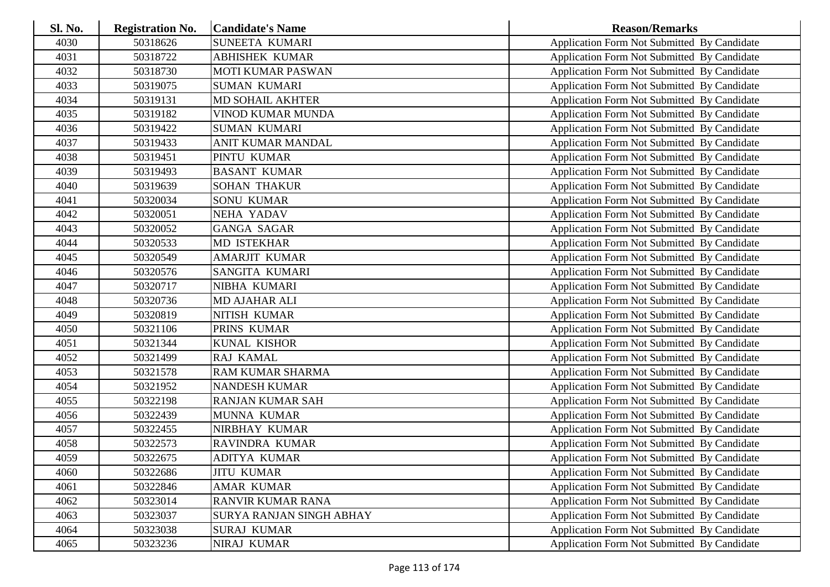| <b>Sl. No.</b> | <b>Registration No.</b> | <b>Candidate's Name</b>  | <b>Reason/Remarks</b>                              |
|----------------|-------------------------|--------------------------|----------------------------------------------------|
| 4030           | 50318626                | SUNEETA KUMARI           | Application Form Not Submitted By Candidate        |
| 4031           | 50318722                | <b>ABHISHEK KUMAR</b>    | Application Form Not Submitted By Candidate        |
| 4032           | 50318730                | <b>MOTI KUMAR PASWAN</b> | Application Form Not Submitted By Candidate        |
| 4033           | 50319075                | <b>SUMAN KUMARI</b>      | Application Form Not Submitted By Candidate        |
| 4034           | 50319131                | <b>MD SOHAIL AKHTER</b>  | Application Form Not Submitted By Candidate        |
| 4035           | 50319182                | VINOD KUMAR MUNDA        | Application Form Not Submitted By Candidate        |
| 4036           | 50319422                | <b>SUMAN KUMARI</b>      | Application Form Not Submitted By Candidate        |
| 4037           | 50319433                | <b>ANIT KUMAR MANDAL</b> | Application Form Not Submitted By Candidate        |
| 4038           | 50319451                | PINTU KUMAR              | <b>Application Form Not Submitted By Candidate</b> |
| 4039           | 50319493                | <b>BASANT KUMAR</b>      | Application Form Not Submitted By Candidate        |
| 4040           | 50319639                | <b>SOHAN THAKUR</b>      | Application Form Not Submitted By Candidate        |
| 4041           | 50320034                | <b>SONU KUMAR</b>        | Application Form Not Submitted By Candidate        |
| 4042           | 50320051                | <b>NEHA YADAV</b>        | Application Form Not Submitted By Candidate        |
| 4043           | 50320052                | <b>GANGA SAGAR</b>       | Application Form Not Submitted By Candidate        |
| 4044           | 50320533                | <b>MD ISTEKHAR</b>       | Application Form Not Submitted By Candidate        |
| 4045           | 50320549                | <b>AMARJIT KUMAR</b>     | Application Form Not Submitted By Candidate        |
| 4046           | 50320576                | <b>SANGITA KUMARI</b>    | Application Form Not Submitted By Candidate        |
| 4047           | 50320717                | NIBHA KUMARI             | Application Form Not Submitted By Candidate        |
| 4048           | 50320736                | <b>MD AJAHAR ALI</b>     | Application Form Not Submitted By Candidate        |
| 4049           | 50320819                | NITISH KUMAR             | Application Form Not Submitted By Candidate        |
| 4050           | 50321106                | PRINS KUMAR              | Application Form Not Submitted By Candidate        |
| 4051           | 50321344                | <b>KUNAL KISHOR</b>      | Application Form Not Submitted By Candidate        |
| 4052           | 50321499                | RAJ KAMAL                | Application Form Not Submitted By Candidate        |
| 4053           | 50321578                | RAM KUMAR SHARMA         | Application Form Not Submitted By Candidate        |
| 4054           | 50321952                | <b>NANDESH KUMAR</b>     | Application Form Not Submitted By Candidate        |
| 4055           | 50322198                | <b>RANJAN KUMAR SAH</b>  | Application Form Not Submitted By Candidate        |
| 4056           | 50322439                | MUNNA KUMAR              | Application Form Not Submitted By Candidate        |
| 4057           | 50322455                | NIRBHAY KUMAR            | Application Form Not Submitted By Candidate        |
| 4058           | 50322573                | RAVINDRA KUMAR           | Application Form Not Submitted By Candidate        |
| 4059           | 50322675                | <b>ADITYA KUMAR</b>      | Application Form Not Submitted By Candidate        |
| 4060           | 50322686                | <b>JITU KUMAR</b>        | Application Form Not Submitted By Candidate        |
| 4061           | 50322846                | AMAR KUMAR               | Application Form Not Submitted By Candidate        |
| 4062           | 50323014                | <b>RANVIR KUMAR RANA</b> | Application Form Not Submitted By Candidate        |
| 4063           | 50323037                | SURYA RANJAN SINGH ABHAY | Application Form Not Submitted By Candidate        |
| 4064           | 50323038                | <b>SURAJ KUMAR</b>       | Application Form Not Submitted By Candidate        |
| 4065           | 50323236                | NIRAJ KUMAR              | <b>Application Form Not Submitted By Candidate</b> |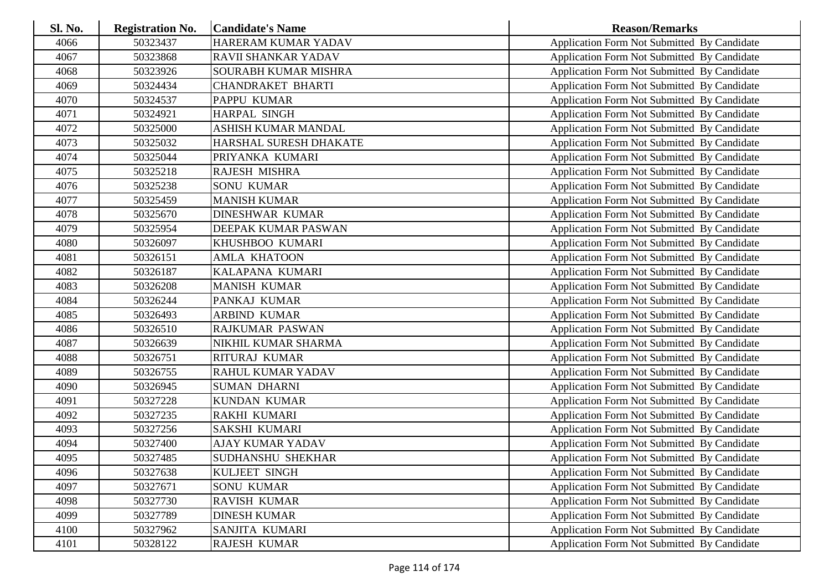| Sl. No. | <b>Registration No.</b> | <b>Candidate's Name</b>  | <b>Reason/Remarks</b>                       |
|---------|-------------------------|--------------------------|---------------------------------------------|
| 4066    | 50323437                | HARERAM KUMAR YADAV      | Application Form Not Submitted By Candidate |
| 4067    | 50323868                | RAVII SHANKAR YADAV      | Application Form Not Submitted By Candidate |
| 4068    | 50323926                | SOURABH KUMAR MISHRA     | Application Form Not Submitted By Candidate |
| 4069    | 50324434                | <b>CHANDRAKET BHARTI</b> | Application Form Not Submitted By Candidate |
| 4070    | 50324537                | PAPPU KUMAR              | Application Form Not Submitted By Candidate |
| 4071    | 50324921                | HARPAL SINGH             | Application Form Not Submitted By Candidate |
| 4072    | 50325000                | ASHISH KUMAR MANDAL      | Application Form Not Submitted By Candidate |
| 4073    | 50325032                | HARSHAL SURESH DHAKATE   | Application Form Not Submitted By Candidate |
| 4074    | 50325044                | PRIYANKA KUMARI          | Application Form Not Submitted By Candidate |
| 4075    | 50325218                | <b>RAJESH MISHRA</b>     | Application Form Not Submitted By Candidate |
| 4076    | 50325238                | <b>SONU KUMAR</b>        | Application Form Not Submitted By Candidate |
| 4077    | 50325459                | <b>MANISH KUMAR</b>      | Application Form Not Submitted By Candidate |
| 4078    | 50325670                | <b>DINESHWAR KUMAR</b>   | Application Form Not Submitted By Candidate |
| 4079    | 50325954                | DEEPAK KUMAR PASWAN      | Application Form Not Submitted By Candidate |
| 4080    | 50326097                | KHUSHBOO KUMARI          | Application Form Not Submitted By Candidate |
| 4081    | 50326151                | <b>AMLA KHATOON</b>      | Application Form Not Submitted By Candidate |
| 4082    | 50326187                | KALAPANA KUMARI          | Application Form Not Submitted By Candidate |
| 4083    | 50326208                | <b>MANISH KUMAR</b>      | Application Form Not Submitted By Candidate |
| 4084    | 50326244                | PANKAJ KUMAR             | Application Form Not Submitted By Candidate |
| 4085    | 50326493                | <b>ARBIND KUMAR</b>      | Application Form Not Submitted By Candidate |
| 4086    | 50326510                | RAJKUMAR PASWAN          | Application Form Not Submitted By Candidate |
| 4087    | 50326639                | NIKHIL KUMAR SHARMA      | Application Form Not Submitted By Candidate |
| 4088    | 50326751                | RITURAJ KUMAR            | Application Form Not Submitted By Candidate |
| 4089    | 50326755                | RAHUL KUMAR YADAV        | Application Form Not Submitted By Candidate |
| 4090    | 50326945                | <b>SUMAN DHARNI</b>      | Application Form Not Submitted By Candidate |
| 4091    | 50327228                | KUNDAN KUMAR             | Application Form Not Submitted By Candidate |
| 4092    | 50327235                | RAKHI KUMARI             | Application Form Not Submitted By Candidate |
| 4093    | 50327256                | <b>SAKSHI KUMARI</b>     | Application Form Not Submitted By Candidate |
| 4094    | 50327400                | <b>AJAY KUMAR YADAV</b>  | Application Form Not Submitted By Candidate |
| 4095    | 50327485                | SUDHANSHU SHEKHAR        | Application Form Not Submitted By Candidate |
| 4096    | 50327638                | KULJEET SINGH            | Application Form Not Submitted By Candidate |
| 4097    | 50327671                | SONU KUMAR               | Application Form Not Submitted By Candidate |
| 4098    | 50327730                | RAVISH KUMAR             | Application Form Not Submitted By Candidate |
| 4099    | 50327789                | <b>DINESH KUMAR</b>      | Application Form Not Submitted By Candidate |
| 4100    | 50327962                | SANJITA KUMARI           | Application Form Not Submitted By Candidate |
| 4101    | 50328122                | RAJESH KUMAR             | Application Form Not Submitted By Candidate |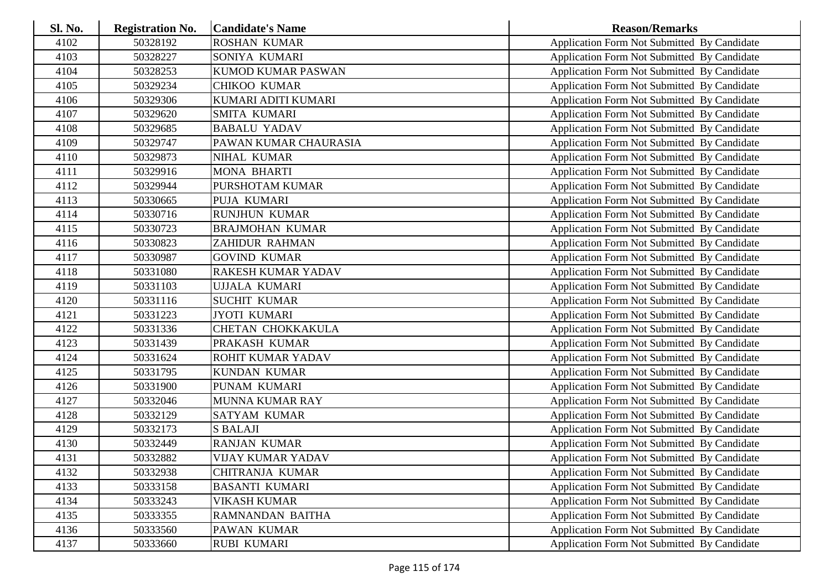| <b>Sl. No.</b> | <b>Registration No.</b> | <b>Candidate's Name</b>   | <b>Reason/Remarks</b>                              |
|----------------|-------------------------|---------------------------|----------------------------------------------------|
| 4102           | 50328192                | <b>ROSHAN KUMAR</b>       | Application Form Not Submitted By Candidate        |
| 4103           | 50328227                | SONIYA KUMARI             | Application Form Not Submitted By Candidate        |
| 4104           | 50328253                | <b>KUMOD KUMAR PASWAN</b> | Application Form Not Submitted By Candidate        |
| 4105           | 50329234                | <b>CHIKOO KUMAR</b>       | Application Form Not Submitted By Candidate        |
| 4106           | 50329306                | KUMARI ADITI KUMARI       | Application Form Not Submitted By Candidate        |
| 4107           | 50329620                | <b>SMITA KUMARI</b>       | Application Form Not Submitted By Candidate        |
| 4108           | 50329685                | <b>BABALU YADAV</b>       | Application Form Not Submitted By Candidate        |
| 4109           | 50329747                | PAWAN KUMAR CHAURASIA     | Application Form Not Submitted By Candidate        |
| 4110           | 50329873                | NIHAL KUMAR               | Application Form Not Submitted By Candidate        |
| 4111           | 50329916                | <b>MONA BHARTI</b>        | Application Form Not Submitted By Candidate        |
| 4112           | 50329944                | PURSHOTAM KUMAR           | Application Form Not Submitted By Candidate        |
| 4113           | 50330665                | PUJA KUMARI               | Application Form Not Submitted By Candidate        |
| 4114           | 50330716                | <b>RUNJHUN KUMAR</b>      | Application Form Not Submitted By Candidate        |
| 4115           | 50330723                | <b>BRAJMOHAN KUMAR</b>    | Application Form Not Submitted By Candidate        |
| 4116           | 50330823                | <b>ZAHIDUR RAHMAN</b>     | Application Form Not Submitted By Candidate        |
| 4117           | 50330987                | <b>GOVIND KUMAR</b>       | Application Form Not Submitted By Candidate        |
| 4118           | 50331080                | <b>RAKESH KUMAR YADAV</b> | <b>Application Form Not Submitted By Candidate</b> |
| 4119           | 50331103                | UJJALA KUMARI             | Application Form Not Submitted By Candidate        |
| 4120           | 50331116                | <b>SUCHIT KUMAR</b>       | Application Form Not Submitted By Candidate        |
| 4121           | 50331223                | <b>JYOTI KUMARI</b>       | Application Form Not Submitted By Candidate        |
| 4122           | 50331336                | CHETAN CHOKKAKULA         | Application Form Not Submitted By Candidate        |
| 4123           | 50331439                | PRAKASH KUMAR             | Application Form Not Submitted By Candidate        |
| 4124           | 50331624                | <b>ROHIT KUMAR YADAV</b>  | Application Form Not Submitted By Candidate        |
| 4125           | 50331795                | <b>KUNDAN KUMAR</b>       | Application Form Not Submitted By Candidate        |
| 4126           | 50331900                | PUNAM KUMARI              | Application Form Not Submitted By Candidate        |
| 4127           | 50332046                | MUNNA KUMAR RAY           | Application Form Not Submitted By Candidate        |
| 4128           | 50332129                | <b>SATYAM KUMAR</b>       | Application Form Not Submitted By Candidate        |
| 4129           | 50332173                | <b>S BALAJI</b>           | Application Form Not Submitted By Candidate        |
| 4130           | 50332449                | <b>RANJAN KUMAR</b>       | Application Form Not Submitted By Candidate        |
| 4131           | 50332882                | <b>VIJAY KUMAR YADAV</b>  | Application Form Not Submitted By Candidate        |
| 4132           | 50332938                | <b>CHITRANJA KUMAR</b>    | Application Form Not Submitted By Candidate        |
| 4133           | 50333158                | <b>BASANTI KUMARI</b>     | Application Form Not Submitted By Candidate        |
| 4134           | 50333243                | <b>VIKASH KUMAR</b>       | Application Form Not Submitted By Candidate        |
| 4135           | 50333355                | RAMNANDAN BAITHA          | Application Form Not Submitted By Candidate        |
| 4136           | 50333560                | PAWAN KUMAR               | Application Form Not Submitted By Candidate        |
| 4137           | 50333660                | <b>RUBI KUMARI</b>        | Application Form Not Submitted By Candidate        |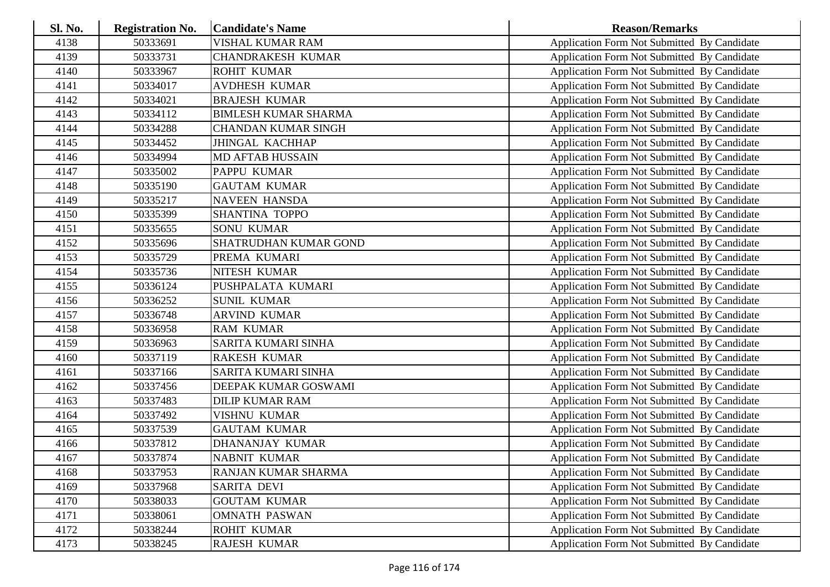| <b>Sl. No.</b> | <b>Registration No.</b> | <b>Candidate's Name</b>     | <b>Reason/Remarks</b>                              |
|----------------|-------------------------|-----------------------------|----------------------------------------------------|
| 4138           | 50333691                | VISHAL KUMAR RAM            | Application Form Not Submitted By Candidate        |
| 4139           | 50333731                | <b>CHANDRAKESH KUMAR</b>    | Application Form Not Submitted By Candidate        |
| 4140           | 50333967                | <b>ROHIT KUMAR</b>          | Application Form Not Submitted By Candidate        |
| 4141           | 50334017                | <b>AVDHESH KUMAR</b>        | Application Form Not Submitted By Candidate        |
| 4142           | 50334021                | <b>BRAJESH KUMAR</b>        | Application Form Not Submitted By Candidate        |
| 4143           | 50334112                | <b>BIMLESH KUMAR SHARMA</b> | Application Form Not Submitted By Candidate        |
| 4144           | 50334288                | <b>CHANDAN KUMAR SINGH</b>  | Application Form Not Submitted By Candidate        |
| 4145           | 50334452                | <b>JHINGAL KACHHAP</b>      | Application Form Not Submitted By Candidate        |
| 4146           | 50334994                | <b>MD AFTAB HUSSAIN</b>     | Application Form Not Submitted By Candidate        |
| 4147           | 50335002                | PAPPU KUMAR                 | Application Form Not Submitted By Candidate        |
| 4148           | 50335190                | <b>GAUTAM KUMAR</b>         | Application Form Not Submitted By Candidate        |
| 4149           | 50335217                | <b>NAVEEN HANSDA</b>        | Application Form Not Submitted By Candidate        |
| 4150           | 50335399                | <b>SHANTINA TOPPO</b>       | Application Form Not Submitted By Candidate        |
| 4151           | 50335655                | <b>SONU KUMAR</b>           | Application Form Not Submitted By Candidate        |
| 4152           | 50335696                | SHATRUDHAN KUMAR GOND       | Application Form Not Submitted By Candidate        |
| 4153           | 50335729                | PREMA KUMARI                | Application Form Not Submitted By Candidate        |
| 4154           | 50335736                | NITESH KUMAR                | Application Form Not Submitted By Candidate        |
| 4155           | 50336124                | PUSHPALATA KUMARI           | Application Form Not Submitted By Candidate        |
| 4156           | 50336252                | <b>SUNIL KUMAR</b>          | Application Form Not Submitted By Candidate        |
| 4157           | 50336748                | <b>ARVIND KUMAR</b>         | Application Form Not Submitted By Candidate        |
| 4158           | 50336958                | <b>RAM KUMAR</b>            | Application Form Not Submitted By Candidate        |
| 4159           | 50336963                | SARITA KUMARI SINHA         | Application Form Not Submitted By Candidate        |
| 4160           | 50337119                | <b>RAKESH KUMAR</b>         | Application Form Not Submitted By Candidate        |
| 4161           | 50337166                | <b>SARITA KUMARI SINHA</b>  | Application Form Not Submitted By Candidate        |
| 4162           | 50337456                | DEEPAK KUMAR GOSWAMI        | Application Form Not Submitted By Candidate        |
| 4163           | 50337483                | <b>DILIP KUMAR RAM</b>      | Application Form Not Submitted By Candidate        |
| 4164           | 50337492                | VISHNU KUMAR                | Application Form Not Submitted By Candidate        |
| 4165           | 50337539                | <b>GAUTAM KUMAR</b>         | Application Form Not Submitted By Candidate        |
| 4166           | 50337812                | <b>DHANANJAY KUMAR</b>      | Application Form Not Submitted By Candidate        |
| 4167           | 50337874                | <b>NABNIT KUMAR</b>         | Application Form Not Submitted By Candidate        |
| 4168           | 50337953                | RANJAN KUMAR SHARMA         | Application Form Not Submitted By Candidate        |
| 4169           | 50337968                | <b>SARITA DEVI</b>          | Application Form Not Submitted By Candidate        |
| 4170           | 50338033                | <b>GOUTAM KUMAR</b>         | Application Form Not Submitted By Candidate        |
| 4171           | 50338061                | <b>OMNATH PASWAN</b>        | <b>Application Form Not Submitted By Candidate</b> |
| 4172           | 50338244                | <b>ROHIT KUMAR</b>          | Application Form Not Submitted By Candidate        |
| 4173           | 50338245                | RAJESH KUMAR                | Application Form Not Submitted By Candidate        |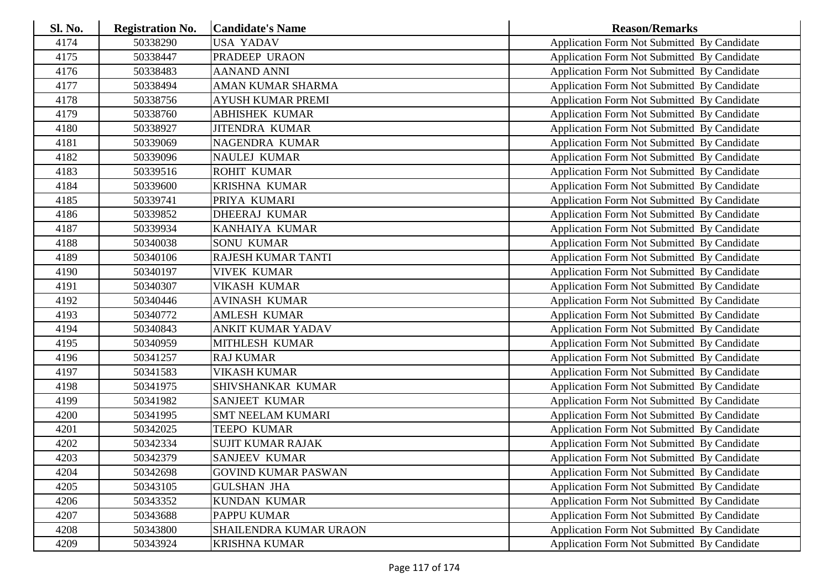| <b>Sl. No.</b> | <b>Registration No.</b> | <b>Candidate's Name</b>    | <b>Reason/Remarks</b>                              |
|----------------|-------------------------|----------------------------|----------------------------------------------------|
| 4174           | 50338290                | <b>USA YADAV</b>           | Application Form Not Submitted By Candidate        |
| 4175           | 50338447                | PRADEEP URAON              | Application Form Not Submitted By Candidate        |
| 4176           | 50338483                | <b>AANAND ANNI</b>         | Application Form Not Submitted By Candidate        |
| 4177           | 50338494                | AMAN KUMAR SHARMA          | Application Form Not Submitted By Candidate        |
| 4178           | 50338756                | AYUSH KUMAR PREMI          | Application Form Not Submitted By Candidate        |
| 4179           | 50338760                | <b>ABHISHEK KUMAR</b>      | Application Form Not Submitted By Candidate        |
| 4180           | 50338927                | <b>JITENDRA KUMAR</b>      | Application Form Not Submitted By Candidate        |
| 4181           | 50339069                | NAGENDRA KUMAR             | Application Form Not Submitted By Candidate        |
| 4182           | 50339096                | <b>NAULEJ KUMAR</b>        | Application Form Not Submitted By Candidate        |
| 4183           | 50339516                | <b>ROHIT KUMAR</b>         | Application Form Not Submitted By Candidate        |
| 4184           | 50339600                | <b>KRISHNA KUMAR</b>       | Application Form Not Submitted By Candidate        |
| 4185           | 50339741                | PRIYA KUMARI               | Application Form Not Submitted By Candidate        |
| 4186           | 50339852                | <b>DHEERAJ KUMAR</b>       | Application Form Not Submitted By Candidate        |
| 4187           | 50339934                | KANHAIYA KUMAR             | Application Form Not Submitted By Candidate        |
| 4188           | 50340038                | <b>SONU KUMAR</b>          | Application Form Not Submitted By Candidate        |
| 4189           | 50340106                | <b>RAJESH KUMAR TANTI</b>  | Application Form Not Submitted By Candidate        |
| 4190           | 50340197                | <b>VIVEK KUMAR</b>         | Application Form Not Submitted By Candidate        |
| 4191           | 50340307                | <b>VIKASH KUMAR</b>        | Application Form Not Submitted By Candidate        |
| 4192           | 50340446                | <b>AVINASH KUMAR</b>       | Application Form Not Submitted By Candidate        |
| 4193           | 50340772                | <b>AMLESH KUMAR</b>        | Application Form Not Submitted By Candidate        |
| 4194           | 50340843                | <b>ANKIT KUMAR YADAV</b>   | <b>Application Form Not Submitted By Candidate</b> |
| 4195           | 50340959                | MITHLESH KUMAR             | Application Form Not Submitted By Candidate        |
| 4196           | 50341257                | <b>RAJ KUMAR</b>           | Application Form Not Submitted By Candidate        |
| 4197           | 50341583                | <b>VIKASH KUMAR</b>        | Application Form Not Submitted By Candidate        |
| 4198           | 50341975                | SHIVSHANKAR KUMAR          | Application Form Not Submitted By Candidate        |
| 4199           | 50341982                | <b>SANJEET KUMAR</b>       | Application Form Not Submitted By Candidate        |
| 4200           | 50341995                | <b>SMT NEELAM KUMARI</b>   | Application Form Not Submitted By Candidate        |
| 4201           | 50342025                | <b>TEEPO KUMAR</b>         | Application Form Not Submitted By Candidate        |
| 4202           | 50342334                | <b>SUJIT KUMAR RAJAK</b>   | Application Form Not Submitted By Candidate        |
| 4203           | 50342379                | <b>SANJEEV KUMAR</b>       | Application Form Not Submitted By Candidate        |
| 4204           | 50342698                | <b>GOVIND KUMAR PASWAN</b> | Application Form Not Submitted By Candidate        |
| 4205           | 50343105                | <b>GULSHAN JHA</b>         | <b>Application Form Not Submitted By Candidate</b> |
| 4206           | 50343352                | <b>KUNDAN KUMAR</b>        | Application Form Not Submitted By Candidate        |
| 4207           | 50343688                | <b>PAPPU KUMAR</b>         | Application Form Not Submitted By Candidate        |
| 4208           | 50343800                | SHAILENDRA KUMAR URAON     | <b>Application Form Not Submitted By Candidate</b> |
| 4209           | 50343924                | <b>KRISHNA KUMAR</b>       | <b>Application Form Not Submitted By Candidate</b> |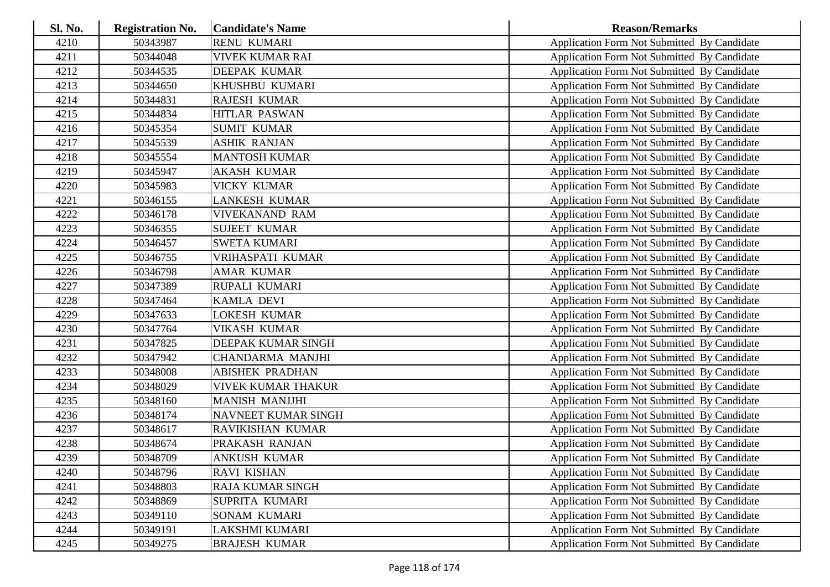| <b>Sl. No.</b> | <b>Registration No.</b> | <b>Candidate's Name</b>   | <b>Reason/Remarks</b>                              |
|----------------|-------------------------|---------------------------|----------------------------------------------------|
| 4210           | 50343987                | <b>RENU KUMARI</b>        | Application Form Not Submitted By Candidate        |
| 4211           | 50344048                | <b>VIVEK KUMAR RAI</b>    | Application Form Not Submitted By Candidate        |
| 4212           | 50344535                | <b>DEEPAK KUMAR</b>       | Application Form Not Submitted By Candidate        |
| 4213           | 50344650                | KHUSHBU KUMARI            | Application Form Not Submitted By Candidate        |
| 4214           | 50344831                | <b>RAJESH KUMAR</b>       | Application Form Not Submitted By Candidate        |
| 4215           | 50344834                | <b>HITLAR PASWAN</b>      | Application Form Not Submitted By Candidate        |
| 4216           | 50345354                | <b>SUMIT KUMAR</b>        | Application Form Not Submitted By Candidate        |
| 4217           | 50345539                | <b>ASHIK RANJAN</b>       | Application Form Not Submitted By Candidate        |
| 4218           | 50345554                | <b>MANTOSH KUMAR</b>      | Application Form Not Submitted By Candidate        |
| 4219           | 50345947                | <b>AKASH KUMAR</b>        | Application Form Not Submitted By Candidate        |
| 4220           | 50345983                | VICKY KUMAR               | Application Form Not Submitted By Candidate        |
| 4221           | 50346155                | <b>LANKESH KUMAR</b>      | Application Form Not Submitted By Candidate        |
| 4222           | 50346178                | <b>VIVEKANAND RAM</b>     | Application Form Not Submitted By Candidate        |
| 4223           | 50346355                | <b>SUJEET KUMAR</b>       | Application Form Not Submitted By Candidate        |
| 4224           | 50346457                | <b>SWETA KUMARI</b>       | Application Form Not Submitted By Candidate        |
| 4225           | 50346755                | VRIHASPATI KUMAR          | Application Form Not Submitted By Candidate        |
| 4226           | 50346798                | <b>AMAR KUMAR</b>         | <b>Application Form Not Submitted By Candidate</b> |
| 4227           | 50347389                | RUPALI KUMARI             | Application Form Not Submitted By Candidate        |
| 4228           | 50347464                | <b>KAMLA DEVI</b>         | Application Form Not Submitted By Candidate        |
| 4229           | 50347633                | <b>LOKESH KUMAR</b>       | Application Form Not Submitted By Candidate        |
| 4230           | 50347764                | <b>VIKASH KUMAR</b>       | Application Form Not Submitted By Candidate        |
| 4231           | 50347825                | DEEPAK KUMAR SINGH        | Application Form Not Submitted By Candidate        |
| 4232           | 50347942                | <b>CHANDARMA MANJHI</b>   | Application Form Not Submitted By Candidate        |
| 4233           | 50348008                | ABISHEK PRADHAN           | Application Form Not Submitted By Candidate        |
| 4234           | 50348029                | <b>VIVEK KUMAR THAKUR</b> | Application Form Not Submitted By Candidate        |
| 4235           | 50348160                | <b>MANISH MANJJHI</b>     | Application Form Not Submitted By Candidate        |
| 4236           | 50348174                | NAVNEET KUMAR SINGH       | Application Form Not Submitted By Candidate        |
| 4237           | 50348617                | <b>RAVIKISHAN KUMAR</b>   | <b>Application Form Not Submitted By Candidate</b> |
| 4238           | 50348674                | PRAKASH RANJAN            | Application Form Not Submitted By Candidate        |
| 4239           | 50348709                | <b>ANKUSH KUMAR</b>       | Application Form Not Submitted By Candidate        |
| 4240           | 50348796                | <b>RAVI KISHAN</b>        | Application Form Not Submitted By Candidate        |
| 4241           | 50348803                | <b>RAJA KUMAR SINGH</b>   | Application Form Not Submitted By Candidate        |
| 4242           | 50348869                | SUPRITA KUMARI            | Application Form Not Submitted By Candidate        |
| 4243           | 50349110                | <b>SONAM KUMARI</b>       | Application Form Not Submitted By Candidate        |
| 4244           | 50349191                | LAKSHMI KUMARI            | <b>Application Form Not Submitted By Candidate</b> |
| 4245           | 50349275                | <b>BRAJESH KUMAR</b>      | Application Form Not Submitted By Candidate        |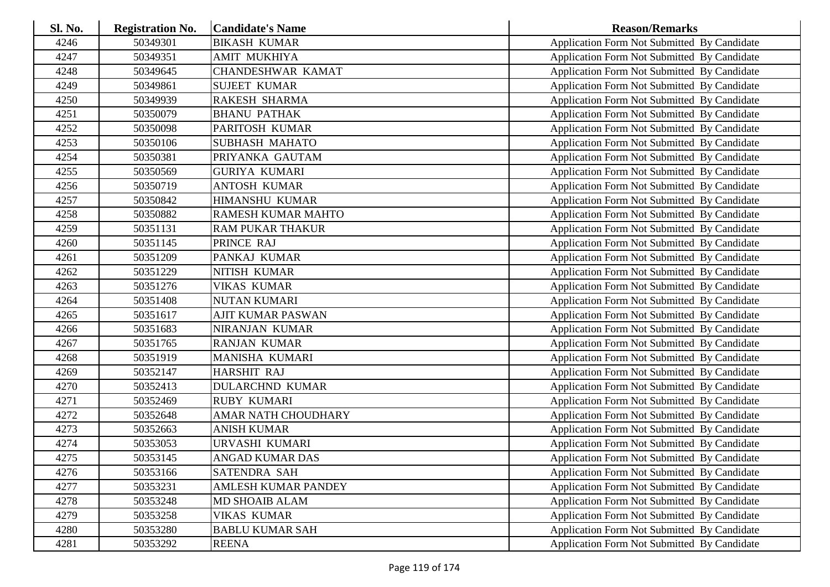| <b>Sl. No.</b> | <b>Registration No.</b> | <b>Candidate's Name</b>    | <b>Reason/Remarks</b>                              |
|----------------|-------------------------|----------------------------|----------------------------------------------------|
| 4246           | 50349301                | <b>BIKASH KUMAR</b>        | Application Form Not Submitted By Candidate        |
| 4247           | 50349351                | <b>AMIT MUKHIYA</b>        | Application Form Not Submitted By Candidate        |
| 4248           | 50349645                | <b>CHANDESHWAR KAMAT</b>   | Application Form Not Submitted By Candidate        |
| 4249           | 50349861                | <b>SUJEET KUMAR</b>        | Application Form Not Submitted By Candidate        |
| 4250           | 50349939                | <b>RAKESH SHARMA</b>       | Application Form Not Submitted By Candidate        |
| 4251           | 50350079                | <b>BHANU PATHAK</b>        | Application Form Not Submitted By Candidate        |
| 4252           | 50350098                | PARITOSH KUMAR             | Application Form Not Submitted By Candidate        |
| 4253           | 50350106                | <b>SUBHASH MAHATO</b>      | Application Form Not Submitted By Candidate        |
| 4254           | 50350381                | PRIYANKA GAUTAM            | Application Form Not Submitted By Candidate        |
| 4255           | 50350569                | <b>GURIYA KUMARI</b>       | Application Form Not Submitted By Candidate        |
| 4256           | 50350719                | <b>ANTOSH KUMAR</b>        | Application Form Not Submitted By Candidate        |
| 4257           | 50350842                | <b>HIMANSHU KUMAR</b>      | Application Form Not Submitted By Candidate        |
| 4258           | 50350882                | RAMESH KUMAR MAHTO         | Application Form Not Submitted By Candidate        |
| 4259           | 50351131                | <b>RAM PUKAR THAKUR</b>    | Application Form Not Submitted By Candidate        |
| 4260           | 50351145                | PRINCE RAJ                 | Application Form Not Submitted By Candidate        |
| 4261           | 50351209                | PANKAJ KUMAR               | Application Form Not Submitted By Candidate        |
| 4262           | 50351229                | NITISH KUMAR               | <b>Application Form Not Submitted By Candidate</b> |
| 4263           | 50351276                | <b>VIKAS KUMAR</b>         | Application Form Not Submitted By Candidate        |
| 4264           | 50351408                | <b>NUTAN KUMARI</b>        | Application Form Not Submitted By Candidate        |
| 4265           | 50351617                | <b>AJIT KUMAR PASWAN</b>   | Application Form Not Submitted By Candidate        |
| 4266           | 50351683                | NIRANJAN KUMAR             | Application Form Not Submitted By Candidate        |
| 4267           | 50351765                | <b>RANJAN KUMAR</b>        | Application Form Not Submitted By Candidate        |
| 4268           | 50351919                | MANISHA KUMARI             | Application Form Not Submitted By Candidate        |
| 4269           | 50352147                | HARSHIT RAJ                | Application Form Not Submitted By Candidate        |
| 4270           | 50352413                | <b>DULARCHND KUMAR</b>     | Application Form Not Submitted By Candidate        |
| 4271           | 50352469                | <b>RUBY KUMARI</b>         | Application Form Not Submitted By Candidate        |
| 4272           | 50352648                | AMAR NATH CHOUDHARY        | Application Form Not Submitted By Candidate        |
| 4273           | 50352663                | <b>ANISH KUMAR</b>         | <b>Application Form Not Submitted By Candidate</b> |
| 4274           | 50353053                | URVASHI KUMARI             | Application Form Not Submitted By Candidate        |
| 4275           | 50353145                | ANGAD KUMAR DAS            | Application Form Not Submitted By Candidate        |
| 4276           | 50353166                | <b>SATENDRA SAH</b>        | Application Form Not Submitted By Candidate        |
| 4277           | 50353231                | <b>AMLESH KUMAR PANDEY</b> | Application Form Not Submitted By Candidate        |
| 4278           | 50353248                | <b>MD SHOAIB ALAM</b>      | Application Form Not Submitted By Candidate        |
| 4279           | 50353258                | <b>VIKAS KUMAR</b>         | Application Form Not Submitted By Candidate        |
| 4280           | 50353280                | <b>BABLU KUMAR SAH</b>     | <b>Application Form Not Submitted By Candidate</b> |
| 4281           | 50353292                | <b>REENA</b>               | <b>Application Form Not Submitted By Candidate</b> |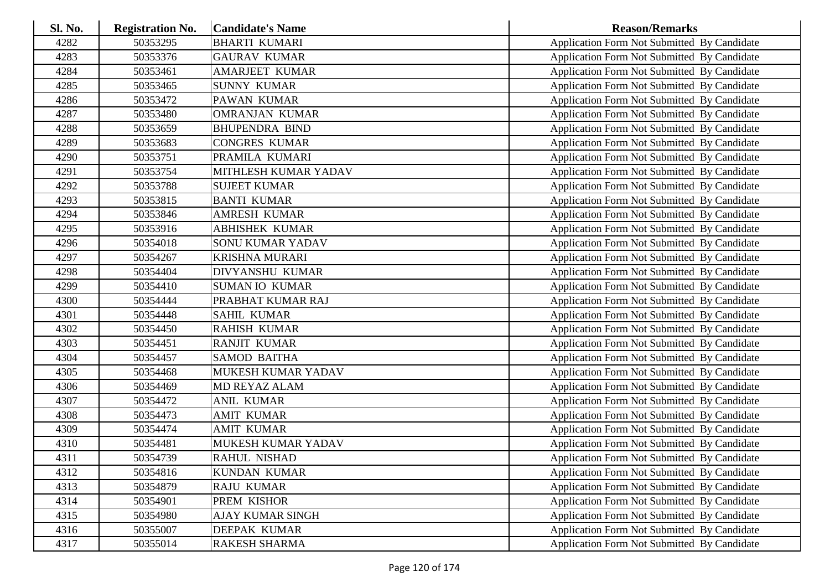| <b>Sl. No.</b> | <b>Registration No.</b> | <b>Candidate's Name</b> | <b>Reason/Remarks</b>                              |
|----------------|-------------------------|-------------------------|----------------------------------------------------|
| 4282           | 50353295                | <b>BHARTI KUMARI</b>    | Application Form Not Submitted By Candidate        |
| 4283           | 50353376                | <b>GAURAV KUMAR</b>     | Application Form Not Submitted By Candidate        |
| 4284           | 50353461                | <b>AMARJEET KUMAR</b>   | Application Form Not Submitted By Candidate        |
| 4285           | 50353465                | <b>SUNNY KUMAR</b>      | Application Form Not Submitted By Candidate        |
| 4286           | 50353472                | PAWAN KUMAR             | Application Form Not Submitted By Candidate        |
| 4287           | 50353480                | <b>OMRANJAN KUMAR</b>   | Application Form Not Submitted By Candidate        |
| 4288           | 50353659                | <b>BHUPENDRA BIND</b>   | Application Form Not Submitted By Candidate        |
| 4289           | 50353683                | <b>CONGRES KUMAR</b>    | Application Form Not Submitted By Candidate        |
| 4290           | 50353751                | PRAMILA KUMARI          | Application Form Not Submitted By Candidate        |
| 4291           | 50353754                | MITHLESH KUMAR YADAV    | Application Form Not Submitted By Candidate        |
| 4292           | 50353788                | <b>SUJEET KUMAR</b>     | Application Form Not Submitted By Candidate        |
| 4293           | 50353815                | <b>BANTI KUMAR</b>      | Application Form Not Submitted By Candidate        |
| 4294           | 50353846                | <b>AMRESH KUMAR</b>     | Application Form Not Submitted By Candidate        |
| 4295           | 50353916                | <b>ABHISHEK KUMAR</b>   | Application Form Not Submitted By Candidate        |
| 4296           | 50354018                | <b>SONU KUMAR YADAV</b> | Application Form Not Submitted By Candidate        |
| 4297           | 50354267                | <b>KRISHNA MURARI</b>   | Application Form Not Submitted By Candidate        |
| 4298           | 50354404                | <b>DIVYANSHU KUMAR</b>  | <b>Application Form Not Submitted By Candidate</b> |
| 4299           | 50354410                | <b>SUMAN IO KUMAR</b>   | Application Form Not Submitted By Candidate        |
| 4300           | 50354444                | PRABHAT KUMAR RAJ       | Application Form Not Submitted By Candidate        |
| 4301           | 50354448                | <b>SAHIL KUMAR</b>      | Application Form Not Submitted By Candidate        |
| 4302           | 50354450                | <b>RAHISH KUMAR</b>     | Application Form Not Submitted By Candidate        |
| 4303           | 50354451                | <b>RANJIT KUMAR</b>     | Application Form Not Submitted By Candidate        |
| 4304           | 50354457                | <b>SAMOD BAITHA</b>     | Application Form Not Submitted By Candidate        |
| 4305           | 50354468                | MUKESH KUMAR YADAV      | Application Form Not Submitted By Candidate        |
| 4306           | 50354469                | <b>MD REYAZ ALAM</b>    | Application Form Not Submitted By Candidate        |
| 4307           | 50354472                | <b>ANIL KUMAR</b>       | Application Form Not Submitted By Candidate        |
| 4308           | 50354473                | <b>AMIT KUMAR</b>       | Application Form Not Submitted By Candidate        |
| 4309           | 50354474                | <b>AMIT KUMAR</b>       | Application Form Not Submitted By Candidate        |
| 4310           | 50354481                | MUKESH KUMAR YADAV      | Application Form Not Submitted By Candidate        |
| 4311           | 50354739                | <b>RAHUL NISHAD</b>     | Application Form Not Submitted By Candidate        |
| 4312           | 50354816                | <b>KUNDAN KUMAR</b>     | Application Form Not Submitted By Candidate        |
| 4313           | 50354879                | <b>RAJU KUMAR</b>       | Application Form Not Submitted By Candidate        |
| 4314           | 50354901                | PREM KISHOR             | Application Form Not Submitted By Candidate        |
| 4315           | 50354980                | <b>AJAY KUMAR SINGH</b> | Application Form Not Submitted By Candidate        |
| 4316           | 50355007                | <b>DEEPAK KUMAR</b>     | <b>Application Form Not Submitted By Candidate</b> |
| 4317           | 50355014                | <b>RAKESH SHARMA</b>    | <b>Application Form Not Submitted By Candidate</b> |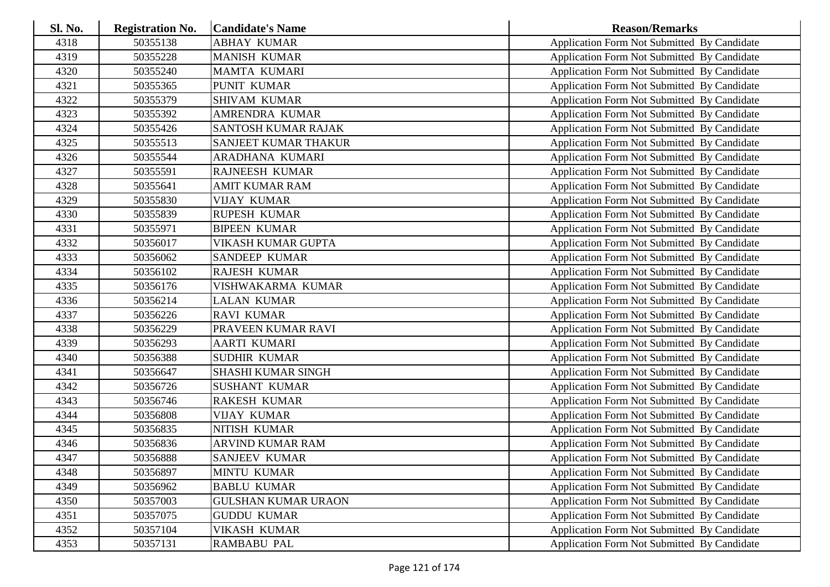| <b>Sl. No.</b> | <b>Registration No.</b> | <b>Candidate's Name</b>     | <b>Reason/Remarks</b>                              |
|----------------|-------------------------|-----------------------------|----------------------------------------------------|
| 4318           | 50355138                | <b>ABHAY KUMAR</b>          | Application Form Not Submitted By Candidate        |
| 4319           | 50355228                | <b>MANISH KUMAR</b>         | Application Form Not Submitted By Candidate        |
| 4320           | 50355240                | <b>MAMTA KUMARI</b>         | Application Form Not Submitted By Candidate        |
| 4321           | 50355365                | PUNIT KUMAR                 | Application Form Not Submitted By Candidate        |
| 4322           | 50355379                | <b>SHIVAM KUMAR</b>         | Application Form Not Submitted By Candidate        |
| 4323           | 50355392                | AMRENDRA KUMAR              | Application Form Not Submitted By Candidate        |
| 4324           | 50355426                | SANTOSH KUMAR RAJAK         | Application Form Not Submitted By Candidate        |
| 4325           | 50355513                | <b>SANJEET KUMAR THAKUR</b> | Application Form Not Submitted By Candidate        |
| 4326           | 50355544                | ARADHANA KUMARI             | Application Form Not Submitted By Candidate        |
| 4327           | 50355591                | <b>RAJNEESH KUMAR</b>       | Application Form Not Submitted By Candidate        |
| 4328           | 50355641                | <b>AMIT KUMAR RAM</b>       | Application Form Not Submitted By Candidate        |
| 4329           | 50355830                | <b>VIJAY KUMAR</b>          | Application Form Not Submitted By Candidate        |
| 4330           | 50355839                | <b>RUPESH KUMAR</b>         | Application Form Not Submitted By Candidate        |
| 4331           | 50355971                | <b>BIPEEN KUMAR</b>         | Application Form Not Submitted By Candidate        |
| 4332           | 50356017                | <b>VIKASH KUMAR GUPTA</b>   | Application Form Not Submitted By Candidate        |
| 4333           | 50356062                | <b>SANDEEP KUMAR</b>        | Application Form Not Submitted By Candidate        |
| 4334           | 50356102                | <b>RAJESH KUMAR</b>         | Application Form Not Submitted By Candidate        |
| 4335           | 50356176                | VISHWAKARMA KUMAR           | Application Form Not Submitted By Candidate        |
| 4336           | 50356214                | <b>LALAN KUMAR</b>          | Application Form Not Submitted By Candidate        |
| 4337           | 50356226                | <b>RAVI KUMAR</b>           | Application Form Not Submitted By Candidate        |
| 4338           | 50356229                | PRAVEEN KUMAR RAVI          | Application Form Not Submitted By Candidate        |
| 4339           | 50356293                | <b>AARTI KUMARI</b>         | Application Form Not Submitted By Candidate        |
| 4340           | 50356388                | <b>SUDHIR KUMAR</b>         | Application Form Not Submitted By Candidate        |
| 4341           | 50356647                | <b>SHASHI KUMAR SINGH</b>   | Application Form Not Submitted By Candidate        |
| 4342           | 50356726                | <b>SUSHANT KUMAR</b>        | Application Form Not Submitted By Candidate        |
| 4343           | 50356746                | <b>RAKESH KUMAR</b>         | Application Form Not Submitted By Candidate        |
| 4344           | 50356808                | <b>VIJAY KUMAR</b>          | Application Form Not Submitted By Candidate        |
| 4345           | 50356835                | NITISH KUMAR                | Application Form Not Submitted By Candidate        |
| 4346           | 50356836                | <b>ARVIND KUMAR RAM</b>     | Application Form Not Submitted By Candidate        |
| 4347           | 50356888                | <b>SANJEEV KUMAR</b>        | Application Form Not Submitted By Candidate        |
| 4348           | 50356897                | <b>MINTU KUMAR</b>          | Application Form Not Submitted By Candidate        |
| 4349           | 50356962                | <b>BABLU KUMAR</b>          | Application Form Not Submitted By Candidate        |
| 4350           | 50357003                | <b>GULSHAN KUMAR URAON</b>  | <b>Application Form Not Submitted By Candidate</b> |
| 4351           | 50357075                | <b>GUDDU KUMAR</b>          | Application Form Not Submitted By Candidate        |
| 4352           | 50357104                | <b>VIKASH KUMAR</b>         | <b>Application Form Not Submitted By Candidate</b> |
| 4353           | 50357131                | <b>RAMBABU PAL</b>          | Application Form Not Submitted By Candidate        |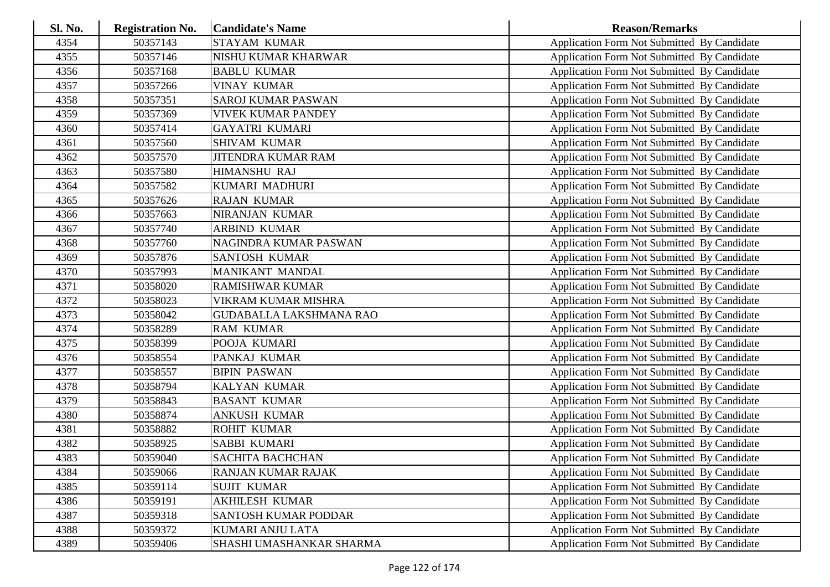| <b>Sl. No.</b> | <b>Registration No.</b> | <b>Candidate's Name</b>        | <b>Reason/Remarks</b>                       |
|----------------|-------------------------|--------------------------------|---------------------------------------------|
| 4354           | 50357143                | <b>STAYAM KUMAR</b>            | Application Form Not Submitted By Candidate |
| 4355           | 50357146                | NISHU KUMAR KHARWAR            | Application Form Not Submitted By Candidate |
| 4356           | 50357168                | <b>BABLU KUMAR</b>             | Application Form Not Submitted By Candidate |
| 4357           | 50357266                | <b>VINAY KUMAR</b>             | Application Form Not Submitted By Candidate |
| 4358           | 50357351                | <b>SAROJ KUMAR PASWAN</b>      | Application Form Not Submitted By Candidate |
| 4359           | 50357369                | <b>VIVEK KUMAR PANDEY</b>      | Application Form Not Submitted By Candidate |
| 4360           | 50357414                | <b>GAYATRI KUMARI</b>          | Application Form Not Submitted By Candidate |
| 4361           | 50357560                | <b>SHIVAM KUMAR</b>            | Application Form Not Submitted By Candidate |
| 4362           | 50357570                | <b>JITENDRA KUMAR RAM</b>      | Application Form Not Submitted By Candidate |
| 4363           | 50357580                | <b>HIMANSHU RAJ</b>            | Application Form Not Submitted By Candidate |
| 4364           | 50357582                | KUMARI MADHURI                 | Application Form Not Submitted By Candidate |
| 4365           | 50357626                | <b>RAJAN KUMAR</b>             | Application Form Not Submitted By Candidate |
| 4366           | 50357663                | NIRANJAN KUMAR                 | Application Form Not Submitted By Candidate |
| 4367           | 50357740                | <b>ARBIND KUMAR</b>            | Application Form Not Submitted By Candidate |
| 4368           | 50357760                | NAGINDRA KUMAR PASWAN          | Application Form Not Submitted By Candidate |
| 4369           | 50357876                | <b>SANTOSH KUMAR</b>           | Application Form Not Submitted By Candidate |
| 4370           | 50357993                | MANIKANT MANDAL                | Application Form Not Submitted By Candidate |
| 4371           | 50358020                | <b>RAMISHWAR KUMAR</b>         | Application Form Not Submitted By Candidate |
| 4372           | 50358023                | VIKRAM KUMAR MISHRA            | Application Form Not Submitted By Candidate |
| 4373           | 50358042                | <b>GUDABALLA LAKSHMANA RAO</b> | Application Form Not Submitted By Candidate |
| 4374           | 50358289                | <b>RAM KUMAR</b>               | Application Form Not Submitted By Candidate |
| 4375           | 50358399                | POOJA KUMARI                   | Application Form Not Submitted By Candidate |
| 4376           | 50358554                | PANKAJ KUMAR                   | Application Form Not Submitted By Candidate |
| 4377           | 50358557                | <b>BIPIN PASWAN</b>            | Application Form Not Submitted By Candidate |
| 4378           | 50358794                | <b>KALYAN KUMAR</b>            | Application Form Not Submitted By Candidate |
| 4379           | 50358843                | <b>BASANT KUMAR</b>            | Application Form Not Submitted By Candidate |
| 4380           | 50358874                | <b>ANKUSH KUMAR</b>            | Application Form Not Submitted By Candidate |
| 4381           | 50358882                | <b>ROHIT KUMAR</b>             | Application Form Not Submitted By Candidate |
| 4382           | 50358925                | <b>SABBI KUMARI</b>            | Application Form Not Submitted By Candidate |
| 4383           | 50359040                | <b>SACHITA BACHCHAN</b>        | Application Form Not Submitted By Candidate |
| 4384           | 50359066                | <b>RANJAN KUMAR RAJAK</b>      | Application Form Not Submitted By Candidate |
| 4385           | 50359114                | <b>SUJIT KUMAR</b>             | Application Form Not Submitted By Candidate |
| 4386           | 50359191                | <b>AKHILESH KUMAR</b>          | Application Form Not Submitted By Candidate |
| 4387           | 50359318                | <b>SANTOSH KUMAR PODDAR</b>    | Application Form Not Submitted By Candidate |
| 4388           | 50359372                | <b>KUMARI ANJU LATA</b>        | Application Form Not Submitted By Candidate |
| 4389           | 50359406                | SHASHI UMASHANKAR SHARMA       | Application Form Not Submitted By Candidate |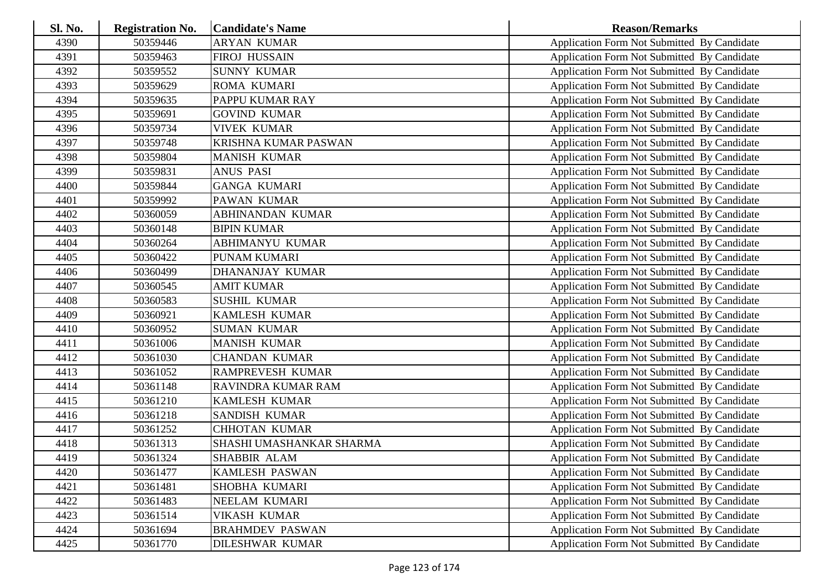| <b>Sl. No.</b> | <b>Registration No.</b> | <b>Candidate's Name</b>     | <b>Reason/Remarks</b>                              |
|----------------|-------------------------|-----------------------------|----------------------------------------------------|
| 4390           | 50359446                | <b>ARYAN KUMAR</b>          | Application Form Not Submitted By Candidate        |
| 4391           | 50359463                | <b>FIROJ HUSSAIN</b>        | Application Form Not Submitted By Candidate        |
| 4392           | 50359552                | <b>SUNNY KUMAR</b>          | Application Form Not Submitted By Candidate        |
| 4393           | 50359629                | <b>ROMA KUMARI</b>          | Application Form Not Submitted By Candidate        |
| 4394           | 50359635                | PAPPU KUMAR RAY             | Application Form Not Submitted By Candidate        |
| 4395           | 50359691                | <b>GOVIND KUMAR</b>         | Application Form Not Submitted By Candidate        |
| 4396           | 50359734                | <b>VIVEK KUMAR</b>          | Application Form Not Submitted By Candidate        |
| 4397           | 50359748                | <b>KRISHNA KUMAR PASWAN</b> | Application Form Not Submitted By Candidate        |
| 4398           | 50359804                | <b>MANISH KUMAR</b>         | Application Form Not Submitted By Candidate        |
| 4399           | 50359831                | <b>ANUS PASI</b>            | Application Form Not Submitted By Candidate        |
| 4400           | 50359844                | <b>GANGA KUMARI</b>         | Application Form Not Submitted By Candidate        |
| 4401           | 50359992                | PAWAN KUMAR                 | Application Form Not Submitted By Candidate        |
| 4402           | 50360059                | <b>ABHINANDAN KUMAR</b>     | Application Form Not Submitted By Candidate        |
| 4403           | 50360148                | <b>BIPIN KUMAR</b>          | Application Form Not Submitted By Candidate        |
| 4404           | 50360264                | <b>ABHIMANYU KUMAR</b>      | Application Form Not Submitted By Candidate        |
| 4405           | 50360422                | PUNAM KUMARI                | Application Form Not Submitted By Candidate        |
| 4406           | 50360499                | <b>DHANANJAY KUMAR</b>      | Application Form Not Submitted By Candidate        |
| 4407           | 50360545                | <b>AMIT KUMAR</b>           | Application Form Not Submitted By Candidate        |
| 4408           | 50360583                | <b>SUSHIL KUMAR</b>         | Application Form Not Submitted By Candidate        |
| 4409           | 50360921                | KAMLESH KUMAR               | Application Form Not Submitted By Candidate        |
| 4410           | 50360952                | <b>SUMAN KUMAR</b>          | Application Form Not Submitted By Candidate        |
| 4411           | 50361006                | <b>MANISH KUMAR</b>         | Application Form Not Submitted By Candidate        |
| 4412           | 50361030                | <b>CHANDAN KUMAR</b>        | Application Form Not Submitted By Candidate        |
| 4413           | 50361052                | RAMPREVESH KUMAR            | Application Form Not Submitted By Candidate        |
| 4414           | 50361148                | RAVINDRA KUMAR RAM          | Application Form Not Submitted By Candidate        |
| 4415           | 50361210                | KAMLESH KUMAR               | Application Form Not Submitted By Candidate        |
| 4416           | 50361218                | <b>SANDISH KUMAR</b>        | Application Form Not Submitted By Candidate        |
| 4417           | 50361252                | <b>CHHOTAN KUMAR</b>        | Application Form Not Submitted By Candidate        |
| 4418           | 50361313                | SHASHI UMASHANKAR SHARMA    | Application Form Not Submitted By Candidate        |
| 4419           | 50361324                | SHABBIR ALAM                | Application Form Not Submitted By Candidate        |
| 4420           | 50361477                | KAMLESH PASWAN              | Application Form Not Submitted By Candidate        |
| 4421           | 50361481                | SHOBHA KUMARI               | Application Form Not Submitted By Candidate        |
| 4422           | 50361483                | NEELAM KUMARI               | Application Form Not Submitted By Candidate        |
| 4423           | 50361514                | <b>VIKASH KUMAR</b>         | Application Form Not Submitted By Candidate        |
| 4424           | 50361694                | <b>BRAHMDEV PASWAN</b>      | <b>Application Form Not Submitted By Candidate</b> |
| 4425           | 50361770                | <b>DILESHWAR KUMAR</b>      | Application Form Not Submitted By Candidate        |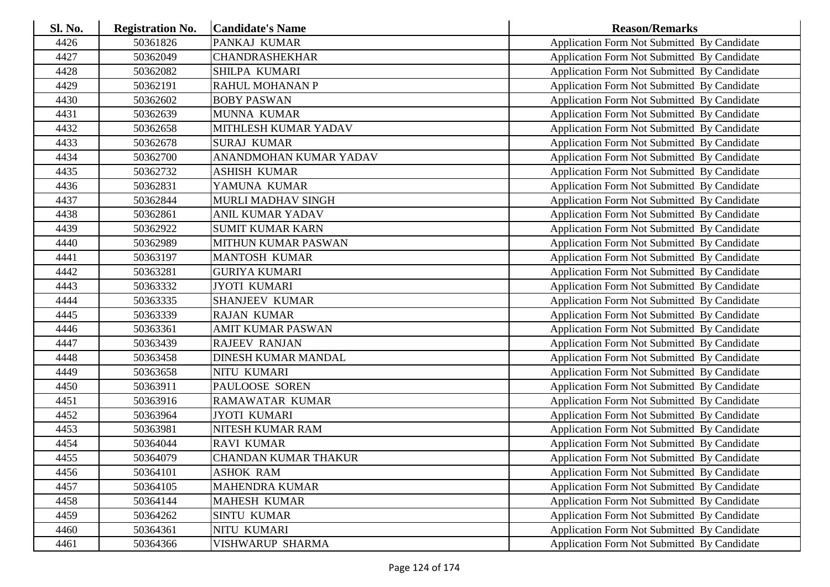| <b>Sl. No.</b> | <b>Registration No.</b> | <b>Candidate's Name</b>     | <b>Reason/Remarks</b>                              |
|----------------|-------------------------|-----------------------------|----------------------------------------------------|
| 4426           | 50361826                | PANKAJ KUMAR                | Application Form Not Submitted By Candidate        |
| 4427           | 50362049                | <b>CHANDRASHEKHAR</b>       | Application Form Not Submitted By Candidate        |
| 4428           | 50362082                | <b>SHILPA KUMARI</b>        | Application Form Not Submitted By Candidate        |
| 4429           | 50362191                | RAHUL MOHANAN P             | Application Form Not Submitted By Candidate        |
| 4430           | 50362602                | <b>BOBY PASWAN</b>          | Application Form Not Submitted By Candidate        |
| 4431           | 50362639                | MUNNA KUMAR                 | Application Form Not Submitted By Candidate        |
| 4432           | 50362658                | MITHLESH KUMAR YADAV        | Application Form Not Submitted By Candidate        |
| 4433           | 50362678                | <b>SURAJ KUMAR</b>          | Application Form Not Submitted By Candidate        |
| 4434           | 50362700                | ANANDMOHAN KUMAR YADAV      | Application Form Not Submitted By Candidate        |
| 4435           | 50362732                | <b>ASHISH KUMAR</b>         | Application Form Not Submitted By Candidate        |
| 4436           | 50362831                | YAMUNA KUMAR                | Application Form Not Submitted By Candidate        |
| 4437           | 50362844                | MURLI MADHAV SINGH          | Application Form Not Submitted By Candidate        |
| 4438           | 50362861                | <b>ANIL KUMAR YADAV</b>     | Application Form Not Submitted By Candidate        |
| 4439           | 50362922                | <b>SUMIT KUMAR KARN</b>     | Application Form Not Submitted By Candidate        |
| 4440           | 50362989                | MITHUN KUMAR PASWAN         | Application Form Not Submitted By Candidate        |
| 4441           | 50363197                | <b>MANTOSH KUMAR</b>        | Application Form Not Submitted By Candidate        |
| 4442           | 50363281                | <b>GURIYA KUMARI</b>        | Application Form Not Submitted By Candidate        |
| 4443           | 50363332                | <b>JYOTI KUMARI</b>         | Application Form Not Submitted By Candidate        |
| 4444           | 50363335                | <b>SHANJEEV KUMAR</b>       | Application Form Not Submitted By Candidate        |
| 4445           | 50363339                | <b>RAJAN KUMAR</b>          | Application Form Not Submitted By Candidate        |
| 4446           | 50363361                | <b>AMIT KUMAR PASWAN</b>    | Application Form Not Submitted By Candidate        |
| 4447           | 50363439                | <b>RAJEEV RANJAN</b>        | Application Form Not Submitted By Candidate        |
| 4448           | 50363458                | <b>DINESH KUMAR MANDAL</b>  | Application Form Not Submitted By Candidate        |
| 4449           | 50363658                | NITU KUMARI                 | Application Form Not Submitted By Candidate        |
| 4450           | 50363911                | PAULOOSE SOREN              | Application Form Not Submitted By Candidate        |
| 4451           | 50363916                | RAMAWATAR KUMAR             | Application Form Not Submitted By Candidate        |
| 4452           | 50363964                | <b>JYOTI KUMARI</b>         | Application Form Not Submitted By Candidate        |
| 4453           | 50363981                | <b>NITESH KUMAR RAM</b>     | Application Form Not Submitted By Candidate        |
| 4454           | 50364044                | <b>RAVI KUMAR</b>           | Application Form Not Submitted By Candidate        |
| 4455           | 50364079                | <b>CHANDAN KUMAR THAKUR</b> | Application Form Not Submitted By Candidate        |
| 4456           | 50364101                | <b>ASHOK RAM</b>            | Application Form Not Submitted By Candidate        |
| 4457           | 50364105                | <b>MAHENDRA KUMAR</b>       | <b>Application Form Not Submitted By Candidate</b> |
| 4458           | 50364144                | <b>MAHESH KUMAR</b>         | Application Form Not Submitted By Candidate        |
| 4459           | 50364262                | <b>SINTU KUMAR</b>          | Application Form Not Submitted By Candidate        |
| 4460           | 50364361                | NITU KUMARI                 | <b>Application Form Not Submitted By Candidate</b> |
| 4461           | 50364366                | VISHWARUP SHARMA            | <b>Application Form Not Submitted By Candidate</b> |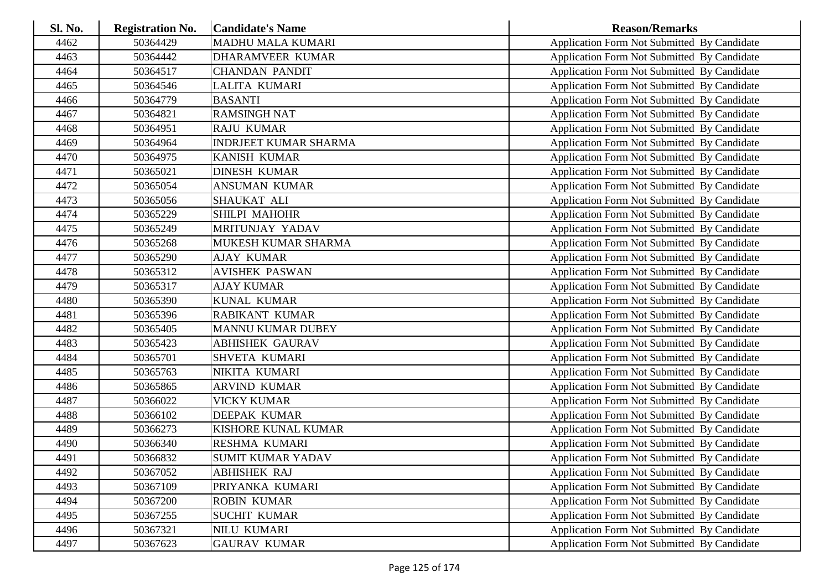| <b>Sl. No.</b> | <b>Registration No.</b> | <b>Candidate's Name</b>      | <b>Reason/Remarks</b>                              |
|----------------|-------------------------|------------------------------|----------------------------------------------------|
| 4462           | 50364429                | <b>MADHU MALA KUMARI</b>     | Application Form Not Submitted By Candidate        |
| 4463           | 50364442                | <b>DHARAMVEER KUMAR</b>      | Application Form Not Submitted By Candidate        |
| 4464           | 50364517                | <b>CHANDAN PANDIT</b>        | Application Form Not Submitted By Candidate        |
| 4465           | 50364546                | LALITA KUMARI                | Application Form Not Submitted By Candidate        |
| 4466           | 50364779                | <b>BASANTI</b>               | Application Form Not Submitted By Candidate        |
| 4467           | 50364821                | <b>RAMSINGH NAT</b>          | Application Form Not Submitted By Candidate        |
| 4468           | 50364951                | <b>RAJU KUMAR</b>            | Application Form Not Submitted By Candidate        |
| 4469           | 50364964                | <b>INDRJEET KUMAR SHARMA</b> | Application Form Not Submitted By Candidate        |
| 4470           | 50364975                | <b>KANISH KUMAR</b>          | Application Form Not Submitted By Candidate        |
| 4471           | 50365021                | <b>DINESH KUMAR</b>          | Application Form Not Submitted By Candidate        |
| 4472           | 50365054                | <b>ANSUMAN KUMAR</b>         | Application Form Not Submitted By Candidate        |
| 4473           | 50365056                | SHAUKAT ALI                  | Application Form Not Submitted By Candidate        |
| 4474           | 50365229                | <b>SHILPI MAHOHR</b>         | Application Form Not Submitted By Candidate        |
| 4475           | 50365249                | MRITUNJAY YADAV              | Application Form Not Submitted By Candidate        |
| 4476           | 50365268                | MUKESH KUMAR SHARMA          | Application Form Not Submitted By Candidate        |
| 4477           | 50365290                | <b>AJAY KUMAR</b>            | Application Form Not Submitted By Candidate        |
| 4478           | 50365312                | <b>AVISHEK PASWAN</b>        | Application Form Not Submitted By Candidate        |
| 4479           | 50365317                | <b>AJAY KUMAR</b>            | Application Form Not Submitted By Candidate        |
| 4480           | 50365390                | <b>KUNAL KUMAR</b>           | Application Form Not Submitted By Candidate        |
| 4481           | 50365396                | <b>RABIKANT KUMAR</b>        | Application Form Not Submitted By Candidate        |
| 4482           | 50365405                | <b>MANNU KUMAR DUBEY</b>     | <b>Application Form Not Submitted By Candidate</b> |
| 4483           | 50365423                | <b>ABHISHEK GAURAV</b>       | Application Form Not Submitted By Candidate        |
| 4484           | 50365701                | <b>SHVETA KUMARI</b>         | Application Form Not Submitted By Candidate        |
| 4485           | 50365763                | NIKITA KUMARI                | Application Form Not Submitted By Candidate        |
| 4486           | 50365865                | <b>ARVIND KUMAR</b>          | Application Form Not Submitted By Candidate        |
| 4487           | 50366022                | <b>VICKY KUMAR</b>           | Application Form Not Submitted By Candidate        |
| 4488           | 50366102                | <b>DEEPAK KUMAR</b>          | Application Form Not Submitted By Candidate        |
| 4489           | 50366273                | <b>KISHORE KUNAL KUMAR</b>   | Application Form Not Submitted By Candidate        |
| 4490           | 50366340                | <b>RESHMA KUMARI</b>         | Application Form Not Submitted By Candidate        |
| 4491           | 50366832                | <b>SUMIT KUMAR YADAV</b>     | Application Form Not Submitted By Candidate        |
| 4492           | 50367052                | <b>ABHISHEK RAJ</b>          | Application Form Not Submitted By Candidate        |
| 4493           | 50367109                | PRIYANKA KUMARI              | <b>Application Form Not Submitted By Candidate</b> |
| 4494           | 50367200                | <b>ROBIN KUMAR</b>           | Application Form Not Submitted By Candidate        |
| 4495           | 50367255                | <b>SUCHIT KUMAR</b>          | Application Form Not Submitted By Candidate        |
| 4496           | 50367321                | <b>NILU KUMARI</b>           | <b>Application Form Not Submitted By Candidate</b> |
| 4497           | 50367623                | <b>GAURAV KUMAR</b>          | Application Form Not Submitted By Candidate        |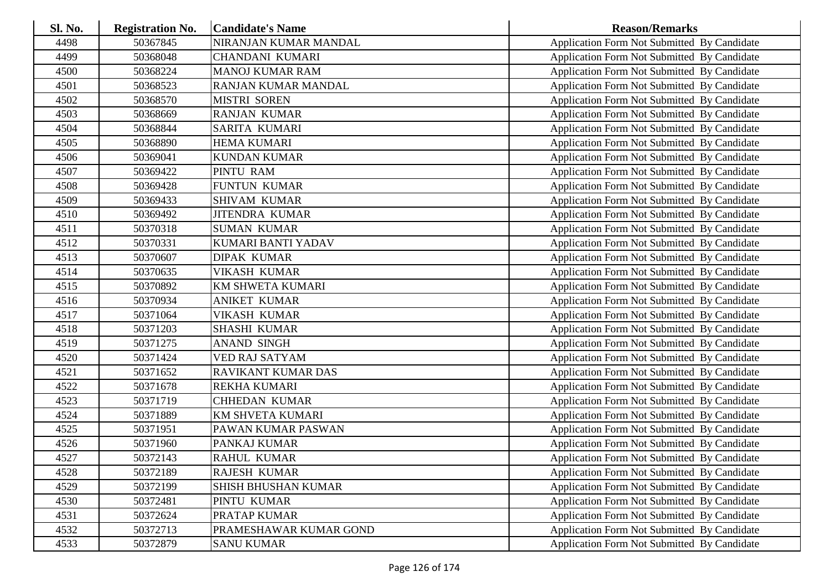| <b>Sl. No.</b> | <b>Registration No.</b> | <b>Candidate's Name</b>    | <b>Reason/Remarks</b>                              |
|----------------|-------------------------|----------------------------|----------------------------------------------------|
| 4498           | 50367845                | NIRANJAN KUMAR MANDAL      | Application Form Not Submitted By Candidate        |
| 4499           | 50368048                | <b>CHANDANI KUMARI</b>     | Application Form Not Submitted By Candidate        |
| 4500           | 50368224                | <b>MANOJ KUMAR RAM</b>     | Application Form Not Submitted By Candidate        |
| 4501           | 50368523                | <b>RANJAN KUMAR MANDAL</b> | Application Form Not Submitted By Candidate        |
| 4502           | 50368570                | <b>MISTRI SOREN</b>        | Application Form Not Submitted By Candidate        |
| 4503           | 50368669                | <b>RANJAN KUMAR</b>        | Application Form Not Submitted By Candidate        |
| 4504           | 50368844                | SARITA KUMARI              | Application Form Not Submitted By Candidate        |
| 4505           | 50368890                | <b>HEMA KUMARI</b>         | Application Form Not Submitted By Candidate        |
| 4506           | 50369041                | <b>KUNDAN KUMAR</b>        | Application Form Not Submitted By Candidate        |
| 4507           | 50369422                | PINTU RAM                  | Application Form Not Submitted By Candidate        |
| 4508           | 50369428                | FUNTUN KUMAR               | Application Form Not Submitted By Candidate        |
| 4509           | 50369433                | <b>SHIVAM KUMAR</b>        | Application Form Not Submitted By Candidate        |
| 4510           | 50369492                | <b>JITENDRA KUMAR</b>      | Application Form Not Submitted By Candidate        |
| 4511           | 50370318                | <b>SUMAN KUMAR</b>         | Application Form Not Submitted By Candidate        |
| 4512           | 50370331                | <b>KUMARI BANTI YADAV</b>  | Application Form Not Submitted By Candidate        |
| 4513           | 50370607                | <b>DIPAK KUMAR</b>         | Application Form Not Submitted By Candidate        |
| 4514           | 50370635                | <b>VIKASH KUMAR</b>        | <b>Application Form Not Submitted By Candidate</b> |
| 4515           | 50370892                | <b>KM SHWETA KUMARI</b>    | Application Form Not Submitted By Candidate        |
| 4516           | 50370934                | <b>ANIKET KUMAR</b>        | Application Form Not Submitted By Candidate        |
| 4517           | 50371064                | <b>VIKASH KUMAR</b>        | Application Form Not Submitted By Candidate        |
| 4518           | 50371203                | <b>SHASHI KUMAR</b>        | Application Form Not Submitted By Candidate        |
| 4519           | 50371275                | <b>ANAND SINGH</b>         | Application Form Not Submitted By Candidate        |
| 4520           | 50371424                | <b>VED RAJ SATYAM</b>      | Application Form Not Submitted By Candidate        |
| 4521           | 50371652                | RAVIKANT KUMAR DAS         | Application Form Not Submitted By Candidate        |
| 4522           | 50371678                | <b>REKHA KUMARI</b>        | Application Form Not Submitted By Candidate        |
| 4523           | 50371719                | <b>CHHEDAN KUMAR</b>       | Application Form Not Submitted By Candidate        |
| 4524           | 50371889                | KM SHVETA KUMARI           | Application Form Not Submitted By Candidate        |
| 4525           | 50371951                | PAWAN KUMAR PASWAN         | Application Form Not Submitted By Candidate        |
| 4526           | 50371960                | PANKAJ KUMAR               | Application Form Not Submitted By Candidate        |
| 4527           | 50372143                | <b>RAHUL KUMAR</b>         | Application Form Not Submitted By Candidate        |
| 4528           | 50372189                | <b>RAJESH KUMAR</b>        | Application Form Not Submitted By Candidate        |
| 4529           | 50372199                | <b>SHISH BHUSHAN KUMAR</b> | Application Form Not Submitted By Candidate        |
| 4530           | 50372481                | PINTU KUMAR                | Application Form Not Submitted By Candidate        |
| 4531           | 50372624                | PRATAP KUMAR               | <b>Application Form Not Submitted By Candidate</b> |
| 4532           | 50372713                | PRAMESHAWAR KUMAR GOND     | <b>Application Form Not Submitted By Candidate</b> |
| 4533           | 50372879                | <b>SANU KUMAR</b>          | Application Form Not Submitted By Candidate        |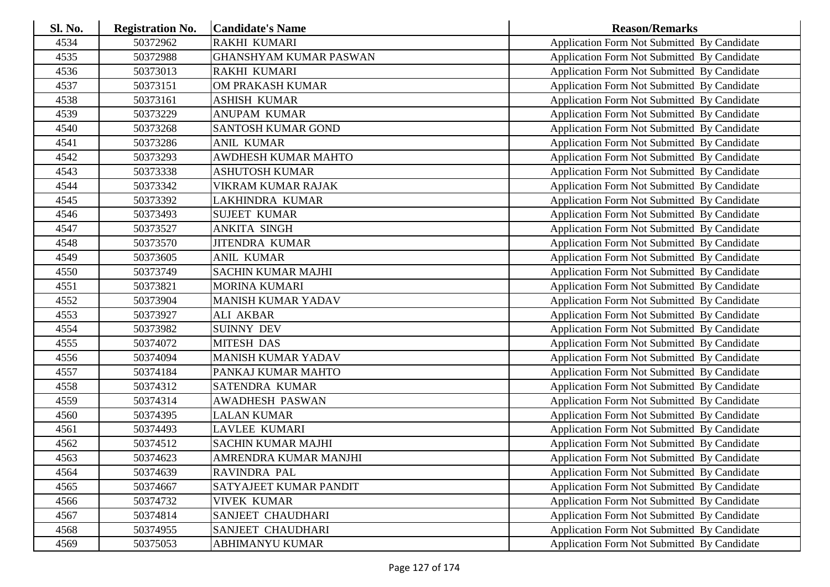| <b>Sl. No.</b> | <b>Registration No.</b> | <b>Candidate's Name</b>       | <b>Reason/Remarks</b>                              |
|----------------|-------------------------|-------------------------------|----------------------------------------------------|
| 4534           | 50372962                | <b>RAKHI KUMARI</b>           | Application Form Not Submitted By Candidate        |
| 4535           | 50372988                | <b>GHANSHYAM KUMAR PASWAN</b> | Application Form Not Submitted By Candidate        |
| 4536           | 50373013                | <b>RAKHI KUMARI</b>           | Application Form Not Submitted By Candidate        |
| 4537           | 50373151                | OM PRAKASH KUMAR              | Application Form Not Submitted By Candidate        |
| 4538           | 50373161                | <b>ASHISH KUMAR</b>           | Application Form Not Submitted By Candidate        |
| 4539           | 50373229                | <b>ANUPAM KUMAR</b>           | Application Form Not Submitted By Candidate        |
| 4540           | 50373268                | <b>SANTOSH KUMAR GOND</b>     | Application Form Not Submitted By Candidate        |
| 4541           | 50373286                | <b>ANIL KUMAR</b>             | Application Form Not Submitted By Candidate        |
| 4542           | 50373293                | <b>AWDHESH KUMAR MAHTO</b>    | Application Form Not Submitted By Candidate        |
| 4543           | 50373338                | <b>ASHUTOSH KUMAR</b>         | Application Form Not Submitted By Candidate        |
| 4544           | 50373342                | VIKRAM KUMAR RAJAK            | Application Form Not Submitted By Candidate        |
| 4545           | 50373392                | LAKHINDRA KUMAR               | Application Form Not Submitted By Candidate        |
| 4546           | 50373493                | <b>SUJEET KUMAR</b>           | Application Form Not Submitted By Candidate        |
| 4547           | 50373527                | <b>ANKITA SINGH</b>           | Application Form Not Submitted By Candidate        |
| 4548           | 50373570                | <b>JITENDRA KUMAR</b>         | Application Form Not Submitted By Candidate        |
| 4549           | 50373605                | <b>ANIL KUMAR</b>             | Application Form Not Submitted By Candidate        |
| 4550           | 50373749                | <b>SACHIN KUMAR MAJHI</b>     | <b>Application Form Not Submitted By Candidate</b> |
| 4551           | 50373821                | <b>MORINA KUMARI</b>          | Application Form Not Submitted By Candidate        |
| 4552           | 50373904                | <b>MANISH KUMAR YADAV</b>     | Application Form Not Submitted By Candidate        |
| 4553           | 50373927                | <b>ALI AKBAR</b>              | Application Form Not Submitted By Candidate        |
| 4554           | 50373982                | <b>SUINNY DEV</b>             | Application Form Not Submitted By Candidate        |
| 4555           | 50374072                | <b>MITESH DAS</b>             | Application Form Not Submitted By Candidate        |
| 4556           | 50374094                | <b>MANISH KUMAR YADAV</b>     | Application Form Not Submitted By Candidate        |
| 4557           | 50374184                | PANKAJ KUMAR MAHTO            | Application Form Not Submitted By Candidate        |
| 4558           | 50374312                | SATENDRA KUMAR                | Application Form Not Submitted By Candidate        |
| 4559           | 50374314                | <b>AWADHESH PASWAN</b>        | Application Form Not Submitted By Candidate        |
| 4560           | 50374395                | <b>LALAN KUMAR</b>            | Application Form Not Submitted By Candidate        |
| 4561           | 50374493                | <b>LAVLEE KUMARI</b>          | Application Form Not Submitted By Candidate        |
| 4562           | 50374512                | <b>SACHIN KUMAR MAJHI</b>     | Application Form Not Submitted By Candidate        |
| 4563           | 50374623                | AMRENDRA KUMAR MANJHI         | Application Form Not Submitted By Candidate        |
| 4564           | 50374639                | RAVINDRA PAL                  | Application Form Not Submitted By Candidate        |
| 4565           | 50374667                | SATYAJEET KUMAR PANDIT        | <b>Application Form Not Submitted By Candidate</b> |
| 4566           | 50374732                | <b>VIVEK KUMAR</b>            | <b>Application Form Not Submitted By Candidate</b> |
| 4567           | 50374814                | SANJEET CHAUDHARI             | Application Form Not Submitted By Candidate        |
| 4568           | 50374955                | SANJEET CHAUDHARI             | <b>Application Form Not Submitted By Candidate</b> |
| 4569           | 50375053                | <b>ABHIMANYU KUMAR</b>        | Application Form Not Submitted By Candidate        |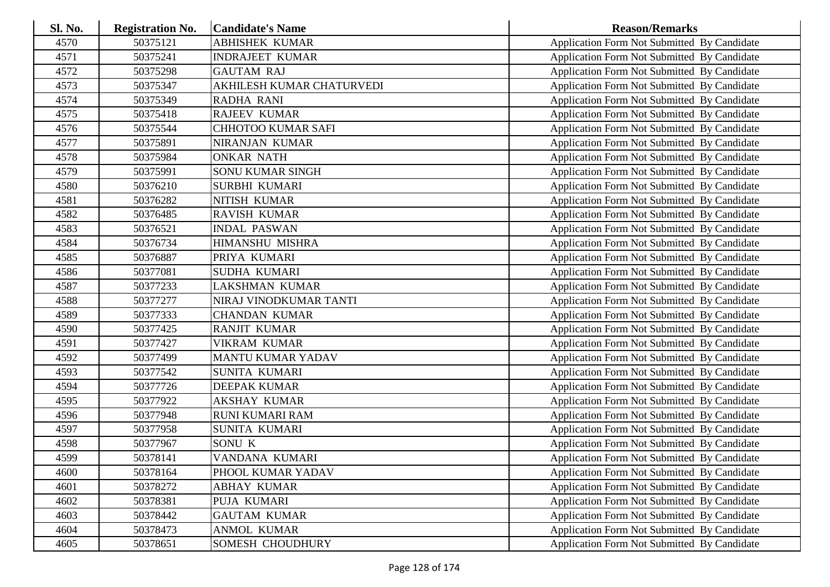| Sl. No. | <b>Registration No.</b> | <b>Candidate's Name</b>   | <b>Reason/Remarks</b>                       |
|---------|-------------------------|---------------------------|---------------------------------------------|
| 4570    | 50375121                | <b>ABHISHEK KUMAR</b>     | Application Form Not Submitted By Candidate |
| 4571    | 50375241                | <b>INDRAJEET KUMAR</b>    | Application Form Not Submitted By Candidate |
| 4572    | 50375298                | <b>GAUTAM RAJ</b>         | Application Form Not Submitted By Candidate |
| 4573    | 50375347                | AKHILESH KUMAR CHATURVEDI | Application Form Not Submitted By Candidate |
| 4574    | 50375349                | RADHA RANI                | Application Form Not Submitted By Candidate |
| 4575    | 50375418                | <b>RAJEEV KUMAR</b>       | Application Form Not Submitted By Candidate |
| 4576    | 50375544                | <b>CHHOTOO KUMAR SAFI</b> | Application Form Not Submitted By Candidate |
| 4577    | 50375891                | NIRANJAN KUMAR            | Application Form Not Submitted By Candidate |
| 4578    | 50375984                | <b>ONKAR NATH</b>         | Application Form Not Submitted By Candidate |
| 4579    | 50375991                | SONU KUMAR SINGH          | Application Form Not Submitted By Candidate |
| 4580    | 50376210                | <b>SURBHI KUMARI</b>      | Application Form Not Submitted By Candidate |
| 4581    | 50376282                | NITISH KUMAR              | Application Form Not Submitted By Candidate |
| 4582    | 50376485                | <b>RAVISH KUMAR</b>       | Application Form Not Submitted By Candidate |
| 4583    | 50376521                | <b>INDAL PASWAN</b>       | Application Form Not Submitted By Candidate |
| 4584    | 50376734                | HIMANSHU MISHRA           | Application Form Not Submitted By Candidate |
| 4585    | 50376887                | PRIYA KUMARI              | Application Form Not Submitted By Candidate |
| 4586    | 50377081                | SUDHA KUMARI              | Application Form Not Submitted By Candidate |
| 4587    | 50377233                | <b>LAKSHMAN KUMAR</b>     | Application Form Not Submitted By Candidate |
| 4588    | 50377277                | NIRAJ VINODKUMAR TANTI    | Application Form Not Submitted By Candidate |
| 4589    | 50377333                | <b>CHANDAN KUMAR</b>      | Application Form Not Submitted By Candidate |
| 4590    | 50377425                | <b>RANJIT KUMAR</b>       | Application Form Not Submitted By Candidate |
| 4591    | 50377427                | <b>VIKRAM KUMAR</b>       | Application Form Not Submitted By Candidate |
| 4592    | 50377499                | <b>MANTU KUMAR YADAV</b>  | Application Form Not Submitted By Candidate |
| 4593    | 50377542                | SUNITA KUMARI             | Application Form Not Submitted By Candidate |
| 4594    | 50377726                | <b>DEEPAK KUMAR</b>       | Application Form Not Submitted By Candidate |
| 4595    | 50377922                | <b>AKSHAY KUMAR</b>       | Application Form Not Submitted By Candidate |
| 4596    | 50377948                | <b>RUNI KUMARI RAM</b>    | Application Form Not Submitted By Candidate |
| 4597    | 50377958                | <b>SUNITA KUMARI</b>      | Application Form Not Submitted By Candidate |
| 4598    | 50377967                | SONU K                    | Application Form Not Submitted By Candidate |
| 4599    | 50378141                | VANDANA KUMARI            | Application Form Not Submitted By Candidate |
| 4600    | 50378164                | PHOOL KUMAR YADAV         | Application Form Not Submitted By Candidate |
| 4601    | 50378272                | <b>ABHAY KUMAR</b>        | Application Form Not Submitted By Candidate |
| 4602    | 50378381                | PUJA KUMARI               | Application Form Not Submitted By Candidate |
| 4603    | 50378442                | <b>GAUTAM KUMAR</b>       | Application Form Not Submitted By Candidate |
| 4604    | 50378473                | <b>ANMOL KUMAR</b>        | Application Form Not Submitted By Candidate |
| 4605    | 50378651                | SOMESH CHOUDHURY          | Application Form Not Submitted By Candidate |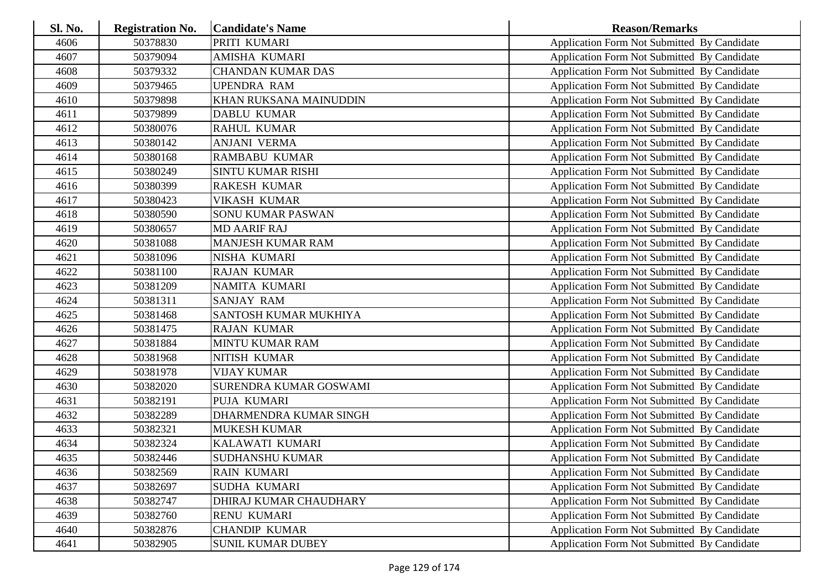| <b>Sl. No.</b> | <b>Registration No.</b> | <b>Candidate's Name</b>  | <b>Reason/Remarks</b>                              |
|----------------|-------------------------|--------------------------|----------------------------------------------------|
| 4606           | 50378830                | PRITI KUMARI             | Application Form Not Submitted By Candidate        |
| 4607           | 50379094                | AMISHA KUMARI            | <b>Application Form Not Submitted By Candidate</b> |
| 4608           | 50379332                | <b>CHANDAN KUMAR DAS</b> | Application Form Not Submitted By Candidate        |
| 4609           | 50379465                | <b>UPENDRA RAM</b>       | Application Form Not Submitted By Candidate        |
| 4610           | 50379898                | KHAN RUKSANA MAINUDDIN   | Application Form Not Submitted By Candidate        |
| 4611           | 50379899                | <b>DABLU KUMAR</b>       | Application Form Not Submitted By Candidate        |
| 4612           | 50380076                | <b>RAHUL KUMAR</b>       | Application Form Not Submitted By Candidate        |
| 4613           | 50380142                | <b>ANJANI VERMA</b>      | Application Form Not Submitted By Candidate        |
| 4614           | 50380168                | <b>RAMBABU KUMAR</b>     | Application Form Not Submitted By Candidate        |
| 4615           | 50380249                | <b>SINTU KUMAR RISHI</b> | Application Form Not Submitted By Candidate        |
| 4616           | 50380399                | <b>RAKESH KUMAR</b>      | Application Form Not Submitted By Candidate        |
| 4617           | 50380423                | <b>VIKASH KUMAR</b>      | Application Form Not Submitted By Candidate        |
| 4618           | 50380590                | <b>SONU KUMAR PASWAN</b> | Application Form Not Submitted By Candidate        |
| 4619           | 50380657                | <b>MD AARIF RAJ</b>      | Application Form Not Submitted By Candidate        |
| 4620           | 50381088                | <b>MANJESH KUMAR RAM</b> | Application Form Not Submitted By Candidate        |
| 4621           | 50381096                | NISHA KUMARI             | Application Form Not Submitted By Candidate        |
| 4622           | 50381100                | <b>RAJAN KUMAR</b>       | <b>Application Form Not Submitted By Candidate</b> |
| 4623           | 50381209                | NAMITA KUMARI            | Application Form Not Submitted By Candidate        |
| 4624           | 50381311                | <b>SANJAY RAM</b>        | Application Form Not Submitted By Candidate        |
| 4625           | 50381468                | SANTOSH KUMAR MUKHIYA    | Application Form Not Submitted By Candidate        |
| 4626           | 50381475                | <b>RAJAN KUMAR</b>       | Application Form Not Submitted By Candidate        |
| 4627           | 50381884                | <b>MINTU KUMAR RAM</b>   | Application Form Not Submitted By Candidate        |
| 4628           | 50381968                | NITISH KUMAR             | Application Form Not Submitted By Candidate        |
| 4629           | 50381978                | <b>VIJAY KUMAR</b>       | Application Form Not Submitted By Candidate        |
| 4630           | 50382020                | SURENDRA KUMAR GOSWAMI   | Application Form Not Submitted By Candidate        |
| 4631           | 50382191                | PUJA KUMARI              | Application Form Not Submitted By Candidate        |
| 4632           | 50382289                | DHARMENDRA KUMAR SINGH   | Application Form Not Submitted By Candidate        |
| 4633           | 50382321                | <b>MUKESH KUMAR</b>      | Application Form Not Submitted By Candidate        |
| 4634           | 50382324                | KALAWATI KUMARI          | Application Form Not Submitted By Candidate        |
| 4635           | 50382446                | <b>SUDHANSHU KUMAR</b>   | Application Form Not Submitted By Candidate        |
| 4636           | 50382569                | <b>RAIN KUMARI</b>       | Application Form Not Submitted By Candidate        |
| 4637           | 50382697                | SUDHA KUMARI             | Application Form Not Submitted By Candidate        |
| 4638           | 50382747                | DHIRAJ KUMAR CHAUDHARY   | Application Form Not Submitted By Candidate        |
| 4639           | 50382760                | <b>RENU KUMARI</b>       | Application Form Not Submitted By Candidate        |
| 4640           | 50382876                | <b>CHANDIP KUMAR</b>     | <b>Application Form Not Submitted By Candidate</b> |
| 4641           | 50382905                | <b>SUNIL KUMAR DUBEY</b> | <b>Application Form Not Submitted By Candidate</b> |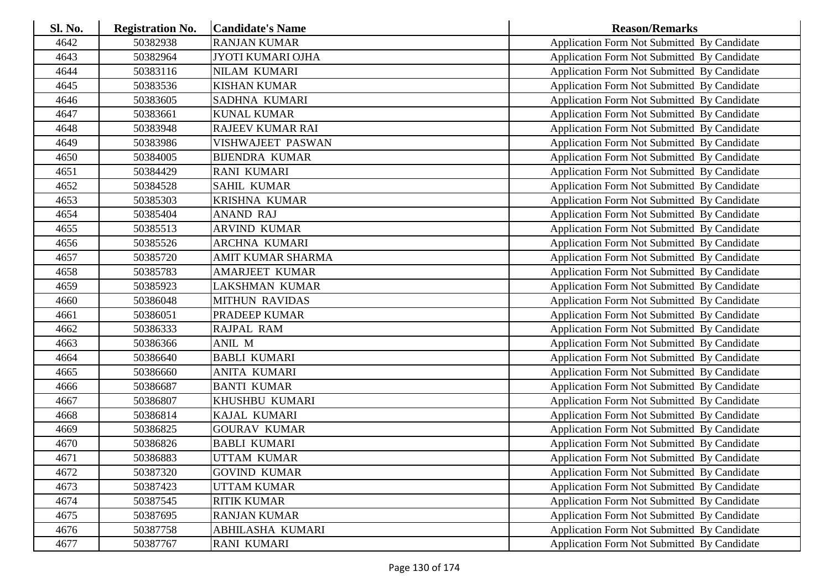| <b>Sl. No.</b> | <b>Registration No.</b> | <b>Candidate's Name</b>  | <b>Reason/Remarks</b>                              |
|----------------|-------------------------|--------------------------|----------------------------------------------------|
| 4642           | 50382938                | <b>RANJAN KUMAR</b>      | Application Form Not Submitted By Candidate        |
| 4643           | 50382964                | JYOTI KUMARI OJHA        | Application Form Not Submitted By Candidate        |
| 4644           | 50383116                | <b>NILAM KUMARI</b>      | Application Form Not Submitted By Candidate        |
| 4645           | 50383536                | <b>KISHAN KUMAR</b>      | Application Form Not Submitted By Candidate        |
| 4646           | 50383605                | SADHNA KUMARI            | Application Form Not Submitted By Candidate        |
| 4647           | 50383661                | <b>KUNAL KUMAR</b>       | Application Form Not Submitted By Candidate        |
| 4648           | 50383948                | RAJEEV KUMAR RAI         | <b>Application Form Not Submitted By Candidate</b> |
| 4649           | 50383986                | VISHWAJEET PASWAN        | Application Form Not Submitted By Candidate        |
| 4650           | 50384005                | <b>BIJENDRA KUMAR</b>    | Application Form Not Submitted By Candidate        |
| 4651           | 50384429                | <b>RANI KUMARI</b>       | Application Form Not Submitted By Candidate        |
| 4652           | 50384528                | <b>SAHIL KUMAR</b>       | Application Form Not Submitted By Candidate        |
| 4653           | 50385303                | <b>KRISHNA KUMAR</b>     | Application Form Not Submitted By Candidate        |
| 4654           | 50385404                | <b>ANAND RAJ</b>         | Application Form Not Submitted By Candidate        |
| 4655           | 50385513                | <b>ARVIND KUMAR</b>      | Application Form Not Submitted By Candidate        |
| 4656           | 50385526                | <b>ARCHNA KUMARI</b>     | Application Form Not Submitted By Candidate        |
| 4657           | 50385720                | <b>AMIT KUMAR SHARMA</b> | Application Form Not Submitted By Candidate        |
| 4658           | 50385783                | AMARJEET KUMAR           | Application Form Not Submitted By Candidate        |
| 4659           | 50385923                | <b>LAKSHMAN KUMAR</b>    | Application Form Not Submitted By Candidate        |
| 4660           | 50386048                | <b>MITHUN RAVIDAS</b>    | <b>Application Form Not Submitted By Candidate</b> |
| 4661           | 50386051                | PRADEEP KUMAR            | Application Form Not Submitted By Candidate        |
| 4662           | 50386333                | <b>RAJPAL RAM</b>        | <b>Application Form Not Submitted By Candidate</b> |
| 4663           | 50386366                | ANIL M                   | Application Form Not Submitted By Candidate        |
| 4664           | 50386640                | <b>BABLI KUMARI</b>      | Application Form Not Submitted By Candidate        |
| 4665           | 50386660                | <b>ANITA KUMARI</b>      | Application Form Not Submitted By Candidate        |
| 4666           | 50386687                | <b>BANTI KUMAR</b>       | Application Form Not Submitted By Candidate        |
| 4667           | 50386807                | KHUSHBU KUMARI           | Application Form Not Submitted By Candidate        |
| 4668           | 50386814                | KAJAL KUMARI             | Application Form Not Submitted By Candidate        |
| 4669           | 50386825                | <b>GOURAV KUMAR</b>      | Application Form Not Submitted By Candidate        |
| 4670           | 50386826                | <b>BABLI KUMARI</b>      | Application Form Not Submitted By Candidate        |
| 4671           | 50386883                | <b>UTTAM KUMAR</b>       | Application Form Not Submitted By Candidate        |
| 4672           | 50387320                | <b>GOVIND KUMAR</b>      | Application Form Not Submitted By Candidate        |
| 4673           | 50387423                | <b>UTTAM KUMAR</b>       | <b>Application Form Not Submitted By Candidate</b> |
| 4674           | 50387545                | <b>RITIK KUMAR</b>       | Application Form Not Submitted By Candidate        |
| 4675           | 50387695                | <b>RANJAN KUMAR</b>      | Application Form Not Submitted By Candidate        |
| 4676           | 50387758                | ABHILASHA KUMARI         | Application Form Not Submitted By Candidate        |
| 4677           | 50387767                | <b>RANI KUMARI</b>       | Application Form Not Submitted By Candidate        |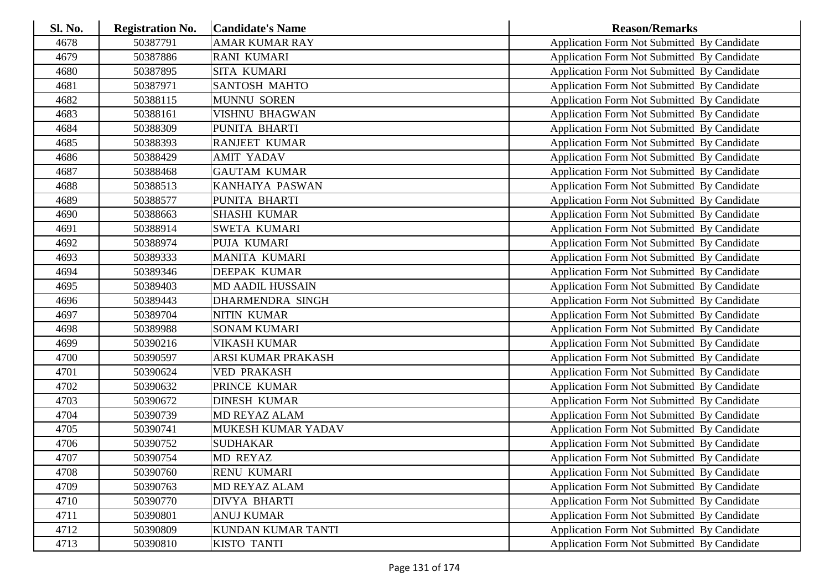| <b>Sl. No.</b> | <b>Registration No.</b> | <b>Candidate's Name</b>   | <b>Reason/Remarks</b>                              |
|----------------|-------------------------|---------------------------|----------------------------------------------------|
| 4678           | 50387791                | <b>AMAR KUMAR RAY</b>     | Application Form Not Submitted By Candidate        |
| 4679           | 50387886                | <b>RANI KUMARI</b>        | Application Form Not Submitted By Candidate        |
| 4680           | 50387895                | <b>SITA KUMARI</b>        | Application Form Not Submitted By Candidate        |
| 4681           | 50387971                | <b>SANTOSH MAHTO</b>      | Application Form Not Submitted By Candidate        |
| 4682           | 50388115                | <b>MUNNU SOREN</b>        | Application Form Not Submitted By Candidate        |
| 4683           | 50388161                | <b>VISHNU BHAGWAN</b>     | Application Form Not Submitted By Candidate        |
| 4684           | 50388309                | PUNITA BHARTI             | Application Form Not Submitted By Candidate        |
| 4685           | 50388393                | <b>RANJEET KUMAR</b>      | Application Form Not Submitted By Candidate        |
| 4686           | 50388429                | <b>AMIT YADAV</b>         | Application Form Not Submitted By Candidate        |
| 4687           | 50388468                | <b>GAUTAM KUMAR</b>       | Application Form Not Submitted By Candidate        |
| 4688           | 50388513                | KANHAIYA PASWAN           | Application Form Not Submitted By Candidate        |
| 4689           | 50388577                | PUNITA BHARTI             | Application Form Not Submitted By Candidate        |
| 4690           | 50388663                | <b>SHASHI KUMAR</b>       | Application Form Not Submitted By Candidate        |
| 4691           | 50388914                | <b>SWETA KUMARI</b>       | <b>Application Form Not Submitted By Candidate</b> |
| 4692           | 50388974                | PUJA KUMARI               | Application Form Not Submitted By Candidate        |
| 4693           | 50389333                | <b>MANITA KUMARI</b>      | Application Form Not Submitted By Candidate        |
| 4694           | 50389346                | <b>DEEPAK KUMAR</b>       | Application Form Not Submitted By Candidate        |
| 4695           | 50389403                | <b>MD AADIL HUSSAIN</b>   | Application Form Not Submitted By Candidate        |
| 4696           | 50389443                | <b>DHARMENDRA SINGH</b>   | <b>Application Form Not Submitted By Candidate</b> |
| 4697           | 50389704                | <b>NITIN KUMAR</b>        | Application Form Not Submitted By Candidate        |
| 4698           | 50389988                | <b>SONAM KUMARI</b>       | <b>Application Form Not Submitted By Candidate</b> |
| 4699           | 50390216                | VIKASH KUMAR              | Application Form Not Submitted By Candidate        |
| 4700           | 50390597                | ARSI KUMAR PRAKASH        | Application Form Not Submitted By Candidate        |
| 4701           | 50390624                | <b>VED PRAKASH</b>        | Application Form Not Submitted By Candidate        |
| 4702           | 50390632                | PRINCE KUMAR              | Application Form Not Submitted By Candidate        |
| 4703           | 50390672                | <b>DINESH KUMAR</b>       | Application Form Not Submitted By Candidate        |
| 4704           | 50390739                | <b>MD REYAZ ALAM</b>      | Application Form Not Submitted By Candidate        |
| 4705           | 50390741                | MUKESH KUMAR YADAV        | Application Form Not Submitted By Candidate        |
| 4706           | 50390752                | <b>SUDHAKAR</b>           | Application Form Not Submitted By Candidate        |
| 4707           | 50390754                | MD REYAZ                  | Application Form Not Submitted By Candidate        |
| 4708           | 50390760                | <b>RENU KUMARI</b>        | Application Form Not Submitted By Candidate        |
| 4709           | 50390763                | <b>MD REYAZ ALAM</b>      | <b>Application Form Not Submitted By Candidate</b> |
| 4710           | 50390770                | <b>DIVYA BHARTI</b>       | Application Form Not Submitted By Candidate        |
| 4711           | 50390801                | <b>ANUJ KUMAR</b>         | Application Form Not Submitted By Candidate        |
| 4712           | 50390809                | <b>KUNDAN KUMAR TANTI</b> | <b>Application Form Not Submitted By Candidate</b> |
| 4713           | 50390810                | <b>KISTO TANTI</b>        | Application Form Not Submitted By Candidate        |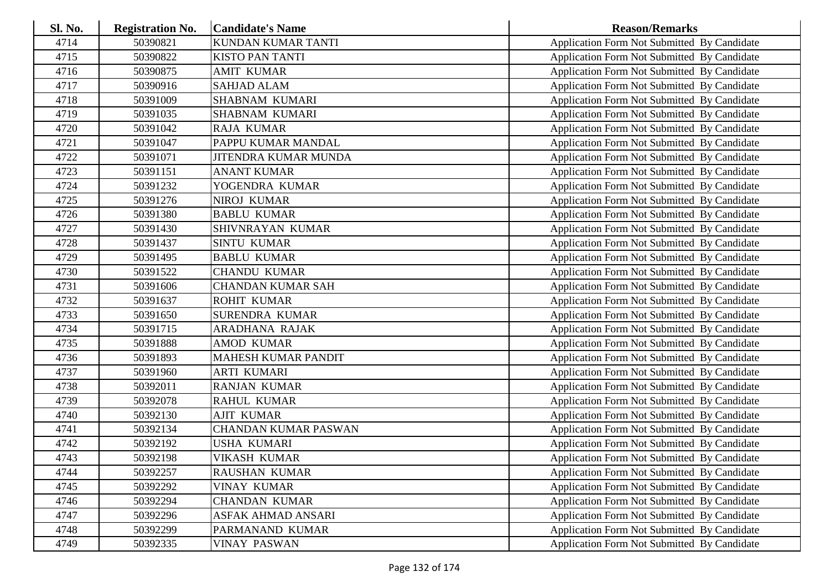| <b>Sl. No.</b> | <b>Registration No.</b> | <b>Candidate's Name</b>     | <b>Reason/Remarks</b>                              |
|----------------|-------------------------|-----------------------------|----------------------------------------------------|
| 4714           | 50390821                | <b>KUNDAN KUMAR TANTI</b>   | Application Form Not Submitted By Candidate        |
| 4715           | 50390822                | <b>KISTO PAN TANTI</b>      | Application Form Not Submitted By Candidate        |
| 4716           | 50390875                | <b>AMIT KUMAR</b>           | Application Form Not Submitted By Candidate        |
| 4717           | 50390916                | <b>SAHJAD ALAM</b>          | <b>Application Form Not Submitted By Candidate</b> |
| 4718           | 50391009                | <b>SHABNAM KUMARI</b>       | Application Form Not Submitted By Candidate        |
| 4719           | 50391035                | <b>SHABNAM KUMARI</b>       | Application Form Not Submitted By Candidate        |
| 4720           | 50391042                | <b>RAJA KUMAR</b>           | Application Form Not Submitted By Candidate        |
| 4721           | 50391047                | PAPPU KUMAR MANDAL          | Application Form Not Submitted By Candidate        |
| 4722           | 50391071                | <b>JITENDRA KUMAR MUNDA</b> | Application Form Not Submitted By Candidate        |
| 4723           | 50391151                | <b>ANANT KUMAR</b>          | Application Form Not Submitted By Candidate        |
| 4724           | 50391232                | YOGENDRA KUMAR              | Application Form Not Submitted By Candidate        |
| 4725           | 50391276                | NIROJ KUMAR                 | Application Form Not Submitted By Candidate        |
| 4726           | 50391380                | <b>BABLU KUMAR</b>          | Application Form Not Submitted By Candidate        |
| 4727           | 50391430                | SHIVNRAYAN KUMAR            | <b>Application Form Not Submitted By Candidate</b> |
| 4728           | 50391437                | <b>SINTU KUMAR</b>          | Application Form Not Submitted By Candidate        |
| 4729           | 50391495                | <b>BABLU KUMAR</b>          | Application Form Not Submitted By Candidate        |
| 4730           | 50391522                | <b>CHANDU KUMAR</b>         | Application Form Not Submitted By Candidate        |
| 4731           | 50391606                | <b>CHANDAN KUMAR SAH</b>    | Application Form Not Submitted By Candidate        |
| 4732           | 50391637                | <b>ROHIT KUMAR</b>          | Application Form Not Submitted By Candidate        |
| 4733           | 50391650                | SURENDRA KUMAR              | Application Form Not Submitted By Candidate        |
| 4734           | 50391715                | ARADHANA RAJAK              | Application Form Not Submitted By Candidate        |
| 4735           | 50391888                | <b>AMOD KUMAR</b>           | Application Form Not Submitted By Candidate        |
| 4736           | 50391893                | <b>MAHESH KUMAR PANDIT</b>  | Application Form Not Submitted By Candidate        |
| 4737           | 50391960                | <b>ARTI KUMARI</b>          | Application Form Not Submitted By Candidate        |
| 4738           | 50392011                | <b>RANJAN KUMAR</b>         | Application Form Not Submitted By Candidate        |
| 4739           | 50392078                | <b>RAHUL KUMAR</b>          | Application Form Not Submitted By Candidate        |
| 4740           | 50392130                | <b>AJIT KUMAR</b>           | Application Form Not Submitted By Candidate        |
| 4741           | 50392134                | CHANDAN KUMAR PASWAN        | Application Form Not Submitted By Candidate        |
| 4742           | 50392192                | <b>USHA KUMARI</b>          | Application Form Not Submitted By Candidate        |
| 4743           | 50392198                | <b>VIKASH KUMAR</b>         | Application Form Not Submitted By Candidate        |
| 4744           | 50392257                | <b>RAUSHAN KUMAR</b>        | Application Form Not Submitted By Candidate        |
| 4745           | 50392292                | <b>VINAY KUMAR</b>          | Application Form Not Submitted By Candidate        |
| 4746           | 50392294                | <b>CHANDAN KUMAR</b>        | <b>Application Form Not Submitted By Candidate</b> |
| 4747           | 50392296                | ASFAK AHMAD ANSARI          | Application Form Not Submitted By Candidate        |
| 4748           | 50392299                | PARMANAND KUMAR             | <b>Application Form Not Submitted By Candidate</b> |
| 4749           | 50392335                | <b>VINAY PASWAN</b>         | Application Form Not Submitted By Candidate        |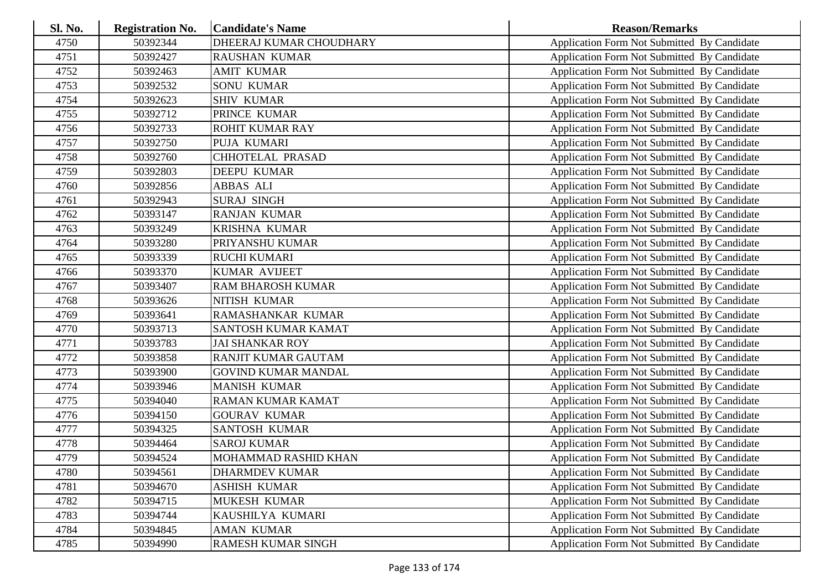| <b>Sl. No.</b> | <b>Registration No.</b> | <b>Candidate's Name</b>    | <b>Reason/Remarks</b>                              |
|----------------|-------------------------|----------------------------|----------------------------------------------------|
| 4750           | 50392344                | DHEERAJ KUMAR CHOUDHARY    | Application Form Not Submitted By Candidate        |
| 4751           | 50392427                | <b>RAUSHAN KUMAR</b>       | Application Form Not Submitted By Candidate        |
| 4752           | 50392463                | <b>AMIT KUMAR</b>          | Application Form Not Submitted By Candidate        |
| 4753           | 50392532                | <b>SONU KUMAR</b>          | Application Form Not Submitted By Candidate        |
| 4754           | 50392623                | <b>SHIV KUMAR</b>          | Application Form Not Submitted By Candidate        |
| 4755           | 50392712                | PRINCE KUMAR               | Application Form Not Submitted By Candidate        |
| 4756           | 50392733                | <b>ROHIT KUMAR RAY</b>     | Application Form Not Submitted By Candidate        |
| 4757           | 50392750                | PUJA KUMARI                | Application Form Not Submitted By Candidate        |
| 4758           | 50392760                | CHHOTELAL PRASAD           | Application Form Not Submitted By Candidate        |
| 4759           | 50392803                | <b>DEEPU KUMAR</b>         | Application Form Not Submitted By Candidate        |
| 4760           | 50392856                | <b>ABBAS ALI</b>           | Application Form Not Submitted By Candidate        |
| 4761           | 50392943                | <b>SURAJ SINGH</b>         | Application Form Not Submitted By Candidate        |
| 4762           | 50393147                | <b>RANJAN KUMAR</b>        | Application Form Not Submitted By Candidate        |
| 4763           | 50393249                | <b>KRISHNA KUMAR</b>       | Application Form Not Submitted By Candidate        |
| 4764           | 50393280                | PRIYANSHU KUMAR            | Application Form Not Submitted By Candidate        |
| 4765           | 50393339                | <b>RUCHI KUMARI</b>        | Application Form Not Submitted By Candidate        |
| 4766           | 50393370                | <b>KUMAR AVIJEET</b>       | Application Form Not Submitted By Candidate        |
| 4767           | 50393407                | <b>RAM BHAROSH KUMAR</b>   | Application Form Not Submitted By Candidate        |
| 4768           | 50393626                | NITISH KUMAR               | Application Form Not Submitted By Candidate        |
| 4769           | 50393641                | RAMASHANKAR KUMAR          | Application Form Not Submitted By Candidate        |
| 4770           | 50393713                | SANTOSH KUMAR KAMAT        | Application Form Not Submitted By Candidate        |
| 4771           | 50393783                | <b>JAI SHANKAR ROY</b>     | Application Form Not Submitted By Candidate        |
| 4772           | 50393858                | <b>RANJIT KUMAR GAUTAM</b> | Application Form Not Submitted By Candidate        |
| 4773           | 50393900                | <b>GOVIND KUMAR MANDAL</b> | Application Form Not Submitted By Candidate        |
| 4774           | 50393946                | <b>MANISH KUMAR</b>        | Application Form Not Submitted By Candidate        |
| 4775           | 50394040                | <b>RAMAN KUMAR KAMAT</b>   | Application Form Not Submitted By Candidate        |
| 4776           | 50394150                | <b>GOURAV KUMAR</b>        | Application Form Not Submitted By Candidate        |
| 4777           | 50394325                | <b>SANTOSH KUMAR</b>       | Application Form Not Submitted By Candidate        |
| 4778           | 50394464                | <b>SAROJ KUMAR</b>         | Application Form Not Submitted By Candidate        |
| 4779           | 50394524                | MOHAMMAD RASHID KHAN       | Application Form Not Submitted By Candidate        |
| 4780           | 50394561                | <b>DHARMDEV KUMAR</b>      | Application Form Not Submitted By Candidate        |
| 4781           | 50394670                | <b>ASHISH KUMAR</b>        | <b>Application Form Not Submitted By Candidate</b> |
| 4782           | 50394715                | MUKESH KUMAR               | <b>Application Form Not Submitted By Candidate</b> |
| 4783           | 50394744                | KAUSHILYA KUMARI           | Application Form Not Submitted By Candidate        |
| 4784           | 50394845                | <b>AMAN KUMAR</b>          | <b>Application Form Not Submitted By Candidate</b> |
| 4785           | 50394990                | RAMESH KUMAR SINGH         | Application Form Not Submitted By Candidate        |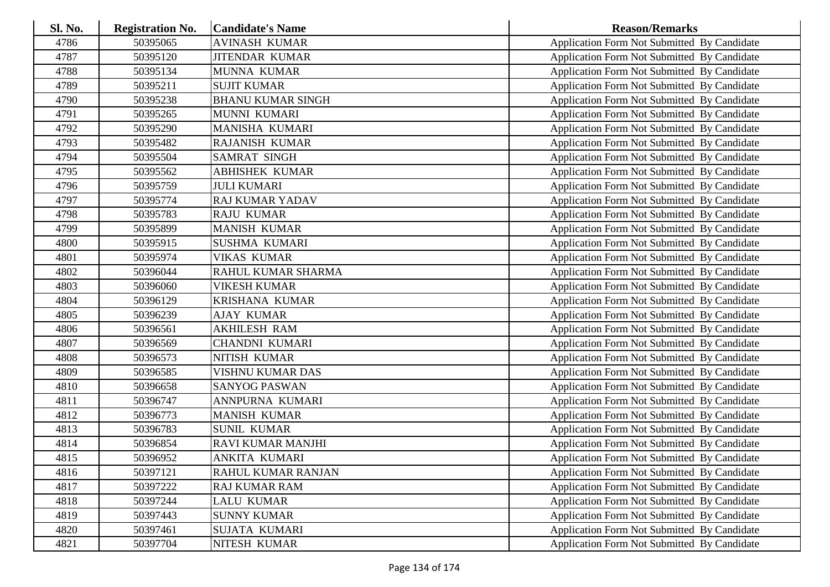| <b>Sl. No.</b> | <b>Registration No.</b> | <b>Candidate's Name</b>  | <b>Reason/Remarks</b>                              |
|----------------|-------------------------|--------------------------|----------------------------------------------------|
| 4786           | 50395065                | <b>AVINASH KUMAR</b>     | Application Form Not Submitted By Candidate        |
| 4787           | 50395120                | <b>JITENDAR KUMAR</b>    | Application Form Not Submitted By Candidate        |
| 4788           | 50395134                | <b>MUNNA KUMAR</b>       | Application Form Not Submitted By Candidate        |
| 4789           | 50395211                | <b>SUJIT KUMAR</b>       | Application Form Not Submitted By Candidate        |
| 4790           | 50395238                | <b>BHANU KUMAR SINGH</b> | Application Form Not Submitted By Candidate        |
| 4791           | 50395265                | MUNNI KUMARI             | Application Form Not Submitted By Candidate        |
| 4792           | 50395290                | MANISHA KUMARI           | Application Form Not Submitted By Candidate        |
| 4793           | 50395482                | <b>RAJANISH KUMAR</b>    | Application Form Not Submitted By Candidate        |
| 4794           | 50395504                | <b>SAMRAT SINGH</b>      | Application Form Not Submitted By Candidate        |
| 4795           | 50395562                | <b>ABHISHEK KUMAR</b>    | Application Form Not Submitted By Candidate        |
| 4796           | 50395759                | <b>JULI KUMARI</b>       | Application Form Not Submitted By Candidate        |
| 4797           | 50395774                | <b>RAJ KUMAR YADAV</b>   | Application Form Not Submitted By Candidate        |
| 4798           | 50395783                | <b>RAJU KUMAR</b>        | Application Form Not Submitted By Candidate        |
| 4799           | 50395899                | <b>MANISH KUMAR</b>      | Application Form Not Submitted By Candidate        |
| 4800           | 50395915                | <b>SUSHMA KUMARI</b>     | Application Form Not Submitted By Candidate        |
| 4801           | 50395974                | <b>VIKAS KUMAR</b>       | Application Form Not Submitted By Candidate        |
| 4802           | 50396044                | RAHUL KUMAR SHARMA       | Application Form Not Submitted By Candidate        |
| 4803           | 50396060                | <b>VIKESH KUMAR</b>      | Application Form Not Submitted By Candidate        |
| 4804           | 50396129                | <b>KRISHANA KUMAR</b>    | Application Form Not Submitted By Candidate        |
| 4805           | 50396239                | <b>AJAY KUMAR</b>        | Application Form Not Submitted By Candidate        |
| 4806           | 50396561                | <b>AKHILESH RAM</b>      | Application Form Not Submitted By Candidate        |
| 4807           | 50396569                | <b>CHANDNI KUMARI</b>    | Application Form Not Submitted By Candidate        |
| 4808           | 50396573                | NITISH KUMAR             | Application Form Not Submitted By Candidate        |
| 4809           | 50396585                | VISHNU KUMAR DAS         | Application Form Not Submitted By Candidate        |
| 4810           | 50396658                | <b>SANYOG PASWAN</b>     | Application Form Not Submitted By Candidate        |
| 4811           | 50396747                | ANNPURNA KUMARI          | Application Form Not Submitted By Candidate        |
| 4812           | 50396773                | <b>MANISH KUMAR</b>      | Application Form Not Submitted By Candidate        |
| 4813           | 50396783                | <b>SUNIL KUMAR</b>       | Application Form Not Submitted By Candidate        |
| 4814           | 50396854                | <b>RAVI KUMAR MANJHI</b> | Application Form Not Submitted By Candidate        |
| 4815           | 50396952                | ANKITA KUMARI            | Application Form Not Submitted By Candidate        |
| 4816           | 50397121                | RAHUL KUMAR RANJAN       | Application Form Not Submitted By Candidate        |
| 4817           | 50397222                | <b>RAJ KUMAR RAM</b>     | Application Form Not Submitted By Candidate        |
| 4818           | 50397244                | <b>LALU KUMAR</b>        | Application Form Not Submitted By Candidate        |
| 4819           | 50397443                | <b>SUNNY KUMAR</b>       | Application Form Not Submitted By Candidate        |
| 4820           | 50397461                | <b>SUJATA KUMARI</b>     | <b>Application Form Not Submitted By Candidate</b> |
| 4821           | 50397704                | NITESH KUMAR             | Application Form Not Submitted By Candidate        |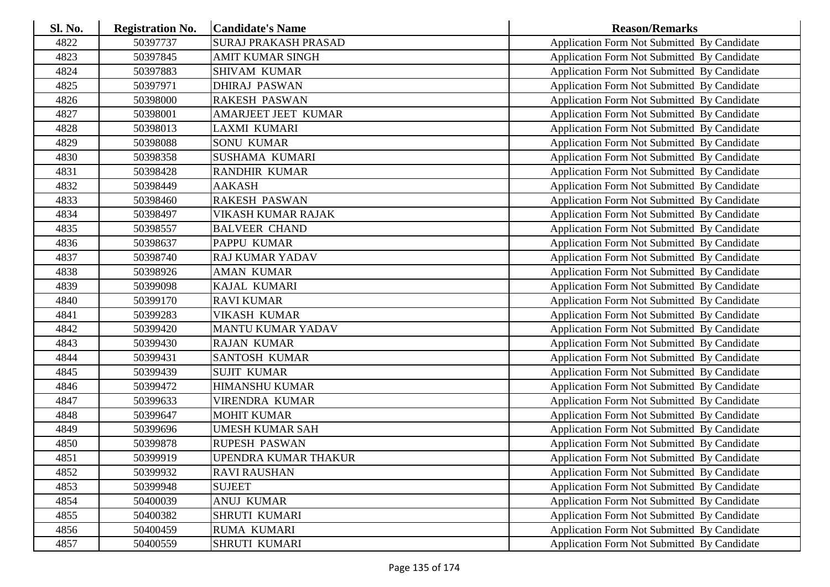| <b>Sl. No.</b> | <b>Registration No.</b> | <b>Candidate's Name</b>     | <b>Reason/Remarks</b>                              |
|----------------|-------------------------|-----------------------------|----------------------------------------------------|
| 4822           | 50397737                | <b>SURAJ PRAKASH PRASAD</b> | Application Form Not Submitted By Candidate        |
| 4823           | 50397845                | <b>AMIT KUMAR SINGH</b>     | Application Form Not Submitted By Candidate        |
| 4824           | 50397883                | <b>SHIVAM KUMAR</b>         | Application Form Not Submitted By Candidate        |
| 4825           | 50397971                | <b>DHIRAJ PASWAN</b>        | Application Form Not Submitted By Candidate        |
| 4826           | 50398000                | <b>RAKESH PASWAN</b>        | Application Form Not Submitted By Candidate        |
| 4827           | 50398001                | AMARJEET JEET KUMAR         | Application Form Not Submitted By Candidate        |
| 4828           | 50398013                | LAXMI KUMARI                | Application Form Not Submitted By Candidate        |
| 4829           | 50398088                | <b>SONU KUMAR</b>           | Application Form Not Submitted By Candidate        |
| 4830           | 50398358                | <b>SUSHAMA KUMARI</b>       | Application Form Not Submitted By Candidate        |
| 4831           | 50398428                | <b>RANDHIR KUMAR</b>        | Application Form Not Submitted By Candidate        |
| 4832           | 50398449                | <b>AAKASH</b>               | Application Form Not Submitted By Candidate        |
| 4833           | 50398460                | <b>RAKESH PASWAN</b>        | Application Form Not Submitted By Candidate        |
| 4834           | 50398497                | VIKASH KUMAR RAJAK          | Application Form Not Submitted By Candidate        |
| 4835           | 50398557                | <b>BALVEER CHAND</b>        | Application Form Not Submitted By Candidate        |
| 4836           | 50398637                | PAPPU KUMAR                 | Application Form Not Submitted By Candidate        |
| 4837           | 50398740                | <b>RAJ KUMAR YADAV</b>      | Application Form Not Submitted By Candidate        |
| 4838           | 50398926                | <b>AMAN KUMAR</b>           | Application Form Not Submitted By Candidate        |
| 4839           | 50399098                | KAJAL KUMARI                | Application Form Not Submitted By Candidate        |
| 4840           | 50399170                | <b>RAVI KUMAR</b>           | Application Form Not Submitted By Candidate        |
| 4841           | 50399283                | <b>VIKASH KUMAR</b>         | Application Form Not Submitted By Candidate        |
| 4842           | 50399420                | <b>MANTU KUMAR YADAV</b>    | <b>Application Form Not Submitted By Candidate</b> |
| 4843           | 50399430                | <b>RAJAN KUMAR</b>          | Application Form Not Submitted By Candidate        |
| 4844           | 50399431                | <b>SANTOSH KUMAR</b>        | Application Form Not Submitted By Candidate        |
| 4845           | 50399439                | <b>SUJIT KUMAR</b>          | Application Form Not Submitted By Candidate        |
| 4846           | 50399472                | <b>HIMANSHU KUMAR</b>       | Application Form Not Submitted By Candidate        |
| 4847           | 50399633                | <b>VIRENDRA KUMAR</b>       | Application Form Not Submitted By Candidate        |
| 4848           | 50399647                | <b>MOHIT KUMAR</b>          | Application Form Not Submitted By Candidate        |
| 4849           | 50399696                | <b>UMESH KUMAR SAH</b>      | Application Form Not Submitted By Candidate        |
| 4850           | 50399878                | <b>RUPESH PASWAN</b>        | Application Form Not Submitted By Candidate        |
| 4851           | 50399919                | UPENDRA KUMAR THAKUR        | Application Form Not Submitted By Candidate        |
| 4852           | 50399932                | <b>RAVI RAUSHAN</b>         | Application Form Not Submitted By Candidate        |
| 4853           | 50399948                | <b>SUJEET</b>               | <b>Application Form Not Submitted By Candidate</b> |
| 4854           | 50400039                | <b>ANUJ KUMAR</b>           | <b>Application Form Not Submitted By Candidate</b> |
| 4855           | 50400382                | <b>SHRUTI KUMARI</b>        | Application Form Not Submitted By Candidate        |
| 4856           | 50400459                | RUMA KUMARI                 | Application Form Not Submitted By Candidate        |
| 4857           | 50400559                | SHRUTI KUMARI               | Application Form Not Submitted By Candidate        |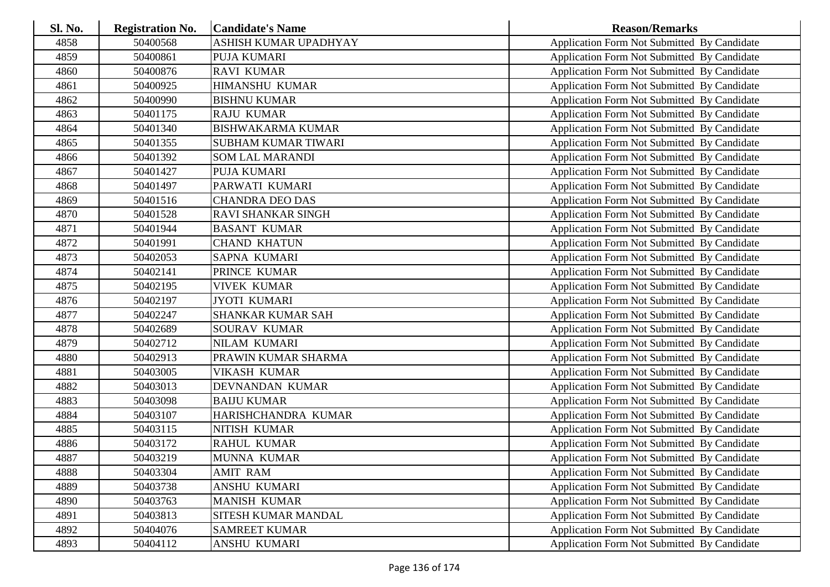| <b>Sl. No.</b> | <b>Registration No.</b> | <b>Candidate's Name</b>    | <b>Reason/Remarks</b>                              |
|----------------|-------------------------|----------------------------|----------------------------------------------------|
| 4858           | 50400568                | ASHISH KUMAR UPADHYAY      | Application Form Not Submitted By Candidate        |
| 4859           | 50400861                | <b>PUJA KUMARI</b>         | Application Form Not Submitted By Candidate        |
| 4860           | 50400876                | <b>RAVI KUMAR</b>          | Application Form Not Submitted By Candidate        |
| 4861           | 50400925                | HIMANSHU KUMAR             | Application Form Not Submitted By Candidate        |
| 4862           | 50400990                | <b>BISHNU KUMAR</b>        | Application Form Not Submitted By Candidate        |
| 4863           | 50401175                | <b>RAJU KUMAR</b>          | Application Form Not Submitted By Candidate        |
| 4864           | 50401340                | <b>BISHWAKARMA KUMAR</b>   | Application Form Not Submitted By Candidate        |
| 4865           | 50401355                | <b>SUBHAM KUMAR TIWARI</b> | Application Form Not Submitted By Candidate        |
| 4866           | 50401392                | <b>SOM LAL MARANDI</b>     | Application Form Not Submitted By Candidate        |
| 4867           | 50401427                | <b>PUJA KUMARI</b>         | Application Form Not Submitted By Candidate        |
| 4868           | 50401497                | PARWATI KUMARI             | Application Form Not Submitted By Candidate        |
| 4869           | 50401516                | <b>CHANDRA DEO DAS</b>     | Application Form Not Submitted By Candidate        |
| 4870           | 50401528                | <b>RAVI SHANKAR SINGH</b>  | Application Form Not Submitted By Candidate        |
| 4871           | 50401944                | <b>BASANT KUMAR</b>        | <b>Application Form Not Submitted By Candidate</b> |
| 4872           | 50401991                | <b>CHAND KHATUN</b>        | Application Form Not Submitted By Candidate        |
| 4873           | 50402053                | SAPNA KUMARI               | Application Form Not Submitted By Candidate        |
| 4874           | 50402141                | PRINCE KUMAR               | Application Form Not Submitted By Candidate        |
| 4875           | 50402195                | <b>VIVEK KUMAR</b>         | Application Form Not Submitted By Candidate        |
| 4876           | 50402197                | <b>JYOTI KUMARI</b>        | <b>Application Form Not Submitted By Candidate</b> |
| 4877           | 50402247                | <b>SHANKAR KUMAR SAH</b>   | Application Form Not Submitted By Candidate        |
| 4878           | 50402689                | <b>SOURAV KUMAR</b>        | <b>Application Form Not Submitted By Candidate</b> |
| 4879           | 50402712                | <b>NILAM KUMARI</b>        | Application Form Not Submitted By Candidate        |
| 4880           | 50402913                | PRAWIN KUMAR SHARMA        | Application Form Not Submitted By Candidate        |
| 4881           | 50403005                | VIKASH KUMAR               | Application Form Not Submitted By Candidate        |
| 4882           | 50403013                | DEVNANDAN KUMAR            | Application Form Not Submitted By Candidate        |
| 4883           | 50403098                | <b>BAIJU KUMAR</b>         | Application Form Not Submitted By Candidate        |
| 4884           | 50403107                | HARISHCHANDRA KUMAR        | Application Form Not Submitted By Candidate        |
| 4885           | 50403115                | NITISH KUMAR               | Application Form Not Submitted By Candidate        |
| 4886           | 50403172                | <b>RAHUL KUMAR</b>         | Application Form Not Submitted By Candidate        |
| 4887           | 50403219                | MUNNA KUMAR                | Application Form Not Submitted By Candidate        |
| 4888           | 50403304                | <b>AMIT RAM</b>            | Application Form Not Submitted By Candidate        |
| 4889           | 50403738                | ANSHU KUMARI               | <b>Application Form Not Submitted By Candidate</b> |
| 4890           | 50403763                | <b>MANISH KUMAR</b>        | <b>Application Form Not Submitted By Candidate</b> |
| 4891           | 50403813                | SITESH KUMAR MANDAL        | Application Form Not Submitted By Candidate        |
| 4892           | 50404076                | <b>SAMREET KUMAR</b>       | <b>Application Form Not Submitted By Candidate</b> |
| 4893           | 50404112                | ANSHU KUMARI               | Application Form Not Submitted By Candidate        |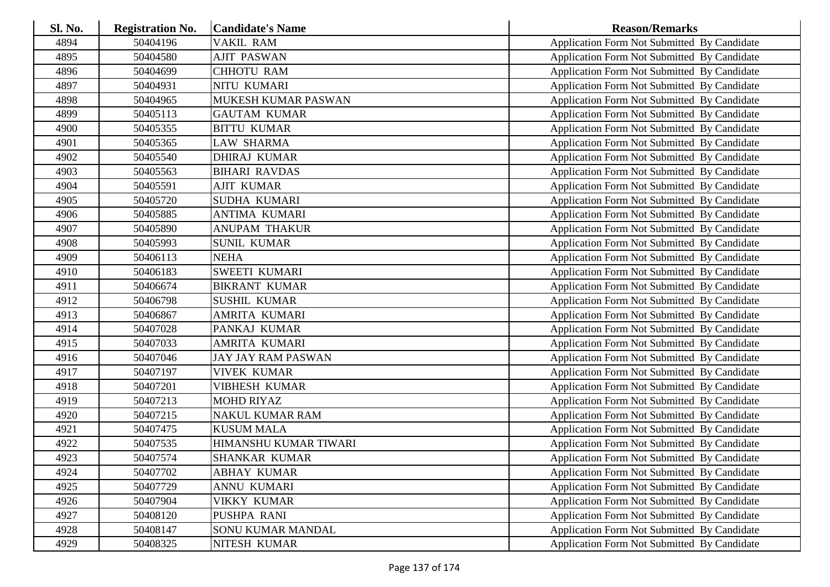| <b>Sl. No.</b> | <b>Registration No.</b> | <b>Candidate's Name</b>   | <b>Reason/Remarks</b>                              |
|----------------|-------------------------|---------------------------|----------------------------------------------------|
| 4894           | 50404196                | <b>VAKIL RAM</b>          | Application Form Not Submitted By Candidate        |
| 4895           | 50404580                | <b>AJIT PASWAN</b>        | Application Form Not Submitted By Candidate        |
| 4896           | 50404699                | <b>CHHOTU RAM</b>         | Application Form Not Submitted By Candidate        |
| 4897           | 50404931                | NITU KUMARI               | Application Form Not Submitted By Candidate        |
| 4898           | 50404965                | MUKESH KUMAR PASWAN       | Application Form Not Submitted By Candidate        |
| 4899           | 50405113                | <b>GAUTAM KUMAR</b>       | Application Form Not Submitted By Candidate        |
| 4900           | 50405355                | <b>BITTU KUMAR</b>        | Application Form Not Submitted By Candidate        |
| 4901           | 50405365                | <b>LAW SHARMA</b>         | Application Form Not Submitted By Candidate        |
| 4902           | 50405540                | <b>DHIRAJ KUMAR</b>       | Application Form Not Submitted By Candidate        |
| 4903           | 50405563                | <b>BIHARI RAVDAS</b>      | Application Form Not Submitted By Candidate        |
| 4904           | 50405591                | <b>AJIT KUMAR</b>         | Application Form Not Submitted By Candidate        |
| 4905           | 50405720                | SUDHA KUMARI              | Application Form Not Submitted By Candidate        |
| 4906           | 50405885                | <b>ANTIMA KUMARI</b>      | Application Form Not Submitted By Candidate        |
| 4907           | 50405890                | <b>ANUPAM THAKUR</b>      | Application Form Not Submitted By Candidate        |
| 4908           | 50405993                | <b>SUNIL KUMAR</b>        | Application Form Not Submitted By Candidate        |
| 4909           | 50406113                | <b>NEHA</b>               | Application Form Not Submitted By Candidate        |
| 4910           | 50406183                | <b>SWEETI KUMARI</b>      | Application Form Not Submitted By Candidate        |
| 4911           | 50406674                | <b>BIKRANT KUMAR</b>      | Application Form Not Submitted By Candidate        |
| 4912           | 50406798                | <b>SUSHIL KUMAR</b>       | Application Form Not Submitted By Candidate        |
| 4913           | 50406867                | AMRITA KUMARI             | Application Form Not Submitted By Candidate        |
| 4914           | 50407028                | PANKAJ KUMAR              | <b>Application Form Not Submitted By Candidate</b> |
| 4915           | 50407033                | AMRITA KUMARI             | Application Form Not Submitted By Candidate        |
| 4916           | 50407046                | <b>JAY JAY RAM PASWAN</b> | Application Form Not Submitted By Candidate        |
| 4917           | 50407197                | <b>VIVEK KUMAR</b>        | Application Form Not Submitted By Candidate        |
| 4918           | 50407201                | <b>VIBHESH KUMAR</b>      | Application Form Not Submitted By Candidate        |
| 4919           | 50407213                | <b>MOHD RIYAZ</b>         | Application Form Not Submitted By Candidate        |
| 4920           | 50407215                | <b>NAKUL KUMAR RAM</b>    | Application Form Not Submitted By Candidate        |
| 4921           | 50407475                | <b>KUSUM MALA</b>         | Application Form Not Submitted By Candidate        |
| 4922           | 50407535                | HIMANSHU KUMAR TIWARI     | Application Form Not Submitted By Candidate        |
| 4923           | 50407574                | <b>SHANKAR KUMAR</b>      | Application Form Not Submitted By Candidate        |
| 4924           | 50407702                | <b>ABHAY KUMAR</b>        | Application Form Not Submitted By Candidate        |
| 4925           | 50407729                | ANNU KUMARI               | <b>Application Form Not Submitted By Candidate</b> |
| 4926           | 50407904                | <b>VIKKY KUMAR</b>        | Application Form Not Submitted By Candidate        |
| 4927           | 50408120                | PUSHPA RANI               | Application Form Not Submitted By Candidate        |
| 4928           | 50408147                | SONU KUMAR MANDAL         | <b>Application Form Not Submitted By Candidate</b> |
| 4929           | 50408325                | NITESH KUMAR              | Application Form Not Submitted By Candidate        |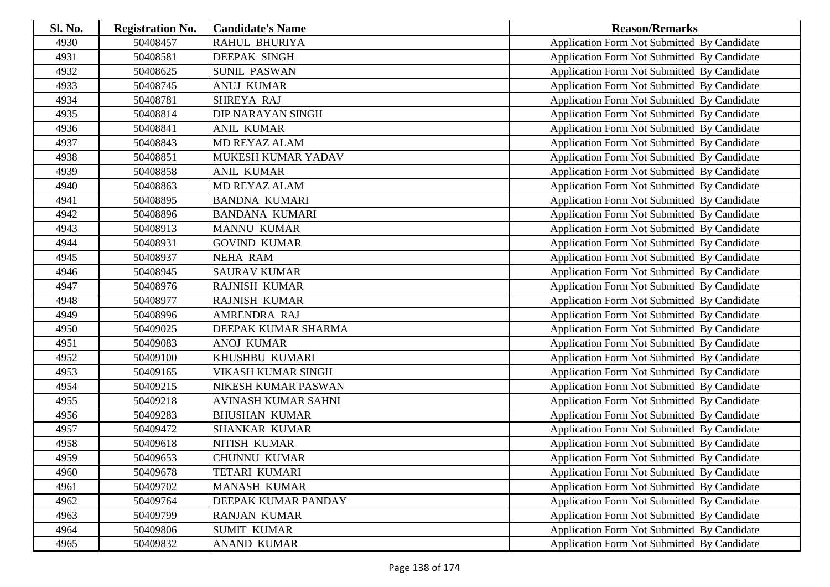| <b>Sl. No.</b> | <b>Registration No.</b> | <b>Candidate's Name</b>  | <b>Reason/Remarks</b>                              |
|----------------|-------------------------|--------------------------|----------------------------------------------------|
| 4930           | 50408457                | <b>RAHUL BHURIYA</b>     | Application Form Not Submitted By Candidate        |
| 4931           | 50408581                | <b>DEEPAK SINGH</b>      | Application Form Not Submitted By Candidate        |
| 4932           | 50408625                | <b>SUNIL PASWAN</b>      | Application Form Not Submitted By Candidate        |
| 4933           | 50408745                | <b>ANUJ KUMAR</b>        | Application Form Not Submitted By Candidate        |
| 4934           | 50408781                | <b>SHREYA RAJ</b>        | Application Form Not Submitted By Candidate        |
| 4935           | 50408814                | <b>DIP NARAYAN SINGH</b> | Application Form Not Submitted By Candidate        |
| 4936           | 50408841                | <b>ANIL KUMAR</b>        | Application Form Not Submitted By Candidate        |
| 4937           | 50408843                | <b>MD REYAZ ALAM</b>     | Application Form Not Submitted By Candidate        |
| 4938           | 50408851                | MUKESH KUMAR YADAV       | <b>Application Form Not Submitted By Candidate</b> |
| 4939           | 50408858                | <b>ANIL KUMAR</b>        | Application Form Not Submitted By Candidate        |
| 4940           | 50408863                | <b>MD REYAZ ALAM</b>     | Application Form Not Submitted By Candidate        |
| 4941           | 50408895                | <b>BANDNA KUMARI</b>     | Application Form Not Submitted By Candidate        |
| 4942           | 50408896                | <b>BANDANA KUMARI</b>    | Application Form Not Submitted By Candidate        |
| 4943           | 50408913                | <b>MANNU KUMAR</b>       | Application Form Not Submitted By Candidate        |
| 4944           | 50408931                | <b>GOVIND KUMAR</b>      | Application Form Not Submitted By Candidate        |
| 4945           | 50408937                | <b>NEHA RAM</b>          | Application Form Not Submitted By Candidate        |
| 4946           | 50408945                | <b>SAURAV KUMAR</b>      | <b>Application Form Not Submitted By Candidate</b> |
| 4947           | 50408976                | <b>RAJNISH KUMAR</b>     | Application Form Not Submitted By Candidate        |
| 4948           | 50408977                | <b>RAJNISH KUMAR</b>     | Application Form Not Submitted By Candidate        |
| 4949           | 50408996                | AMRENDRA RAJ             | Application Form Not Submitted By Candidate        |
| 4950           | 50409025                | DEEPAK KUMAR SHARMA      | Application Form Not Submitted By Candidate        |
| 4951           | 50409083                | <b>ANOJ KUMAR</b>        | Application Form Not Submitted By Candidate        |
| 4952           | 50409100                | KHUSHBU KUMARI           | Application Form Not Submitted By Candidate        |
| 4953           | 50409165                | VIKASH KUMAR SINGH       | Application Form Not Submitted By Candidate        |
| 4954           | 50409215                | NIKESH KUMAR PASWAN      | Application Form Not Submitted By Candidate        |
| 4955           | 50409218                | AVINASH KUMAR SAHNI      | Application Form Not Submitted By Candidate        |
| 4956           | 50409283                | <b>BHUSHAN KUMAR</b>     | <b>Application Form Not Submitted By Candidate</b> |
| 4957           | 50409472                | <b>SHANKAR KUMAR</b>     | Application Form Not Submitted By Candidate        |
| 4958           | 50409618                | NITISH KUMAR             | Application Form Not Submitted By Candidate        |
| 4959           | 50409653                | <b>CHUNNU KUMAR</b>      | Application Form Not Submitted By Candidate        |
| 4960           | 50409678                | TETARI KUMARI            | Application Form Not Submitted By Candidate        |
| 4961           | 50409702                | <b>MANASH KUMAR</b>      | Application Form Not Submitted By Candidate        |
| 4962           | 50409764                | DEEPAK KUMAR PANDAY      | Application Form Not Submitted By Candidate        |
| 4963           | 50409799                | <b>RANJAN KUMAR</b>      | Application Form Not Submitted By Candidate        |
| 4964           | 50409806                | <b>SUMIT KUMAR</b>       | <b>Application Form Not Submitted By Candidate</b> |
| 4965           | 50409832                | <b>ANAND KUMAR</b>       | <b>Application Form Not Submitted By Candidate</b> |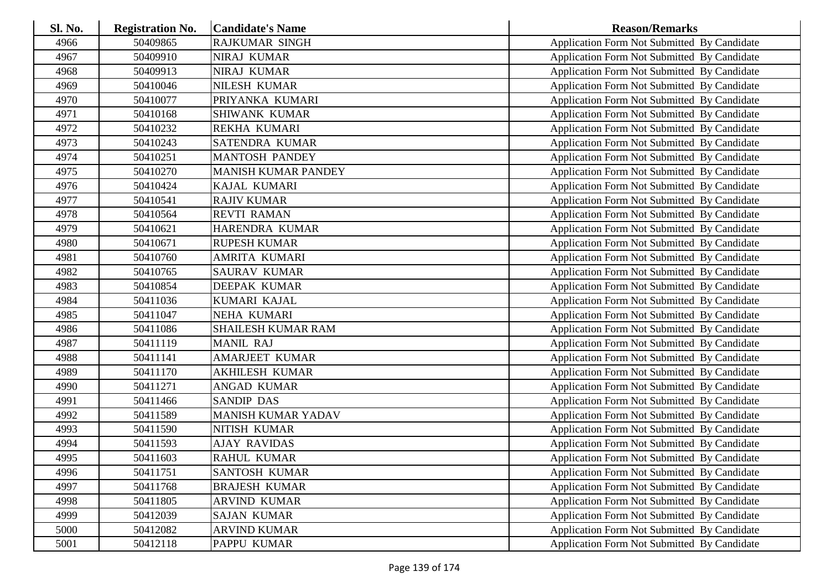| <b>Sl. No.</b> | <b>Registration No.</b> | <b>Candidate's Name</b>    | <b>Reason/Remarks</b>                              |
|----------------|-------------------------|----------------------------|----------------------------------------------------|
| 4966           | 50409865                | <b>RAJKUMAR SINGH</b>      | Application Form Not Submitted By Candidate        |
| 4967           | 50409910                | NIRAJ KUMAR                | <b>Application Form Not Submitted By Candidate</b> |
| 4968           | 50409913                | NIRAJ KUMAR                | Application Form Not Submitted By Candidate        |
| 4969           | 50410046                | NILESH KUMAR               | Application Form Not Submitted By Candidate        |
| 4970           | 50410077                | PRIYANKA KUMARI            | Application Form Not Submitted By Candidate        |
| 4971           | 50410168                | <b>SHIWANK KUMAR</b>       | Application Form Not Submitted By Candidate        |
| 4972           | 50410232                | REKHA KUMARI               | Application Form Not Submitted By Candidate        |
| 4973           | 50410243                | SATENDRA KUMAR             | Application Form Not Submitted By Candidate        |
| 4974           | 50410251                | <b>MANTOSH PANDEY</b>      | <b>Application Form Not Submitted By Candidate</b> |
| 4975           | 50410270                | <b>MANISH KUMAR PANDEY</b> | Application Form Not Submitted By Candidate        |
| 4976           | 50410424                | KAJAL KUMARI               | Application Form Not Submitted By Candidate        |
| 4977           | 50410541                | <b>RAJIV KUMAR</b>         | Application Form Not Submitted By Candidate        |
| 4978           | 50410564                | <b>REVTI RAMAN</b>         | Application Form Not Submitted By Candidate        |
| 4979           | 50410621                | HARENDRA KUMAR             | Application Form Not Submitted By Candidate        |
| 4980           | 50410671                | <b>RUPESH KUMAR</b>        | Application Form Not Submitted By Candidate        |
| 4981           | 50410760                | AMRITA KUMARI              | Application Form Not Submitted By Candidate        |
| 4982           | 50410765                | <b>SAURAV KUMAR</b>        | Application Form Not Submitted By Candidate        |
| 4983           | 50410854                | <b>DEEPAK KUMAR</b>        | Application Form Not Submitted By Candidate        |
| 4984           | 50411036                | KUMARI KAJAL               | Application Form Not Submitted By Candidate        |
| 4985           | 50411047                | NEHA KUMARI                | Application Form Not Submitted By Candidate        |
| 4986           | 50411086                | <b>SHAILESH KUMAR RAM</b>  | Application Form Not Submitted By Candidate        |
| 4987           | 50411119                | <b>MANIL RAJ</b>           | Application Form Not Submitted By Candidate        |
| 4988           | 50411141                | <b>AMARJEET KUMAR</b>      | Application Form Not Submitted By Candidate        |
| 4989           | 50411170                | <b>AKHILESH KUMAR</b>      | Application Form Not Submitted By Candidate        |
| 4990           | 50411271                | <b>ANGAD KUMAR</b>         | Application Form Not Submitted By Candidate        |
| 4991           | 50411466                | <b>SANDIP DAS</b>          | Application Form Not Submitted By Candidate        |
| 4992           | 50411589                | <b>MANISH KUMAR YADAV</b>  | <b>Application Form Not Submitted By Candidate</b> |
| 4993           | 50411590                | NITISH KUMAR               | Application Form Not Submitted By Candidate        |
| 4994           | 50411593                | <b>AJAY RAVIDAS</b>        | Application Form Not Submitted By Candidate        |
| 4995           | 50411603                | <b>RAHUL KUMAR</b>         | Application Form Not Submitted By Candidate        |
| 4996           | 50411751                | <b>SANTOSH KUMAR</b>       | Application Form Not Submitted By Candidate        |
| 4997           | 50411768                | <b>BRAJESH KUMAR</b>       | Application Form Not Submitted By Candidate        |
| 4998           | 50411805                | ARVIND KUMAR               | Application Form Not Submitted By Candidate        |
| 4999           | 50412039                | <b>SAJAN KUMAR</b>         | Application Form Not Submitted By Candidate        |
| 5000           | 50412082                | <b>ARVIND KUMAR</b>        | <b>Application Form Not Submitted By Candidate</b> |
| 5001           | 50412118                | PAPPU KUMAR                | Application Form Not Submitted By Candidate        |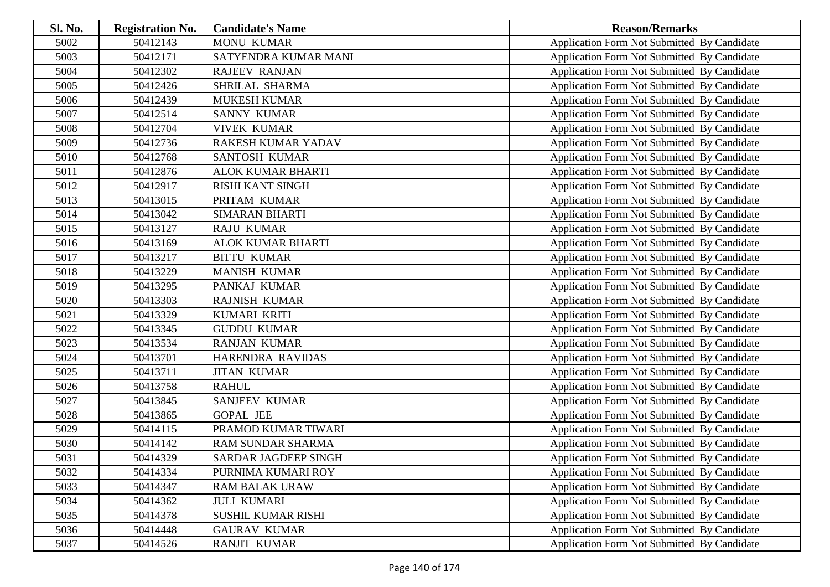| Sl. No. | <b>Registration No.</b> | <b>Candidate's Name</b>     | <b>Reason/Remarks</b>                              |
|---------|-------------------------|-----------------------------|----------------------------------------------------|
| 5002    | 50412143                | <b>MONU KUMAR</b>           | Application Form Not Submitted By Candidate        |
| 5003    | 50412171                | SATYENDRA KUMAR MANI        | Application Form Not Submitted By Candidate        |
| 5004    | 50412302                | <b>RAJEEV RANJAN</b>        | Application Form Not Submitted By Candidate        |
| 5005    | 50412426                | SHRILAL SHARMA              | Application Form Not Submitted By Candidate        |
| 5006    | 50412439                | <b>MUKESH KUMAR</b>         | Application Form Not Submitted By Candidate        |
| 5007    | 50412514                | SANNY KUMAR                 | Application Form Not Submitted By Candidate        |
| 5008    | 50412704                | <b>VIVEK KUMAR</b>          | Application Form Not Submitted By Candidate        |
| 5009    | 50412736                | <b>RAKESH KUMAR YADAV</b>   | Application Form Not Submitted By Candidate        |
| 5010    | 50412768                | <b>SANTOSH KUMAR</b>        | <b>Application Form Not Submitted By Candidate</b> |
| 5011    | 50412876                | <b>ALOK KUMAR BHARTI</b>    | Application Form Not Submitted By Candidate        |
| 5012    | 50412917                | <b>RISHI KANT SINGH</b>     | Application Form Not Submitted By Candidate        |
| 5013    | 50413015                | PRITAM KUMAR                | Application Form Not Submitted By Candidate        |
| 5014    | 50413042                | <b>SIMARAN BHARTI</b>       | Application Form Not Submitted By Candidate        |
| 5015    | 50413127                | <b>RAJU KUMAR</b>           | Application Form Not Submitted By Candidate        |
| 5016    | 50413169                | <b>ALOK KUMAR BHARTI</b>    | Application Form Not Submitted By Candidate        |
| 5017    | 50413217                | <b>BITTU KUMAR</b>          | <b>Application Form Not Submitted By Candidate</b> |
| 5018    | 50413229                | <b>MANISH KUMAR</b>         | Application Form Not Submitted By Candidate        |
| 5019    | 50413295                | PANKAJ KUMAR                | Application Form Not Submitted By Candidate        |
| 5020    | 50413303                | <b>RAJNISH KUMAR</b>        | Application Form Not Submitted By Candidate        |
| 5021    | 50413329                | KUMARI KRITI                | Application Form Not Submitted By Candidate        |
| 5022    | 50413345                | <b>GUDDU KUMAR</b>          | Application Form Not Submitted By Candidate        |
| 5023    | 50413534                | <b>RANJAN KUMAR</b>         | Application Form Not Submitted By Candidate        |
| 5024    | 50413701                | HARENDRA RAVIDAS            | Application Form Not Submitted By Candidate        |
| 5025    | 50413711                | <b>JITAN KUMAR</b>          | Application Form Not Submitted By Candidate        |
| 5026    | 50413758                | <b>RAHUL</b>                | Application Form Not Submitted By Candidate        |
| 5027    | 50413845                | SANJEEV KUMAR               | Application Form Not Submitted By Candidate        |
| 5028    | 50413865                | <b>GOPAL JEE</b>            | Application Form Not Submitted By Candidate        |
| 5029    | 50414115                | PRAMOD KUMAR TIWARI         | Application Form Not Submitted By Candidate        |
| 5030    | 50414142                | RAM SUNDAR SHARMA           | Application Form Not Submitted By Candidate        |
| 5031    | 50414329                | <b>SARDAR JAGDEEP SINGH</b> | Application Form Not Submitted By Candidate        |
| 5032    | 50414334                | PURNIMA KUMARI ROY          | Application Form Not Submitted By Candidate        |
| 5033    | 50414347                | <b>RAM BALAK URAW</b>       | Application Form Not Submitted By Candidate        |
| 5034    | 50414362                | <b>JULI KUMARI</b>          | <b>Application Form Not Submitted By Candidate</b> |
| 5035    | 50414378                | SUSHIL KUMAR RISHI          | Application Form Not Submitted By Candidate        |
| 5036    | 50414448                | <b>GAURAV KUMAR</b>         | <b>Application Form Not Submitted By Candidate</b> |
| 5037    | 50414526                | <b>RANJIT KUMAR</b>         | Application Form Not Submitted By Candidate        |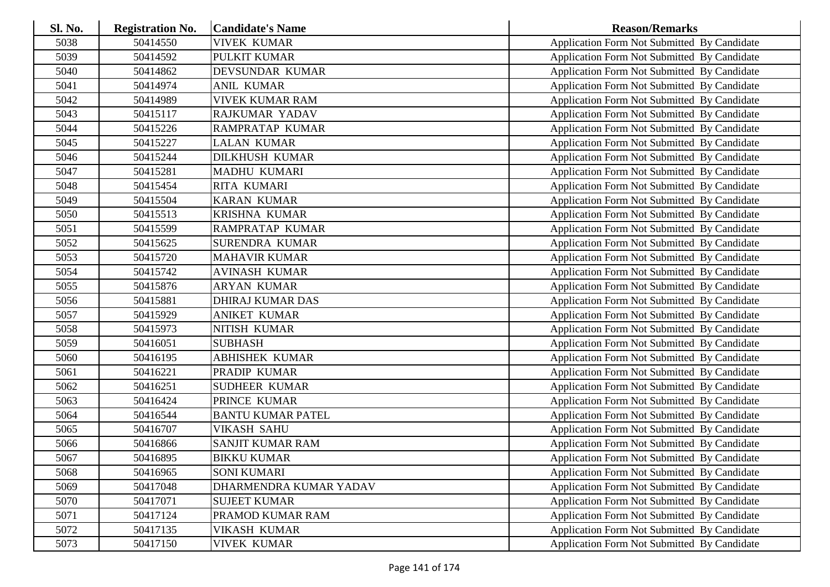| <b>Sl. No.</b> | <b>Registration No.</b> | <b>Candidate's Name</b>  | <b>Reason/Remarks</b>                              |
|----------------|-------------------------|--------------------------|----------------------------------------------------|
| 5038           | 50414550                | <b>VIVEK KUMAR</b>       | Application Form Not Submitted By Candidate        |
| 5039           | 50414592                | <b>PULKIT KUMAR</b>      | Application Form Not Submitted By Candidate        |
| 5040           | 50414862                | DEVSUNDAR KUMAR          | Application Form Not Submitted By Candidate        |
| 5041           | 50414974                | <b>ANIL KUMAR</b>        | Application Form Not Submitted By Candidate        |
| 5042           | 50414989                | <b>VIVEK KUMAR RAM</b>   | Application Form Not Submitted By Candidate        |
| 5043           | 50415117                | RAJKUMAR YADAV           | Application Form Not Submitted By Candidate        |
| 5044           | 50415226                | <b>RAMPRATAP KUMAR</b>   | Application Form Not Submitted By Candidate        |
| 5045           | 50415227                | <b>LALAN KUMAR</b>       | Application Form Not Submitted By Candidate        |
| 5046           | 50415244                | <b>DILKHUSH KUMAR</b>    | <b>Application Form Not Submitted By Candidate</b> |
| 5047           | 50415281                | <b>MADHU KUMARI</b>      | Application Form Not Submitted By Candidate        |
| 5048           | 50415454                | RITA KUMARI              | Application Form Not Submitted By Candidate        |
| 5049           | 50415504                | <b>KARAN KUMAR</b>       | Application Form Not Submitted By Candidate        |
| 5050           | 50415513                | <b>KRISHNA KUMAR</b>     | Application Form Not Submitted By Candidate        |
| 5051           | 50415599                | RAMPRATAP KUMAR          | Application Form Not Submitted By Candidate        |
| 5052           | 50415625                | SURENDRA KUMAR           | Application Form Not Submitted By Candidate        |
| 5053           | 50415720                | <b>MAHAVIR KUMAR</b>     | Application Form Not Submitted By Candidate        |
| 5054           | 50415742                | <b>AVINASH KUMAR</b>     | Application Form Not Submitted By Candidate        |
| 5055           | 50415876                | <b>ARYAN KUMAR</b>       | Application Form Not Submitted By Candidate        |
| 5056           | 50415881                | <b>DHIRAJ KUMAR DAS</b>  | Application Form Not Submitted By Candidate        |
| 5057           | 50415929                | <b>ANIKET KUMAR</b>      | Application Form Not Submitted By Candidate        |
| 5058           | 50415973                | NITISH KUMAR             | Application Form Not Submitted By Candidate        |
| 5059           | 50416051                | <b>SUBHASH</b>           | Application Form Not Submitted By Candidate        |
| 5060           | 50416195                | <b>ABHISHEK KUMAR</b>    | Application Form Not Submitted By Candidate        |
| 5061           | 50416221                | PRADIP KUMAR             | Application Form Not Submitted By Candidate        |
| 5062           | 50416251                | <b>SUDHEER KUMAR</b>     | Application Form Not Submitted By Candidate        |
| 5063           | 50416424                | PRINCE KUMAR             | Application Form Not Submitted By Candidate        |
| 5064           | 50416544                | <b>BANTU KUMAR PATEL</b> | Application Form Not Submitted By Candidate        |
| 5065           | 50416707                | <b>VIKASH SAHU</b>       | Application Form Not Submitted By Candidate        |
| 5066           | 50416866                | <b>SANJIT KUMAR RAM</b>  | Application Form Not Submitted By Candidate        |
| 5067           | 50416895                | <b>BIKKU KUMAR</b>       | Application Form Not Submitted By Candidate        |
| 5068           | 50416965                | <b>SONI KUMARI</b>       | Application Form Not Submitted By Candidate        |
| 5069           | 50417048                | DHARMENDRA KUMAR YADAV   | Application Form Not Submitted By Candidate        |
| 5070           | 50417071                | <b>SUJEET KUMAR</b>      | Application Form Not Submitted By Candidate        |
| 5071           | 50417124                | PRAMOD KUMAR RAM         | Application Form Not Submitted By Candidate        |
| 5072           | 50417135                | VIKASH KUMAR             | <b>Application Form Not Submitted By Candidate</b> |
| 5073           | 50417150                | <b>VIVEK KUMAR</b>       | Application Form Not Submitted By Candidate        |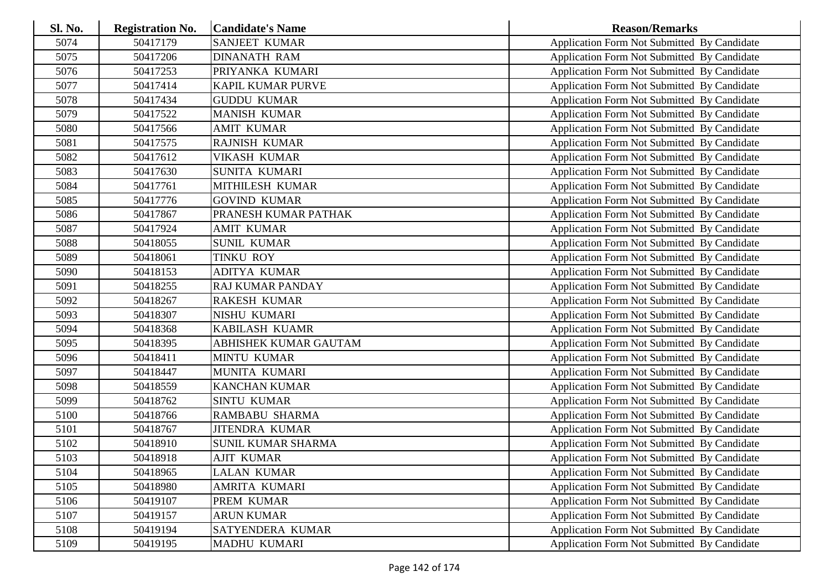| Sl. No. | <b>Registration No.</b> | <b>Candidate's Name</b> | <b>Reason/Remarks</b>                              |
|---------|-------------------------|-------------------------|----------------------------------------------------|
| 5074    | 50417179                | <b>SANJEET KUMAR</b>    | Application Form Not Submitted By Candidate        |
| 5075    | 50417206                | <b>DINANATH RAM</b>     | Application Form Not Submitted By Candidate        |
| 5076    | 50417253                | PRIYANKA KUMARI         | Application Form Not Submitted By Candidate        |
| 5077    | 50417414                | KAPIL KUMAR PURVE       | Application Form Not Submitted By Candidate        |
| 5078    | 50417434                | <b>GUDDU KUMAR</b>      | Application Form Not Submitted By Candidate        |
| 5079    | 50417522                | <b>MANISH KUMAR</b>     | Application Form Not Submitted By Candidate        |
| 5080    | 50417566                | <b>AMIT KUMAR</b>       | Application Form Not Submitted By Candidate        |
| 5081    | 50417575                | <b>RAJNISH KUMAR</b>    | Application Form Not Submitted By Candidate        |
| 5082    | 50417612                | <b>VIKASH KUMAR</b>     | Application Form Not Submitted By Candidate        |
| 5083    | 50417630                | <b>SUNITA KUMARI</b>    | Application Form Not Submitted By Candidate        |
| 5084    | 50417761                | MITHILESH KUMAR         | Application Form Not Submitted By Candidate        |
| 5085    | 50417776                | <b>GOVIND KUMAR</b>     | Application Form Not Submitted By Candidate        |
| 5086    | 50417867                | PRANESH KUMAR PATHAK    | Application Form Not Submitted By Candidate        |
| 5087    | 50417924                | <b>AMIT KUMAR</b>       | Application Form Not Submitted By Candidate        |
| 5088    | 50418055                | <b>SUNIL KUMAR</b>      | Application Form Not Submitted By Candidate        |
| 5089    | 50418061                | <b>TINKU ROY</b>        | Application Form Not Submitted By Candidate        |
| 5090    | 50418153                | <b>ADITYA KUMAR</b>     | Application Form Not Submitted By Candidate        |
| 5091    | 50418255                | <b>RAJ KUMAR PANDAY</b> | Application Form Not Submitted By Candidate        |
| 5092    | 50418267                | <b>RAKESH KUMAR</b>     | Application Form Not Submitted By Candidate        |
| 5093    | 50418307                | NISHU KUMARI            | Application Form Not Submitted By Candidate        |
| 5094    | 50418368                | KABILASH KUAMR          | Application Form Not Submitted By Candidate        |
| 5095    | 50418395                | ABHISHEK KUMAR GAUTAM   | Application Form Not Submitted By Candidate        |
| 5096    | 50418411                | <b>MINTU KUMAR</b>      | Application Form Not Submitted By Candidate        |
| 5097    | 50418447                | MUNITA KUMARI           | Application Form Not Submitted By Candidate        |
| 5098    | 50418559                | <b>KANCHAN KUMAR</b>    | Application Form Not Submitted By Candidate        |
| 5099    | 50418762                | <b>SINTU KUMAR</b>      | Application Form Not Submitted By Candidate        |
| 5100    | 50418766                | <b>RAMBABU SHARMA</b>   | Application Form Not Submitted By Candidate        |
| 5101    | 50418767                | <b>JITENDRA KUMAR</b>   | Application Form Not Submitted By Candidate        |
| 5102    | 50418910                | SUNIL KUMAR SHARMA      | Application Form Not Submitted By Candidate        |
| 5103    | 50418918                | <b>AJIT KUMAR</b>       | Application Form Not Submitted By Candidate        |
| 5104    | 50418965                | <b>LALAN KUMAR</b>      | Application Form Not Submitted By Candidate        |
| 5105    | 50418980                | AMRITA KUMARI           | Application Form Not Submitted By Candidate        |
| 5106    | 50419107                | PREM KUMAR              | Application Form Not Submitted By Candidate        |
| 5107    | 50419157                | <b>ARUN KUMAR</b>       | Application Form Not Submitted By Candidate        |
| 5108    | 50419194                | SATYENDERA KUMAR        | <b>Application Form Not Submitted By Candidate</b> |
| 5109    | 50419195                | MADHU KUMARI            | Application Form Not Submitted By Candidate        |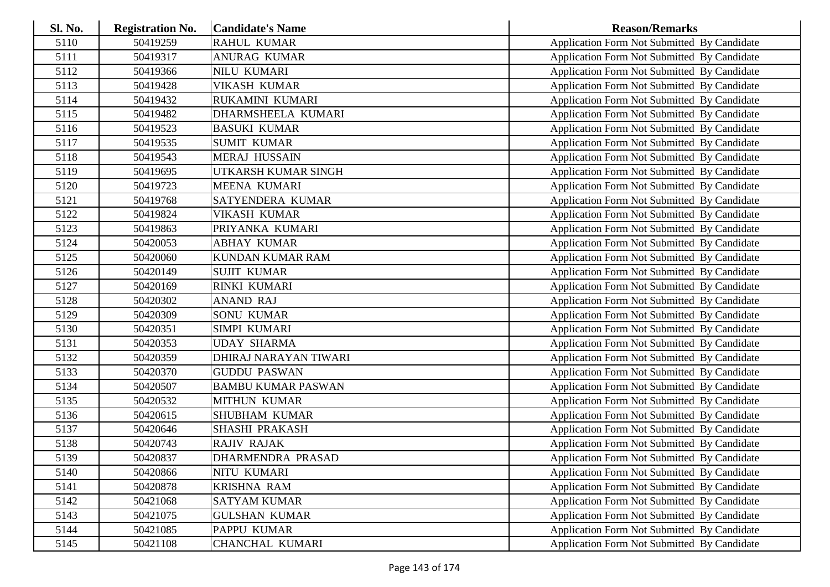| Sl. No. | <b>Registration No.</b> | <b>Candidate's Name</b>   | <b>Reason/Remarks</b>                              |
|---------|-------------------------|---------------------------|----------------------------------------------------|
| 5110    | 50419259                | RAHUL KUMAR               | Application Form Not Submitted By Candidate        |
| 5111    | 50419317                | <b>ANURAG KUMAR</b>       | Application Form Not Submitted By Candidate        |
| 5112    | 50419366                | <b>NILU KUMARI</b>        | Application Form Not Submitted By Candidate        |
| 5113    | 50419428                | VIKASH KUMAR              | Application Form Not Submitted By Candidate        |
| 5114    | 50419432                | RUKAMINI KUMARI           | Application Form Not Submitted By Candidate        |
| 5115    | 50419482                | DHARMSHEELA KUMARI        | Application Form Not Submitted By Candidate        |
| 5116    | 50419523                | <b>BASUKI KUMAR</b>       | Application Form Not Submitted By Candidate        |
| 5117    | 50419535                | <b>SUMIT KUMAR</b>        | Application Form Not Submitted By Candidate        |
| 5118    | 50419543                | <b>MERAJ HUSSAIN</b>      | Application Form Not Submitted By Candidate        |
| 5119    | 50419695                | UTKARSH KUMAR SINGH       | Application Form Not Submitted By Candidate        |
| 5120    | 50419723                | MEENA KUMARI              | Application Form Not Submitted By Candidate        |
| 5121    | 50419768                | SATYENDERA KUMAR          | Application Form Not Submitted By Candidate        |
| 5122    | 50419824                | <b>VIKASH KUMAR</b>       | Application Form Not Submitted By Candidate        |
| 5123    | 50419863                | PRIYANKA KUMARI           | Application Form Not Submitted By Candidate        |
| 5124    | 50420053                | <b>ABHAY KUMAR</b>        | Application Form Not Submitted By Candidate        |
| 5125    | 50420060                | <b>KUNDAN KUMAR RAM</b>   | Application Form Not Submitted By Candidate        |
| 5126    | 50420149                | <b>SUJIT KUMAR</b>        | Application Form Not Submitted By Candidate        |
| 5127    | 50420169                | RINKI KUMARI              | Application Form Not Submitted By Candidate        |
| 5128    | 50420302                | <b>ANAND RAJ</b>          | Application Form Not Submitted By Candidate        |
| 5129    | 50420309                | SONU KUMAR                | Application Form Not Submitted By Candidate        |
| 5130    | 50420351                | SIMPI KUMARI              | Application Form Not Submitted By Candidate        |
| 5131    | 50420353                | <b>UDAY SHARMA</b>        | Application Form Not Submitted By Candidate        |
| 5132    | 50420359                | DHIRAJ NARAYAN TIWARI     | Application Form Not Submitted By Candidate        |
| 5133    | 50420370                | <b>GUDDU PASWAN</b>       | Application Form Not Submitted By Candidate        |
| 5134    | 50420507                | <b>BAMBU KUMAR PASWAN</b> | Application Form Not Submitted By Candidate        |
| 5135    | 50420532                | MITHUN KUMAR              | Application Form Not Submitted By Candidate        |
| 5136    | 50420615                | <b>SHUBHAM KUMAR</b>      | Application Form Not Submitted By Candidate        |
| 5137    | 50420646                | <b>SHASHI PRAKASH</b>     | Application Form Not Submitted By Candidate        |
| 5138    | 50420743                | <b>RAJIV RAJAK</b>        | Application Form Not Submitted By Candidate        |
| 5139    | 50420837                | DHARMENDRA PRASAD         | Application Form Not Submitted By Candidate        |
| 5140    | 50420866                | NITU KUMARI               | <b>Application Form Not Submitted By Candidate</b> |
| 5141    | 50420878                | KRISHNA RAM               | Application Form Not Submitted By Candidate        |
| 5142    | 50421068                | <b>SATYAM KUMAR</b>       | Application Form Not Submitted By Candidate        |
| 5143    | 50421075                | <b>GULSHAN KUMAR</b>      | Application Form Not Submitted By Candidate        |
| 5144    | 50421085                | PAPPU KUMAR               | <b>Application Form Not Submitted By Candidate</b> |
| 5145    | 50421108                | CHANCHAL KUMARI           | Application Form Not Submitted By Candidate        |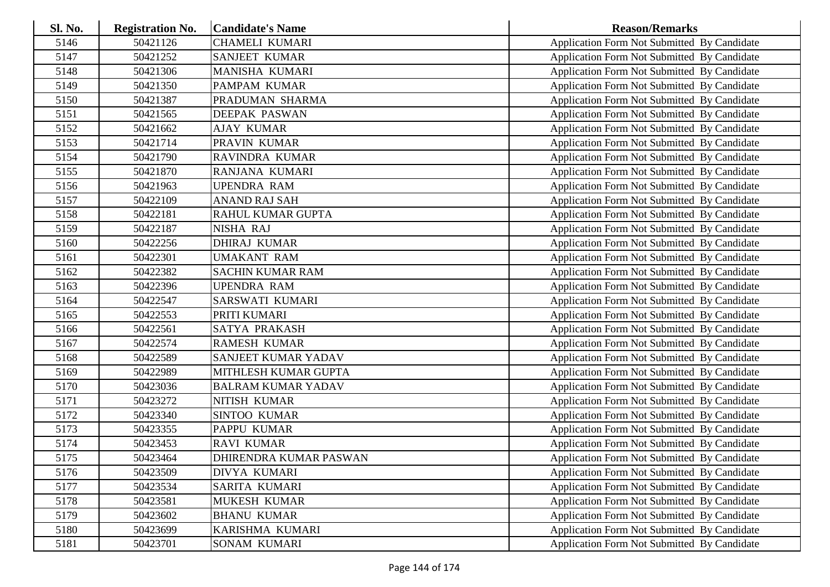| Sl. No. | <b>Registration No.</b> | <b>Candidate's Name</b>   | <b>Reason/Remarks</b>                              |
|---------|-------------------------|---------------------------|----------------------------------------------------|
| 5146    | 50421126                | <b>CHAMELI KUMARI</b>     | Application Form Not Submitted By Candidate        |
| 5147    | 50421252                | SANJEET KUMAR             | Application Form Not Submitted By Candidate        |
| 5148    | 50421306                | <b>MANISHA KUMARI</b>     | Application Form Not Submitted By Candidate        |
| 5149    | 50421350                | PAMPAM KUMAR              | Application Form Not Submitted By Candidate        |
| 5150    | 50421387                | PRADUMAN SHARMA           | Application Form Not Submitted By Candidate        |
| 5151    | 50421565                | <b>DEEPAK PASWAN</b>      | Application Form Not Submitted By Candidate        |
| 5152    | 50421662                | <b>AJAY KUMAR</b>         | Application Form Not Submitted By Candidate        |
| 5153    | 50421714                | PRAVIN KUMAR              | Application Form Not Submitted By Candidate        |
| 5154    | 50421790                | RAVINDRA KUMAR            | Application Form Not Submitted By Candidate        |
| 5155    | 50421870                | RANJANA KUMARI            | Application Form Not Submitted By Candidate        |
| 5156    | 50421963                | <b>UPENDRA RAM</b>        | Application Form Not Submitted By Candidate        |
| 5157    | 50422109                | <b>ANAND RAJ SAH</b>      | Application Form Not Submitted By Candidate        |
| 5158    | 50422181                | RAHUL KUMAR GUPTA         | Application Form Not Submitted By Candidate        |
| 5159    | 50422187                | NISHA RAJ                 | Application Form Not Submitted By Candidate        |
| 5160    | 50422256                | <b>DHIRAJ KUMAR</b>       | Application Form Not Submitted By Candidate        |
| 5161    | 50422301                | <b>UMAKANT RAM</b>        | <b>Application Form Not Submitted By Candidate</b> |
| 5162    | 50422382                | <b>SACHIN KUMAR RAM</b>   | Application Form Not Submitted By Candidate        |
| 5163    | 50422396                | <b>UPENDRA RAM</b>        | Application Form Not Submitted By Candidate        |
| 5164    | 50422547                | SARSWATI KUMARI           | Application Form Not Submitted By Candidate        |
| 5165    | 50422553                | PRITI KUMARI              | Application Form Not Submitted By Candidate        |
| 5166    | 50422561                | SATYA PRAKASH             | Application Form Not Submitted By Candidate        |
| 5167    | 50422574                | <b>RAMESH KUMAR</b>       | Application Form Not Submitted By Candidate        |
| 5168    | 50422589                | SANJEET KUMAR YADAV       | Application Form Not Submitted By Candidate        |
| 5169    | 50422989                | MITHLESH KUMAR GUPTA      | Application Form Not Submitted By Candidate        |
| 5170    | 50423036                | <b>BALRAM KUMAR YADAV</b> | Application Form Not Submitted By Candidate        |
| 5171    | 50423272                | NITISH KUMAR              | Application Form Not Submitted By Candidate        |
| 5172    | 50423340                | SINTOO KUMAR              | Application Form Not Submitted By Candidate        |
| 5173    | 50423355                | PAPPU KUMAR               | Application Form Not Submitted By Candidate        |
| 5174    | 50423453                | <b>RAVI KUMAR</b>         | Application Form Not Submitted By Candidate        |
| 5175    | 50423464                | DHIRENDRA KUMAR PASWAN    | Application Form Not Submitted By Candidate        |
| 5176    | 50423509                | <b>DIVYA KUMARI</b>       | Application Form Not Submitted By Candidate        |
| 5177    | 50423534                | SARITA KUMARI             | <b>Application Form Not Submitted By Candidate</b> |
| 5178    | 50423581                | MUKESH KUMAR              | <b>Application Form Not Submitted By Candidate</b> |
| 5179    | 50423602                | <b>BHANU KUMAR</b>        | Application Form Not Submitted By Candidate        |
| 5180    | 50423699                | KARISHMA KUMARI           | Application Form Not Submitted By Candidate        |
| 5181    | 50423701                | <b>SONAM KUMARI</b>       | Application Form Not Submitted By Candidate        |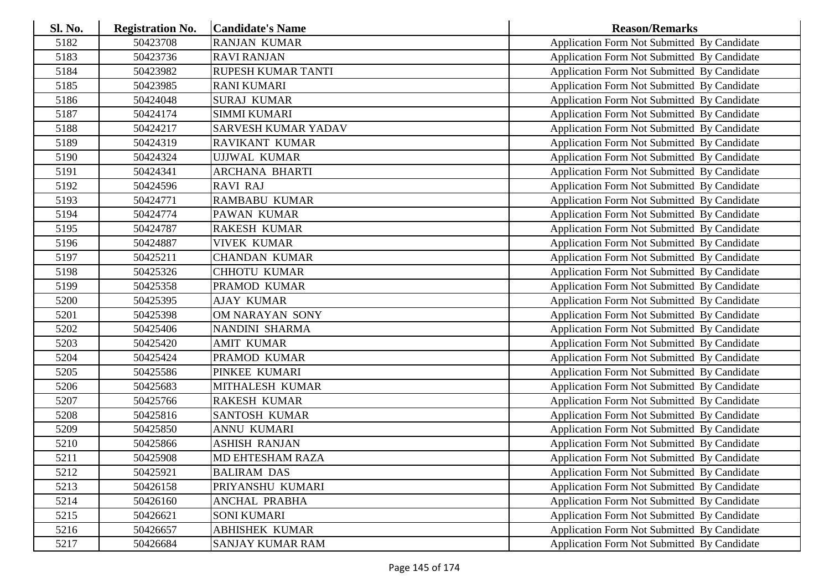| Sl. No. | <b>Registration No.</b> | <b>Candidate's Name</b> | <b>Reason/Remarks</b>                       |
|---------|-------------------------|-------------------------|---------------------------------------------|
| 5182    | 50423708                | <b>RANJAN KUMAR</b>     | Application Form Not Submitted By Candidate |
| 5183    | 50423736                | <b>RAVI RANJAN</b>      | Application Form Not Submitted By Candidate |
| 5184    | 50423982                | RUPESH KUMAR TANTI      | Application Form Not Submitted By Candidate |
| 5185    | 50423985                | <b>RANI KUMARI</b>      | Application Form Not Submitted By Candidate |
| 5186    | 50424048                | <b>SURAJ KUMAR</b>      | Application Form Not Submitted By Candidate |
| 5187    | 50424174                | <b>SIMMI KUMARI</b>     | Application Form Not Submitted By Candidate |
| 5188    | 50424217                | SARVESH KUMAR YADAV     | Application Form Not Submitted By Candidate |
| 5189    | 50424319                | RAVIKANT KUMAR          | Application Form Not Submitted By Candidate |
| 5190    | 50424324                | <b>UJJWAL KUMAR</b>     | Application Form Not Submitted By Candidate |
| 5191    | 50424341                | <b>ARCHANA BHARTI</b>   | Application Form Not Submitted By Candidate |
| 5192    | 50424596                | <b>RAVI RAJ</b>         | Application Form Not Submitted By Candidate |
| 5193    | 50424771                | <b>RAMBABU KUMAR</b>    | Application Form Not Submitted By Candidate |
| 5194    | 50424774                | PAWAN KUMAR             | Application Form Not Submitted By Candidate |
| 5195    | 50424787                | <b>RAKESH KUMAR</b>     | Application Form Not Submitted By Candidate |
| 5196    | 50424887                | <b>VIVEK KUMAR</b>      | Application Form Not Submitted By Candidate |
| 5197    | 50425211                | <b>CHANDAN KUMAR</b>    | Application Form Not Submitted By Candidate |
| 5198    | 50425326                | <b>CHHOTU KUMAR</b>     | Application Form Not Submitted By Candidate |
| 5199    | 50425358                | PRAMOD KUMAR            | Application Form Not Submitted By Candidate |
| 5200    | 50425395                | <b>AJAY KUMAR</b>       | Application Form Not Submitted By Candidate |
| 5201    | 50425398                | OM NARAYAN SONY         | Application Form Not Submitted By Candidate |
| 5202    | 50425406                | NANDINI SHARMA          | Application Form Not Submitted By Candidate |
| 5203    | 50425420                | <b>AMIT KUMAR</b>       | Application Form Not Submitted By Candidate |
| 5204    | 50425424                | PRAMOD KUMAR            | Application Form Not Submitted By Candidate |
| 5205    | 50425586                | PINKEE KUMARI           | Application Form Not Submitted By Candidate |
| 5206    | 50425683                | MITHALESH KUMAR         | Application Form Not Submitted By Candidate |
| 5207    | 50425766                | <b>RAKESH KUMAR</b>     | Application Form Not Submitted By Candidate |
| 5208    | 50425816                | <b>SANTOSH KUMAR</b>    | Application Form Not Submitted By Candidate |
| 5209    | 50425850                | ANNU KUMARI             | Application Form Not Submitted By Candidate |
| 5210    | 50425866                | <b>ASHISH RANJAN</b>    | Application Form Not Submitted By Candidate |
| 5211    | 50425908                | MD EHTESHAM RAZA        | Application Form Not Submitted By Candidate |
| 5212    | 50425921                | <b>BALIRAM DAS</b>      | Application Form Not Submitted By Candidate |
| 5213    | 50426158                | PRIYANSHU KUMARI        | Application Form Not Submitted By Candidate |
| 5214    | 50426160                | ANCHAL PRABHA           | Application Form Not Submitted By Candidate |
| 5215    | 50426621                | <b>SONI KUMARI</b>      | Application Form Not Submitted By Candidate |
| 5216    | 50426657                | <b>ABHISHEK KUMAR</b>   | Application Form Not Submitted By Candidate |
| 5217    | 50426684                | SANJAY KUMAR RAM        | Application Form Not Submitted By Candidate |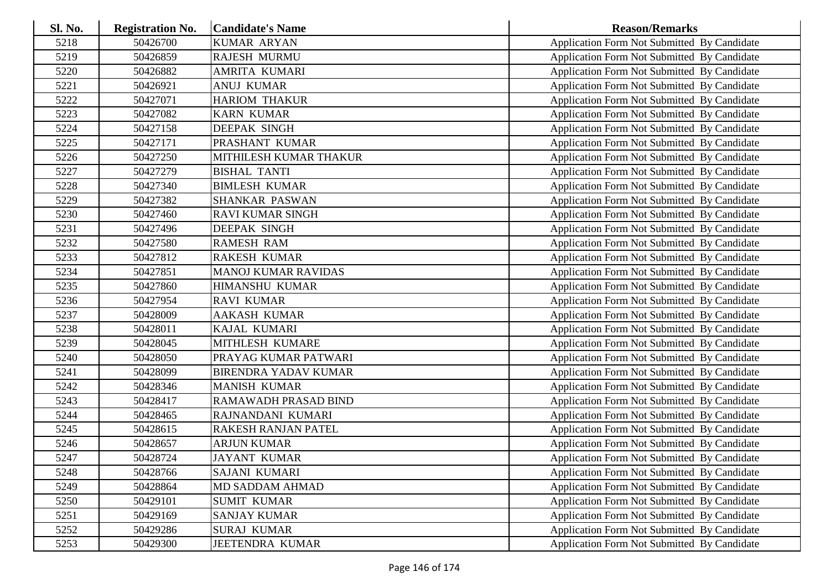| <b>Sl. No.</b> | <b>Registration No.</b> | <b>Candidate's Name</b>     | <b>Reason/Remarks</b>                              |
|----------------|-------------------------|-----------------------------|----------------------------------------------------|
| 5218           | 50426700                | <b>KUMAR ARYAN</b>          | Application Form Not Submitted By Candidate        |
| 5219           | 50426859                | <b>RAJESH MURMU</b>         | Application Form Not Submitted By Candidate        |
| 5220           | 50426882                | AMRITA KUMARI               | Application Form Not Submitted By Candidate        |
| 5221           | 50426921                | <b>ANUJ KUMAR</b>           | Application Form Not Submitted By Candidate        |
| 5222           | 50427071                | <b>HARIOM THAKUR</b>        | Application Form Not Submitted By Candidate        |
| 5223           | 50427082                | <b>KARN KUMAR</b>           | Application Form Not Submitted By Candidate        |
| 5224           | 50427158                | <b>DEEPAK SINGH</b>         | Application Form Not Submitted By Candidate        |
| 5225           | 50427171                | PRASHANT KUMAR              | Application Form Not Submitted By Candidate        |
| 5226           | 50427250                | MITHILESH KUMAR THAKUR      | Application Form Not Submitted By Candidate        |
| 5227           | 50427279                | <b>BISHAL TANTI</b>         | Application Form Not Submitted By Candidate        |
| 5228           | 50427340                | <b>BIMLESH KUMAR</b>        | Application Form Not Submitted By Candidate        |
| 5229           | 50427382                | <b>SHANKAR PASWAN</b>       | Application Form Not Submitted By Candidate        |
| 5230           | 50427460                | <b>RAVI KUMAR SINGH</b>     | Application Form Not Submitted By Candidate        |
| 5231           | 50427496                | <b>DEEPAK SINGH</b>         | Application Form Not Submitted By Candidate        |
| 5232           | 50427580                | <b>RAMESH RAM</b>           | Application Form Not Submitted By Candidate        |
| 5233           | 50427812                | <b>RAKESH KUMAR</b>         | Application Form Not Submitted By Candidate        |
| 5234           | 50427851                | <b>MANOJ KUMAR RAVIDAS</b>  | <b>Application Form Not Submitted By Candidate</b> |
| 5235           | 50427860                | <b>HIMANSHU KUMAR</b>       | Application Form Not Submitted By Candidate        |
| 5236           | 50427954                | <b>RAVI KUMAR</b>           | Application Form Not Submitted By Candidate        |
| 5237           | 50428009                | <b>AAKASH KUMAR</b>         | Application Form Not Submitted By Candidate        |
| 5238           | 50428011                | <b>KAJAL KUMARI</b>         | Application Form Not Submitted By Candidate        |
| 5239           | 50428045                | MITHLESH KUMARE             | Application Form Not Submitted By Candidate        |
| 5240           | 50428050                | PRAYAG KUMAR PATWARI        | Application Form Not Submitted By Candidate        |
| 5241           | 50428099                | <b>BIRENDRA YADAV KUMAR</b> | Application Form Not Submitted By Candidate        |
| 5242           | 50428346                | <b>MANISH KUMAR</b>         | Application Form Not Submitted By Candidate        |
| 5243           | 50428417                | RAMAWADH PRASAD BIND        | Application Form Not Submitted By Candidate        |
| 5244           | 50428465                | RAJNANDANI KUMARI           | Application Form Not Submitted By Candidate        |
| 5245           | 50428615                | <b>RAKESH RANJAN PATEL</b>  | Application Form Not Submitted By Candidate        |
| 5246           | 50428657                | <b>ARJUN KUMAR</b>          | Application Form Not Submitted By Candidate        |
| 5247           | 50428724                | <b>JAYANT KUMAR</b>         | Application Form Not Submitted By Candidate        |
| 5248           | 50428766                | <b>SAJANI KUMARI</b>        | Application Form Not Submitted By Candidate        |
| 5249           | 50428864                | <b>MD SADDAM AHMAD</b>      | Application Form Not Submitted By Candidate        |
| 5250           | 50429101                | <b>SUMIT KUMAR</b>          | Application Form Not Submitted By Candidate        |
| 5251           | 50429169                | <b>SANJAY KUMAR</b>         | Application Form Not Submitted By Candidate        |
| 5252           | 50429286                | <b>SURAJ KUMAR</b>          | <b>Application Form Not Submitted By Candidate</b> |
| 5253           | 50429300                | <b>JEETENDRA KUMAR</b>      | Application Form Not Submitted By Candidate        |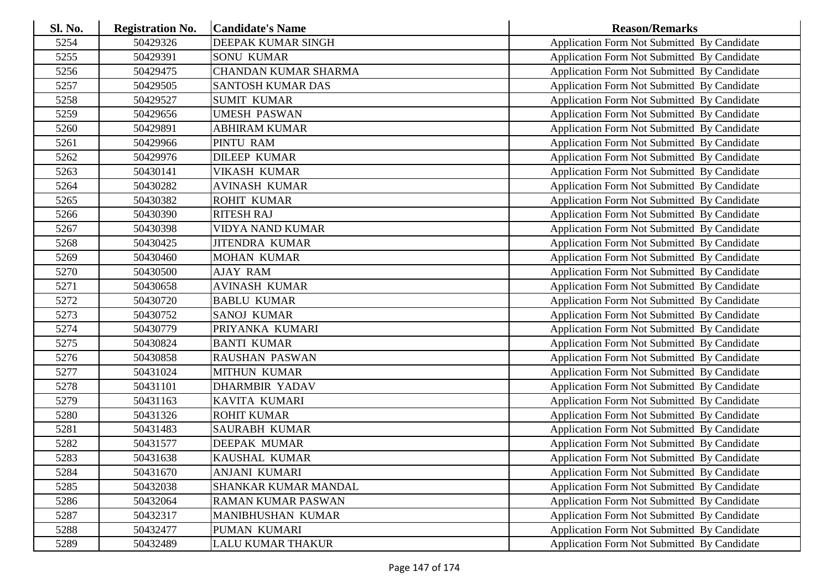| <b>Sl. No.</b> | <b>Registration No.</b> | <b>Candidate's Name</b>     | <b>Reason/Remarks</b>                              |
|----------------|-------------------------|-----------------------------|----------------------------------------------------|
| 5254           | 50429326                | DEEPAK KUMAR SINGH          | Application Form Not Submitted By Candidate        |
| 5255           | 50429391                | <b>SONU KUMAR</b>           | Application Form Not Submitted By Candidate        |
| 5256           | 50429475                | <b>CHANDAN KUMAR SHARMA</b> | Application Form Not Submitted By Candidate        |
| 5257           | 50429505                | <b>SANTOSH KUMAR DAS</b>    | Application Form Not Submitted By Candidate        |
| 5258           | 50429527                | <b>SUMIT KUMAR</b>          | Application Form Not Submitted By Candidate        |
| 5259           | 50429656                | <b>UMESH PASWAN</b>         | Application Form Not Submitted By Candidate        |
| 5260           | 50429891                | <b>ABHIRAM KUMAR</b>        | Application Form Not Submitted By Candidate        |
| 5261           | 50429966                | PINTU RAM                   | Application Form Not Submitted By Candidate        |
| 5262           | 50429976                | <b>DILEEP KUMAR</b>         | Application Form Not Submitted By Candidate        |
| 5263           | 50430141                | <b>VIKASH KUMAR</b>         | Application Form Not Submitted By Candidate        |
| 5264           | 50430282                | <b>AVINASH KUMAR</b>        | Application Form Not Submitted By Candidate        |
| 5265           | 50430382                | <b>ROHIT KUMAR</b>          | Application Form Not Submitted By Candidate        |
| 5266           | 50430390                | <b>RITESH RAJ</b>           | Application Form Not Submitted By Candidate        |
| 5267           | 50430398                | <b>VIDYA NAND KUMAR</b>     | <b>Application Form Not Submitted By Candidate</b> |
| 5268           | 50430425                | <b>JITENDRA KUMAR</b>       | Application Form Not Submitted By Candidate        |
| 5269           | 50430460                | <b>MOHAN KUMAR</b>          | Application Form Not Submitted By Candidate        |
| 5270           | 50430500                | <b>AJAY RAM</b>             | Application Form Not Submitted By Candidate        |
| 5271           | 50430658                | <b>AVINASH KUMAR</b>        | Application Form Not Submitted By Candidate        |
| 5272           | 50430720                | <b>BABLU KUMAR</b>          | Application Form Not Submitted By Candidate        |
| 5273           | 50430752                | <b>SANOJ KUMAR</b>          | Application Form Not Submitted By Candidate        |
| 5274           | 50430779                | PRIYANKA KUMARI             | Application Form Not Submitted By Candidate        |
| 5275           | 50430824                | <b>BANTI KUMAR</b>          | Application Form Not Submitted By Candidate        |
| 5276           | 50430858                | <b>RAUSHAN PASWAN</b>       | Application Form Not Submitted By Candidate        |
| 5277           | 50431024                | <b>MITHUN KUMAR</b>         | Application Form Not Submitted By Candidate        |
| 5278           | 50431101                | <b>DHARMBIR YADAV</b>       | Application Form Not Submitted By Candidate        |
| 5279           | 50431163                | KAVITA KUMARI               | Application Form Not Submitted By Candidate        |
| 5280           | 50431326                | <b>ROHIT KUMAR</b>          | Application Form Not Submitted By Candidate        |
| 5281           | 50431483                | <b>SAURABH KUMAR</b>        | Application Form Not Submitted By Candidate        |
| 5282           | 50431577                | <b>DEEPAK MUMAR</b>         | Application Form Not Submitted By Candidate        |
| 5283           | 50431638                | KAUSHAL KUMAR               | Application Form Not Submitted By Candidate        |
| 5284           | 50431670                | <b>ANJANI KUMARI</b>        | Application Form Not Submitted By Candidate        |
| 5285           | 50432038                | SHANKAR KUMAR MANDAL        | <b>Application Form Not Submitted By Candidate</b> |
| 5286           | 50432064                | <b>RAMAN KUMAR PASWAN</b>   | Application Form Not Submitted By Candidate        |
| 5287           | 50432317                | MANIBHUSHAN KUMAR           | Application Form Not Submitted By Candidate        |
| 5288           | 50432477                | PUMAN KUMARI                | <b>Application Form Not Submitted By Candidate</b> |
| 5289           | 50432489                | <b>LALU KUMAR THAKUR</b>    | <b>Application Form Not Submitted By Candidate</b> |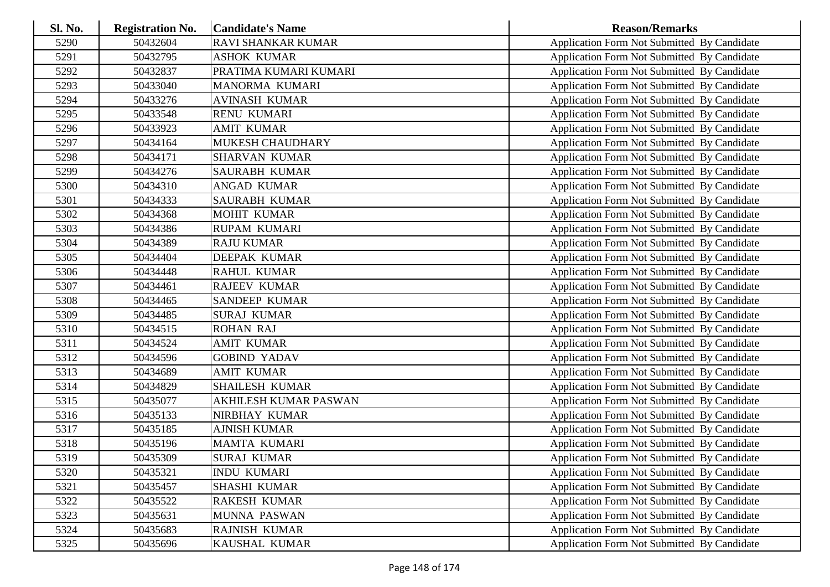| <b>Sl. No.</b> | <b>Registration No.</b> | <b>Candidate's Name</b>   | <b>Reason/Remarks</b>                              |
|----------------|-------------------------|---------------------------|----------------------------------------------------|
| 5290           | 50432604                | <b>RAVI SHANKAR KUMAR</b> | Application Form Not Submitted By Candidate        |
| 5291           | 50432795                | <b>ASHOK KUMAR</b>        | Application Form Not Submitted By Candidate        |
| 5292           | 50432837                | PRATIMA KUMARI KUMARI     | Application Form Not Submitted By Candidate        |
| 5293           | 50433040                | MANORMA KUMARI            | Application Form Not Submitted By Candidate        |
| 5294           | 50433276                | <b>AVINASH KUMAR</b>      | Application Form Not Submitted By Candidate        |
| 5295           | 50433548                | <b>RENU KUMARI</b>        | Application Form Not Submitted By Candidate        |
| 5296           | 50433923                | <b>AMIT KUMAR</b>         | Application Form Not Submitted By Candidate        |
| 5297           | 50434164                | MUKESH CHAUDHARY          | Application Form Not Submitted By Candidate        |
| 5298           | 50434171                | <b>SHARVAN KUMAR</b>      | Application Form Not Submitted By Candidate        |
| 5299           | 50434276                | <b>SAURABH KUMAR</b>      | Application Form Not Submitted By Candidate        |
| 5300           | 50434310                | <b>ANGAD KUMAR</b>        | Application Form Not Submitted By Candidate        |
| 5301           | 50434333                | <b>SAURABH KUMAR</b>      | Application Form Not Submitted By Candidate        |
| 5302           | 50434368                | <b>MOHIT KUMAR</b>        | Application Form Not Submitted By Candidate        |
| 5303           | 50434386                | <b>RUPAM KUMARI</b>       | Application Form Not Submitted By Candidate        |
| 5304           | 50434389                | <b>RAJU KUMAR</b>         | Application Form Not Submitted By Candidate        |
| 5305           | 50434404                | <b>DEEPAK KUMAR</b>       | Application Form Not Submitted By Candidate        |
| 5306           | 50434448                | <b>RAHUL KUMAR</b>        | Application Form Not Submitted By Candidate        |
| 5307           | 50434461                | <b>RAJEEV KUMAR</b>       | Application Form Not Submitted By Candidate        |
| 5308           | 50434465                | <b>SANDEEP KUMAR</b>      | Application Form Not Submitted By Candidate        |
| 5309           | 50434485                | <b>SURAJ KUMAR</b>        | Application Form Not Submitted By Candidate        |
| 5310           | 50434515                | <b>ROHAN RAJ</b>          | <b>Application Form Not Submitted By Candidate</b> |
| 5311           | 50434524                | <b>AMIT KUMAR</b>         | Application Form Not Submitted By Candidate        |
| 5312           | 50434596                | <b>GOBIND YADAV</b>       | Application Form Not Submitted By Candidate        |
| 5313           | 50434689                | <b>AMIT KUMAR</b>         | Application Form Not Submitted By Candidate        |
| 5314           | 50434829                | <b>SHAILESH KUMAR</b>     | Application Form Not Submitted By Candidate        |
| 5315           | 50435077                | AKHILESH KUMAR PASWAN     | Application Form Not Submitted By Candidate        |
| 5316           | 50435133                | NIRBHAY KUMAR             | Application Form Not Submitted By Candidate        |
| 5317           | 50435185                | <b>AJNISH KUMAR</b>       | Application Form Not Submitted By Candidate        |
| 5318           | 50435196                | <b>MAMTA KUMARI</b>       | Application Form Not Submitted By Candidate        |
| 5319           | 50435309                | <b>SURAJ KUMAR</b>        | Application Form Not Submitted By Candidate        |
| 5320           | 50435321                | <b>INDU KUMARI</b>        | Application Form Not Submitted By Candidate        |
| 5321           | 50435457                | <b>SHASHI KUMAR</b>       | <b>Application Form Not Submitted By Candidate</b> |
| 5322           | 50435522                | <b>RAKESH KUMAR</b>       | Application Form Not Submitted By Candidate        |
| 5323           | 50435631                | MUNNA PASWAN              | Application Form Not Submitted By Candidate        |
| 5324           | 50435683                | <b>RAJNISH KUMAR</b>      | Application Form Not Submitted By Candidate        |
| 5325           | 50435696                | KAUSHAL KUMAR             | Application Form Not Submitted By Candidate        |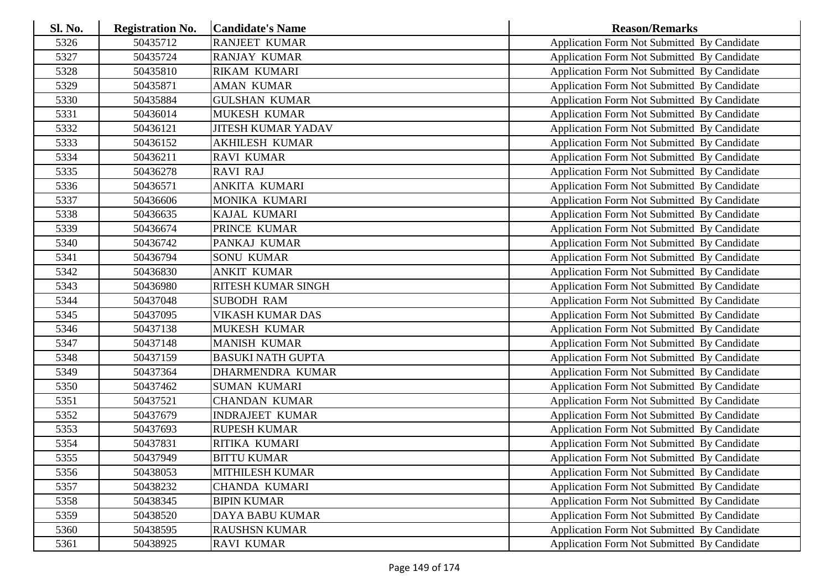| Sl. No. | <b>Registration No.</b> | <b>Candidate's Name</b>   | <b>Reason/Remarks</b>                              |
|---------|-------------------------|---------------------------|----------------------------------------------------|
| 5326    | 50435712                | <b>RANJEET KUMAR</b>      | Application Form Not Submitted By Candidate        |
| 5327    | 50435724                | <b>RANJAY KUMAR</b>       | Application Form Not Submitted By Candidate        |
| 5328    | 50435810                | <b>RIKAM KUMARI</b>       | Application Form Not Submitted By Candidate        |
| 5329    | 50435871                | <b>AMAN KUMAR</b>         | Application Form Not Submitted By Candidate        |
| 5330    | 50435884                | <b>GULSHAN KUMAR</b>      | Application Form Not Submitted By Candidate        |
| 5331    | 50436014                | <b>MUKESH KUMAR</b>       | Application Form Not Submitted By Candidate        |
| 5332    | 50436121                | <b>JITESH KUMAR YADAV</b> | Application Form Not Submitted By Candidate        |
| 5333    | 50436152                | <b>AKHILESH KUMAR</b>     | Application Form Not Submitted By Candidate        |
| 5334    | 50436211                | <b>RAVI KUMAR</b>         | Application Form Not Submitted By Candidate        |
| 5335    | 50436278                | <b>RAVI RAJ</b>           | Application Form Not Submitted By Candidate        |
| 5336    | 50436571                | <b>ANKITA KUMARI</b>      | Application Form Not Submitted By Candidate        |
| 5337    | 50436606                | MONIKA KUMARI             | Application Form Not Submitted By Candidate        |
| 5338    | 50436635                | KAJAL KUMARI              | Application Form Not Submitted By Candidate        |
| 5339    | 50436674                | PRINCE KUMAR              | Application Form Not Submitted By Candidate        |
| 5340    | 50436742                | PANKAJ KUMAR              | Application Form Not Submitted By Candidate        |
| 5341    | 50436794                | <b>SONU KUMAR</b>         | Application Form Not Submitted By Candidate        |
| 5342    | 50436830                | <b>ANKIT KUMAR</b>        | Application Form Not Submitted By Candidate        |
| 5343    | 50436980                | RITESH KUMAR SINGH        | Application Form Not Submitted By Candidate        |
| 5344    | 50437048                | <b>SUBODH RAM</b>         | Application Form Not Submitted By Candidate        |
| 5345    | 50437095                | <b>VIKASH KUMAR DAS</b>   | Application Form Not Submitted By Candidate        |
| 5346    | 50437138                | MUKESH KUMAR              | Application Form Not Submitted By Candidate        |
| 5347    | 50437148                | <b>MANISH KUMAR</b>       | Application Form Not Submitted By Candidate        |
| 5348    | 50437159                | <b>BASUKI NATH GUPTA</b>  | Application Form Not Submitted By Candidate        |
| 5349    | 50437364                | DHARMENDRA KUMAR          | Application Form Not Submitted By Candidate        |
| 5350    | 50437462                | <b>SUMAN KUMARI</b>       | Application Form Not Submitted By Candidate        |
| 5351    | 50437521                | <b>CHANDAN KUMAR</b>      | Application Form Not Submitted By Candidate        |
| 5352    | 50437679                | <b>INDRAJEET KUMAR</b>    | Application Form Not Submitted By Candidate        |
| 5353    | 50437693                | <b>RUPESH KUMAR</b>       | Application Form Not Submitted By Candidate        |
| 5354    | 50437831                | RITIKA KUMARI             | Application Form Not Submitted By Candidate        |
| 5355    | 50437949                | <b>BITTU KUMAR</b>        | Application Form Not Submitted By Candidate        |
| 5356    | 50438053                | <b>MITHILESH KUMAR</b>    | <b>Application Form Not Submitted By Candidate</b> |
| 5357    | 50438232                | <b>CHANDA KUMARI</b>      | Application Form Not Submitted By Candidate        |
| 5358    | 50438345                | <b>BIPIN KUMAR</b>        | Application Form Not Submitted By Candidate        |
| 5359    | 50438520                | DAYA BABU KUMAR           | Application Form Not Submitted By Candidate        |
| 5360    | 50438595                | <b>RAUSHSN KUMAR</b>      | <b>Application Form Not Submitted By Candidate</b> |
| 5361    | 50438925                | <b>RAVI KUMAR</b>         | Application Form Not Submitted By Candidate        |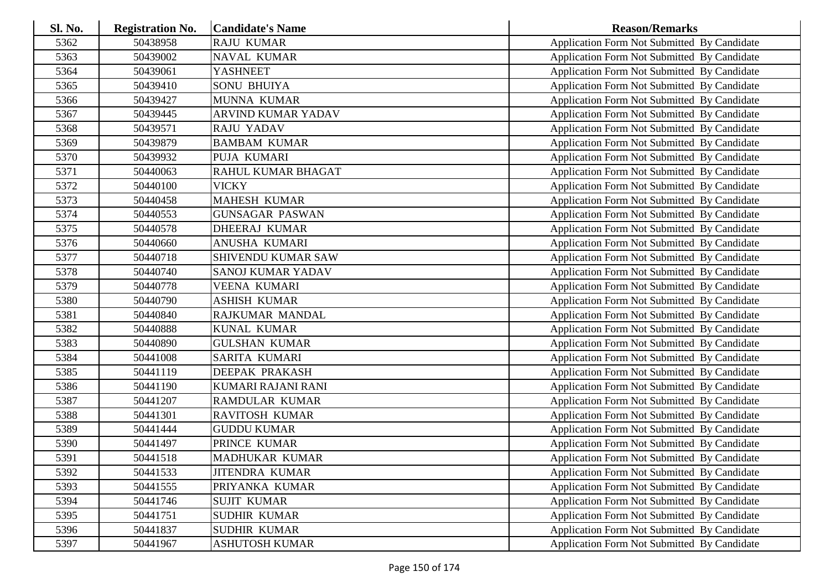| <b>Sl. No.</b> | <b>Registration No.</b> | <b>Candidate's Name</b>   | <b>Reason/Remarks</b>                              |
|----------------|-------------------------|---------------------------|----------------------------------------------------|
| 5362           | 50438958                | <b>RAJU KUMAR</b>         | Application Form Not Submitted By Candidate        |
| 5363           | 50439002                | <b>NAVAL KUMAR</b>        | <b>Application Form Not Submitted By Candidate</b> |
| 5364           | 50439061                | <b>YASHNEET</b>           | Application Form Not Submitted By Candidate        |
| 5365           | 50439410                | <b>SONU BHUIYA</b>        | Application Form Not Submitted By Candidate        |
| 5366           | 50439427                | <b>MUNNA KUMAR</b>        | Application Form Not Submitted By Candidate        |
| 5367           | 50439445                | <b>ARVIND KUMAR YADAV</b> | Application Form Not Submitted By Candidate        |
| 5368           | 50439571                | <b>RAJU YADAV</b>         | Application Form Not Submitted By Candidate        |
| 5369           | 50439879                | <b>BAMBAM KUMAR</b>       | Application Form Not Submitted By Candidate        |
| 5370           | 50439932                | PUJA KUMARI               | Application Form Not Submitted By Candidate        |
| 5371           | 50440063                | RAHUL KUMAR BHAGAT        | Application Form Not Submitted By Candidate        |
| 5372           | 50440100                | <b>VICKY</b>              | Application Form Not Submitted By Candidate        |
| 5373           | 50440458                | <b>MAHESH KUMAR</b>       | Application Form Not Submitted By Candidate        |
| 5374           | 50440553                | <b>GUNSAGAR PASWAN</b>    | Application Form Not Submitted By Candidate        |
| 5375           | 50440578                | <b>DHEERAJ KUMAR</b>      | Application Form Not Submitted By Candidate        |
| 5376           | 50440660                | ANUSHA KUMARI             | Application Form Not Submitted By Candidate        |
| 5377           | 50440718                | <b>SHIVENDU KUMAR SAW</b> | Application Form Not Submitted By Candidate        |
| 5378           | 50440740                | <b>SANOJ KUMAR YADAV</b>  | Application Form Not Submitted By Candidate        |
| 5379           | 50440778                | <b>VEENA KUMARI</b>       | Application Form Not Submitted By Candidate        |
| 5380           | 50440790                | <b>ASHISH KUMAR</b>       | Application Form Not Submitted By Candidate        |
| 5381           | 50440840                | RAJKUMAR MANDAL           | Application Form Not Submitted By Candidate        |
| 5382           | 50440888                | <b>KUNAL KUMAR</b>        | Application Form Not Submitted By Candidate        |
| 5383           | 50440890                | <b>GULSHAN KUMAR</b>      | Application Form Not Submitted By Candidate        |
| 5384           | 50441008                | SARITA KUMARI             | Application Form Not Submitted By Candidate        |
| 5385           | 50441119                | <b>DEEPAK PRAKASH</b>     | Application Form Not Submitted By Candidate        |
| 5386           | 50441190                | KUMARI RAJANI RANI        | Application Form Not Submitted By Candidate        |
| 5387           | 50441207                | <b>RAMDULAR KUMAR</b>     | Application Form Not Submitted By Candidate        |
| 5388           | 50441301                | <b>RAVITOSH KUMAR</b>     | Application Form Not Submitted By Candidate        |
| 5389           | 50441444                | <b>GUDDU KUMAR</b>        | Application Form Not Submitted By Candidate        |
| 5390           | 50441497                | PRINCE KUMAR              | Application Form Not Submitted By Candidate        |
| 5391           | 50441518                | MADHUKAR KUMAR            | Application Form Not Submitted By Candidate        |
| 5392           | 50441533                | <b>JITENDRA KUMAR</b>     | Application Form Not Submitted By Candidate        |
| 5393           | 50441555                | PRIYANKA KUMAR            | Application Form Not Submitted By Candidate        |
| 5394           | 50441746                | <b>SUJIT KUMAR</b>        | Application Form Not Submitted By Candidate        |
| 5395           | 50441751                | <b>SUDHIR KUMAR</b>       | Application Form Not Submitted By Candidate        |
| 5396           | 50441837                | <b>SUDHIR KUMAR</b>       | <b>Application Form Not Submitted By Candidate</b> |
| 5397           | 50441967                | <b>ASHUTOSH KUMAR</b>     | Application Form Not Submitted By Candidate        |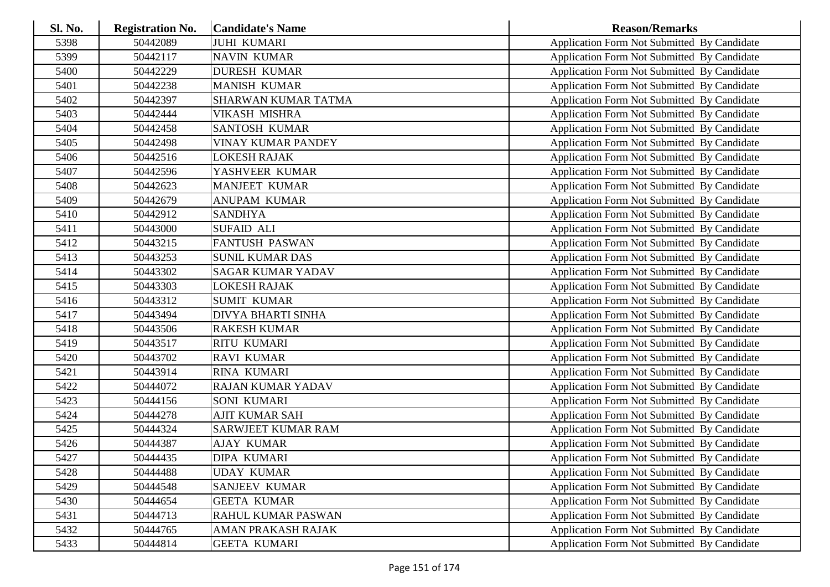| Sl. No. | <b>Registration No.</b> | <b>Candidate's Name</b>   | <b>Reason/Remarks</b>                              |
|---------|-------------------------|---------------------------|----------------------------------------------------|
| 5398    | 50442089                | <b>JUHI KUMARI</b>        | Application Form Not Submitted By Candidate        |
| 5399    | 50442117                | <b>NAVIN KUMAR</b>        | Application Form Not Submitted By Candidate        |
| 5400    | 50442229                | <b>DURESH KUMAR</b>       | Application Form Not Submitted By Candidate        |
| 5401    | 50442238                | <b>MANISH KUMAR</b>       | Application Form Not Submitted By Candidate        |
| 5402    | 50442397                | SHARWAN KUMAR TATMA       | Application Form Not Submitted By Candidate        |
| 5403    | 50442444                | <b>VIKASH MISHRA</b>      | Application Form Not Submitted By Candidate        |
| 5404    | 50442458                | <b>SANTOSH KUMAR</b>      | Application Form Not Submitted By Candidate        |
| 5405    | 50442498                | <b>VINAY KUMAR PANDEY</b> | Application Form Not Submitted By Candidate        |
| 5406    | 50442516                | <b>LOKESH RAJAK</b>       | Application Form Not Submitted By Candidate        |
| 5407    | 50442596                | YASHVEER KUMAR            | Application Form Not Submitted By Candidate        |
| 5408    | 50442623                | <b>MANJEET KUMAR</b>      | Application Form Not Submitted By Candidate        |
| 5409    | 50442679                | <b>ANUPAM KUMAR</b>       | Application Form Not Submitted By Candidate        |
| 5410    | 50442912                | <b>SANDHYA</b>            | Application Form Not Submitted By Candidate        |
| 5411    | 50443000                | <b>SUFAID ALI</b>         | Application Form Not Submitted By Candidate        |
| 5412    | 50443215                | <b>FANTUSH PASWAN</b>     | Application Form Not Submitted By Candidate        |
| 5413    | 50443253                | <b>SUNIL KUMAR DAS</b>    | Application Form Not Submitted By Candidate        |
| 5414    | 50443302                | <b>SAGAR KUMAR YADAV</b>  | Application Form Not Submitted By Candidate        |
| 5415    | 50443303                | <b>LOKESH RAJAK</b>       | Application Form Not Submitted By Candidate        |
| 5416    | 50443312                | <b>SUMIT KUMAR</b>        | Application Form Not Submitted By Candidate        |
| 5417    | 50443494                | DIVYA BHARTI SINHA        | Application Form Not Submitted By Candidate        |
| 5418    | 50443506                | <b>RAKESH KUMAR</b>       | Application Form Not Submitted By Candidate        |
| 5419    | 50443517                | <b>RITU KUMARI</b>        | Application Form Not Submitted By Candidate        |
| 5420    | 50443702                | <b>RAVI KUMAR</b>         | Application Form Not Submitted By Candidate        |
| 5421    | 50443914                | RINA KUMARI               | Application Form Not Submitted By Candidate        |
| 5422    | 50444072                | <b>RAJAN KUMAR YADAV</b>  | Application Form Not Submitted By Candidate        |
| 5423    | 50444156                | SONI KUMARI               | Application Form Not Submitted By Candidate        |
| 5424    | 50444278                | <b>AJIT KUMAR SAH</b>     | Application Form Not Submitted By Candidate        |
| 5425    | 50444324                | <b>SARWJEET KUMAR RAM</b> | Application Form Not Submitted By Candidate        |
| 5426    | 50444387                | <b>AJAY KUMAR</b>         | Application Form Not Submitted By Candidate        |
| 5427    | 50444435                | <b>DIPA KUMARI</b>        | Application Form Not Submitted By Candidate        |
| 5428    | 50444488                | <b>UDAY KUMAR</b>         | Application Form Not Submitted By Candidate        |
| 5429    | 50444548                | <b>SANJEEV KUMAR</b>      | Application Form Not Submitted By Candidate        |
| 5430    | 50444654                | <b>GEETA KUMAR</b>        | Application Form Not Submitted By Candidate        |
| 5431    | 50444713                | RAHUL KUMAR PASWAN        | Application Form Not Submitted By Candidate        |
| 5432    | 50444765                | AMAN PRAKASH RAJAK        | <b>Application Form Not Submitted By Candidate</b> |
| 5433    | 50444814                | <b>GEETA KUMARI</b>       | Application Form Not Submitted By Candidate        |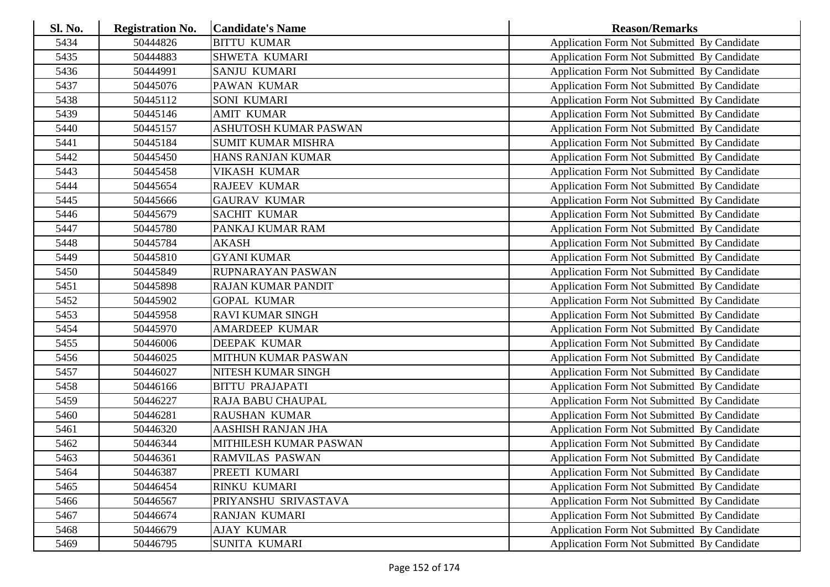| Sl. No. | <b>Registration No.</b> | <b>Candidate's Name</b>    | <b>Reason/Remarks</b>                              |
|---------|-------------------------|----------------------------|----------------------------------------------------|
| 5434    | 50444826                | <b>BITTU KUMAR</b>         | Application Form Not Submitted By Candidate        |
| 5435    | 50444883                | SHWETA KUMARI              | Application Form Not Submitted By Candidate        |
| 5436    | 50444991                | SANJU KUMARI               | Application Form Not Submitted By Candidate        |
| 5437    | 50445076                | <b>PAWAN KUMAR</b>         | Application Form Not Submitted By Candidate        |
| 5438    | 50445112                | SONI KUMARI                | Application Form Not Submitted By Candidate        |
| 5439    | 50445146                | <b>AMIT KUMAR</b>          | Application Form Not Submitted By Candidate        |
| 5440    | 50445157                | ASHUTOSH KUMAR PASWAN      | Application Form Not Submitted By Candidate        |
| 5441    | 50445184                | <b>SUMIT KUMAR MISHRA</b>  | Application Form Not Submitted By Candidate        |
| 5442    | 50445450                | HANS RANJAN KUMAR          | Application Form Not Submitted By Candidate        |
| 5443    | 50445458                | <b>VIKASH KUMAR</b>        | Application Form Not Submitted By Candidate        |
| 5444    | 50445654                | <b>RAJEEV KUMAR</b>        | Application Form Not Submitted By Candidate        |
| 5445    | 50445666                | <b>GAURAV KUMAR</b>        | Application Form Not Submitted By Candidate        |
| 5446    | 50445679                | <b>SACHIT KUMAR</b>        | Application Form Not Submitted By Candidate        |
| 5447    | 50445780                | PANKAJ KUMAR RAM           | Application Form Not Submitted By Candidate        |
| 5448    | 50445784                | <b>AKASH</b>               | Application Form Not Submitted By Candidate        |
| 5449    | 50445810                | <b>GYANI KUMAR</b>         | <b>Application Form Not Submitted By Candidate</b> |
| 5450    | 50445849                | RUPNARAYAN PASWAN          | Application Form Not Submitted By Candidate        |
| 5451    | 50445898                | <b>RAJAN KUMAR PANDIT</b>  | Application Form Not Submitted By Candidate        |
| 5452    | 50445902                | <b>GOPAL KUMAR</b>         | Application Form Not Submitted By Candidate        |
| 5453    | 50445958                | <b>RAVI KUMAR SINGH</b>    | Application Form Not Submitted By Candidate        |
| 5454    | 50445970                | AMARDEEP KUMAR             | Application Form Not Submitted By Candidate        |
| 5455    | 50446006                | <b>DEEPAK KUMAR</b>        | Application Form Not Submitted By Candidate        |
| 5456    | 50446025                | <b>MITHUN KUMAR PASWAN</b> | Application Form Not Submitted By Candidate        |
| 5457    | 50446027                | NITESH KUMAR SINGH         | Application Form Not Submitted By Candidate        |
| 5458    | 50446166                | <b>BITTU PRAJAPATI</b>     | Application Form Not Submitted By Candidate        |
| 5459    | 50446227                | RAJA BABU CHAUPAL          | Application Form Not Submitted By Candidate        |
| 5460    | 50446281                | <b>RAUSHAN KUMAR</b>       | Application Form Not Submitted By Candidate        |
| 5461    | 50446320                | AASHISH RANJAN JHA         | Application Form Not Submitted By Candidate        |
| 5462    | 50446344                | MITHILESH KUMAR PASWAN     | Application Form Not Submitted By Candidate        |
| 5463    | 50446361                | <b>RAMVILAS PASWAN</b>     | Application Form Not Submitted By Candidate        |
| 5464    | 50446387                | PREETI KUMARI              | Application Form Not Submitted By Candidate        |
| 5465    | 50446454                | RINKU KUMARI               | Application Form Not Submitted By Candidate        |
| 5466    | 50446567                | PRIYANSHU SRIVASTAVA       | <b>Application Form Not Submitted By Candidate</b> |
| 5467    | 50446674                | <b>RANJAN KUMARI</b>       | Application Form Not Submitted By Candidate        |
| 5468    | 50446679                | <b>AJAY KUMAR</b>          | Application Form Not Submitted By Candidate        |
| 5469    | 50446795                | SUNITA KUMARI              | Application Form Not Submitted By Candidate        |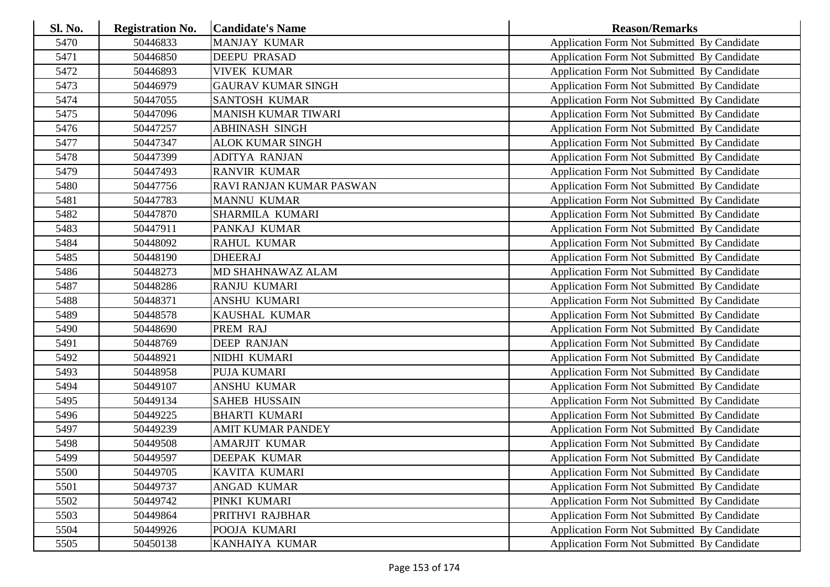| Sl. No. | <b>Registration No.</b> | <b>Candidate's Name</b>    | <b>Reason/Remarks</b>                              |
|---------|-------------------------|----------------------------|----------------------------------------------------|
| 5470    | 50446833                | <b>MANJAY KUMAR</b>        | Application Form Not Submitted By Candidate        |
| 5471    | 50446850                | <b>DEEPU PRASAD</b>        | Application Form Not Submitted By Candidate        |
| 5472    | 50446893                | <b>VIVEK KUMAR</b>         | Application Form Not Submitted By Candidate        |
| 5473    | 50446979                | <b>GAURAV KUMAR SINGH</b>  | Application Form Not Submitted By Candidate        |
| 5474    | 50447055                | <b>SANTOSH KUMAR</b>       | Application Form Not Submitted By Candidate        |
| 5475    | 50447096                | <b>MANISH KUMAR TIWARI</b> | Application Form Not Submitted By Candidate        |
| 5476    | 50447257                | <b>ABHINASH SINGH</b>      | Application Form Not Submitted By Candidate        |
| 5477    | 50447347                | <b>ALOK KUMAR SINGH</b>    | Application Form Not Submitted By Candidate        |
| 5478    | 50447399                | <b>ADITYA RANJAN</b>       | Application Form Not Submitted By Candidate        |
| 5479    | 50447493                | <b>RANVIR KUMAR</b>        | Application Form Not Submitted By Candidate        |
| 5480    | 50447756                | RAVI RANJAN KUMAR PASWAN   | Application Form Not Submitted By Candidate        |
| 5481    | 50447783                | <b>MANNU KUMAR</b>         | Application Form Not Submitted By Candidate        |
| 5482    | 50447870                | SHARMILA KUMARI            | Application Form Not Submitted By Candidate        |
| 5483    | 50447911                | PANKAJ KUMAR               | Application Form Not Submitted By Candidate        |
| 5484    | 50448092                | <b>RAHUL KUMAR</b>         | Application Form Not Submitted By Candidate        |
| 5485    | 50448190                | <b>DHEERAJ</b>             | Application Form Not Submitted By Candidate        |
| 5486    | 50448273                | MD SHAHNAWAZ ALAM          | Application Form Not Submitted By Candidate        |
| 5487    | 50448286                | <b>RANJU KUMARI</b>        | Application Form Not Submitted By Candidate        |
| 5488    | 50448371                | ANSHU KUMARI               | Application Form Not Submitted By Candidate        |
| 5489    | 50448578                | KAUSHAL KUMAR              | Application Form Not Submitted By Candidate        |
| 5490    | 50448690                | PREM RAJ                   | Application Form Not Submitted By Candidate        |
| 5491    | 50448769                | <b>DEEP RANJAN</b>         | Application Form Not Submitted By Candidate        |
| 5492    | 50448921                | NIDHI KUMARI               | Application Form Not Submitted By Candidate        |
| 5493    | 50448958                | PUJA KUMARI                | Application Form Not Submitted By Candidate        |
| 5494    | 50449107                | <b>ANSHU KUMAR</b>         | Application Form Not Submitted By Candidate        |
| 5495    | 50449134                | <b>SAHEB HUSSAIN</b>       | Application Form Not Submitted By Candidate        |
| 5496    | 50449225                | <b>BHARTI KUMARI</b>       | Application Form Not Submitted By Candidate        |
| 5497    | 50449239                | <b>AMIT KUMAR PANDEY</b>   | Application Form Not Submitted By Candidate        |
| 5498    | 50449508                | AMARJIT KUMAR              | Application Form Not Submitted By Candidate        |
| 5499    | 50449597                | <b>DEEPAK KUMAR</b>        | Application Form Not Submitted By Candidate        |
| 5500    | 50449705                | KAVITA KUMARI              | <b>Application Form Not Submitted By Candidate</b> |
| 5501    | 50449737                | ANGAD KUMAR                | <b>Application Form Not Submitted By Candidate</b> |
| 5502    | 50449742                | PINKI KUMARI               | Application Form Not Submitted By Candidate        |
| 5503    | 50449864                | PRITHVI RAJBHAR            | Application Form Not Submitted By Candidate        |
| 5504    | 50449926                | POOJA KUMARI               | <b>Application Form Not Submitted By Candidate</b> |
| 5505    | 50450138                | KANHAIYA KUMAR             | <b>Application Form Not Submitted By Candidate</b> |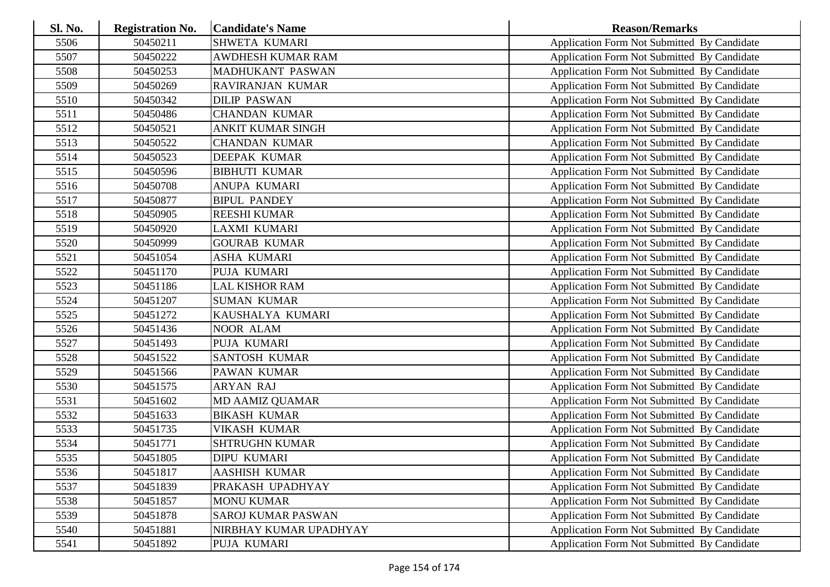| Sl. No. | <b>Registration No.</b> | <b>Candidate's Name</b>   | <b>Reason/Remarks</b>                              |
|---------|-------------------------|---------------------------|----------------------------------------------------|
| 5506    | 50450211                | SHWETA KUMARI             | Application Form Not Submitted By Candidate        |
| 5507    | 50450222                | <b>AWDHESH KUMAR RAM</b>  | Application Form Not Submitted By Candidate        |
| 5508    | 50450253                | MADHUKANT PASWAN          | Application Form Not Submitted By Candidate        |
| 5509    | 50450269                | RAVIRANJAN KUMAR          | Application Form Not Submitted By Candidate        |
| 5510    | 50450342                | <b>DILIP PASWAN</b>       | Application Form Not Submitted By Candidate        |
| 5511    | 50450486                | <b>CHANDAN KUMAR</b>      | Application Form Not Submitted By Candidate        |
| 5512    | 50450521                | ANKIT KUMAR SINGH         | Application Form Not Submitted By Candidate        |
| 5513    | 50450522                | <b>CHANDAN KUMAR</b>      | Application Form Not Submitted By Candidate        |
| 5514    | 50450523                | <b>DEEPAK KUMAR</b>       | Application Form Not Submitted By Candidate        |
| 5515    | 50450596                | <b>BIBHUTI KUMAR</b>      | Application Form Not Submitted By Candidate        |
| 5516    | 50450708                | ANUPA KUMARI              | Application Form Not Submitted By Candidate        |
| 5517    | 50450877                | <b>BIPUL PANDEY</b>       | Application Form Not Submitted By Candidate        |
| 5518    | 50450905                | <b>REESHI KUMAR</b>       | Application Form Not Submitted By Candidate        |
| 5519    | 50450920                | LAXMI KUMARI              | Application Form Not Submitted By Candidate        |
| 5520    | 50450999                | <b>GOURAB KUMAR</b>       | Application Form Not Submitted By Candidate        |
| 5521    | 50451054                | <b>ASHA KUMARI</b>        | Application Form Not Submitted By Candidate        |
| 5522    | 50451170                | PUJA KUMARI               | Application Form Not Submitted By Candidate        |
| 5523    | 50451186                | <b>LAL KISHOR RAM</b>     | Application Form Not Submitted By Candidate        |
| 5524    | 50451207                | <b>SUMAN KUMAR</b>        | Application Form Not Submitted By Candidate        |
| 5525    | 50451272                | KAUSHALYA KUMARI          | Application Form Not Submitted By Candidate        |
| 5526    | 50451436                | <b>NOOR ALAM</b>          | Application Form Not Submitted By Candidate        |
| 5527    | 50451493                | PUJA KUMARI               | Application Form Not Submitted By Candidate        |
| 5528    | 50451522                | <b>SANTOSH KUMAR</b>      | Application Form Not Submitted By Candidate        |
| 5529    | 50451566                | PAWAN KUMAR               | Application Form Not Submitted By Candidate        |
| 5530    | 50451575                | <b>ARYAN RAJ</b>          | Application Form Not Submitted By Candidate        |
| 5531    | 50451602                | <b>MD AAMIZ QUAMAR</b>    | Application Form Not Submitted By Candidate        |
| 5532    | 50451633                | <b>BIKASH KUMAR</b>       | Application Form Not Submitted By Candidate        |
| 5533    | 50451735                | <b>VIKASH KUMAR</b>       | Application Form Not Submitted By Candidate        |
| 5534    | 50451771                | <b>SHTRUGHN KUMAR</b>     | Application Form Not Submitted By Candidate        |
| 5535    | 50451805                | <b>DIPU KUMARI</b>        | Application Form Not Submitted By Candidate        |
| 5536    | 50451817                | <b>AASHISH KUMAR</b>      | <b>Application Form Not Submitted By Candidate</b> |
| 5537    | 50451839                | PRAKASH UPADHYAY          | Application Form Not Submitted By Candidate        |
| 5538    | 50451857                | <b>MONU KUMAR</b>         | Application Form Not Submitted By Candidate        |
| 5539    | 50451878                | <b>SAROJ KUMAR PASWAN</b> | Application Form Not Submitted By Candidate        |
| 5540    | 50451881                | NIRBHAY KUMAR UPADHYAY    | <b>Application Form Not Submitted By Candidate</b> |
| 5541    | 50451892                | PUJA KUMARI               | Application Form Not Submitted By Candidate        |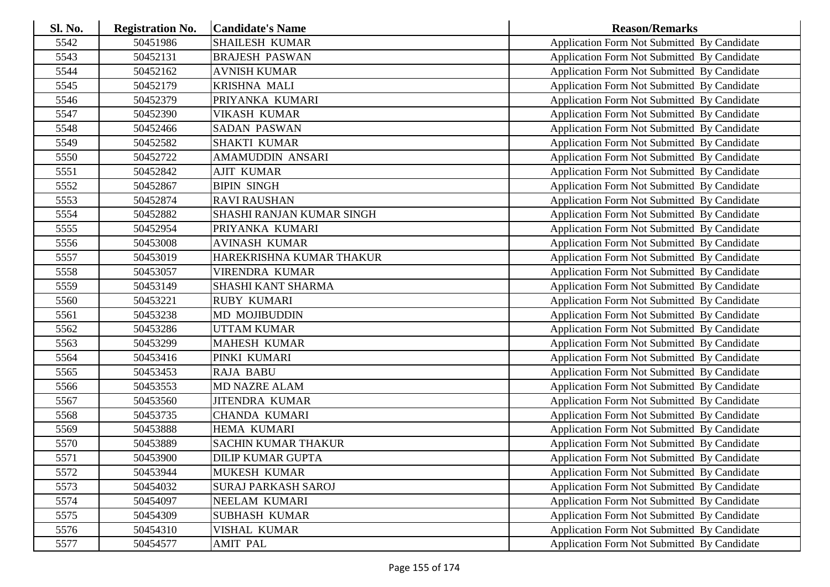| Sl. No. | <b>Registration No.</b> | <b>Candidate's Name</b>    | <b>Reason/Remarks</b>                              |
|---------|-------------------------|----------------------------|----------------------------------------------------|
| 5542    | 50451986                | <b>SHAILESH KUMAR</b>      | Application Form Not Submitted By Candidate        |
| 5543    | 50452131                | <b>BRAJESH PASWAN</b>      | Application Form Not Submitted By Candidate        |
| 5544    | 50452162                | <b>AVNISH KUMAR</b>        | Application Form Not Submitted By Candidate        |
| 5545    | 50452179                | KRISHNA MALI               | Application Form Not Submitted By Candidate        |
| 5546    | 50452379                | PRIYANKA KUMARI            | Application Form Not Submitted By Candidate        |
| 5547    | 50452390                | VIKASH KUMAR               | Application Form Not Submitted By Candidate        |
| 5548    | 50452466                | <b>SADAN PASWAN</b>        | Application Form Not Submitted By Candidate        |
| 5549    | 50452582                | <b>SHAKTI KUMAR</b>        | Application Form Not Submitted By Candidate        |
| 5550    | 50452722                | AMAMUDDIN ANSARI           | Application Form Not Submitted By Candidate        |
| 5551    | 50452842                | <b>AJIT KUMAR</b>          | Application Form Not Submitted By Candidate        |
| 5552    | 50452867                | <b>BIPIN SINGH</b>         | Application Form Not Submitted By Candidate        |
| 5553    | 50452874                | <b>RAVI RAUSHAN</b>        | Application Form Not Submitted By Candidate        |
| 5554    | 50452882                | SHASHI RANJAN KUMAR SINGH  | Application Form Not Submitted By Candidate        |
| 5555    | 50452954                | PRIYANKA KUMARI            | Application Form Not Submitted By Candidate        |
| 5556    | 50453008                | <b>AVINASH KUMAR</b>       | Application Form Not Submitted By Candidate        |
| 5557    | 50453019                | HAREKRISHNA KUMAR THAKUR   | Application Form Not Submitted By Candidate        |
| 5558    | 50453057                | <b>VIRENDRA KUMAR</b>      | Application Form Not Submitted By Candidate        |
| 5559    | 50453149                | <b>SHASHI KANT SHARMA</b>  | Application Form Not Submitted By Candidate        |
| 5560    | 50453221                | <b>RUBY KUMARI</b>         | Application Form Not Submitted By Candidate        |
| 5561    | 50453238                | <b>MD MOJIBUDDIN</b>       | Application Form Not Submitted By Candidate        |
| 5562    | 50453286                | <b>UTTAM KUMAR</b>         | Application Form Not Submitted By Candidate        |
| 5563    | 50453299                | <b>MAHESH KUMAR</b>        | Application Form Not Submitted By Candidate        |
| 5564    | 50453416                | PINKI KUMARI               | Application Form Not Submitted By Candidate        |
| 5565    | 50453453                | <b>RAJA BABU</b>           | Application Form Not Submitted By Candidate        |
| 5566    | 50453553                | <b>MD NAZRE ALAM</b>       | Application Form Not Submitted By Candidate        |
| 5567    | 50453560                | <b>JITENDRA KUMAR</b>      | Application Form Not Submitted By Candidate        |
| 5568    | 50453735                | <b>CHANDA KUMARI</b>       | Application Form Not Submitted By Candidate        |
| 5569    | 50453888                | HEMA KUMARI                | Application Form Not Submitted By Candidate        |
| 5570    | 50453889                | <b>SACHIN KUMAR THAKUR</b> | Application Form Not Submitted By Candidate        |
| 5571    | 50453900                | <b>DILIP KUMAR GUPTA</b>   | Application Form Not Submitted By Candidate        |
| 5572    | 50453944                | MUKESH KUMAR               | Application Form Not Submitted By Candidate        |
| 5573    | 50454032                | <b>SURAJ PARKASH SAROJ</b> | Application Form Not Submitted By Candidate        |
| 5574    | 50454097                | NEELAM KUMARI              | Application Form Not Submitted By Candidate        |
| 5575    | 50454309                | <b>SUBHASH KUMAR</b>       | Application Form Not Submitted By Candidate        |
| 5576    | 50454310                | VISHAL KUMAR               | <b>Application Form Not Submitted By Candidate</b> |
| 5577    | 50454577                | <b>AMIT PAL</b>            | Application Form Not Submitted By Candidate        |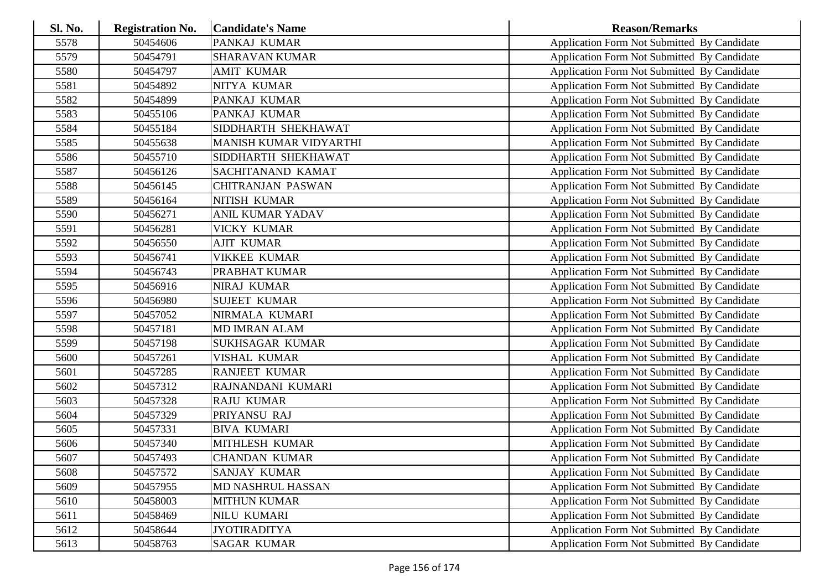| Sl. No. | <b>Registration No.</b> | <b>Candidate's Name</b>       | <b>Reason/Remarks</b>                       |
|---------|-------------------------|-------------------------------|---------------------------------------------|
| 5578    | 50454606                | PANKAJ KUMAR                  | Application Form Not Submitted By Candidate |
| 5579    | 50454791                | <b>SHARAVAN KUMAR</b>         | Application Form Not Submitted By Candidate |
| 5580    | 50454797                | <b>AMIT KUMAR</b>             | Application Form Not Submitted By Candidate |
| 5581    | 50454892                | NITYA KUMAR                   | Application Form Not Submitted By Candidate |
| 5582    | 50454899                | PANKAJ KUMAR                  | Application Form Not Submitted By Candidate |
| 5583    | 50455106                | PANKAJ KUMAR                  | Application Form Not Submitted By Candidate |
| 5584    | 50455184                | SIDDHARTH SHEKHAWAT           | Application Form Not Submitted By Candidate |
| 5585    | 50455638                | <b>MANISH KUMAR VIDYARTHI</b> | Application Form Not Submitted By Candidate |
| 5586    | 50455710                | SIDDHARTH SHEKHAWAT           | Application Form Not Submitted By Candidate |
| 5587    | 50456126                | SACHITANAND KAMAT             | Application Form Not Submitted By Candidate |
| 5588    | 50456145                | <b>CHITRANJAN PASWAN</b>      | Application Form Not Submitted By Candidate |
| 5589    | 50456164                | NITISH KUMAR                  | Application Form Not Submitted By Candidate |
| 5590    | 50456271                | <b>ANIL KUMAR YADAV</b>       | Application Form Not Submitted By Candidate |
| 5591    | 50456281                | <b>VICKY KUMAR</b>            | Application Form Not Submitted By Candidate |
| 5592    | 50456550                | <b>AJIT KUMAR</b>             | Application Form Not Submitted By Candidate |
| 5593    | 50456741                | <b>VIKKEE KUMAR</b>           | Application Form Not Submitted By Candidate |
| 5594    | 50456743                | PRABHAT KUMAR                 | Application Form Not Submitted By Candidate |
| 5595    | 50456916                | NIRAJ KUMAR                   | Application Form Not Submitted By Candidate |
| 5596    | 50456980                | <b>SUJEET KUMAR</b>           | Application Form Not Submitted By Candidate |
| 5597    | 50457052                | NIRMALA KUMARI                | Application Form Not Submitted By Candidate |
| 5598    | 50457181                | <b>MD IMRAN ALAM</b>          | Application Form Not Submitted By Candidate |
| 5599    | 50457198                | <b>SUKHSAGAR KUMAR</b>        | Application Form Not Submitted By Candidate |
| 5600    | 50457261                | VISHAL KUMAR                  | Application Form Not Submitted By Candidate |
| 5601    | 50457285                | <b>RANJEET KUMAR</b>          | Application Form Not Submitted By Candidate |
| 5602    | 50457312                | RAJNANDANI KUMARI             | Application Form Not Submitted By Candidate |
| 5603    | 50457328                | <b>RAJU KUMAR</b>             | Application Form Not Submitted By Candidate |
| 5604    | 50457329                | PRIYANSU RAJ                  | Application Form Not Submitted By Candidate |
| 5605    | 50457331                | <b>BIVA KUMARI</b>            | Application Form Not Submitted By Candidate |
| 5606    | 50457340                | MITHLESH KUMAR                | Application Form Not Submitted By Candidate |
| 5607    | 50457493                | <b>CHANDAN KUMAR</b>          | Application Form Not Submitted By Candidate |
| 5608    | 50457572                | SANJAY KUMAR                  | Application Form Not Submitted By Candidate |
| 5609    | 50457955                | <b>MD NASHRUL HASSAN</b>      | Application Form Not Submitted By Candidate |
| 5610    | 50458003                | <b>MITHUN KUMAR</b>           | Application Form Not Submitted By Candidate |
| 5611    | 50458469                | NILU KUMARI                   | Application Form Not Submitted By Candidate |
| 5612    | 50458644                | <b>JYOTIRADITYA</b>           | Application Form Not Submitted By Candidate |
| 5613    | 50458763                | <b>SAGAR KUMAR</b>            | Application Form Not Submitted By Candidate |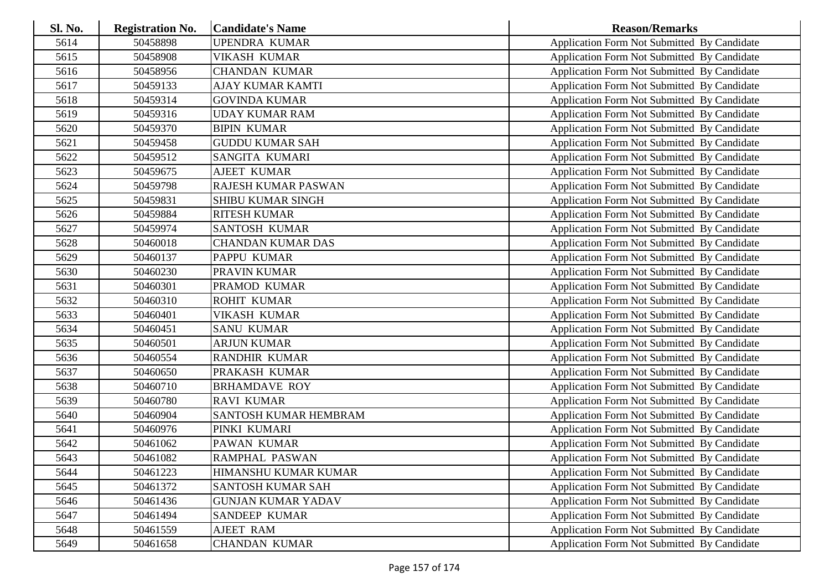| Sl. No. | <b>Registration No.</b> | <b>Candidate's Name</b>   | <b>Reason/Remarks</b>                       |
|---------|-------------------------|---------------------------|---------------------------------------------|
| 5614    | 50458898                | <b>UPENDRA KUMAR</b>      | Application Form Not Submitted By Candidate |
| 5615    | 50458908                | <b>VIKASH KUMAR</b>       | Application Form Not Submitted By Candidate |
| 5616    | 50458956                | <b>CHANDAN KUMAR</b>      | Application Form Not Submitted By Candidate |
| 5617    | 50459133                | <b>AJAY KUMAR KAMTI</b>   | Application Form Not Submitted By Candidate |
| 5618    | 50459314                | <b>GOVINDA KUMAR</b>      | Application Form Not Submitted By Candidate |
| 5619    | 50459316                | <b>UDAY KUMAR RAM</b>     | Application Form Not Submitted By Candidate |
| 5620    | 50459370                | <b>BIPIN KUMAR</b>        | Application Form Not Submitted By Candidate |
| 5621    | 50459458                | <b>GUDDU KUMAR SAH</b>    | Application Form Not Submitted By Candidate |
| 5622    | 50459512                | <b>SANGITA KUMARI</b>     | Application Form Not Submitted By Candidate |
| 5623    | 50459675                | <b>AJEET KUMAR</b>        | Application Form Not Submitted By Candidate |
| 5624    | 50459798                | RAJESH KUMAR PASWAN       | Application Form Not Submitted By Candidate |
| 5625    | 50459831                | SHIBU KUMAR SINGH         | Application Form Not Submitted By Candidate |
| 5626    | 50459884                | <b>RITESH KUMAR</b>       | Application Form Not Submitted By Candidate |
| 5627    | 50459974                | SANTOSH KUMAR             | Application Form Not Submitted By Candidate |
| 5628    | 50460018                | <b>CHANDAN KUMAR DAS</b>  | Application Form Not Submitted By Candidate |
| 5629    | 50460137                | PAPPU KUMAR               | Application Form Not Submitted By Candidate |
| 5630    | 50460230                | PRAVIN KUMAR              | Application Form Not Submitted By Candidate |
| 5631    | 50460301                | PRAMOD KUMAR              | Application Form Not Submitted By Candidate |
| 5632    | 50460310                | <b>ROHIT KUMAR</b>        | Application Form Not Submitted By Candidate |
| 5633    | 50460401                | <b>VIKASH KUMAR</b>       | Application Form Not Submitted By Candidate |
| 5634    | 50460451                | <b>SANU KUMAR</b>         | Application Form Not Submitted By Candidate |
| 5635    | 50460501                | <b>ARJUN KUMAR</b>        | Application Form Not Submitted By Candidate |
| 5636    | 50460554                | <b>RANDHIR KUMAR</b>      | Application Form Not Submitted By Candidate |
| 5637    | 50460650                | PRAKASH KUMAR             | Application Form Not Submitted By Candidate |
| 5638    | 50460710                | <b>BRHAMDAVE ROY</b>      | Application Form Not Submitted By Candidate |
| 5639    | 50460780                | <b>RAVI KUMAR</b>         | Application Form Not Submitted By Candidate |
| 5640    | 50460904                | SANTOSH KUMAR HEMBRAM     | Application Form Not Submitted By Candidate |
| 5641    | 50460976                | PINKI KUMARI              | Application Form Not Submitted By Candidate |
| 5642    | 50461062                | PAWAN KUMAR               | Application Form Not Submitted By Candidate |
| 5643    | 50461082                | RAMPHAL PASWAN            | Application Form Not Submitted By Candidate |
| 5644    | 50461223                | HIMANSHU KUMAR KUMAR      | Application Form Not Submitted By Candidate |
| 5645    | 50461372                | SANTOSH KUMAR SAH         | Application Form Not Submitted By Candidate |
| 5646    | 50461436                | <b>GUNJAN KUMAR YADAV</b> | Application Form Not Submitted By Candidate |
| 5647    | 50461494                | <b>SANDEEP KUMAR</b>      | Application Form Not Submitted By Candidate |
| 5648    | 50461559                | AJEET RAM                 | Application Form Not Submitted By Candidate |
| 5649    | 50461658                | <b>CHANDAN KUMAR</b>      | Application Form Not Submitted By Candidate |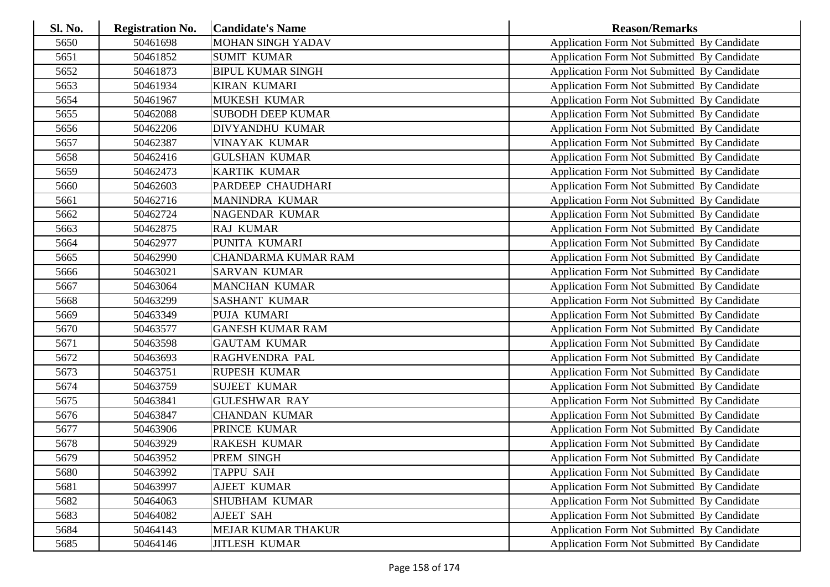| Sl. No. | <b>Registration No.</b> | <b>Candidate's Name</b>    | <b>Reason/Remarks</b>                              |
|---------|-------------------------|----------------------------|----------------------------------------------------|
| 5650    | 50461698                | <b>MOHAN SINGH YADAV</b>   | Application Form Not Submitted By Candidate        |
| 5651    | 50461852                | <b>SUMIT KUMAR</b>         | Application Form Not Submitted By Candidate        |
| 5652    | 50461873                | <b>BIPUL KUMAR SINGH</b>   | Application Form Not Submitted By Candidate        |
| 5653    | 50461934                | <b>KIRAN KUMARI</b>        | Application Form Not Submitted By Candidate        |
| 5654    | 50461967                | MUKESH KUMAR               | Application Form Not Submitted By Candidate        |
| 5655    | 50462088                | <b>SUBODH DEEP KUMAR</b>   | Application Form Not Submitted By Candidate        |
| 5656    | 50462206                | DIVYANDHU KUMAR            | Application Form Not Submitted By Candidate        |
| 5657    | 50462387                | <b>VINAYAK KUMAR</b>       | Application Form Not Submitted By Candidate        |
| 5658    | 50462416                | <b>GULSHAN KUMAR</b>       | Application Form Not Submitted By Candidate        |
| 5659    | 50462473                | <b>KARTIK KUMAR</b>        | Application Form Not Submitted By Candidate        |
| 5660    | 50462603                | PARDEEP CHAUDHARI          | Application Form Not Submitted By Candidate        |
| 5661    | 50462716                | <b>MANINDRA KUMAR</b>      | Application Form Not Submitted By Candidate        |
| 5662    | 50462724                | NAGENDAR KUMAR             | Application Form Not Submitted By Candidate        |
| 5663    | 50462875                | <b>RAJ KUMAR</b>           | Application Form Not Submitted By Candidate        |
| 5664    | 50462977                | PUNITA KUMARI              | Application Form Not Submitted By Candidate        |
| 5665    | 50462990                | <b>CHANDARMA KUMAR RAM</b> | Application Form Not Submitted By Candidate        |
| 5666    | 50463021                | <b>SARVAN KUMAR</b>        | Application Form Not Submitted By Candidate        |
| 5667    | 50463064                | <b>MANCHAN KUMAR</b>       | Application Form Not Submitted By Candidate        |
| 5668    | 50463299                | <b>SASHANT KUMAR</b>       | Application Form Not Submitted By Candidate        |
| 5669    | 50463349                | PUJA KUMARI                | Application Form Not Submitted By Candidate        |
| 5670    | 50463577                | <b>GANESH KUMAR RAM</b>    | Application Form Not Submitted By Candidate        |
| 5671    | 50463598                | <b>GAUTAM KUMAR</b>        | Application Form Not Submitted By Candidate        |
| 5672    | 50463693                | RAGHVENDRA PAL             | Application Form Not Submitted By Candidate        |
| 5673    | 50463751                | <b>RUPESH KUMAR</b>        | Application Form Not Submitted By Candidate        |
| 5674    | 50463759                | <b>SUJEET KUMAR</b>        | Application Form Not Submitted By Candidate        |
| 5675    | 50463841                | <b>GULESHWAR RAY</b>       | Application Form Not Submitted By Candidate        |
| 5676    | 50463847                | <b>CHANDAN KUMAR</b>       | Application Form Not Submitted By Candidate        |
| 5677    | 50463906                | PRINCE KUMAR               | Application Form Not Submitted By Candidate        |
| 5678    | 50463929                | <b>RAKESH KUMAR</b>        | Application Form Not Submitted By Candidate        |
| 5679    | 50463952                | PREM SINGH                 | Application Form Not Submitted By Candidate        |
| 5680    | 50463992                | <b>TAPPU SAH</b>           | <b>Application Form Not Submitted By Candidate</b> |
| 5681    | 50463997                | AJEET KUMAR                | Application Form Not Submitted By Candidate        |
| 5682    | 50464063                | SHUBHAM KUMAR              | Application Form Not Submitted By Candidate        |
| 5683    | 50464082                | AJEET SAH                  | Application Form Not Submitted By Candidate        |
| 5684    | 50464143                | MEJAR KUMAR THAKUR         | <b>Application Form Not Submitted By Candidate</b> |
| 5685    | 50464146                | <b>JITLESH KUMAR</b>       | <b>Application Form Not Submitted By Candidate</b> |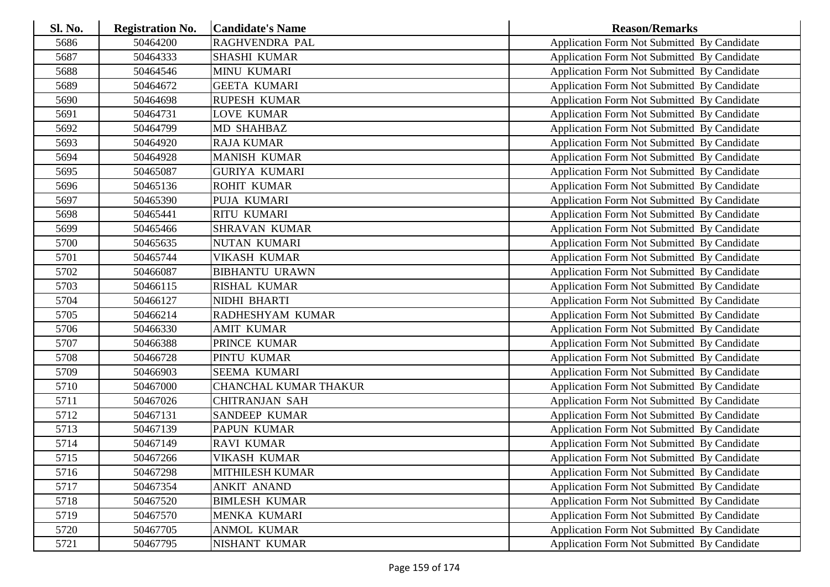| Sl. No. | <b>Registration No.</b> | <b>Candidate's Name</b>      | <b>Reason/Remarks</b>                       |
|---------|-------------------------|------------------------------|---------------------------------------------|
| 5686    | 50464200                | RAGHVENDRA PAL               | Application Form Not Submitted By Candidate |
| 5687    | 50464333                | <b>SHASHI KUMAR</b>          | Application Form Not Submitted By Candidate |
| 5688    | 50464546                | <b>MINU KUMARI</b>           | Application Form Not Submitted By Candidate |
| 5689    | 50464672                | <b>GEETA KUMARI</b>          | Application Form Not Submitted By Candidate |
| 5690    | 50464698                | <b>RUPESH KUMAR</b>          | Application Form Not Submitted By Candidate |
| 5691    | 50464731                | <b>LOVE KUMAR</b>            | Application Form Not Submitted By Candidate |
| 5692    | 50464799                | MD SHAHBAZ                   | Application Form Not Submitted By Candidate |
| 5693    | 50464920                | <b>RAJA KUMAR</b>            | Application Form Not Submitted By Candidate |
| 5694    | 50464928                | <b>MANISH KUMAR</b>          | Application Form Not Submitted By Candidate |
| 5695    | 50465087                | <b>GURIYA KUMARI</b>         | Application Form Not Submitted By Candidate |
| 5696    | 50465136                | <b>ROHIT KUMAR</b>           | Application Form Not Submitted By Candidate |
| 5697    | 50465390                | PUJA KUMARI                  | Application Form Not Submitted By Candidate |
| 5698    | 50465441                | <b>RITU KUMARI</b>           | Application Form Not Submitted By Candidate |
| 5699    | 50465466                | SHRAVAN KUMAR                | Application Form Not Submitted By Candidate |
| 5700    | 50465635                | <b>NUTAN KUMARI</b>          | Application Form Not Submitted By Candidate |
| 5701    | 50465744                | VIKASH KUMAR                 | Application Form Not Submitted By Candidate |
| 5702    | 50466087                | <b>BIBHANTU URAWN</b>        | Application Form Not Submitted By Candidate |
| 5703    | 50466115                | RISHAL KUMAR                 | Application Form Not Submitted By Candidate |
| 5704    | 50466127                | NIDHI BHARTI                 | Application Form Not Submitted By Candidate |
| 5705    | 50466214                | RADHESHYAM KUMAR             | Application Form Not Submitted By Candidate |
| 5706    | 50466330                | <b>AMIT KUMAR</b>            | Application Form Not Submitted By Candidate |
| 5707    | 50466388                | PRINCE KUMAR                 | Application Form Not Submitted By Candidate |
| 5708    | 50466728                | PINTU KUMAR                  | Application Form Not Submitted By Candidate |
| 5709    | 50466903                | SEEMA KUMARI                 | Application Form Not Submitted By Candidate |
| 5710    | 50467000                | <b>CHANCHAL KUMAR THAKUR</b> | Application Form Not Submitted By Candidate |
| 5711    | 50467026                | <b>CHITRANJAN SAH</b>        | Application Form Not Submitted By Candidate |
| 5712    | 50467131                | <b>SANDEEP KUMAR</b>         | Application Form Not Submitted By Candidate |
| 5713    | 50467139                | PAPUN KUMAR                  | Application Form Not Submitted By Candidate |
| 5714    | 50467149                | <b>RAVI KUMAR</b>            | Application Form Not Submitted By Candidate |
| 5715    | 50467266                | <b>VIKASH KUMAR</b>          | Application Form Not Submitted By Candidate |
| 5716    | 50467298                | MITHILESH KUMAR              | Application Form Not Submitted By Candidate |
| 5717    | 50467354                | <b>ANKIT ANAND</b>           | Application Form Not Submitted By Candidate |
| 5718    | 50467520                | <b>BIMLESH KUMAR</b>         | Application Form Not Submitted By Candidate |
| 5719    | 50467570                | MENKA KUMARI                 | Application Form Not Submitted By Candidate |
| 5720    | 50467705                | <b>ANMOL KUMAR</b>           | Application Form Not Submitted By Candidate |
| 5721    | 50467795                | NISHANT KUMAR                | Application Form Not Submitted By Candidate |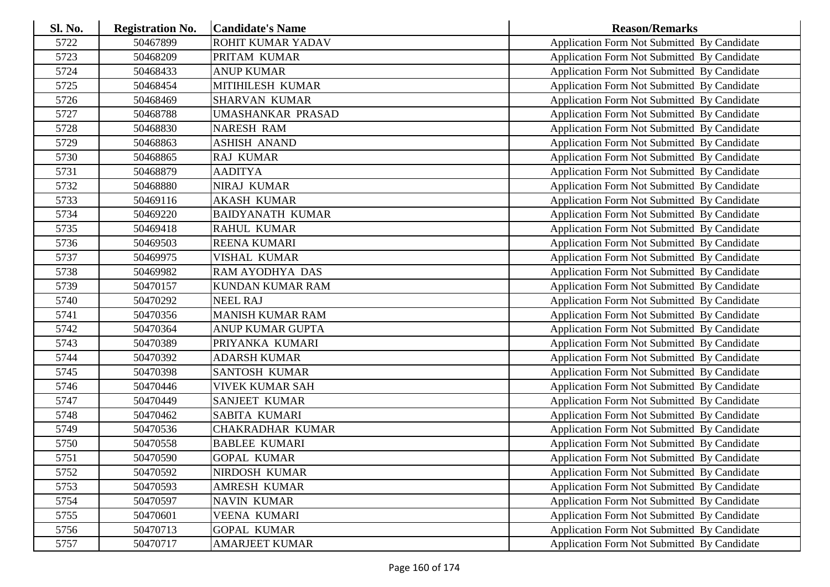| Sl. No. | <b>Registration No.</b> | <b>Candidate's Name</b>  | <b>Reason/Remarks</b>                              |
|---------|-------------------------|--------------------------|----------------------------------------------------|
| 5722    | 50467899                | <b>ROHIT KUMAR YADAV</b> | Application Form Not Submitted By Candidate        |
| 5723    | 50468209                | PRITAM KUMAR             | Application Form Not Submitted By Candidate        |
| 5724    | 50468433                | <b>ANUP KUMAR</b>        | Application Form Not Submitted By Candidate        |
| 5725    | 50468454                | MITIHILESH KUMAR         | Application Form Not Submitted By Candidate        |
| 5726    | 50468469                | <b>SHARVAN KUMAR</b>     | Application Form Not Submitted By Candidate        |
| 5727    | 50468788                | UMASHANKAR PRASAD        | Application Form Not Submitted By Candidate        |
| 5728    | 50468830                | <b>NARESH RAM</b>        | Application Form Not Submitted By Candidate        |
| 5729    | 50468863                | <b>ASHISH ANAND</b>      | Application Form Not Submitted By Candidate        |
| 5730    | 50468865                | <b>RAJ KUMAR</b>         | Application Form Not Submitted By Candidate        |
| 5731    | 50468879                | <b>AADITYA</b>           | Application Form Not Submitted By Candidate        |
| 5732    | 50468880                | NIRAJ KUMAR              | Application Form Not Submitted By Candidate        |
| 5733    | 50469116                | <b>AKASH KUMAR</b>       | Application Form Not Submitted By Candidate        |
| 5734    | 50469220                | <b>BAIDYANATH KUMAR</b>  | Application Form Not Submitted By Candidate        |
| 5735    | 50469418                | <b>RAHUL KUMAR</b>       | Application Form Not Submitted By Candidate        |
| 5736    | 50469503                | <b>REENA KUMARI</b>      | Application Form Not Submitted By Candidate        |
| 5737    | 50469975                | VISHAL KUMAR             | Application Form Not Submitted By Candidate        |
| 5738    | 50469982                | RAM AYODHYA DAS          | Application Form Not Submitted By Candidate        |
| 5739    | 50470157                | <b>KUNDAN KUMAR RAM</b>  | Application Form Not Submitted By Candidate        |
| 5740    | 50470292                | <b>NEEL RAJ</b>          | Application Form Not Submitted By Candidate        |
| 5741    | 50470356                | <b>MANISH KUMAR RAM</b>  | Application Form Not Submitted By Candidate        |
| 5742    | 50470364                | ANUP KUMAR GUPTA         | Application Form Not Submitted By Candidate        |
| 5743    | 50470389                | PRIYANKA KUMARI          | Application Form Not Submitted By Candidate        |
| 5744    | 50470392                | <b>ADARSH KUMAR</b>      | Application Form Not Submitted By Candidate        |
| 5745    | 50470398                | <b>SANTOSH KUMAR</b>     | Application Form Not Submitted By Candidate        |
| 5746    | 50470446                | <b>VIVEK KUMAR SAH</b>   | Application Form Not Submitted By Candidate        |
| 5747    | 50470449                | SANJEET KUMAR            | Application Form Not Submitted By Candidate        |
| 5748    | 50470462                | <b>SABITA KUMARI</b>     | Application Form Not Submitted By Candidate        |
| 5749    | 50470536                | <b>CHAKRADHAR KUMAR</b>  | Application Form Not Submitted By Candidate        |
| 5750    | 50470558                | <b>BABLEE KUMARI</b>     | Application Form Not Submitted By Candidate        |
| 5751    | 50470590                | <b>GOPAL KUMAR</b>       | Application Form Not Submitted By Candidate        |
| 5752    | 50470592                | NIRDOSH KUMAR            | Application Form Not Submitted By Candidate        |
| 5753    | 50470593                | AMRESH KUMAR             | Application Form Not Submitted By Candidate        |
| 5754    | 50470597                | <b>NAVIN KUMAR</b>       | Application Form Not Submitted By Candidate        |
| 5755    | 50470601                | <b>VEENA KUMARI</b>      | Application Form Not Submitted By Candidate        |
| 5756    | 50470713                | <b>GOPAL KUMAR</b>       | <b>Application Form Not Submitted By Candidate</b> |
| 5757    | 50470717                | <b>AMARJEET KUMAR</b>    | Application Form Not Submitted By Candidate        |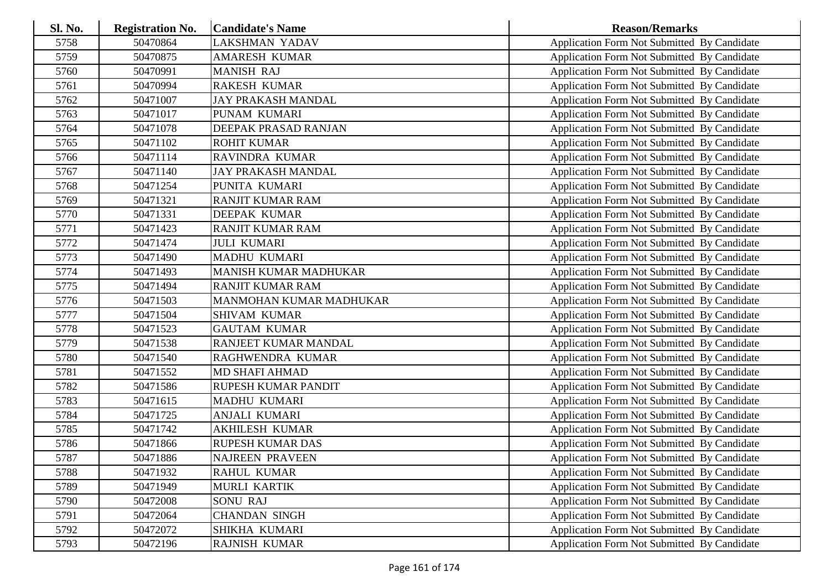| Sl. No. | <b>Registration No.</b> | <b>Candidate's Name</b>      | <b>Reason/Remarks</b>                       |
|---------|-------------------------|------------------------------|---------------------------------------------|
| 5758    | 50470864                | <b>LAKSHMAN YADAV</b>        | Application Form Not Submitted By Candidate |
| 5759    | 50470875                | <b>AMARESH KUMAR</b>         | Application Form Not Submitted By Candidate |
| 5760    | 50470991                | <b>MANISH RAJ</b>            | Application Form Not Submitted By Candidate |
| 5761    | 50470994                | <b>RAKESH KUMAR</b>          | Application Form Not Submitted By Candidate |
| 5762    | 50471007                | JAY PRAKASH MANDAL           | Application Form Not Submitted By Candidate |
| 5763    | 50471017                | PUNAM KUMARI                 | Application Form Not Submitted By Candidate |
| 5764    | 50471078                | DEEPAK PRASAD RANJAN         | Application Form Not Submitted By Candidate |
| 5765    | 50471102                | <b>ROHIT KUMAR</b>           | Application Form Not Submitted By Candidate |
| 5766    | 50471114                | <b>RAVINDRA KUMAR</b>        | Application Form Not Submitted By Candidate |
| 5767    | 50471140                | JAY PRAKASH MANDAL           | Application Form Not Submitted By Candidate |
| 5768    | 50471254                | PUNITA KUMARI                | Application Form Not Submitted By Candidate |
| 5769    | 50471321                | RANJIT KUMAR RAM             | Application Form Not Submitted By Candidate |
| 5770    | 50471331                | DEEPAK KUMAR                 | Application Form Not Submitted By Candidate |
| 5771    | 50471423                | RANJIT KUMAR RAM             | Application Form Not Submitted By Candidate |
| 5772    | 50471474                | <b>JULI KUMARI</b>           | Application Form Not Submitted By Candidate |
| 5773    | 50471490                | <b>MADHU KUMARI</b>          | Application Form Not Submitted By Candidate |
| 5774    | 50471493                | <b>MANISH KUMAR MADHUKAR</b> | Application Form Not Submitted By Candidate |
| 5775    | 50471494                | RANJIT KUMAR RAM             | Application Form Not Submitted By Candidate |
| 5776    | 50471503                | MANMOHAN KUMAR MADHUKAR      | Application Form Not Submitted By Candidate |
| 5777    | 50471504                | SHIVAM KUMAR                 | Application Form Not Submitted By Candidate |
| 5778    | 50471523                | <b>GAUTAM KUMAR</b>          | Application Form Not Submitted By Candidate |
| 5779    | 50471538                | RANJEET KUMAR MANDAL         | Application Form Not Submitted By Candidate |
| 5780    | 50471540                | RAGHWENDRA KUMAR             | Application Form Not Submitted By Candidate |
| 5781    | 50471552                | <b>MD SHAFI AHMAD</b>        | Application Form Not Submitted By Candidate |
| 5782    | 50471586                | <b>RUPESH KUMAR PANDIT</b>   | Application Form Not Submitted By Candidate |
| 5783    | 50471615                | MADHU KUMARI                 | Application Form Not Submitted By Candidate |
| 5784    | 50471725                | ANJALI KUMARI                | Application Form Not Submitted By Candidate |
| 5785    | 50471742                | <b>AKHILESH KUMAR</b>        | Application Form Not Submitted By Candidate |
| 5786    | 50471866                | <b>RUPESH KUMAR DAS</b>      | Application Form Not Submitted By Candidate |
| 5787    | 50471886                | <b>NAJREEN PRAVEEN</b>       | Application Form Not Submitted By Candidate |
| 5788    | 50471932                | <b>RAHUL KUMAR</b>           | Application Form Not Submitted By Candidate |
| 5789    | 50471949                | <b>MURLI KARTIK</b>          | Application Form Not Submitted By Candidate |
| 5790    | 50472008                | SONU RAJ                     | Application Form Not Submitted By Candidate |
| 5791    | 50472064                | <b>CHANDAN SINGH</b>         | Application Form Not Submitted By Candidate |
| 5792    | 50472072                | <b>SHIKHA KUMARI</b>         | Application Form Not Submitted By Candidate |
| 5793    | 50472196                | <b>RAJNISH KUMAR</b>         | Application Form Not Submitted By Candidate |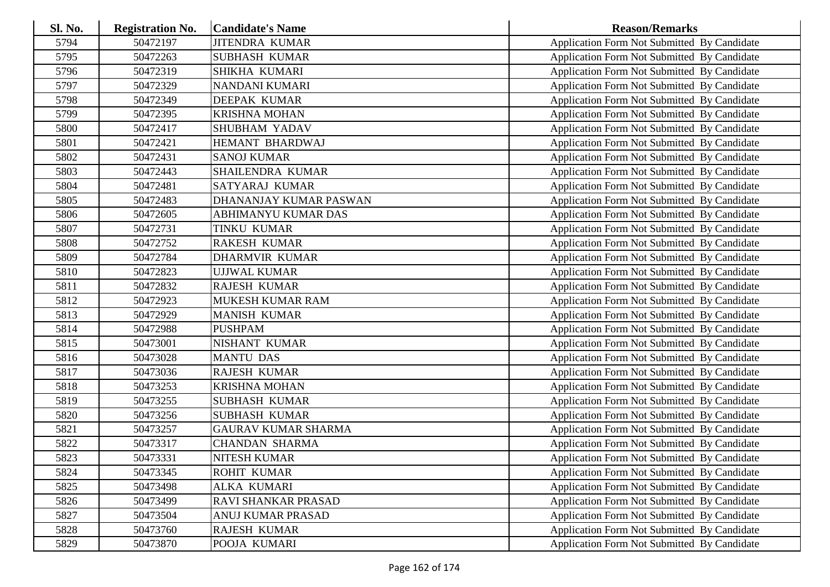| <b>Sl. No.</b> | <b>Registration No.</b> | <b>Candidate's Name</b>    | <b>Reason/Remarks</b>                              |
|----------------|-------------------------|----------------------------|----------------------------------------------------|
| 5794           | 50472197                | <b>JITENDRA KUMAR</b>      | Application Form Not Submitted By Candidate        |
| 5795           | 50472263                | <b>SUBHASH KUMAR</b>       | Application Form Not Submitted By Candidate        |
| 5796           | 50472319                | <b>SHIKHA KUMARI</b>       | Application Form Not Submitted By Candidate        |
| 5797           | 50472329                | NANDANI KUMARI             | Application Form Not Submitted By Candidate        |
| 5798           | 50472349                | <b>DEEPAK KUMAR</b>        | Application Form Not Submitted By Candidate        |
| 5799           | 50472395                | <b>KRISHNA MOHAN</b>       | Application Form Not Submitted By Candidate        |
| 5800           | 50472417                | SHUBHAM YADAV              | Application Form Not Submitted By Candidate        |
| 5801           | 50472421                | HEMANT BHARDWAJ            | Application Form Not Submitted By Candidate        |
| 5802           | 50472431                | <b>SANOJ KUMAR</b>         | Application Form Not Submitted By Candidate        |
| 5803           | 50472443                | SHAILENDRA KUMAR           | Application Form Not Submitted By Candidate        |
| 5804           | 50472481                | SATYARAJ KUMAR             | Application Form Not Submitted By Candidate        |
| 5805           | 50472483                | DHANANJAY KUMAR PASWAN     | Application Form Not Submitted By Candidate        |
| 5806           | 50472605                | ABHIMANYU KUMAR DAS        | Application Form Not Submitted By Candidate        |
| 5807           | 50472731                | <b>TINKU KUMAR</b>         | Application Form Not Submitted By Candidate        |
| 5808           | 50472752                | <b>RAKESH KUMAR</b>        | Application Form Not Submitted By Candidate        |
| 5809           | 50472784                | <b>DHARMVIR KUMAR</b>      | Application Form Not Submitted By Candidate        |
| 5810           | 50472823                | <b>UJJWAL KUMAR</b>        | <b>Application Form Not Submitted By Candidate</b> |
| 5811           | 50472832                | <b>RAJESH KUMAR</b>        | Application Form Not Submitted By Candidate        |
| 5812           | 50472923                | MUKESH KUMAR RAM           | Application Form Not Submitted By Candidate        |
| 5813           | 50472929                | <b>MANISH KUMAR</b>        | Application Form Not Submitted By Candidate        |
| 5814           | 50472988                | <b>PUSHPAM</b>             | Application Form Not Submitted By Candidate        |
| 5815           | 50473001                | NISHANT KUMAR              | Application Form Not Submitted By Candidate        |
| 5816           | 50473028                | <b>MANTU DAS</b>           | Application Form Not Submitted By Candidate        |
| 5817           | 50473036                | <b>RAJESH KUMAR</b>        | Application Form Not Submitted By Candidate        |
| 5818           | 50473253                | <b>KRISHNA MOHAN</b>       | Application Form Not Submitted By Candidate        |
| 5819           | 50473255                | <b>SUBHASH KUMAR</b>       | Application Form Not Submitted By Candidate        |
| 5820           | 50473256                | <b>SUBHASH KUMAR</b>       | Application Form Not Submitted By Candidate        |
| 5821           | 50473257                | <b>GAURAV KUMAR SHARMA</b> | Application Form Not Submitted By Candidate        |
| 5822           | 50473317                | <b>CHANDAN SHARMA</b>      | Application Form Not Submitted By Candidate        |
| 5823           | 50473331                | NITESH KUMAR               | Application Form Not Submitted By Candidate        |
| 5824           | 50473345                | <b>ROHIT KUMAR</b>         | Application Form Not Submitted By Candidate        |
| 5825           | 50473498                | ALKA KUMARI                | Application Form Not Submitted By Candidate        |
| 5826           | 50473499                | RAVI SHANKAR PRASAD        | Application Form Not Submitted By Candidate        |
| 5827           | 50473504                | <b>ANUJ KUMAR PRASAD</b>   | Application Form Not Submitted By Candidate        |
| 5828           | 50473760                | <b>RAJESH KUMAR</b>        | Application Form Not Submitted By Candidate        |
| 5829           | 50473870                | POOJA KUMARI               | Application Form Not Submitted By Candidate        |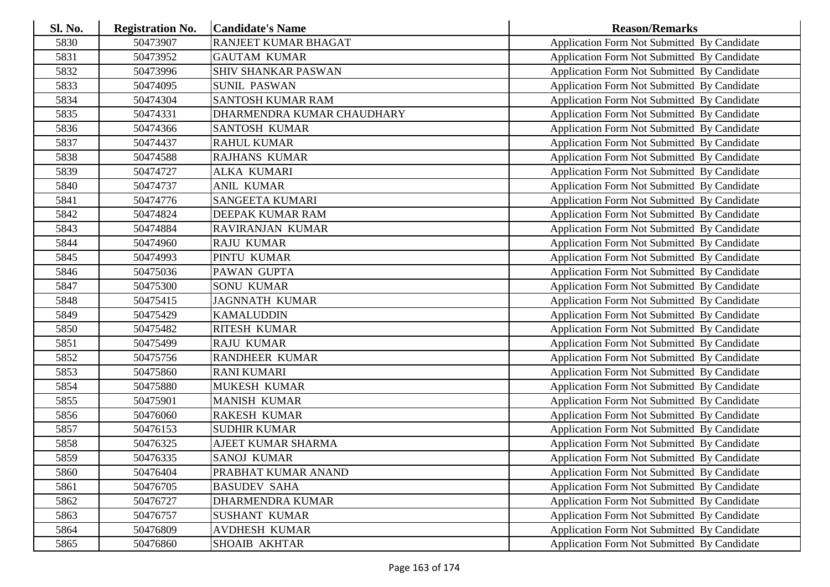| Sl. No. | <b>Registration No.</b> | <b>Candidate's Name</b>    | <b>Reason/Remarks</b>                       |
|---------|-------------------------|----------------------------|---------------------------------------------|
| 5830    | 50473907                | RANJEET KUMAR BHAGAT       | Application Form Not Submitted By Candidate |
| 5831    | 50473952                | <b>GAUTAM KUMAR</b>        | Application Form Not Submitted By Candidate |
| 5832    | 50473996                | <b>SHIV SHANKAR PASWAN</b> | Application Form Not Submitted By Candidate |
| 5833    | 50474095                | <b>SUNIL PASWAN</b>        | Application Form Not Submitted By Candidate |
| 5834    | 50474304                | SANTOSH KUMAR RAM          | Application Form Not Submitted By Candidate |
| 5835    | 50474331                | DHARMENDRA KUMAR CHAUDHARY | Application Form Not Submitted By Candidate |
| 5836    | 50474366                | SANTOSH KUMAR              | Application Form Not Submitted By Candidate |
| 5837    | 50474437                | <b>RAHUL KUMAR</b>         | Application Form Not Submitted By Candidate |
| 5838    | 50474588                | <b>RAJHANS KUMAR</b>       | Application Form Not Submitted By Candidate |
| 5839    | 50474727                | ALKA KUMARI                | Application Form Not Submitted By Candidate |
| 5840    | 50474737                | <b>ANIL KUMAR</b>          | Application Form Not Submitted By Candidate |
| 5841    | 50474776                | <b>SANGEETA KUMARI</b>     | Application Form Not Submitted By Candidate |
| 5842    | 50474824                | DEEPAK KUMAR RAM           | Application Form Not Submitted By Candidate |
| 5843    | 50474884                | RAVIRANJAN KUMAR           | Application Form Not Submitted By Candidate |
| 5844    | 50474960                | <b>RAJU KUMAR</b>          | Application Form Not Submitted By Candidate |
| 5845    | 50474993                | PINTU KUMAR                | Application Form Not Submitted By Candidate |
| 5846    | 50475036                | PAWAN GUPTA                | Application Form Not Submitted By Candidate |
| 5847    | 50475300                | <b>SONU KUMAR</b>          | Application Form Not Submitted By Candidate |
| 5848    | 50475415                | <b>JAGNNATH KUMAR</b>      | Application Form Not Submitted By Candidate |
| 5849    | 50475429                | <b>KAMALUDDIN</b>          | Application Form Not Submitted By Candidate |
| 5850    | 50475482                | <b>RITESH KUMAR</b>        | Application Form Not Submitted By Candidate |
| 5851    | 50475499                | <b>RAJU KUMAR</b>          | Application Form Not Submitted By Candidate |
| 5852    | 50475756                | RANDHEER KUMAR             | Application Form Not Submitted By Candidate |
| 5853    | 50475860                | <b>RANI KUMARI</b>         | Application Form Not Submitted By Candidate |
| 5854    | 50475880                | MUKESH KUMAR               | Application Form Not Submitted By Candidate |
| 5855    | 50475901                | <b>MANISH KUMAR</b>        | Application Form Not Submitted By Candidate |
| 5856    | 50476060                | <b>RAKESH KUMAR</b>        | Application Form Not Submitted By Candidate |
| 5857    | 50476153                | <b>SUDHIR KUMAR</b>        | Application Form Not Submitted By Candidate |
| 5858    | 50476325                | AJEET KUMAR SHARMA         | Application Form Not Submitted By Candidate |
| 5859    | 50476335                | <b>SANOJ KUMAR</b>         | Application Form Not Submitted By Candidate |
| 5860    | 50476404                | PRABHAT KUMAR ANAND        | Application Form Not Submitted By Candidate |
| 5861    | 50476705                | <b>BASUDEV SAHA</b>        | Application Form Not Submitted By Candidate |
| 5862    | 50476727                | DHARMENDRA KUMAR           | Application Form Not Submitted By Candidate |
| 5863    | 50476757                | <b>SUSHANT KUMAR</b>       | Application Form Not Submitted By Candidate |
| 5864    | 50476809                | <b>AVDHESH KUMAR</b>       | Application Form Not Submitted By Candidate |
| 5865    | 50476860                | <b>SHOAIB AKHTAR</b>       | Application Form Not Submitted By Candidate |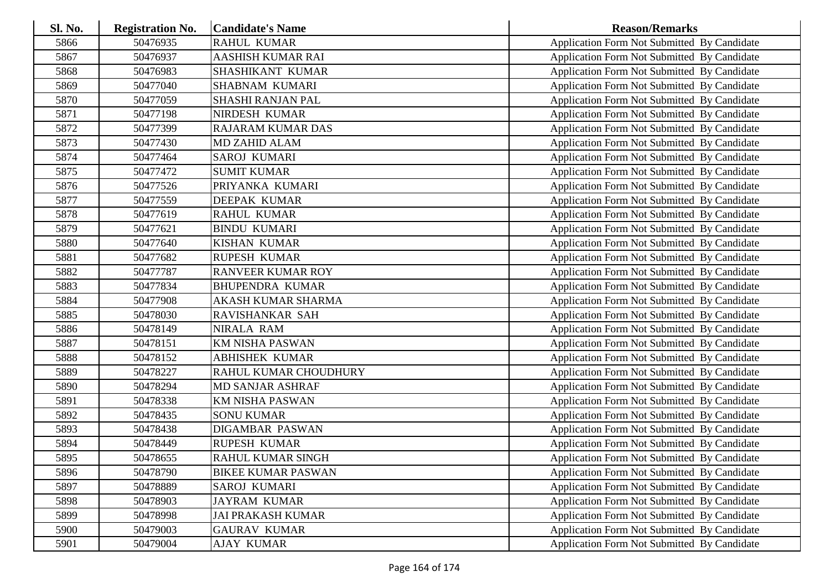| Sl. No. | <b>Registration No.</b> | <b>Candidate's Name</b>   | <b>Reason/Remarks</b>                              |
|---------|-------------------------|---------------------------|----------------------------------------------------|
| 5866    | 50476935                | <b>RAHUL KUMAR</b>        | Application Form Not Submitted By Candidate        |
| 5867    | 50476937                | AASHISH KUMAR RAI         | Application Form Not Submitted By Candidate        |
| 5868    | 50476983                | <b>SHASHIKANT KUMAR</b>   | Application Form Not Submitted By Candidate        |
| 5869    | 50477040                | <b>SHABNAM KUMARI</b>     | Application Form Not Submitted By Candidate        |
| 5870    | 50477059                | SHASHI RANJAN PAL         | Application Form Not Submitted By Candidate        |
| 5871    | 50477198                | NIRDESH KUMAR             | Application Form Not Submitted By Candidate        |
| 5872    | 50477399                | RAJARAM KUMAR DAS         | Application Form Not Submitted By Candidate        |
| 5873    | 50477430                | <b>MD ZAHID ALAM</b>      | Application Form Not Submitted By Candidate        |
| 5874    | 50477464                | <b>SAROJ KUMARI</b>       | Application Form Not Submitted By Candidate        |
| 5875    | 50477472                | <b>SUMIT KUMAR</b>        | Application Form Not Submitted By Candidate        |
| 5876    | 50477526                | PRIYANKA KUMARI           | Application Form Not Submitted By Candidate        |
| 5877    | 50477559                | DEEPAK KUMAR              | Application Form Not Submitted By Candidate        |
| 5878    | 50477619                | <b>RAHUL KUMAR</b>        | Application Form Not Submitted By Candidate        |
| 5879    | 50477621                | <b>BINDU KUMARI</b>       | Application Form Not Submitted By Candidate        |
| 5880    | 50477640                | <b>KISHAN KUMAR</b>       | Application Form Not Submitted By Candidate        |
| 5881    | 50477682                | <b>RUPESH KUMAR</b>       | Application Form Not Submitted By Candidate        |
| 5882    | 50477787                | <b>RANVEER KUMAR ROY</b>  | Application Form Not Submitted By Candidate        |
| 5883    | 50477834                | <b>BHUPENDRA KUMAR</b>    | Application Form Not Submitted By Candidate        |
| 5884    | 50477908                | AKASH KUMAR SHARMA        | Application Form Not Submitted By Candidate        |
| 5885    | 50478030                | RAVISHANKAR SAH           | Application Form Not Submitted By Candidate        |
| 5886    | 50478149                | NIRALA RAM                | Application Form Not Submitted By Candidate        |
| 5887    | 50478151                | KM NISHA PASWAN           | Application Form Not Submitted By Candidate        |
| 5888    | 50478152                | <b>ABHISHEK KUMAR</b>     | Application Form Not Submitted By Candidate        |
| 5889    | 50478227                | RAHUL KUMAR CHOUDHURY     | Application Form Not Submitted By Candidate        |
| 5890    | 50478294                | <b>MD SANJAR ASHRAF</b>   | Application Form Not Submitted By Candidate        |
| 5891    | 50478338                | KM NISHA PASWAN           | Application Form Not Submitted By Candidate        |
| 5892    | 50478435                | <b>SONU KUMAR</b>         | Application Form Not Submitted By Candidate        |
| 5893    | 50478438                | <b>DIGAMBAR PASWAN</b>    | Application Form Not Submitted By Candidate        |
| 5894    | 50478449                | <b>RUPESH KUMAR</b>       | Application Form Not Submitted By Candidate        |
| 5895    | 50478655                | <b>RAHUL KUMAR SINGH</b>  | Application Form Not Submitted By Candidate        |
| 5896    | 50478790                | <b>BIKEE KUMAR PASWAN</b> | <b>Application Form Not Submitted By Candidate</b> |
| 5897    | 50478889                | <b>SAROJ KUMARI</b>       | Application Form Not Submitted By Candidate        |
| 5898    | 50478903                | <b>JAYRAM KUMAR</b>       | Application Form Not Submitted By Candidate        |
| 5899    | 50478998                | <b>JAI PRAKASH KUMAR</b>  | Application Form Not Submitted By Candidate        |
| 5900    | 50479003                | <b>GAURAV KUMAR</b>       | <b>Application Form Not Submitted By Candidate</b> |
| 5901    | 50479004                | <b>AJAY KUMAR</b>         | Application Form Not Submitted By Candidate        |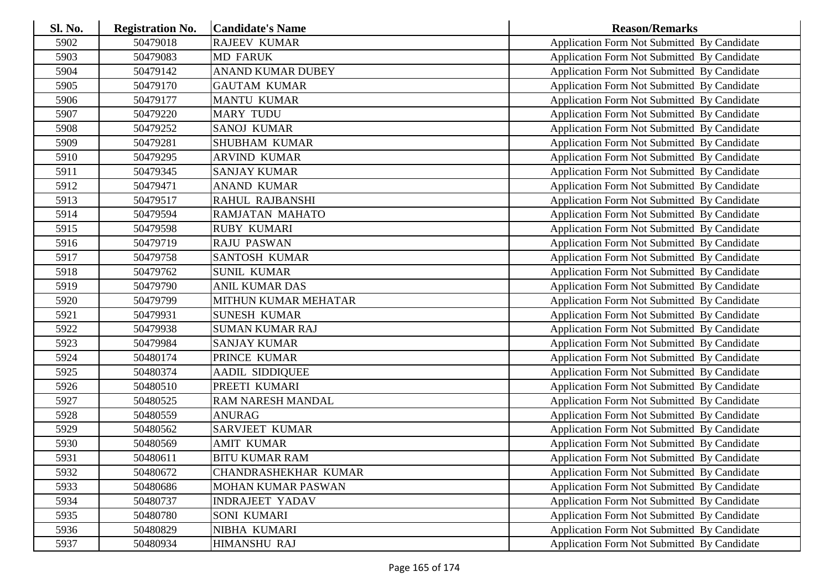| <b>Sl. No.</b> | <b>Registration No.</b> | <b>Candidate's Name</b>     | <b>Reason/Remarks</b>                              |
|----------------|-------------------------|-----------------------------|----------------------------------------------------|
| 5902           | 50479018                | <b>RAJEEV KUMAR</b>         | Application Form Not Submitted By Candidate        |
| 5903           | 50479083                | <b>MD FARUK</b>             | Application Form Not Submitted By Candidate        |
| 5904           | 50479142                | <b>ANAND KUMAR DUBEY</b>    | Application Form Not Submitted By Candidate        |
| 5905           | 50479170                | <b>GAUTAM KUMAR</b>         | Application Form Not Submitted By Candidate        |
| 5906           | 50479177                | <b>MANTU KUMAR</b>          | Application Form Not Submitted By Candidate        |
| 5907           | 50479220                | <b>MARY TUDU</b>            | Application Form Not Submitted By Candidate        |
| 5908           | 50479252                | <b>SANOJ KUMAR</b>          | Application Form Not Submitted By Candidate        |
| 5909           | 50479281                | <b>SHUBHAM KUMAR</b>        | Application Form Not Submitted By Candidate        |
| 5910           | 50479295                | <b>ARVIND KUMAR</b>         | Application Form Not Submitted By Candidate        |
| 5911           | 50479345                | <b>SANJAY KUMAR</b>         | Application Form Not Submitted By Candidate        |
| 5912           | 50479471                | <b>ANAND KUMAR</b>          | Application Form Not Submitted By Candidate        |
| 5913           | 50479517                | RAHUL RAJBANSHI             | Application Form Not Submitted By Candidate        |
| 5914           | 50479594                | <b>RAMJATAN MAHATO</b>      | Application Form Not Submitted By Candidate        |
| 5915           | 50479598                | <b>RUBY KUMARI</b>          | <b>Application Form Not Submitted By Candidate</b> |
| 5916           | 50479719                | <b>RAJU PASWAN</b>          | Application Form Not Submitted By Candidate        |
| 5917           | 50479758                | <b>SANTOSH KUMAR</b>        | Application Form Not Submitted By Candidate        |
| 5918           | 50479762                | <b>SUNIL KUMAR</b>          | Application Form Not Submitted By Candidate        |
| 5919           | 50479790                | <b>ANIL KUMAR DAS</b>       | Application Form Not Submitted By Candidate        |
| 5920           | 50479799                | MITHUN KUMAR MEHATAR        | Application Form Not Submitted By Candidate        |
| 5921           | 50479931                | <b>SUNESH KUMAR</b>         | Application Form Not Submitted By Candidate        |
| 5922           | 50479938                | <b>SUMAN KUMAR RAJ</b>      | Application Form Not Submitted By Candidate        |
| 5923           | 50479984                | <b>SANJAY KUMAR</b>         | Application Form Not Submitted By Candidate        |
| 5924           | 50480174                | PRINCE KUMAR                | Application Form Not Submitted By Candidate        |
| 5925           | 50480374                | <b>AADIL SIDDIQUEE</b>      | Application Form Not Submitted By Candidate        |
| 5926           | 50480510                | PREETI KUMARI               | Application Form Not Submitted By Candidate        |
| 5927           | 50480525                | RAM NARESH MANDAL           | Application Form Not Submitted By Candidate        |
| 5928           | 50480559                | <b>ANURAG</b>               | Application Form Not Submitted By Candidate        |
| 5929           | 50480562                | <b>SARVJEET KUMAR</b>       | Application Form Not Submitted By Candidate        |
| 5930           | 50480569                | <b>AMIT KUMAR</b>           | Application Form Not Submitted By Candidate        |
| 5931           | 50480611                | <b>BITU KUMAR RAM</b>       | Application Form Not Submitted By Candidate        |
| 5932           | 50480672                | <b>CHANDRASHEKHAR KUMAR</b> | Application Form Not Submitted By Candidate        |
| 5933           | 50480686                | MOHAN KUMAR PASWAN          | <b>Application Form Not Submitted By Candidate</b> |
| 5934           | 50480737                | <b>INDRAJEET YADAV</b>      | Application Form Not Submitted By Candidate        |
| 5935           | 50480780                | <b>SONI KUMARI</b>          | Application Form Not Submitted By Candidate        |
| 5936           | 50480829                | NIBHA KUMARI                | <b>Application Form Not Submitted By Candidate</b> |
| 5937           | 50480934                | <b>HIMANSHU RAJ</b>         | <b>Application Form Not Submitted By Candidate</b> |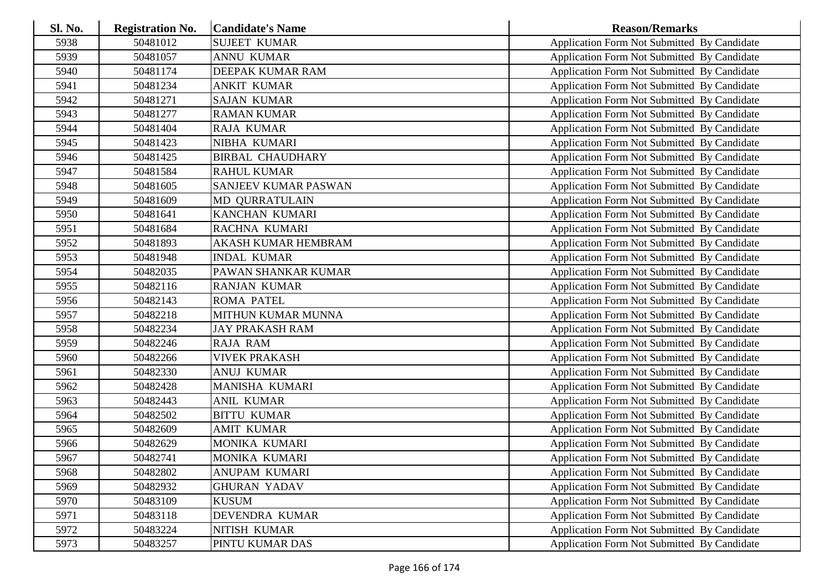| Sl. No. | <b>Registration No.</b> | <b>Candidate's Name</b>    | <b>Reason/Remarks</b>                              |
|---------|-------------------------|----------------------------|----------------------------------------------------|
| 5938    | 50481012                | <b>SUJEET KUMAR</b>        | Application Form Not Submitted By Candidate        |
| 5939    | 50481057                | <b>ANNU KUMAR</b>          | Application Form Not Submitted By Candidate        |
| 5940    | 50481174                | DEEPAK KUMAR RAM           | Application Form Not Submitted By Candidate        |
| 5941    | 50481234                | <b>ANKIT KUMAR</b>         | Application Form Not Submitted By Candidate        |
| 5942    | 50481271                | <b>SAJAN KUMAR</b>         | Application Form Not Submitted By Candidate        |
| 5943    | 50481277                | <b>RAMAN KUMAR</b>         | Application Form Not Submitted By Candidate        |
| 5944    | 50481404                | <b>RAJA KUMAR</b>          | Application Form Not Submitted By Candidate        |
| 5945    | 50481423                | NIBHA KUMARI               | Application Form Not Submitted By Candidate        |
| 5946    | 50481425                | <b>BIRBAL CHAUDHARY</b>    | Application Form Not Submitted By Candidate        |
| 5947    | 50481584                | <b>RAHUL KUMAR</b>         | Application Form Not Submitted By Candidate        |
| 5948    | 50481605                | SANJEEV KUMAR PASWAN       | Application Form Not Submitted By Candidate        |
| 5949    | 50481609                | <b>MD QURRATULAIN</b>      | Application Form Not Submitted By Candidate        |
| 5950    | 50481641                | KANCHAN KUMARI             | Application Form Not Submitted By Candidate        |
| 5951    | 50481684                | RACHNA KUMARI              | Application Form Not Submitted By Candidate        |
| 5952    | 50481893                | <b>AKASH KUMAR HEMBRAM</b> | Application Form Not Submitted By Candidate        |
| 5953    | 50481948                | <b>INDAL KUMAR</b>         | Application Form Not Submitted By Candidate        |
| 5954    | 50482035                | PAWAN SHANKAR KUMAR        | Application Form Not Submitted By Candidate        |
| 5955    | 50482116                | <b>RANJAN KUMAR</b>        | Application Form Not Submitted By Candidate        |
| 5956    | 50482143                | <b>ROMA PATEL</b>          | Application Form Not Submitted By Candidate        |
| 5957    | 50482218                | MITHUN KUMAR MUNNA         | Application Form Not Submitted By Candidate        |
| 5958    | 50482234                | <b>JAY PRAKASH RAM</b>     | Application Form Not Submitted By Candidate        |
| 5959    | 50482246                | <b>RAJA RAM</b>            | Application Form Not Submitted By Candidate        |
| 5960    | 50482266                | <b>VIVEK PRAKASH</b>       | Application Form Not Submitted By Candidate        |
| 5961    | 50482330                | <b>ANUJ KUMAR</b>          | Application Form Not Submitted By Candidate        |
| 5962    | 50482428                | MANISHA KUMARI             | Application Form Not Submitted By Candidate        |
| 5963    | 50482443                | <b>ANIL KUMAR</b>          | Application Form Not Submitted By Candidate        |
| 5964    | 50482502                | <b>BITTU KUMAR</b>         | Application Form Not Submitted By Candidate        |
| 5965    | 50482609                | <b>AMIT KUMAR</b>          | Application Form Not Submitted By Candidate        |
| 5966    | 50482629                | MONIKA KUMARI              | Application Form Not Submitted By Candidate        |
| 5967    | 50482741                | MONIKA KUMARI              | Application Form Not Submitted By Candidate        |
| 5968    | 50482802                | ANUPAM KUMARI              | Application Form Not Submitted By Candidate        |
| 5969    | 50482932                | <b>GHURAN YADAV</b>        | Application Form Not Submitted By Candidate        |
| 5970    | 50483109                | <b>KUSUM</b>               | Application Form Not Submitted By Candidate        |
| 5971    | 50483118                | DEVENDRA KUMAR             | Application Form Not Submitted By Candidate        |
| 5972    | 50483224                | NITISH KUMAR               | <b>Application Form Not Submitted By Candidate</b> |
| 5973    | 50483257                | PINTU KUMAR DAS            | Application Form Not Submitted By Candidate        |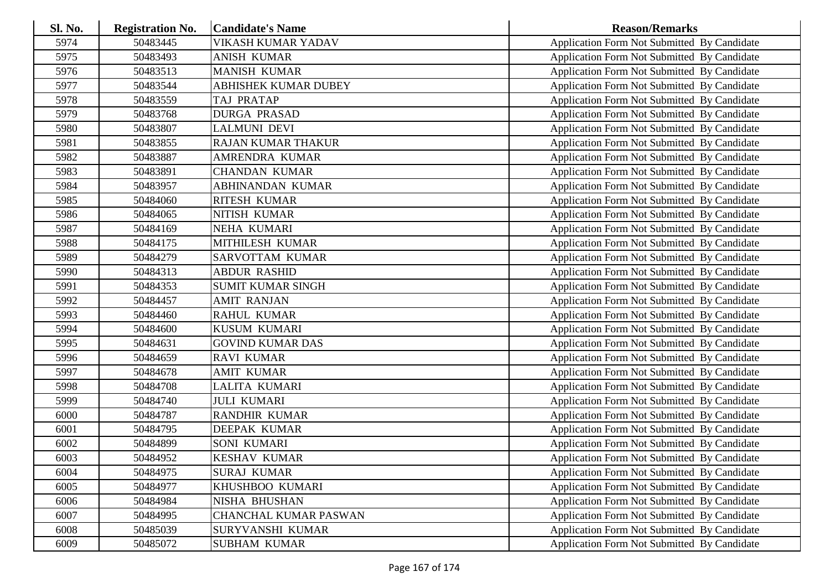| <b>Sl. No.</b> | <b>Registration No.</b> | <b>Candidate's Name</b>      | <b>Reason/Remarks</b>                              |
|----------------|-------------------------|------------------------------|----------------------------------------------------|
| 5974           | 50483445                | <b>VIKASH KUMAR YADAV</b>    | Application Form Not Submitted By Candidate        |
| 5975           | 50483493                | <b>ANISH KUMAR</b>           | Application Form Not Submitted By Candidate        |
| 5976           | 50483513                | <b>MANISH KUMAR</b>          | Application Form Not Submitted By Candidate        |
| 5977           | 50483544                | <b>ABHISHEK KUMAR DUBEY</b>  | Application Form Not Submitted By Candidate        |
| 5978           | 50483559                | TAJ PRATAP                   | Application Form Not Submitted By Candidate        |
| 5979           | 50483768                | <b>DURGA PRASAD</b>          | Application Form Not Submitted By Candidate        |
| 5980           | 50483807                | <b>LALMUNI DEVI</b>          | Application Form Not Submitted By Candidate        |
| 5981           | 50483855                | <b>RAJAN KUMAR THAKUR</b>    | Application Form Not Submitted By Candidate        |
| 5982           | 50483887                | AMRENDRA KUMAR               | Application Form Not Submitted By Candidate        |
| 5983           | 50483891                | <b>CHANDAN KUMAR</b>         | Application Form Not Submitted By Candidate        |
| 5984           | 50483957                | <b>ABHINANDAN KUMAR</b>      | Application Form Not Submitted By Candidate        |
| 5985           | 50484060                | <b>RITESH KUMAR</b>          | Application Form Not Submitted By Candidate        |
| 5986           | 50484065                | NITISH KUMAR                 | Application Form Not Submitted By Candidate        |
| 5987           | 50484169                | NEHA KUMARI                  | <b>Application Form Not Submitted By Candidate</b> |
| 5988           | 50484175                | <b>MITHILESH KUMAR</b>       | Application Form Not Submitted By Candidate        |
| 5989           | 50484279                | <b>SARVOTTAM KUMAR</b>       | Application Form Not Submitted By Candidate        |
| 5990           | 50484313                | <b>ABDUR RASHID</b>          | Application Form Not Submitted By Candidate        |
| 5991           | 50484353                | <b>SUMIT KUMAR SINGH</b>     | Application Form Not Submitted By Candidate        |
| 5992           | 50484457                | <b>AMIT RANJAN</b>           | Application Form Not Submitted By Candidate        |
| 5993           | 50484460                | <b>RAHUL KUMAR</b>           | Application Form Not Submitted By Candidate        |
| 5994           | 50484600                | <b>KUSUM KUMARI</b>          | <b>Application Form Not Submitted By Candidate</b> |
| 5995           | 50484631                | <b>GOVIND KUMAR DAS</b>      | Application Form Not Submitted By Candidate        |
| 5996           | 50484659                | <b>RAVI KUMAR</b>            | Application Form Not Submitted By Candidate        |
| 5997           | 50484678                | <b>AMIT KUMAR</b>            | Application Form Not Submitted By Candidate        |
| 5998           | 50484708                | <b>LALITA KUMARI</b>         | Application Form Not Submitted By Candidate        |
| 5999           | 50484740                | <b>JULI KUMARI</b>           | Application Form Not Submitted By Candidate        |
| 6000           | 50484787                | <b>RANDHIR KUMAR</b>         | Application Form Not Submitted By Candidate        |
| 6001           | 50484795                | <b>DEEPAK KUMAR</b>          | Application Form Not Submitted By Candidate        |
| 6002           | 50484899                | <b>SONI KUMARI</b>           | Application Form Not Submitted By Candidate        |
| 6003           | 50484952                | <b>KESHAV KUMAR</b>          | Application Form Not Submitted By Candidate        |
| 6004           | 50484975                | <b>SURAJ KUMAR</b>           | Application Form Not Submitted By Candidate        |
| 6005           | 50484977                | KHUSHBOO KUMARI              | <b>Application Form Not Submitted By Candidate</b> |
| 6006           | 50484984                | <b>NISHA BHUSHAN</b>         | Application Form Not Submitted By Candidate        |
| 6007           | 50484995                | <b>CHANCHAL KUMAR PASWAN</b> | Application Form Not Submitted By Candidate        |
| 6008           | 50485039                | <b>SURYVANSHI KUMAR</b>      | <b>Application Form Not Submitted By Candidate</b> |
| 6009           | 50485072                | <b>SUBHAM KUMAR</b>          | <b>Application Form Not Submitted By Candidate</b> |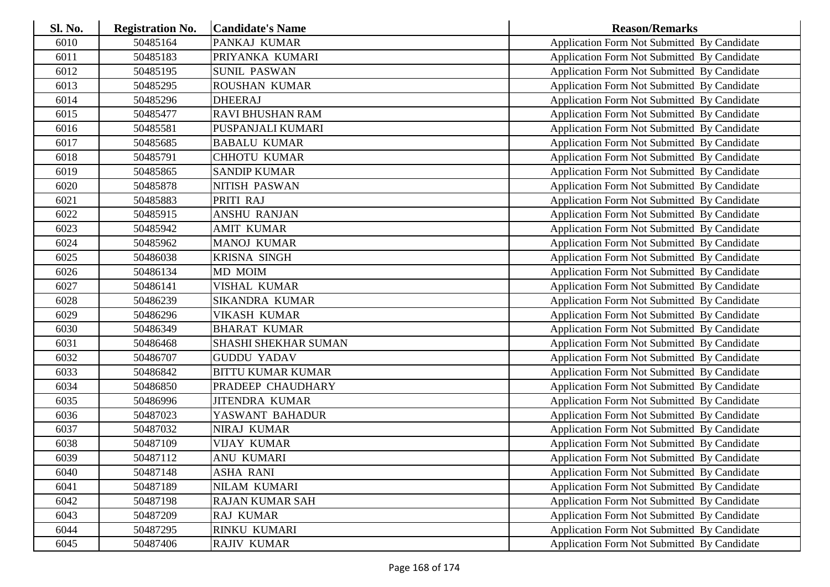| Sl. No. | <b>Registration No.</b> | <b>Candidate's Name</b>  | <b>Reason/Remarks</b>                       |
|---------|-------------------------|--------------------------|---------------------------------------------|
| 6010    | 50485164                | PANKAJ KUMAR             | Application Form Not Submitted By Candidate |
| 6011    | 50485183                | PRIYANKA KUMARI          | Application Form Not Submitted By Candidate |
| 6012    | 50485195                | <b>SUNIL PASWAN</b>      | Application Form Not Submitted By Candidate |
| 6013    | 50485295                | <b>ROUSHAN KUMAR</b>     | Application Form Not Submitted By Candidate |
| 6014    | 50485296                | <b>DHEERAJ</b>           | Application Form Not Submitted By Candidate |
| 6015    | 50485477                | <b>RAVI BHUSHAN RAM</b>  | Application Form Not Submitted By Candidate |
| 6016    | 50485581                | PUSPANJALI KUMARI        | Application Form Not Submitted By Candidate |
| 6017    | 50485685                | <b>BABALU KUMAR</b>      | Application Form Not Submitted By Candidate |
| 6018    | 50485791                | <b>CHHOTU KUMAR</b>      | Application Form Not Submitted By Candidate |
| 6019    | 50485865                | <b>SANDIP KUMAR</b>      | Application Form Not Submitted By Candidate |
| 6020    | 50485878                | NITISH PASWAN            | Application Form Not Submitted By Candidate |
| 6021    | 50485883                | PRITI RAJ                | Application Form Not Submitted By Candidate |
| 6022    | 50485915                | <b>ANSHU RANJAN</b>      | Application Form Not Submitted By Candidate |
| 6023    | 50485942                | <b>AMIT KUMAR</b>        | Application Form Not Submitted By Candidate |
| 6024    | 50485962                | <b>MANOJ KUMAR</b>       | Application Form Not Submitted By Candidate |
| 6025    | 50486038                | <b>KRISNA SINGH</b>      | Application Form Not Submitted By Candidate |
| 6026    | 50486134                | MD MOIM                  | Application Form Not Submitted By Candidate |
| 6027    | 50486141                | <b>VISHAL KUMAR</b>      | Application Form Not Submitted By Candidate |
| 6028    | 50486239                | <b>SIKANDRA KUMAR</b>    | Application Form Not Submitted By Candidate |
| 6029    | 50486296                | <b>VIKASH KUMAR</b>      | Application Form Not Submitted By Candidate |
| 6030    | 50486349                | <b>BHARAT KUMAR</b>      | Application Form Not Submitted By Candidate |
| 6031    | 50486468                | SHASHI SHEKHAR SUMAN     | Application Form Not Submitted By Candidate |
| 6032    | 50486707                | <b>GUDDU YADAV</b>       | Application Form Not Submitted By Candidate |
| 6033    | 50486842                | <b>BITTU KUMAR KUMAR</b> | Application Form Not Submitted By Candidate |
| 6034    | 50486850                | PRADEEP CHAUDHARY        | Application Form Not Submitted By Candidate |
| 6035    | 50486996                | <b>JITENDRA KUMAR</b>    | Application Form Not Submitted By Candidate |
| 6036    | 50487023                | YASWANT BAHADUR          | Application Form Not Submitted By Candidate |
| 6037    | 50487032                | NIRAJ KUMAR              | Application Form Not Submitted By Candidate |
| 6038    | 50487109                | <b>VIJAY KUMAR</b>       | Application Form Not Submitted By Candidate |
| 6039    | 50487112                | ANU KUMARI               | Application Form Not Submitted By Candidate |
| 6040    | 50487148                | <b>ASHA RANI</b>         | Application Form Not Submitted By Candidate |
| 6041    | 50487189                | NILAM KUMARI             | Application Form Not Submitted By Candidate |
| 6042    | 50487198                | <b>RAJAN KUMAR SAH</b>   | Application Form Not Submitted By Candidate |
| 6043    | 50487209                | RAJ KUMAR                | Application Form Not Submitted By Candidate |
| 6044    | 50487295                | RINKU KUMARI             | Application Form Not Submitted By Candidate |
| 6045    | 50487406                | <b>RAJIV KUMAR</b>       | Application Form Not Submitted By Candidate |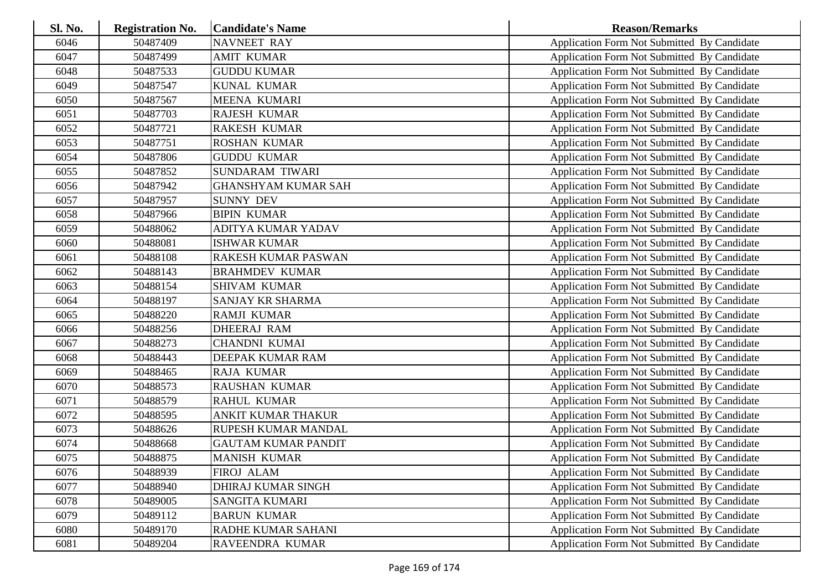| <b>Sl. No.</b> | <b>Registration No.</b> | <b>Candidate's Name</b>    | <b>Reason/Remarks</b>                              |
|----------------|-------------------------|----------------------------|----------------------------------------------------|
| 6046           | 50487409                | <b>NAVNEET RAY</b>         | Application Form Not Submitted By Candidate        |
| 6047           | 50487499                | <b>AMIT KUMAR</b>          | Application Form Not Submitted By Candidate        |
| 6048           | 50487533                | <b>GUDDU KUMAR</b>         | Application Form Not Submitted By Candidate        |
| 6049           | 50487547                | <b>KUNAL KUMAR</b>         | Application Form Not Submitted By Candidate        |
| 6050           | 50487567                | MEENA KUMARI               | Application Form Not Submitted By Candidate        |
| 6051           | 50487703                | <b>RAJESH KUMAR</b>        | Application Form Not Submitted By Candidate        |
| 6052           | 50487721                | <b>RAKESH KUMAR</b>        | Application Form Not Submitted By Candidate        |
| 6053           | 50487751                | <b>ROSHAN KUMAR</b>        | Application Form Not Submitted By Candidate        |
| 6054           | 50487806                | <b>GUDDU KUMAR</b>         | Application Form Not Submitted By Candidate        |
| 6055           | 50487852                | <b>SUNDARAM TIWARI</b>     | Application Form Not Submitted By Candidate        |
| 6056           | 50487942                | <b>GHANSHYAM KUMAR SAH</b> | Application Form Not Submitted By Candidate        |
| 6057           | 50487957                | <b>SUNNY DEV</b>           | Application Form Not Submitted By Candidate        |
| 6058           | 50487966                | <b>BIPIN KUMAR</b>         | Application Form Not Submitted By Candidate        |
| 6059           | 50488062                | ADITYA KUMAR YADAV         | Application Form Not Submitted By Candidate        |
| 6060           | 50488081                | <b>ISHWAR KUMAR</b>        | Application Form Not Submitted By Candidate        |
| 6061           | 50488108                | <b>RAKESH KUMAR PASWAN</b> | Application Form Not Submitted By Candidate        |
| 6062           | 50488143                | <b>BRAHMDEV KUMAR</b>      | <b>Application Form Not Submitted By Candidate</b> |
| 6063           | 50488154                | <b>SHIVAM KUMAR</b>        | Application Form Not Submitted By Candidate        |
| 6064           | 50488197                | SANJAY KR SHARMA           | Application Form Not Submitted By Candidate        |
| 6065           | 50488220                | <b>RAMJI KUMAR</b>         | Application Form Not Submitted By Candidate        |
| 6066           | 50488256                | <b>DHEERAJ RAM</b>         | Application Form Not Submitted By Candidate        |
| 6067           | 50488273                | <b>CHANDNI KUMAI</b>       | Application Form Not Submitted By Candidate        |
| 6068           | 50488443                | DEEPAK KUMAR RAM           | Application Form Not Submitted By Candidate        |
| 6069           | 50488465                | <b>RAJA KUMAR</b>          | Application Form Not Submitted By Candidate        |
| 6070           | 50488573                | <b>RAUSHAN KUMAR</b>       | Application Form Not Submitted By Candidate        |
| 6071           | 50488579                | <b>RAHUL KUMAR</b>         | Application Form Not Submitted By Candidate        |
| 6072           | 50488595                | <b>ANKIT KUMAR THAKUR</b>  | Application Form Not Submitted By Candidate        |
| 6073           | 50488626                | RUPESH KUMAR MANDAL        | Application Form Not Submitted By Candidate        |
| 6074           | 50488668                | <b>GAUTAM KUMAR PANDIT</b> | Application Form Not Submitted By Candidate        |
| 6075           | 50488875                | <b>MANISH KUMAR</b>        | Application Form Not Submitted By Candidate        |
| 6076           | 50488939                | FIROJ ALAM                 | Application Form Not Submitted By Candidate        |
| 6077           | 50488940                | <b>DHIRAJ KUMAR SINGH</b>  | Application Form Not Submitted By Candidate        |
| 6078           | 50489005                | <b>SANGITA KUMARI</b>      | Application Form Not Submitted By Candidate        |
| 6079           | 50489112                | <b>BARUN KUMAR</b>         | Application Form Not Submitted By Candidate        |
| 6080           | 50489170                | RADHE KUMAR SAHANI         | <b>Application Form Not Submitted By Candidate</b> |
| 6081           | 50489204                | RAVEENDRA KUMAR            | <b>Application Form Not Submitted By Candidate</b> |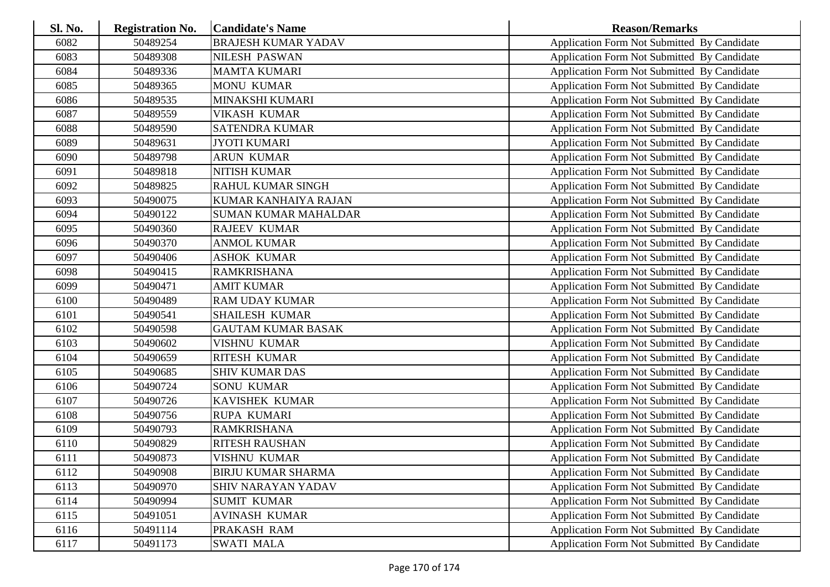| <b>Sl. No.</b> | <b>Registration No.</b> | <b>Candidate's Name</b>     | <b>Reason/Remarks</b>                              |
|----------------|-------------------------|-----------------------------|----------------------------------------------------|
| 6082           | 50489254                | <b>BRAJESH KUMAR YADAV</b>  | Application Form Not Submitted By Candidate        |
| 6083           | 50489308                | <b>NILESH PASWAN</b>        | Application Form Not Submitted By Candidate        |
| 6084           | 50489336                | <b>MAMTA KUMARI</b>         | Application Form Not Submitted By Candidate        |
| 6085           | 50489365                | <b>MONU KUMAR</b>           | Application Form Not Submitted By Candidate        |
| 6086           | 50489535                | MINAKSHI KUMARI             | Application Form Not Submitted By Candidate        |
| 6087           | 50489559                | <b>VIKASH KUMAR</b>         | Application Form Not Submitted By Candidate        |
| 6088           | 50489590                | <b>SATENDRA KUMAR</b>       | <b>Application Form Not Submitted By Candidate</b> |
| 6089           | 50489631                | <b>JYOTI KUMARI</b>         | Application Form Not Submitted By Candidate        |
| 6090           | 50489798                | <b>ARUN KUMAR</b>           | Application Form Not Submitted By Candidate        |
| 6091           | 50489818                | <b>NITISH KUMAR</b>         | Application Form Not Submitted By Candidate        |
| 6092           | 50489825                | <b>RAHUL KUMAR SINGH</b>    | Application Form Not Submitted By Candidate        |
| 6093           | 50490075                | <b>KUMAR KANHAIYA RAJAN</b> | Application Form Not Submitted By Candidate        |
| 6094           | 50490122                | <b>SUMAN KUMAR MAHALDAR</b> | Application Form Not Submitted By Candidate        |
| 6095           | 50490360                | <b>RAJEEV KUMAR</b>         | Application Form Not Submitted By Candidate        |
| 6096           | 50490370                | <b>ANMOL KUMAR</b>          | Application Form Not Submitted By Candidate        |
| 6097           | 50490406                | <b>ASHOK KUMAR</b>          | Application Form Not Submitted By Candidate        |
| 6098           | 50490415                | <b>RAMKRISHANA</b>          | Application Form Not Submitted By Candidate        |
| 6099           | 50490471                | <b>AMIT KUMAR</b>           | Application Form Not Submitted By Candidate        |
| 6100           | 50490489                | <b>RAM UDAY KUMAR</b>       | Application Form Not Submitted By Candidate        |
| 6101           | 50490541                | <b>SHAILESH KUMAR</b>       | Application Form Not Submitted By Candidate        |
| 6102           | 50490598                | <b>GAUTAM KUMAR BASAK</b>   | <b>Application Form Not Submitted By Candidate</b> |
| 6103           | 50490602                | VISHNU KUMAR                | Application Form Not Submitted By Candidate        |
| 6104           | 50490659                | <b>RITESH KUMAR</b>         | Application Form Not Submitted By Candidate        |
| 6105           | 50490685                | <b>SHIV KUMAR DAS</b>       | Application Form Not Submitted By Candidate        |
| 6106           | 50490724                | <b>SONU KUMAR</b>           | Application Form Not Submitted By Candidate        |
| 6107           | 50490726                | <b>KAVISHEK KUMAR</b>       | Application Form Not Submitted By Candidate        |
| 6108           | 50490756                | RUPA KUMARI                 | Application Form Not Submitted By Candidate        |
| 6109           | 50490793                | <b>RAMKRISHANA</b>          | Application Form Not Submitted By Candidate        |
| 6110           | 50490829                | <b>RITESH RAUSHAN</b>       | Application Form Not Submitted By Candidate        |
| 6111           | 50490873                | <b>VISHNU KUMAR</b>         | Application Form Not Submitted By Candidate        |
| 6112           | 50490908                | <b>BIRJU KUMAR SHARMA</b>   | Application Form Not Submitted By Candidate        |
| 6113           | 50490970                | <b>SHIV NARAYAN YADAV</b>   | <b>Application Form Not Submitted By Candidate</b> |
| 6114           | 50490994                | <b>SUMIT KUMAR</b>          | Application Form Not Submitted By Candidate        |
| 6115           | 50491051                | <b>AVINASH KUMAR</b>        | Application Form Not Submitted By Candidate        |
| 6116           | 50491114                | PRAKASH RAM                 | <b>Application Form Not Submitted By Candidate</b> |
| 6117           | 50491173                | <b>SWATI MALA</b>           | Application Form Not Submitted By Candidate        |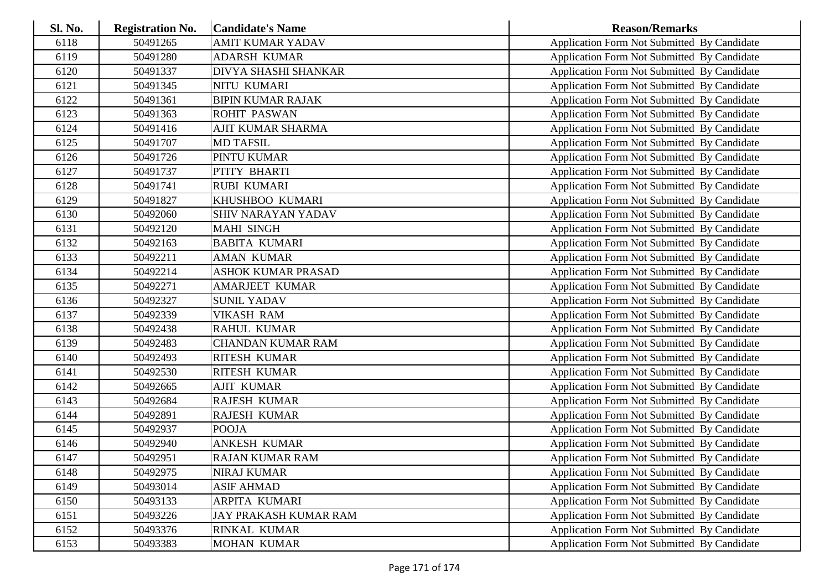| <b>Sl. No.</b> | <b>Registration No.</b> | <b>Candidate's Name</b>     | <b>Reason/Remarks</b>                              |
|----------------|-------------------------|-----------------------------|----------------------------------------------------|
| 6118           | 50491265                | <b>AMIT KUMAR YADAV</b>     | Application Form Not Submitted By Candidate        |
| 6119           | 50491280                | <b>ADARSH KUMAR</b>         | <b>Application Form Not Submitted By Candidate</b> |
| 6120           | 50491337                | <b>DIVYA SHASHI SHANKAR</b> | Application Form Not Submitted By Candidate        |
| 6121           | 50491345                | NITU KUMARI                 | Application Form Not Submitted By Candidate        |
| 6122           | 50491361                | <b>BIPIN KUMAR RAJAK</b>    | Application Form Not Submitted By Candidate        |
| 6123           | 50491363                | <b>ROHIT PASWAN</b>         | Application Form Not Submitted By Candidate        |
| 6124           | 50491416                | AJIT KUMAR SHARMA           | Application Form Not Submitted By Candidate        |
| 6125           | 50491707                | <b>MD TAFSIL</b>            | Application Form Not Submitted By Candidate        |
| 6126           | 50491726                | PINTU KUMAR                 | <b>Application Form Not Submitted By Candidate</b> |
| 6127           | 50491737                | PTITY BHARTI                | Application Form Not Submitted By Candidate        |
| 6128           | 50491741                | <b>RUBI KUMARI</b>          | Application Form Not Submitted By Candidate        |
| 6129           | 50491827                | KHUSHBOO KUMARI             | Application Form Not Submitted By Candidate        |
| 6130           | 50492060                | <b>SHIV NARAYAN YADAV</b>   | Application Form Not Submitted By Candidate        |
| 6131           | 50492120                | <b>MAHI SINGH</b>           | Application Form Not Submitted By Candidate        |
| 6132           | 50492163                | <b>BABITA KUMARI</b>        | Application Form Not Submitted By Candidate        |
| 6133           | 50492211                | <b>AMAN KUMAR</b>           | Application Form Not Submitted By Candidate        |
| 6134           | 50492214                | <b>ASHOK KUMAR PRASAD</b>   | Application Form Not Submitted By Candidate        |
| 6135           | 50492271                | <b>AMARJEET KUMAR</b>       | Application Form Not Submitted By Candidate        |
| 6136           | 50492327                | <b>SUNIL YADAV</b>          | Application Form Not Submitted By Candidate        |
| 6137           | 50492339                | <b>VIKASH RAM</b>           | Application Form Not Submitted By Candidate        |
| 6138           | 50492438                | <b>RAHUL KUMAR</b>          | Application Form Not Submitted By Candidate        |
| 6139           | 50492483                | <b>CHANDAN KUMAR RAM</b>    | Application Form Not Submitted By Candidate        |
| 6140           | 50492493                | <b>RITESH KUMAR</b>         | Application Form Not Submitted By Candidate        |
| 6141           | 50492530                | <b>RITESH KUMAR</b>         | Application Form Not Submitted By Candidate        |
| 6142           | 50492665                | <b>AJIT KUMAR</b>           | Application Form Not Submitted By Candidate        |
| 6143           | 50492684                | RAJESH KUMAR                | Application Form Not Submitted By Candidate        |
| 6144           | 50492891                | <b>RAJESH KUMAR</b>         | Application Form Not Submitted By Candidate        |
| 6145           | 50492937                | <b>POOJA</b>                | <b>Application Form Not Submitted By Candidate</b> |
| 6146           | 50492940                | <b>ANKESH KUMAR</b>         | Application Form Not Submitted By Candidate        |
| 6147           | 50492951                | <b>RAJAN KUMAR RAM</b>      | Application Form Not Submitted By Candidate        |
| 6148           | 50492975                | <b>NIRAJ KUMAR</b>          | Application Form Not Submitted By Candidate        |
| 6149           | 50493014                | <b>ASIF AHMAD</b>           | Application Form Not Submitted By Candidate        |
| 6150           | 50493133                | ARPITA KUMARI               | Application Form Not Submitted By Candidate        |
| 6151           | 50493226                | JAY PRAKASH KUMAR RAM       | Application Form Not Submitted By Candidate        |
| 6152           | 50493376                | RINKAL KUMAR                | <b>Application Form Not Submitted By Candidate</b> |
| 6153           | 50493383                | <b>MOHAN KUMAR</b>          | <b>Application Form Not Submitted By Candidate</b> |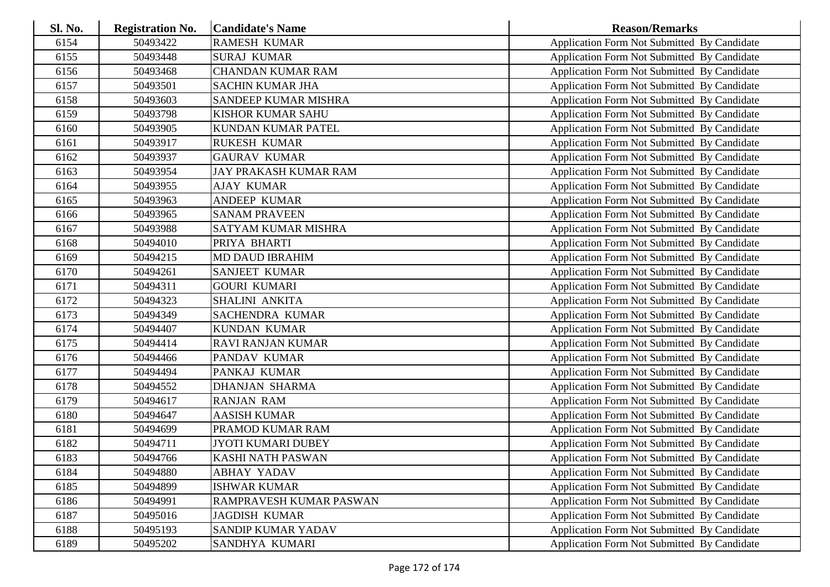| <b>Sl. No.</b> | <b>Registration No.</b> | <b>Candidate's Name</b>      | <b>Reason/Remarks</b>                       |
|----------------|-------------------------|------------------------------|---------------------------------------------|
| 6154           | 50493422                | <b>RAMESH KUMAR</b>          | Application Form Not Submitted By Candidate |
| 6155           | 50493448                | <b>SURAJ KUMAR</b>           | Application Form Not Submitted By Candidate |
| 6156           | 50493468                | <b>CHANDAN KUMAR RAM</b>     | Application Form Not Submitted By Candidate |
| 6157           | 50493501                | <b>SACHIN KUMAR JHA</b>      | Application Form Not Submitted By Candidate |
| 6158           | 50493603                | SANDEEP KUMAR MISHRA         | Application Form Not Submitted By Candidate |
| 6159           | 50493798                | <b>KISHOR KUMAR SAHU</b>     | Application Form Not Submitted By Candidate |
| 6160           | 50493905                | KUNDAN KUMAR PATEL           | Application Form Not Submitted By Candidate |
| 6161           | 50493917                | <b>RUKESH KUMAR</b>          | Application Form Not Submitted By Candidate |
| 6162           | 50493937                | <b>GAURAV KUMAR</b>          | Application Form Not Submitted By Candidate |
| 6163           | 50493954                | <b>JAY PRAKASH KUMAR RAM</b> | Application Form Not Submitted By Candidate |
| 6164           | 50493955                | <b>AJAY KUMAR</b>            | Application Form Not Submitted By Candidate |
| 6165           | 50493963                | <b>ANDEEP KUMAR</b>          | Application Form Not Submitted By Candidate |
| 6166           | 50493965                | <b>SANAM PRAVEEN</b>         | Application Form Not Submitted By Candidate |
| 6167           | 50493988                | SATYAM KUMAR MISHRA          | Application Form Not Submitted By Candidate |
| 6168           | 50494010                | PRIYA BHARTI                 | Application Form Not Submitted By Candidate |
| 6169           | 50494215                | <b>MD DAUD IBRAHIM</b>       | Application Form Not Submitted By Candidate |
| 6170           | 50494261                | <b>SANJEET KUMAR</b>         | Application Form Not Submitted By Candidate |
| 6171           | 50494311                | <b>GOURI KUMARI</b>          | Application Form Not Submitted By Candidate |
| 6172           | 50494323                | SHALINI ANKITA               | Application Form Not Submitted By Candidate |
| 6173           | 50494349                | <b>SACHENDRA KUMAR</b>       | Application Form Not Submitted By Candidate |
| 6174           | 50494407                | <b>KUNDAN KUMAR</b>          | Application Form Not Submitted By Candidate |
| 6175           | 50494414                | <b>RAVI RANJAN KUMAR</b>     | Application Form Not Submitted By Candidate |
| 6176           | 50494466                | PANDAV KUMAR                 | Application Form Not Submitted By Candidate |
| 6177           | 50494494                | PANKAJ KUMAR                 | Application Form Not Submitted By Candidate |
| 6178           | 50494552                | <b>DHANJAN SHARMA</b>        | Application Form Not Submitted By Candidate |
| 6179           | 50494617                | <b>RANJAN RAM</b>            | Application Form Not Submitted By Candidate |
| 6180           | 50494647                | <b>AASISH KUMAR</b>          | Application Form Not Submitted By Candidate |
| 6181           | 50494699                | PRAMOD KUMAR RAM             | Application Form Not Submitted By Candidate |
| 6182           | 50494711                | <b>JYOTI KUMARI DUBEY</b>    | Application Form Not Submitted By Candidate |
| 6183           | 50494766                | <b>KASHI NATH PASWAN</b>     | Application Form Not Submitted By Candidate |
| 6184           | 50494880                | <b>ABHAY YADAV</b>           | Application Form Not Submitted By Candidate |
| 6185           | 50494899                | <b>ISHWAR KUMAR</b>          | Application Form Not Submitted By Candidate |
| 6186           | 50494991                | RAMPRAVESH KUMAR PASWAN      | Application Form Not Submitted By Candidate |
| 6187           | 50495016                | <b>JAGDISH KUMAR</b>         | Application Form Not Submitted By Candidate |
| 6188           | 50495193                | <b>SANDIP KUMAR YADAV</b>    | Application Form Not Submitted By Candidate |
| 6189           | 50495202                | SANDHYA KUMARI               | Application Form Not Submitted By Candidate |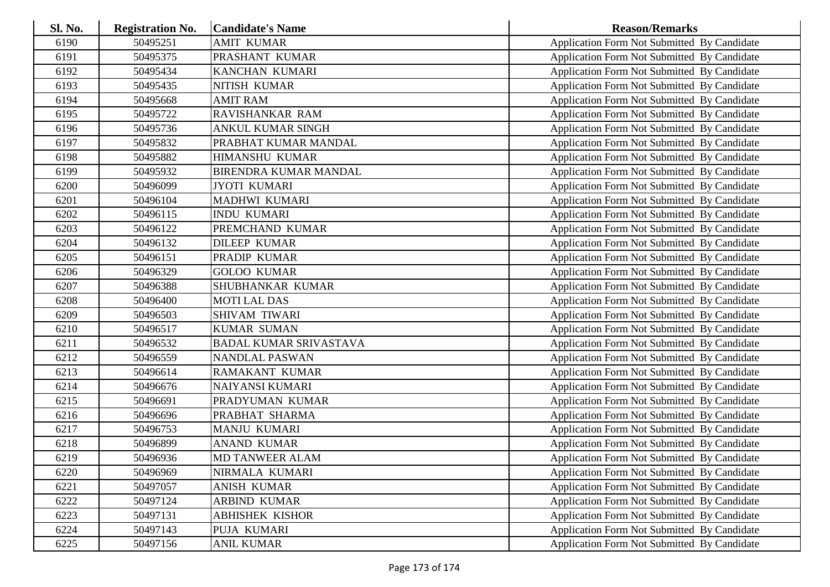| Sl. No. | <b>Registration No.</b> | <b>Candidate's Name</b>       | <b>Reason/Remarks</b>                              |
|---------|-------------------------|-------------------------------|----------------------------------------------------|
| 6190    | 50495251                | <b>AMIT KUMAR</b>             | Application Form Not Submitted By Candidate        |
| 6191    | 50495375                | PRASHANT KUMAR                | Application Form Not Submitted By Candidate        |
| 6192    | 50495434                | KANCHAN KUMARI                | Application Form Not Submitted By Candidate        |
| 6193    | 50495435                | NITISH KUMAR                  | Application Form Not Submitted By Candidate        |
| 6194    | 50495668                | <b>AMIT RAM</b>               | Application Form Not Submitted By Candidate        |
| 6195    | 50495722                | RAVISHANKAR RAM               | Application Form Not Submitted By Candidate        |
| 6196    | 50495736                | ANKUL KUMAR SINGH             | Application Form Not Submitted By Candidate        |
| 6197    | 50495832                | PRABHAT KUMAR MANDAL          | Application Form Not Submitted By Candidate        |
| 6198    | 50495882                | <b>HIMANSHU KUMAR</b>         | Application Form Not Submitted By Candidate        |
| 6199    | 50495932                | BIRENDRA KUMAR MANDAL         | Application Form Not Submitted By Candidate        |
| 6200    | 50496099                | <b>JYOTI KUMARI</b>           | Application Form Not Submitted By Candidate        |
| 6201    | 50496104                | MADHWI KUMARI                 | Application Form Not Submitted By Candidate        |
| 6202    | 50496115                | <b>INDU KUMARI</b>            | Application Form Not Submitted By Candidate        |
| 6203    | 50496122                | PREMCHAND KUMAR               | Application Form Not Submitted By Candidate        |
| 6204    | 50496132                | <b>DILEEP KUMAR</b>           | Application Form Not Submitted By Candidate        |
| 6205    | 50496151                | PRADIP KUMAR                  | Application Form Not Submitted By Candidate        |
| 6206    | 50496329                | <b>GOLOO KUMAR</b>            | Application Form Not Submitted By Candidate        |
| 6207    | 50496388                | SHUBHANKAR KUMAR              | Application Form Not Submitted By Candidate        |
| 6208    | 50496400                | <b>MOTI LAL DAS</b>           | Application Form Not Submitted By Candidate        |
| 6209    | 50496503                | SHIVAM TIWARI                 | Application Form Not Submitted By Candidate        |
| 6210    | 50496517                | <b>KUMAR SUMAN</b>            | Application Form Not Submitted By Candidate        |
| 6211    | 50496532                | <b>BADAL KUMAR SRIVASTAVA</b> | Application Form Not Submitted By Candidate        |
| 6212    | 50496559                | <b>NANDLAL PASWAN</b>         | Application Form Not Submitted By Candidate        |
| 6213    | 50496614                | RAMAKANT KUMAR                | Application Form Not Submitted By Candidate        |
| 6214    | 50496676                | NAIYANSI KUMARI               | Application Form Not Submitted By Candidate        |
| 6215    | 50496691                | PRADYUMAN KUMAR               | Application Form Not Submitted By Candidate        |
| 6216    | 50496696                | PRABHAT SHARMA                | Application Form Not Submitted By Candidate        |
| 6217    | 50496753                | <b>MANJU KUMARI</b>           | Application Form Not Submitted By Candidate        |
| 6218    | 50496899                | <b>ANAND KUMAR</b>            | Application Form Not Submitted By Candidate        |
| 6219    | 50496936                | <b>MD TANWEER ALAM</b>        | Application Form Not Submitted By Candidate        |
| 6220    | 50496969                | NIRMALA KUMARI                | Application Form Not Submitted By Candidate        |
| 6221    | 50497057                | <b>ANISH KUMAR</b>            | Application Form Not Submitted By Candidate        |
| 6222    | 50497124                | <b>ARBIND KUMAR</b>           | Application Form Not Submitted By Candidate        |
| 6223    | 50497131                | <b>ABHISHEK KISHOR</b>        | Application Form Not Submitted By Candidate        |
| 6224    | 50497143                | PUJA KUMARI                   | <b>Application Form Not Submitted By Candidate</b> |
| 6225    | 50497156                | <b>ANIL KUMAR</b>             | Application Form Not Submitted By Candidate        |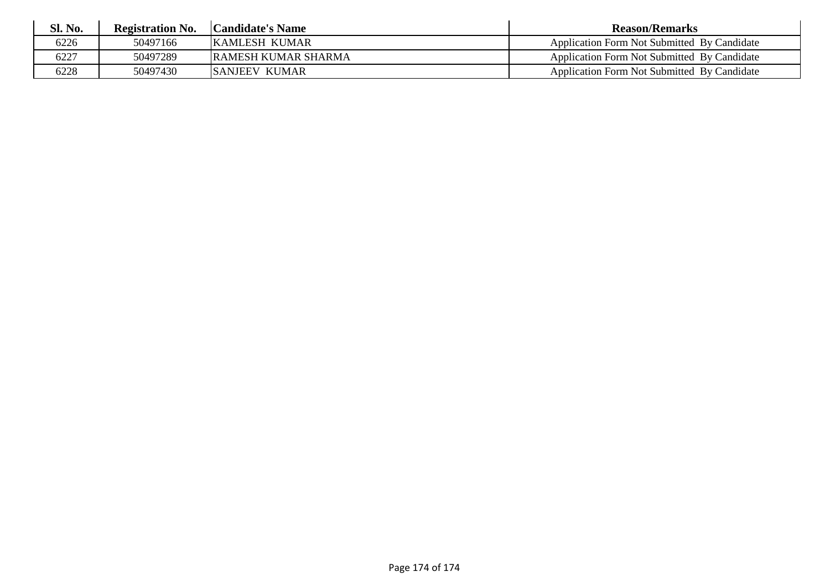| <b>Sl. No.</b> | <b>Registration No.</b> | <b>Candidate's Name</b>     | <b>Reason/Remarks</b>                       |
|----------------|-------------------------|-----------------------------|---------------------------------------------|
| 6226           | 50497166                | <b>IKAMLESH KUMAR</b>       | Application Form Not Submitted By Candidate |
| 6227           | 50497289                | <b>IRAMESH KUMAR SHARMA</b> | Application Form Not Submitted By Candidate |
| 6228           | 50497430                | <b>SANJEEV KUMAR</b>        | Application Form Not Submitted By Candidate |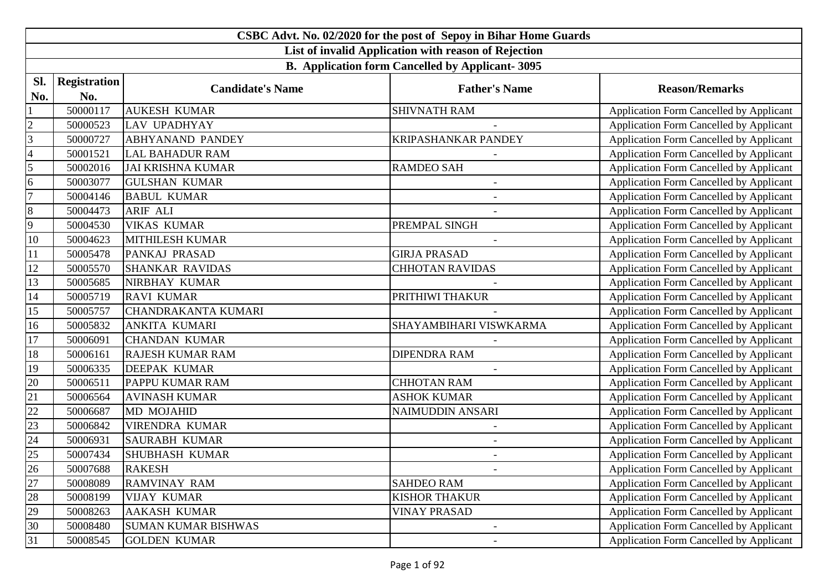|                | CSBC Advt. No. 02/2020 for the post of Sepoy in Bihar Home Guards |                            |                                                         |                                                |  |
|----------------|-------------------------------------------------------------------|----------------------------|---------------------------------------------------------|------------------------------------------------|--|
|                |                                                                   |                            | List of invalid Application with reason of Rejection    |                                                |  |
|                |                                                                   |                            | <b>B.</b> Application form Cancelled by Applicant- 3095 |                                                |  |
| Sl.            | <b>Registration</b>                                               | <b>Candidate's Name</b>    | <b>Father's Name</b>                                    | <b>Reason/Remarks</b>                          |  |
| No.            | No.                                                               |                            |                                                         |                                                |  |
|                | 50000117                                                          | <b>AUKESH KUMAR</b>        | <b>SHIVNATH RAM</b>                                     | Application Form Cancelled by Applicant        |  |
| $\overline{2}$ | 50000523                                                          | <b>LAV UPADHYAY</b>        | $\blacksquare$                                          | Application Form Cancelled by Applicant        |  |
| $\overline{3}$ | 50000727                                                          | <b>ABHYANAND PANDEY</b>    | <b>KRIPASHANKAR PANDEY</b>                              | Application Form Cancelled by Applicant        |  |
| $\overline{4}$ | 50001521                                                          | <b>LAL BAHADUR RAM</b>     |                                                         | Application Form Cancelled by Applicant        |  |
| 5              | 50002016                                                          | <b>JAI KRISHNA KUMAR</b>   | <b>RAMDEO SAH</b>                                       | Application Form Cancelled by Applicant        |  |
| 6              | 50003077                                                          | <b>GULSHAN KUMAR</b>       |                                                         | Application Form Cancelled by Applicant        |  |
| $\overline{7}$ | 50004146                                                          | <b>BABUL KUMAR</b>         | $\blacksquare$                                          | Application Form Cancelled by Applicant        |  |
| $\bf 8$        | 50004473                                                          | <b>ARIF ALI</b>            |                                                         | Application Form Cancelled by Applicant        |  |
| 9              | 50004530                                                          | <b>VIKAS KUMAR</b>         | PREMPAL SINGH                                           | Application Form Cancelled by Applicant        |  |
| $10\,$         | 50004623                                                          | <b>MITHILESH KUMAR</b>     |                                                         | Application Form Cancelled by Applicant        |  |
| 11             | 50005478                                                          | PANKAJ PRASAD              | <b>GIRJA PRASAD</b>                                     | Application Form Cancelled by Applicant        |  |
| 12             | 50005570                                                          | <b>SHANKAR RAVIDAS</b>     | <b>CHHOTAN RAVIDAS</b>                                  | Application Form Cancelled by Applicant        |  |
| 13             | 50005685                                                          | NIRBHAY KUMAR              |                                                         | Application Form Cancelled by Applicant        |  |
| 14             | 50005719                                                          | <b>RAVI KUMAR</b>          | PRITHIWI THAKUR                                         | Application Form Cancelled by Applicant        |  |
| 15             | 50005757                                                          | <b>CHANDRAKANTA KUMARI</b> |                                                         | Application Form Cancelled by Applicant        |  |
| 16             | 50005832                                                          | <b>ANKITA KUMARI</b>       | SHAYAMBIHARI VISWKARMA                                  | <b>Application Form Cancelled by Applicant</b> |  |
| $17\,$         | 50006091                                                          | <b>CHANDAN KUMAR</b>       |                                                         | Application Form Cancelled by Applicant        |  |
| $18\,$         | 50006161                                                          | <b>RAJESH KUMAR RAM</b>    | <b>DIPENDRA RAM</b>                                     | Application Form Cancelled by Applicant        |  |
| 19             | 50006335                                                          | <b>DEEPAK KUMAR</b>        |                                                         | Application Form Cancelled by Applicant        |  |
| 20             | 50006511                                                          | <b>PAPPU KUMAR RAM</b>     | <b>CHHOTAN RAM</b>                                      | Application Form Cancelled by Applicant        |  |
| 21             | 50006564                                                          | <b>AVINASH KUMAR</b>       | <b>ASHOK KUMAR</b>                                      | Application Form Cancelled by Applicant        |  |
| 22             | 50006687                                                          | <b>MD MOJAHID</b>          | NAIMUDDIN ANSARI                                        | Application Form Cancelled by Applicant        |  |
| 23             | 50006842                                                          | <b>VIRENDRA KUMAR</b>      |                                                         | Application Form Cancelled by Applicant        |  |
| 24             | 50006931                                                          | <b>SAURABH KUMAR</b>       |                                                         | Application Form Cancelled by Applicant        |  |
| 25             | 50007434                                                          | <b>SHUBHASH KUMAR</b>      |                                                         | Application Form Cancelled by Applicant        |  |
| 26             | 50007688                                                          | <b>RAKESH</b>              |                                                         | Application Form Cancelled by Applicant        |  |
| 27             | 50008089                                                          | <b>RAMVINAY RAM</b>        | <b>SAHDEO RAM</b>                                       | Application Form Cancelled by Applicant        |  |
| 28             | 50008199                                                          | <b>VIJAY KUMAR</b>         | <b>KISHOR THAKUR</b>                                    | Application Form Cancelled by Applicant        |  |
| 29             | 50008263                                                          | <b>AAKASH KUMAR</b>        | <b>VINAY PRASAD</b>                                     | Application Form Cancelled by Applicant        |  |
| 30             | 50008480                                                          | <b>SUMAN KUMAR BISHWAS</b> |                                                         | Application Form Cancelled by Applicant        |  |
| 31             | 50008545                                                          | <b>GOLDEN KUMAR</b>        |                                                         | <b>Application Form Cancelled by Applicant</b> |  |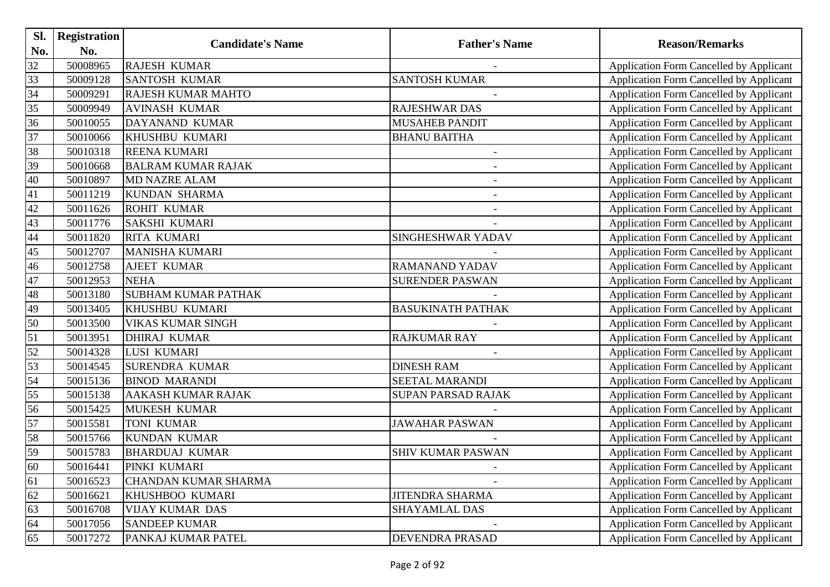| SI.             | <b>Registration</b> |                            | <b>Father's Name</b>     |                                                |
|-----------------|---------------------|----------------------------|--------------------------|------------------------------------------------|
| No.             | No.                 | <b>Candidate's Name</b>    |                          | <b>Reason/Remarks</b>                          |
| 32              | 50008965            | <b>RAJESH KUMAR</b>        |                          | Application Form Cancelled by Applicant        |
| $\frac{33}{34}$ | 50009128            | <b>SANTOSH KUMAR</b>       | <b>SANTOSH KUMAR</b>     | <b>Application Form Cancelled by Applicant</b> |
|                 | 50009291            | <b>RAJESH KUMAR MAHTO</b>  |                          | Application Form Cancelled by Applicant        |
| 35              | 50009949            | <b>AVINASH KUMAR</b>       | <b>RAJESHWAR DAS</b>     | Application Form Cancelled by Applicant        |
| 36              | 50010055            | DAYANAND KUMAR             | <b>MUSAHEB PANDIT</b>    | <b>Application Form Cancelled by Applicant</b> |
| 37              | 50010066            | KHUSHBU KUMARI             | <b>BHANU BAITHA</b>      | <b>Application Form Cancelled by Applicant</b> |
| 38              | 50010318            | <b>REENA KUMARI</b>        | $\overline{\phantom{a}}$ | Application Form Cancelled by Applicant        |
| 39              | 50010668            | <b>BALRAM KUMAR RAJAK</b>  |                          | Application Form Cancelled by Applicant        |
| 40              | 50010897            | <b>MD NAZRE ALAM</b>       |                          | Application Form Cancelled by Applicant        |
| 41              | 50011219            | <b>KUNDAN SHARMA</b>       | $\overline{\phantom{a}}$ | Application Form Cancelled by Applicant        |
| 42              | 50011626            | <b>ROHIT KUMAR</b>         |                          | Application Form Cancelled by Applicant        |
| 43              | 50011776            | <b>SAKSHI KUMARI</b>       |                          | Application Form Cancelled by Applicant        |
| $\overline{44}$ | 50011820            | <b>RITA KUMARI</b>         | SINGHESHWAR YADAV        | Application Form Cancelled by Applicant        |
|                 | 50012707            | <b>MANISHA KUMARI</b>      |                          | <b>Application Form Cancelled by Applicant</b> |
| $\frac{45}{46}$ | 50012758            | <b>AJEET KUMAR</b>         | <b>RAMANAND YADAV</b>    | Application Form Cancelled by Applicant        |
| 47              | 50012953            | <b>NEHA</b>                | <b>SURENDER PASWAN</b>   | Application Form Cancelled by Applicant        |
| 48              | 50013180            | <b>SUBHAM KUMAR PATHAK</b> |                          | <b>Application Form Cancelled by Applicant</b> |
| 49              | 50013405            | KHUSHBU KUMARI             | <b>BASUKINATH PATHAK</b> | Application Form Cancelled by Applicant        |
| 50              | 50013500            | <b>VIKAS KUMAR SINGH</b>   |                          | Application Form Cancelled by Applicant        |
| 51              | 50013951            | <b>DHIRAJ KUMAR</b>        | <b>RAJKUMAR RAY</b>      | Application Form Cancelled by Applicant        |
| $\frac{52}{53}$ | 50014328            | LUSI KUMARI                |                          | Application Form Cancelled by Applicant        |
|                 | 50014545            | <b>SURENDRA KUMAR</b>      | <b>DINESH RAM</b>        | Application Form Cancelled by Applicant        |
| 54              | 50015136            | <b>BINOD MARANDI</b>       | <b>SEETAL MARANDI</b>    | Application Form Cancelled by Applicant        |
| 55              | 50015138            | AAKASH KUMAR RAJAK         | SUPAN PARSAD RAJAK       | <b>Application Form Cancelled by Applicant</b> |
| 56              | 50015425            | MUKESH KUMAR               |                          | Application Form Cancelled by Applicant        |
| 57              | 50015581            | <b>TONI KUMAR</b>          | <b>JAWAHAR PASWAN</b>    | Application Form Cancelled by Applicant        |
| 58              | 50015766            | <b>KUNDAN KUMAR</b>        |                          | Application Form Cancelled by Applicant        |
| 59              | 50015783            | <b>BHARDUAJ KUMAR</b>      | <b>SHIV KUMAR PASWAN</b> | <b>Application Form Cancelled by Applicant</b> |
| 60              | 50016441            | PINKI KUMARI               |                          | <b>Application Form Cancelled by Applicant</b> |
| 61              | 50016523            | CHANDAN KUMAR SHARMA       |                          | Application Form Cancelled by Applicant        |
| 62              | 50016621            | KHUSHBOO KUMARI            | <b>JITENDRA SHARMA</b>   | Application Form Cancelled by Applicant        |
| 63              | 50016708            | <b>VIJAY KUMAR DAS</b>     | SHAYAMLAL DAS            | Application Form Cancelled by Applicant        |
| 64              | 50017056            | <b>SANDEEP KUMAR</b>       |                          | Application Form Cancelled by Applicant        |
| 65              | 50017272            | PANKAJ KUMAR PATEL         | DEVENDRA PRASAD          | Application Form Cancelled by Applicant        |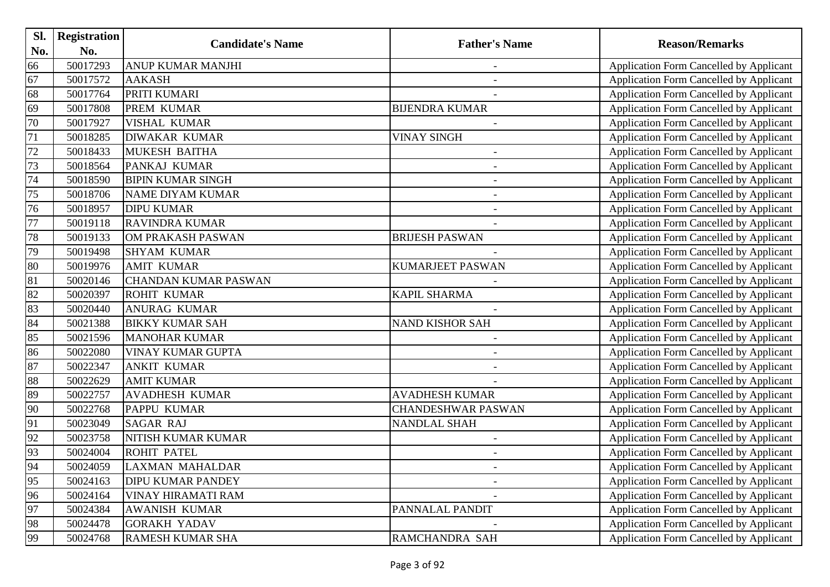| Sl.    | <b>Registration</b> | <b>Candidate's Name</b>     |                           |                                                |
|--------|---------------------|-----------------------------|---------------------------|------------------------------------------------|
| No.    | No.                 |                             | <b>Father's Name</b>      | <b>Reason/Remarks</b>                          |
| 66     | 50017293            | <b>ANUP KUMAR MANJHI</b>    | $\blacksquare$            | Application Form Cancelled by Applicant        |
| 67     | 50017572            | <b>AAKASH</b>               |                           | Application Form Cancelled by Applicant        |
| 68     | 50017764            | PRITI KUMARI                |                           | <b>Application Form Cancelled by Applicant</b> |
| 69     | 50017808            | <b>PREM KUMAR</b>           | <b>BIJENDRA KUMAR</b>     | Application Form Cancelled by Applicant        |
| 70     | 50017927            | <b>VISHAL KUMAR</b>         |                           | Application Form Cancelled by Applicant        |
| 71     | 50018285            | <b>DIWAKAR KUMAR</b>        | <b>VINAY SINGH</b>        | <b>Application Form Cancelled by Applicant</b> |
| $72\,$ | 50018433            | <b>MUKESH BAITHA</b>        |                           | Application Form Cancelled by Applicant        |
| 73     | 50018564            | PANKAJ KUMAR                | $\overline{\phantom{a}}$  | Application Form Cancelled by Applicant        |
| 74     | 50018590            | <b>BIPIN KUMAR SINGH</b>    |                           | Application Form Cancelled by Applicant        |
| 75     | 50018706            | <b>NAME DIYAM KUMAR</b>     | $\overline{\phantom{a}}$  | <b>Application Form Cancelled by Applicant</b> |
| 76     | 50018957            | <b>DIPU KUMAR</b>           |                           | Application Form Cancelled by Applicant        |
| 77     | 50019118            | <b>RAVINDRA KUMAR</b>       |                           | <b>Application Form Cancelled by Applicant</b> |
| 78     | 50019133            | OM PRAKASH PASWAN           | <b>BRIJESH PASWAN</b>     | Application Form Cancelled by Applicant        |
| 79     | 50019498            | <b>SHYAM KUMAR</b>          |                           | Application Form Cancelled by Applicant        |
| 80     | 50019976            | <b>AMIT KUMAR</b>           | <b>KUMARJEET PASWAN</b>   | <b>Application Form Cancelled by Applicant</b> |
| 81     | 50020146            | <b>CHANDAN KUMAR PASWAN</b> |                           | Application Form Cancelled by Applicant        |
| 82     | 50020397            | <b>ROHIT KUMAR</b>          | <b>KAPIL SHARMA</b>       | <b>Application Form Cancelled by Applicant</b> |
| 83     | 50020440            | <b>ANURAG KUMAR</b>         |                           | <b>Application Form Cancelled by Applicant</b> |
| 84     | 50021388            | <b>BIKKY KUMAR SAH</b>      | <b>NAND KISHOR SAH</b>    | <b>Application Form Cancelled by Applicant</b> |
| 85     | 50021596            | <b>MANOHAR KUMAR</b>        | $\blacksquare$            | Application Form Cancelled by Applicant        |
| 86     | 50022080            | <b>VINAY KUMAR GUPTA</b>    |                           | Application Form Cancelled by Applicant        |
| 87     | 50022347            | <b>ANKIT KUMAR</b>          |                           | <b>Application Form Cancelled by Applicant</b> |
| 88     | 50022629            | <b>AMIT KUMAR</b>           |                           | Application Form Cancelled by Applicant        |
| 89     | 50022757            | <b>AVADHESH KUMAR</b>       | <b>AVADHESH KUMAR</b>     | Application Form Cancelled by Applicant        |
| 90     | 50022768            | <b>PAPPU KUMAR</b>          | <b>CHANDESHWAR PASWAN</b> | Application Form Cancelled by Applicant        |
| 91     | 50023049            | <b>SAGAR RAJ</b>            | <b>NANDLAL SHAH</b>       | Application Form Cancelled by Applicant        |
| 92     | 50023758            | NITISH KUMAR KUMAR          | $\overline{\phantom{a}}$  | Application Form Cancelled by Applicant        |
| 93     | 50024004            | <b>ROHIT PATEL</b>          |                           | Application Form Cancelled by Applicant        |
| 94     | 50024059            | <b>LAXMAN MAHALDAR</b>      |                           | Application Form Cancelled by Applicant        |
| 95     | 50024163            | <b>DIPU KUMAR PANDEY</b>    |                           | Application Form Cancelled by Applicant        |
| 96     | 50024164            | <b>VINAY HIRAMATI RAM</b>   |                           | <b>Application Form Cancelled by Applicant</b> |
| 97     | 50024384            | <b>AWANISH KUMAR</b>        | PANNALAL PANDIT           | Application Form Cancelled by Applicant        |
| 98     | 50024478            | <b>GORAKH YADAV</b>         |                           | Application Form Cancelled by Applicant        |
| 99     | 50024768            | <b>RAMESH KUMAR SHA</b>     | RAMCHANDRA SAH            | <b>Application Form Cancelled by Applicant</b> |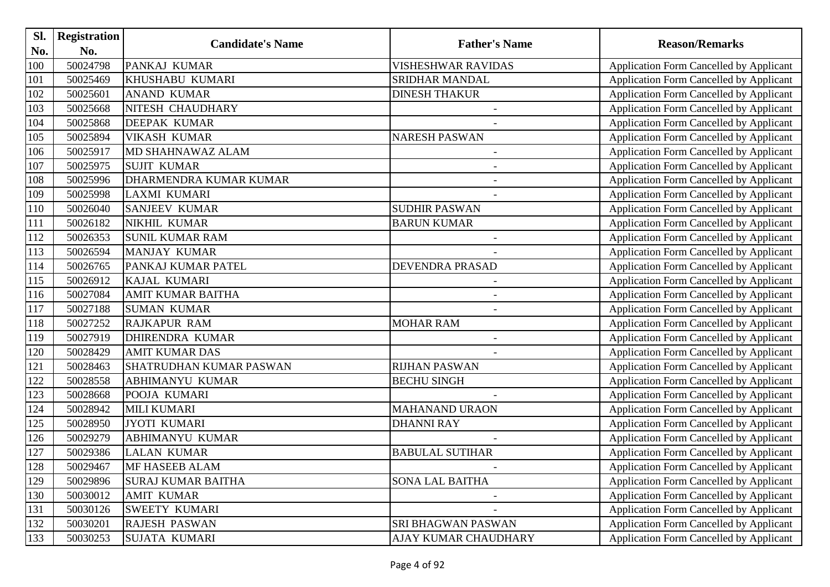| Sl. | <b>Registration</b> |                                |                             |                                                |
|-----|---------------------|--------------------------------|-----------------------------|------------------------------------------------|
| No. | No.                 | <b>Candidate's Name</b>        | <b>Father's Name</b>        | <b>Reason/Remarks</b>                          |
| 100 | 50024798            | PANKAJ KUMAR                   | <b>VISHESHWAR RAVIDAS</b>   | Application Form Cancelled by Applicant        |
| 101 | 50025469            | KHUSHABU KUMARI                | <b>SRIDHAR MANDAL</b>       | <b>Application Form Cancelled by Applicant</b> |
| 102 | 50025601            | <b>ANAND KUMAR</b>             | <b>DINESH THAKUR</b>        | Application Form Cancelled by Applicant        |
| 103 | 50025668            | NITESH CHAUDHARY               |                             | Application Form Cancelled by Applicant        |
| 104 | 50025868            | <b>DEEPAK KUMAR</b>            |                             | Application Form Cancelled by Applicant        |
| 105 | 50025894            | <b>VIKASH KUMAR</b>            | NARESH PASWAN               | <b>Application Form Cancelled by Applicant</b> |
| 106 | 50025917            | MD SHAHNAWAZ ALAM              |                             | Application Form Cancelled by Applicant        |
| 107 | 50025975            | <b>SUJIT KUMAR</b>             | $\overline{\phantom{a}}$    | <b>Application Form Cancelled by Applicant</b> |
| 108 | 50025996            | DHARMENDRA KUMAR KUMAR         |                             | Application Form Cancelled by Applicant        |
| 109 | 50025998            | <b>LAXMI KUMARI</b>            |                             | Application Form Cancelled by Applicant        |
| 110 | 50026040            | <b>SANJEEV KUMAR</b>           | <b>SUDHIR PASWAN</b>        | Application Form Cancelled by Applicant        |
| 111 | 50026182            | <b>NIKHIL KUMAR</b>            | <b>BARUN KUMAR</b>          | Application Form Cancelled by Applicant        |
| 112 | 50026353            | <b>SUNIL KUMAR RAM</b>         |                             | Application Form Cancelled by Applicant        |
| 113 | 50026594            | <b>MANJAY KUMAR</b>            |                             | <b>Application Form Cancelled by Applicant</b> |
| 114 | 50026765            | PANKAJ KUMAR PATEL             | DEVENDRA PRASAD             | Application Form Cancelled by Applicant        |
| 115 | 50026912            | KAJAL KUMARI                   |                             | Application Form Cancelled by Applicant        |
| 116 | 50027084            | <b>AMIT KUMAR BAITHA</b>       | $\qquad \qquad -$           | Application Form Cancelled by Applicant        |
| 117 | 50027188            | <b>SUMAN KUMAR</b>             |                             | Application Form Cancelled by Applicant        |
| 118 | 50027252            | <b>RAJKAPUR RAM</b>            | <b>MOHAR RAM</b>            | <b>Application Form Cancelled by Applicant</b> |
| 119 | 50027919            | <b>DHIRENDRA KUMAR</b>         | $\blacksquare$              | Application Form Cancelled by Applicant        |
| 120 | 50028429            | <b>AMIT KUMAR DAS</b>          |                             | Application Form Cancelled by Applicant        |
| 121 | 50028463            | <b>SHATRUDHAN KUMAR PASWAN</b> | <b>RIJHAN PASWAN</b>        | Application Form Cancelled by Applicant        |
| 122 | 50028558            | <b>ABHIMANYU KUMAR</b>         | <b>BECHU SINGH</b>          | Application Form Cancelled by Applicant        |
| 123 | 50028668            | POOJA KUMARI                   |                             | Application Form Cancelled by Applicant        |
| 124 | 50028942            | <b>MILI KUMARI</b>             | <b>MAHANAND URAON</b>       | Application Form Cancelled by Applicant        |
| 125 | 50028950            | <b>JYOTI KUMARI</b>            | <b>DHANNI RAY</b>           | Application Form Cancelled by Applicant        |
| 126 | 50029279            | <b>ABHIMANYU KUMAR</b>         |                             | Application Form Cancelled by Applicant        |
| 127 | 50029386            | <b>LALAN KUMAR</b>             | <b>BABULAL SUTIHAR</b>      | <b>Application Form Cancelled by Applicant</b> |
| 128 | 50029467            | <b>MF HASEEB ALAM</b>          |                             | <b>Application Form Cancelled by Applicant</b> |
| 129 | 50029896            | <b>SURAJ KUMAR BAITHA</b>      | <b>SONA LAL BAITHA</b>      | Application Form Cancelled by Applicant        |
| 130 | 50030012            | <b>AMIT KUMAR</b>              |                             | Application Form Cancelled by Applicant        |
| 131 | 50030126            | <b>SWEETY KUMARI</b>           |                             | Application Form Cancelled by Applicant        |
| 132 | 50030201            | <b>RAJESH PASWAN</b>           | SRI BHAGWAN PASWAN          | <b>Application Form Cancelled by Applicant</b> |
| 133 | 50030253            | <b>SUJATA KUMARI</b>           | <b>AJAY KUMAR CHAUDHARY</b> | <b>Application Form Cancelled by Applicant</b> |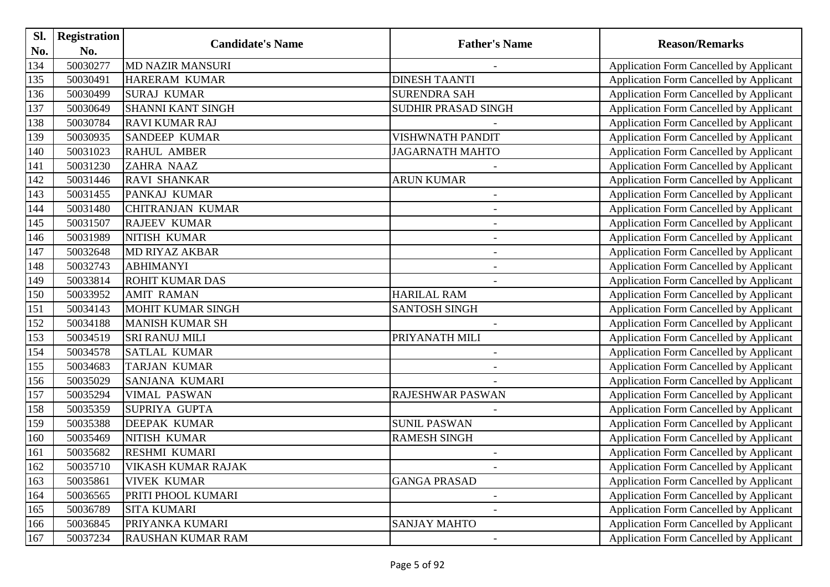| Sl. | <b>Registration</b> |                          |                            |                                                |
|-----|---------------------|--------------------------|----------------------------|------------------------------------------------|
| No. | No.                 | <b>Candidate's Name</b>  | <b>Father's Name</b>       | <b>Reason/Remarks</b>                          |
| 134 | 50030277            | <b>MD NAZIR MANSURI</b>  |                            | Application Form Cancelled by Applicant        |
| 135 | 50030491            | <b>HARERAM KUMAR</b>     | <b>DINESH TAANTI</b>       | Application Form Cancelled by Applicant        |
| 136 | 50030499            | <b>SURAJ KUMAR</b>       | <b>SURENDRA SAH</b>        | Application Form Cancelled by Applicant        |
| 137 | 50030649            | <b>SHANNI KANT SINGH</b> | <b>SUDHIR PRASAD SINGH</b> | Application Form Cancelled by Applicant        |
| 138 | 50030784            | <b>RAVI KUMAR RAJ</b>    |                            | Application Form Cancelled by Applicant        |
| 139 | 50030935            | <b>SANDEEP KUMAR</b>     | <b>VISHWNATH PANDIT</b>    | Application Form Cancelled by Applicant        |
| 140 | 50031023            | <b>RAHUL AMBER</b>       | <b>JAGARNATH MAHTO</b>     | Application Form Cancelled by Applicant        |
| 141 | 50031230            | <b>ZAHRA NAAZ</b>        |                            | Application Form Cancelled by Applicant        |
| 142 | 50031446            | <b>RAVI SHANKAR</b>      | <b>ARUN KUMAR</b>          | Application Form Cancelled by Applicant        |
| 143 | 50031455            | PANKAJ KUMAR             | $\overline{\phantom{a}}$   | Application Form Cancelled by Applicant        |
| 144 | 50031480            | <b>CHITRANJAN KUMAR</b>  | $\overline{a}$             | Application Form Cancelled by Applicant        |
| 145 | 50031507            | <b>RAJEEV KUMAR</b>      |                            | Application Form Cancelled by Applicant        |
| 146 | 50031989            | <b>NITISH KUMAR</b>      |                            | Application Form Cancelled by Applicant        |
| 147 | 50032648            | <b>MD RIYAZ AKBAR</b>    | $\overline{\phantom{a}}$   | Application Form Cancelled by Applicant        |
| 148 | 50032743            | <b>ABHIMANYI</b>         | $\overline{\phantom{a}}$   | Application Form Cancelled by Applicant        |
| 149 | 50033814            | <b>ROHIT KUMAR DAS</b>   |                            | Application Form Cancelled by Applicant        |
| 150 | 50033952            | <b>AMIT RAMAN</b>        | <b>HARILAL RAM</b>         | Application Form Cancelled by Applicant        |
| 151 | 50034143            | <b>MOHIT KUMAR SINGH</b> | <b>SANTOSH SINGH</b>       | <b>Application Form Cancelled by Applicant</b> |
| 152 | 50034188            | <b>MANISH KUMAR SH</b>   |                            | Application Form Cancelled by Applicant        |
| 153 | 50034519            | <b>SRI RANUJ MILI</b>    | PRIYANATH MILI             | Application Form Cancelled by Applicant        |
| 154 | 50034578            | <b>SATLAL KUMAR</b>      |                            | Application Form Cancelled by Applicant        |
| 155 | 50034683            | <b>TARJAN KUMAR</b>      | $\overline{\phantom{a}}$   | Application Form Cancelled by Applicant        |
| 156 | 50035029            | <b>SANJANA KUMARI</b>    |                            | Application Form Cancelled by Applicant        |
| 157 | 50035294            | <b>VIMAL PASWAN</b>      | RAJESHWAR PASWAN           | Application Form Cancelled by Applicant        |
| 158 | 50035359            | <b>SUPRIYA GUPTA</b>     |                            | Application Form Cancelled by Applicant        |
| 159 | 50035388            | <b>DEEPAK KUMAR</b>      | <b>SUNIL PASWAN</b>        | Application Form Cancelled by Applicant        |
| 160 | 50035469            | <b>NITISH KUMAR</b>      | <b>RAMESH SINGH</b>        | Application Form Cancelled by Applicant        |
| 161 | 50035682            | <b>RESHMI KUMARI</b>     |                            | Application Form Cancelled by Applicant        |
| 162 | 50035710            | VIKASH KUMAR RAJAK       |                            | Application Form Cancelled by Applicant        |
| 163 | 50035861            | <b>VIVEK KUMAR</b>       | <b>GANGA PRASAD</b>        | Application Form Cancelled by Applicant        |
| 164 | 50036565            | PRITI PHOOL KUMARI       |                            | <b>Application Form Cancelled by Applicant</b> |
| 165 | 50036789            | <b>SITA KUMARI</b>       |                            | <b>Application Form Cancelled by Applicant</b> |
| 166 | 50036845            | PRIYANKA KUMARI          | <b>SANJAY MAHTO</b>        | Application Form Cancelled by Applicant        |
| 167 | 50037234            | <b>RAUSHAN KUMAR RAM</b> | $\overline{\phantom{a}}$   | <b>Application Form Cancelled by Applicant</b> |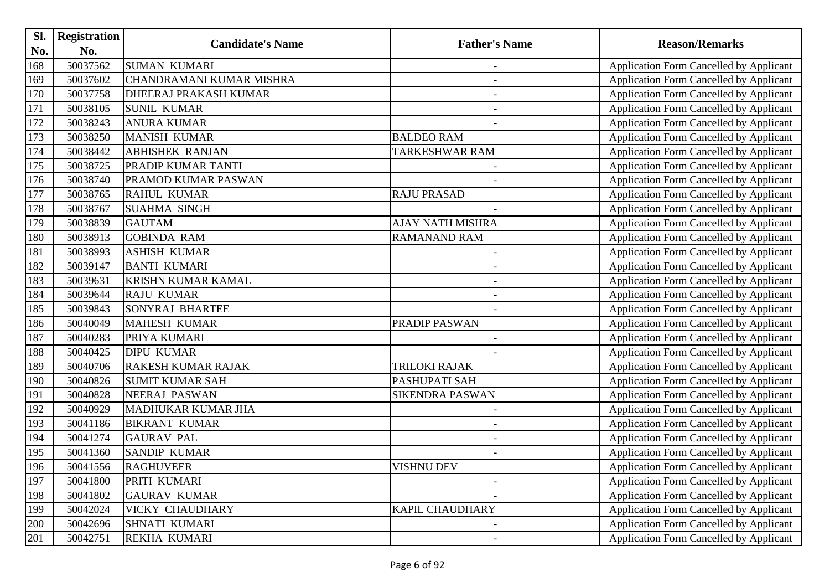| Sl. | <b>Registration</b> |                           |                          |                                                |
|-----|---------------------|---------------------------|--------------------------|------------------------------------------------|
| No. | No.                 | <b>Candidate's Name</b>   | <b>Father's Name</b>     | <b>Reason/Remarks</b>                          |
| 168 | 50037562            | <b>SUMAN KUMARI</b>       | $\overline{\phantom{a}}$ | Application Form Cancelled by Applicant        |
| 169 | 50037602            | CHANDRAMANI KUMAR MISHRA  | $\overline{\phantom{a}}$ | Application Form Cancelled by Applicant        |
| 170 | 50037758            | DHEERAJ PRAKASH KUMAR     | $\overline{\phantom{a}}$ | Application Form Cancelled by Applicant        |
| 171 | 50038105            | <b>SUNIL KUMAR</b>        |                          | Application Form Cancelled by Applicant        |
| 172 | 50038243            | <b>ANURA KUMAR</b>        |                          | <b>Application Form Cancelled by Applicant</b> |
| 173 | 50038250            | <b>MANISH KUMAR</b>       | <b>BALDEO RAM</b>        | <b>Application Form Cancelled by Applicant</b> |
| 174 | 50038442            | <b>ABHISHEK RANJAN</b>    | <b>TARKESHWAR RAM</b>    | Application Form Cancelled by Applicant        |
| 175 | 50038725            | PRADIP KUMAR TANTI        |                          | <b>Application Form Cancelled by Applicant</b> |
| 176 | 50038740            | PRAMOD KUMAR PASWAN       |                          | Application Form Cancelled by Applicant        |
| 177 | 50038765            | <b>RAHUL KUMAR</b>        | <b>RAJU PRASAD</b>       | <b>Application Form Cancelled by Applicant</b> |
| 178 | 50038767            | <b>SUAHMA SINGH</b>       |                          | Application Form Cancelled by Applicant        |
| 179 | 50038839            | <b>GAUTAM</b>             | AJAY NATH MISHRA         | Application Form Cancelled by Applicant        |
| 180 | 50038913            | <b>GOBINDA RAM</b>        | <b>RAMANAND RAM</b>      | <b>Application Form Cancelled by Applicant</b> |
| 181 | 50038993            | <b>ASHISH KUMAR</b>       | $\overline{\phantom{a}}$ | <b>Application Form Cancelled by Applicant</b> |
| 182 | 50039147            | <b>BANTI KUMARI</b>       | $\overline{\phantom{a}}$ | Application Form Cancelled by Applicant        |
| 183 | 50039631            | <b>KRISHN KUMAR KAMAL</b> |                          | Application Form Cancelled by Applicant        |
| 184 | 50039644            | <b>RAJU KUMAR</b>         | $\overline{\phantom{a}}$ | <b>Application Form Cancelled by Applicant</b> |
| 185 | 50039843            | <b>SONYRAJ BHARTEE</b>    |                          | Application Form Cancelled by Applicant        |
| 186 | 50040049            | <b>MAHESH KUMAR</b>       | PRADIP PASWAN            | <b>Application Form Cancelled by Applicant</b> |
| 187 | 50040283            | PRIYA KUMARI              | $\blacksquare$           | Application Form Cancelled by Applicant        |
| 188 | 50040425            | <b>DIPU KUMAR</b>         |                          | Application Form Cancelled by Applicant        |
| 189 | 50040706            | <b>RAKESH KUMAR RAJAK</b> | <b>TRILOKI RAJAK</b>     | <b>Application Form Cancelled by Applicant</b> |
| 190 | 50040826            | <b>SUMIT KUMAR SAH</b>    | PASHUPATI SAH            | Application Form Cancelled by Applicant        |
| 191 | 50040828            | NEERAJ PASWAN             | <b>SIKENDRA PASWAN</b>   | <b>Application Form Cancelled by Applicant</b> |
| 192 | 50040929            | MADHUKAR KUMAR JHA        |                          | Application Form Cancelled by Applicant        |
| 193 | 50041186            | <b>BIKRANT KUMAR</b>      | $\overline{a}$           | Application Form Cancelled by Applicant        |
| 194 | 50041274            | <b>GAURAV PAL</b>         | $\blacksquare$           | Application Form Cancelled by Applicant        |
| 195 | 50041360            | <b>SANDIP KUMAR</b>       |                          | <b>Application Form Cancelled by Applicant</b> |
| 196 | 50041556            | <b>RAGHUVEER</b>          | <b>VISHNU DEV</b>        | <b>Application Form Cancelled by Applicant</b> |
| 197 | 50041800            | PRITI KUMARI              |                          | Application Form Cancelled by Applicant        |
| 198 | 50041802            | <b>GAURAV KUMAR</b>       |                          | <b>Application Form Cancelled by Applicant</b> |
| 199 | 50042024            | VICKY CHAUDHARY           | KAPIL CHAUDHARY          | <b>Application Form Cancelled by Applicant</b> |
| 200 | 50042696            | <b>SHNATI KUMARI</b>      |                          | <b>Application Form Cancelled by Applicant</b> |
| 201 | 50042751            | REKHA KUMARI              |                          | Application Form Cancelled by Applicant        |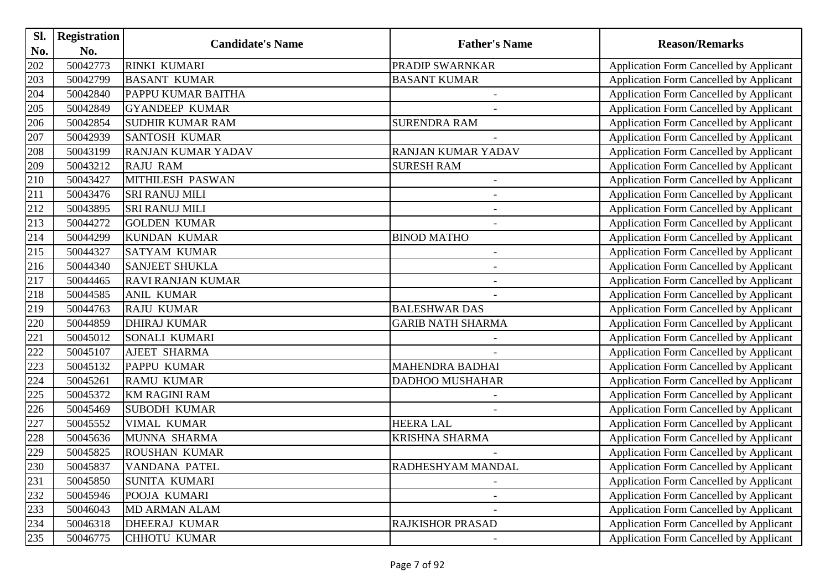| SI. | <b>Registration</b> |                           |                              |                                                |
|-----|---------------------|---------------------------|------------------------------|------------------------------------------------|
| No. | No.                 | <b>Candidate's Name</b>   | <b>Father's Name</b>         | <b>Reason/Remarks</b>                          |
| 202 | 50042773            | <b>RINKI KUMARI</b>       | PRADIP SWARNKAR              | Application Form Cancelled by Applicant        |
| 203 | 50042799            | <b>BASANT KUMAR</b>       | <b>BASANT KUMAR</b>          | Application Form Cancelled by Applicant        |
| 204 | 50042840            | PAPPU KUMAR BAITHA        | $\overline{\phantom{a}}$     | <b>Application Form Cancelled by Applicant</b> |
| 205 | 50042849            | <b>GYANDEEP KUMAR</b>     |                              | Application Form Cancelled by Applicant        |
| 206 | 50042854            | <b>SUDHIR KUMAR RAM</b>   | <b>SURENDRA RAM</b>          | Application Form Cancelled by Applicant        |
| 207 | 50042939            | <b>SANTOSH KUMAR</b>      |                              | Application Form Cancelled by Applicant        |
| 208 | 50043199            | <b>RANJAN KUMAR YADAV</b> | RANJAN KUMAR YADAV           | Application Form Cancelled by Applicant        |
| 209 | 50043212            | <b>RAJU RAM</b>           | <b>SURESH RAM</b>            | <b>Application Form Cancelled by Applicant</b> |
| 210 | 50043427            | <b>MITHILESH PASWAN</b>   | $\blacksquare$               | <b>Application Form Cancelled by Applicant</b> |
| 211 | 50043476            | <b>SRI RANUJ MILI</b>     | $\overline{\phantom{a}}$     | <b>Application Form Cancelled by Applicant</b> |
| 212 | 50043895            | <b>SRI RANUJ MILI</b>     |                              | Application Form Cancelled by Applicant        |
| 213 | 50044272            | <b>GOLDEN KUMAR</b>       |                              | <b>Application Form Cancelled by Applicant</b> |
| 214 | 50044299            | <b>KUNDAN KUMAR</b>       | <b>BINOD MATHO</b>           | Application Form Cancelled by Applicant        |
| 215 | 50044327            | <b>SATYAM KUMAR</b>       | $\blacksquare$               | Application Form Cancelled by Applicant        |
| 216 | 50044340            | <b>SANJEET SHUKLA</b>     | $\overline{\phantom{a}}$     | <b>Application Form Cancelled by Applicant</b> |
| 217 | 50044465            | <b>RAVI RANJAN KUMAR</b>  |                              | Application Form Cancelled by Applicant        |
| 218 | 50044585            | <b>ANIL KUMAR</b>         |                              | <b>Application Form Cancelled by Applicant</b> |
| 219 | 50044763            | <b>RAJU KUMAR</b>         | <b>BALESHWAR DAS</b>         | Application Form Cancelled by Applicant        |
| 220 | 50044859            | <b>DHIRAJ KUMAR</b>       | <b>GARIB NATH SHARMA</b>     | <b>Application Form Cancelled by Applicant</b> |
| 221 | 50045012            | <b>SONALI KUMARI</b>      |                              | Application Form Cancelled by Applicant        |
| 222 | 50045107            | AJEET SHARMA              |                              | Application Form Cancelled by Applicant        |
| 223 | 50045132            | <b>PAPPU KUMAR</b>        | <b>MAHENDRA BADHAI</b>       | <b>Application Form Cancelled by Applicant</b> |
| 224 | 50045261            | <b>RAMU KUMAR</b>         | DADHOO MUSHAHAR              | Application Form Cancelled by Applicant        |
| 225 | 50045372            | <b>KM RAGINI RAM</b>      | $\overline{\phantom{a}}$     | Application Form Cancelled by Applicant        |
| 226 | 50045469            | <b>SUBODH KUMAR</b>       |                              | Application Form Cancelled by Applicant        |
| 227 | 50045552            | <b>VIMAL KUMAR</b>        | <b>HEERA LAL</b>             | Application Form Cancelled by Applicant        |
| 228 | 50045636            | MUNNA SHARMA              | <b>KRISHNA SHARMA</b>        | <b>Application Form Cancelled by Applicant</b> |
| 229 | 50045825            | <b>ROUSHAN KUMAR</b>      |                              | <b>Application Form Cancelled by Applicant</b> |
| 230 | 50045837            | <b>VANDANA PATEL</b>      | <b>RADHESHYAM MANDAL</b>     | <b>Application Form Cancelled by Applicant</b> |
| 231 | 50045850            | <b>SUNITA KUMARI</b>      |                              | Application Form Cancelled by Applicant        |
| 232 | 50045946            | POOJA KUMARI              | $\qquad \qquad \blacksquare$ | Application Form Cancelled by Applicant        |
| 233 | 50046043            | MD ARMAN ALAM             |                              | Application Form Cancelled by Applicant        |
| 234 | 50046318            | <b>DHEERAJ KUMAR</b>      | <b>RAJKISHOR PRASAD</b>      | Application Form Cancelled by Applicant        |
| 235 | 50046775            | <b>CHHOTU KUMAR</b>       |                              | <b>Application Form Cancelled by Applicant</b> |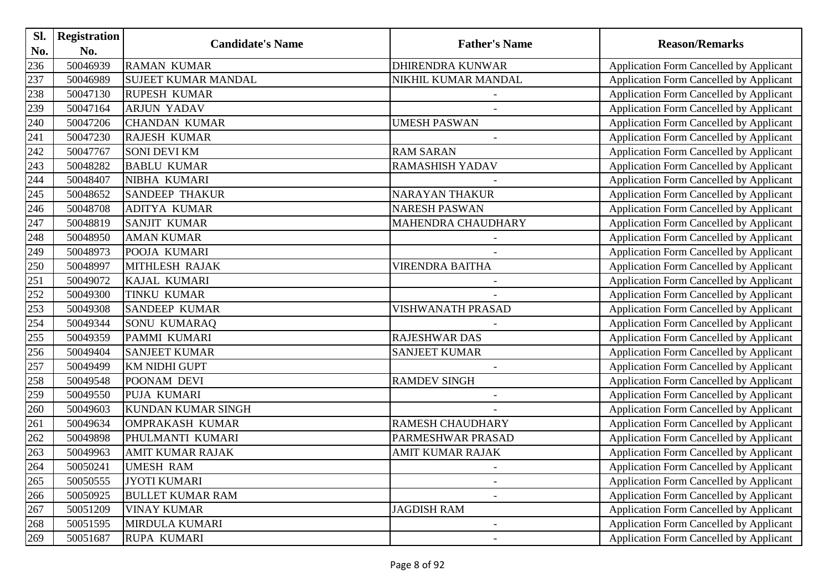| SI. | <b>Registration</b> |                            |                          |                                                |
|-----|---------------------|----------------------------|--------------------------|------------------------------------------------|
| No. | No.                 | <b>Candidate's Name</b>    | <b>Father's Name</b>     | <b>Reason/Remarks</b>                          |
| 236 | 50046939            | <b>RAMAN KUMAR</b>         | <b>DHIRENDRA KUNWAR</b>  | Application Form Cancelled by Applicant        |
| 237 | 50046989            | <b>SUJEET KUMAR MANDAL</b> | NIKHIL KUMAR MANDAL      | <b>Application Form Cancelled by Applicant</b> |
| 238 | 50047130            | <b>RUPESH KUMAR</b>        |                          | <b>Application Form Cancelled by Applicant</b> |
| 239 | 50047164            | <b>ARJUN YADAV</b>         |                          | Application Form Cancelled by Applicant        |
| 240 | 50047206            | <b>CHANDAN KUMAR</b>       | <b>UMESH PASWAN</b>      | Application Form Cancelled by Applicant        |
| 241 | 50047230            | <b>RAJESH KUMAR</b>        |                          | Application Form Cancelled by Applicant        |
| 242 | 50047767            | <b>SONI DEVI KM</b>        | <b>RAM SARAN</b>         | Application Form Cancelled by Applicant        |
| 243 | 50048282            | <b>BABLU KUMAR</b>         | RAMASHISH YADAV          | Application Form Cancelled by Applicant        |
| 244 | 50048407            | NIBHA KUMARI               |                          | Application Form Cancelled by Applicant        |
| 245 | 50048652            | <b>SANDEEP THAKUR</b>      | NARAYAN THAKUR           | Application Form Cancelled by Applicant        |
| 246 | 50048708            | <b>ADITYA KUMAR</b>        | <b>NARESH PASWAN</b>     | Application Form Cancelled by Applicant        |
| 247 | 50048819            | <b>SANJIT KUMAR</b>        | MAHENDRA CHAUDHARY       | Application Form Cancelled by Applicant        |
| 248 | 50048950            | <b>AMAN KUMAR</b>          |                          | Application Form Cancelled by Applicant        |
| 249 | 50048973            | POOJA KUMARI               |                          | <b>Application Form Cancelled by Applicant</b> |
| 250 | 50048997            | <b>MITHLESH RAJAK</b>      | <b>VIRENDRA BAITHA</b>   | Application Form Cancelled by Applicant        |
| 251 | 50049072            | KAJAL KUMARI               |                          | Application Form Cancelled by Applicant        |
| 252 | 50049300            | <b>TINKU KUMAR</b>         |                          | Application Form Cancelled by Applicant        |
| 253 | 50049308            | <b>SANDEEP KUMAR</b>       | VISHWANATH PRASAD        | Application Form Cancelled by Applicant        |
| 254 | 50049344            | <b>SONU KUMARAQ</b>        |                          | Application Form Cancelled by Applicant        |
| 255 | 50049359            | PAMMI KUMARI               | <b>RAJESHWAR DAS</b>     | Application Form Cancelled by Applicant        |
| 256 | 50049404            | <b>SANJEET KUMAR</b>       | <b>SANJEET KUMAR</b>     | Application Form Cancelled by Applicant        |
| 257 | 50049499            | <b>KM NIDHI GUPT</b>       |                          | Application Form Cancelled by Applicant        |
| 258 | 50049548            | POONAM DEVI                | <b>RAMDEV SINGH</b>      | Application Form Cancelled by Applicant        |
| 259 | 50049550            | PUJA KUMARI                | $\overline{\phantom{a}}$ | Application Form Cancelled by Applicant        |
| 260 | 50049603            | KUNDAN KUMAR SINGH         |                          | Application Form Cancelled by Applicant        |
| 261 | 50049634            | <b>OMPRAKASH KUMAR</b>     | <b>RAMESH CHAUDHARY</b>  | Application Form Cancelled by Applicant        |
| 262 | 50049898            | PHULMANTI KUMARI           | PARMESHWAR PRASAD        | Application Form Cancelled by Applicant        |
| 263 | 50049963            | <b>AMIT KUMAR RAJAK</b>    | AMIT KUMAR RAJAK         | <b>Application Form Cancelled by Applicant</b> |
| 264 | 50050241            | <b>UMESH RAM</b>           |                          | <b>Application Form Cancelled by Applicant</b> |
| 265 | 50050555            | <b>JYOTI KUMARI</b>        |                          | Application Form Cancelled by Applicant        |
| 266 | 50050925            | <b>BULLET KUMAR RAM</b>    |                          | Application Form Cancelled by Applicant        |
| 267 | 50051209            | <b>VINAY KUMAR</b>         | <b>JAGDISH RAM</b>       | Application Form Cancelled by Applicant        |
| 268 | 50051595            | <b>MIRDULA KUMARI</b>      |                          | Application Form Cancelled by Applicant        |
| 269 | 50051687            | RUPA KUMARI                |                          | Application Form Cancelled by Applicant        |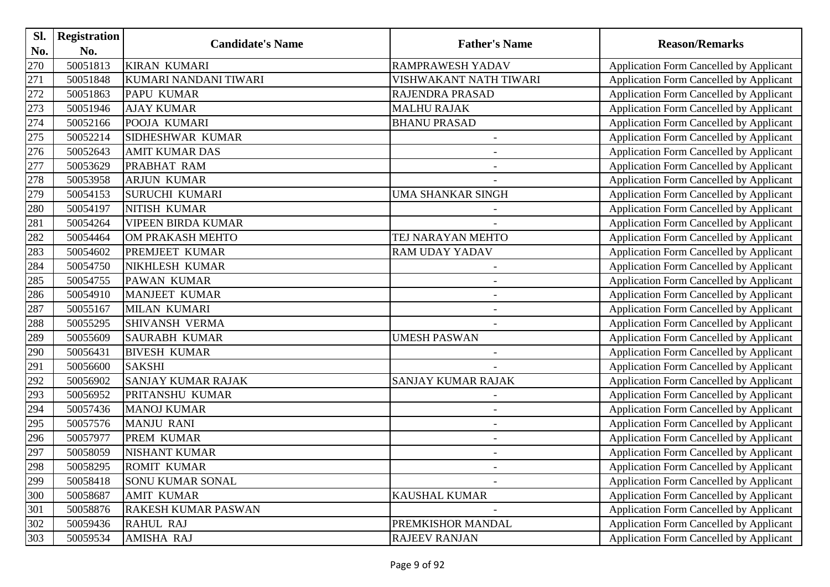| Sl. | <b>Registration</b> |                           |                          |                                                |
|-----|---------------------|---------------------------|--------------------------|------------------------------------------------|
| No. | No.                 | <b>Candidate's Name</b>   | <b>Father's Name</b>     | <b>Reason/Remarks</b>                          |
| 270 | 50051813            | <b>KIRAN KUMARI</b>       | <b>RAMPRAWESH YADAV</b>  | <b>Application Form Cancelled by Applicant</b> |
| 271 | 50051848            | KUMARI NANDANI TIWARI     | VISHWAKANT NATH TIWARI   | <b>Application Form Cancelled by Applicant</b> |
| 272 | 50051863            | <b>PAPU KUMAR</b>         | RAJENDRA PRASAD          | Application Form Cancelled by Applicant        |
| 273 | 50051946            | <b>AJAY KUMAR</b>         | <b>MALHU RAJAK</b>       | Application Form Cancelled by Applicant        |
| 274 | 50052166            | POOJA KUMARI              | <b>BHANU PRASAD</b>      | <b>Application Form Cancelled by Applicant</b> |
| 275 | 50052214            | <b>SIDHESHWAR KUMAR</b>   |                          | Application Form Cancelled by Applicant        |
| 276 | 50052643            | <b>AMIT KUMAR DAS</b>     |                          | Application Form Cancelled by Applicant        |
| 277 | 50053629            | PRABHAT RAM               | $\overline{\phantom{a}}$ | <b>Application Form Cancelled by Applicant</b> |
| 278 | 50053958            | <b>ARJUN KUMAR</b>        |                          | Application Form Cancelled by Applicant        |
| 279 | 50054153            | <b>SURUCHI KUMARI</b>     | UMA SHANKAR SINGH        | <b>Application Form Cancelled by Applicant</b> |
| 280 | 50054197            | NITISH KUMAR              |                          | Application Form Cancelled by Applicant        |
| 281 | 50054264            | <b>VIPEEN BIRDA KUMAR</b> |                          | Application Form Cancelled by Applicant        |
| 282 | 50054464            | OM PRAKASH MEHTO          | TEJ NARAYAN MEHTO        | <b>Application Form Cancelled by Applicant</b> |
| 283 | 50054602            | <b>PREMJEET KUMAR</b>     | <b>RAM UDAY YADAV</b>    | <b>Application Form Cancelled by Applicant</b> |
| 284 | 50054750            | <b>NIKHLESH KUMAR</b>     | $\overline{\phantom{a}}$ | <b>Application Form Cancelled by Applicant</b> |
| 285 | 50054755            | <b>PAWAN KUMAR</b>        |                          | Application Form Cancelled by Applicant        |
| 286 | 50054910            | <b>MANJEET KUMAR</b>      | $\overline{\phantom{a}}$ | <b>Application Form Cancelled by Applicant</b> |
| 287 | 50055167            | MILAN KUMARI              |                          | Application Form Cancelled by Applicant        |
| 288 | 50055295            | <b>SHIVANSH VERMA</b>     |                          | <b>Application Form Cancelled by Applicant</b> |
| 289 | 50055609            | <b>SAURABH KUMAR</b>      | <b>UMESH PASWAN</b>      | <b>Application Form Cancelled by Applicant</b> |
| 290 | 50056431            | <b>BIVESH KUMAR</b>       | $\overline{\phantom{a}}$ | Application Form Cancelled by Applicant        |
| 291 | 50056600            | <b>SAKSHI</b>             |                          | <b>Application Form Cancelled by Applicant</b> |
| 292 | 50056902            | <b>SANJAY KUMAR RAJAK</b> | SANJAY KUMAR RAJAK       | Application Form Cancelled by Applicant        |
| 293 | 50056952            | PRITANSHU KUMAR           |                          | <b>Application Form Cancelled by Applicant</b> |
| 294 | 50057436            | <b>MANOJ KUMAR</b>        | $\overline{\phantom{a}}$ | Application Form Cancelled by Applicant        |
| 295 | 50057576            | <b>MANJU RANI</b>         | $\overline{\phantom{a}}$ | <b>Application Form Cancelled by Applicant</b> |
| 296 | 50057977            | PREM KUMAR                | $\blacksquare$           | Application Form Cancelled by Applicant        |
| 297 | 50058059            | <b>NISHANT KUMAR</b>      |                          | <b>Application Form Cancelled by Applicant</b> |
| 298 | 50058295            | <b>ROMIT KUMAR</b>        |                          | <b>Application Form Cancelled by Applicant</b> |
| 299 | 50058418            | <b>SONU KUMAR SONAL</b>   |                          | Application Form Cancelled by Applicant        |
| 300 | 50058687            | <b>AMIT KUMAR</b>         | KAUSHAL KUMAR            | Application Form Cancelled by Applicant        |
| 301 | 50058876            | RAKESH KUMAR PASWAN       |                          | Application Form Cancelled by Applicant        |
| 302 | 50059436            | <b>RAHUL RAJ</b>          | PREMKISHOR MANDAL        | <b>Application Form Cancelled by Applicant</b> |
| 303 | 50059534            | <b>AMISHA RAJ</b>         | <b>RAJEEV RANJAN</b>     | Application Form Cancelled by Applicant        |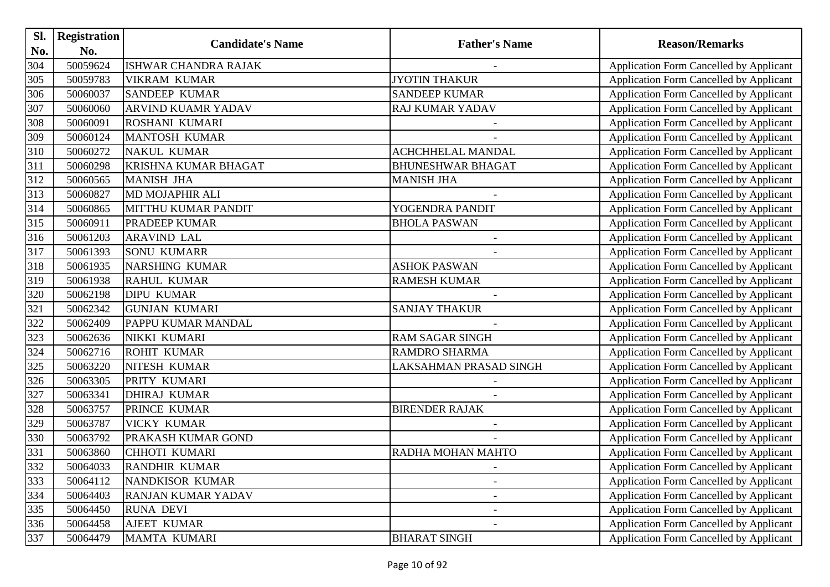| SI. | <b>Registration</b> |                             |                          |                                                |
|-----|---------------------|-----------------------------|--------------------------|------------------------------------------------|
| No. | No.                 | <b>Candidate's Name</b>     | <b>Father's Name</b>     | <b>Reason/Remarks</b>                          |
| 304 | 50059624            | <b>ISHWAR CHANDRA RAJAK</b> |                          | Application Form Cancelled by Applicant        |
| 305 | 50059783            | <b>VIKRAM KUMAR</b>         | <b>JYOTIN THAKUR</b>     | Application Form Cancelled by Applicant        |
| 306 | 50060037            | <b>SANDEEP KUMAR</b>        | <b>SANDEEP KUMAR</b>     | <b>Application Form Cancelled by Applicant</b> |
| 307 | 50060060            | <b>ARVIND KUAMR YADAV</b>   | <b>RAJ KUMAR YADAV</b>   | Application Form Cancelled by Applicant        |
| 308 | 50060091            | <b>ROSHANI KUMARI</b>       |                          | Application Form Cancelled by Applicant        |
| 309 | 50060124            | <b>MANTOSH KUMAR</b>        |                          | Application Form Cancelled by Applicant        |
| 310 | 50060272            | <b>NAKUL KUMAR</b>          | <b>ACHCHHELAL MANDAL</b> | Application Form Cancelled by Applicant        |
| 311 | 50060298            | <b>KRISHNA KUMAR BHAGAT</b> | <b>BHUNESHWAR BHAGAT</b> | <b>Application Form Cancelled by Applicant</b> |
| 312 | 50060565            | <b>MANISH JHA</b>           | <b>MANISH JHA</b>        | <b>Application Form Cancelled by Applicant</b> |
| 313 | 50060827            | <b>MD MOJAPHIR ALI</b>      |                          | <b>Application Form Cancelled by Applicant</b> |
| 314 | 50060865            | <b>MITTHU KUMAR PANDIT</b>  | YOGENDRA PANDIT          | Application Form Cancelled by Applicant        |
| 315 | 50060911            | <b>PRADEEP KUMAR</b>        | <b>BHOLA PASWAN</b>      | <b>Application Form Cancelled by Applicant</b> |
| 316 | 50061203            | <b>ARAVIND LAL</b>          |                          | Application Form Cancelled by Applicant        |
| 317 | 50061393            | <b>SONU KUMARR</b>          |                          | Application Form Cancelled by Applicant        |
| 318 | 50061935            | <b>NARSHING KUMAR</b>       | <b>ASHOK PASWAN</b>      | <b>Application Form Cancelled by Applicant</b> |
| 319 | 50061938            | <b>RAHUL KUMAR</b>          | <b>RAMESH KUMAR</b>      | <b>Application Form Cancelled by Applicant</b> |
| 320 | 50062198            | <b>DIPU KUMAR</b>           |                          | <b>Application Form Cancelled by Applicant</b> |
| 321 | 50062342            | <b>GUNJAN KUMARI</b>        | <b>SANJAY THAKUR</b>     | Application Form Cancelled by Applicant        |
| 322 | 50062409            | PAPPU KUMAR MANDAL          |                          | Application Form Cancelled by Applicant        |
| 323 | 50062636            | <b>NIKKI KUMARI</b>         | <b>RAM SAGAR SINGH</b>   | Application Form Cancelled by Applicant        |
| 324 | 50062716            | <b>ROHIT KUMAR</b>          | <b>RAMDRO SHARMA</b>     | Application Form Cancelled by Applicant        |
| 325 | 50063220            | <b>NITESH KUMAR</b>         | LAKSAHMAN PRASAD SINGH   | Application Form Cancelled by Applicant        |
| 326 | 50063305            | PRITY KUMARI                |                          | Application Form Cancelled by Applicant        |
| 327 | 50063341            | <b>DHIRAJ KUMAR</b>         |                          | Application Form Cancelled by Applicant        |
| 328 | 50063757            | PRINCE KUMAR                | <b>BIRENDER RAJAK</b>    | Application Form Cancelled by Applicant        |
| 329 | 50063787            | <b>VICKY KUMAR</b>          |                          | <b>Application Form Cancelled by Applicant</b> |
| 330 | 50063792            | PRAKASH KUMAR GOND          |                          | <b>Application Form Cancelled by Applicant</b> |
| 331 | 50063860            | CHHOTI KUMARI               | RADHA MOHAN MAHTO        | <b>Application Form Cancelled by Applicant</b> |
| 332 | 50064033            | <b>RANDHIR KUMAR</b>        |                          | <b>Application Form Cancelled by Applicant</b> |
| 333 | 50064112            | <b>NANDKISOR KUMAR</b>      |                          | <b>Application Form Cancelled by Applicant</b> |
| 334 | 50064403            | RANJAN KUMAR YADAV          | $\overline{\phantom{a}}$ | Application Form Cancelled by Applicant        |
| 335 | 50064450            | <b>RUNA DEVI</b>            | $\overline{\phantom{a}}$ | <b>Application Form Cancelled by Applicant</b> |
| 336 | 50064458            | <b>AJEET KUMAR</b>          |                          | <b>Application Form Cancelled by Applicant</b> |
| 337 | 50064479            | <b>MAMTA KUMARI</b>         | <b>BHARAT SINGH</b>      | Application Form Cancelled by Applicant        |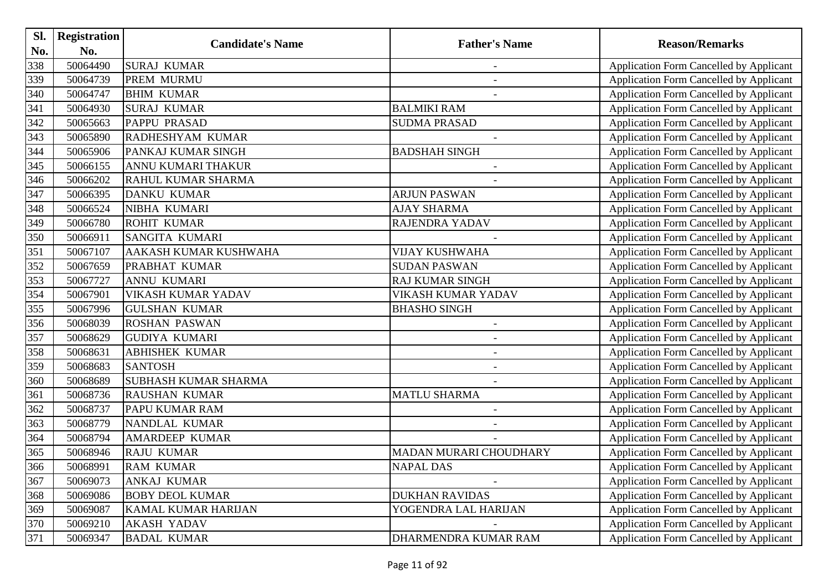| Sl. | <b>Registration</b> |                             | <b>Father's Name</b>      |                                                |
|-----|---------------------|-----------------------------|---------------------------|------------------------------------------------|
| No. | No.                 | <b>Candidate's Name</b>     |                           | <b>Reason/Remarks</b>                          |
| 338 | 50064490            | <b>SURAJ KUMAR</b>          | $\overline{\phantom{a}}$  | Application Form Cancelled by Applicant        |
| 339 | 50064739            | <b>PREM MURMU</b>           |                           | <b>Application Form Cancelled by Applicant</b> |
| 340 | 50064747            | <b>BHIM KUMAR</b>           |                           | Application Form Cancelled by Applicant        |
| 341 | 50064930            | <b>SURAJ KUMAR</b>          | <b>BALMIKI RAM</b>        | Application Form Cancelled by Applicant        |
| 342 | 50065663            | <b>PAPPU PRASAD</b>         | <b>SUDMA PRASAD</b>       | Application Form Cancelled by Applicant        |
| 343 | 50065890            | RADHESHYAM KUMAR            |                           | Application Form Cancelled by Applicant        |
| 344 | 50065906            | PANKAJ KUMAR SINGH          | <b>BADSHAH SINGH</b>      | Application Form Cancelled by Applicant        |
| 345 | 50066155            | ANNU KUMARI THAKUR          | $\overline{\phantom{a}}$  | Application Form Cancelled by Applicant        |
| 346 | 50066202            | RAHUL KUMAR SHARMA          |                           | Application Form Cancelled by Applicant        |
| 347 | 50066395            | <b>DANKU KUMAR</b>          | <b>ARJUN PASWAN</b>       | Application Form Cancelled by Applicant        |
| 348 | 50066524            | NIBHA KUMARI                | <b>AJAY SHARMA</b>        | Application Form Cancelled by Applicant        |
| 349 | 50066780            | <b>ROHIT KUMAR</b>          | RAJENDRA YADAV            | <b>Application Form Cancelled by Applicant</b> |
| 350 | 50066911            | <b>SANGITA KUMARI</b>       |                           | Application Form Cancelled by Applicant        |
| 351 | 50067107            | AAKASH KUMAR KUSHWAHA       | <b>VIJAY KUSHWAHA</b>     | Application Form Cancelled by Applicant        |
| 352 | 50067659            | PRABHAT KUMAR               | <b>SUDAN PASWAN</b>       | Application Form Cancelled by Applicant        |
| 353 | 50067727            | <b>ANNU KUMARI</b>          | <b>RAJ KUMAR SINGH</b>    | Application Form Cancelled by Applicant        |
| 354 | 50067901            | <b>VIKASH KUMAR YADAV</b>   | <b>VIKASH KUMAR YADAV</b> | Application Form Cancelled by Applicant        |
| 355 | 50067996            | <b>GULSHAN KUMAR</b>        | <b>BHASHO SINGH</b>       | Application Form Cancelled by Applicant        |
| 356 | 50068039            | <b>ROSHAN PASWAN</b>        | $\overline{\phantom{a}}$  | Application Form Cancelled by Applicant        |
| 357 | 50068629            | <b>GUDIYA KUMARI</b>        | $\blacksquare$            | Application Form Cancelled by Applicant        |
| 358 | 50068631            | <b>ABHISHEK KUMAR</b>       |                           | Application Form Cancelled by Applicant        |
| 359 | 50068683            | <b>SANTOSH</b>              | $\overline{\phantom{a}}$  | Application Form Cancelled by Applicant        |
| 360 | 50068689            | <b>SUBHASH KUMAR SHARMA</b> |                           | Application Form Cancelled by Applicant        |
| 361 | 50068736            | <b>RAUSHAN KUMAR</b>        | <b>MATLU SHARMA</b>       | Application Form Cancelled by Applicant        |
| 362 | 50068737            | PAPU KUMAR RAM              |                           | Application Form Cancelled by Applicant        |
| 363 | 50068779            | NANDLAL KUMAR               |                           | Application Form Cancelled by Applicant        |
| 364 | 50068794            | <b>AMARDEEP KUMAR</b>       |                           | Application Form Cancelled by Applicant        |
| 365 | 50068946            | <b>RAJU KUMAR</b>           | MADAN MURARI CHOUDHARY    | <b>Application Form Cancelled by Applicant</b> |
| 366 | 50068991            | <b>RAM KUMAR</b>            | <b>NAPAL DAS</b>          | <b>Application Form Cancelled by Applicant</b> |
| 367 | 50069073            | <b>ANKAJ KUMAR</b>          |                           | <b>Application Form Cancelled by Applicant</b> |
| 368 | 50069086            | <b>BOBY DEOL KUMAR</b>      | <b>DUKHAN RAVIDAS</b>     | Application Form Cancelled by Applicant        |
| 369 | 50069087            | <b>KAMAL KUMAR HARIJAN</b>  | YOGENDRA LAL HARIJAN      | Application Form Cancelled by Applicant        |
| 370 | 50069210            | <b>AKASH YADAV</b>          |                           | <b>Application Form Cancelled by Applicant</b> |
| 371 | 50069347            | <b>BADAL KUMAR</b>          | DHARMENDRA KUMAR RAM      | Application Form Cancelled by Applicant        |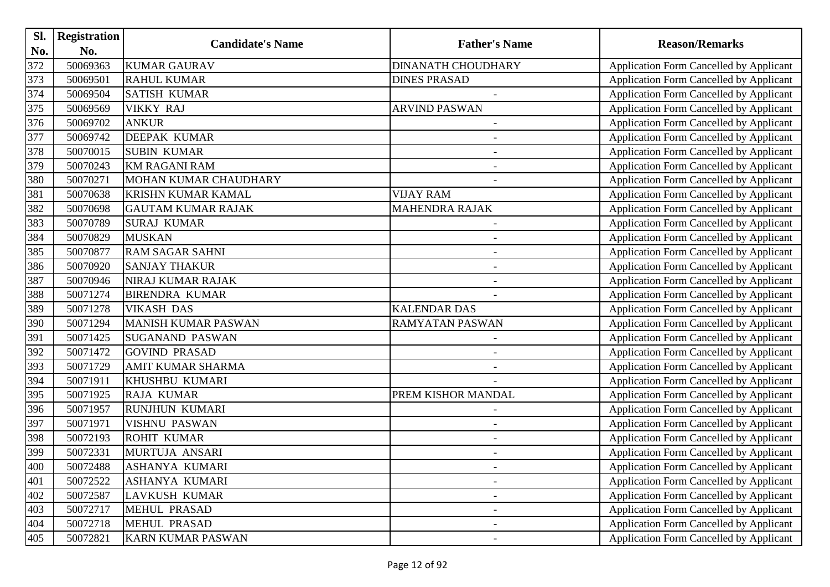| Sl. | <b>Registration</b> |                            |                           |                                                |
|-----|---------------------|----------------------------|---------------------------|------------------------------------------------|
| No. | No.                 | <b>Candidate's Name</b>    | <b>Father's Name</b>      | <b>Reason/Remarks</b>                          |
| 372 | 50069363            | <b>KUMAR GAURAV</b>        | <b>DINANATH CHOUDHARY</b> | Application Form Cancelled by Applicant        |
| 373 | 50069501            | <b>RAHUL KUMAR</b>         | <b>DINES PRASAD</b>       | Application Form Cancelled by Applicant        |
| 374 | 50069504            | <b>SATISH KUMAR</b>        |                           | <b>Application Form Cancelled by Applicant</b> |
| 375 | 50069569            | <b>VIKKY RAJ</b>           | <b>ARVIND PASWAN</b>      | Application Form Cancelled by Applicant        |
| 376 | 50069702            | <b>ANKUR</b>               | $\overline{\phantom{a}}$  | Application Form Cancelled by Applicant        |
| 377 | 50069742            | <b>DEEPAK KUMAR</b>        | $\blacksquare$            | Application Form Cancelled by Applicant        |
| 378 | 50070015            | <b>SUBIN KUMAR</b>         |                           | Application Form Cancelled by Applicant        |
| 379 | 50070243            | <b>KM RAGANI RAM</b>       | $\overline{\phantom{a}}$  | <b>Application Form Cancelled by Applicant</b> |
| 380 | 50070271            | MOHAN KUMAR CHAUDHARY      |                           | Application Form Cancelled by Applicant        |
| 381 | 50070638            | <b>KRISHN KUMAR KAMAL</b>  | <b>VIJAY RAM</b>          | Application Form Cancelled by Applicant        |
| 382 | 50070698            | <b>GAUTAM KUMAR RAJAK</b>  | <b>MAHENDRA RAJAK</b>     | Application Form Cancelled by Applicant        |
| 383 | 50070789            | <b>SURAJ KUMAR</b>         | $\overline{\phantom{a}}$  | Application Form Cancelled by Applicant        |
| 384 | 50070829            | <b>MUSKAN</b>              | $\blacksquare$            | Application Form Cancelled by Applicant        |
| 385 | 50070877            | <b>RAM SAGAR SAHNI</b>     | $\blacksquare$            | Application Form Cancelled by Applicant        |
| 386 | 50070920            | <b>SANJAY THAKUR</b>       | $\overline{\phantom{a}}$  | <b>Application Form Cancelled by Applicant</b> |
| 387 | 50070946            | NIRAJ KUMAR RAJAK          | $\qquad \qquad -$         | Application Form Cancelled by Applicant        |
| 388 | 50071274            | <b>BIRENDRA KUMAR</b>      |                           | <b>Application Form Cancelled by Applicant</b> |
| 389 | 50071278            | <b>VIKASH DAS</b>          | <b>KALENDAR DAS</b>       | <b>Application Form Cancelled by Applicant</b> |
| 390 | 50071294            | <b>MANISH KUMAR PASWAN</b> | RAMYATAN PASWAN           | Application Form Cancelled by Applicant        |
| 391 | 50071425            | <b>SUGANAND PASWAN</b>     | $\overline{\phantom{a}}$  | <b>Application Form Cancelled by Applicant</b> |
| 392 | 50071472            | <b>GOVIND PRASAD</b>       |                           | Application Form Cancelled by Applicant        |
| 393 | 50071729            | <b>AMIT KUMAR SHARMA</b>   | $\overline{\phantom{a}}$  | <b>Application Form Cancelled by Applicant</b> |
| 394 | 50071911            | KHUSHBU KUMARI             |                           | Application Form Cancelled by Applicant        |
| 395 | 50071925            | <b>RAJA KUMAR</b>          | PREM KISHOR MANDAL        | Application Form Cancelled by Applicant        |
| 396 | 50071957            | <b>RUNJHUN KUMARI</b>      |                           | Application Form Cancelled by Applicant        |
| 397 | 50071971            | <b>VISHNU PASWAN</b>       | $\blacksquare$            | Application Form Cancelled by Applicant        |
| 398 | 50072193            | <b>ROHIT KUMAR</b>         | $\overline{\phantom{a}}$  | <b>Application Form Cancelled by Applicant</b> |
| 399 | 50072331            | MURTUJA ANSARI             |                           | Application Form Cancelled by Applicant        |
| 400 | 50072488            | <b>ASHANYA KUMARI</b>      |                           | <b>Application Form Cancelled by Applicant</b> |
| 401 | 50072522            | ASHANYA KUMARI             |                           | <b>Application Form Cancelled by Applicant</b> |
| 402 | 50072587            | <b>LAVKUSH KUMAR</b>       |                           | <b>Application Form Cancelled by Applicant</b> |
| 403 | 50072717            | <b>MEHUL PRASAD</b>        | $\overline{\phantom{a}}$  | <b>Application Form Cancelled by Applicant</b> |
| 404 | 50072718            | MEHUL PRASAD               | $\overline{\phantom{a}}$  | <b>Application Form Cancelled by Applicant</b> |
| 405 | 50072821            | KARN KUMAR PASWAN          | $\overline{\phantom{a}}$  | Application Form Cancelled by Applicant        |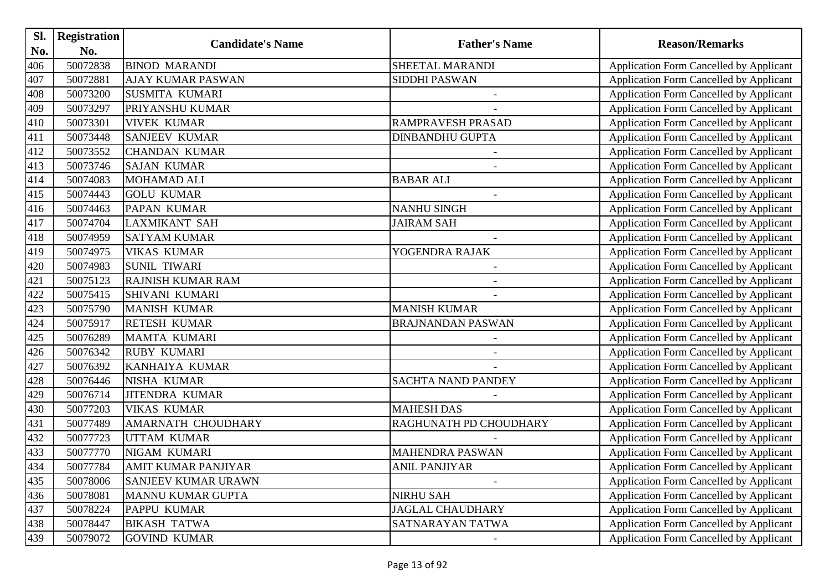| Sl. | <b>Registration</b> |                            |                           |                                                |
|-----|---------------------|----------------------------|---------------------------|------------------------------------------------|
| No. | No.                 | <b>Candidate's Name</b>    | <b>Father's Name</b>      | <b>Reason/Remarks</b>                          |
| 406 | 50072838            | <b>BINOD MARANDI</b>       | SHEETAL MARANDI           | Application Form Cancelled by Applicant        |
| 407 | 50072881            | <b>AJAY KUMAR PASWAN</b>   | <b>SIDDHI PASWAN</b>      | Application Form Cancelled by Applicant        |
| 408 | 50073200            | <b>SUSMITA KUMARI</b>      | $\overline{\phantom{a}}$  | Application Form Cancelled by Applicant        |
| 409 | 50073297            | <b>PRIYANSHU KUMAR</b>     |                           | Application Form Cancelled by Applicant        |
| 410 | 50073301            | <b>VIVEK KUMAR</b>         | RAMPRAVESH PRASAD         | Application Form Cancelled by Applicant        |
| 411 | 50073448            | <b>SANJEEV KUMAR</b>       | <b>DINBANDHU GUPTA</b>    | Application Form Cancelled by Applicant        |
| 412 | 50073552            | <b>CHANDAN KUMAR</b>       | $\blacksquare$            | Application Form Cancelled by Applicant        |
| 413 | 50073746            | <b>SAJAN KUMAR</b>         |                           | Application Form Cancelled by Applicant        |
| 414 | 50074083            | <b>MOHAMAD ALI</b>         | <b>BABAR ALI</b>          | Application Form Cancelled by Applicant        |
| 415 | 50074443            | <b>GOLU KUMAR</b>          | $\overline{\phantom{a}}$  | Application Form Cancelled by Applicant        |
| 416 | 50074463            | <b>PAPAN KUMAR</b>         | <b>NANHU SINGH</b>        | Application Form Cancelled by Applicant        |
| 417 | 50074704            | <b>LAXMIKANT SAH</b>       | <b>JAIRAM SAH</b>         | Application Form Cancelled by Applicant        |
| 418 | 50074959            | <b>SATYAM KUMAR</b>        |                           | Application Form Cancelled by Applicant        |
| 419 | 50074975            | <b>VIKAS KUMAR</b>         | YOGENDRA RAJAK            | Application Form Cancelled by Applicant        |
| 420 | 50074983            | <b>SUNIL TIWARI</b>        | $\overline{\phantom{a}}$  | Application Form Cancelled by Applicant        |
| 421 | 50075123            | RAJNISH KUMAR RAM          |                           | Application Form Cancelled by Applicant        |
| 422 | 50075415            | <b>SHIVANI KUMARI</b>      |                           | Application Form Cancelled by Applicant        |
| 423 | 50075790            | <b>MANISH KUMAR</b>        | <b>MANISH KUMAR</b>       | <b>Application Form Cancelled by Applicant</b> |
| 424 | 50075917            | <b>RETESH KUMAR</b>        | <b>BRAJNANDAN PASWAN</b>  | Application Form Cancelled by Applicant        |
| 425 | 50076289            | <b>MAMTA KUMARI</b>        | $\blacksquare$            | Application Form Cancelled by Applicant        |
| 426 | 50076342            | <b>RUBY KUMARI</b>         |                           | Application Form Cancelled by Applicant        |
| 427 | 50076392            | KANHAIYA KUMAR             |                           | Application Form Cancelled by Applicant        |
| 428 | 50076446            | <b>NISHA KUMAR</b>         | <b>SACHTA NAND PANDEY</b> | Application Form Cancelled by Applicant        |
| 429 | 50076714            | <b>JITENDRA KUMAR</b>      |                           | Application Form Cancelled by Applicant        |
| 430 | 50077203            | <b>VIKAS KUMAR</b>         | <b>MAHESH DAS</b>         | Application Form Cancelled by Applicant        |
| 431 | 50077489            | <b>AMARNATH CHOUDHARY</b>  | RAGHUNATH PD CHOUDHARY    | Application Form Cancelled by Applicant        |
| 432 | 50077723            | <b>UTTAM KUMAR</b>         |                           | Application Form Cancelled by Applicant        |
| 433 | 50077770            | NIGAM KUMARI               | <b>MAHENDRA PASWAN</b>    | Application Form Cancelled by Applicant        |
| 434 | 50077784            | <b>AMIT KUMAR PANJIYAR</b> | <b>ANIL PANJIYAR</b>      | Application Form Cancelled by Applicant        |
| 435 | 50078006            | <b>SANJEEV KUMAR URAWN</b> |                           | Application Form Cancelled by Applicant        |
| 436 | 50078081            | <b>MANNU KUMAR GUPTA</b>   | <b>NIRHU SAH</b>          | <b>Application Form Cancelled by Applicant</b> |
| 437 | 50078224            | <b>PAPPU KUMAR</b>         | <b>JAGLAL CHAUDHARY</b>   | <b>Application Form Cancelled by Applicant</b> |
| 438 | 50078447            | <b>BIKASH TATWA</b>        | SATNARAYAN TATWA          | Application Form Cancelled by Applicant        |
| 439 | 50079072            | <b>GOVIND KUMAR</b>        |                           | Application Form Cancelled by Applicant        |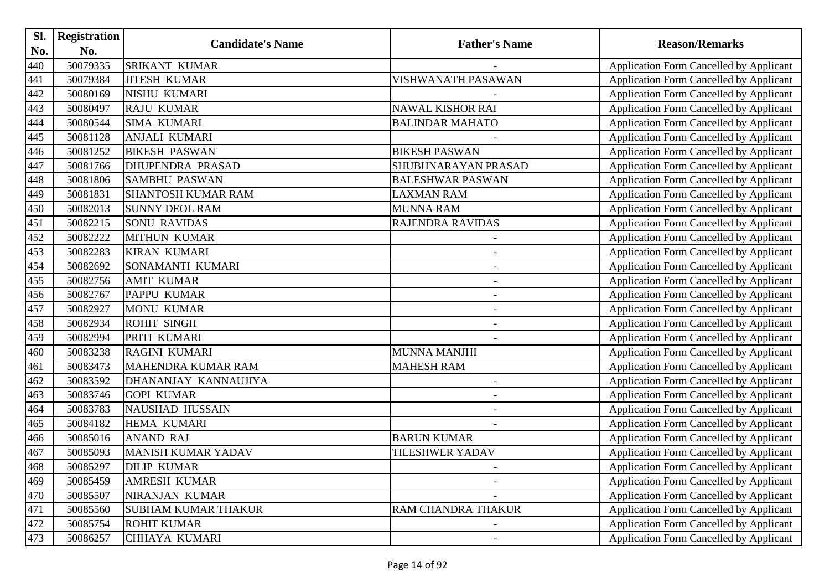| Sl. | <b>Registration</b> | <b>Candidate's Name</b>    |                           |                                                |
|-----|---------------------|----------------------------|---------------------------|------------------------------------------------|
| No. | No.                 |                            | <b>Father's Name</b>      | <b>Reason/Remarks</b>                          |
| 440 | 50079335            | <b>SRIKANT KUMAR</b>       |                           | Application Form Cancelled by Applicant        |
| 441 | 50079384            | <b>JITESH KUMAR</b>        | VISHWANATH PASAWAN        | Application Form Cancelled by Applicant        |
| 442 | 50080169            | NISHU KUMARI               |                           | <b>Application Form Cancelled by Applicant</b> |
| 443 | 50080497            | <b>RAJU KUMAR</b>          | <b>NAWAL KISHOR RAI</b>   | Application Form Cancelled by Applicant        |
| 444 | 50080544            | <b>SIMA KUMARI</b>         | <b>BALINDAR MAHATO</b>    | Application Form Cancelled by Applicant        |
| 445 | 50081128            | <b>ANJALI KUMARI</b>       |                           | Application Form Cancelled by Applicant        |
| 446 | 50081252            | <b>BIKESH PASWAN</b>       | <b>BIKESH PASWAN</b>      | Application Form Cancelled by Applicant        |
| 447 | 50081766            | <b>DHUPENDRA PRASAD</b>    | SHUBHNARAYAN PRASAD       | <b>Application Form Cancelled by Applicant</b> |
| 448 | 50081806            | <b>SAMBHU PASWAN</b>       | <b>BALESHWAR PASWAN</b>   | Application Form Cancelled by Applicant        |
| 449 | 50081831            | <b>SHANTOSH KUMAR RAM</b>  | <b>LAXMAN RAM</b>         | Application Form Cancelled by Applicant        |
| 450 | 50082013            | <b>SUNNY DEOL RAM</b>      | <b>MUNNA RAM</b>          | Application Form Cancelled by Applicant        |
| 451 | 50082215            | <b>SONU RAVIDAS</b>        | <b>RAJENDRA RAVIDAS</b>   | Application Form Cancelled by Applicant        |
| 452 | 50082222            | <b>MITHUN KUMAR</b>        |                           | Application Form Cancelled by Applicant        |
| 453 | 50082283            | <b>KIRAN KUMARI</b>        | $\blacksquare$            | Application Form Cancelled by Applicant        |
| 454 | 50082692            | SONAMANTI KUMARI           | $\overline{\phantom{a}}$  | <b>Application Form Cancelled by Applicant</b> |
| 455 | 50082756            | <b>AMIT KUMAR</b>          | $\qquad \qquad -$         | Application Form Cancelled by Applicant        |
| 456 | 50082767            | <b>PAPPU KUMAR</b>         | $\overline{a}$            | <b>Application Form Cancelled by Applicant</b> |
| 457 | 50082927            | <b>MONU KUMAR</b>          |                           | Application Form Cancelled by Applicant        |
| 458 | 50082934            | <b>ROHIT SINGH</b>         |                           | Application Form Cancelled by Applicant        |
| 459 | 50082994            | PRITI KUMARI               | $\overline{\phantom{a}}$  | <b>Application Form Cancelled by Applicant</b> |
| 460 | 50083238            | <b>RAGINI KUMARI</b>       | <b>MUNNA MANJHI</b>       | Application Form Cancelled by Applicant        |
| 461 | 50083473            | MAHENDRA KUMAR RAM         | <b>MAHESH RAM</b>         | <b>Application Form Cancelled by Applicant</b> |
| 462 | 50083592            | DHANANJAY KANNAUJIYA       |                           | Application Form Cancelled by Applicant        |
| 463 | 50083746            | <b>GOPI KUMAR</b>          | $\overline{\phantom{a}}$  | Application Form Cancelled by Applicant        |
| 464 | 50083783            | <b>NAUSHAD HUSSAIN</b>     | $\overline{\phantom{a}}$  | Application Form Cancelled by Applicant        |
| 465 | 50084182            | HEMA KUMARI                |                           | Application Form Cancelled by Applicant        |
| 466 | 50085016            | <b>ANAND RAJ</b>           | <b>BARUN KUMAR</b>        | <b>Application Form Cancelled by Applicant</b> |
| 467 | 50085093            | <b>MANISH KUMAR YADAV</b>  | <b>TILESHWER YADAV</b>    | Application Form Cancelled by Applicant        |
| 468 | 50085297            | <b>DILIP KUMAR</b>         |                           | Application Form Cancelled by Applicant        |
| 469 | 50085459            | <b>AMRESH KUMAR</b>        |                           | <b>Application Form Cancelled by Applicant</b> |
| 470 | 50085507            | NIRANJAN KUMAR             |                           | <b>Application Form Cancelled by Applicant</b> |
| 471 | 50085560            | <b>SUBHAM KUMAR THAKUR</b> | <b>RAM CHANDRA THAKUR</b> | <b>Application Form Cancelled by Applicant</b> |
| 472 | 50085754            | <b>ROHIT KUMAR</b>         |                           | <b>Application Form Cancelled by Applicant</b> |
| 473 | 50086257            | CHHAYA KUMARI              |                           | <b>Application Form Cancelled by Applicant</b> |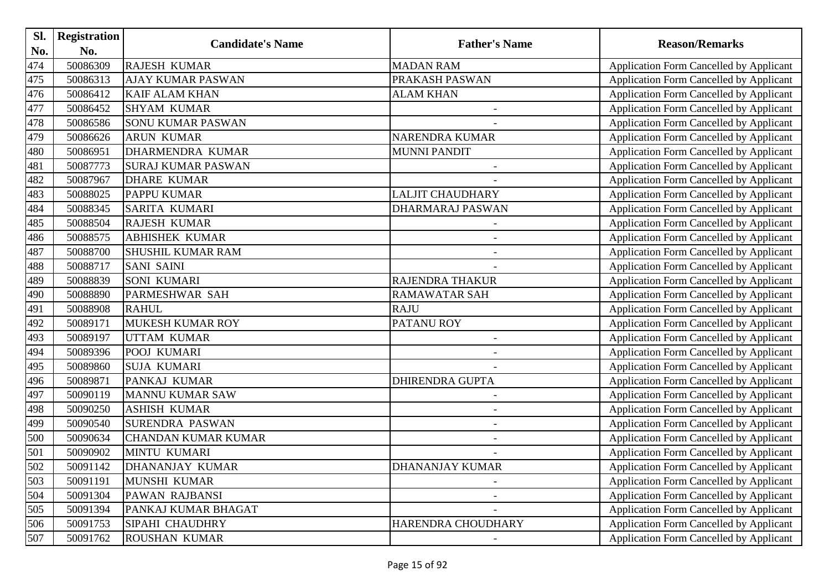| Sl. | <b>Registration</b> |                            |                          | <b>Reason/Remarks</b>                          |
|-----|---------------------|----------------------------|--------------------------|------------------------------------------------|
| No. | No.                 | <b>Candidate's Name</b>    | <b>Father's Name</b>     |                                                |
| 474 | 50086309            | <b>RAJESH KUMAR</b>        | <b>MADAN RAM</b>         | <b>Application Form Cancelled by Applicant</b> |
| 475 | 50086313            | <b>AJAY KUMAR PASWAN</b>   | PRAKASH PASWAN           | Application Form Cancelled by Applicant        |
| 476 | 50086412            | <b>KAIF ALAM KHAN</b>      | <b>ALAM KHAN</b>         | Application Form Cancelled by Applicant        |
| 477 | 50086452            | <b>SHYAM KUMAR</b>         |                          | Application Form Cancelled by Applicant        |
| 478 | 50086586            | <b>SONU KUMAR PASWAN</b>   |                          | <b>Application Form Cancelled by Applicant</b> |
| 479 | 50086626            | <b>ARUN KUMAR</b>          | NARENDRA KUMAR           | Application Form Cancelled by Applicant        |
| 480 | 50086951            | <b>DHARMENDRA KUMAR</b>    | <b>MUNNI PANDIT</b>      | Application Form Cancelled by Applicant        |
| 481 | 50087773            | <b>SURAJ KUMAR PASWAN</b>  | $\overline{\phantom{a}}$ | <b>Application Form Cancelled by Applicant</b> |
| 482 | 50087967            | <b>DHARE KUMAR</b>         |                          | Application Form Cancelled by Applicant        |
| 483 | 50088025            | <b>PAPPU KUMAR</b>         | <b>LALJIT CHAUDHARY</b>  | <b>Application Form Cancelled by Applicant</b> |
| 484 | 50088345            | <b>SARITA KUMARI</b>       | <b>DHARMARAJ PASWAN</b>  | Application Form Cancelled by Applicant        |
| 485 | 50088504            | <b>RAJESH KUMAR</b>        |                          | Application Form Cancelled by Applicant        |
| 486 | 50088575            | <b>ABHISHEK KUMAR</b>      |                          | <b>Application Form Cancelled by Applicant</b> |
| 487 | 50088700            | <b>SHUSHIL KUMAR RAM</b>   |                          | Application Form Cancelled by Applicant        |
| 488 | 50088717            | <b>SANI SAINI</b>          |                          | Application Form Cancelled by Applicant        |
| 489 | 50088839            | <b>SONI KUMARI</b>         | RAJENDRA THAKUR          | <b>Application Form Cancelled by Applicant</b> |
| 490 | 50088890            | <b>PARMESHWAR SAH</b>      | RAMAWATAR SAH            | <b>Application Form Cancelled by Applicant</b> |
| 491 | 50088908            | <b>RAHUL</b>               | <b>RAJU</b>              | Application Form Cancelled by Applicant        |
| 492 | 50089171            | <b>MUKESH KUMAR ROY</b>    | PATANU ROY               | <b>Application Form Cancelled by Applicant</b> |
| 493 | 50089197            | <b>UTTAM KUMAR</b>         | $\blacksquare$           | <b>Application Form Cancelled by Applicant</b> |
| 494 | 50089396            | <b>POOJ KUMARI</b>         |                          | Application Form Cancelled by Applicant        |
| 495 | 50089860            | <b>SUJA KUMARI</b>         |                          | <b>Application Form Cancelled by Applicant</b> |
| 496 | 50089871            | PANKAJ KUMAR               | <b>DHIRENDRA GUPTA</b>   | Application Form Cancelled by Applicant        |
| 497 | 50090119            | <b>MANNU KUMAR SAW</b>     | $\overline{\phantom{a}}$ | <b>Application Form Cancelled by Applicant</b> |
| 498 | 50090250            | <b>ASHISH KUMAR</b>        |                          | Application Form Cancelled by Applicant        |
| 499 | 50090540            | <b>SURENDRA PASWAN</b>     |                          | Application Form Cancelled by Applicant        |
| 500 | 50090634            | <b>CHANDAN KUMAR KUMAR</b> | $\blacksquare$           | Application Form Cancelled by Applicant        |
| 501 | 50090902            | MINTU KUMARI               |                          | Application Form Cancelled by Applicant        |
| 502 | 50091142            | <b>DHANANJAY KUMAR</b>     | <b>DHANANJAY KUMAR</b>   | <b>Application Form Cancelled by Applicant</b> |
| 503 | 50091191            | MUNSHI KUMAR               |                          | Application Form Cancelled by Applicant        |
| 504 | 50091304            | PAWAN RAJBANSI             |                          | <b>Application Form Cancelled by Applicant</b> |
| 505 | 50091394            | PANKAJ KUMAR BHAGAT        |                          | <b>Application Form Cancelled by Applicant</b> |
| 506 | 50091753            | <b>SIPAHI CHAUDHRY</b>     | HARENDRA CHOUDHARY       | <b>Application Form Cancelled by Applicant</b> |
| 507 | 50091762            | ROUSHAN KUMAR              |                          | Application Form Cancelled by Applicant        |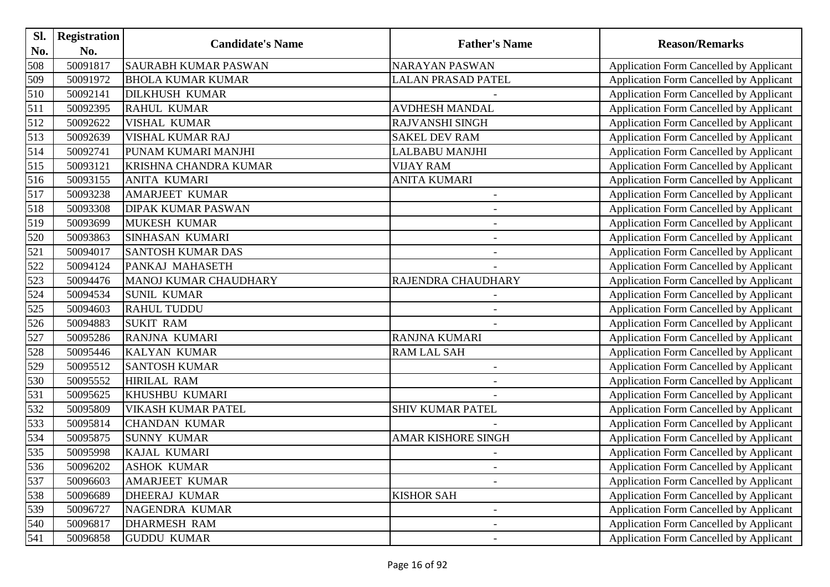| Sl. | <b>Registration</b> |                             |                           |                                                |
|-----|---------------------|-----------------------------|---------------------------|------------------------------------------------|
| No. | No.                 | <b>Candidate's Name</b>     | <b>Father's Name</b>      | <b>Reason/Remarks</b>                          |
| 508 | 50091817            | <b>SAURABH KUMAR PASWAN</b> | <b>NARAYAN PASWAN</b>     | <b>Application Form Cancelled by Applicant</b> |
| 509 | 50091972            | <b>BHOLA KUMAR KUMAR</b>    | <b>LALAN PRASAD PATEL</b> | <b>Application Form Cancelled by Applicant</b> |
| 510 | 50092141            | <b>DILKHUSH KUMAR</b>       |                           | Application Form Cancelled by Applicant        |
| 511 | 50092395            | <b>RAHUL KUMAR</b>          | <b>AVDHESH MANDAL</b>     | Application Form Cancelled by Applicant        |
| 512 | 50092622            | <b>VISHAL KUMAR</b>         | RAJVANSHI SINGH           | <b>Application Form Cancelled by Applicant</b> |
| 513 | 50092639            | <b>VISHAL KUMAR RAJ</b>     | <b>SAKEL DEV RAM</b>      | <b>Application Form Cancelled by Applicant</b> |
| 514 | 50092741            | PUNAM KUMARI MANJHI         | <b>LALBABU MANJHI</b>     | Application Form Cancelled by Applicant        |
| 515 | 50093121            | KRISHNA CHANDRA KUMAR       | <b>VIJAY RAM</b>          | <b>Application Form Cancelled by Applicant</b> |
| 516 | 50093155            | <b>ANITA KUMARI</b>         | <b>ANITA KUMARI</b>       | Application Form Cancelled by Applicant        |
| 517 | 50093238            | <b>AMARJEET KUMAR</b>       | $\overline{\phantom{a}}$  | <b>Application Form Cancelled by Applicant</b> |
| 518 | 50093308            | <b>DIPAK KUMAR PASWAN</b>   | $\overline{\phantom{a}}$  | Application Form Cancelled by Applicant        |
| 519 | 50093699            | <b>MUKESH KUMAR</b>         |                           | Application Form Cancelled by Applicant        |
| 520 | 50093863            | <b>SINHASAN KUMARI</b>      |                           | <b>Application Form Cancelled by Applicant</b> |
| 521 | 50094017            | <b>SANTOSH KUMAR DAS</b>    |                           | <b>Application Form Cancelled by Applicant</b> |
| 522 | 50094124            | PANKAJ MAHASETH             |                           | <b>Application Form Cancelled by Applicant</b> |
| 523 | 50094476            | MANOJ KUMAR CHAUDHARY       | RAJENDRA CHAUDHARY        | Application Form Cancelled by Applicant        |
| 524 | 50094534            | <b>SUNIL KUMAR</b>          |                           | <b>Application Form Cancelled by Applicant</b> |
| 525 | 50094603            | <b>RAHUL TUDDU</b>          |                           | Application Form Cancelled by Applicant        |
| 526 | 50094883            | <b>SUKIT RAM</b>            |                           | <b>Application Form Cancelled by Applicant</b> |
| 527 | 50095286            | RANJNA KUMARI               | <b>RANJNA KUMARI</b>      | <b>Application Form Cancelled by Applicant</b> |
| 528 | 50095446            | <b>KALYAN KUMAR</b>         | <b>RAM LAL SAH</b>        | Application Form Cancelled by Applicant        |
| 529 | 50095512            | <b>SANTOSH KUMAR</b>        | $\overline{\phantom{a}}$  | <b>Application Form Cancelled by Applicant</b> |
| 530 | 50095552            | <b>HIRILAL RAM</b>          |                           | Application Form Cancelled by Applicant        |
| 531 | 50095625            | KHUSHBU KUMARI              |                           | <b>Application Form Cancelled by Applicant</b> |
| 532 | 50095809            | <b>VIKASH KUMAR PATEL</b>   | <b>SHIV KUMAR PATEL</b>   | Application Form Cancelled by Applicant        |
| 533 | 50095814            | <b>CHANDAN KUMAR</b>        |                           | Application Form Cancelled by Applicant        |
| 534 | 50095875            | <b>SUNNY KUMAR</b>          | <b>AMAR KISHORE SINGH</b> | Application Form Cancelled by Applicant        |
| 535 | 50095998            | KAJAL KUMARI                |                           | Application Form Cancelled by Applicant        |
| 536 | 50096202            | <b>ASHOK KUMAR</b>          |                           | <b>Application Form Cancelled by Applicant</b> |
| 537 | 50096603            | <b>AMARJEET KUMAR</b>       |                           | Application Form Cancelled by Applicant        |
| 538 | 50096689            | <b>DHEERAJ KUMAR</b>        | <b>KISHOR SAH</b>         | Application Form Cancelled by Applicant        |
| 539 | 50096727            | NAGENDRA KUMAR              | $\overline{\phantom{a}}$  | Application Form Cancelled by Applicant        |
| 540 | 50096817            | <b>DHARMESH RAM</b>         |                           | <b>Application Form Cancelled by Applicant</b> |
| 541 | 50096858            | <b>GUDDU KUMAR</b>          |                           | <b>Application Form Cancelled by Applicant</b> |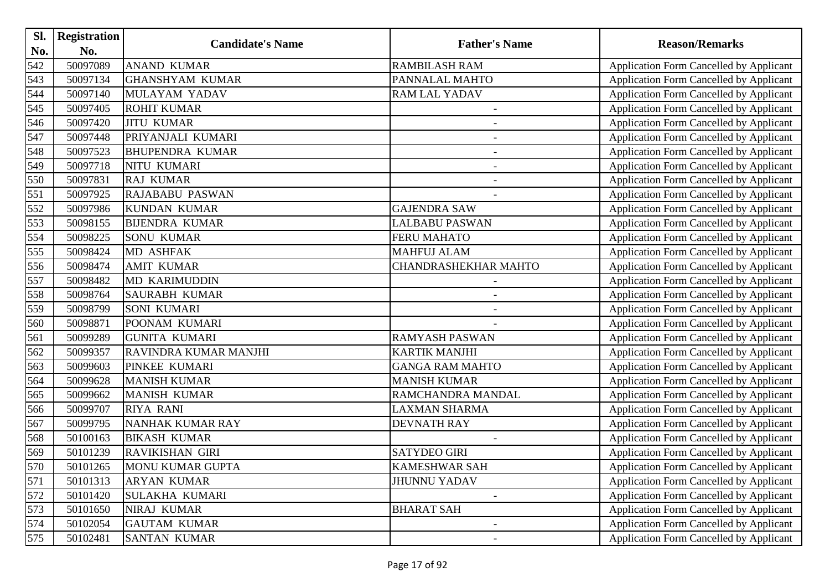| Sl. | <b>Registration</b> |                         |                          |                                                |
|-----|---------------------|-------------------------|--------------------------|------------------------------------------------|
| No. | No.                 | <b>Candidate's Name</b> | <b>Father's Name</b>     | <b>Reason/Remarks</b>                          |
| 542 | 50097089            | <b>ANAND KUMAR</b>      | <b>RAMBILASH RAM</b>     | Application Form Cancelled by Applicant        |
| 543 | 50097134            | <b>GHANSHYAM KUMAR</b>  | PANNALAL MAHTO           | <b>Application Form Cancelled by Applicant</b> |
| 544 | 50097140            | MULAYAM YADAV           | RAM LAL YADAV            | <b>Application Form Cancelled by Applicant</b> |
| 545 | 50097405            | <b>ROHIT KUMAR</b>      |                          | Application Form Cancelled by Applicant        |
| 546 | 50097420            | <b>JITU KUMAR</b>       |                          | Application Form Cancelled by Applicant        |
| 547 | 50097448            | PRIYANJALI KUMARI       |                          | <b>Application Form Cancelled by Applicant</b> |
| 548 | 50097523            | <b>BHUPENDRA KUMAR</b>  |                          | <b>Application Form Cancelled by Applicant</b> |
| 549 | 50097718            | <b>NITU KUMARI</b>      | $\overline{\phantom{a}}$ | Application Form Cancelled by Applicant        |
| 550 | 50097831            | <b>RAJ KUMAR</b>        |                          | Application Form Cancelled by Applicant        |
| 551 | 50097925            | <b>RAJABABU PASWAN</b>  |                          | Application Form Cancelled by Applicant        |
| 552 | 50097986            | <b>KUNDAN KUMAR</b>     | <b>GAJENDRA SAW</b>      | Application Form Cancelled by Applicant        |
| 553 | 50098155            | <b>BIJENDRA KUMAR</b>   | LALBABU PASWAN           | <b>Application Form Cancelled by Applicant</b> |
| 554 | 50098225            | <b>SONU KUMAR</b>       | <b>FERU MAHATO</b>       | Application Form Cancelled by Applicant        |
| 555 | 50098424            | MD ASHFAK               | <b>MAHFUJ ALAM</b>       | Application Form Cancelled by Applicant        |
| 556 | 50098474            | <b>AMIT KUMAR</b>       | CHANDRASHEKHAR MAHTO     | Application Form Cancelled by Applicant        |
| 557 | 50098482            | <b>MD KARIMUDDIN</b>    |                          | Application Form Cancelled by Applicant        |
| 558 | 50098764            | <b>SAURABH KUMAR</b>    |                          | Application Form Cancelled by Applicant        |
| 559 | 50098799            | <b>SONI KUMARI</b>      |                          | <b>Application Form Cancelled by Applicant</b> |
| 560 | 50098871            | POONAM KUMARI           |                          | Application Form Cancelled by Applicant        |
| 561 | 50099289            | <b>GUNITA KUMARI</b>    | RAMYASH PASWAN           | Application Form Cancelled by Applicant        |
| 562 | 50099357            | RAVINDRA KUMAR MANJHI   | <b>KARTIK MANJHI</b>     | Application Form Cancelled by Applicant        |
| 563 | 50099603            | PINKEE KUMARI           | <b>GANGA RAM MAHTO</b>   | Application Form Cancelled by Applicant        |
| 564 | 50099628            | <b>MANISH KUMAR</b>     | <b>MANISH KUMAR</b>      | Application Form Cancelled by Applicant        |
| 565 | 50099662            | <b>MANISH KUMAR</b>     | RAMCHANDRA MANDAL        | Application Form Cancelled by Applicant        |
| 566 | 50099707            | <b>RIYA RANI</b>        | <b>LAXMAN SHARMA</b>     | <b>Application Form Cancelled by Applicant</b> |
| 567 | 50099795            | NANHAK KUMAR RAY        | <b>DEVNATH RAY</b>       | Application Form Cancelled by Applicant        |
| 568 | 50100163            | <b>BIKASH KUMAR</b>     |                          | Application Form Cancelled by Applicant        |
| 569 | 50101239            | <b>RAVIKISHAN GIRI</b>  | <b>SATYDEO GIRI</b>      | Application Form Cancelled by Applicant        |
| 570 | 50101265            | <b>MONU KUMAR GUPTA</b> | KAMESHWAR SAH            | <b>Application Form Cancelled by Applicant</b> |
| 571 | 50101313            | <b>ARYAN KUMAR</b>      | <b>JHUNNU YADAV</b>      | Application Form Cancelled by Applicant        |
| 572 | 50101420            | <b>SULAKHA KUMARI</b>   |                          | <b>Application Form Cancelled by Applicant</b> |
| 573 | 50101650            | NIRAJ KUMAR             | <b>BHARAT SAH</b>        | <b>Application Form Cancelled by Applicant</b> |
| 574 | 50102054            | <b>GAUTAM KUMAR</b>     | $\overline{\phantom{a}}$ | Application Form Cancelled by Applicant        |
| 575 | 50102481            | <b>SANTAN KUMAR</b>     |                          | <b>Application Form Cancelled by Applicant</b> |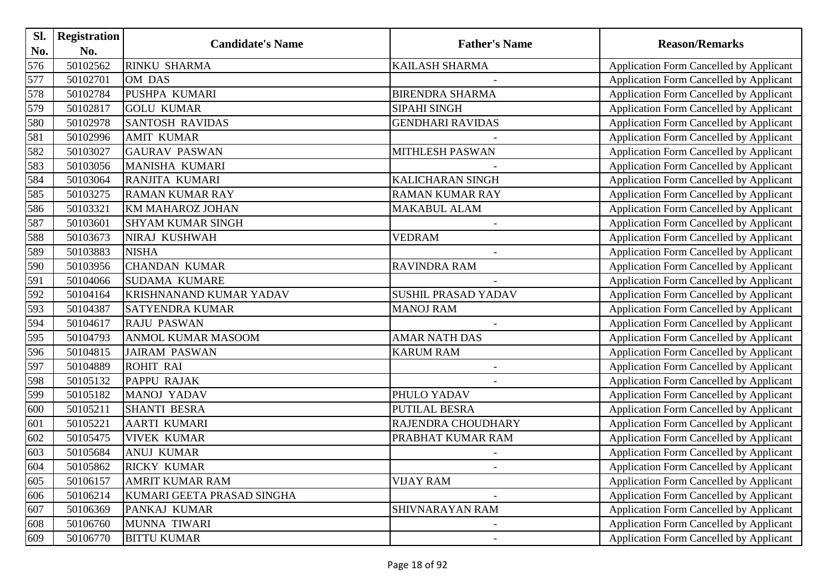| Sl. | <b>Registration</b> |                                |                            |                                                |
|-----|---------------------|--------------------------------|----------------------------|------------------------------------------------|
| No. | No.                 | <b>Candidate's Name</b>        | <b>Father's Name</b>       | <b>Reason/Remarks</b>                          |
| 576 | 50102562            | <b>RINKU SHARMA</b>            | <b>KAILASH SHARMA</b>      | Application Form Cancelled by Applicant        |
| 577 | 50102701            | OM DAS                         |                            | <b>Application Form Cancelled by Applicant</b> |
| 578 | 50102784            | PUSHPA KUMARI                  | <b>BIRENDRA SHARMA</b>     | Application Form Cancelled by Applicant        |
| 579 | 50102817            | <b>GOLU KUMAR</b>              | <b>SIPAHI SINGH</b>        | Application Form Cancelled by Applicant        |
| 580 | 50102978            | <b>SANTOSH RAVIDAS</b>         | <b>GENDHARI RAVIDAS</b>    | Application Form Cancelled by Applicant        |
| 581 | 50102996            | <b>AMIT KUMAR</b>              |                            | <b>Application Form Cancelled by Applicant</b> |
| 582 | 50103027            | <b>GAURAV PASWAN</b>           | <b>MITHLESH PASWAN</b>     | Application Form Cancelled by Applicant        |
| 583 | 50103056            | MANISHA KUMARI                 |                            | <b>Application Form Cancelled by Applicant</b> |
| 584 | 50103064            | RANJITA KUMARI                 | <b>KALICHARAN SINGH</b>    | Application Form Cancelled by Applicant        |
| 585 | 50103275            | <b>RAMAN KUMAR RAY</b>         | <b>RAMAN KUMAR RAY</b>     | Application Form Cancelled by Applicant        |
| 586 | 50103321            | <b>KM MAHAROZ JOHAN</b>        | <b>MAKABUL ALAM</b>        | Application Form Cancelled by Applicant        |
| 587 | 50103601            | <b>SHYAM KUMAR SINGH</b>       |                            | Application Form Cancelled by Applicant        |
| 588 | 50103673            | <b>NIRAJ KUSHWAH</b>           | <b>VEDRAM</b>              | Application Form Cancelled by Applicant        |
| 589 | 50103883            | <b>NISHA</b>                   |                            | <b>Application Form Cancelled by Applicant</b> |
| 590 | 50103956            | <b>CHANDAN KUMAR</b>           | <b>RAVINDRA RAM</b>        | Application Form Cancelled by Applicant        |
| 591 | 50104066            | <b>SUDAMA KUMARE</b>           |                            | Application Form Cancelled by Applicant        |
| 592 | 50104164            | <b>KRISHNANAND KUMAR YADAV</b> | <b>SUSHIL PRASAD YADAV</b> | Application Form Cancelled by Applicant        |
| 593 | 50104387            | <b>SATYENDRA KUMAR</b>         | <b>MANOJ RAM</b>           | Application Form Cancelled by Applicant        |
| 594 | 50104617            | <b>RAJU PASWAN</b>             |                            | Application Form Cancelled by Applicant        |
| 595 | 50104793            | <b>ANMOL KUMAR MASOOM</b>      | <b>AMAR NATH DAS</b>       | Application Form Cancelled by Applicant        |
| 596 | 50104815            | <b>JAIRAM PASWAN</b>           | <b>KARUM RAM</b>           | Application Form Cancelled by Applicant        |
| 597 | 50104889            | <b>ROHIT RAI</b>               | $\overline{\phantom{a}}$   | Application Form Cancelled by Applicant        |
| 598 | 50105132            | <b>PAPPU RAJAK</b>             |                            | Application Form Cancelled by Applicant        |
| 599 | 50105182            | <b>MANOJ YADAV</b>             | PHULO YADAV                | Application Form Cancelled by Applicant        |
| 600 | 50105211            | <b>SHANTI BESRA</b>            | <b>PUTILAL BESRA</b>       | Application Form Cancelled by Applicant        |
| 601 | 50105221            | <b>AARTI KUMARI</b>            | RAJENDRA CHOUDHARY         | Application Form Cancelled by Applicant        |
| 602 | 50105475            | <b>VIVEK KUMAR</b>             | PRABHAT KUMAR RAM          | Application Form Cancelled by Applicant        |
| 603 | 50105684            | <b>ANUJ KUMAR</b>              |                            | Application Form Cancelled by Applicant        |
| 604 | 50105862            | <b>RICKY KUMAR</b>             |                            | <b>Application Form Cancelled by Applicant</b> |
| 605 | 50106157            | <b>AMRIT KUMAR RAM</b>         | <b>VIJAY RAM</b>           | <b>Application Form Cancelled by Applicant</b> |
| 606 | 50106214            | KUMARI GEETA PRASAD SINGHA     |                            | Application Form Cancelled by Applicant        |
| 607 | 50106369            | PANKAJ KUMAR                   | SHIVNARAYAN RAM            | Application Form Cancelled by Applicant        |
| 608 | 50106760            | MUNNA TIWARI                   |                            | Application Form Cancelled by Applicant        |
| 609 | 50106770            | <b>BITTU KUMAR</b>             | $\overline{\phantom{a}}$   | <b>Application Form Cancelled by Applicant</b> |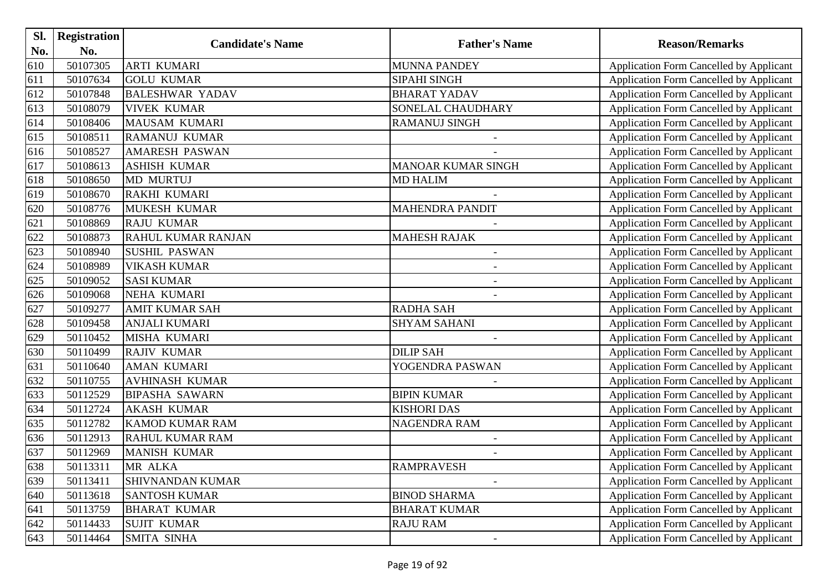| SI. | <b>Registration</b> |                         |                           |                                                |
|-----|---------------------|-------------------------|---------------------------|------------------------------------------------|
| No. | No.                 | <b>Candidate's Name</b> | <b>Father's Name</b>      | <b>Reason/Remarks</b>                          |
| 610 | 50107305            | <b>ARTI KUMARI</b>      | <b>MUNNA PANDEY</b>       | Application Form Cancelled by Applicant        |
| 611 | 50107634            | <b>GOLU KUMAR</b>       | <b>SIPAHI SINGH</b>       | Application Form Cancelled by Applicant        |
| 612 | 50107848            | <b>BALESHWAR YADAV</b>  | <b>BHARAT YADAV</b>       | Application Form Cancelled by Applicant        |
| 613 | 50108079            | <b>VIVEK KUMAR</b>      | SONELAL CHAUDHARY         | Application Form Cancelled by Applicant        |
| 614 | 50108406            | <b>MAUSAM KUMARI</b>    | <b>RAMANUJ SINGH</b>      | Application Form Cancelled by Applicant        |
| 615 | 50108511            | <b>RAMANUJ KUMAR</b>    | $\overline{\phantom{a}}$  | Application Form Cancelled by Applicant        |
| 616 | 50108527            | <b>AMARESH PASWAN</b>   |                           | Application Form Cancelled by Applicant        |
| 617 | 50108613            | <b>ASHISH KUMAR</b>     | <b>MANOAR KUMAR SINGH</b> | Application Form Cancelled by Applicant        |
| 618 | 50108650            | <b>MD MURTUJ</b>        | <b>MD HALIM</b>           | Application Form Cancelled by Applicant        |
| 619 | 50108670            | <b>RAKHI KUMARI</b>     |                           | Application Form Cancelled by Applicant        |
| 620 | 50108776            | <b>MUKESH KUMAR</b>     | <b>MAHENDRA PANDIT</b>    | Application Form Cancelled by Applicant        |
| 621 | 50108869            | <b>RAJU KUMAR</b>       |                           | Application Form Cancelled by Applicant        |
| 622 | 50108873            | RAHUL KUMAR RANJAN      | <b>MAHESH RAJAK</b>       | Application Form Cancelled by Applicant        |
| 623 | 50108940            | <b>SUSHIL PASWAN</b>    | $\overline{\phantom{a}}$  | Application Form Cancelled by Applicant        |
| 624 | 50108989            | <b>VIKASH KUMAR</b>     | $\overline{\phantom{a}}$  | Application Form Cancelled by Applicant        |
| 625 | 50109052            | <b>SASI KUMAR</b>       |                           | Application Form Cancelled by Applicant        |
| 626 | 50109068            | <b>NEHA KUMARI</b>      |                           | Application Form Cancelled by Applicant        |
| 627 | 50109277            | <b>AMIT KUMAR SAH</b>   | <b>RADHA SAH</b>          | <b>Application Form Cancelled by Applicant</b> |
| 628 | 50109458            | <b>ANJALI KUMARI</b>    | <b>SHYAM SAHANI</b>       | Application Form Cancelled by Applicant        |
| 629 | 50110452            | MISHA KUMARI            | $\blacksquare$            | Application Form Cancelled by Applicant        |
| 630 | 50110499            | <b>RAJIV KUMAR</b>      | <b>DILIP SAH</b>          | Application Form Cancelled by Applicant        |
| 631 | 50110640            | <b>AMAN KUMARI</b>      | YOGENDRA PASWAN           | Application Form Cancelled by Applicant        |
| 632 | 50110755            | <b>AVHINASH KUMAR</b>   |                           | Application Form Cancelled by Applicant        |
| 633 | 50112529            | <b>BIPASHA SAWARN</b>   | <b>BIPIN KUMAR</b>        | Application Form Cancelled by Applicant        |
| 634 | 50112724            | <b>AKASH KUMAR</b>      | <b>KISHORI DAS</b>        | Application Form Cancelled by Applicant        |
| 635 | 50112782            | <b>KAMOD KUMAR RAM</b>  | NAGENDRA RAM              | Application Form Cancelled by Applicant        |
| 636 | 50112913            | RAHUL KUMAR RAM         | $\overline{\phantom{a}}$  | Application Form Cancelled by Applicant        |
| 637 | 50112969            | <b>MANISH KUMAR</b>     |                           | Application Form Cancelled by Applicant        |
| 638 | 50113311            | MR ALKA                 | <b>RAMPRAVESH</b>         | Application Form Cancelled by Applicant        |
| 639 | 50113411            | SHIVNANDAN KUMAR        |                           | <b>Application Form Cancelled by Applicant</b> |
| 640 | 50113618            | <b>SANTOSH KUMAR</b>    | <b>BINOD SHARMA</b>       | <b>Application Form Cancelled by Applicant</b> |
| 641 | 50113759            | <b>BHARAT KUMAR</b>     | <b>BHARAT KUMAR</b>       | <b>Application Form Cancelled by Applicant</b> |
| 642 | 50114433            | <b>SUJIT KUMAR</b>      | <b>RAJU RAM</b>           | Application Form Cancelled by Applicant        |
| 643 | 50114464            | SMITA SINHA             |                           | <b>Application Form Cancelled by Applicant</b> |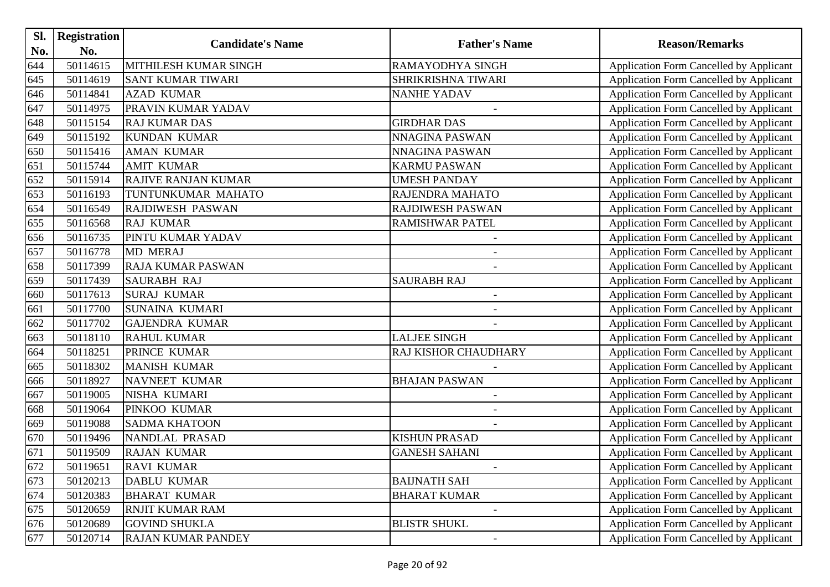| Sl. | <b>Registration</b> |                            | <b>Father's Name</b>    |                                                |
|-----|---------------------|----------------------------|-------------------------|------------------------------------------------|
| No. | No.                 | <b>Candidate's Name</b>    |                         | <b>Reason/Remarks</b>                          |
| 644 | 50114615            | MITHILESH KUMAR SINGH      | RAMAYODHYA SINGH        | Application Form Cancelled by Applicant        |
| 645 | 50114619            | <b>SANT KUMAR TIWARI</b>   | SHRIKRISHNA TIWARI      | <b>Application Form Cancelled by Applicant</b> |
| 646 | 50114841            | <b>AZAD KUMAR</b>          | <b>NANHE YADAV</b>      | Application Form Cancelled by Applicant        |
| 647 | 50114975            | PRAVIN KUMAR YADAV         |                         | Application Form Cancelled by Applicant        |
| 648 | 50115154            | <b>RAJ KUMAR DAS</b>       | <b>GIRDHAR DAS</b>      | <b>Application Form Cancelled by Applicant</b> |
| 649 | 50115192            | <b>KUNDAN KUMAR</b>        | NNAGINA PASWAN          | <b>Application Form Cancelled by Applicant</b> |
| 650 | 50115416            | <b>AMAN KUMAR</b>          | NNAGINA PASWAN          | Application Form Cancelled by Applicant        |
| 651 | 50115744            | <b>AMIT KUMAR</b>          | <b>KARMU PASWAN</b>     | <b>Application Form Cancelled by Applicant</b> |
| 652 | 50115914            | <b>RAJIVE RANJAN KUMAR</b> | <b>UMESH PANDAY</b>     | Application Form Cancelled by Applicant        |
| 653 | 50116193            | TUNTUNKUMAR MAHATO         | RAJENDRA MAHATO         | Application Form Cancelled by Applicant        |
| 654 | 50116549            | <b>RAJDIWESH PASWAN</b>    | <b>RAJDIWESH PASWAN</b> | Application Form Cancelled by Applicant        |
| 655 | 50116568            | <b>RAJ KUMAR</b>           | RAMISHWAR PATEL         | Application Form Cancelled by Applicant        |
| 656 | 50116735            | PINTU KUMAR YADAV          |                         | Application Form Cancelled by Applicant        |
| 657 | 50116778            | <b>MD MERAJ</b>            |                         | Application Form Cancelled by Applicant        |
| 658 | 50117399            | <b>RAJA KUMAR PASWAN</b>   |                         | Application Form Cancelled by Applicant        |
| 659 | 50117439            | <b>SAURABH RAJ</b>         | <b>SAURABH RAJ</b>      | Application Form Cancelled by Applicant        |
| 660 | 50117613            | <b>SURAJ KUMAR</b>         |                         | Application Form Cancelled by Applicant        |
| 661 | 50117700            | <b>SUNAINA KUMARI</b>      |                         | Application Form Cancelled by Applicant        |
| 662 | 50117702            | <b>GAJENDRA KUMAR</b>      |                         | Application Form Cancelled by Applicant        |
| 663 | 50118110            | <b>RAHUL KUMAR</b>         | <b>LALJEE SINGH</b>     | Application Form Cancelled by Applicant        |
| 664 | 50118251            | PRINCE KUMAR               | RAJ KISHOR CHAUDHARY    | Application Form Cancelled by Applicant        |
| 665 | 50118302            | <b>MANISH KUMAR</b>        |                         | Application Form Cancelled by Applicant        |
| 666 | 50118927            | NAVNEET KUMAR              | <b>BHAJAN PASWAN</b>    | Application Form Cancelled by Applicant        |
| 667 | 50119005            | NISHA KUMARI               |                         | Application Form Cancelled by Applicant        |
| 668 | 50119064            | PINKOO KUMAR               |                         | Application Form Cancelled by Applicant        |
| 669 | 50119088            | <b>SADMA KHATOON</b>       |                         | Application Form Cancelled by Applicant        |
| 670 | 50119496            | NANDLAL PRASAD             | <b>KISHUN PRASAD</b>    | Application Form Cancelled by Applicant        |
| 671 | 50119509            | <b>RAJAN KUMAR</b>         | <b>GANESH SAHANI</b>    | Application Form Cancelled by Applicant        |
| 672 | 50119651            | <b>RAVI KUMAR</b>          |                         | <b>Application Form Cancelled by Applicant</b> |
| 673 | 50120213            | <b>DABLU KUMAR</b>         | <b>BAIJNATH SAH</b>     | Application Form Cancelled by Applicant        |
| 674 | 50120383            | <b>BHARAT KUMAR</b>        | <b>BHARAT KUMAR</b>     | Application Form Cancelled by Applicant        |
| 675 | 50120659            | <b>RNJIT KUMAR RAM</b>     |                         | Application Form Cancelled by Applicant        |
| 676 | 50120689            | <b>GOVIND SHUKLA</b>       | <b>BLISTR SHUKL</b>     | <b>Application Form Cancelled by Applicant</b> |
| 677 | 50120714            | <b>RAJAN KUMAR PANDEY</b>  |                         | Application Form Cancelled by Applicant        |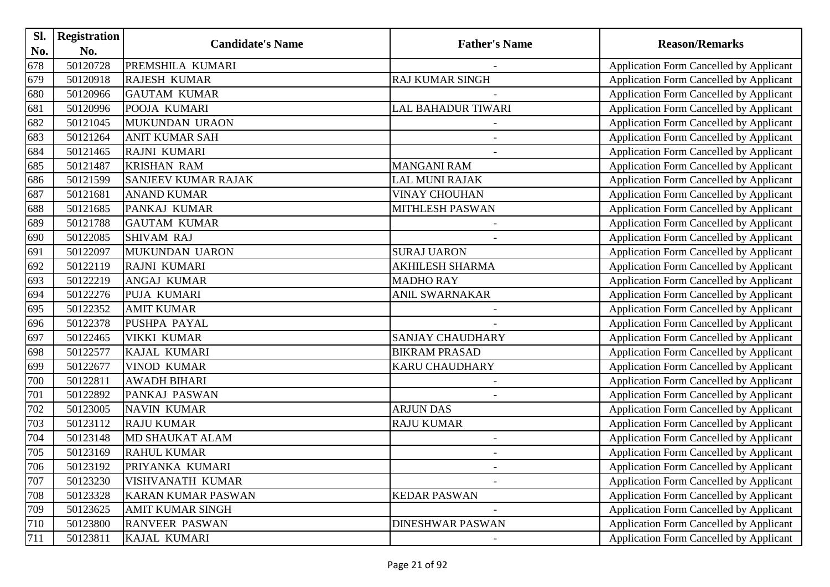| Sl.              | <b>Registration</b> |                            |                          |                                                |
|------------------|---------------------|----------------------------|--------------------------|------------------------------------------------|
| No.              | No.                 | <b>Candidate's Name</b>    | <b>Father's Name</b>     | <b>Reason/Remarks</b>                          |
| 678              | 50120728            | PREMSHILA KUMARI           |                          | <b>Application Form Cancelled by Applicant</b> |
| 679              | 50120918            | <b>RAJESH KUMAR</b>        | <b>RAJ KUMAR SINGH</b>   | Application Form Cancelled by Applicant        |
| 680              | 50120966            | <b>GAUTAM KUMAR</b>        |                          | <b>Application Form Cancelled by Applicant</b> |
| 681              | 50120996            | POOJA KUMARI               | LAL BAHADUR TIWARI       | Application Form Cancelled by Applicant        |
| 682              | 50121045            | MUKUNDAN URAON             |                          | <b>Application Form Cancelled by Applicant</b> |
| 683              | 50121264            | <b>ANIT KUMAR SAH</b>      |                          | <b>Application Form Cancelled by Applicant</b> |
| 684              | 50121465            | <b>RAJNI KUMARI</b>        |                          | Application Form Cancelled by Applicant        |
| 685              | 50121487            | <b>KRISHAN RAM</b>         | <b>MANGANI RAM</b>       | <b>Application Form Cancelled by Applicant</b> |
| 686              | 50121599            | <b>SANJEEV KUMAR RAJAK</b> | <b>LAL MUNI RAJAK</b>    | Application Form Cancelled by Applicant        |
| 687              | 50121681            | <b>ANAND KUMAR</b>         | <b>VINAY CHOUHAN</b>     | <b>Application Form Cancelled by Applicant</b> |
| 688              | 50121685            | PANKAJ KUMAR               | <b>MITHLESH PASWAN</b>   | Application Form Cancelled by Applicant        |
| 689              | 50121788            | <b>GAUTAM KUMAR</b>        |                          | Application Form Cancelled by Applicant        |
| 690              | 50122085            | <b>SHIVAM RAJ</b>          |                          | <b>Application Form Cancelled by Applicant</b> |
| 691              | 50122097            | MUKUNDAN UARON             | <b>SURAJ UARON</b>       | <b>Application Form Cancelled by Applicant</b> |
| 692              | 50122119            | <b>RAJNI KUMARI</b>        | <b>AKHILESH SHARMA</b>   | <b>Application Form Cancelled by Applicant</b> |
| 693              | 50122219            | <b>ANGAJ KUMAR</b>         | <b>MADHO RAY</b>         | <b>Application Form Cancelled by Applicant</b> |
| 694              | 50122276            | PUJA KUMARI                | <b>ANIL SWARNAKAR</b>    | <b>Application Form Cancelled by Applicant</b> |
| 695              | 50122352            | <b>AMIT KUMAR</b>          |                          | Application Form Cancelled by Applicant        |
| 696              | 50122378            | PUSHPA PAYAL               |                          | Application Form Cancelled by Applicant        |
| 697              | 50122465            | <b>VIKKI KUMAR</b>         | <b>SANJAY CHAUDHARY</b>  | Application Form Cancelled by Applicant        |
| 698              | 50122577            | KAJAL KUMARI               | <b>BIKRAM PRASAD</b>     | Application Form Cancelled by Applicant        |
| 699              | 50122677            | <b>VINOD KUMAR</b>         | <b>KARU CHAUDHARY</b>    | Application Form Cancelled by Applicant        |
| 700              | 50122811            | <b>AWADH BIHARI</b>        |                          | Application Form Cancelled by Applicant        |
| 701              | 50122892            | PANKAJ PASWAN              |                          | Application Form Cancelled by Applicant        |
| 702              | 50123005            | <b>NAVIN KUMAR</b>         | <b>ARJUN DAS</b>         | Application Form Cancelled by Applicant        |
| 703              | 50123112            | <b>RAJU KUMAR</b>          | <b>RAJU KUMAR</b>        | Application Form Cancelled by Applicant        |
| 704              | 50123148            | MD SHAUKAT ALAM            | $\overline{\phantom{a}}$ | Application Form Cancelled by Applicant        |
| 705              | 50123169            | <b>RAHUL KUMAR</b>         |                          | <b>Application Form Cancelled by Applicant</b> |
| $\overline{706}$ | 50123192            | PRIYANKA KUMARI            |                          | <b>Application Form Cancelled by Applicant</b> |
| 707              | 50123230            | <b>VISHVANATH KUMAR</b>    |                          | <b>Application Form Cancelled by Applicant</b> |
| 708              | 50123328            | <b>KARAN KUMAR PASWAN</b>  | <b>KEDAR PASWAN</b>      | Application Form Cancelled by Applicant        |
| 709              | 50123625            | <b>AMIT KUMAR SINGH</b>    |                          | Application Form Cancelled by Applicant        |
| 710              | 50123800            | <b>RANVEER PASWAN</b>      | <b>DINESHWAR PASWAN</b>  | <b>Application Form Cancelled by Applicant</b> |
| 711              | 50123811            | KAJAL KUMARI               |                          | Application Form Cancelled by Applicant        |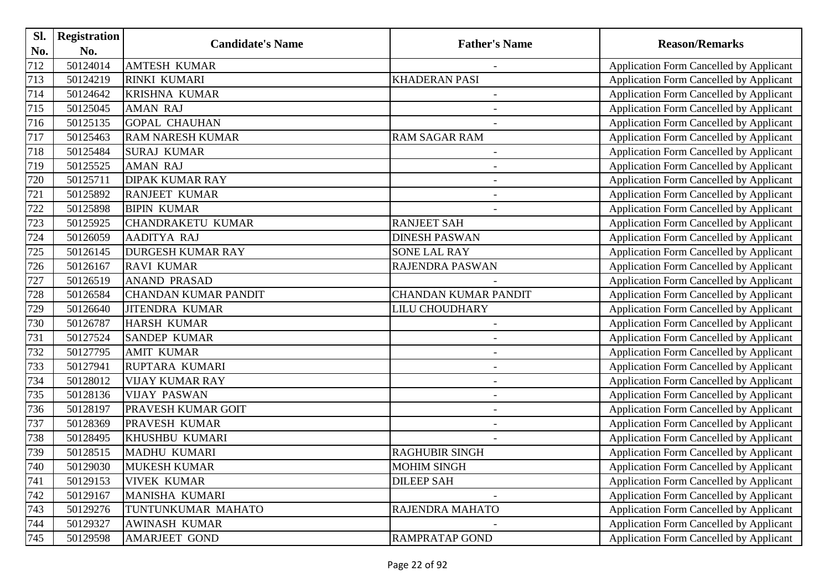| Sl. | <b>Registration</b> |                             |                             |                                                |
|-----|---------------------|-----------------------------|-----------------------------|------------------------------------------------|
| No. | No.                 | <b>Candidate's Name</b>     | <b>Father's Name</b>        | <b>Reason/Remarks</b>                          |
| 712 | 50124014            | <b>AMTESH KUMAR</b>         |                             | Application Form Cancelled by Applicant        |
| 713 | 50124219            | <b>RINKI KUMARI</b>         | <b>KHADERAN PASI</b>        | Application Form Cancelled by Applicant        |
| 714 | 50124642            | <b>KRISHNA KUMAR</b>        | $\overline{\phantom{a}}$    | Application Form Cancelled by Applicant        |
| 715 | 50125045            | <b>AMAN RAJ</b>             |                             | Application Form Cancelled by Applicant        |
| 716 | 50125135            | <b>GOPAL CHAUHAN</b>        |                             | Application Form Cancelled by Applicant        |
| 717 | 50125463            | <b>RAM NARESH KUMAR</b>     | <b>RAM SAGAR RAM</b>        | <b>Application Form Cancelled by Applicant</b> |
| 718 | 50125484            | <b>SURAJ KUMAR</b>          |                             | Application Form Cancelled by Applicant        |
| 719 | 50125525            | <b>AMAN RAJ</b>             | $\overline{\phantom{a}}$    | Application Form Cancelled by Applicant        |
| 720 | 50125711            | <b>DIPAK KUMAR RAY</b>      |                             | Application Form Cancelled by Applicant        |
| 721 | 50125892            | <b>RANJEET KUMAR</b>        | $\overline{\phantom{a}}$    | Application Form Cancelled by Applicant        |
| 722 | 50125898            | <b>BIPIN KUMAR</b>          |                             | Application Form Cancelled by Applicant        |
| 723 | 50125925            | <b>CHANDRAKETU KUMAR</b>    | <b>RANJEET SAH</b>          | Application Form Cancelled by Applicant        |
| 724 | 50126059            | <b>AADITYA RAJ</b>          | <b>DINESH PASWAN</b>        | Application Form Cancelled by Applicant        |
| 725 | 50126145            | <b>DURGESH KUMAR RAY</b>    | <b>SONE LAL RAY</b>         | <b>Application Form Cancelled by Applicant</b> |
| 726 | 50126167            | <b>RAVI KUMAR</b>           | RAJENDRA PASWAN             | <b>Application Form Cancelled by Applicant</b> |
| 727 | 50126519            | <b>ANAND PRASAD</b>         |                             | <b>Application Form Cancelled by Applicant</b> |
| 728 | 50126584            | <b>CHANDAN KUMAR PANDIT</b> | <b>CHANDAN KUMAR PANDIT</b> | Application Form Cancelled by Applicant        |
| 729 | 50126640            | <b>JITENDRA KUMAR</b>       | <b>LILU CHOUDHARY</b>       | Application Form Cancelled by Applicant        |
| 730 | 50126787            | <b>HARSH KUMAR</b>          | $\overline{\phantom{a}}$    | Application Form Cancelled by Applicant        |
| 731 | 50127524            | <b>SANDEP KUMAR</b>         | $\blacksquare$              | Application Form Cancelled by Applicant        |
| 732 | 50127795            | <b>AMIT KUMAR</b>           | $\overline{\phantom{a}}$    | Application Form Cancelled by Applicant        |
| 733 | 50127941            | RUPTARA KUMARI              | $\overline{\phantom{a}}$    | Application Form Cancelled by Applicant        |
| 734 | 50128012            | <b>VIJAY KUMAR RAY</b>      |                             | Application Form Cancelled by Applicant        |
| 735 | 50128136            | <b>VIJAY PASWAN</b>         | $\overline{\phantom{a}}$    | Application Form Cancelled by Applicant        |
| 736 | 50128197            | PRAVESH KUMAR GOIT          |                             | Application Form Cancelled by Applicant        |
| 737 | 50128369            | <b>PRAVESH KUMAR</b>        | $\overline{a}$              | Application Form Cancelled by Applicant        |
| 738 | 50128495            | KHUSHBU KUMARI              |                             | Application Form Cancelled by Applicant        |
| 739 | 50128515            | <b>MADHU KUMARI</b>         | <b>RAGHUBIR SINGH</b>       | Application Form Cancelled by Applicant        |
| 740 | 50129030            | <b>MUKESH KUMAR</b>         | <b>MOHIM SINGH</b>          | <b>Application Form Cancelled by Applicant</b> |
| 741 | 50129153            | <b>VIVEK KUMAR</b>          | <b>DILEEP SAH</b>           | <b>Application Form Cancelled by Applicant</b> |
| 742 | 50129167            | MANISHA KUMARI              |                             | <b>Application Form Cancelled by Applicant</b> |
| 743 | 50129276            | TUNTUNKUMAR MAHATO          | RAJENDRA MAHATO             | Application Form Cancelled by Applicant        |
| 744 | 50129327            | <b>AWINASH KUMAR</b>        |                             | <b>Application Form Cancelled by Applicant</b> |
| 745 | 50129598            | <b>AMARJEET GOND</b>        | <b>RAMPRATAP GOND</b>       | Application Form Cancelled by Applicant        |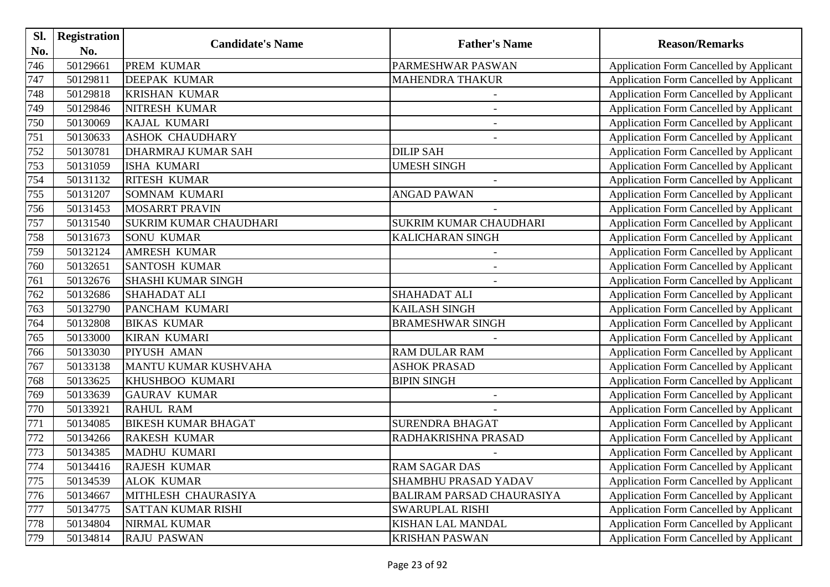| SI. | <b>Registration</b> |                               |                           |                                                |
|-----|---------------------|-------------------------------|---------------------------|------------------------------------------------|
| No. | No.                 | <b>Candidate's Name</b>       | <b>Father's Name</b>      | <b>Reason/Remarks</b>                          |
| 746 | 50129661            | <b>PREM KUMAR</b>             | PARMESHWAR PASWAN         | Application Form Cancelled by Applicant        |
| 747 | 50129811            | <b>DEEPAK KUMAR</b>           | <b>MAHENDRA THAKUR</b>    | Application Form Cancelled by Applicant        |
| 748 | 50129818            | <b>KRISHAN KUMAR</b>          |                           | <b>Application Form Cancelled by Applicant</b> |
| 749 | 50129846            | NITRESH KUMAR                 | $\overline{\phantom{a}}$  | Application Form Cancelled by Applicant        |
| 750 | 50130069            | <b>KAJAL KUMARI</b>           | $\overline{\phantom{a}}$  | Application Form Cancelled by Applicant        |
| 751 | 50130633            | <b>ASHOK CHAUDHARY</b>        |                           | Application Form Cancelled by Applicant        |
| 752 | 50130781            | <b>DHARMRAJ KUMAR SAH</b>     | <b>DILIP SAH</b>          | Application Form Cancelled by Applicant        |
| 753 | 50131059            | <b>ISHA KUMARI</b>            | <b>UMESH SINGH</b>        | Application Form Cancelled by Applicant        |
| 754 | 50131132            | <b>RITESH KUMAR</b>           |                           | <b>Application Form Cancelled by Applicant</b> |
| 755 | 50131207            | <b>SOMNAM KUMARI</b>          | <b>ANGAD PAWAN</b>        | Application Form Cancelled by Applicant        |
| 756 | 50131453            | <b>MOSARRT PRAVIN</b>         |                           | Application Form Cancelled by Applicant        |
| 757 | 50131540            | <b>SUKRIM KUMAR CHAUDHARI</b> | SUKRIM KUMAR CHAUDHARI    | Application Form Cancelled by Applicant        |
| 758 | 50131673            | <b>SONU KUMAR</b>             | KALICHARAN SINGH          | <b>Application Form Cancelled by Applicant</b> |
| 759 | 50132124            | <b>AMRESH KUMAR</b>           | $\overline{\phantom{a}}$  | Application Form Cancelled by Applicant        |
| 760 | 50132651            | <b>SANTOSH KUMAR</b>          | $\blacksquare$            | Application Form Cancelled by Applicant        |
| 761 | 50132676            | <b>SHASHI KUMAR SINGH</b>     |                           | Application Form Cancelled by Applicant        |
| 762 | 50132686            | <b>SHAHADAT ALI</b>           | SHAHADAT ALI              | Application Form Cancelled by Applicant        |
| 763 | 50132790            | PANCHAM KUMARI                | <b>KAILASH SINGH</b>      | Application Form Cancelled by Applicant        |
| 764 | 50132808            | <b>BIKAS KUMAR</b>            | <b>BRAMESHWAR SINGH</b>   | Application Form Cancelled by Applicant        |
| 765 | 50133000            | <b>KIRAN KUMARI</b>           |                           | Application Form Cancelled by Applicant        |
| 766 | 50133030            | PIYUSH AMAN                   | <b>RAM DULAR RAM</b>      | Application Form Cancelled by Applicant        |
| 767 | 50133138            | MANTU KUMAR KUSHVAHA          | <b>ASHOK PRASAD</b>       | Application Form Cancelled by Applicant        |
| 768 | 50133625            | <b>KHUSHBOO KUMARI</b>        | <b>BIPIN SINGH</b>        | Application Form Cancelled by Applicant        |
| 769 | 50133639            | <b>GAURAV KUMAR</b>           | $\overline{\phantom{a}}$  | Application Form Cancelled by Applicant        |
| 770 | 50133921            | <b>RAHUL RAM</b>              |                           | Application Form Cancelled by Applicant        |
| 771 | 50134085            | <b>BIKESH KUMAR BHAGAT</b>    | <b>SURENDRA BHAGAT</b>    | Application Form Cancelled by Applicant        |
| 772 | 50134266            | <b>RAKESH KUMAR</b>           | RADHAKRISHNA PRASAD       | Application Form Cancelled by Applicant        |
| 773 | 50134385            | <b>MADHU KUMARI</b>           |                           | <b>Application Form Cancelled by Applicant</b> |
| 774 | 50134416            | <b>RAJESH KUMAR</b>           | <b>RAM SAGAR DAS</b>      | <b>Application Form Cancelled by Applicant</b> |
| 775 | 50134539            | <b>ALOK KUMAR</b>             | SHAMBHU PRASAD YADAV      | Application Form Cancelled by Applicant        |
| 776 | 50134667            | MITHLESH CHAURASIYA           | BALIRAM PARSAD CHAURASIYA | Application Form Cancelled by Applicant        |
| 777 | 50134775            | <b>SATTAN KUMAR RISHI</b>     | <b>SWARUPLAL RISHI</b>    | Application Form Cancelled by Applicant        |
| 778 | 50134804            | <b>NIRMAL KUMAR</b>           | KISHAN LAL MANDAL         | Application Form Cancelled by Applicant        |
| 779 | 50134814            | <b>RAJU PASWAN</b>            | <b>KRISHAN PASWAN</b>     | Application Form Cancelled by Applicant        |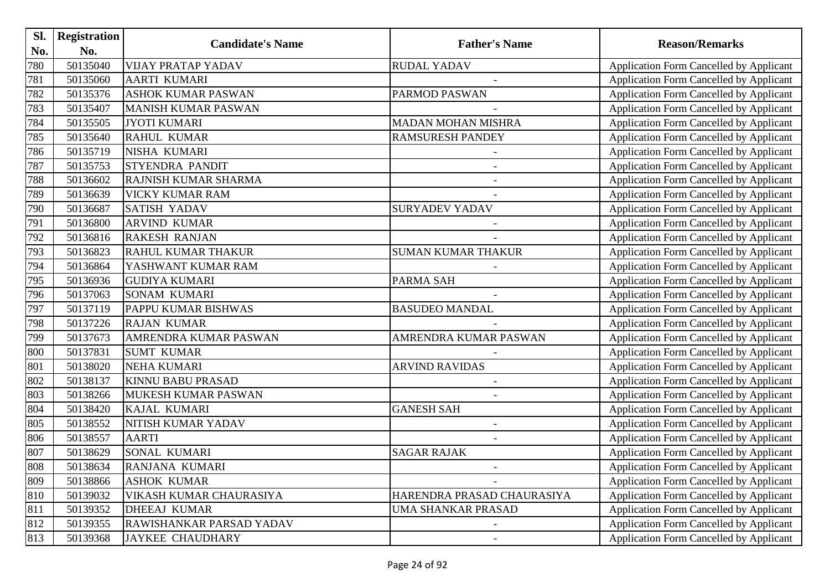| Sl. | <b>Registration</b> |                                 | <b>Father's Name</b>       |                                                |
|-----|---------------------|---------------------------------|----------------------------|------------------------------------------------|
| No. | No.                 | <b>Candidate's Name</b>         |                            | <b>Reason/Remarks</b>                          |
| 780 | 50135040            | <b>VIJAY PRATAP YADAV</b>       | <b>RUDAL YADAV</b>         | Application Form Cancelled by Applicant        |
| 781 | 50135060            | <b>AARTI KUMARI</b>             |                            | Application Form Cancelled by Applicant        |
| 782 | 50135376            | <b>ASHOK KUMAR PASWAN</b>       | PARMOD PASWAN              | Application Form Cancelled by Applicant        |
| 783 | 50135407            | <b>MANISH KUMAR PASWAN</b>      |                            | Application Form Cancelled by Applicant        |
| 784 | 50135505            | <b>JYOTI KUMARI</b>             | <b>MADAN MOHAN MISHRA</b>  | Application Form Cancelled by Applicant        |
| 785 | 50135640            | <b>RAHUL KUMAR</b>              | <b>RAMSURESH PANDEY</b>    | Application Form Cancelled by Applicant        |
| 786 | 50135719            | NISHA KUMARI                    |                            | Application Form Cancelled by Applicant        |
| 787 | 50135753            | <b>STYENDRA PANDIT</b>          | $\overline{\phantom{a}}$   | Application Form Cancelled by Applicant        |
| 788 | 50136602            | RAJNISH KUMAR SHARMA            |                            | Application Form Cancelled by Applicant        |
| 789 | 50136639            | <b>VICKY KUMAR RAM</b>          |                            | Application Form Cancelled by Applicant        |
| 790 | 50136687            | <b>SATISH YADAV</b>             | <b>SURYADEV YADAV</b>      | Application Form Cancelled by Applicant        |
| 791 | 50136800            | <b>ARVIND KUMAR</b>             |                            | Application Form Cancelled by Applicant        |
| 792 | 50136816            | <b>RAKESH RANJAN</b>            |                            | Application Form Cancelled by Applicant        |
| 793 | 50136823            | <b>RAHUL KUMAR THAKUR</b>       | <b>SUMAN KUMAR THAKUR</b>  | Application Form Cancelled by Applicant        |
| 794 | 50136864            | YASHWANT KUMAR RAM              |                            | <b>Application Form Cancelled by Applicant</b> |
| 795 | 50136936            | <b>GUDIYA KUMARI</b>            | PARMA SAH                  | Application Form Cancelled by Applicant        |
| 796 | 50137063            | <b>SONAM KUMARI</b>             |                            | Application Form Cancelled by Applicant        |
| 797 | 50137119            | PAPPU KUMAR BISHWAS             | <b>BASUDEO MANDAL</b>      | Application Form Cancelled by Applicant        |
| 798 | 50137226            | <b>RAJAN KUMAR</b>              |                            | Application Form Cancelled by Applicant        |
| 799 | 50137673            | AMRENDRA KUMAR PASWAN           | AMRENDRA KUMAR PASWAN      | Application Form Cancelled by Applicant        |
| 800 | 50137831            | <b>SUMT KUMAR</b>               |                            | Application Form Cancelled by Applicant        |
| 801 | 50138020            | <b>NEHA KUMARI</b>              | <b>ARVIND RAVIDAS</b>      | Application Form Cancelled by Applicant        |
| 802 | 50138137            | <b>KINNU BABU PRASAD</b>        |                            | Application Form Cancelled by Applicant        |
| 803 | 50138266            | <b>MUKESH KUMAR PASWAN</b>      |                            | Application Form Cancelled by Applicant        |
| 804 | 50138420            | <b>KAJAL KUMARI</b>             | <b>GANESH SAH</b>          | Application Form Cancelled by Applicant        |
| 805 | 50138552            | NITISH KUMAR YADAV              | $\blacksquare$             | Application Form Cancelled by Applicant        |
| 806 | 50138557            | <b>AARTI</b>                    | $\overline{\phantom{a}}$   | Application Form Cancelled by Applicant        |
| 807 | 50138629            | <b>SONAL KUMARI</b>             | <b>SAGAR RAJAK</b>         | Application Form Cancelled by Applicant        |
| 808 | 50138634            | RANJANA KUMARI                  | $\overline{\phantom{a}}$   | Application Form Cancelled by Applicant        |
| 809 | 50138866            | <b>ASHOK KUMAR</b>              |                            | Application Form Cancelled by Applicant        |
| 810 | 50139032            | VIKASH KUMAR CHAURASIYA         | HARENDRA PRASAD CHAURASIYA | Application Form Cancelled by Applicant        |
| 811 | 50139352            | <b>DHEEAJ KUMAR</b>             | UMA SHANKAR PRASAD         | Application Form Cancelled by Applicant        |
| 812 | 50139355            | <b>RAWISHANKAR PARSAD YADAV</b> |                            | <b>Application Form Cancelled by Applicant</b> |
| 813 | 50139368            | <b>JAYKEE CHAUDHARY</b>         | $\overline{\phantom{a}}$   | Application Form Cancelled by Applicant        |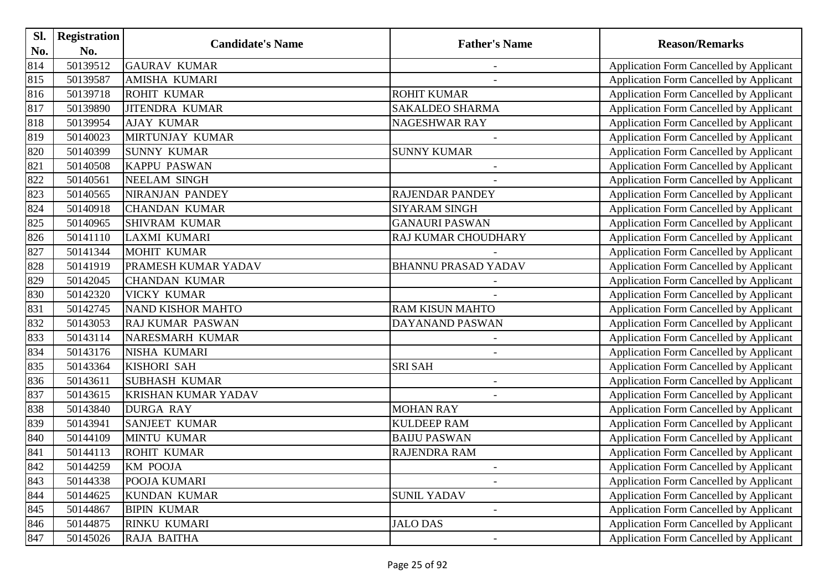| Sl. | <b>Registration</b> |                            |                            |                                                |
|-----|---------------------|----------------------------|----------------------------|------------------------------------------------|
| No. | No.                 | <b>Candidate's Name</b>    | <b>Father's Name</b>       | <b>Reason/Remarks</b>                          |
| 814 | 50139512            | <b>GAURAV KUMAR</b>        | $\blacksquare$             | Application Form Cancelled by Applicant        |
| 815 | 50139587            | <b>AMISHA KUMARI</b>       |                            | Application Form Cancelled by Applicant        |
| 816 | 50139718            | <b>ROHIT KUMAR</b>         | <b>ROHIT KUMAR</b>         | Application Form Cancelled by Applicant        |
| 817 | 50139890            | <b>JITENDRA KUMAR</b>      | <b>SAKALDEO SHARMA</b>     | Application Form Cancelled by Applicant        |
| 818 | 50139954            | <b>AJAY KUMAR</b>          | NAGESHWAR RAY              | Application Form Cancelled by Applicant        |
| 819 | 50140023            | MIRTUNJAY KUMAR            |                            | Application Form Cancelled by Applicant        |
| 820 | 50140399            | <b>SUNNY KUMAR</b>         | <b>SUNNY KUMAR</b>         | Application Form Cancelled by Applicant        |
| 821 | 50140508            | <b>KAPPU PASWAN</b>        | $\overline{\phantom{a}}$   | Application Form Cancelled by Applicant        |
| 822 | 50140561            | <b>NEELAM SINGH</b>        |                            | Application Form Cancelled by Applicant        |
| 823 | 50140565            | <b>NIRANJAN PANDEY</b>     | RAJENDAR PANDEY            | Application Form Cancelled by Applicant        |
| 824 | 50140918            | <b>CHANDAN KUMAR</b>       | <b>SIYARAM SINGH</b>       | Application Form Cancelled by Applicant        |
| 825 | 50140965            | <b>SHIVRAM KUMAR</b>       | <b>GANAURI PASWAN</b>      | Application Form Cancelled by Applicant        |
| 826 | 50141110            | <b>LAXMI KUMARI</b>        | RAJ KUMAR CHOUDHARY        | Application Form Cancelled by Applicant        |
| 827 | 50141344            | <b>MOHIT KUMAR</b>         |                            | Application Form Cancelled by Applicant        |
| 828 | 50141919            | <b>PRAMESH KUMAR YADAV</b> | <b>BHANNU PRASAD YADAV</b> | <b>Application Form Cancelled by Applicant</b> |
| 829 | 50142045            | <b>CHANDAN KUMAR</b>       |                            | Application Form Cancelled by Applicant        |
| 830 | 50142320            | <b>VICKY KUMAR</b>         |                            | Application Form Cancelled by Applicant        |
| 831 | 50142745            | <b>NAND KISHOR MAHTO</b>   | <b>RAM KISUN MAHTO</b>     | Application Form Cancelled by Applicant        |
| 832 | 50143053            | <b>RAJ KUMAR PASWAN</b>    | DAYANAND PASWAN            | Application Form Cancelled by Applicant        |
| 833 | 50143114            | NARESMARH KUMAR            | $\blacksquare$             | Application Form Cancelled by Applicant        |
| 834 | 50143176            | NISHA KUMARI               |                            | Application Form Cancelled by Applicant        |
| 835 | 50143364            | <b>KISHORI SAH</b>         | <b>SRI SAH</b>             | Application Form Cancelled by Applicant        |
| 836 | 50143611            | <b>SUBHASH KUMAR</b>       |                            | Application Form Cancelled by Applicant        |
| 837 | 50143615            | <b>KRISHAN KUMAR YADAV</b> |                            | Application Form Cancelled by Applicant        |
| 838 | 50143840            | <b>DURGA RAY</b>           | <b>MOHAN RAY</b>           | Application Form Cancelled by Applicant        |
| 839 | 50143941            | <b>SANJEET KUMAR</b>       | <b>KULDEEP RAM</b>         | Application Form Cancelled by Applicant        |
| 840 | 50144109            | <b>MINTU KUMAR</b>         | <b>BAIJU PASWAN</b>        | Application Form Cancelled by Applicant        |
| 841 | 50144113            | <b>ROHIT KUMAR</b>         | <b>RAJENDRA RAM</b>        | Application Form Cancelled by Applicant        |
| 842 | 50144259            | <b>KM POOJA</b>            |                            | Application Form Cancelled by Applicant        |
| 843 | 50144338            | POOJA KUMARI               |                            | Application Form Cancelled by Applicant        |
| 844 | 50144625            | <b>KUNDAN KUMAR</b>        | <b>SUNIL YADAV</b>         | <b>Application Form Cancelled by Applicant</b> |
| 845 | 50144867            | <b>BIPIN KUMAR</b>         |                            | <b>Application Form Cancelled by Applicant</b> |
| 846 | 50144875            | <b>RINKU KUMARI</b>        | <b>JALO DAS</b>            | Application Form Cancelled by Applicant        |
| 847 | 50145026            | RAJA BAITHA                | $\overline{\phantom{a}}$   | <b>Application Form Cancelled by Applicant</b> |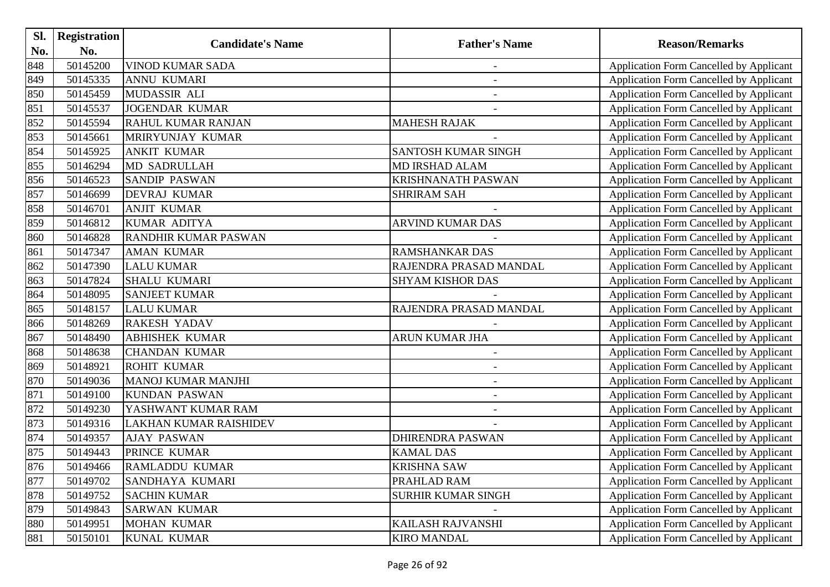| Sl. | <b>Registration</b> |                               |                            |                                                |
|-----|---------------------|-------------------------------|----------------------------|------------------------------------------------|
| No. | No.                 | <b>Candidate's Name</b>       | <b>Father's Name</b>       | <b>Reason/Remarks</b>                          |
| 848 | 50145200            | <b>VINOD KUMAR SADA</b>       | $\overline{\phantom{a}}$   | Application Form Cancelled by Applicant        |
| 849 | 50145335            | <b>ANNU KUMARI</b>            |                            | Application Form Cancelled by Applicant        |
| 850 | 50145459            | MUDASSIR ALI                  | $\overline{\phantom{a}}$   | Application Form Cancelled by Applicant        |
| 851 | 50145537            | <b>JOGENDAR KUMAR</b>         |                            | Application Form Cancelled by Applicant        |
| 852 | 50145594            | <b>RAHUL KUMAR RANJAN</b>     | <b>MAHESH RAJAK</b>        | Application Form Cancelled by Applicant        |
| 853 | 50145661            | MRIRYUNJAY KUMAR              |                            | <b>Application Form Cancelled by Applicant</b> |
| 854 | 50145925            | <b>ANKIT KUMAR</b>            | <b>SANTOSH KUMAR SINGH</b> | Application Form Cancelled by Applicant        |
| 855 | 50146294            | <b>MD SADRULLAH</b>           | MD IRSHAD ALAM             | Application Form Cancelled by Applicant        |
| 856 | 50146523            | <b>SANDIP PASWAN</b>          | <b>KRISHNANATH PASWAN</b>  | Application Form Cancelled by Applicant        |
| 857 | 50146699            | <b>DEVRAJ KUMAR</b>           | <b>SHRIRAM SAH</b>         | Application Form Cancelled by Applicant        |
| 858 | 50146701            | <b>ANJIT KUMAR</b>            |                            | Application Form Cancelled by Applicant        |
| 859 | 50146812            | <b>KUMAR ADITYA</b>           | ARVIND KUMAR DAS           | Application Form Cancelled by Applicant        |
| 860 | 50146828            | <b>RANDHIR KUMAR PASWAN</b>   |                            | <b>Application Form Cancelled by Applicant</b> |
| 861 | 50147347            | <b>AMAN KUMAR</b>             | <b>RAMSHANKAR DAS</b>      | Application Form Cancelled by Applicant        |
| 862 | 50147390            | <b>LALU KUMAR</b>             | RAJENDRA PRASAD MANDAL     | Application Form Cancelled by Applicant        |
| 863 | 50147824            | <b>SHALU KUMARI</b>           | <b>SHYAM KISHOR DAS</b>    | Application Form Cancelled by Applicant        |
| 864 | 50148095            | <b>SANJEET KUMAR</b>          |                            | Application Form Cancelled by Applicant        |
| 865 | 50148157            | <b>LALU KUMAR</b>             | RAJENDRA PRASAD MANDAL     | Application Form Cancelled by Applicant        |
| 866 | 50148269            | <b>RAKESH YADAV</b>           |                            | <b>Application Form Cancelled by Applicant</b> |
| 867 | 50148490            | <b>ABHISHEK KUMAR</b>         | ARUN KUMAR JHA             | <b>Application Form Cancelled by Applicant</b> |
| 868 | 50148638            | <b>CHANDAN KUMAR</b>          |                            | Application Form Cancelled by Applicant        |
| 869 | 50148921            | <b>ROHIT KUMAR</b>            | $\overline{\phantom{a}}$   | Application Form Cancelled by Applicant        |
| 870 | 50149036            | <b>MANOJ KUMAR MANJHI</b>     |                            | Application Form Cancelled by Applicant        |
| 871 | 50149100            | <b>KUNDAN PASWAN</b>          | $\overline{\phantom{a}}$   | <b>Application Form Cancelled by Applicant</b> |
| 872 | 50149230            | YASHWANT KUMAR RAM            |                            | <b>Application Form Cancelled by Applicant</b> |
| 873 | 50149316            | <b>LAKHAN KUMAR RAISHIDEV</b> |                            | Application Form Cancelled by Applicant        |
| 874 | 50149357            | <b>AJAY PASWAN</b>            | <b>DHIRENDRA PASWAN</b>    | Application Form Cancelled by Applicant        |
| 875 | 50149443            | PRINCE KUMAR                  | <b>KAMAL DAS</b>           | <b>Application Form Cancelled by Applicant</b> |
| 876 | 50149466            | <b>RAMLADDU KUMAR</b>         | <b>KRISHNA SAW</b>         | <b>Application Form Cancelled by Applicant</b> |
| 877 | 50149702            | SANDHAYA KUMARI               | PRAHLAD RAM                | <b>Application Form Cancelled by Applicant</b> |
| 878 | 50149752            | <b>SACHIN KUMAR</b>           | SURHIR KUMAR SINGH         | Application Form Cancelled by Applicant        |
| 879 | 50149843            | <b>SARWAN KUMAR</b>           |                            | Application Form Cancelled by Applicant        |
| 880 | 50149951            | <b>MOHAN KUMAR</b>            | KAILASH RAJVANSHI          | <b>Application Form Cancelled by Applicant</b> |
| 881 | 50150101            | <b>KUNAL KUMAR</b>            | <b>KIRO MANDAL</b>         | Application Form Cancelled by Applicant        |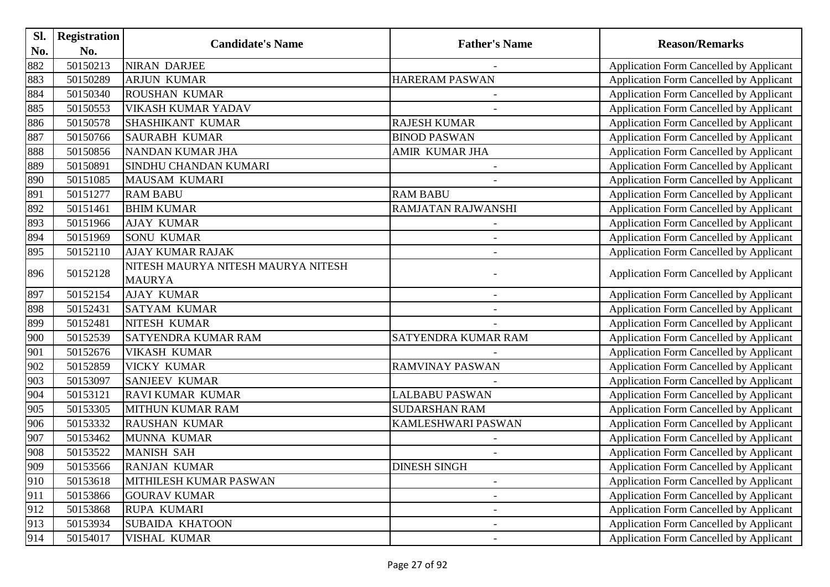| Sl. | <b>Registration</b> | <b>Candidate's Name</b>            |                          |                                                |
|-----|---------------------|------------------------------------|--------------------------|------------------------------------------------|
| No. | No.                 |                                    | <b>Father's Name</b>     | <b>Reason/Remarks</b>                          |
| 882 | 50150213            | <b>NIRAN DARJEE</b>                |                          | Application Form Cancelled by Applicant        |
| 883 | 50150289            | <b>ARJUN KUMAR</b>                 | <b>HARERAM PASWAN</b>    | Application Form Cancelled by Applicant        |
| 884 | 50150340            | <b>ROUSHAN KUMAR</b>               |                          | <b>Application Form Cancelled by Applicant</b> |
| 885 | 50150553            | <b>VIKASH KUMAR YADAV</b>          |                          | Application Form Cancelled by Applicant        |
| 886 | 50150578            | <b>SHASHIKANT KUMAR</b>            | <b>RAJESH KUMAR</b>      | Application Form Cancelled by Applicant        |
| 887 | 50150766            | <b>SAURABH KUMAR</b>               | <b>BINOD PASWAN</b>      | Application Form Cancelled by Applicant        |
| 888 | 50150856            | <b>NANDAN KUMAR JHA</b>            | AMIR KUMAR JHA           | Application Form Cancelled by Applicant        |
| 889 | 50150891            | <b>SINDHU CHANDAN KUMARI</b>       | $\overline{\phantom{a}}$ | <b>Application Form Cancelled by Applicant</b> |
| 890 | 50151085            | <b>MAUSAM KUMARI</b>               |                          | Application Form Cancelled by Applicant        |
| 891 | 50151277            | <b>RAM BABU</b>                    | <b>RAM BABU</b>          | Application Form Cancelled by Applicant        |
| 892 | 50151461            | <b>BHIM KUMAR</b>                  | RAMJATAN RAJWANSHI       | Application Form Cancelled by Applicant        |
| 893 | 50151966            | <b>AJAY KUMAR</b>                  |                          | <b>Application Form Cancelled by Applicant</b> |
| 894 | 50151969            | <b>SONU KUMAR</b>                  | $\overline{\phantom{a}}$ | <b>Application Form Cancelled by Applicant</b> |
| 895 | 50152110            | <b>AJAY KUMAR RAJAK</b>            |                          | Application Form Cancelled by Applicant        |
| 896 | 50152128            | NITESH MAURYA NITESH MAURYA NITESH |                          | Application Form Cancelled by Applicant        |
|     |                     | <b>MAURYA</b>                      |                          |                                                |
| 897 | 50152154            | <b>AJAY KUMAR</b>                  |                          | Application Form Cancelled by Applicant        |
| 898 | 50152431            | <b>SATYAM KUMAR</b>                |                          | Application Form Cancelled by Applicant        |
| 899 | 50152481            | NITESH KUMAR                       |                          | Application Form Cancelled by Applicant        |
| 900 | 50152539            | <b>SATYENDRA KUMAR RAM</b>         | SATYENDRA KUMAR RAM      | <b>Application Form Cancelled by Applicant</b> |
| 901 | 50152676            | <b>VIKASH KUMAR</b>                |                          | Application Form Cancelled by Applicant        |
| 902 | 50152859            | <b>VICKY KUMAR</b>                 | RAMVINAY PASWAN          | <b>Application Form Cancelled by Applicant</b> |
| 903 | 50153097            | <b>SANJEEV KUMAR</b>               |                          | Application Form Cancelled by Applicant        |
| 904 | 50153121            | <b>RAVIKUMAR KUMAR</b>             | <b>LALBABU PASWAN</b>    | Application Form Cancelled by Applicant        |
| 905 | 50153305            | <b>MITHUN KUMAR RAM</b>            | <b>SUDARSHAN RAM</b>     | Application Form Cancelled by Applicant        |
| 906 | 50153332            | <b>RAUSHAN KUMAR</b>               | KAMLESHWARI PASWAN       | Application Form Cancelled by Applicant        |
| 907 | 50153462            | <b>MUNNA KUMAR</b>                 |                          | <b>Application Form Cancelled by Applicant</b> |
| 908 | 50153522            | <b>MANISH SAH</b>                  |                          | Application Form Cancelled by Applicant        |
| 909 | 50153566            | <b>RANJAN KUMAR</b>                | <b>DINESH SINGH</b>      | Application Form Cancelled by Applicant        |
| 910 | 50153618            | MITHILESH KUMAR PASWAN             |                          | <b>Application Form Cancelled by Applicant</b> |
| 911 | 50153866            | <b>GOURAV KUMAR</b>                |                          | Application Form Cancelled by Applicant        |
| 912 | 50153868            | RUPA KUMARI                        | $\overline{\phantom{a}}$ | <b>Application Form Cancelled by Applicant</b> |
| 913 | 50153934            | <b>SUBAIDA KHATOON</b>             | $\overline{\phantom{a}}$ | Application Form Cancelled by Applicant        |
| 914 | 50154017            | VISHAL KUMAR                       |                          | Application Form Cancelled by Applicant        |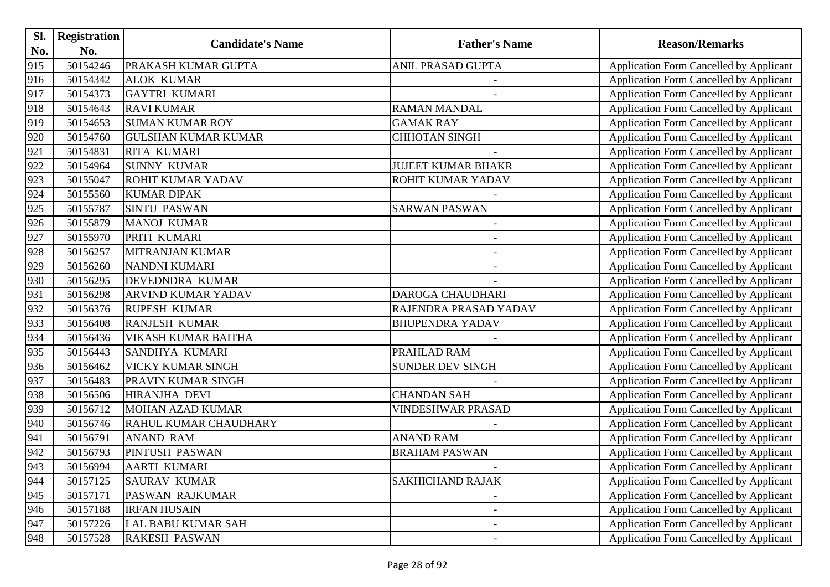| Sl. | <b>Registration</b> |                              |                           |                                                |
|-----|---------------------|------------------------------|---------------------------|------------------------------------------------|
| No. | No.                 | <b>Candidate's Name</b>      | <b>Father's Name</b>      | <b>Reason/Remarks</b>                          |
| 915 | 50154246            | PRAKASH KUMAR GUPTA          | ANIL PRASAD GUPTA         | Application Form Cancelled by Applicant        |
| 916 | 50154342            | <b>ALOK KUMAR</b>            |                           | Application Form Cancelled by Applicant        |
| 917 | 50154373            | <b>GAYTRI KUMARI</b>         |                           | <b>Application Form Cancelled by Applicant</b> |
| 918 | 50154643            | <b>RAVI KUMAR</b>            | <b>RAMAN MANDAL</b>       | Application Form Cancelled by Applicant        |
| 919 | 50154653            | <b>SUMAN KUMAR ROY</b>       | <b>GAMAK RAY</b>          | Application Form Cancelled by Applicant        |
| 920 | 50154760            | <b>GULSHAN KUMAR KUMAR</b>   | <b>CHHOTAN SINGH</b>      | <b>Application Form Cancelled by Applicant</b> |
| 921 | 50154831            | <b>RITA KUMARI</b>           |                           | Application Form Cancelled by Applicant        |
| 922 | 50154964            | <b>SUNNY KUMAR</b>           | <b>JUJEET KUMAR BHAKR</b> | Application Form Cancelled by Applicant        |
| 923 | 50155047            | <b>ROHIT KUMAR YADAV</b>     | ROHIT KUMAR YADAV         | Application Form Cancelled by Applicant        |
| 924 | 50155560            | <b>KUMAR DIPAK</b>           |                           | Application Form Cancelled by Applicant        |
| 925 | 50155787            | <b>SINTU PASWAN</b>          | <b>SARWAN PASWAN</b>      | Application Form Cancelled by Applicant        |
| 926 | 50155879            | <b>MANOJ KUMAR</b>           |                           | Application Form Cancelled by Applicant        |
| 927 | 50155970            | PRITI KUMARI                 |                           | Application Form Cancelled by Applicant        |
| 928 | 50156257            | <b>MITRANJAN KUMAR</b>       |                           | <b>Application Form Cancelled by Applicant</b> |
| 929 | 50156260            | <b>NANDNI KUMARI</b>         | $\overline{\phantom{a}}$  | Application Form Cancelled by Applicant        |
| 930 | 50156295            | DEVEDNDRA KUMAR              |                           | Application Form Cancelled by Applicant        |
| 931 | 50156298            | <b>ARVIND KUMAR YADAV</b>    | DAROGA CHAUDHARI          | Application Form Cancelled by Applicant        |
| 932 | 50156376            | <b>RUPESH KUMAR</b>          | RAJENDRA PRASAD YADAV     | Application Form Cancelled by Applicant        |
| 933 | 50156408            | <b>RANJESH KUMAR</b>         | <b>BHUPENDRA YADAV</b>    | Application Form Cancelled by Applicant        |
| 934 | 50156436            | <b>VIKASH KUMAR BAITHA</b>   |                           | Application Form Cancelled by Applicant        |
| 935 | 50156443            | <b>SANDHYA KUMARI</b>        | PRAHLAD RAM               | Application Form Cancelled by Applicant        |
| 936 | 50156462            | <b>VICKY KUMAR SINGH</b>     | <b>SUNDER DEV SINGH</b>   | Application Form Cancelled by Applicant        |
| 937 | 50156483            | PRAVIN KUMAR SINGH           |                           | Application Form Cancelled by Applicant        |
| 938 | 50156506            | HIRANJHA DEVI                | <b>CHANDAN SAH</b>        | Application Form Cancelled by Applicant        |
| 939 | 50156712            | MOHAN AZAD KUMAR             | <b>VINDESHWAR PRASAD</b>  | Application Form Cancelled by Applicant        |
| 940 | 50156746            | <b>RAHUL KUMAR CHAUDHARY</b> |                           | Application Form Cancelled by Applicant        |
| 941 | 50156791            | <b>ANAND RAM</b>             | <b>ANAND RAM</b>          | Application Form Cancelled by Applicant        |
| 942 | 50156793            | <b>PINTUSH PASWAN</b>        | <b>BRAHAM PASWAN</b>      | Application Form Cancelled by Applicant        |
| 943 | 50156994            | <b>AARTI KUMARI</b>          |                           | <b>Application Form Cancelled by Applicant</b> |
| 944 | 50157125            | <b>SAURAV KUMAR</b>          | <b>SAKHICHAND RAJAK</b>   | Application Form Cancelled by Applicant        |
| 945 | 50157171            | <b>PASWAN RAJKUMAR</b>       |                           | <b>Application Form Cancelled by Applicant</b> |
| 946 | 50157188            | <b>IRFAN HUSAIN</b>          |                           | <b>Application Form Cancelled by Applicant</b> |
| 947 | 50157226            | <b>LAL BABU KUMAR SAH</b>    |                           | <b>Application Form Cancelled by Applicant</b> |
| 948 | 50157528            | <b>RAKESH PASWAN</b>         | $\overline{\phantom{a}}$  | Application Form Cancelled by Applicant        |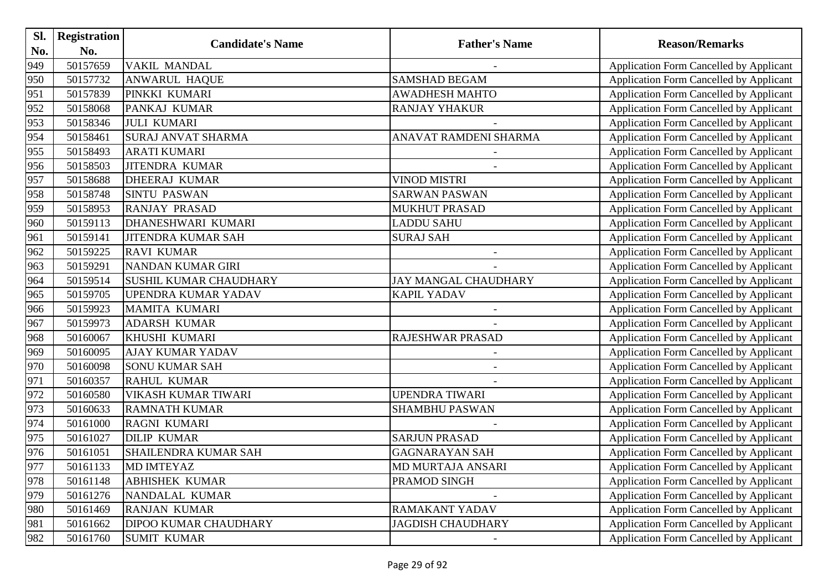| Sl. | <b>Registration</b> |                               |                             |                                                |
|-----|---------------------|-------------------------------|-----------------------------|------------------------------------------------|
| No. | No.                 | <b>Candidate's Name</b>       | <b>Father's Name</b>        | <b>Reason/Remarks</b>                          |
| 949 | 50157659            | <b>VAKIL MANDAL</b>           |                             | Application Form Cancelled by Applicant        |
| 950 | 50157732            | <b>ANWARUL HAQUE</b>          | <b>SAMSHAD BEGAM</b>        | Application Form Cancelled by Applicant        |
| 951 | 50157839            | PINKKI KUMARI                 | <b>AWADHESH MAHTO</b>       | Application Form Cancelled by Applicant        |
| 952 | 50158068            | PANKAJ KUMAR                  | <b>RANJAY YHAKUR</b>        | Application Form Cancelled by Applicant        |
| 953 | 50158346            | <b>JULI KUMARI</b>            |                             | Application Form Cancelled by Applicant        |
| 954 | 50158461            | <b>SURAJ ANVAT SHARMA</b>     | ANAVAT RAMDENI SHARMA       | Application Form Cancelled by Applicant        |
| 955 | 50158493            | <b>ARATI KUMARI</b>           |                             | Application Form Cancelled by Applicant        |
| 956 | 50158503            | <b>JITENDRA KUMAR</b>         |                             | Application Form Cancelled by Applicant        |
| 957 | 50158688            | <b>DHEERAJ KUMAR</b>          | <b>VINOD MISTRI</b>         | Application Form Cancelled by Applicant        |
| 958 | 50158748            | <b>SINTU PASWAN</b>           | <b>SARWAN PASWAN</b>        | <b>Application Form Cancelled by Applicant</b> |
| 959 | 50158953            | <b>RANJAY PRASAD</b>          | <b>MUKHUT PRASAD</b>        | Application Form Cancelled by Applicant        |
| 960 | 50159113            | DHANESHWARI KUMARI            | <b>LADDU SAHU</b>           | Application Form Cancelled by Applicant        |
| 961 | 50159141            | <b>JITENDRA KUMAR SAH</b>     | <b>SURAJ SAH</b>            | Application Form Cancelled by Applicant        |
| 962 | 50159225            | <b>RAVI KUMAR</b>             |                             | Application Form Cancelled by Applicant        |
| 963 | 50159291            | <b>NANDAN KUMAR GIRI</b>      |                             | Application Form Cancelled by Applicant        |
| 964 | 50159514            | <b>SUSHIL KUMAR CHAUDHARY</b> | <b>JAY MANGAL CHAUDHARY</b> | Application Form Cancelled by Applicant        |
| 965 | 50159705            | UPENDRA KUMAR YADAV           | <b>KAPIL YADAV</b>          | Application Form Cancelled by Applicant        |
| 966 | 50159923            | <b>MAMITA KUMARI</b>          |                             | Application Form Cancelled by Applicant        |
| 967 | 50159973            | <b>ADARSH KUMAR</b>           |                             | Application Form Cancelled by Applicant        |
| 968 | 50160067            | KHUSHI KUMARI                 | RAJESHWAR PRASAD            | Application Form Cancelled by Applicant        |
| 969 | 50160095            | <b>AJAY KUMAR YADAV</b>       |                             | Application Form Cancelled by Applicant        |
| 970 | 50160098            | <b>SONU KUMAR SAH</b>         | $\overline{\phantom{a}}$    | Application Form Cancelled by Applicant        |
| 971 | 50160357            | <b>RAHUL KUMAR</b>            |                             | Application Form Cancelled by Applicant        |
| 972 | 50160580            | VIKASH KUMAR TIWARI           | UPENDRA TIWARI              | Application Form Cancelled by Applicant        |
| 973 | 50160633            | <b>RAMNATH KUMAR</b>          | <b>SHAMBHU PASWAN</b>       | Application Form Cancelled by Applicant        |
| 974 | 50161000            | RAGNI KUMARI                  |                             | Application Form Cancelled by Applicant        |
| 975 | 50161027            | <b>DILIP KUMAR</b>            | <b>SARJUN PRASAD</b>        | Application Form Cancelled by Applicant        |
| 976 | 50161051            | SHAILENDRA KUMAR SAH          | <b>GAGNARAYAN SAH</b>       | Application Form Cancelled by Applicant        |
| 977 | 50161133            | <b>MD IMTEYAZ</b>             | MD MURTAJA ANSARI           | <b>Application Form Cancelled by Applicant</b> |
| 978 | 50161148            | <b>ABHISHEK KUMAR</b>         | PRAMOD SINGH                | Application Form Cancelled by Applicant        |
| 979 | 50161276            | NANDALAL KUMAR                |                             | Application Form Cancelled by Applicant        |
| 980 | 50161469            | <b>RANJAN KUMAR</b>           | RAMAKANT YADAV              | <b>Application Form Cancelled by Applicant</b> |
| 981 | 50161662            | DIPOO KUMAR CHAUDHARY         | <b>JAGDISH CHAUDHARY</b>    | Application Form Cancelled by Applicant        |
| 982 | 50161760            | <b>SUMIT KUMAR</b>            |                             | <b>Application Form Cancelled by Applicant</b> |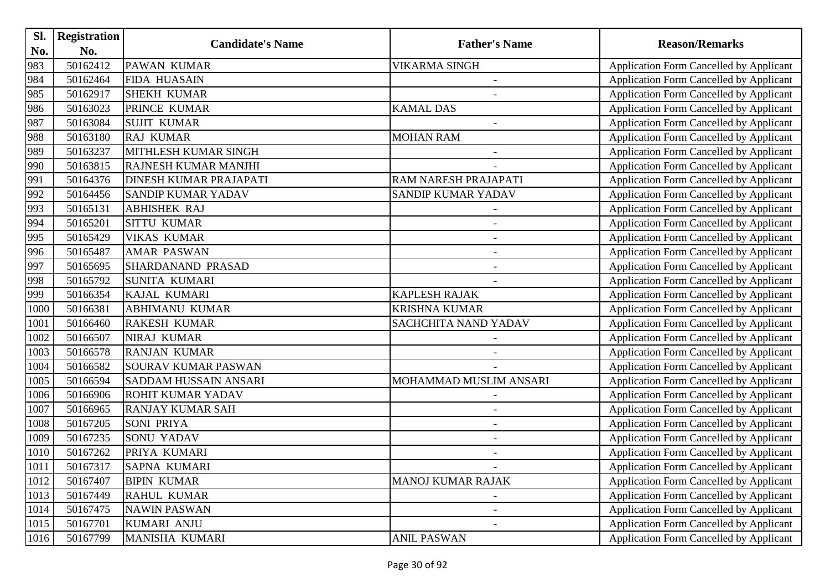| Sl.  | <b>Registration</b> |                               |                          |                                                |
|------|---------------------|-------------------------------|--------------------------|------------------------------------------------|
| No.  | No.                 | <b>Candidate's Name</b>       | <b>Father's Name</b>     | <b>Reason/Remarks</b>                          |
| 983  | 50162412            | <b>PAWAN KUMAR</b>            | <b>VIKARMA SINGH</b>     | Application Form Cancelled by Applicant        |
| 984  | 50162464            | <b>FIDA HUASAIN</b>           | $\overline{a}$           | Application Form Cancelled by Applicant        |
| 985  | 50162917            | <b>SHEKH KUMAR</b>            |                          | Application Form Cancelled by Applicant        |
| 986  | 50163023            | PRINCE KUMAR                  | <b>KAMAL DAS</b>         | Application Form Cancelled by Applicant        |
| 987  | 50163084            | <b>SUJIT KUMAR</b>            |                          | Application Form Cancelled by Applicant        |
| 988  | 50163180            | <b>RAJ KUMAR</b>              | <b>MOHAN RAM</b>         | Application Form Cancelled by Applicant        |
| 989  | 50163237            | <b>MITHLESH KUMAR SINGH</b>   |                          | Application Form Cancelled by Applicant        |
| 990  | 50163815            | <b>RAJNESH KUMAR MANJHI</b>   |                          | Application Form Cancelled by Applicant        |
| 991  | 50164376            | <b>DINESH KUMAR PRAJAPATI</b> | RAM NARESH PRAJAPATI     | Application Form Cancelled by Applicant        |
| 992  | 50164456            | <b>SANDIP KUMAR YADAV</b>     | SANDIP KUMAR YADAV       | Application Form Cancelled by Applicant        |
| 993  | 50165131            | <b>ABHISHEK RAJ</b>           |                          | Application Form Cancelled by Applicant        |
| 994  | 50165201            | <b>SITTU KUMAR</b>            |                          | Application Form Cancelled by Applicant        |
| 995  | 50165429            | <b>VIKAS KUMAR</b>            |                          | Application Form Cancelled by Applicant        |
| 996  | 50165487            | <b>AMAR PASWAN</b>            |                          | <b>Application Form Cancelled by Applicant</b> |
| 997  | 50165695            | <b>SHARDANAND PRASAD</b>      | $\overline{\phantom{a}}$ | Application Form Cancelled by Applicant        |
| 998  | 50165792            | <b>SUNITA KUMARI</b>          |                          | Application Form Cancelled by Applicant        |
| 999  | 50166354            | KAJAL KUMARI                  | <b>KAPLESH RAJAK</b>     | Application Form Cancelled by Applicant        |
| 1000 | 50166381            | <b>ABHIMANU KUMAR</b>         | <b>KRISHNA KUMAR</b>     | Application Form Cancelled by Applicant        |
| 1001 | 50166460            | <b>RAKESH KUMAR</b>           | SACHCHITA NAND YADAV     | Application Form Cancelled by Applicant        |
| 1002 | 50166507            | <b>NIRAJ KUMAR</b>            |                          | Application Form Cancelled by Applicant        |
| 1003 | 50166578            | <b>RANJAN KUMAR</b>           |                          | Application Form Cancelled by Applicant        |
| 1004 | 50166582            | <b>SOURAV KUMAR PASWAN</b>    |                          | Application Form Cancelled by Applicant        |
| 1005 | 50166594            | <b>SADDAM HUSSAIN ANSARI</b>  | MOHAMMAD MUSLIM ANSARI   | Application Form Cancelled by Applicant        |
| 1006 | 50166906            | <b>ROHIT KUMAR YADAV</b>      |                          | Application Form Cancelled by Applicant        |
| 1007 | 50166965            | <b>RANJAY KUMAR SAH</b>       |                          | Application Form Cancelled by Applicant        |
| 1008 | 50167205            | <b>SONI PRIYA</b>             |                          | Application Form Cancelled by Applicant        |
| 1009 | 50167235            | <b>SONU YADAV</b>             | $\overline{\phantom{a}}$ | <b>Application Form Cancelled by Applicant</b> |
| 1010 | 50167262            | PRIYA KUMARI                  |                          | Application Form Cancelled by Applicant        |
| 1011 | 50167317            | SAPNA KUMARI                  |                          | <b>Application Form Cancelled by Applicant</b> |
| 1012 | 50167407            | <b>BIPIN KUMAR</b>            | MANOJ KUMAR RAJAK        | Application Form Cancelled by Applicant        |
| 1013 | 50167449            | <b>RAHUL KUMAR</b>            |                          | <b>Application Form Cancelled by Applicant</b> |
| 1014 | 50167475            | <b>NAWIN PASWAN</b>           | $\overline{a}$           | <b>Application Form Cancelled by Applicant</b> |
| 1015 | 50167701            | <b>KUMARI ANJU</b>            |                          | <b>Application Form Cancelled by Applicant</b> |
| 1016 | 50167799            | MANISHA KUMARI                | <b>ANIL PASWAN</b>       | Application Form Cancelled by Applicant        |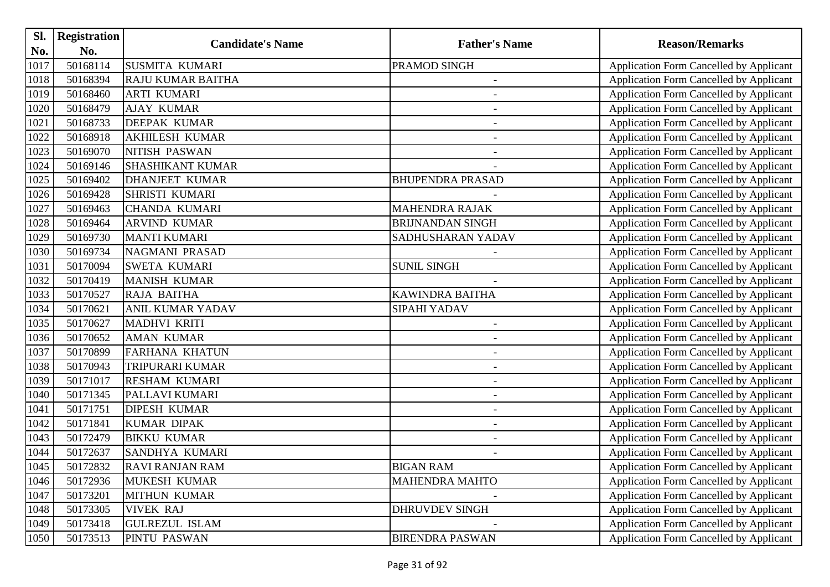| Sl.  | <b>Registration</b> | <b>Candidate's Name</b>  |                          |                                                |
|------|---------------------|--------------------------|--------------------------|------------------------------------------------|
| No.  | No.                 |                          | <b>Father's Name</b>     | <b>Reason/Remarks</b>                          |
| 1017 | 50168114            | <b>SUSMITA KUMARI</b>    | PRAMOD SINGH             | Application Form Cancelled by Applicant        |
| 1018 | 50168394            | <b>RAJU KUMAR BAITHA</b> | $\overline{\phantom{a}}$ | Application Form Cancelled by Applicant        |
| 1019 | 50168460            | <b>ARTI KUMARI</b>       |                          | <b>Application Form Cancelled by Applicant</b> |
| 1020 | 50168479            | <b>AJAY KUMAR</b>        |                          | Application Form Cancelled by Applicant        |
| 1021 | 50168733            | <b>DEEPAK KUMAR</b>      |                          | <b>Application Form Cancelled by Applicant</b> |
| 1022 | 50168918            | <b>AKHILESH KUMAR</b>    | $\overline{\phantom{a}}$ | <b>Application Form Cancelled by Applicant</b> |
| 1023 | 50169070            | <b>NITISH PASWAN</b>     |                          | Application Form Cancelled by Applicant        |
| 1024 | 50169146            | <b>SHASHIKANT KUMAR</b>  |                          | <b>Application Form Cancelled by Applicant</b> |
| 1025 | 50169402            | <b>DHANJEET KUMAR</b>    | <b>BHUPENDRA PRASAD</b>  | Application Form Cancelled by Applicant        |
| 1026 | 50169428            | <b>SHRISTI KUMARI</b>    |                          | Application Form Cancelled by Applicant        |
| 1027 | 50169463            | <b>CHANDA KUMARI</b>     | <b>MAHENDRA RAJAK</b>    | Application Form Cancelled by Applicant        |
| 1028 | 50169464            | <b>ARVIND KUMAR</b>      | <b>BRIJNANDAN SINGH</b>  | Application Form Cancelled by Applicant        |
| 1029 | 50169730            | <b>MANTI KUMARI</b>      | SADHUSHARAN YADAV        | Application Form Cancelled by Applicant        |
| 1030 | 50169734            | <b>NAGMANI PRASAD</b>    |                          | <b>Application Form Cancelled by Applicant</b> |
| 1031 | 50170094            | <b>SWETA KUMARI</b>      | <b>SUNIL SINGH</b>       | <b>Application Form Cancelled by Applicant</b> |
| 1032 | 50170419            | <b>MANISH KUMAR</b>      |                          | Application Form Cancelled by Applicant        |
| 1033 | 50170527            | RAJA BAITHA              | <b>KAWINDRA BAITHA</b>   | <b>Application Form Cancelled by Applicant</b> |
| 1034 | 50170621            | <b>ANIL KUMAR YADAV</b>  | <b>SIPAHI YADAV</b>      | <b>Application Form Cancelled by Applicant</b> |
| 1035 | 50170627            | <b>MADHVI KRITI</b>      | $\overline{\phantom{a}}$ | Application Form Cancelled by Applicant        |
| 1036 | 50170652            | <b>AMAN KUMAR</b>        | $\overline{\phantom{a}}$ | <b>Application Form Cancelled by Applicant</b> |
| 1037 | 50170899            | <b>FARHANA KHATUN</b>    | $\overline{\phantom{a}}$ | Application Form Cancelled by Applicant        |
| 1038 | 50170943            | <b>TRIPURARI KUMAR</b>   | $\overline{\phantom{a}}$ | <b>Application Form Cancelled by Applicant</b> |
| 1039 | 50171017            | <b>RESHAM KUMARI</b>     |                          | Application Form Cancelled by Applicant        |
| 1040 | 50171345            | PALLAVI KUMARI           | $\overline{\phantom{a}}$ | Application Form Cancelled by Applicant        |
| 1041 | 50171751            | <b>DIPESH KUMAR</b>      | $\overline{\phantom{a}}$ | Application Form Cancelled by Applicant        |
| 1042 | 50171841            | <b>KUMAR DIPAK</b>       | $\blacksquare$           | Application Form Cancelled by Applicant        |
| 1043 | 50172479            | <b>BIKKU KUMAR</b>       | $\overline{\phantom{a}}$ | <b>Application Form Cancelled by Applicant</b> |
| 1044 | 50172637            | SANDHYA KUMARI           | $\overline{\phantom{a}}$ | Application Form Cancelled by Applicant        |
| 1045 | 50172832            | <b>RAVI RANJAN RAM</b>   | <b>BIGAN RAM</b>         | Application Form Cancelled by Applicant        |
| 1046 | 50172936            | <b>MUKESH KUMAR</b>      | <b>MAHENDRA MAHTO</b>    | Application Form Cancelled by Applicant        |
| 1047 | 50173201            | <b>MITHUN KUMAR</b>      |                          | <b>Application Form Cancelled by Applicant</b> |
| 1048 | 50173305            | <b>VIVEK RAJ</b>         | <b>DHRUVDEV SINGH</b>    | <b>Application Form Cancelled by Applicant</b> |
| 1049 | 50173418            | <b>GULREZUL ISLAM</b>    |                          | Application Form Cancelled by Applicant        |
| 1050 | 50173513            | PINTU PASWAN             | <b>BIRENDRA PASWAN</b>   | Application Form Cancelled by Applicant        |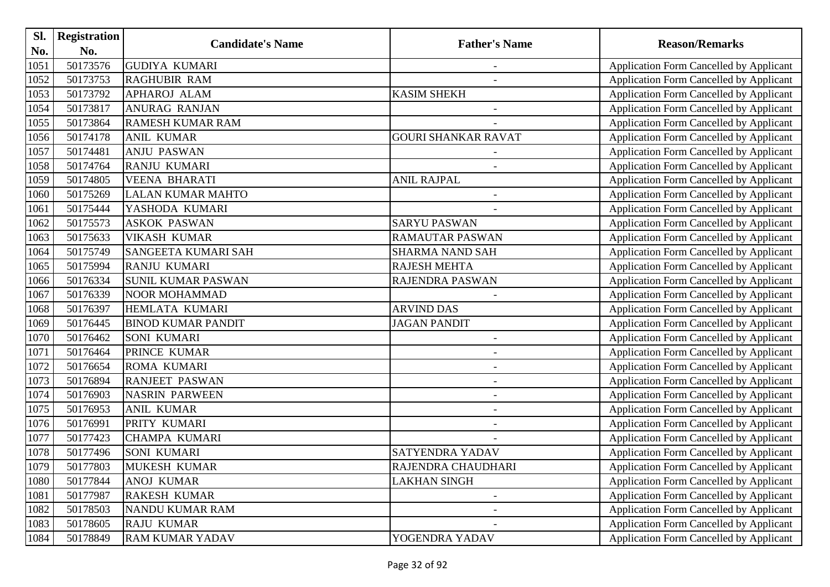| Sl.  | <b>Registration</b> |                            |                            |                                                |
|------|---------------------|----------------------------|----------------------------|------------------------------------------------|
| No.  | No.                 | <b>Candidate's Name</b>    | <b>Father's Name</b>       | <b>Reason/Remarks</b>                          |
| 1051 | 50173576            | <b>GUDIYA KUMARI</b>       | $\blacksquare$             | <b>Application Form Cancelled by Applicant</b> |
| 1052 | 50173753            | <b>RAGHUBIR RAM</b>        |                            | Application Form Cancelled by Applicant        |
| 1053 | 50173792            | <b>APHAROJ ALAM</b>        | <b>KASIM SHEKH</b>         | Application Form Cancelled by Applicant        |
| 1054 | 50173817            | <b>ANURAG RANJAN</b>       |                            | Application Form Cancelled by Applicant        |
| 1055 | 50173864            | <b>RAMESH KUMAR RAM</b>    |                            | <b>Application Form Cancelled by Applicant</b> |
| 1056 | 50174178            | <b>ANIL KUMAR</b>          | <b>GOURI SHANKAR RAVAT</b> | <b>Application Form Cancelled by Applicant</b> |
| 1057 | 50174481            | <b>ANJU PASWAN</b>         |                            | <b>Application Form Cancelled by Applicant</b> |
| 1058 | 50174764            | <b>RANJU KUMARI</b>        |                            | <b>Application Form Cancelled by Applicant</b> |
| 1059 | 50174805            | <b>VEENA BHARATI</b>       | <b>ANIL RAJPAL</b>         | <b>Application Form Cancelled by Applicant</b> |
| 1060 | 50175269            | <b>LALAN KUMAR MAHTO</b>   | $\overline{\phantom{a}}$   | <b>Application Form Cancelled by Applicant</b> |
| 1061 | 50175444            | YASHODA KUMARI             |                            | Application Form Cancelled by Applicant        |
| 1062 | 50175573            | <b>ASKOK PASWAN</b>        | <b>SARYU PASWAN</b>        | Application Form Cancelled by Applicant        |
| 1063 | 50175633            | <b>VIKASH KUMAR</b>        | <b>RAMAUTAR PASWAN</b>     | <b>Application Form Cancelled by Applicant</b> |
| 1064 | 50175749            | <b>SANGEETA KUMARI SAH</b> | <b>SHARMA NAND SAH</b>     | <b>Application Form Cancelled by Applicant</b> |
| 1065 | 50175994            | <b>RANJU KUMARI</b>        | <b>RAJESH MEHTA</b>        | Application Form Cancelled by Applicant        |
| 1066 | 50176334            | <b>SUNIL KUMAR PASWAN</b>  | RAJENDRA PASWAN            | <b>Application Form Cancelled by Applicant</b> |
| 1067 | 50176339            | <b>NOOR MOHAMMAD</b>       |                            | <b>Application Form Cancelled by Applicant</b> |
| 1068 | 50176397            | HEMLATA KUMARI             | <b>ARVIND DAS</b>          | Application Form Cancelled by Applicant        |
| 1069 | 50176445            | <b>BINOD KUMAR PANDIT</b>  | <b>JAGAN PANDIT</b>        | <b>Application Form Cancelled by Applicant</b> |
| 1070 | 50176462            | <b>SONI KUMARI</b>         | $\overline{\phantom{a}}$   | Application Form Cancelled by Applicant        |
| 1071 | 50176464            | PRINCE KUMAR               | $\blacksquare$             | Application Form Cancelled by Applicant        |
| 1072 | 50176654            | <b>ROMA KUMARI</b>         | $\overline{\phantom{a}}$   | <b>Application Form Cancelled by Applicant</b> |
| 1073 | 50176894            | <b>RANJEET PASWAN</b>      |                            | Application Form Cancelled by Applicant        |
| 1074 | 50176903            | <b>NASRIN PARWEEN</b>      | $\qquad \qquad -$          | <b>Application Form Cancelled by Applicant</b> |
| 1075 | 50176953            | <b>ANIL KUMAR</b>          |                            | Application Form Cancelled by Applicant        |
| 1076 | 50176991            | PRITY KUMARI               | $\overline{a}$             | Application Form Cancelled by Applicant        |
| 1077 | 50177423            | <b>CHAMPA KUMARI</b>       |                            | Application Form Cancelled by Applicant        |
| 1078 | 50177496            | <b>SONI KUMARI</b>         | SATYENDRA YADAV            | Application Form Cancelled by Applicant        |
| 1079 | 50177803            | <b>MUKESH KUMAR</b>        | RAJENDRA CHAUDHARI         | <b>Application Form Cancelled by Applicant</b> |
| 1080 | 50177844            | <b>ANOJ KUMAR</b>          | <b>LAKHAN SINGH</b>        | Application Form Cancelled by Applicant        |
| 1081 | 50177987            | <b>RAKESH KUMAR</b>        |                            | Application Form Cancelled by Applicant        |
| 1082 | 50178503            | NANDU KUMAR RAM            | $\blacksquare$             | Application Form Cancelled by Applicant        |
| 1083 | 50178605            | <b>RAJU KUMAR</b>          |                            | Application Form Cancelled by Applicant        |
| 1084 | 50178849            | <b>RAM KUMAR YADAV</b>     | YOGENDRA YADAV             | Application Form Cancelled by Applicant        |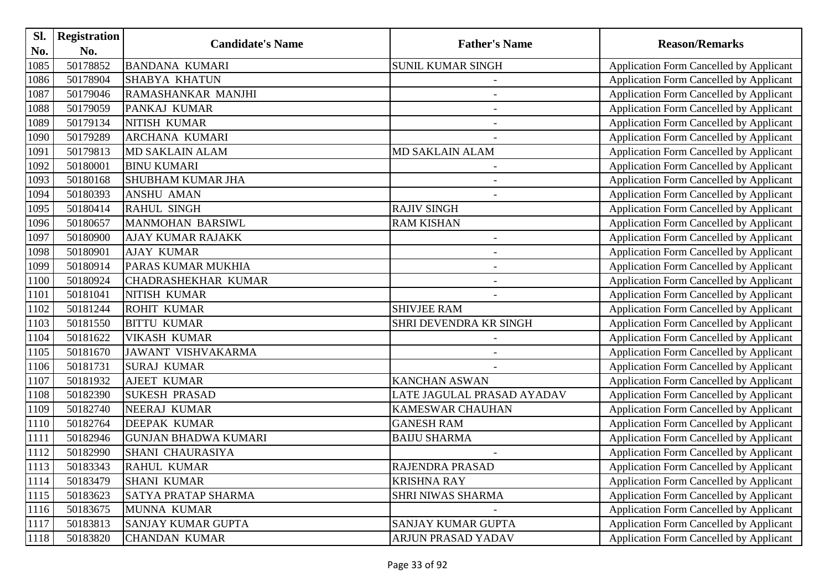| Sl.  | <b>Registration</b> |                             |                            |                                                |
|------|---------------------|-----------------------------|----------------------------|------------------------------------------------|
| No.  | No.                 | <b>Candidate's Name</b>     | <b>Father's Name</b>       | <b>Reason/Remarks</b>                          |
| 1085 | 50178852            | <b>BANDANA KUMARI</b>       | <b>SUNIL KUMAR SINGH</b>   | Application Form Cancelled by Applicant        |
| 1086 | 50178904            | SHABYA KHATUN               |                            | Application Form Cancelled by Applicant        |
| 1087 | 50179046            | RAMASHANKAR MANJHI          | $\overline{\phantom{a}}$   | Application Form Cancelled by Applicant        |
| 1088 | 50179059            | PANKAJ KUMAR                |                            | Application Form Cancelled by Applicant        |
| 1089 | 50179134            | NITISH KUMAR                |                            | Application Form Cancelled by Applicant        |
| 1090 | 50179289            | ARCHANA KUMARI              |                            | Application Form Cancelled by Applicant        |
| 1091 | 50179813            | <b>MD SAKLAIN ALAM</b>      | <b>MD SAKLAIN ALAM</b>     | Application Form Cancelled by Applicant        |
| 1092 | 50180001            | <b>BINU KUMARI</b>          |                            | <b>Application Form Cancelled by Applicant</b> |
| 1093 | 50180168            | SHUBHAM KUMAR JHA           |                            | Application Form Cancelled by Applicant        |
| 1094 | 50180393            | <b>ANSHU AMAN</b>           |                            | <b>Application Form Cancelled by Applicant</b> |
| 1095 | 50180414            | <b>RAHUL SINGH</b>          | <b>RAJIV SINGH</b>         | Application Form Cancelled by Applicant        |
| 1096 | 50180657            | <b>MANMOHAN BARSIWL</b>     | <b>RAM KISHAN</b>          | Application Form Cancelled by Applicant        |
| 1097 | 50180900            | <b>AJAY KUMAR RAJAKK</b>    |                            | Application Form Cancelled by Applicant        |
| 1098 | 50180901            | <b>AJAY KUMAR</b>           | $\overline{\phantom{a}}$   | Application Form Cancelled by Applicant        |
| 1099 | 50180914            | PARAS KUMAR MUKHIA          | $\overline{\phantom{a}}$   | Application Form Cancelled by Applicant        |
| 1100 | 50180924            | CHADRASHEKHAR KUMAR         |                            | Application Form Cancelled by Applicant        |
| 1101 | 50181041            | NITISH KUMAR                |                            | Application Form Cancelled by Applicant        |
| 1102 | 50181244            | <b>ROHIT KUMAR</b>          | <b>SHIVJEE RAM</b>         | <b>Application Form Cancelled by Applicant</b> |
| 1103 | 50181550            | <b>BITTU KUMAR</b>          | SHRI DEVENDRA KR SINGH     | Application Form Cancelled by Applicant        |
| 1104 | 50181622            | <b>VIKASH KUMAR</b>         |                            | Application Form Cancelled by Applicant        |
| 1105 | 50181670            | <b>JAWANT VISHVAKARMA</b>   |                            | Application Form Cancelled by Applicant        |
| 1106 | 50181731            | <b>SURAJ KUMAR</b>          |                            | Application Form Cancelled by Applicant        |
| 1107 | 50181932            | <b>AJEET KUMAR</b>          | <b>KANCHAN ASWAN</b>       | Application Form Cancelled by Applicant        |
| 1108 | 50182390            | <b>SUKESH PRASAD</b>        | LATE JAGULAL PRASAD AYADAV | Application Form Cancelled by Applicant        |
| 1109 | 50182740            | NEERAJ KUMAR                | KAMESWAR CHAUHAN           | Application Form Cancelled by Applicant        |
| 1110 | 50182764            | DEEPAK KUMAR                | <b>GANESH RAM</b>          | Application Form Cancelled by Applicant        |
| 1111 | 50182946            | <b>GUNJAN BHADWA KUMARI</b> | <b>BAIJU SHARMA</b>        | Application Form Cancelled by Applicant        |
| 1112 | 50182990            | SHANI CHAURASIYA            |                            | Application Form Cancelled by Applicant        |
| 1113 | 50183343            | RAHUL KUMAR                 | <b>RAJENDRA PRASAD</b>     | Application Form Cancelled by Applicant        |
| 1114 | 50183479            | <b>SHANI KUMAR</b>          | <b>KRISHNA RAY</b>         | Application Form Cancelled by Applicant        |
| 1115 | 50183623            | SATYA PRATAP SHARMA         | SHRI NIWAS SHARMA          | Application Form Cancelled by Applicant        |
| 1116 | 50183675            | MUNNA KUMAR                 |                            | Application Form Cancelled by Applicant        |
| 1117 | 50183813            | SANJAY KUMAR GUPTA          | SANJAY KUMAR GUPTA         | Application Form Cancelled by Applicant        |
| 1118 | 50183820            | <b>CHANDAN KUMAR</b>        | <b>ARJUN PRASAD YADAV</b>  | Application Form Cancelled by Applicant        |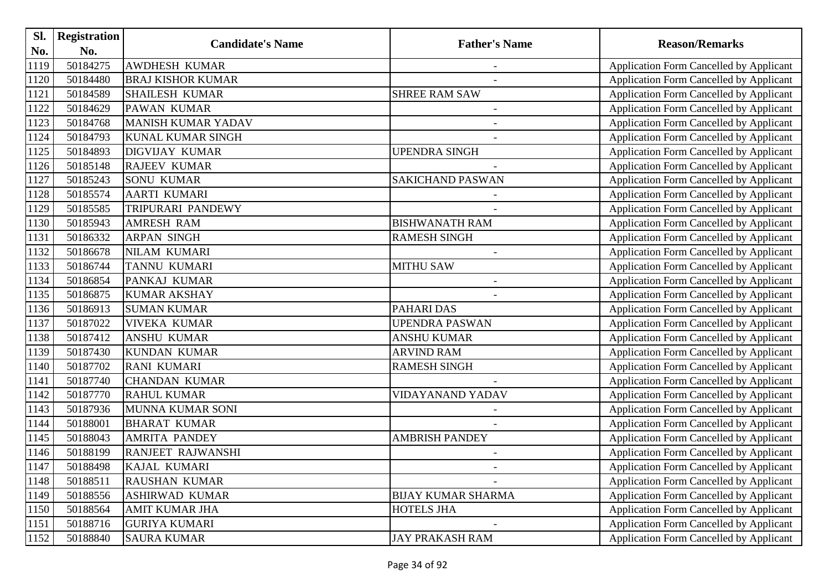| Sl.  | <b>Registration</b> |                           |                           |                                                |
|------|---------------------|---------------------------|---------------------------|------------------------------------------------|
| No.  | No.                 | <b>Candidate's Name</b>   | <b>Father's Name</b>      | <b>Reason/Remarks</b>                          |
| 1119 | 50184275            | <b>AWDHESH KUMAR</b>      |                           | Application Form Cancelled by Applicant        |
| 1120 | 50184480            | <b>BRAJ KISHOR KUMAR</b>  |                           | Application Form Cancelled by Applicant        |
| 1121 | 50184589            | <b>SHAILESH KUMAR</b>     | <b>SHREE RAM SAW</b>      | Application Form Cancelled by Applicant        |
| 1122 | 50184629            | PAWAN KUMAR               |                           | Application Form Cancelled by Applicant        |
| 1123 | 50184768            | <b>MANISH KUMAR YADAV</b> |                           | Application Form Cancelled by Applicant        |
| 1124 | 50184793            | KUNAL KUMAR SINGH         |                           | Application Form Cancelled by Applicant        |
| 1125 | 50184893            | <b>DIGVIJAY KUMAR</b>     | <b>UPENDRA SINGH</b>      | Application Form Cancelled by Applicant        |
| 1126 | 50185148            | <b>RAJEEV KUMAR</b>       |                           | Application Form Cancelled by Applicant        |
| 1127 | 50185243            | <b>SONU KUMAR</b>         | <b>SAKICHAND PASWAN</b>   | Application Form Cancelled by Applicant        |
| 1128 | 50185574            | <b>AARTI KUMARI</b>       | $\overline{\phantom{a}}$  | Application Form Cancelled by Applicant        |
| 1129 | 50185585            | TRIPURARI PANDEWY         |                           | Application Form Cancelled by Applicant        |
| 1130 | 50185943            | <b>AMRESH RAM</b>         | <b>BISHWANATH RAM</b>     | Application Form Cancelled by Applicant        |
| 1131 | 50186332            | <b>ARPAN SINGH</b>        | <b>RAMESH SINGH</b>       | <b>Application Form Cancelled by Applicant</b> |
| 1132 | 50186678            | NILAM KUMARI              |                           | <b>Application Form Cancelled by Applicant</b> |
| 1133 | 50186744            | <b>TANNU KUMARI</b>       | <b>MITHU SAW</b>          | Application Form Cancelled by Applicant        |
| 1134 | 50186854            | PANKAJ KUMAR              | $\overline{\phantom{a}}$  | Application Form Cancelled by Applicant        |
| 1135 | 50186875            | <b>KUMAR AKSHAY</b>       |                           | <b>Application Form Cancelled by Applicant</b> |
| 1136 | 50186913            | <b>SUMAN KUMAR</b>        | PAHARI DAS                | Application Form Cancelled by Applicant        |
| 1137 | 50187022            | <b>VIVEKA KUMAR</b>       | <b>UPENDRA PASWAN</b>     | Application Form Cancelled by Applicant        |
| 1138 | 50187412            | <b>ANSHU KUMAR</b>        | <b>ANSHU KUMAR</b>        | Application Form Cancelled by Applicant        |
| 1139 | 50187430            | <b>KUNDAN KUMAR</b>       | <b>ARVIND RAM</b>         | Application Form Cancelled by Applicant        |
| 1140 | 50187702            | <b>RANI KUMARI</b>        | <b>RAMESH SINGH</b>       | Application Form Cancelled by Applicant        |
| 1141 | 50187740            | <b>CHANDAN KUMAR</b>      |                           | Application Form Cancelled by Applicant        |
| 1142 | 50187770            | <b>RAHUL KUMAR</b>        | <b>VIDAYANAND YADAV</b>   | <b>Application Form Cancelled by Applicant</b> |
| 1143 | 50187936            | MUNNA KUMAR SONI          |                           | Application Form Cancelled by Applicant        |
| 1144 | 50188001            | <b>BHARAT KUMAR</b>       |                           | Application Form Cancelled by Applicant        |
| 1145 | 50188043            | <b>AMRITA PANDEY</b>      | <b>AMBRISH PANDEY</b>     | Application Form Cancelled by Applicant        |
| 1146 | 50188199            | RANJEET RAJWANSHI         |                           | <b>Application Form Cancelled by Applicant</b> |
| 1147 | 50188498            | KAJAL KUMARI              |                           | <b>Application Form Cancelled by Applicant</b> |
| 1148 | 50188511            | RAUSHAN KUMAR             |                           | Application Form Cancelled by Applicant        |
| 1149 | 50188556            | ASHIRWAD KUMAR            | <b>BIJAY KUMAR SHARMA</b> | Application Form Cancelled by Applicant        |
| 1150 | 50188564            | AMIT KUMAR JHA            | <b>HOTELS JHA</b>         | Application Form Cancelled by Applicant        |
| 1151 | 50188716            | <b>GURIYA KUMARI</b>      |                           | Application Form Cancelled by Applicant        |
| 1152 | 50188840            | <b>SAURA KUMAR</b>        | <b>JAY PRAKASH RAM</b>    | Application Form Cancelled by Applicant        |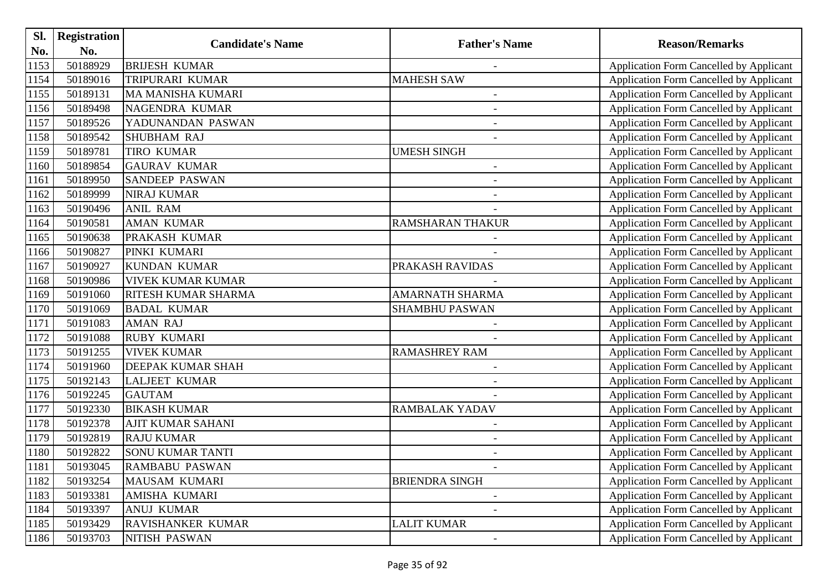| Sl.  | <b>Registration</b> |                          | <b>Father's Name</b>     | <b>Reason/Remarks</b>                          |
|------|---------------------|--------------------------|--------------------------|------------------------------------------------|
| No.  | No.                 | <b>Candidate's Name</b>  |                          |                                                |
| 1153 | 50188929            | <b>BRIJESH KUMAR</b>     |                          | Application Form Cancelled by Applicant        |
| 1154 | 50189016            | TRIPURARI KUMAR          | <b>MAHESH SAW</b>        | <b>Application Form Cancelled by Applicant</b> |
| 1155 | 50189131            | <b>MA MANISHA KUMARI</b> | $\overline{\phantom{a}}$ | Application Form Cancelled by Applicant        |
| 1156 | 50189498            | NAGENDRA KUMAR           |                          | Application Form Cancelled by Applicant        |
| 1157 | 50189526            | YADUNANDAN PASWAN        | $\overline{\phantom{a}}$ | <b>Application Form Cancelled by Applicant</b> |
| 1158 | 50189542            | <b>SHUBHAM RAJ</b>       |                          | <b>Application Form Cancelled by Applicant</b> |
| 1159 | 50189781            | <b>TIRO KUMAR</b>        | <b>UMESH SINGH</b>       | Application Form Cancelled by Applicant        |
| 1160 | 50189854            | <b>GAURAV KUMAR</b>      | $\overline{\phantom{a}}$ | <b>Application Form Cancelled by Applicant</b> |
| 1161 | 50189950            | <b>SANDEEP PASWAN</b>    |                          | Application Form Cancelled by Applicant        |
| 1162 | 50189999            | <b>NIRAJ KUMAR</b>       | $\overline{\phantom{a}}$ | Application Form Cancelled by Applicant        |
| 1163 | 50190496            | <b>ANIL RAM</b>          |                          | Application Form Cancelled by Applicant        |
| 1164 | 50190581            | <b>AMAN KUMAR</b>        | RAMSHARAN THAKUR         | Application Form Cancelled by Applicant        |
| 1165 | 50190638            | PRAKASH KUMAR            |                          | Application Form Cancelled by Applicant        |
| 1166 | 50190827            | PINKI KUMARI             |                          | <b>Application Form Cancelled by Applicant</b> |
| 1167 | 50190927            | <b>KUNDAN KUMAR</b>      | PRAKASH RAVIDAS          | <b>Application Form Cancelled by Applicant</b> |
| 1168 | 50190986            | <b>VIVEK KUMAR KUMAR</b> |                          | Application Form Cancelled by Applicant        |
| 1169 | 50191060            | RITESH KUMAR SHARMA      | <b>AMARNATH SHARMA</b>   | <b>Application Form Cancelled by Applicant</b> |
| 1170 | 50191069            | <b>BADAL KUMAR</b>       | <b>SHAMBHU PASWAN</b>    | Application Form Cancelled by Applicant        |
| 1171 | 50191083            | <b>AMAN RAJ</b>          |                          | Application Form Cancelled by Applicant        |
| 1172 | 50191088            | <b>RUBY KUMARI</b>       |                          | Application Form Cancelled by Applicant        |
| 1173 | 50191255            | <b>VIVEK KUMAR</b>       | <b>RAMASHREY RAM</b>     | Application Form Cancelled by Applicant        |
| 1174 | 50191960            | <b>DEEPAK KUMAR SHAH</b> | $\overline{\phantom{a}}$ | <b>Application Form Cancelled by Applicant</b> |
| 1175 | 50192143            | <b>LALJEET KUMAR</b>     |                          | Application Form Cancelled by Applicant        |
| 1176 | 50192245            | <b>GAUTAM</b>            |                          | <b>Application Form Cancelled by Applicant</b> |
| 1177 | 50192330            | <b>BIKASH KUMAR</b>      | <b>RAMBALAK YADAV</b>    | Application Form Cancelled by Applicant        |
| 1178 | 50192378            | <b>AJIT KUMAR SAHANI</b> |                          | Application Form Cancelled by Applicant        |
| 1179 | 50192819            | <b>RAJU KUMAR</b>        | $\overline{\phantom{0}}$ | Application Form Cancelled by Applicant        |
| 1180 | 50192822            | <b>SONU KUMAR TANTI</b>  |                          | <b>Application Form Cancelled by Applicant</b> |
| 1181 | 50193045            | <b>RAMBABU PASWAN</b>    |                          | <b>Application Form Cancelled by Applicant</b> |
| 1182 | 50193254            | MAUSAM KUMARI            | <b>BRIENDRA SINGH</b>    | Application Form Cancelled by Applicant        |
| 1183 | 50193381            | AMISHA KUMARI            |                          | Application Form Cancelled by Applicant        |
| 1184 | 50193397            | <b>ANUJ KUMAR</b>        |                          | <b>Application Form Cancelled by Applicant</b> |
| 1185 | 50193429            | RAVISHANKER KUMAR        | <b>LALIT KUMAR</b>       | <b>Application Form Cancelled by Applicant</b> |
| 1186 | 50193703            | NITISH PASWAN            | -                        | Application Form Cancelled by Applicant        |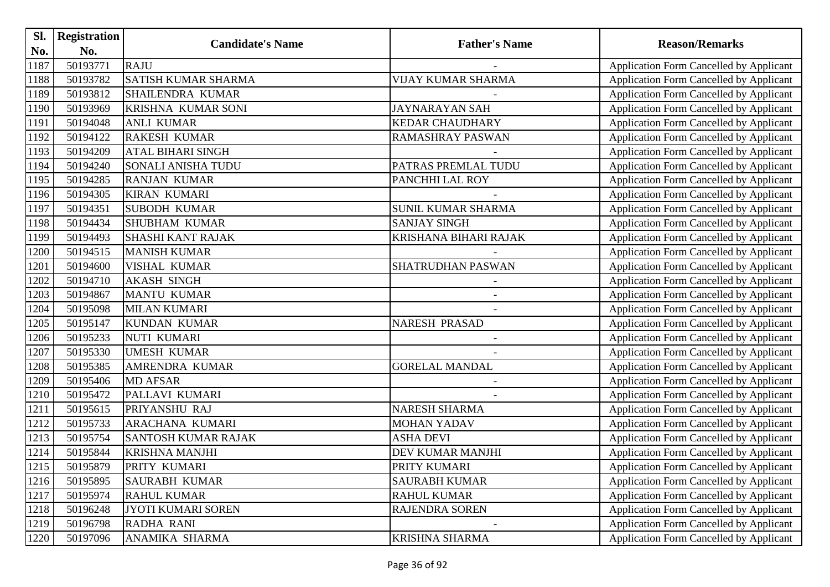| SI.  | <b>Registration</b> |                            |                          |                                                |
|------|---------------------|----------------------------|--------------------------|------------------------------------------------|
| No.  | No.                 | <b>Candidate's Name</b>    | <b>Father's Name</b>     | <b>Reason/Remarks</b>                          |
| 1187 | 50193771            | <b>RAJU</b>                |                          | Application Form Cancelled by Applicant        |
| 1188 | 50193782            | <b>SATISH KUMAR SHARMA</b> | VIJAY KUMAR SHARMA       | Application Form Cancelled by Applicant        |
| 1189 | 50193812            | <b>SHAILENDRA KUMAR</b>    |                          | Application Form Cancelled by Applicant        |
| 1190 | 50193969            | <b>KRISHNA KUMAR SONI</b>  | <b>JAYNARAYAN SAH</b>    | Application Form Cancelled by Applicant        |
| 1191 | 50194048            | <b>ANLI KUMAR</b>          | <b>KEDAR CHAUDHARY</b>   | Application Form Cancelled by Applicant        |
| 1192 | 50194122            | <b>RAKESH KUMAR</b>        | RAMASHRAY PASWAN         | Application Form Cancelled by Applicant        |
| 1193 | 50194209            | <b>ATAL BIHARI SINGH</b>   |                          | Application Form Cancelled by Applicant        |
| 1194 | 50194240            | <b>SONALI ANISHA TUDU</b>  | PATRAS PREMLAL TUDU      | Application Form Cancelled by Applicant        |
| 1195 | 50194285            | <b>RANJAN KUMAR</b>        | PANCHHI LAL ROY          | Application Form Cancelled by Applicant        |
| 1196 | 50194305            | <b>KIRAN KUMARI</b>        |                          | Application Form Cancelled by Applicant        |
| 1197 | 50194351            | <b>SUBODH KUMAR</b>        | SUNIL KUMAR SHARMA       | Application Form Cancelled by Applicant        |
| 1198 | 50194434            | <b>SHUBHAM KUMAR</b>       | <b>SANJAY SINGH</b>      | Application Form Cancelled by Applicant        |
| 1199 | 50194493            | <b>SHASHI KANT RAJAK</b>   | KRISHANA BIHARI RAJAK    | <b>Application Form Cancelled by Applicant</b> |
| 1200 | 50194515            | <b>MANISH KUMAR</b>        |                          | Application Form Cancelled by Applicant        |
| 1201 | 50194600            | <b>VISHAL KUMAR</b>        | <b>SHATRUDHAN PASWAN</b> | <b>Application Form Cancelled by Applicant</b> |
| 1202 | 50194710            | <b>AKASH SINGH</b>         |                          | Application Form Cancelled by Applicant        |
| 1203 | 50194867            | <b>MANTU KUMAR</b>         |                          | Application Form Cancelled by Applicant        |
| 1204 | 50195098            | <b>MILAN KUMARI</b>        |                          | Application Form Cancelled by Applicant        |
| 1205 | 50195147            | <b>KUNDAN KUMAR</b>        | <b>NARESH PRASAD</b>     | Application Form Cancelled by Applicant        |
| 1206 | 50195233            | <b>NUTI KUMARI</b>         | $\blacksquare$           | Application Form Cancelled by Applicant        |
| 1207 | 50195330            | <b>UMESH KUMAR</b>         |                          | Application Form Cancelled by Applicant        |
| 1208 | 50195385            | AMRENDRA KUMAR             | <b>GORELAL MANDAL</b>    | Application Form Cancelled by Applicant        |
| 1209 | 50195406            | <b>MD AFSAR</b>            |                          | Application Form Cancelled by Applicant        |
| 1210 | 50195472            | PALLAVI KUMARI             |                          | Application Form Cancelled by Applicant        |
| 1211 | 50195615            | PRIYANSHU RAJ              | <b>NARESH SHARMA</b>     | Application Form Cancelled by Applicant        |
| 1212 | 50195733            | <b>ARACHANA KUMARI</b>     | <b>MOHAN YADAV</b>       | Application Form Cancelled by Applicant        |
| 1213 | 50195754            | <b>SANTOSH KUMAR RAJAK</b> | <b>ASHA DEVI</b>         | Application Form Cancelled by Applicant        |
| 1214 | 50195844            | <b>KRISHNA MANJHI</b>      | DEV KUMAR MANJHI         | Application Form Cancelled by Applicant        |
| 1215 | 50195879            | PRITY KUMARI               | PRITY KUMARI             | Application Form Cancelled by Applicant        |
| 1216 | 50195895            | <b>SAURABH KUMAR</b>       | <b>SAURABH KUMAR</b>     | <b>Application Form Cancelled by Applicant</b> |
| 1217 | 50195974            | <b>RAHUL KUMAR</b>         | <b>RAHUL KUMAR</b>       | Application Form Cancelled by Applicant        |
| 1218 | 50196248            | JYOTI KUMARI SOREN         | RAJENDRA SOREN           | Application Form Cancelled by Applicant        |
| 1219 | 50196798            | <b>RADHA RANI</b>          |                          | Application Form Cancelled by Applicant        |
| 1220 | 50197096            | ANAMIKA SHARMA             | <b>KRISHNA SHARMA</b>    | Application Form Cancelled by Applicant        |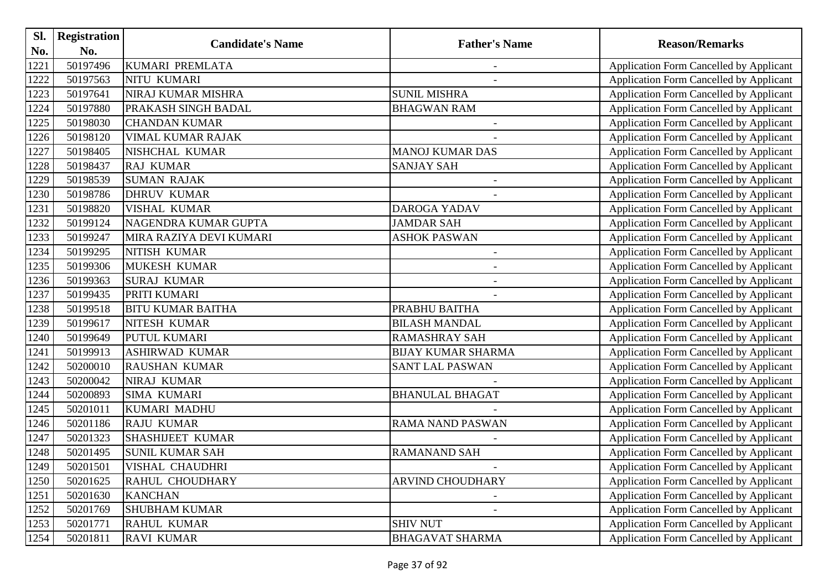| Sl.  | <b>Registration</b> |                           |                           |                                                |
|------|---------------------|---------------------------|---------------------------|------------------------------------------------|
| No.  | No.                 | <b>Candidate's Name</b>   | <b>Father's Name</b>      | <b>Reason/Remarks</b>                          |
| 1221 | 50197496            | <b>KUMARI PREMLATA</b>    | $\blacksquare$            | Application Form Cancelled by Applicant        |
| 1222 | 50197563            | NITU KUMARI               |                           | Application Form Cancelled by Applicant        |
| 1223 | 50197641            | <b>NIRAJ KUMAR MISHRA</b> | <b>SUNIL MISHRA</b>       | <b>Application Form Cancelled by Applicant</b> |
| 1224 | 50197880            | PRAKASH SINGH BADAL       | <b>BHAGWAN RAM</b>        | Application Form Cancelled by Applicant        |
| 1225 | 50198030            | <b>CHANDAN KUMAR</b>      |                           | <b>Application Form Cancelled by Applicant</b> |
| 1226 | 50198120            | <b>VIMAL KUMAR RAJAK</b>  |                           | <b>Application Form Cancelled by Applicant</b> |
| 1227 | 50198405            | NISHCHAL KUMAR            | <b>MANOJ KUMAR DAS</b>    | Application Form Cancelled by Applicant        |
| 1228 | 50198437            | <b>RAJ KUMAR</b>          | <b>SANJAY SAH</b>         | <b>Application Form Cancelled by Applicant</b> |
| 1229 | 50198539            | <b>SUMAN RAJAK</b>        |                           | Application Form Cancelled by Applicant        |
| 1230 | 50198786            | <b>DHRUV KUMAR</b>        |                           | Application Form Cancelled by Applicant        |
| 1231 | 50198820            | <b>VISHAL KUMAR</b>       | DAROGA YADAV              | Application Form Cancelled by Applicant        |
| 1232 | 50199124            | NAGENDRA KUMAR GUPTA      | <b>JAMDAR SAH</b>         | Application Form Cancelled by Applicant        |
| 1233 | 50199247            | MIRA RAZIYA DEVI KUMARI   | <b>ASHOK PASWAN</b>       | Application Form Cancelled by Applicant        |
| 1234 | 50199295            | NITISH KUMAR              | $\overline{\phantom{a}}$  | Application Form Cancelled by Applicant        |
| 1235 | 50199306            | <b>MUKESH KUMAR</b>       | $\overline{\phantom{a}}$  | <b>Application Form Cancelled by Applicant</b> |
| 1236 | 50199363            | <b>SURAJ KUMAR</b>        |                           | Application Form Cancelled by Applicant        |
| 1237 | 50199435            | PRITI KUMARI              |                           | <b>Application Form Cancelled by Applicant</b> |
| 1238 | 50199518            | <b>BITU KUMAR BAITHA</b>  | PRABHU BAITHA             | Application Form Cancelled by Applicant        |
| 1239 | 50199617            | NITESH KUMAR              | <b>BILASH MANDAL</b>      | Application Form Cancelled by Applicant        |
| 1240 | 50199649            | <b>PUTUL KUMARI</b>       | <b>RAMASHRAY SAH</b>      | <b>Application Form Cancelled by Applicant</b> |
| 1241 | 50199913            | <b>ASHIRWAD KUMAR</b>     | <b>BIJAY KUMAR SHARMA</b> | Application Form Cancelled by Applicant        |
| 1242 | 50200010            | <b>RAUSHAN KUMAR</b>      | <b>SANT LAL PASWAN</b>    | <b>Application Form Cancelled by Applicant</b> |
| 1243 | 50200042            | <b>NIRAJ KUMAR</b>        |                           | Application Form Cancelled by Applicant        |
| 1244 | 50200893            | <b>SIMA KUMARI</b>        | <b>BHANULAL BHAGAT</b>    | Application Form Cancelled by Applicant        |
| 1245 | 50201011            | <b>KUMARI MADHU</b>       |                           | Application Form Cancelled by Applicant        |
| 1246 | 50201186            | <b>RAJU KUMAR</b>         | <b>RAMA NAND PASWAN</b>   | Application Form Cancelled by Applicant        |
| 1247 | 50201323            | <b>SHASHIJEET KUMAR</b>   |                           | <b>Application Form Cancelled by Applicant</b> |
| 1248 | 50201495            | <b>SUNIL KUMAR SAH</b>    | <b>RAMANAND SAH</b>       | Application Form Cancelled by Applicant        |
| 1249 | 50201501            | <b>VISHAL CHAUDHRI</b>    |                           | Application Form Cancelled by Applicant        |
| 1250 | 50201625            | RAHUL CHOUDHARY           | <b>ARVIND CHOUDHARY</b>   | Application Form Cancelled by Applicant        |
| 1251 | 50201630            | <b>KANCHAN</b>            |                           | <b>Application Form Cancelled by Applicant</b> |
| 1252 | 50201769            | <b>SHUBHAM KUMAR</b>      |                           | <b>Application Form Cancelled by Applicant</b> |
| 1253 | 50201771            | <b>RAHUL KUMAR</b>        | <b>SHIV NUT</b>           | Application Form Cancelled by Applicant        |
| 1254 | 50201811            | <b>RAVI KUMAR</b>         | <b>BHAGAVAT SHARMA</b>    | Application Form Cancelled by Applicant        |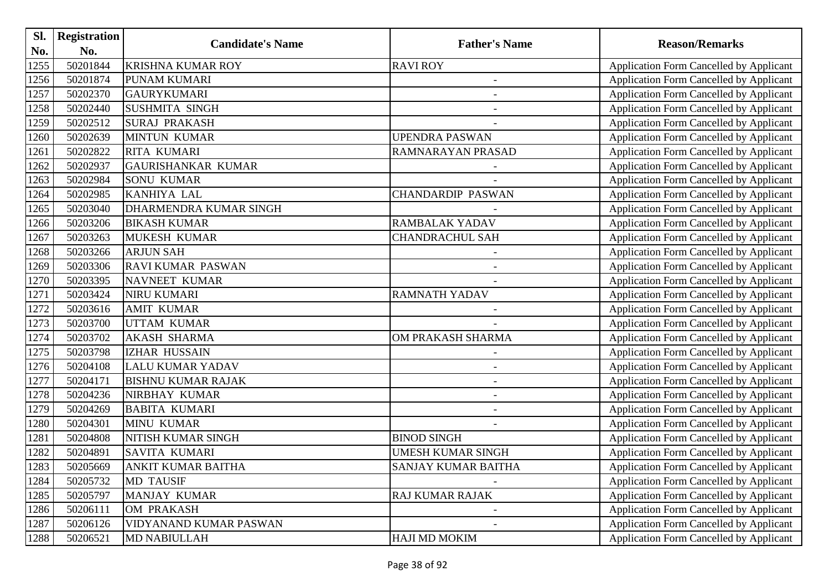| Sl.  | <b>Registration</b> |                           |                            |                                                |
|------|---------------------|---------------------------|----------------------------|------------------------------------------------|
| No.  | No.                 | <b>Candidate's Name</b>   | <b>Father's Name</b>       | <b>Reason/Remarks</b>                          |
| 1255 | 50201844            | <b>KRISHNA KUMAR ROY</b>  | <b>RAVI ROY</b>            | Application Form Cancelled by Applicant        |
| 1256 | 50201874            | <b>PUNAM KUMARI</b>       | $\overline{\phantom{a}}$   | Application Form Cancelled by Applicant        |
| 1257 | 50202370            | <b>GAURYKUMARI</b>        |                            | <b>Application Form Cancelled by Applicant</b> |
| 1258 | 50202440            | <b>SUSHMITA SINGH</b>     |                            | Application Form Cancelled by Applicant        |
| 1259 | 50202512            | <b>SURAJ PRAKASH</b>      |                            | <b>Application Form Cancelled by Applicant</b> |
| 1260 | 50202639            | <b>MINTUN KUMAR</b>       | <b>UPENDRA PASWAN</b>      | <b>Application Form Cancelled by Applicant</b> |
| 1261 | 50202822            | <b>RITA KUMARI</b>        | RAMNARAYAN PRASAD          | Application Form Cancelled by Applicant        |
| 1262 | 50202937            | GAURISHANKAR KUMAR        |                            | <b>Application Form Cancelled by Applicant</b> |
| 1263 | 50202984            | <b>SONU KUMAR</b>         |                            | Application Form Cancelled by Applicant        |
| 1264 | 50202985            | <b>KANHIYA LAL</b>        | <b>CHANDARDIP PASWAN</b>   | Application Form Cancelled by Applicant        |
| 1265 | 50203040            | DHARMENDRA KUMAR SINGH    |                            | Application Form Cancelled by Applicant        |
| 1266 | 50203206            | <b>BIKASH KUMAR</b>       | <b>RAMBALAK YADAV</b>      | <b>Application Form Cancelled by Applicant</b> |
| 1267 | 50203263            | <b>MUKESH KUMAR</b>       | <b>CHANDRACHUL SAH</b>     | Application Form Cancelled by Applicant        |
| 1268 | 50203266            | <b>ARJUN SAH</b>          |                            | Application Form Cancelled by Applicant        |
| 1269 | 50203306            | <b>RAVIKUMAR PASWAN</b>   | $\overline{\phantom{a}}$   | <b>Application Form Cancelled by Applicant</b> |
| 1270 | 50203395            | <b>NAVNEET KUMAR</b>      |                            | Application Form Cancelled by Applicant        |
| 1271 | 50203424            | <b>NIRU KUMARI</b>        | <b>RAMNATH YADAV</b>       | <b>Application Form Cancelled by Applicant</b> |
| 1272 | 50203616            | <b>AMIT KUMAR</b>         |                            | Application Form Cancelled by Applicant        |
| 1273 | 50203700            | <b>UTTAM KUMAR</b>        |                            | Application Form Cancelled by Applicant        |
| 1274 | 50203702            | <b>AKASH SHARMA</b>       | OM PRAKASH SHARMA          | <b>Application Form Cancelled by Applicant</b> |
| 1275 | 50203798            | <b>IZHAR HUSSAIN</b>      |                            | Application Form Cancelled by Applicant        |
| 1276 | 50204108            | <b>LALU KUMAR YADAV</b>   | $\overline{\phantom{a}}$   | <b>Application Form Cancelled by Applicant</b> |
| 1277 | 50204171            | <b>BISHNU KUMAR RAJAK</b> |                            | Application Form Cancelled by Applicant        |
| 1278 | 50204236            | NIRBHAY KUMAR             | $\overline{\phantom{a}}$   | <b>Application Form Cancelled by Applicant</b> |
| 1279 | 50204269            | <b>BABITA KUMARI</b>      | $\overline{\phantom{a}}$   | Application Form Cancelled by Applicant        |
| 1280 | 50204301            | <b>MINU KUMAR</b>         |                            | Application Form Cancelled by Applicant        |
| 1281 | 50204808            | NITISH KUMAR SINGH        | <b>BINOD SINGH</b>         | Application Form Cancelled by Applicant        |
| 1282 | 50204891            | <b>SAVITA KUMARI</b>      | <b>UMESH KUMAR SINGH</b>   | Application Form Cancelled by Applicant        |
| 1283 | 50205669            | <b>ANKIT KUMAR BAITHA</b> | <b>SANJAY KUMAR BAITHA</b> | Application Form Cancelled by Applicant        |
| 1284 | 50205732            | <b>MD TAUSIF</b>          |                            | Application Form Cancelled by Applicant        |
| 1285 | 50205797            | MANJAY KUMAR              | <b>RAJ KUMAR RAJAK</b>     | <b>Application Form Cancelled by Applicant</b> |
| 1286 | 50206111            | <b>OM PRAKASH</b>         |                            | <b>Application Form Cancelled by Applicant</b> |
| 1287 | 50206126            | VIDYANAND KUMAR PASWAN    |                            | Application Form Cancelled by Applicant        |
| 1288 | 50206521            | MD NABIULLAH              | HAJI MD MOKIM              | Application Form Cancelled by Applicant        |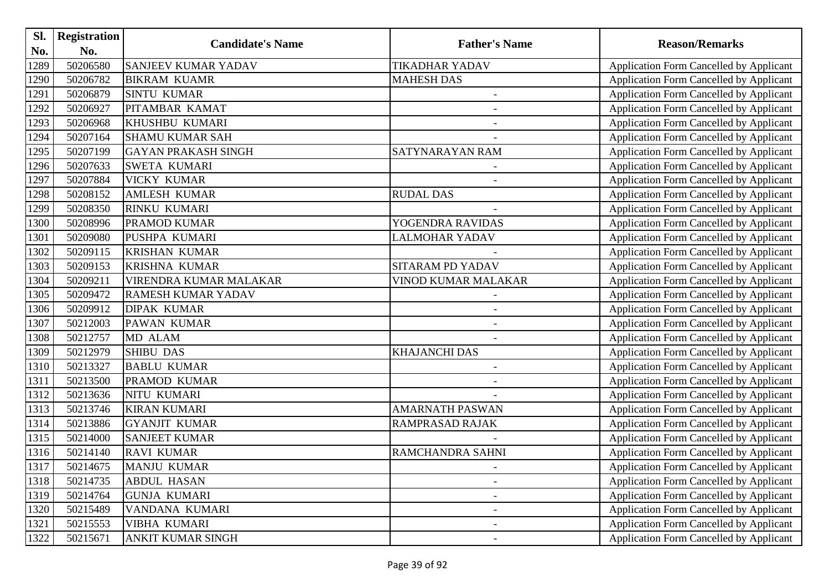| Sl.  | <b>Registration</b> |                            | <b>Father's Name</b>     |                                                |
|------|---------------------|----------------------------|--------------------------|------------------------------------------------|
| No.  | No.                 | <b>Candidate's Name</b>    |                          | <b>Reason/Remarks</b>                          |
| 1289 | 50206580            | <b>SANJEEV KUMAR YADAV</b> | <b>TIKADHAR YADAV</b>    | Application Form Cancelled by Applicant        |
| 1290 | 50206782            | <b>BIKRAM KUAMR</b>        | <b>MAHESH DAS</b>        | Application Form Cancelled by Applicant        |
| 1291 | 50206879            | <b>SINTU KUMAR</b>         | $\overline{\phantom{a}}$ | <b>Application Form Cancelled by Applicant</b> |
| 1292 | 50206927            | PITAMBAR KAMAT             |                          | Application Form Cancelled by Applicant        |
| 1293 | 50206968            | <b>KHUSHBU KUMARI</b>      |                          | Application Form Cancelled by Applicant        |
| 1294 | 50207164            | <b>SHAMU KUMAR SAH</b>     |                          | <b>Application Form Cancelled by Applicant</b> |
| 1295 | 50207199            | <b>GAYAN PRAKASH SINGH</b> | SATYNARAYAN RAM          | Application Form Cancelled by Applicant        |
| 1296 | 50207633            | <b>SWETA KUMARI</b>        |                          | <b>Application Form Cancelled by Applicant</b> |
| 1297 | 50207884            | <b>VICKY KUMAR</b>         |                          | Application Form Cancelled by Applicant        |
| 1298 | 50208152            | <b>AMLESH KUMAR</b>        | <b>RUDAL DAS</b>         | Application Form Cancelled by Applicant        |
| 1299 | 50208350            | <b>RINKU KUMARI</b>        |                          | Application Form Cancelled by Applicant        |
| 1300 | 50208996            | <b>PRAMOD KUMAR</b>        | YOGENDRA RAVIDAS         | <b>Application Form Cancelled by Applicant</b> |
| 1301 | 50209080            | PUSHPA KUMARI              | <b>LALMOHAR YADAV</b>    | Application Form Cancelled by Applicant        |
| 1302 | 50209115            | <b>KRISHAN KUMAR</b>       |                          | Application Form Cancelled by Applicant        |
| 1303 | 50209153            | <b>KRISHNA KUMAR</b>       | SITARAM PD YADAV         | <b>Application Form Cancelled by Applicant</b> |
| 1304 | 50209211            | VIRENDRA KUMAR MALAKAR     | VINOD KUMAR MALAKAR      | Application Form Cancelled by Applicant        |
| 1305 | 50209472            | <b>RAMESH KUMAR YADAV</b>  |                          | <b>Application Form Cancelled by Applicant</b> |
| 1306 | 50209912            | <b>DIPAK KUMAR</b>         |                          | <b>Application Form Cancelled by Applicant</b> |
| 1307 | 50212003            | <b>PAWAN KUMAR</b>         |                          | Application Form Cancelled by Applicant        |
| 1308 | 50212757            | MD ALAM                    | $\overline{\phantom{a}}$ | <b>Application Form Cancelled by Applicant</b> |
| 1309 | 50212979            | <b>SHIBU DAS</b>           | <b>KHAJANCHI DAS</b>     | Application Form Cancelled by Applicant        |
| 1310 | 50213327            | <b>BABLU KUMAR</b>         | $\overline{\phantom{a}}$ | <b>Application Form Cancelled by Applicant</b> |
| 1311 | 50213500            | PRAMOD KUMAR               |                          | Application Form Cancelled by Applicant        |
| 1312 | 50213636            | NITU KUMARI                |                          | Application Form Cancelled by Applicant        |
| 1313 | 50213746            | <b>KIRAN KUMARI</b>        | <b>AMARNATH PASWAN</b>   | Application Form Cancelled by Applicant        |
| 1314 | 50213886            | <b>GYANJIT KUMAR</b>       | RAMPRASAD RAJAK          | Application Form Cancelled by Applicant        |
| 1315 | 50214000            | <b>SANJEET KUMAR</b>       |                          | <b>Application Form Cancelled by Applicant</b> |
| 1316 | 50214140            | <b>RAVI KUMAR</b>          | RAMCHANDRA SAHNI         | Application Form Cancelled by Applicant        |
| 1317 | 50214675            | <b>MANJU KUMAR</b>         |                          | <b>Application Form Cancelled by Applicant</b> |
| 1318 | 50214735            | <b>ABDUL HASAN</b>         |                          | <b>Application Form Cancelled by Applicant</b> |
| 1319 | 50214764            | <b>GUNJA KUMARI</b>        |                          | <b>Application Form Cancelled by Applicant</b> |
| 1320 | 50215489            | VANDANA KUMARI             | $\overline{\phantom{a}}$ | <b>Application Form Cancelled by Applicant</b> |
| 1321 | 50215553            | VIBHA KUMARI               | $\overline{\phantom{a}}$ | <b>Application Form Cancelled by Applicant</b> |
| 1322 | 50215671            | <b>ANKIT KUMAR SINGH</b>   | $\overline{\phantom{a}}$ | Application Form Cancelled by Applicant        |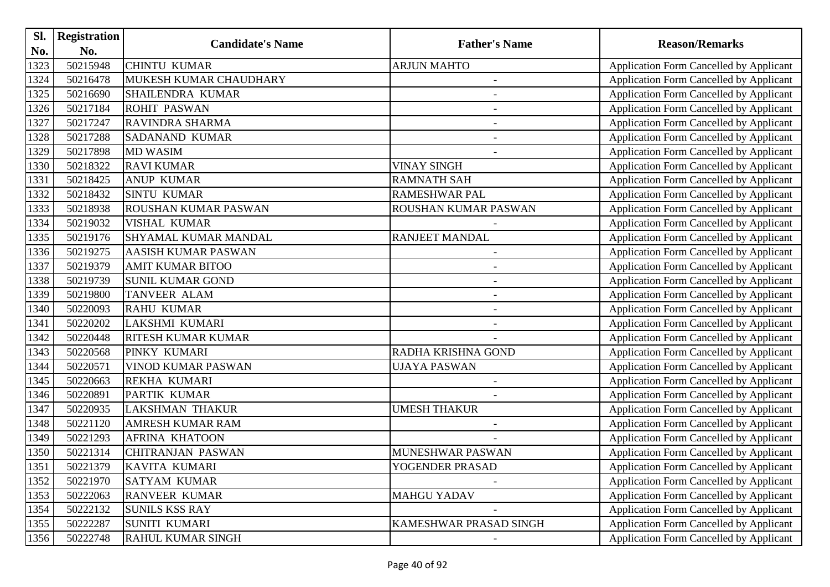| Sl.  | <b>Registration</b> |                             |                          |                                                |
|------|---------------------|-----------------------------|--------------------------|------------------------------------------------|
| No.  | No.                 | <b>Candidate's Name</b>     | <b>Father's Name</b>     | <b>Reason/Remarks</b>                          |
| 1323 | 50215948            | <b>CHINTU KUMAR</b>         | <b>ARJUN MAHTO</b>       | Application Form Cancelled by Applicant        |
| 1324 | 50216478            | MUKESH KUMAR CHAUDHARY      | $\overline{\phantom{a}}$ | Application Form Cancelled by Applicant        |
| 1325 | 50216690            | <b>SHAILENDRA KUMAR</b>     |                          | <b>Application Form Cancelled by Applicant</b> |
| 1326 | 50217184            | <b>ROHIT PASWAN</b>         |                          | Application Form Cancelled by Applicant        |
| 1327 | 50217247            | <b>RAVINDRA SHARMA</b>      |                          | <b>Application Form Cancelled by Applicant</b> |
| 1328 | 50217288            | <b>SADANAND KUMAR</b>       | $\blacksquare$           | Application Form Cancelled by Applicant        |
| 1329 | 50217898            | <b>MD WASIM</b>             |                          | Application Form Cancelled by Applicant        |
| 1330 | 50218322            | <b>RAVI KUMAR</b>           | <b>VINAY SINGH</b>       | <b>Application Form Cancelled by Applicant</b> |
| 1331 | 50218425            | <b>ANUP KUMAR</b>           | <b>RAMNATH SAH</b>       | Application Form Cancelled by Applicant        |
| 1332 | 50218432            | <b>SINTU KUMAR</b>          | <b>RAMESHWAR PAL</b>     | Application Form Cancelled by Applicant        |
| 1333 | 50218938            | <b>ROUSHAN KUMAR PASWAN</b> | ROUSHAN KUMAR PASWAN     | Application Form Cancelled by Applicant        |
| 1334 | 50219032            | <b>VISHAL KUMAR</b>         |                          | Application Form Cancelled by Applicant        |
| 1335 | 50219176            | <b>SHYAMAL KUMAR MANDAL</b> | <b>RANJEET MANDAL</b>    | Application Form Cancelled by Applicant        |
| 1336 | 50219275            | <b>AASISH KUMAR PASWAN</b>  | $\overline{\phantom{a}}$ | Application Form Cancelled by Applicant        |
| 1337 | 50219379            | <b>AMIT KUMAR BITOO</b>     | $\overline{\phantom{a}}$ | <b>Application Form Cancelled by Applicant</b> |
| 1338 | 50219739            | <b>SUNIL KUMAR GOND</b>     | $\qquad \qquad -$        | Application Form Cancelled by Applicant        |
| 1339 | 50219800            | <b>TANVEER ALAM</b>         | $\overline{\phantom{a}}$ | <b>Application Form Cancelled by Applicant</b> |
| 1340 | 50220093            | <b>RAHU KUMAR</b>           |                          | <b>Application Form Cancelled by Applicant</b> |
| 1341 | 50220202            | <b>LAKSHMI KUMARI</b>       |                          | Application Form Cancelled by Applicant        |
| 1342 | 50220448            | <b>RITESH KUMAR KUMAR</b>   |                          | <b>Application Form Cancelled by Applicant</b> |
| 1343 | 50220568            | PINKY KUMARI                | RADHA KRISHNA GOND       | Application Form Cancelled by Applicant        |
| 1344 | 50220571            | <b>VINOD KUMAR PASWAN</b>   | UJAYA PASWAN             | <b>Application Form Cancelled by Applicant</b> |
| 1345 | 50220663            | REKHA KUMARI                |                          | Application Form Cancelled by Applicant        |
| 1346 | 50220891            | PARTIK KUMAR                |                          | Application Form Cancelled by Applicant        |
| 1347 | 50220935            | <b>LAKSHMAN THAKUR</b>      | <b>UMESH THAKUR</b>      | Application Form Cancelled by Applicant        |
| 1348 | 50221120            | <b>AMRESH KUMAR RAM</b>     |                          | Application Form Cancelled by Applicant        |
| 1349 | 50221293            | <b>AFRINA KHATOON</b>       |                          | Application Form Cancelled by Applicant        |
| 1350 | 50221314            | <b>CHITRANJAN PASWAN</b>    | MUNESHWAR PASWAN         | Application Form Cancelled by Applicant        |
| 1351 | 50221379            | KAVITA KUMARI               | YOGENDER PRASAD          | Application Form Cancelled by Applicant        |
| 1352 | 50221970            | <b>SATYAM KUMAR</b>         |                          | Application Form Cancelled by Applicant        |
| 1353 | 50222063            | <b>RANVEER KUMAR</b>        | <b>MAHGU YADAV</b>       | <b>Application Form Cancelled by Applicant</b> |
| 1354 | 50222132            | <b>SUNILS KSS RAY</b>       |                          | <b>Application Form Cancelled by Applicant</b> |
| 1355 | 50222287            | SUNITI KUMARI               | KAMESHWAR PRASAD SINGH   | Application Form Cancelled by Applicant        |
| 1356 | 50222748            | <b>RAHUL KUMAR SINGH</b>    |                          | Application Form Cancelled by Applicant        |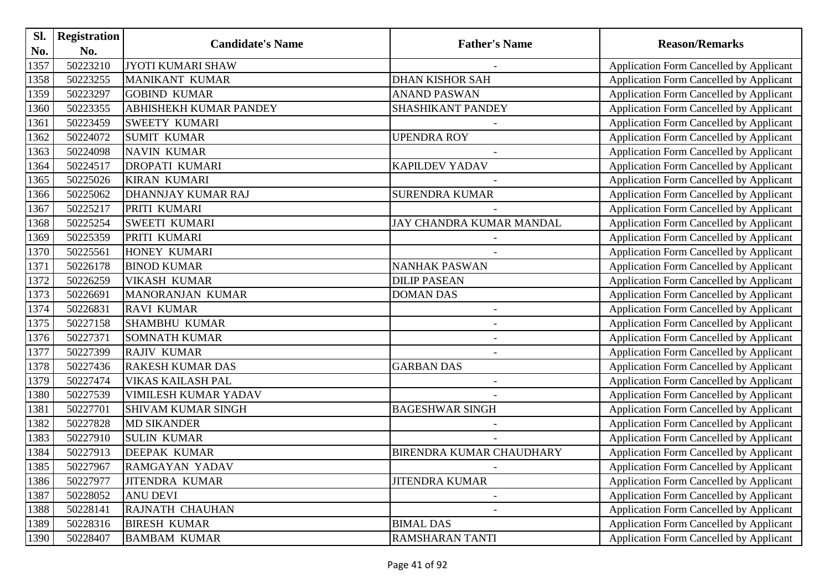| Sl.  | <b>Registration</b> | <b>Candidate's Name</b>       |                                 |                                                |
|------|---------------------|-------------------------------|---------------------------------|------------------------------------------------|
| No.  | No.                 |                               | <b>Father's Name</b>            | <b>Reason/Remarks</b>                          |
| 1357 | 50223210            | <b>JYOTI KUMARI SHAW</b>      |                                 | Application Form Cancelled by Applicant        |
| 1358 | 50223255            | <b>MANIKANT KUMAR</b>         | <b>DHAN KISHOR SAH</b>          | Application Form Cancelled by Applicant        |
| 1359 | 50223297            | <b>GOBIND KUMAR</b>           | <b>ANAND PASWAN</b>             | Application Form Cancelled by Applicant        |
| 1360 | 50223355            | <b>ABHISHEKH KUMAR PANDEY</b> | <b>SHASHIKANT PANDEY</b>        | Application Form Cancelled by Applicant        |
| 1361 | 50223459            | <b>SWEETY KUMARI</b>          |                                 | Application Form Cancelled by Applicant        |
| 1362 | 50224072            | <b>SUMIT KUMAR</b>            | <b>UPENDRA ROY</b>              | Application Form Cancelled by Applicant        |
| 1363 | 50224098            | <b>NAVIN KUMAR</b>            |                                 | Application Form Cancelled by Applicant        |
| 1364 | 50224517            | <b>DROPATI KUMARI</b>         | <b>KAPILDEV YADAV</b>           | Application Form Cancelled by Applicant        |
| 1365 | 50225026            | <b>KIRAN KUMARI</b>           |                                 | Application Form Cancelled by Applicant        |
| 1366 | 50225062            | <b>DHANNJAY KUMAR RAJ</b>     | <b>SURENDRA KUMAR</b>           | Application Form Cancelled by Applicant        |
| 1367 | 50225217            | PRITI KUMARI                  |                                 | Application Form Cancelled by Applicant        |
| 1368 | 50225254            | <b>SWEETI KUMARI</b>          | JAY CHANDRA KUMAR MANDAL        | Application Form Cancelled by Applicant        |
| 1369 | 50225359            | PRITI KUMARI                  |                                 | <b>Application Form Cancelled by Applicant</b> |
| 1370 | 50225561            | HONEY KUMARI                  |                                 | Application Form Cancelled by Applicant        |
| 1371 | 50226178            | <b>BINOD KUMAR</b>            | <b>NANHAK PASWAN</b>            | Application Form Cancelled by Applicant        |
| 1372 | 50226259            | <b>VIKASH KUMAR</b>           | <b>DILIP PASEAN</b>             | Application Form Cancelled by Applicant        |
| 1373 | 50226691            | <b>MANORANJAN KUMAR</b>       | <b>DOMAN DAS</b>                | Application Form Cancelled by Applicant        |
| 1374 | 50226831            | <b>RAVI KUMAR</b>             |                                 | Application Form Cancelled by Applicant        |
| 1375 | 50227158            | <b>SHAMBHU KUMAR</b>          | $\overline{\phantom{a}}$        | Application Form Cancelled by Applicant        |
| 1376 | 50227371            | <b>SOMNATH KUMAR</b>          | $\blacksquare$                  | Application Form Cancelled by Applicant        |
| 1377 | 50227399            | <b>RAJIV KUMAR</b>            |                                 | Application Form Cancelled by Applicant        |
| 1378 | 50227436            | <b>RAKESH KUMAR DAS</b>       | <b>GARBAN DAS</b>               | Application Form Cancelled by Applicant        |
| 1379 | 50227474            | VIKAS KAILASH PAL             |                                 | Application Form Cancelled by Applicant        |
| 1380 | 50227539            | VIMILESH KUMAR YADAV          |                                 | Application Form Cancelled by Applicant        |
| 1381 | 50227701            | <b>SHIVAM KUMAR SINGH</b>     | <b>BAGESHWAR SINGH</b>          | Application Form Cancelled by Applicant        |
| 1382 | 50227828            | <b>MD SIKANDER</b>            |                                 | Application Form Cancelled by Applicant        |
| 1383 | 50227910            | <b>SULIN KUMAR</b>            |                                 | Application Form Cancelled by Applicant        |
| 1384 | 50227913            | <b>DEEPAK KUMAR</b>           | <b>BIRENDRA KUMAR CHAUDHARY</b> | <b>Application Form Cancelled by Applicant</b> |
| 1385 | 50227967            | <b>RAMGAYAN YADAV</b>         |                                 | <b>Application Form Cancelled by Applicant</b> |
| 1386 | 50227977            | <b>JITENDRA KUMAR</b>         | <b>JITENDRA KUMAR</b>           | Application Form Cancelled by Applicant        |
| 1387 | 50228052            | <b>ANU DEVI</b>               |                                 | Application Form Cancelled by Applicant        |
| 1388 | 50228141            | RAJNATH CHAUHAN               |                                 | Application Form Cancelled by Applicant        |
| 1389 | 50228316            | <b>BIRESH KUMAR</b>           | <b>BIMAL DAS</b>                | <b>Application Form Cancelled by Applicant</b> |
| 1390 | 50228407            | <b>BAMBAM KUMAR</b>           | RAMSHARAN TANTI                 | Application Form Cancelled by Applicant        |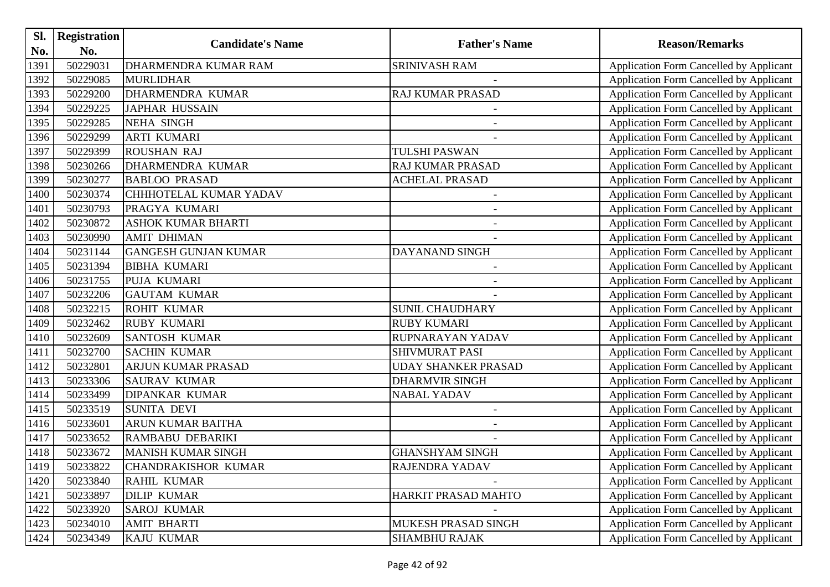| Sl.  | <b>Registration</b> |                             | <b>Father's Name</b>       |                                                |
|------|---------------------|-----------------------------|----------------------------|------------------------------------------------|
| No.  | No.                 | <b>Candidate's Name</b>     |                            | <b>Reason/Remarks</b>                          |
| 1391 | 50229031            | DHARMENDRA KUMAR RAM        | <b>SRINIVASH RAM</b>       | Application Form Cancelled by Applicant        |
| 1392 | 50229085            | <b>MURLIDHAR</b>            |                            | Application Form Cancelled by Applicant        |
| 1393 | 50229200            | DHARMENDRA KUMAR            | RAJ KUMAR PRASAD           | <b>Application Form Cancelled by Applicant</b> |
| 1394 | 50229225            | <b>JAPHAR HUSSAIN</b>       |                            | Application Form Cancelled by Applicant        |
| 1395 | 50229285            | <b>NEHA SINGH</b>           |                            | <b>Application Form Cancelled by Applicant</b> |
| 1396 | 50229299            | <b>ARTI KUMARI</b>          |                            | Application Form Cancelled by Applicant        |
| 1397 | 50229399            | <b>ROUSHAN RAJ</b>          | <b>TULSHI PASWAN</b>       | Application Form Cancelled by Applicant        |
| 1398 | 50230266            | DHARMENDRA KUMAR            | <b>RAJ KUMAR PRASAD</b>    | <b>Application Form Cancelled by Applicant</b> |
| 1399 | 50230277            | <b>BABLOO PRASAD</b>        | <b>ACHELAL PRASAD</b>      | Application Form Cancelled by Applicant        |
| 1400 | 50230374            | CHHHOTELAL KUMAR YADAV      | $\overline{\phantom{a}}$   | Application Form Cancelled by Applicant        |
| 1401 | 50230793            | PRAGYA KUMARI               |                            | Application Form Cancelled by Applicant        |
| 1402 | 50230872            | <b>ASHOK KUMAR BHARTI</b>   |                            | Application Form Cancelled by Applicant        |
| 1403 | 50230990            | <b>AMIT DHIMAN</b>          |                            | Application Form Cancelled by Applicant        |
| 1404 | 50231144            | <b>GANGESH GUNJAN KUMAR</b> | DAYANAND SINGH             | Application Form Cancelled by Applicant        |
| 1405 | 50231394            | <b>BIBHA KUMARI</b>         | $\overline{\phantom{a}}$   | <b>Application Form Cancelled by Applicant</b> |
| 1406 | 50231755            | PUJA KUMARI                 |                            | Application Form Cancelled by Applicant        |
| 1407 | 50232206            | <b>GAUTAM KUMAR</b>         |                            | <b>Application Form Cancelled by Applicant</b> |
| 1408 | 50232215            | <b>ROHIT KUMAR</b>          | <b>SUNIL CHAUDHARY</b>     | Application Form Cancelled by Applicant        |
| 1409 | 50232462            | <b>RUBY KUMARI</b>          | <b>RUBY KUMARI</b>         | Application Form Cancelled by Applicant        |
| 1410 | 50232609            | <b>SANTOSH KUMAR</b>        | RUPNARAYAN YADAV           | <b>Application Form Cancelled by Applicant</b> |
| 1411 | 50232700            | <b>SACHIN KUMAR</b>         | <b>SHIVMURAT PASI</b>      | Application Form Cancelled by Applicant        |
| 1412 | 50232801            | ARJUN KUMAR PRASAD          | <b>UDAY SHANKER PRASAD</b> | <b>Application Form Cancelled by Applicant</b> |
| 1413 | 50233306            | <b>SAURAV KUMAR</b>         | <b>DHARMVIR SINGH</b>      | Application Form Cancelled by Applicant        |
| 1414 | 50233499            | <b>DIPANKAR KUMAR</b>       | <b>NABAL YADAV</b>         | Application Form Cancelled by Applicant        |
| 1415 | 50233519            | <b>SUNITA DEVI</b>          | $\overline{\phantom{a}}$   | Application Form Cancelled by Applicant        |
| 1416 | 50233601            | <b>ARUN KUMAR BAITHA</b>    | $\blacksquare$             | Application Form Cancelled by Applicant        |
| 1417 | 50233652            | RAMBABU DEBARIKI            |                            | Application Form Cancelled by Applicant        |
| 1418 | 50233672            | <b>MANISH KUMAR SINGH</b>   | <b>GHANSHYAM SINGH</b>     | Application Form Cancelled by Applicant        |
| 1419 | 50233822            | <b>CHANDRAKISHOR KUMAR</b>  | <b>RAJENDRA YADAV</b>      | Application Form Cancelled by Applicant        |
| 1420 | 50233840            | <b>RAHIL KUMAR</b>          |                            | Application Form Cancelled by Applicant        |
| 1421 | 50233897            | <b>DILIP KUMAR</b>          | HARKIT PRASAD MAHTO        | Application Form Cancelled by Applicant        |
| 1422 | 50233920            | <b>SAROJ KUMAR</b>          |                            | Application Form Cancelled by Applicant        |
| 1423 | 50234010            | <b>AMIT BHARTI</b>          | MUKESH PRASAD SINGH        | Application Form Cancelled by Applicant        |
| 1424 | 50234349            | KAJU KUMAR                  | <b>SHAMBHU RAJAK</b>       | Application Form Cancelled by Applicant        |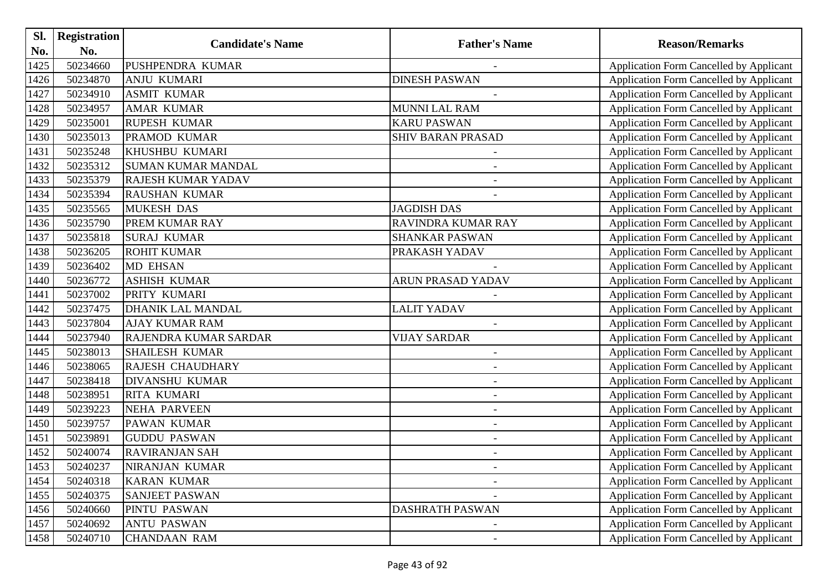| Sl.  | <b>Registration</b> | <b>Candidate's Name</b>   |                          |                                                |
|------|---------------------|---------------------------|--------------------------|------------------------------------------------|
| No.  | No.                 |                           | <b>Father's Name</b>     | <b>Reason/Remarks</b>                          |
| 1425 | 50234660            | PUSHPENDRA KUMAR          |                          | Application Form Cancelled by Applicant        |
| 1426 | 50234870            | <b>ANJU KUMARI</b>        | <b>DINESH PASWAN</b>     | Application Form Cancelled by Applicant        |
| 1427 | 50234910            | <b>ASMIT KUMAR</b>        |                          | Application Form Cancelled by Applicant        |
| 1428 | 50234957            | <b>AMAR KUMAR</b>         | <b>MUNNI LAL RAM</b>     | Application Form Cancelled by Applicant        |
| 1429 | 50235001            | <b>RUPESH KUMAR</b>       | <b>KARU PASWAN</b>       | <b>Application Form Cancelled by Applicant</b> |
| 1430 | 50235013            | <b>PRAMOD KUMAR</b>       | <b>SHIV BARAN PRASAD</b> | Application Form Cancelled by Applicant        |
| 1431 | 50235248            | KHUSHBU KUMARI            |                          | Application Form Cancelled by Applicant        |
| 1432 | 50235312            | <b>SUMAN KUMAR MANDAL</b> | $\overline{\phantom{a}}$ | <b>Application Form Cancelled by Applicant</b> |
| 1433 | 50235379            | <b>RAJESH KUMAR YADAV</b> | $\blacksquare$           | Application Form Cancelled by Applicant        |
| 1434 | 50235394            | <b>RAUSHAN KUMAR</b>      |                          | Application Form Cancelled by Applicant        |
| 1435 | 50235565            | <b>MUKESH DAS</b>         | <b>JAGDISH DAS</b>       | Application Form Cancelled by Applicant        |
| 1436 | 50235790            | <b>PREM KUMAR RAY</b>     | RAVINDRA KUMAR RAY       | Application Form Cancelled by Applicant        |
| 1437 | 50235818            | <b>SURAJ KUMAR</b>        | <b>SHANKAR PASWAN</b>    | Application Form Cancelled by Applicant        |
| 1438 | 50236205            | <b>ROHIT KUMAR</b>        | PRAKASH YADAV            | <b>Application Form Cancelled by Applicant</b> |
| 1439 | 50236402            | MD EHSAN                  |                          | <b>Application Form Cancelled by Applicant</b> |
| 1440 | 50236772            | <b>ASHISH KUMAR</b>       | <b>ARUN PRASAD YADAV</b> | Application Form Cancelled by Applicant        |
| 1441 | 50237002            | PRITY KUMARI              |                          | <b>Application Form Cancelled by Applicant</b> |
| 1442 | 50237475            | <b>DHANIK LAL MANDAL</b>  | <b>LALIT YADAV</b>       | <b>Application Form Cancelled by Applicant</b> |
| 1443 | 50237804            | <b>AJAY KUMAR RAM</b>     |                          | Application Form Cancelled by Applicant        |
| 1444 | 50237940            | RAJENDRA KUMAR SARDAR     | <b>VIJAY SARDAR</b>      | <b>Application Form Cancelled by Applicant</b> |
| 1445 | 50238013            | <b>SHAILESH KUMAR</b>     | $\overline{\phantom{a}}$ | Application Form Cancelled by Applicant        |
| 1446 | 50238065            | <b>RAJESH CHAUDHARY</b>   | $\overline{\phantom{a}}$ | <b>Application Form Cancelled by Applicant</b> |
| 1447 | 50238418            | <b>DIVANSHU KUMAR</b>     |                          | Application Form Cancelled by Applicant        |
| 1448 | 50238951            | <b>RITA KUMARI</b>        | $\overline{\phantom{a}}$ | Application Form Cancelled by Applicant        |
| 1449 | 50239223            | <b>NEHA PARVEEN</b>       | $\overline{\phantom{a}}$ | Application Form Cancelled by Applicant        |
| 1450 | 50239757            | <b>PAWAN KUMAR</b>        | $\blacksquare$           | Application Form Cancelled by Applicant        |
| 1451 | 50239891            | <b>GUDDU PASWAN</b>       | $\overline{\phantom{a}}$ | Application Form Cancelled by Applicant        |
| 1452 | 50240074            | <b>RAVIRANJAN SAH</b>     |                          | Application Form Cancelled by Applicant        |
| 1453 | 50240237            | NIRANJAN KUMAR            |                          | Application Form Cancelled by Applicant        |
| 1454 | 50240318            | <b>KARAN KUMAR</b>        |                          | <b>Application Form Cancelled by Applicant</b> |
| 1455 | 50240375            | <b>SANJEET PASWAN</b>     |                          | <b>Application Form Cancelled by Applicant</b> |
| 1456 | 50240660            | PINTU PASWAN              | <b>DASHRATH PASWAN</b>   | <b>Application Form Cancelled by Applicant</b> |
| 1457 | 50240692            | <b>ANTU PASWAN</b>        |                          | Application Form Cancelled by Applicant        |
| 1458 | 50240710            | <b>CHANDAAN RAM</b>       | $\overline{\phantom{a}}$ | Application Form Cancelled by Applicant        |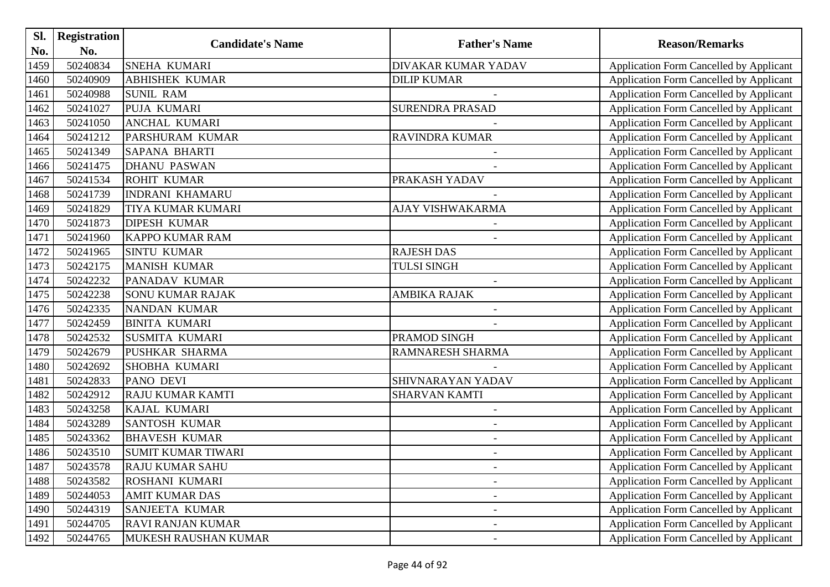| SI.  | <b>Registration</b> |                           |                          |                                                |
|------|---------------------|---------------------------|--------------------------|------------------------------------------------|
| No.  | No.                 | <b>Candidate's Name</b>   | <b>Father's Name</b>     | <b>Reason/Remarks</b>                          |
| 1459 | 50240834            | SNEHA KUMARI              | DIVAKAR KUMAR YADAV      | Application Form Cancelled by Applicant        |
| 1460 | 50240909            | <b>ABHISHEK KUMAR</b>     | <b>DILIP KUMAR</b>       | Application Form Cancelled by Applicant        |
| 1461 | 50240988            | <b>SUNIL RAM</b>          |                          | Application Form Cancelled by Applicant        |
| 1462 | 50241027            | PUJA KUMARI               | <b>SURENDRA PRASAD</b>   | Application Form Cancelled by Applicant        |
| 1463 | 50241050            | <b>ANCHAL KUMARI</b>      |                          | Application Form Cancelled by Applicant        |
| 1464 | 50241212            | PARSHURAM KUMAR           | <b>RAVINDRA KUMAR</b>    | <b>Application Form Cancelled by Applicant</b> |
| 1465 | 50241349            | <b>SAPANA BHARTI</b>      |                          | Application Form Cancelled by Applicant        |
| 1466 | 50241475            | <b>DHANU PASWAN</b>       |                          | Application Form Cancelled by Applicant        |
| 1467 | 50241534            | <b>ROHIT KUMAR</b>        | PRAKASH YADAV            | Application Form Cancelled by Applicant        |
| 1468 | 50241739            | <b>INDRANI KHAMARU</b>    |                          | <b>Application Form Cancelled by Applicant</b> |
| 1469 | 50241829            | <b>TIYA KUMAR KUMARI</b>  | AJAY VISHWAKARMA         | Application Form Cancelled by Applicant        |
| 1470 | 50241873            | <b>DIPESH KUMAR</b>       |                          | Application Form Cancelled by Applicant        |
| 1471 | 50241960            | <b>KAPPO KUMAR RAM</b>    |                          | Application Form Cancelled by Applicant        |
| 1472 | 50241965            | <b>SINTU KUMAR</b>        | <b>RAJESH DAS</b>        | <b>Application Form Cancelled by Applicant</b> |
| 1473 | 50242175            | <b>MANISH KUMAR</b>       | <b>TULSI SINGH</b>       | Application Form Cancelled by Applicant        |
| 1474 | 50242232            | PANADAV KUMAR             |                          | Application Form Cancelled by Applicant        |
| 1475 | 50242238            | <b>SONU KUMAR RAJAK</b>   | <b>AMBIKA RAJAK</b>      | Application Form Cancelled by Applicant        |
| 1476 | 50242335            | NANDAN KUMAR              |                          | <b>Application Form Cancelled by Applicant</b> |
| 1477 | 50242459            | <b>BINITA KUMARI</b>      |                          | Application Form Cancelled by Applicant        |
| 1478 | 50242532            | <b>SUSMITA KUMARI</b>     | PRAMOD SINGH             | Application Form Cancelled by Applicant        |
| 1479 | 50242679            | PUSHKAR SHARMA            | RAMNARESH SHARMA         | Application Form Cancelled by Applicant        |
| 1480 | 50242692            | <b>SHOBHA KUMARI</b>      |                          | Application Form Cancelled by Applicant        |
| 1481 | 50242833            | <b>PANO DEVI</b>          | SHIVNARAYAN YADAV        | Application Form Cancelled by Applicant        |
| 1482 | 50242912            | <b>RAJU KUMAR KAMTI</b>   | <b>SHARVAN KAMTI</b>     | Application Form Cancelled by Applicant        |
| 1483 | 50243258            | KAJAL KUMARI              | $\blacksquare$           | Application Form Cancelled by Applicant        |
| 1484 | 50243289            | <b>SANTOSH KUMAR</b>      | $\overline{\phantom{a}}$ | Application Form Cancelled by Applicant        |
| 1485 | 50243362            | <b>BHAVESH KUMAR</b>      | $\overline{\phantom{a}}$ | Application Form Cancelled by Applicant        |
| 1486 | 50243510            | <b>SUMIT KUMAR TIWARI</b> |                          | Application Form Cancelled by Applicant        |
| 1487 | 50243578            | <b>RAJU KUMAR SAHU</b>    |                          | Application Form Cancelled by Applicant        |
| 1488 | 50243582            | <b>ROSHANI KUMARI</b>     |                          | Application Form Cancelled by Applicant        |
| 1489 | 50244053            | <b>AMIT KUMAR DAS</b>     |                          | <b>Application Form Cancelled by Applicant</b> |
| 1490 | 50244319            | <b>SANJEETA KUMAR</b>     | $\overline{\phantom{a}}$ | <b>Application Form Cancelled by Applicant</b> |
| 1491 | 50244705            | <b>RAVI RANJAN KUMAR</b>  | $\overline{\phantom{a}}$ | Application Form Cancelled by Applicant        |
| 1492 | 50244765            | MUKESH RAUSHAN KUMAR      |                          | <b>Application Form Cancelled by Applicant</b> |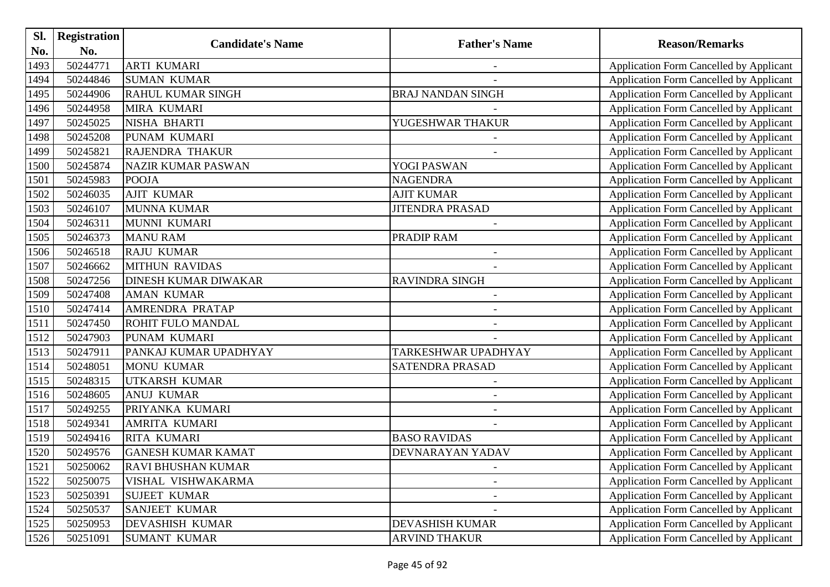| Sl.  | <b>Registration</b> |                             |                          |                                                |
|------|---------------------|-----------------------------|--------------------------|------------------------------------------------|
| No.  | No.                 | <b>Candidate's Name</b>     | <b>Father's Name</b>     | <b>Reason/Remarks</b>                          |
| 1493 | 50244771            | <b>ARTI KUMARI</b>          |                          | Application Form Cancelled by Applicant        |
| 1494 | 50244846            | <b>SUMAN KUMAR</b>          |                          | Application Form Cancelled by Applicant        |
| 1495 | 50244906            | <b>RAHUL KUMAR SINGH</b>    | <b>BRAJ NANDAN SINGH</b> | Application Form Cancelled by Applicant        |
| 1496 | 50244958            | <b>MIRA KUMARI</b>          |                          | Application Form Cancelled by Applicant        |
| 1497 | 50245025            | <b>NISHA BHARTI</b>         | YUGESHWAR THAKUR         | Application Form Cancelled by Applicant        |
| 1498 | 50245208            | PUNAM KUMARI                |                          | <b>Application Form Cancelled by Applicant</b> |
| 1499 | 50245821            | <b>RAJENDRA THAKUR</b>      |                          | Application Form Cancelled by Applicant        |
| 1500 | 50245874            | <b>NAZIR KUMAR PASWAN</b>   | YOGI PASWAN              | <b>Application Form Cancelled by Applicant</b> |
| 1501 | 50245983            | <b>POOJA</b>                | <b>NAGENDRA</b>          | Application Form Cancelled by Applicant        |
| 1502 | 50246035            | <b>AJIT KUMAR</b>           | <b>AJIT KUMAR</b>        | Application Form Cancelled by Applicant        |
| 1503 | 50246107            | <b>MUNNA KUMAR</b>          | <b>JITENDRA PRASAD</b>   | Application Form Cancelled by Applicant        |
| 1504 | 50246311            | MUNNI KUMARI                |                          | Application Form Cancelled by Applicant        |
| 1505 | 50246373            | <b>MANU RAM</b>             | PRADIP RAM               | Application Form Cancelled by Applicant        |
| 1506 | 50246518            | <b>RAJU KUMAR</b>           |                          | <b>Application Form Cancelled by Applicant</b> |
| 1507 | 50246662            | <b>MITHUN RAVIDAS</b>       |                          | Application Form Cancelled by Applicant        |
| 1508 | 50247256            | <b>DINESH KUMAR DIWAKAR</b> | <b>RAVINDRA SINGH</b>    | Application Form Cancelled by Applicant        |
| 1509 | 50247408            | <b>AMAN KUMAR</b>           | $\overline{\phantom{a}}$ | Application Form Cancelled by Applicant        |
| 1510 | 50247414            | <b>AMRENDRA PRATAP</b>      |                          | Application Form Cancelled by Applicant        |
| 1511 | 50247450            | <b>ROHIT FULO MANDAL</b>    |                          | Application Form Cancelled by Applicant        |
| 1512 | 50247903            | PUNAM KUMARI                |                          | Application Form Cancelled by Applicant        |
| 1513 | 50247911            | PANKAJ KUMAR UPADHYAY       | TARKESHWAR UPADHYAY      | Application Form Cancelled by Applicant        |
| 1514 | 50248051            | <b>MONU KUMAR</b>           | SATENDRA PRASAD          | Application Form Cancelled by Applicant        |
| 1515 | 50248315            | <b>UTKARSH KUMAR</b>        |                          | Application Form Cancelled by Applicant        |
| 1516 | 50248605            | <b>ANUJ KUMAR</b>           | $\overline{a}$           | Application Form Cancelled by Applicant        |
| 1517 | 50249255            | PRIYANKA KUMARI             |                          | Application Form Cancelled by Applicant        |
| 1518 | 50249341            | <b>AMRITA KUMARI</b>        |                          | Application Form Cancelled by Applicant        |
| 1519 | 50249416            | <b>RITA KUMARI</b>          | <b>BASO RAVIDAS</b>      | Application Form Cancelled by Applicant        |
| 1520 | 50249576            | <b>GANESH KUMAR KAMAT</b>   | DEVNARAYAN YADAV         | <b>Application Form Cancelled by Applicant</b> |
| 1521 | 50250062            | <b>RAVI BHUSHAN KUMAR</b>   |                          | <b>Application Form Cancelled by Applicant</b> |
| 1522 | 50250075            | VISHAL VISHWAKARMA          |                          | Application Form Cancelled by Applicant        |
| 1523 | 50250391            | <b>SUJEET KUMAR</b>         |                          | Application Form Cancelled by Applicant        |
| 1524 | 50250537            | <b>SANJEET KUMAR</b>        |                          | Application Form Cancelled by Applicant        |
| 1525 | 50250953            | <b>DEVASHISH KUMAR</b>      | <b>DEVASHISH KUMAR</b>   | <b>Application Form Cancelled by Applicant</b> |
| 1526 | 50251091            | <b>SUMANT KUMAR</b>         | <b>ARVIND THAKUR</b>     | Application Form Cancelled by Applicant        |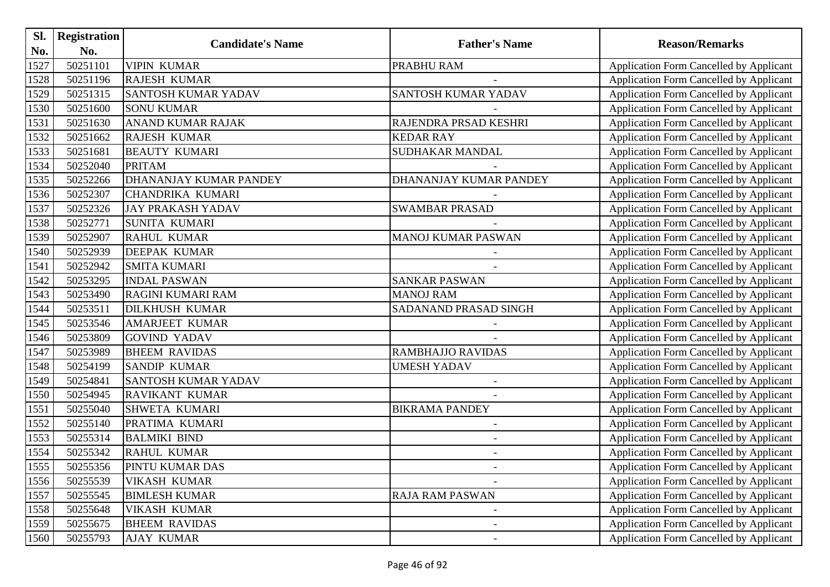| Sl.  | <b>Registration</b> | <b>Candidate's Name</b>    |                           |                                                |
|------|---------------------|----------------------------|---------------------------|------------------------------------------------|
| No.  | No.                 |                            | <b>Father's Name</b>      | <b>Reason/Remarks</b>                          |
| 1527 | 50251101            | <b>VIPIN KUMAR</b>         | PRABHU RAM                | Application Form Cancelled by Applicant        |
| 1528 | 50251196            | <b>RAJESH KUMAR</b>        |                           | Application Form Cancelled by Applicant        |
| 1529 | 50251315            | <b>SANTOSH KUMAR YADAV</b> | SANTOSH KUMAR YADAV       | <b>Application Form Cancelled by Applicant</b> |
| 1530 | 50251600            | <b>SONU KUMAR</b>          |                           | Application Form Cancelled by Applicant        |
| 1531 | 50251630            | ANAND KUMAR RAJAK          | RAJENDRA PRSAD KESHRI     | <b>Application Form Cancelled by Applicant</b> |
| 1532 | 50251662            | <b>RAJESH KUMAR</b>        | <b>KEDAR RAY</b>          | Application Form Cancelled by Applicant        |
| 1533 | 50251681            | <b>BEAUTY KUMARI</b>       | SUDHAKAR MANDAL           | <b>Application Form Cancelled by Applicant</b> |
| 1534 | 50252040            | <b>PRITAM</b>              |                           | <b>Application Form Cancelled by Applicant</b> |
| 1535 | 50252266            | DHANANJAY KUMAR PANDEY     | DHANANJAY KUMAR PANDEY    | Application Form Cancelled by Applicant        |
| 1536 | 50252307            | CHANDRIKA KUMARI           |                           | <b>Application Form Cancelled by Applicant</b> |
| 1537 | 50252326            | <b>JAY PRAKASH YADAV</b>   | <b>SWAMBAR PRASAD</b>     | Application Form Cancelled by Applicant        |
| 1538 | 50252771            | <b>SUNITA KUMARI</b>       |                           | Application Form Cancelled by Applicant        |
| 1539 | 50252907            | <b>RAHUL KUMAR</b>         | <b>MANOJ KUMAR PASWAN</b> | <b>Application Form Cancelled by Applicant</b> |
| 1540 | 50252939            | <b>DEEPAK KUMAR</b>        |                           | <b>Application Form Cancelled by Applicant</b> |
| 1541 | 50252942            | <b>SMITA KUMARI</b>        |                           | Application Form Cancelled by Applicant        |
| 1542 | 50253295            | <b>INDAL PASWAN</b>        | <b>SANKAR PASWAN</b>      | Application Form Cancelled by Applicant        |
| 1543 | 50253490            | <b>RAGINI KUMARI RAM</b>   | <b>MANOJ RAM</b>          | <b>Application Form Cancelled by Applicant</b> |
| 1544 | 50253511            | <b>DILKHUSH KUMAR</b>      | SADANAND PRASAD SINGH     | <b>Application Form Cancelled by Applicant</b> |
| 1545 | 50253546            | <b>AMARJEET KUMAR</b>      |                           | <b>Application Form Cancelled by Applicant</b> |
| 1546 | 50253809            | <b>GOVIND YADAV</b>        |                           | Application Form Cancelled by Applicant        |
| 1547 | 50253989            | <b>BHEEM RAVIDAS</b>       | <b>RAMBHAJJO RAVIDAS</b>  | Application Form Cancelled by Applicant        |
| 1548 | 50254199            | <b>SANDIP KUMAR</b>        | <b>UMESH YADAV</b>        | Application Form Cancelled by Applicant        |
| 1549 | 50254841            | <b>SANTOSH KUMAR YADAV</b> |                           | Application Form Cancelled by Applicant        |
| 1550 | 50254945            | <b>RAVIKANT KUMAR</b>      |                           | <b>Application Form Cancelled by Applicant</b> |
| 1551 | 50255040            | <b>SHWETA KUMARI</b>       | <b>BIKRAMA PANDEY</b>     | <b>Application Form Cancelled by Applicant</b> |
| 1552 | 50255140            | PRATIMA KUMARI             |                           | Application Form Cancelled by Applicant        |
| 1553 | 50255314            | <b>BALMIKI BIND</b>        | $\overline{\phantom{0}}$  | Application Form Cancelled by Applicant        |
| 1554 | 50255342            | <b>RAHUL KUMAR</b>         |                           | Application Form Cancelled by Applicant        |
| 1555 | 50255356            | PINTU KUMAR DAS            |                           | <b>Application Form Cancelled by Applicant</b> |
| 1556 | 50255539            | VIKASH KUMAR               |                           | Application Form Cancelled by Applicant        |
| 1557 | 50255545            | <b>BIMLESH KUMAR</b>       | <b>RAJA RAM PASWAN</b>    | Application Form Cancelled by Applicant        |
| 1558 | 50255648            | <b>VIKASH KUMAR</b>        |                           | <b>Application Form Cancelled by Applicant</b> |
| 1559 | 50255675            | <b>BHEEM RAVIDAS</b>       |                           | <b>Application Form Cancelled by Applicant</b> |
| 1560 | 50255793            | <b>AJAY KUMAR</b>          | $\overline{\phantom{a}}$  | Application Form Cancelled by Applicant        |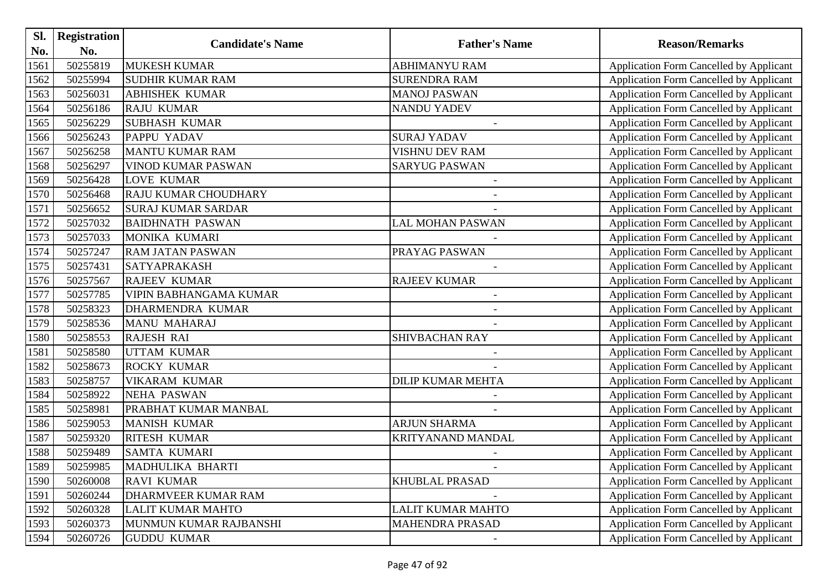| Sl.  | <b>Registration</b> |                               | <b>Father's Name</b>     |                                                |
|------|---------------------|-------------------------------|--------------------------|------------------------------------------------|
| No.  | No.                 | <b>Candidate's Name</b>       |                          | <b>Reason/Remarks</b>                          |
| 1561 | 50255819            | <b>MUKESH KUMAR</b>           | <b>ABHIMANYU RAM</b>     | Application Form Cancelled by Applicant        |
| 1562 | 50255994            | <b>SUDHIR KUMAR RAM</b>       | <b>SURENDRA RAM</b>      | Application Form Cancelled by Applicant        |
| 1563 | 50256031            | <b>ABHISHEK KUMAR</b>         | <b>MANOJ PASWAN</b>      | Application Form Cancelled by Applicant        |
| 1564 | 50256186            | <b>RAJU KUMAR</b>             | <b>NANDU YADEV</b>       | Application Form Cancelled by Applicant        |
| 1565 | 50256229            | <b>SUBHASH KUMAR</b>          |                          | Application Form Cancelled by Applicant        |
| 1566 | 50256243            | <b>PAPPU YADAV</b>            | <b>SURAJ YADAV</b>       | Application Form Cancelled by Applicant        |
| 1567 | 50256258            | <b>MANTU KUMAR RAM</b>        | VISHNU DEV RAM           | Application Form Cancelled by Applicant        |
| 1568 | 50256297            | VINOD KUMAR PASWAN            | <b>SARYUG PASWAN</b>     | Application Form Cancelled by Applicant        |
| 1569 | 50256428            | <b>LOVE KUMAR</b>             |                          | Application Form Cancelled by Applicant        |
| 1570 | 50256468            | <b>RAJU KUMAR CHOUDHARY</b>   | $\overline{\phantom{a}}$ | Application Form Cancelled by Applicant        |
| 1571 | 50256652            | <b>SURAJ KUMAR SARDAR</b>     |                          | Application Form Cancelled by Applicant        |
| 1572 | 50257032            | <b>BAIDHNATH PASWAN</b>       | LAL MOHAN PASWAN         | Application Form Cancelled by Applicant        |
| 1573 | 50257033            | MONIKA KUMARI                 |                          | Application Form Cancelled by Applicant        |
| 1574 | 50257247            | <b>RAM JATAN PASWAN</b>       | PRAYAG PASWAN            | <b>Application Form Cancelled by Applicant</b> |
| 1575 | 50257431            | SATYAPRAKASH                  |                          | <b>Application Form Cancelled by Applicant</b> |
| 1576 | 50257567            | <b>RAJEEV KUMAR</b>           | <b>RAJEEV KUMAR</b>      | Application Form Cancelled by Applicant        |
| 1577 | 50257785            | <b>VIPIN BABHANGAMA KUMAR</b> | $\overline{\phantom{a}}$ | Application Form Cancelled by Applicant        |
| 1578 | 50258323            | <b>DHARMENDRA KUMAR</b>       |                          | Application Form Cancelled by Applicant        |
| 1579 | 50258536            | <b>MANU MAHARAJ</b>           |                          | Application Form Cancelled by Applicant        |
| 1580 | 50258553            | <b>RAJESH RAI</b>             | <b>SHIVBACHAN RAY</b>    | Application Form Cancelled by Applicant        |
| 1581 | 50258580            | <b>UTTAM KUMAR</b>            |                          | Application Form Cancelled by Applicant        |
| 1582 | 50258673            | <b>ROCKY KUMAR</b>            |                          | Application Form Cancelled by Applicant        |
| 1583 | 50258757            | <b>VIKARAM KUMAR</b>          | <b>DILIP KUMAR MEHTA</b> | Application Form Cancelled by Applicant        |
| 1584 | 50258922            | <b>NEHA PASWAN</b>            |                          | Application Form Cancelled by Applicant        |
| 1585 | 50258981            | PRABHAT KUMAR MANBAL          |                          | Application Form Cancelled by Applicant        |
| 1586 | 50259053            | <b>MANISH KUMAR</b>           | <b>ARJUN SHARMA</b>      | Application Form Cancelled by Applicant        |
| 1587 | 50259320            | <b>RITESH KUMAR</b>           | <b>KRITYANAND MANDAL</b> | Application Form Cancelled by Applicant        |
| 1588 | 50259489            | <b>SAMTA KUMARI</b>           |                          | Application Form Cancelled by Applicant        |
| 1589 | 50259985            | MADHULIKA BHARTI              |                          | <b>Application Form Cancelled by Applicant</b> |
| 1590 | 50260008            | <b>RAVI KUMAR</b>             | <b>KHUBLAL PRASAD</b>    | <b>Application Form Cancelled by Applicant</b> |
| 1591 | 50260244            | DHARMVEER KUMAR RAM           |                          | Application Form Cancelled by Applicant        |
| 1592 | 50260328            | <b>LALIT KUMAR MAHTO</b>      | LALIT KUMAR MAHTO        | Application Form Cancelled by Applicant        |
| 1593 | 50260373            | MUNMUN KUMAR RAJBANSHI        | MAHENDRA PRASAD          | Application Form Cancelled by Applicant        |
| 1594 | 50260726            | <b>GUDDU KUMAR</b>            |                          | Application Form Cancelled by Applicant        |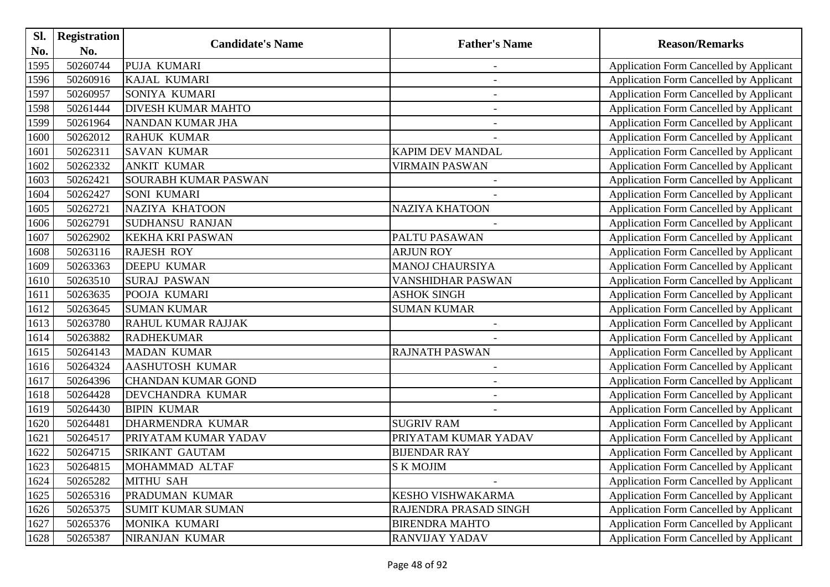| Sl.  | <b>Registration</b> |                             |                          |                                                |
|------|---------------------|-----------------------------|--------------------------|------------------------------------------------|
| No.  | No.                 | <b>Candidate's Name</b>     | <b>Father's Name</b>     | <b>Reason/Remarks</b>                          |
| 1595 | 50260744            | PUJA KUMARI                 | $\overline{\phantom{a}}$ | Application Form Cancelled by Applicant        |
| 1596 | 50260916            | KAJAL KUMARI                |                          | Application Form Cancelled by Applicant        |
| 1597 | 50260957            | SONIYA KUMARI               | $\overline{\phantom{a}}$ | Application Form Cancelled by Applicant        |
| 1598 | 50261444            | <b>DIVESH KUMAR MAHTO</b>   |                          | Application Form Cancelled by Applicant        |
| 1599 | 50261964            | NANDAN KUMAR JHA            |                          | Application Form Cancelled by Applicant        |
| 1600 | 50262012            | <b>RAHUK KUMAR</b>          |                          | Application Form Cancelled by Applicant        |
| 1601 | 50262311            | <b>SAVAN KUMAR</b>          | <b>KAPIM DEV MANDAL</b>  | Application Form Cancelled by Applicant        |
| 1602 | 50262332            | <b>ANKIT KUMAR</b>          | <b>VIRMAIN PASWAN</b>    | Application Form Cancelled by Applicant        |
| 1603 | 50262421            | <b>SOURABH KUMAR PASWAN</b> |                          | Application Form Cancelled by Applicant        |
| 1604 | 50262427            | <b>SONI KUMARI</b>          |                          | Application Form Cancelled by Applicant        |
| 1605 | 50262721            | NAZIYA KHATOON              | NAZIYA KHATOON           | Application Form Cancelled by Applicant        |
| 1606 | 50262791            | <b>SUDHANSU RANJAN</b>      |                          | Application Form Cancelled by Applicant        |
| 1607 | 50262902            | <b>KEKHA KRI PASWAN</b>     | PALTU PASAWAN            | Application Form Cancelled by Applicant        |
| 1608 | 50263116            | <b>RAJESH ROY</b>           | <b>ARJUN ROY</b>         | <b>Application Form Cancelled by Applicant</b> |
| 1609 | 50263363            | <b>DEEPU KUMAR</b>          | <b>MANOJ CHAURSIYA</b>   | Application Form Cancelled by Applicant        |
| 1610 | 50263510            | <b>SURAJ PASWAN</b>         | <b>VANSHIDHAR PASWAN</b> | Application Form Cancelled by Applicant        |
| 1611 | 50263635            | <b>POOJA KUMARI</b>         | <b>ASHOK SINGH</b>       | Application Form Cancelled by Applicant        |
| 1612 | 50263645            | <b>SUMAN KUMAR</b>          | <b>SUMAN KUMAR</b>       | Application Form Cancelled by Applicant        |
| 1613 | 50263780            | <b>RAHUL KUMAR RAJJAK</b>   |                          | Application Form Cancelled by Applicant        |
| 1614 | 50263882            | <b>RADHEKUMAR</b>           |                          | Application Form Cancelled by Applicant        |
| 1615 | 50264143            | <b>MADAN KUMAR</b>          | <b>RAJNATH PASWAN</b>    | Application Form Cancelled by Applicant        |
| 1616 | 50264324            | <b>AASHUTOSH KUMAR</b>      | $\overline{\phantom{a}}$ | Application Form Cancelled by Applicant        |
| 1617 | 50264396            | <b>CHANDAN KUMAR GOND</b>   |                          | Application Form Cancelled by Applicant        |
| 1618 | 50264428            | <b>DEVCHANDRA KUMAR</b>     | $\overline{a}$           | Application Form Cancelled by Applicant        |
| 1619 | 50264430            | <b>BIPIN KUMAR</b>          |                          | Application Form Cancelled by Applicant        |
| 1620 | 50264481            | <b>DHARMENDRA KUMAR</b>     | <b>SUGRIV RAM</b>        | Application Form Cancelled by Applicant        |
| 1621 | 50264517            | PRIYATAM KUMAR YADAV        | PRIYATAM KUMAR YADAV     | Application Form Cancelled by Applicant        |
| 1622 | 50264715            | <b>SRIKANT GAUTAM</b>       | <b>BIJENDAR RAY</b>      | Application Form Cancelled by Applicant        |
| 1623 | 50264815            | MOHAMMAD ALTAF              | <b>S K MOJIM</b>         | <b>Application Form Cancelled by Applicant</b> |
| 1624 | 50265282            | <b>MITHU SAH</b>            |                          | Application Form Cancelled by Applicant        |
| 1625 | 50265316            | PRADUMAN KUMAR              | KESHO VISHWAKARMA        | Application Form Cancelled by Applicant        |
| 1626 | 50265375            | <b>SUMIT KUMAR SUMAN</b>    | RAJENDRA PRASAD SINGH    | Application Form Cancelled by Applicant        |
| 1627 | 50265376            | MONIKA KUMARI               | <b>BIRENDRA MAHTO</b>    | Application Form Cancelled by Applicant        |
| 1628 | 50265387            | NIRANJAN KUMAR              | <b>RANVIJAY YADAV</b>    | Application Form Cancelled by Applicant        |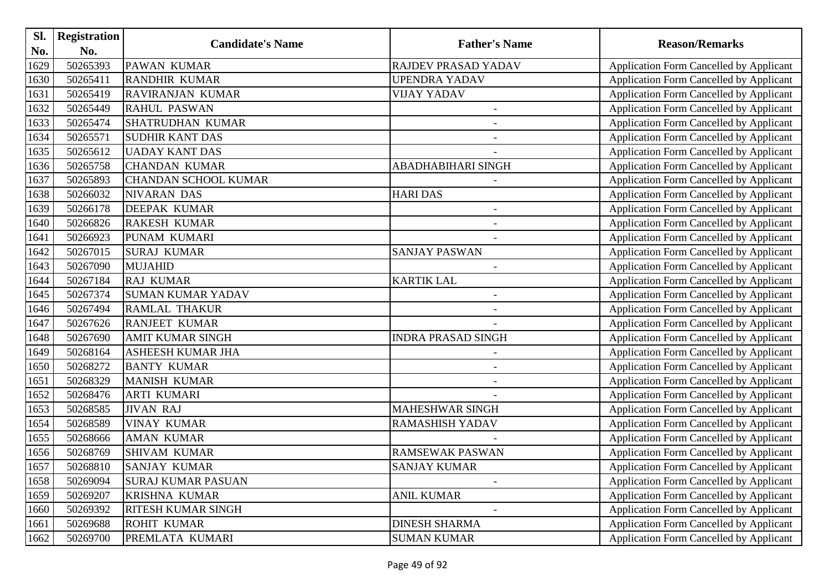| SI.  | <b>Registration</b> |                             |                            |                                                |
|------|---------------------|-----------------------------|----------------------------|------------------------------------------------|
| No.  | No.                 | <b>Candidate's Name</b>     | <b>Father's Name</b>       | <b>Reason/Remarks</b>                          |
| 1629 | 50265393            | <b>PAWAN KUMAR</b>          | <b>RAJDEV PRASAD YADAV</b> | Application Form Cancelled by Applicant        |
| 1630 | 50265411            | <b>RANDHIR KUMAR</b>        | <b>UPENDRA YADAV</b>       | Application Form Cancelled by Applicant        |
| 1631 | 50265419            | <b>RAVIRANJAN KUMAR</b>     | <b>VIJAY YADAV</b>         | <b>Application Form Cancelled by Applicant</b> |
| 1632 | 50265449            | <b>RAHUL PASWAN</b>         | $\overline{\phantom{a}}$   | Application Form Cancelled by Applicant        |
| 1633 | 50265474            | <b>SHATRUDHAN KUMAR</b>     | $\qquad \qquad -$          | <b>Application Form Cancelled by Applicant</b> |
| 1634 | 50265571            | <b>SUDHIR KANT DAS</b>      |                            | Application Form Cancelled by Applicant        |
| 1635 | 50265612            | <b>UADAY KANT DAS</b>       |                            | Application Form Cancelled by Applicant        |
| 1636 | 50265758            | <b>CHANDAN KUMAR</b>        | ABADHABIHARI SINGH         | <b>Application Form Cancelled by Applicant</b> |
| 1637 | 50265893            | <b>CHANDAN SCHOOL KUMAR</b> |                            | <b>Application Form Cancelled by Applicant</b> |
| 1638 | 50266032            | <b>NIVARAN DAS</b>          | <b>HARI DAS</b>            | <b>Application Form Cancelled by Applicant</b> |
| 1639 | 50266178            | <b>DEEPAK KUMAR</b>         |                            | Application Form Cancelled by Applicant        |
| 1640 | 50266826            | <b>RAKESH KUMAR</b>         |                            | <b>Application Form Cancelled by Applicant</b> |
| 1641 | 50266923            | PUNAM KUMARI                |                            | Application Form Cancelled by Applicant        |
| 1642 | 50267015            | <b>SURAJ KUMAR</b>          | <b>SANJAY PASWAN</b>       | Application Form Cancelled by Applicant        |
| 1643 | 50267090            | <b>MUJAHID</b>              | $\overline{\phantom{a}}$   | <b>Application Form Cancelled by Applicant</b> |
| 1644 | 50267184            | <b>RAJ KUMAR</b>            | <b>KARTIK LAL</b>          | <b>Application Form Cancelled by Applicant</b> |
| 1645 | 50267374            | <b>SUMAN KUMAR YADAV</b>    | $\overline{\phantom{a}}$   | <b>Application Form Cancelled by Applicant</b> |
| 1646 | 50267494            | <b>RAMLAL THAKUR</b>        |                            | Application Form Cancelled by Applicant        |
| 1647 | 50267626            | <b>RANJEET KUMAR</b>        |                            | <b>Application Form Cancelled by Applicant</b> |
| 1648 | 50267690            | <b>AMIT KUMAR SINGH</b>     | <b>INDRA PRASAD SINGH</b>  | <b>Application Form Cancelled by Applicant</b> |
| 1649 | 50268164            | <b>ASHEESH KUMAR JHA</b>    |                            | Application Form Cancelled by Applicant        |
| 1650 | 50268272            | <b>BANTY KUMAR</b>          | $\blacksquare$             | <b>Application Form Cancelled by Applicant</b> |
| 1651 | 50268329            | <b>MANISH KUMAR</b>         |                            | Application Form Cancelled by Applicant        |
| 1652 | 50268476            | <b>ARTI KUMARI</b>          |                            | <b>Application Form Cancelled by Applicant</b> |
| 1653 | 50268585            | <b>JIVAN RAJ</b>            | MAHESHWAR SINGH            | Application Form Cancelled by Applicant        |
| 1654 | 50268589            | <b>VINAY KUMAR</b>          | RAMASHISH YADAV            | Application Form Cancelled by Applicant        |
| 1655 | 50268666            | <b>AMAN KUMAR</b>           |                            | <b>Application Form Cancelled by Applicant</b> |
| 1656 | 50268769            | <b>SHIVAM KUMAR</b>         | <b>RAMSEWAK PASWAN</b>     | <b>Application Form Cancelled by Applicant</b> |
| 1657 | 50268810            | <b>SANJAY KUMAR</b>         | <b>SANJAY KUMAR</b>        | <b>Application Form Cancelled by Applicant</b> |
| 1658 | 50269094            | <b>SURAJ KUMAR PASUAN</b>   |                            | Application Form Cancelled by Applicant        |
| 1659 | 50269207            | <b>KRISHNA KUMAR</b>        | <b>ANIL KUMAR</b>          | Application Form Cancelled by Applicant        |
| 1660 | 50269392            | RITESH KUMAR SINGH          |                            | <b>Application Form Cancelled by Applicant</b> |
| 1661 | 50269688            | <b>ROHIT KUMAR</b>          | <b>DINESH SHARMA</b>       | <b>Application Form Cancelled by Applicant</b> |
| 1662 | 50269700            | PREMLATA KUMARI             | <b>SUMAN KUMAR</b>         | Application Form Cancelled by Applicant        |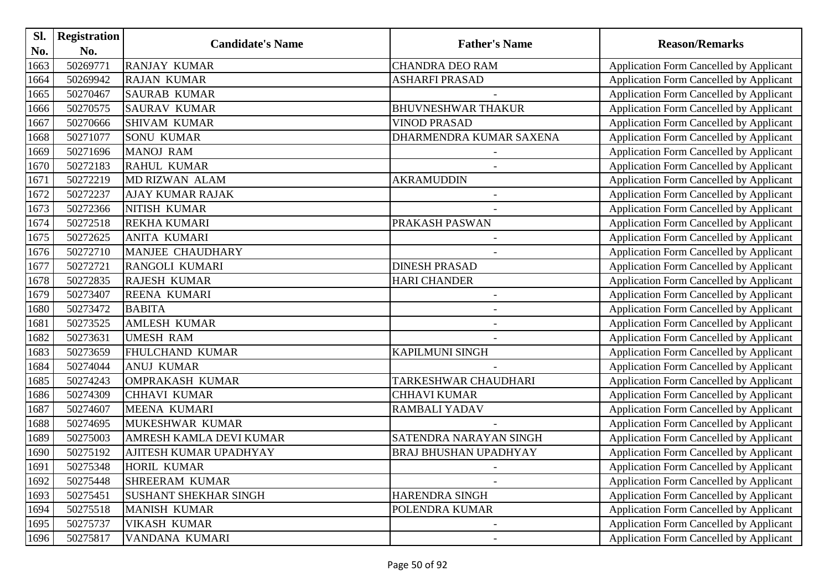| SI.  | <b>Registration</b> |                              |                              |                                                |
|------|---------------------|------------------------------|------------------------------|------------------------------------------------|
| No.  | No.                 | <b>Candidate's Name</b>      | <b>Father's Name</b>         | <b>Reason/Remarks</b>                          |
| 1663 | 50269771            | <b>RANJAY KUMAR</b>          | <b>CHANDRA DEO RAM</b>       | Application Form Cancelled by Applicant        |
| 1664 | 50269942            | <b>RAJAN KUMAR</b>           | ASHARFI PRASAD               | Application Form Cancelled by Applicant        |
| 1665 | 50270467            | <b>SAURAB KUMAR</b>          |                              | Application Form Cancelled by Applicant        |
| 1666 | 50270575            | <b>SAURAV KUMAR</b>          | <b>BHUVNESHWAR THAKUR</b>    | Application Form Cancelled by Applicant        |
| 1667 | 50270666            | <b>SHIVAM KUMAR</b>          | <b>VINOD PRASAD</b>          | <b>Application Form Cancelled by Applicant</b> |
| 1668 | 50271077            | <b>SONU KUMAR</b>            | DHARMENDRA KUMAR SAXENA      | <b>Application Form Cancelled by Applicant</b> |
| 1669 | 50271696            | <b>MANOJ RAM</b>             |                              | <b>Application Form Cancelled by Applicant</b> |
| 1670 | 50272183            | <b>RAHUL KUMAR</b>           |                              | Application Form Cancelled by Applicant        |
| 1671 | 50272219            | MD RIZWAN ALAM               | <b>AKRAMUDDIN</b>            | Application Form Cancelled by Applicant        |
| 1672 | 50272237            | <b>AJAY KUMAR RAJAK</b>      |                              | Application Form Cancelled by Applicant        |
| 1673 | 50272366            | NITISH KUMAR                 |                              | Application Form Cancelled by Applicant        |
| 1674 | 50272518            | <b>REKHA KUMARI</b>          | PRAKASH PASWAN               | <b>Application Form Cancelled by Applicant</b> |
| 1675 | 50272625            | <b>ANITA KUMARI</b>          |                              | Application Form Cancelled by Applicant        |
| 1676 | 50272710            | <b>MANJEE CHAUDHARY</b>      |                              | <b>Application Form Cancelled by Applicant</b> |
| 1677 | 50272721            | RANGOLI KUMARI               | <b>DINESH PRASAD</b>         | Application Form Cancelled by Applicant        |
| 1678 | 50272835            | <b>RAJESH KUMAR</b>          | <b>HARI CHANDER</b>          | Application Form Cancelled by Applicant        |
| 1679 | 50273407            | <b>REENA KUMARI</b>          | $\overline{\phantom{a}}$     | Application Form Cancelled by Applicant        |
| 1680 | 50273472            | <b>BABITA</b>                |                              | Application Form Cancelled by Applicant        |
| 1681 | 50273525            | <b>AMLESH KUMAR</b>          |                              | Application Form Cancelled by Applicant        |
| 1682 | 50273631            | <b>UMESH RAM</b>             |                              | Application Form Cancelled by Applicant        |
| 1683 | 50273659            | <b>FHULCHAND KUMAR</b>       | <b>KAPILMUNI SINGH</b>       | Application Form Cancelled by Applicant        |
| 1684 | 50274044            | <b>ANUJ KUMAR</b>            |                              | Application Form Cancelled by Applicant        |
| 1685 | 50274243            | <b>OMPRAKASH KUMAR</b>       | TARKESHWAR CHAUDHARI         | Application Form Cancelled by Applicant        |
| 1686 | 50274309            | <b>CHHAVI KUMAR</b>          | <b>CHHAVI KUMAR</b>          | Application Form Cancelled by Applicant        |
| 1687 | 50274607            | <b>MEENA KUMARI</b>          | <b>RAMBALI YADAV</b>         | <b>Application Form Cancelled by Applicant</b> |
| 1688 | 50274695            | MUKESHWAR KUMAR              |                              | Application Form Cancelled by Applicant        |
| 1689 | 50275003            | AMRESH KAMLA DEVI KUMAR      | SATENDRA NARAYAN SINGH       | <b>Application Form Cancelled by Applicant</b> |
| 1690 | 50275192            | AJITESH KUMAR UPADHYAY       | <b>BRAJ BHUSHAN UPADHYAY</b> | Application Form Cancelled by Applicant        |
| 1691 | 50275348            | <b>HORIL KUMAR</b>           |                              | <b>Application Form Cancelled by Applicant</b> |
| 1692 | 50275448            | <b>SHREERAM KUMAR</b>        |                              | Application Form Cancelled by Applicant        |
| 1693 | 50275451            | <b>SUSHANT SHEKHAR SINGH</b> | <b>HARENDRA SINGH</b>        | Application Form Cancelled by Applicant        |
| 1694 | 50275518            | <b>MANISH KUMAR</b>          | POLENDRA KUMAR               | <b>Application Form Cancelled by Applicant</b> |
| 1695 | 50275737            | <b>VIKASH KUMAR</b>          |                              | Application Form Cancelled by Applicant        |
| 1696 | 50275817            | VANDANA KUMARI               |                              | Application Form Cancelled by Applicant        |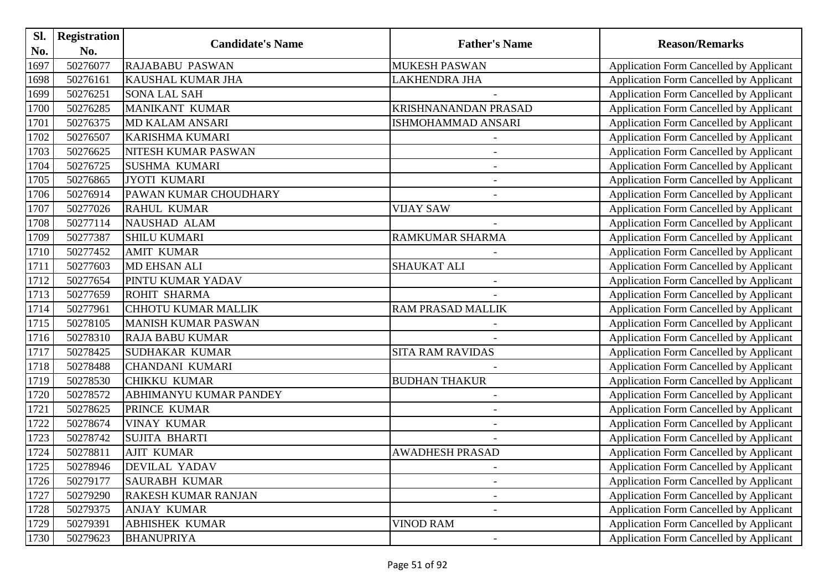| Sl.  | <b>Registration</b> |                            | <b>Father's Name</b>     |                                                |
|------|---------------------|----------------------------|--------------------------|------------------------------------------------|
| No.  | No.                 | <b>Candidate's Name</b>    |                          | <b>Reason/Remarks</b>                          |
| 1697 | 50276077            | <b>RAJABABU PASWAN</b>     | <b>MUKESH PASWAN</b>     | Application Form Cancelled by Applicant        |
| 1698 | 50276161            | <b>KAUSHAL KUMAR JHA</b>   | LAKHENDRA JHA            | Application Form Cancelled by Applicant        |
| 1699 | 50276251            | <b>SONA LAL SAH</b>        |                          | <b>Application Form Cancelled by Applicant</b> |
| 1700 | 50276285            | MANIKANT KUMAR             | KRISHNANANDAN PRASAD     | Application Form Cancelled by Applicant        |
| 1701 | 50276375            | <b>MD KALAM ANSARI</b>     | ISHMOHAMMAD ANSARI       | Application Form Cancelled by Applicant        |
| 1702 | 50276507            | <b>KARISHMA KUMARI</b>     |                          | Application Form Cancelled by Applicant        |
| 1703 | 50276625            | NITESH KUMAR PASWAN        |                          | Application Form Cancelled by Applicant        |
| 1704 | 50276725            | <b>SUSHMA KUMARI</b>       | $\overline{\phantom{a}}$ | <b>Application Form Cancelled by Applicant</b> |
| 1705 | 50276865            | <b>JYOTI KUMARI</b>        | $\overline{\phantom{a}}$ | Application Form Cancelled by Applicant        |
| 1706 | 50276914            | PAWAN KUMAR CHOUDHARY      |                          | Application Form Cancelled by Applicant        |
| 1707 | 50277026            | <b>RAHUL KUMAR</b>         | <b>VIJAY SAW</b>         | Application Form Cancelled by Applicant        |
| 1708 | 50277114            | <b>NAUSHAD ALAM</b>        |                          | Application Form Cancelled by Applicant        |
| 1709 | 50277387            | <b>SHILU KUMARI</b>        | <b>RAMKUMAR SHARMA</b>   | <b>Application Form Cancelled by Applicant</b> |
| 1710 | 50277452            | <b>AMIT KUMAR</b>          |                          | Application Form Cancelled by Applicant        |
| 1711 | 50277603            | <b>MD EHSAN ALI</b>        | <b>SHAUKAT ALI</b>       | <b>Application Form Cancelled by Applicant</b> |
| 1712 | 50277654            | PINTU KUMAR YADAV          |                          | Application Form Cancelled by Applicant        |
| 1713 | 50277659            | <b>ROHIT SHARMA</b>        |                          | <b>Application Form Cancelled by Applicant</b> |
| 1714 | 50277961            | <b>CHHOTU KUMAR MALLIK</b> | RAM PRASAD MALLIK        | Application Form Cancelled by Applicant        |
| 1715 | 50278105            | <b>MANISH KUMAR PASWAN</b> |                          | Application Form Cancelled by Applicant        |
| 1716 | 50278310            | <b>RAJA BABU KUMAR</b>     |                          | <b>Application Form Cancelled by Applicant</b> |
| 1717 | 50278425            | <b>SUDHAKAR KUMAR</b>      | <b>SITA RAM RAVIDAS</b>  | Application Form Cancelled by Applicant        |
| 1718 | 50278488            | <b>CHANDANI KUMARI</b>     |                          | <b>Application Form Cancelled by Applicant</b> |
| 1719 | 50278530            | <b>CHIKKU KUMAR</b>        | <b>BUDHAN THAKUR</b>     | Application Form Cancelled by Applicant        |
| 1720 | 50278572            | ABHIMANYU KUMAR PANDEY     | $\overline{\phantom{a}}$ | Application Form Cancelled by Applicant        |
| 1721 | 50278625            | PRINCE KUMAR               | $\overline{\phantom{a}}$ | Application Form Cancelled by Applicant        |
| 1722 | 50278674            | <b>VINAY KUMAR</b>         | $\blacksquare$           | Application Form Cancelled by Applicant        |
| 1723 | 50278742            | <b>SUJITA BHARTI</b>       |                          | <b>Application Form Cancelled by Applicant</b> |
| 1724 | 50278811            | <b>AJIT KUMAR</b>          | <b>AWADHESH PRASAD</b>   | Application Form Cancelled by Applicant        |
| 1725 | 50278946            | <b>DEVILAL YADAV</b>       |                          | <b>Application Form Cancelled by Applicant</b> |
| 1726 | 50279177            | <b>SAURABH KUMAR</b>       |                          | <b>Application Form Cancelled by Applicant</b> |
| 1727 | 50279290            | <b>RAKESH KUMAR RANJAN</b> |                          | <b>Application Form Cancelled by Applicant</b> |
| 1728 | 50279375            | <b>ANJAY KUMAR</b>         | $\overline{\phantom{a}}$ | <b>Application Form Cancelled by Applicant</b> |
| 1729 | 50279391            | <b>ABHISHEK KUMAR</b>      | <b>VINOD RAM</b>         | Application Form Cancelled by Applicant        |
| 1730 | 50279623            | <b>BHANUPRIYA</b>          | $\overline{\phantom{a}}$ | Application Form Cancelled by Applicant        |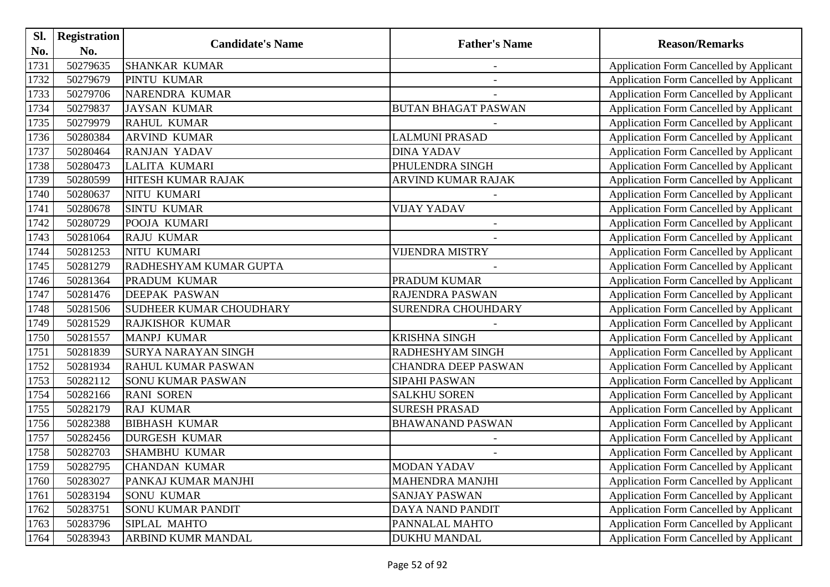| Sl.  | <b>Registration</b> |                                |                            |                                                |
|------|---------------------|--------------------------------|----------------------------|------------------------------------------------|
| No.  | No.                 | <b>Candidate's Name</b>        | <b>Father's Name</b>       | <b>Reason/Remarks</b>                          |
| 1731 | 50279635            | <b>SHANKAR KUMAR</b>           | $\overline{\phantom{a}}$   | <b>Application Form Cancelled by Applicant</b> |
| 1732 | 50279679            | PINTU KUMAR                    |                            | <b>Application Form Cancelled by Applicant</b> |
| 1733 | 50279706            | <b>NARENDRA KUMAR</b>          |                            | <b>Application Form Cancelled by Applicant</b> |
| 1734 | 50279837            | <b>JAYSAN KUMAR</b>            | <b>BUTAN BHAGAT PASWAN</b> | Application Form Cancelled by Applicant        |
| 1735 | 50279979            | <b>RAHUL KUMAR</b>             |                            | <b>Application Form Cancelled by Applicant</b> |
| 1736 | 50280384            | <b>ARVIND KUMAR</b>            | <b>LALMUNI PRASAD</b>      | <b>Application Form Cancelled by Applicant</b> |
| 1737 | 50280464            | <b>RANJAN YADAV</b>            | <b>DINA YADAV</b>          | Application Form Cancelled by Applicant        |
| 1738 | 50280473            | <b>LALITA KUMARI</b>           | PHULENDRA SINGH            | <b>Application Form Cancelled by Applicant</b> |
| 1739 | 50280599            | HITESH KUMAR RAJAK             | ARVIND KUMAR RAJAK         | <b>Application Form Cancelled by Applicant</b> |
| 1740 | 50280637            | <b>NITU KUMARI</b>             |                            | <b>Application Form Cancelled by Applicant</b> |
| 1741 | 50280678            | <b>SINTU KUMAR</b>             | <b>VIJAY YADAV</b>         | Application Form Cancelled by Applicant        |
| 1742 | 50280729            | POOJA KUMARI                   |                            | Application Form Cancelled by Applicant        |
| 1743 | 50281064            | <b>RAJU KUMAR</b>              |                            | <b>Application Form Cancelled by Applicant</b> |
| 1744 | 50281253            | NITU KUMARI                    | <b>VIJENDRA MISTRY</b>     | <b>Application Form Cancelled by Applicant</b> |
| 1745 | 50281279            | RADHESHYAM KUMAR GUPTA         |                            | <b>Application Form Cancelled by Applicant</b> |
| 1746 | 50281364            | PRADUM KUMAR                   | PRADUM KUMAR               | Application Form Cancelled by Applicant        |
| 1747 | 50281476            | <b>DEEPAK PASWAN</b>           | RAJENDRA PASWAN            | <b>Application Form Cancelled by Applicant</b> |
| 1748 | 50281506            | <b>SUDHEER KUMAR CHOUDHARY</b> | SURENDRA CHOUHDARY         | Application Form Cancelled by Applicant        |
| 1749 | 50281529            | <b>RAJKISHOR KUMAR</b>         |                            | <b>Application Form Cancelled by Applicant</b> |
| 1750 | 50281557            | <b>MANPJ KUMAR</b>             | <b>KRISHNA SINGH</b>       | <b>Application Form Cancelled by Applicant</b> |
| 1751 | 50281839            | <b>SURYA NARAYAN SINGH</b>     | RADHESHYAM SINGH           | Application Form Cancelled by Applicant        |
| 1752 | 50281934            | <b>RAHUL KUMAR PASWAN</b>      | <b>CHANDRA DEEP PASWAN</b> | Application Form Cancelled by Applicant        |
| 1753 | 50282112            | <b>SONU KUMAR PASWAN</b>       | <b>SIPAHI PASWAN</b>       | Application Form Cancelled by Applicant        |
| 1754 | 50282166            | <b>RANI SOREN</b>              | <b>SALKHU SOREN</b>        | <b>Application Form Cancelled by Applicant</b> |
| 1755 | 50282179            | <b>RAJ KUMAR</b>               | <b>SURESH PRASAD</b>       | <b>Application Form Cancelled by Applicant</b> |
| 1756 | 50282388            | <b>BIBHASH KUMAR</b>           | <b>BHAWANAND PASWAN</b>    | Application Form Cancelled by Applicant        |
| 1757 | 50282456            | <b>DURGESH KUMAR</b>           |                            | Application Form Cancelled by Applicant        |
| 1758 | 50282703            | <b>SHAMBHU KUMAR</b>           |                            | <b>Application Form Cancelled by Applicant</b> |
| 1759 | 50282795            | <b>CHANDAN KUMAR</b>           | <b>MODAN YADAV</b>         | <b>Application Form Cancelled by Applicant</b> |
| 1760 | 50283027            | PANKAJ KUMAR MANJHI            | MAHENDRA MANJHI            | Application Form Cancelled by Applicant        |
| 1761 | 50283194            | <b>SONU KUMAR</b>              | <b>SANJAY PASWAN</b>       | Application Form Cancelled by Applicant        |
| 1762 | 50283751            | <b>SONU KUMAR PANDIT</b>       | DAYA NAND PANDIT           | Application Form Cancelled by Applicant        |
| 1763 | 50283796            | SIPLAL MAHTO                   | PANNALAL MAHTO             | Application Form Cancelled by Applicant        |
| 1764 | 50283943            | ARBIND KUMR MANDAL             | DUKHU MANDAL               | Application Form Cancelled by Applicant        |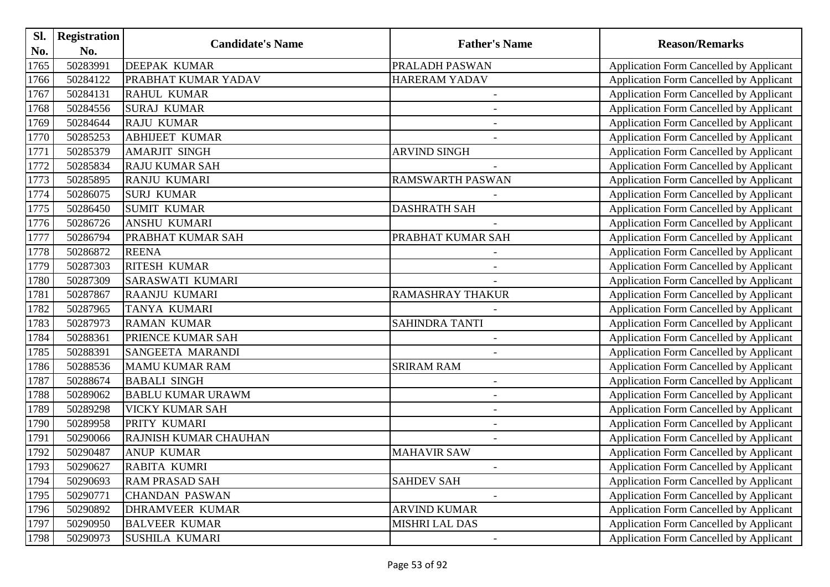| SI.  | <b>Registration</b> |                              |                          |                                                |
|------|---------------------|------------------------------|--------------------------|------------------------------------------------|
| No.  | No.                 | <b>Candidate's Name</b>      | <b>Father's Name</b>     | <b>Reason/Remarks</b>                          |
| 1765 | 50283991            | <b>DEEPAK KUMAR</b>          | PRALADH PASWAN           | Application Form Cancelled by Applicant        |
| 1766 | 50284122            | PRABHAT KUMAR YADAV          | <b>HARERAM YADAV</b>     | Application Form Cancelled by Applicant        |
| 1767 | 50284131            | <b>RAHUL KUMAR</b>           | $\overline{\phantom{a}}$ | Application Form Cancelled by Applicant        |
| 1768 | 50284556            | <b>SURAJ KUMAR</b>           |                          | Application Form Cancelled by Applicant        |
| 1769 | 50284644            | <b>RAJU KUMAR</b>            |                          | Application Form Cancelled by Applicant        |
| 1770 | 50285253            | <b>ABHIJEET KUMAR</b>        | $\overline{a}$           | Application Form Cancelled by Applicant        |
| 1771 | 50285379            | <b>AMARJIT SINGH</b>         | <b>ARVIND SINGH</b>      | Application Form Cancelled by Applicant        |
| 1772 | 50285834            | <b>RAJU KUMAR SAH</b>        |                          | Application Form Cancelled by Applicant        |
| 1773 | 50285895            | <b>RANJU KUMARI</b>          | <b>RAMSWARTH PASWAN</b>  | Application Form Cancelled by Applicant        |
| 1774 | 50286075            | <b>SURJ KUMAR</b>            |                          | Application Form Cancelled by Applicant        |
| 1775 | 50286450            | <b>SUMIT KUMAR</b>           | <b>DASHRATH SAH</b>      | Application Form Cancelled by Applicant        |
| 1776 | 50286726            | <b>ANSHU KUMARI</b>          |                          | Application Form Cancelled by Applicant        |
| 1777 | 50286794            | PRABHAT KUMAR SAH            | PRABHAT KUMAR SAH        | Application Form Cancelled by Applicant        |
| 1778 | 50286872            | <b>REENA</b>                 |                          | Application Form Cancelled by Applicant        |
| 1779 | 50287303            | <b>RITESH KUMAR</b>          | $\overline{\phantom{a}}$ | Application Form Cancelled by Applicant        |
| 1780 | 50287309            | <b>SARASWATI KUMARI</b>      |                          | Application Form Cancelled by Applicant        |
| 1781 | 50287867            | <b>RAANJU KUMARI</b>         | <b>RAMASHRAY THAKUR</b>  | Application Form Cancelled by Applicant        |
| 1782 | 50287965            | <b>TANYA KUMARI</b>          |                          | <b>Application Form Cancelled by Applicant</b> |
| 1783 | 50287973            | <b>RAMAN KUMAR</b>           | <b>SAHINDRA TANTI</b>    | Application Form Cancelled by Applicant        |
| 1784 | 50288361            | PRIENCE KUMAR SAH            | $\blacksquare$           | Application Form Cancelled by Applicant        |
| 1785 | 50288391            | <b>SANGEETA MARANDI</b>      |                          | Application Form Cancelled by Applicant        |
| 1786 | 50288536            | <b>MAMU KUMAR RAM</b>        | <b>SRIRAM RAM</b>        | Application Form Cancelled by Applicant        |
| 1787 | 50288674            | <b>BABALI SINGH</b>          | $\overline{a}$           | Application Form Cancelled by Applicant        |
| 1788 | 50289062            | <b>BABLU KUMAR URAWM</b>     | $\overline{a}$           | Application Form Cancelled by Applicant        |
| 1789 | 50289298            | <b>VICKY KUMAR SAH</b>       | $\blacksquare$           | Application Form Cancelled by Applicant        |
| 1790 | 50289958            | PRITY KUMARI                 | $\overline{\phantom{a}}$ | Application Form Cancelled by Applicant        |
| 1791 | 50290066            | <b>RAJNISH KUMAR CHAUHAN</b> | $\overline{\phantom{a}}$ | <b>Application Form Cancelled by Applicant</b> |
| 1792 | 50290487            | <b>ANUP KUMAR</b>            | <b>MAHAVIR SAW</b>       | Application Form Cancelled by Applicant        |
| 1793 | 50290627            | <b>RABITA KUMRI</b>          |                          | Application Form Cancelled by Applicant        |
| 1794 | 50290693            | <b>RAM PRASAD SAH</b>        | <b>SAHDEV SAH</b>        | Application Form Cancelled by Applicant        |
| 1795 | 50290771            | <b>CHANDAN PASWAN</b>        |                          | <b>Application Form Cancelled by Applicant</b> |
| 1796 | 50290892            | <b>DHRAMVEER KUMAR</b>       | <b>ARVIND KUMAR</b>      | Application Form Cancelled by Applicant        |
| 1797 | 50290950            | <b>BALVEER KUMAR</b>         | MISHRI LAL DAS           | Application Form Cancelled by Applicant        |
| 1798 | 50290973            | <b>SUSHILA KUMARI</b>        | $\overline{\phantom{a}}$ | Application Form Cancelled by Applicant        |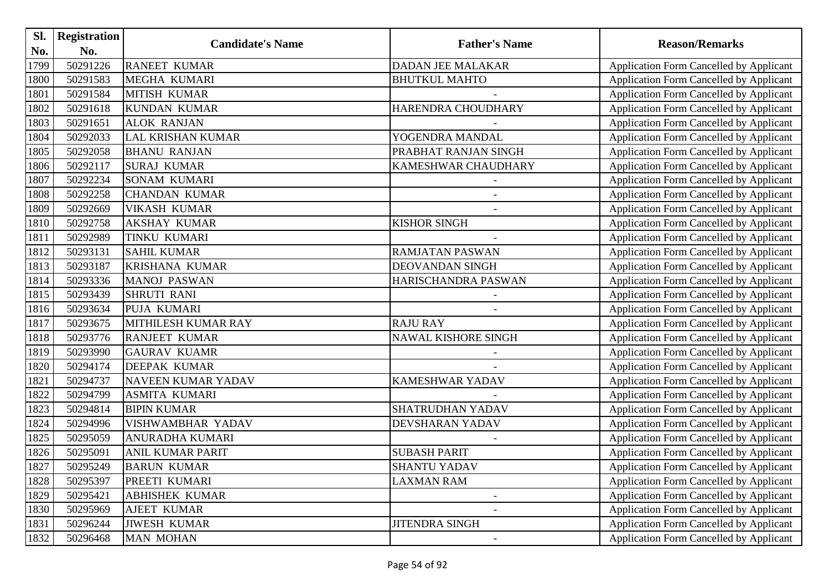| SI.  | <b>Registration</b> |                           |                            |                                                |
|------|---------------------|---------------------------|----------------------------|------------------------------------------------|
| No.  | No.                 | <b>Candidate's Name</b>   | <b>Father's Name</b>       | <b>Reason/Remarks</b>                          |
| 1799 | 50291226            | <b>RANEET KUMAR</b>       | <b>DADAN JEE MALAKAR</b>   | Application Form Cancelled by Applicant        |
| 1800 | 50291583            | <b>MEGHA KUMARI</b>       | <b>BHUTKUL MAHTO</b>       | Application Form Cancelled by Applicant        |
| 1801 | 50291584            | <b>MITISH KUMAR</b>       |                            | <b>Application Form Cancelled by Applicant</b> |
| 1802 | 50291618            | <b>KUNDAN KUMAR</b>       | HARENDRA CHOUDHARY         | Application Form Cancelled by Applicant        |
| 1803 | 50291651            | <b>ALOK RANJAN</b>        |                            | <b>Application Form Cancelled by Applicant</b> |
| 1804 | 50292033            | <b>LAL KRISHAN KUMAR</b>  | YOGENDRA MANDAL            | Application Form Cancelled by Applicant        |
| 1805 | 50292058            | <b>BHANU RANJAN</b>       | PRABHAT RANJAN SINGH       | <b>Application Form Cancelled by Applicant</b> |
| 1806 | 50292117            | <b>SURAJ KUMAR</b>        | KAMESHWAR CHAUDHARY        | <b>Application Form Cancelled by Applicant</b> |
| 1807 | 50292234            | <b>SONAM KUMARI</b>       |                            | <b>Application Form Cancelled by Applicant</b> |
| 1808 | 50292258            | <b>CHANDAN KUMAR</b>      | $\overline{\phantom{a}}$   | <b>Application Form Cancelled by Applicant</b> |
| 1809 | 50292669            | <b>VIKASH KUMAR</b>       |                            | Application Form Cancelled by Applicant        |
| 1810 | 50292758            | <b>AKSHAY KUMAR</b>       | <b>KISHOR SINGH</b>        | <b>Application Form Cancelled by Applicant</b> |
| 1811 | 50292989            | <b>TINKU KUMARI</b>       |                            | Application Form Cancelled by Applicant        |
| 1812 | 50293131            | <b>SAHIL KUMAR</b>        | <b>RAMJATAN PASWAN</b>     | Application Form Cancelled by Applicant        |
| 1813 | 50293187            | <b>KRISHANA KUMAR</b>     | DEOVANDAN SINGH            | <b>Application Form Cancelled by Applicant</b> |
| 1814 | 50293336            | <b>MANOJ PASWAN</b>       | HARISCHANDRA PASWAN        | Application Form Cancelled by Applicant        |
| 1815 | 50293439            | <b>SHRUTI RANI</b>        | $\overline{\phantom{a}}$   | <b>Application Form Cancelled by Applicant</b> |
| 1816 | 50293634            | PUJA KUMARI               |                            | Application Form Cancelled by Applicant        |
| 1817 | 50293675            | MITHILESH KUMAR RAY       | <b>RAJU RAY</b>            | <b>Application Form Cancelled by Applicant</b> |
| 1818 | 50293776            | <b>RANJEET KUMAR</b>      | <b>NAWAL KISHORE SINGH</b> | <b>Application Form Cancelled by Applicant</b> |
| 1819 | 50293990            | <b>GAURAV KUAMR</b>       |                            | Application Form Cancelled by Applicant        |
| 1820 | 50294174            | <b>DEEPAK KUMAR</b>       |                            | Application Form Cancelled by Applicant        |
| 1821 | 50294737            | <b>NAVEEN KUMAR YADAV</b> | <b>KAMESHWAR YADAV</b>     | Application Form Cancelled by Applicant        |
| 1822 | 50294799            | <b>ASMITA KUMARI</b>      |                            | <b>Application Form Cancelled by Applicant</b> |
| 1823 | 50294814            | <b>BIPIN KUMAR</b>        | SHATRUDHAN YADAV           | Application Form Cancelled by Applicant        |
| 1824 | 50294996            | <b>VISHWAMBHAR YADAV</b>  | DEVSHARAN YADAV            | <b>Application Form Cancelled by Applicant</b> |
| 1825 | 50295059            | <b>ANURADHA KUMARI</b>    |                            | <b>Application Form Cancelled by Applicant</b> |
| 1826 | 50295091            | <b>ANIL KUMAR PARIT</b>   | <b>SUBASH PARIT</b>        | <b>Application Form Cancelled by Applicant</b> |
| 1827 | 50295249            | <b>BARUN KUMAR</b>        | <b>SHANTU YADAV</b>        | Application Form Cancelled by Applicant        |
| 1828 | 50295397            | PREETI KUMARI             | <b>LAXMAN RAM</b>          | <b>Application Form Cancelled by Applicant</b> |
| 1829 | 50295421            | <b>ABHISHEK KUMAR</b>     | $\overline{\phantom{a}}$   | Application Form Cancelled by Applicant        |
| 1830 | 50295969            | <b>AJEET KUMAR</b>        |                            | Application Form Cancelled by Applicant        |
| 1831 | 50296244            | <b>JIWESH KUMAR</b>       | <b>JITENDRA SINGH</b>      | <b>Application Form Cancelled by Applicant</b> |
| 1832 | 50296468            | <b>MAN MOHAN</b>          |                            | Application Form Cancelled by Applicant        |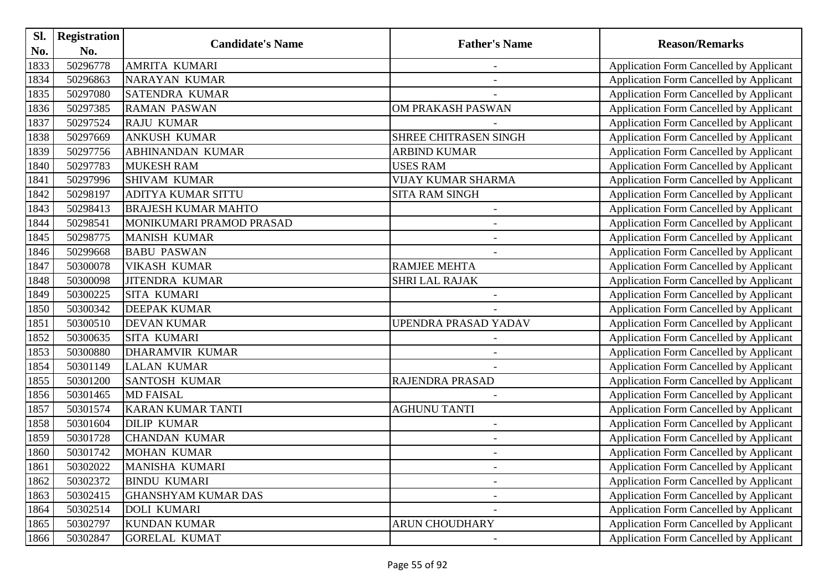| Sl.  | <b>Registration</b> |                            |                             |                                                |
|------|---------------------|----------------------------|-----------------------------|------------------------------------------------|
| No.  | No.                 | <b>Candidate's Name</b>    | <b>Father's Name</b>        | <b>Reason/Remarks</b>                          |
| 1833 | 50296778            | <b>AMRITA KUMARI</b>       | $\blacksquare$              | Application Form Cancelled by Applicant        |
| 1834 | 50296863            | <b>NARAYAN KUMAR</b>       |                             | Application Form Cancelled by Applicant        |
| 1835 | 50297080            | <b>SATENDRA KUMAR</b>      |                             | Application Form Cancelled by Applicant        |
| 1836 | 50297385            | <b>RAMAN PASWAN</b>        | OM PRAKASH PASWAN           | Application Form Cancelled by Applicant        |
| 1837 | 50297524            | <b>RAJU KUMAR</b>          |                             | <b>Application Form Cancelled by Applicant</b> |
| 1838 | 50297669            | <b>ANKUSH KUMAR</b>        | SHREE CHITRASEN SINGH       | <b>Application Form Cancelled by Applicant</b> |
| 1839 | 50297756            | <b>ABHINANDAN KUMAR</b>    | <b>ARBIND KUMAR</b>         | Application Form Cancelled by Applicant        |
| 1840 | 50297783            | <b>MUKESH RAM</b>          | <b>USES RAM</b>             | <b>Application Form Cancelled by Applicant</b> |
| 1841 | 50297996            | <b>SHIVAM KUMAR</b>        | <b>VIJAY KUMAR SHARMA</b>   | Application Form Cancelled by Applicant        |
| 1842 | 50298197            | <b>ADITYA KUMAR SITTU</b>  | <b>SITA RAM SINGH</b>       | Application Form Cancelled by Applicant        |
| 1843 | 50298413            | <b>BRAJESH KUMAR MAHTO</b> |                             | Application Form Cancelled by Applicant        |
| 1844 | 50298541            | MONIKUMARI PRAMOD PRASAD   |                             | Application Form Cancelled by Applicant        |
| 1845 | 50298775            | <b>MANISH KUMAR</b>        | $\overline{\phantom{a}}$    | <b>Application Form Cancelled by Applicant</b> |
| 1846 | 50299668            | <b>BABU PASWAN</b>         |                             | Application Form Cancelled by Applicant        |
| 1847 | 50300078            | <b>VIKASH KUMAR</b>        | <b>RAMJEE MEHTA</b>         | <b>Application Form Cancelled by Applicant</b> |
| 1848 | 50300098            | <b>JITENDRA KUMAR</b>      | <b>SHRI LAL RAJAK</b>       | Application Form Cancelled by Applicant        |
| 1849 | 50300225            | <b>SITA KUMARI</b>         | $\overline{\phantom{a}}$    | <b>Application Form Cancelled by Applicant</b> |
| 1850 | 50300342            | <b>DEEPAK KUMAR</b>        |                             | Application Form Cancelled by Applicant        |
| 1851 | 50300510            | <b>DEVAN KUMAR</b>         | <b>UPENDRA PRASAD YADAV</b> | Application Form Cancelled by Applicant        |
| 1852 | 50300635            | <b>SITA KUMARI</b>         | $\overline{\phantom{a}}$    | <b>Application Form Cancelled by Applicant</b> |
| 1853 | 50300880            | <b>DHARAMVIR KUMAR</b>     |                             | Application Form Cancelled by Applicant        |
| 1854 | 50301149            | <b>LALAN KUMAR</b>         |                             | <b>Application Form Cancelled by Applicant</b> |
| 1855 | 50301200            | <b>SANTOSH KUMAR</b>       | RAJENDRA PRASAD             | Application Form Cancelled by Applicant        |
| 1856 | 50301465            | <b>MD FAISAL</b>           |                             | Application Form Cancelled by Applicant        |
| 1857 | 50301574            | <b>KARAN KUMAR TANTI</b>   | <b>AGHUNU TANTI</b>         | Application Form Cancelled by Applicant        |
| 1858 | 50301604            | <b>DILIP KUMAR</b>         | $\blacksquare$              | Application Form Cancelled by Applicant        |
| 1859 | 50301728            | <b>CHANDAN KUMAR</b>       | $\overline{\phantom{a}}$    | <b>Application Form Cancelled by Applicant</b> |
| 1860 | 50301742            | <b>MOHAN KUMAR</b>         |                             | Application Form Cancelled by Applicant        |
| 1861 | 50302022            | MANISHA KUMARI             |                             | Application Form Cancelled by Applicant        |
| 1862 | 50302372            | <b>BINDU KUMARI</b>        |                             | <b>Application Form Cancelled by Applicant</b> |
| 1863 | 50302415            | <b>GHANSHYAM KUMAR DAS</b> |                             | <b>Application Form Cancelled by Applicant</b> |
| 1864 | 50302514            | <b>DOLI KUMARI</b>         |                             | <b>Application Form Cancelled by Applicant</b> |
| 1865 | 50302797            | <b>KUNDAN KUMAR</b>        | ARUN CHOUDHARY              | <b>Application Form Cancelled by Applicant</b> |
| 1866 | 50302847            | <b>GORELAL KUMAT</b>       |                             | Application Form Cancelled by Applicant        |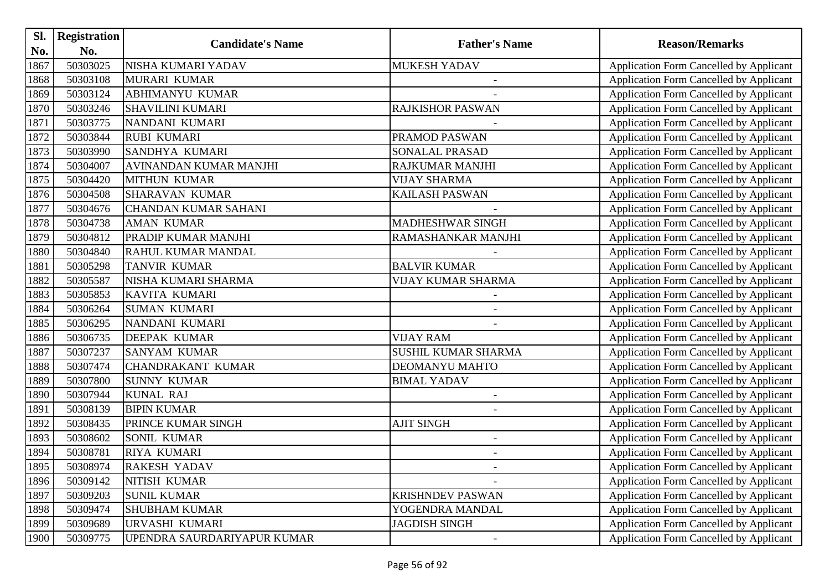| Sl.  | <b>Registration</b> |                             |                            | <b>Reason/Remarks</b>                          |
|------|---------------------|-----------------------------|----------------------------|------------------------------------------------|
| No.  | No.                 | <b>Candidate's Name</b>     | <b>Father's Name</b>       |                                                |
| 1867 | 50303025            | NISHA KUMARI YADAV          | <b>MUKESH YADAV</b>        | <b>Application Form Cancelled by Applicant</b> |
| 1868 | 50303108            | MURARI KUMAR                | $\blacksquare$             | <b>Application Form Cancelled by Applicant</b> |
| 1869 | 50303124            | <b>ABHIMANYU KUMAR</b>      |                            | Application Form Cancelled by Applicant        |
| 1870 | 50303246            | <b>SHAVILINI KUMARI</b>     | <b>RAJKISHOR PASWAN</b>    | Application Form Cancelled by Applicant        |
| 1871 | 50303775            | NANDANI KUMARI              |                            | <b>Application Form Cancelled by Applicant</b> |
| 1872 | 50303844            | <b>RUBI KUMARI</b>          | PRAMOD PASWAN              | <b>Application Form Cancelled by Applicant</b> |
| 1873 | 50303990            | <b>SANDHYA KUMARI</b>       | SONALAL PRASAD             | Application Form Cancelled by Applicant        |
| 1874 | 50304007            | AVINANDAN KUMAR MANJHI      | RAJKUMAR MANJHI            | <b>Application Form Cancelled by Applicant</b> |
| 1875 | 50304420            | <b>MITHUN KUMAR</b>         | <b>VIJAY SHARMA</b>        | <b>Application Form Cancelled by Applicant</b> |
| 1876 | 50304508            | <b>SHARAVAN KUMAR</b>       | <b>KAILASH PASWAN</b>      | <b>Application Form Cancelled by Applicant</b> |
| 1877 | 50304676            | <b>CHANDAN KUMAR SAHANI</b> |                            | Application Form Cancelled by Applicant        |
| 1878 | 50304738            | <b>AMAN KUMAR</b>           | <b>MADHESHWAR SINGH</b>    | Application Form Cancelled by Applicant        |
| 1879 | 50304812            | PRADIP KUMAR MANJHI         | RAMASHANKAR MANJHI         | <b>Application Form Cancelled by Applicant</b> |
| 1880 | 50304840            | <b>RAHUL KUMAR MANDAL</b>   |                            | <b>Application Form Cancelled by Applicant</b> |
| 1881 | 50305298            | <b>TANVIR KUMAR</b>         | <b>BALVIR KUMAR</b>        | <b>Application Form Cancelled by Applicant</b> |
| 1882 | 50305587            | NISHA KUMARI SHARMA         | <b>VIJAY KUMAR SHARMA</b>  | Application Form Cancelled by Applicant        |
| 1883 | 50305853            | <b>KAVITA KUMARI</b>        |                            | <b>Application Form Cancelled by Applicant</b> |
| 1884 | 50306264            | <b>SUMAN KUMARI</b>         |                            | Application Form Cancelled by Applicant        |
| 1885 | 50306295            | NANDANI KUMARI              |                            | <b>Application Form Cancelled by Applicant</b> |
| 1886 | 50306735            | <b>DEEPAK KUMAR</b>         | <b>VIJAY RAM</b>           | <b>Application Form Cancelled by Applicant</b> |
| 1887 | 50307237            | <b>SANYAM KUMAR</b>         | <b>SUSHIL KUMAR SHARMA</b> | Application Form Cancelled by Applicant        |
| 1888 | 50307474            | <b>CHANDRAKANT KUMAR</b>    | DEOMANYU MAHTO             | Application Form Cancelled by Applicant        |
| 1889 | 50307800            | <b>SUNNY KUMAR</b>          | <b>BIMAL YADAV</b>         | Application Form Cancelled by Applicant        |
| 1890 | 50307944            | <b>KUNAL RAJ</b>            | $\overline{\phantom{a}}$   | <b>Application Form Cancelled by Applicant</b> |
| 1891 | 50308139            | <b>BIPIN KUMAR</b>          |                            | <b>Application Form Cancelled by Applicant</b> |
| 1892 | 50308435            | PRINCE KUMAR SINGH          | <b>AJIT SINGH</b>          | Application Form Cancelled by Applicant        |
| 1893 | 50308602            | <b>SONIL KUMAR</b>          | $\overline{\phantom{a}}$   | Application Form Cancelled by Applicant        |
| 1894 | 50308781            | <b>RIYA KUMARI</b>          |                            | Application Form Cancelled by Applicant        |
| 1895 | 50308974            | <b>RAKESH YADAV</b>         |                            | <b>Application Form Cancelled by Applicant</b> |
| 1896 | 50309142            | NITISH KUMAR                |                            | Application Form Cancelled by Applicant        |
| 1897 | 50309203            | <b>SUNIL KUMAR</b>          | <b>KRISHNDEV PASWAN</b>    | Application Form Cancelled by Applicant        |
| 1898 | 50309474            | <b>SHUBHAM KUMAR</b>        | YOGENDRA MANDAL            | Application Form Cancelled by Applicant        |
| 1899 | 50309689            | URVASHI KUMARI              | <b>JAGDISH SINGH</b>       | Application Form Cancelled by Applicant        |
| 1900 | 50309775            | UPENDRA SAURDARIYAPUR KUMAR |                            | Application Form Cancelled by Applicant        |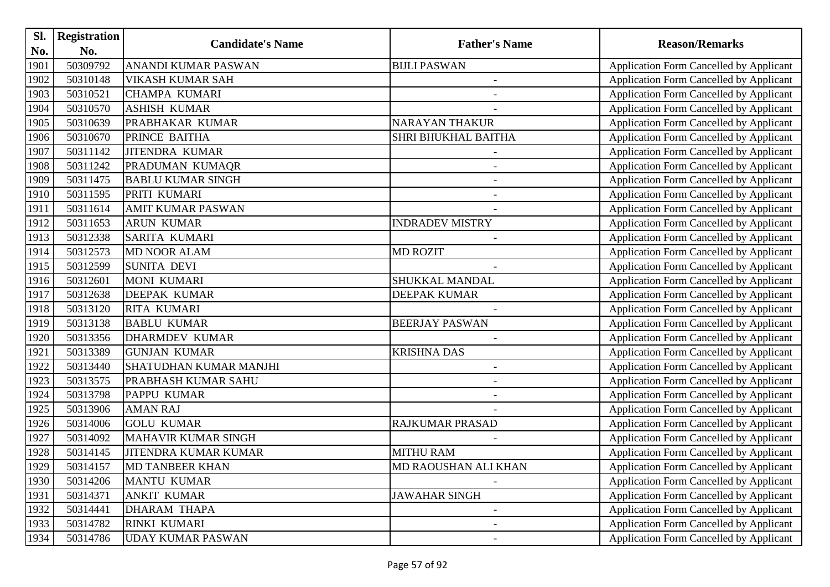| Sl.  | <b>Registration</b> |                               |                          |                                                |
|------|---------------------|-------------------------------|--------------------------|------------------------------------------------|
| No.  | No.                 | <b>Candidate's Name</b>       | <b>Father's Name</b>     | <b>Reason/Remarks</b>                          |
| 1901 | 50309792            | ANANDI KUMAR PASWAN           | <b>BIJLI PASWAN</b>      | Application Form Cancelled by Applicant        |
| 1902 | 50310148            | <b>VIKASH KUMAR SAH</b>       | $\overline{\phantom{a}}$ | Application Form Cancelled by Applicant        |
| 1903 | 50310521            | <b>CHAMPA KUMARI</b>          |                          | Application Form Cancelled by Applicant        |
| 1904 | 50310570            | <b>ASHISH KUMAR</b>           |                          | Application Form Cancelled by Applicant        |
| 1905 | 50310639            | PRABHAKAR KUMAR               | <b>NARAYAN THAKUR</b>    | <b>Application Form Cancelled by Applicant</b> |
| 1906 | 50310670            | PRINCE BAITHA                 | SHRI BHUKHAL BAITHA      | Application Form Cancelled by Applicant        |
| 1907 | 50311142            | <b>JITENDRA KUMAR</b>         |                          | Application Form Cancelled by Applicant        |
| 1908 | 50311242            | PRADUMAN KUMAQR               | $\overline{\phantom{a}}$ | <b>Application Form Cancelled by Applicant</b> |
| 1909 | 50311475            | <b>BABLU KUMAR SINGH</b>      | $\blacksquare$           | Application Form Cancelled by Applicant        |
| 1910 | 50311595            | PRITI KUMARI                  | $\qquad \qquad -$        | Application Form Cancelled by Applicant        |
| 1911 | 50311614            | <b>AMIT KUMAR PASWAN</b>      |                          | Application Form Cancelled by Applicant        |
| 1912 | 50311653            | <b>ARUN KUMAR</b>             | <b>INDRADEV MISTRY</b>   | Application Form Cancelled by Applicant        |
| 1913 | 50312338            | <b>SARITA KUMARI</b>          |                          | Application Form Cancelled by Applicant        |
| 1914 | 50312573            | <b>MD NOOR ALAM</b>           | <b>MD ROZIT</b>          | Application Form Cancelled by Applicant        |
| 1915 | 50312599            | <b>SUNITA DEVI</b>            |                          | <b>Application Form Cancelled by Applicant</b> |
| 1916 | 50312601            | <b>MONI KUMARI</b>            | SHUKKAL MANDAL           | Application Form Cancelled by Applicant        |
| 1917 | 50312638            | <b>DEEPAK KUMAR</b>           | <b>DEEPAK KUMAR</b>      | <b>Application Form Cancelled by Applicant</b> |
| 1918 | 50313120            | <b>RITA KUMARI</b>            |                          | <b>Application Form Cancelled by Applicant</b> |
| 1919 | 50313138            | <b>BABLU KUMAR</b>            | <b>BEERJAY PASWAN</b>    | Application Form Cancelled by Applicant        |
| 1920 | 50313356            | <b>DHARMDEV KUMAR</b>         | $\overline{\phantom{a}}$ | <b>Application Form Cancelled by Applicant</b> |
| 1921 | 50313389            | <b>GUNJAN KUMAR</b>           | <b>KRISHNA DAS</b>       | Application Form Cancelled by Applicant        |
| 1922 | 50313440            | <b>SHATUDHAN KUMAR MANJHI</b> | $\overline{\phantom{a}}$ | <b>Application Form Cancelled by Applicant</b> |
| 1923 | 50313575            | PRABHASH KUMAR SAHU           |                          | Application Form Cancelled by Applicant        |
| 1924 | 50313798            | <b>PAPPU KUMAR</b>            |                          | Application Form Cancelled by Applicant        |
| 1925 | 50313906            | <b>AMAN RAJ</b>               |                          | Application Form Cancelled by Applicant        |
| 1926 | 50314006            | <b>GOLU KUMAR</b>             | RAJKUMAR PRASAD          | Application Form Cancelled by Applicant        |
| 1927 | 50314092            | <b>MAHAVIR KUMAR SINGH</b>    |                          | <b>Application Form Cancelled by Applicant</b> |
| 1928 | 50314145            | <b>JITENDRA KUMAR KUMAR</b>   | <b>MITHU RAM</b>         | Application Form Cancelled by Applicant        |
| 1929 | 50314157            | <b>MD TANBEER KHAN</b>        | MD RAOUSHAN ALI KHAN     | Application Form Cancelled by Applicant        |
| 1930 | 50314206            | <b>MANTU KUMAR</b>            |                          | <b>Application Form Cancelled by Applicant</b> |
| 1931 | 50314371            | <b>ANKIT KUMAR</b>            | <b>JAWAHAR SINGH</b>     | <b>Application Form Cancelled by Applicant</b> |
| 1932 | 50314441            | <b>DHARAM THAPA</b>           | $\overline{\phantom{a}}$ | <b>Application Form Cancelled by Applicant</b> |
| 1933 | 50314782            | RINKI KUMARI                  | $\overline{\phantom{a}}$ | Application Form Cancelled by Applicant        |
| 1934 | 50314786            | <b>UDAY KUMAR PASWAN</b>      | $\overline{\phantom{a}}$ | Application Form Cancelled by Applicant        |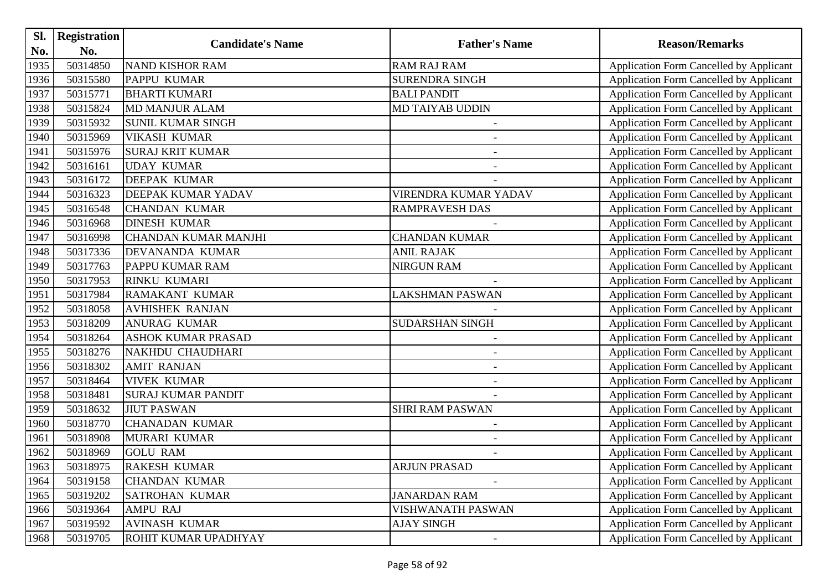| Sl.  | <b>Registration</b> |                             |                          |                                                |
|------|---------------------|-----------------------------|--------------------------|------------------------------------------------|
| No.  | No.                 | <b>Candidate's Name</b>     | <b>Father's Name</b>     | <b>Reason/Remarks</b>                          |
| 1935 | 50314850            | <b>NAND KISHOR RAM</b>      | <b>RAM RAJ RAM</b>       | Application Form Cancelled by Applicant        |
| 1936 | 50315580            | <b>PAPPU KUMAR</b>          | <b>SURENDRA SINGH</b>    | Application Form Cancelled by Applicant        |
| 1937 | 50315771            | <b>BHARTI KUMARI</b>        | <b>BALI PANDIT</b>       | Application Form Cancelled by Applicant        |
| 1938 | 50315824            | <b>MD MANJUR ALAM</b>       | <b>MD TAIYAB UDDIN</b>   | Application Form Cancelled by Applicant        |
| 1939 | 50315932            | <b>SUNIL KUMAR SINGH</b>    | $\overline{\phantom{a}}$ | <b>Application Form Cancelled by Applicant</b> |
| 1940 | 50315969            | <b>VIKASH KUMAR</b>         |                          | <b>Application Form Cancelled by Applicant</b> |
| 1941 | 50315976            | <b>SURAJ KRIT KUMAR</b>     |                          | Application Form Cancelled by Applicant        |
| 1942 | 50316161            | <b>UDAY KUMAR</b>           | $\overline{\phantom{a}}$ | <b>Application Form Cancelled by Applicant</b> |
| 1943 | 50316172            | <b>DEEPAK KUMAR</b>         |                          | <b>Application Form Cancelled by Applicant</b> |
| 1944 | 50316323            | DEEPAK KUMAR YADAV          | VIRENDRA KUMAR YADAV     | <b>Application Form Cancelled by Applicant</b> |
| 1945 | 50316548            | <b>CHANDAN KUMAR</b>        | RAMPRAVESH DAS           | Application Form Cancelled by Applicant        |
| 1946 | 50316968            | <b>DINESH KUMAR</b>         |                          | Application Form Cancelled by Applicant        |
| 1947 | 50316998            | <b>CHANDAN KUMAR MANJHI</b> | <b>CHANDAN KUMAR</b>     | <b>Application Form Cancelled by Applicant</b> |
| 1948 | 50317336            | DEVANANDA KUMAR             | <b>ANIL RAJAK</b>        | Application Form Cancelled by Applicant        |
| 1949 | 50317763            | PAPPU KUMAR RAM             | <b>NIRGUN RAM</b>        | Application Form Cancelled by Applicant        |
| 1950 | 50317953            | <b>RINKU KUMARI</b>         |                          | Application Form Cancelled by Applicant        |
| 1951 | 50317984            | <b>RAMAKANT KUMAR</b>       | LAKSHMAN PASWAN          | <b>Application Form Cancelled by Applicant</b> |
| 1952 | 50318058            | <b>AVHISHEK RANJAN</b>      |                          | Application Form Cancelled by Applicant        |
| 1953 | 50318209            | <b>ANURAG KUMAR</b>         | <b>SUDARSHAN SINGH</b>   | <b>Application Form Cancelled by Applicant</b> |
| 1954 | 50318264            | <b>ASHOK KUMAR PRASAD</b>   | $\blacksquare$           | Application Form Cancelled by Applicant        |
| 1955 | 50318276            | NAKHDU CHAUDHARI            | $\overline{\phantom{a}}$ | Application Form Cancelled by Applicant        |
| 1956 | 50318302            | <b>AMIT RANJAN</b>          | $\overline{\phantom{a}}$ | <b>Application Form Cancelled by Applicant</b> |
| 1957 | 50318464            | <b>VIVEK KUMAR</b>          |                          | Application Form Cancelled by Applicant        |
| 1958 | 50318481            | <b>SURAJ KUMAR PANDIT</b>   |                          | <b>Application Form Cancelled by Applicant</b> |
| 1959 | 50318632            | <b>JIUT PASWAN</b>          | <b>SHRI RAM PASWAN</b>   | Application Form Cancelled by Applicant        |
| 1960 | 50318770            | <b>CHANADAN KUMAR</b>       | $\overline{\phantom{a}}$ | Application Form Cancelled by Applicant        |
| 1961 | 50318908            | <b>MURARI KUMAR</b>         | $\overline{\phantom{a}}$ | Application Form Cancelled by Applicant        |
| 1962 | 50318969            | <b>GOLU RAM</b>             |                          | Application Form Cancelled by Applicant        |
| 1963 | 50318975            | <b>RAKESH KUMAR</b>         | <b>ARJUN PRASAD</b>      | <b>Application Form Cancelled by Applicant</b> |
| 1964 | 50319158            | <b>CHANDAN KUMAR</b>        |                          | Application Form Cancelled by Applicant        |
| 1965 | 50319202            | <b>SATROHAN KUMAR</b>       | <b>JANARDAN RAM</b>      | Application Form Cancelled by Applicant        |
| 1966 | 50319364            | <b>AMPU RAJ</b>             | VISHWANATH PASWAN        | Application Form Cancelled by Applicant        |
| 1967 | 50319592            | <b>AVINASH KUMAR</b>        | <b>AJAY SINGH</b>        | <b>Application Form Cancelled by Applicant</b> |
| 1968 | 50319705            | ROHIT KUMAR UPADHYAY        |                          | <b>Application Form Cancelled by Applicant</b> |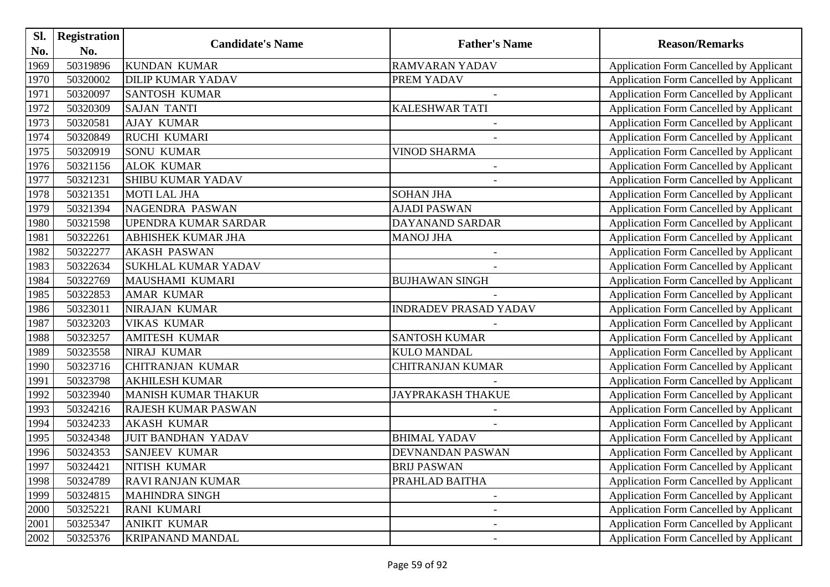| SI.  | <b>Registration</b> |                             | <b>Father's Name</b>         |                                                |
|------|---------------------|-----------------------------|------------------------------|------------------------------------------------|
| No.  | No.                 | <b>Candidate's Name</b>     |                              | <b>Reason/Remarks</b>                          |
| 1969 | 50319896            | <b>KUNDAN KUMAR</b>         | <b>RAMVARAN YADAV</b>        | Application Form Cancelled by Applicant        |
| 1970 | 50320002            | <b>DILIP KUMAR YADAV</b>    | PREM YADAV                   | Application Form Cancelled by Applicant        |
| 1971 | 50320097            | <b>SANTOSH KUMAR</b>        |                              | Application Form Cancelled by Applicant        |
| 1972 | 50320309            | <b>SAJAN TANTI</b>          | <b>KALESHWAR TATI</b>        | Application Form Cancelled by Applicant        |
| 1973 | 50320581            | <b>AJAY KUMAR</b>           |                              | Application Form Cancelled by Applicant        |
| 1974 | 50320849            | <b>RUCHI KUMARI</b>         | $\overline{a}$               | Application Form Cancelled by Applicant        |
| 1975 | 50320919            | <b>SONU KUMAR</b>           | <b>VINOD SHARMA</b>          | Application Form Cancelled by Applicant        |
| 1976 | 50321156            | <b>ALOK KUMAR</b>           | $\overline{\phantom{a}}$     | Application Form Cancelled by Applicant        |
| 1977 | 50321231            | <b>SHIBU KUMAR YADAV</b>    |                              | Application Form Cancelled by Applicant        |
| 1978 | 50321351            | <b>MOTI LAL JHA</b>         | <b>SOHAN JHA</b>             | Application Form Cancelled by Applicant        |
| 1979 | 50321394            | NAGENDRA PASWAN             | <b>AJADI PASWAN</b>          | Application Form Cancelled by Applicant        |
| 1980 | 50321598            | <b>UPENDRA KUMAR SARDAR</b> | <b>DAYANAND SARDAR</b>       | Application Form Cancelled by Applicant        |
| 1981 | 50322261            | <b>ABHISHEK KUMAR JHA</b>   | <b>MANOJ JHA</b>             | Application Form Cancelled by Applicant        |
| 1982 | 50322277            | <b>AKASH PASWAN</b>         |                              | Application Form Cancelled by Applicant        |
| 1983 | 50322634            | <b>SUKHLAL KUMAR YADAV</b>  |                              | Application Form Cancelled by Applicant        |
| 1984 | 50322769            | MAUSHAMI KUMARI             | <b>BUJHAWAN SINGH</b>        | Application Form Cancelled by Applicant        |
| 1985 | 50322853            | <b>AMAR KUMAR</b>           |                              | Application Form Cancelled by Applicant        |
| 1986 | 50323011            | NIRAJAN KUMAR               | <b>INDRADEV PRASAD YADAV</b> | <b>Application Form Cancelled by Applicant</b> |
| 1987 | 50323203            | <b>VIKAS KUMAR</b>          |                              | Application Form Cancelled by Applicant        |
| 1988 | 50323257            | <b>AMITESH KUMAR</b>        | <b>SANTOSH KUMAR</b>         | Application Form Cancelled by Applicant        |
| 1989 | 50323558            | <b>NIRAJ KUMAR</b>          | <b>KULO MANDAL</b>           | Application Form Cancelled by Applicant        |
| 1990 | 50323716            | <b>CHITRANJAN KUMAR</b>     | <b>CHITRANJAN KUMAR</b>      | Application Form Cancelled by Applicant        |
| 1991 | 50323798            | <b>AKHILESH KUMAR</b>       |                              | Application Form Cancelled by Applicant        |
| 1992 | 50323940            | <b>MANISH KUMAR THAKUR</b>  | <b>JAYPRAKASH THAKUE</b>     | Application Form Cancelled by Applicant        |
| 1993 | 50324216            | <b>RAJESH KUMAR PASWAN</b>  |                              | Application Form Cancelled by Applicant        |
| 1994 | 50324233            | <b>AKASH KUMAR</b>          |                              | Application Form Cancelled by Applicant        |
| 1995 | 50324348            | <b>JUIT BANDHAN YADAV</b>   | <b>BHIMAL YADAV</b>          | Application Form Cancelled by Applicant        |
| 1996 | 50324353            | <b>SANJEEV KUMAR</b>        | DEVNANDAN PASWAN             | Application Form Cancelled by Applicant        |
| 1997 | 50324421            | NITISH KUMAR                | <b>BRIJ PASWAN</b>           | Application Form Cancelled by Applicant        |
| 1998 | 50324789            | <b>RAVI RANJAN KUMAR</b>    | PRAHLAD BAITHA               | Application Form Cancelled by Applicant        |
| 1999 | 50324815            | <b>MAHINDRA SINGH</b>       |                              | <b>Application Form Cancelled by Applicant</b> |
| 2000 | 50325221            | <b>RANI KUMARI</b>          | $\overline{\phantom{a}}$     | <b>Application Form Cancelled by Applicant</b> |
| 2001 | 50325347            | <b>ANIKIT KUMAR</b>         | $\overline{\phantom{a}}$     | Application Form Cancelled by Applicant        |
| 2002 | 50325376            | <b>KRIPANAND MANDAL</b>     |                              | Application Form Cancelled by Applicant        |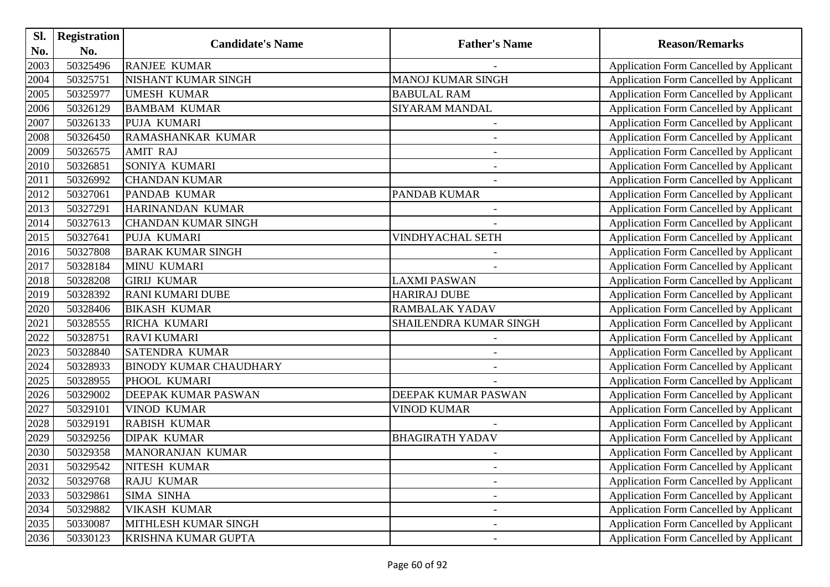| Sl.               | <b>Registration</b> |                               |                          |                                                |
|-------------------|---------------------|-------------------------------|--------------------------|------------------------------------------------|
| No.               | No.                 | <b>Candidate's Name</b>       | <b>Father's Name</b>     | <b>Reason/Remarks</b>                          |
| 2003              | 50325496            | <b>RANJEE KUMAR</b>           |                          | Application Form Cancelled by Applicant        |
| 2004              | 50325751            | NISHANT KUMAR SINGH           | <b>MANOJ KUMAR SINGH</b> | Application Form Cancelled by Applicant        |
| 2005              | 50325977            | <b>UMESH KUMAR</b>            | <b>BABULAL RAM</b>       | Application Form Cancelled by Applicant        |
| 2006              | 50326129            | <b>BAMBAM KUMAR</b>           | SIYARAM MANDAL           | Application Form Cancelled by Applicant        |
| 2007              | 50326133            | <b>PUJA KUMARI</b>            |                          | Application Form Cancelled by Applicant        |
| 2008              | 50326450            | RAMASHANKAR KUMAR             | $\blacksquare$           | Application Form Cancelled by Applicant        |
| 2009              | 50326575            | <b>AMIT RAJ</b>               |                          | Application Form Cancelled by Applicant        |
| 2010              | 50326851            | SONIYA KUMARI                 | $\overline{\phantom{a}}$ | Application Form Cancelled by Applicant        |
| 2011              | 50326992            | <b>CHANDAN KUMAR</b>          |                          | Application Form Cancelled by Applicant        |
| 2012              | 50327061            | <b>PANDAB KUMAR</b>           | <b>PANDAB KUMAR</b>      | Application Form Cancelled by Applicant        |
| 2013              | 50327291            | HARINANDAN KUMAR              |                          | Application Form Cancelled by Applicant        |
| 2014              | 50327613            | <b>CHANDAN KUMAR SINGH</b>    |                          | Application Form Cancelled by Applicant        |
| 2015              | 50327641            | PUJA KUMARI                   | <b>VINDHYACHAL SETH</b>  | Application Form Cancelled by Applicant        |
| 2016              | 50327808            | <b>BARAK KUMAR SINGH</b>      |                          | Application Form Cancelled by Applicant        |
| $\overline{2017}$ | 50328184            | <b>MINU KUMARI</b>            |                          | Application Form Cancelled by Applicant        |
| 2018              | 50328208            | <b>GIRIJ KUMAR</b>            | <b>LAXMI PASWAN</b>      | Application Form Cancelled by Applicant        |
| 2019              | 50328392            | <b>RANI KUMARI DUBE</b>       | <b>HARIRAJ DUBE</b>      | Application Form Cancelled by Applicant        |
| 2020              | 50328406            | <b>BIKASH KUMAR</b>           | <b>RAMBALAK YADAV</b>    | Application Form Cancelled by Applicant        |
| 2021              | 50328555            | RICHA KUMARI                  | SHAILENDRA KUMAR SINGH   | Application Form Cancelled by Applicant        |
| 2022              | 50328751            | <b>RAVI KUMARI</b>            |                          | Application Form Cancelled by Applicant        |
| 2023              | 50328840            | <b>SATENDRA KUMAR</b>         |                          | Application Form Cancelled by Applicant        |
| 2024              | 50328933            | <b>BINODY KUMAR CHAUDHARY</b> | $\overline{\phantom{a}}$ | Application Form Cancelled by Applicant        |
| 2025              | 50328955            | PHOOL KUMARI                  |                          | Application Form Cancelled by Applicant        |
| 2026              | 50329002            | <b>DEEPAK KUMAR PASWAN</b>    | DEEPAK KUMAR PASWAN      | Application Form Cancelled by Applicant        |
| 2027              | 50329101            | <b>VINOD KUMAR</b>            | <b>VINOD KUMAR</b>       | Application Form Cancelled by Applicant        |
| 2028              | 50329191            | <b>RABISH KUMAR</b>           |                          | Application Form Cancelled by Applicant        |
| 2029              | 50329256            | <b>DIPAK KUMAR</b>            | <b>BHAGIRATH YADAV</b>   | Application Form Cancelled by Applicant        |
| 2030              | 50329358            | MANORANJAN KUMAR              |                          | Application Form Cancelled by Applicant        |
| 2031              | 50329542            | NITESH KUMAR                  |                          | Application Form Cancelled by Applicant        |
| 2032              | 50329768            | <b>RAJU KUMAR</b>             |                          | Application Form Cancelled by Applicant        |
| 2033              | 50329861            | <b>SIMA SINHA</b>             |                          | <b>Application Form Cancelled by Applicant</b> |
| 2034              | 50329882            | VIKASH KUMAR                  | $\overline{\phantom{a}}$ | Application Form Cancelled by Applicant        |
| 2035              | 50330087            | MITHLESH KUMAR SINGH          | $\overline{\phantom{a}}$ | Application Form Cancelled by Applicant        |
| 2036              | 50330123            | KRISHNA KUMAR GUPTA           | $\overline{\phantom{0}}$ | <b>Application Form Cancelled by Applicant</b> |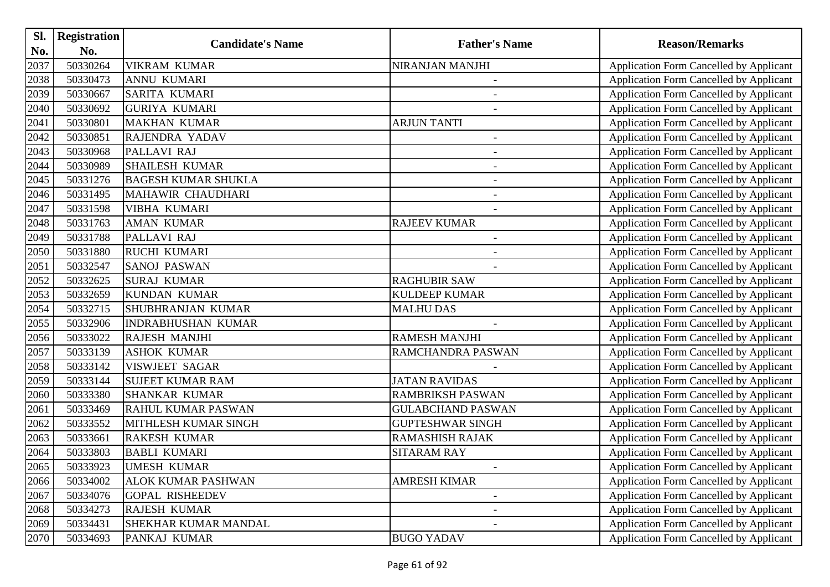| Sl.               | <b>Registration</b> |                             | <b>Father's Name</b>     |                                                |
|-------------------|---------------------|-----------------------------|--------------------------|------------------------------------------------|
| No.               | No.                 | <b>Candidate's Name</b>     |                          | <b>Reason/Remarks</b>                          |
| 2037              | 50330264            | <b>VIKRAM KUMAR</b>         | NIRANJAN MANJHI          | Application Form Cancelled by Applicant        |
| 2038              | 50330473            | <b>ANNU KUMARI</b>          |                          | Application Form Cancelled by Applicant        |
| 2039              | 50330667            | <b>SARITA KUMARI</b>        | $\overline{\phantom{a}}$ | Application Form Cancelled by Applicant        |
| 2040              | 50330692            | <b>GURIYA KUMARI</b>        |                          | Application Form Cancelled by Applicant        |
| 2041              | 50330801            | <b>MAKHAN KUMAR</b>         | <b>ARJUN TANTI</b>       | Application Form Cancelled by Applicant        |
| 2042              | 50330851            | RAJENDRA YADAV              | $\blacksquare$           | Application Form Cancelled by Applicant        |
| 2043              | 50330968            | PALLAVI RAJ                 |                          | Application Form Cancelled by Applicant        |
| 2044              | 50330989            | <b>SHAILESH KUMAR</b>       | $\overline{\phantom{a}}$ | <b>Application Form Cancelled by Applicant</b> |
| $\overline{2045}$ | 50331276            | <b>BAGESH KUMAR SHUKLA</b>  |                          | Application Form Cancelled by Applicant        |
| 2046              | 50331495            | MAHAWIR CHAUDHARI           | $\overline{a}$           | Application Form Cancelled by Applicant        |
| 2047              | 50331598            | <b>VIBHA KUMARI</b>         |                          | Application Form Cancelled by Applicant        |
| 2048              | 50331763            | <b>AMAN KUMAR</b>           | <b>RAJEEV KUMAR</b>      | Application Form Cancelled by Applicant        |
| 2049              | 50331788            | PALLAVI RAJ                 |                          | <b>Application Form Cancelled by Applicant</b> |
| 2050              | 50331880            | <b>RUCHI KUMARI</b>         | $\overline{a}$           | Application Form Cancelled by Applicant        |
| 2051              | 50332547            | <b>SANOJ PASWAN</b>         |                          | Application Form Cancelled by Applicant        |
| 2052              | 50332625            | <b>SURAJ KUMAR</b>          | <b>RAGHUBIR SAW</b>      | Application Form Cancelled by Applicant        |
| 2053              | 50332659            | <b>KUNDAN KUMAR</b>         | <b>KULDEEP KUMAR</b>     | Application Form Cancelled by Applicant        |
| 2054              | 50332715            | <b>SHUBHRANJAN KUMAR</b>    | <b>MALHU DAS</b>         | <b>Application Form Cancelled by Applicant</b> |
| 2055              | 50332906            | <b>INDRABHUSHAN KUMAR</b>   |                          | Application Form Cancelled by Applicant        |
| 2056              | 50333022            | <b>RAJESH MANJHI</b>        | <b>RAMESH MANJHI</b>     | Application Form Cancelled by Applicant        |
| 2057              | 50333139            | <b>ASHOK KUMAR</b>          | RAMCHANDRA PASWAN        | Application Form Cancelled by Applicant        |
| 2058              | 50333142            | <b>VISWJEET SAGAR</b>       |                          | Application Form Cancelled by Applicant        |
| 2059              | 50333144            | <b>SUJEET KUMAR RAM</b>     | <b>JATAN RAVIDAS</b>     | Application Form Cancelled by Applicant        |
| 2060              | 50333380            | <b>SHANKAR KUMAR</b>        | <b>RAMBRIKSH PASWAN</b>  | Application Form Cancelled by Applicant        |
| 2061              | 50333469            | <b>RAHUL KUMAR PASWAN</b>   | <b>GULABCHAND PASWAN</b> | Application Form Cancelled by Applicant        |
| 2062              | 50333552            | <b>MITHLESH KUMAR SINGH</b> | <b>GUPTESHWAR SINGH</b>  | Application Form Cancelled by Applicant        |
| 2063              | 50333661            | <b>RAKESH KUMAR</b>         | <b>RAMASHISH RAJAK</b>   | Application Form Cancelled by Applicant        |
| 2064              | 50333803            | <b>BABLI KUMARI</b>         | <b>SITARAM RAY</b>       | Application Form Cancelled by Applicant        |
| 2065              | 50333923            | <b>UMESH KUMAR</b>          |                          | Application Form Cancelled by Applicant        |
| 2066              | 50334002            | <b>ALOK KUMAR PASHWAN</b>   | <b>AMRESH KIMAR</b>      | Application Form Cancelled by Applicant        |
| 2067              | 50334076            | <b>GOPAL RISHEEDEV</b>      |                          | <b>Application Form Cancelled by Applicant</b> |
| 2068              | 50334273            | <b>RAJESH KUMAR</b>         | $\overline{\phantom{a}}$ | <b>Application Form Cancelled by Applicant</b> |
| 2069              | 50334431            | <b>SHEKHAR KUMAR MANDAL</b> |                          | Application Form Cancelled by Applicant        |
| 2070              | 50334693            | PANKAJ KUMAR                | <b>BUGO YADAV</b>        | <b>Application Form Cancelled by Applicant</b> |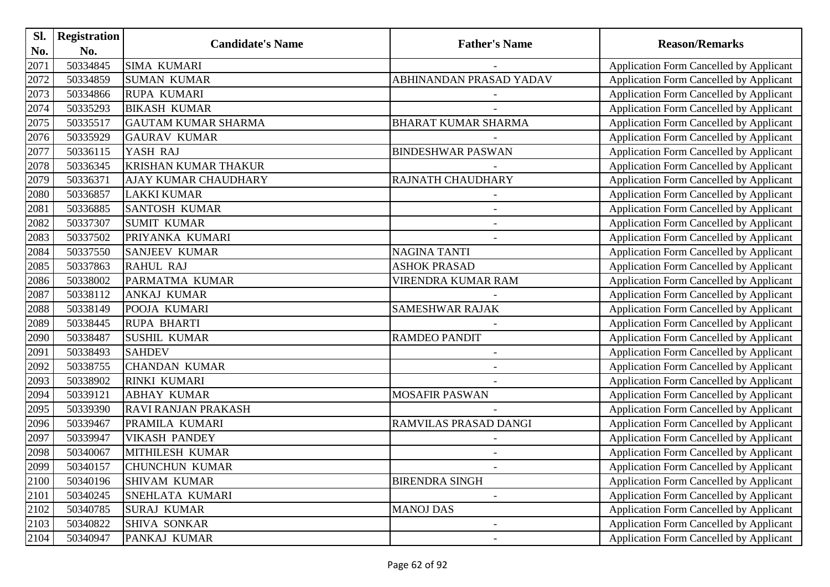| Sl.  | <b>Registration</b> | <b>Candidate's Name</b>     |                            |                                                |
|------|---------------------|-----------------------------|----------------------------|------------------------------------------------|
| No.  | No.                 |                             | <b>Father's Name</b>       | <b>Reason/Remarks</b>                          |
| 2071 | 50334845            | <b>SIMA KUMARI</b>          |                            | Application Form Cancelled by Applicant        |
| 2072 | 50334859            | <b>SUMAN KUMAR</b>          | ABHINANDAN PRASAD YADAV    | <b>Application Form Cancelled by Applicant</b> |
| 2073 | 50334866            | <b>RUPA KUMARI</b>          |                            | <b>Application Form Cancelled by Applicant</b> |
| 2074 | 50335293            | <b>BIKASH KUMAR</b>         |                            | Application Form Cancelled by Applicant        |
| 2075 | 50335517            | <b>GAUTAM KUMAR SHARMA</b>  | <b>BHARAT KUMAR SHARMA</b> | <b>Application Form Cancelled by Applicant</b> |
| 2076 | 50335929            | <b>GAURAV KUMAR</b>         |                            | <b>Application Form Cancelled by Applicant</b> |
| 2077 | 50336115            | YASH RAJ                    | <b>BINDESHWAR PASWAN</b>   | Application Form Cancelled by Applicant        |
| 2078 | 50336345            | <b>KRISHAN KUMAR THAKUR</b> |                            | <b>Application Form Cancelled by Applicant</b> |
| 2079 | 50336371            | <b>AJAY KUMAR CHAUDHARY</b> | RAJNATH CHAUDHARY          | <b>Application Form Cancelled by Applicant</b> |
| 2080 | 50336857            | <b>LAKKI KUMAR</b>          | $\overline{\phantom{a}}$   | <b>Application Form Cancelled by Applicant</b> |
| 2081 | 50336885            | <b>SANTOSH KUMAR</b>        | $\overline{\phantom{a}}$   | Application Form Cancelled by Applicant        |
| 2082 | 50337307            | <b>SUMIT KUMAR</b>          |                            | Application Form Cancelled by Applicant        |
| 2083 | 50337502            | PRIYANKA KUMARI             |                            | <b>Application Form Cancelled by Applicant</b> |
| 2084 | 50337550            | <b>SANJEEV KUMAR</b>        | <b>NAGINA TANTI</b>        | <b>Application Form Cancelled by Applicant</b> |
| 2085 | 50337863            | <b>RAHUL RAJ</b>            | <b>ASHOK PRASAD</b>        | <b>Application Form Cancelled by Applicant</b> |
| 2086 | 50338002            | PARMATMA KUMAR              | VIRENDRA KUMAR RAM         | Application Form Cancelled by Applicant        |
| 2087 | 50338112            | <b>ANKAJ KUMAR</b>          |                            | <b>Application Form Cancelled by Applicant</b> |
| 2088 | 50338149            | POOJA KUMARI                | <b>SAMESHWAR RAJAK</b>     | Application Form Cancelled by Applicant        |
| 2089 | 50338445            | <b>RUPA BHARTI</b>          |                            | <b>Application Form Cancelled by Applicant</b> |
| 2090 | 50338487            | <b>SUSHIL KUMAR</b>         | <b>RAMDEO PANDIT</b>       | <b>Application Form Cancelled by Applicant</b> |
| 2091 | 50338493            | <b>SAHDEV</b>               |                            | <b>Application Form Cancelled by Applicant</b> |
| 2092 | 50338755            | <b>CHANDAN KUMAR</b>        | $\overline{\phantom{a}}$   | Application Form Cancelled by Applicant        |
| 2093 | 50338902            | RINKI KUMARI                |                            | Application Form Cancelled by Applicant        |
| 2094 | 50339121            | <b>ABHAY KUMAR</b>          | <b>MOSAFIR PASWAN</b>      | <b>Application Form Cancelled by Applicant</b> |
| 2095 | 50339390            | RAVI RANJAN PRAKASH         |                            | <b>Application Form Cancelled by Applicant</b> |
| 2096 | 50339467            | PRAMILA KUMARI              | RAMVILAS PRASAD DANGI      | Application Form Cancelled by Applicant        |
| 2097 | 50339947            | <b>VIKASH PANDEY</b>        |                            | Application Form Cancelled by Applicant        |
| 2098 | 50340067            | MITHILESH KUMAR             |                            | <b>Application Form Cancelled by Applicant</b> |
| 2099 | 50340157            | <b>CHUNCHUN KUMAR</b>       |                            | <b>Application Form Cancelled by Applicant</b> |
| 2100 | 50340196            | <b>SHIVAM KUMAR</b>         | <b>BIRENDRA SINGH</b>      | <b>Application Form Cancelled by Applicant</b> |
| 2101 | 50340245            | SNEHLATA KUMARI             |                            | Application Form Cancelled by Applicant        |
| 2102 | 50340785            | <b>SURAJ KUMAR</b>          | <b>MANOJ DAS</b>           | Application Form Cancelled by Applicant        |
| 2103 | 50340822            | <b>SHIVA SONKAR</b>         |                            | <b>Application Form Cancelled by Applicant</b> |
| 2104 | 50340947            | PANKAJ KUMAR                |                            | Application Form Cancelled by Applicant        |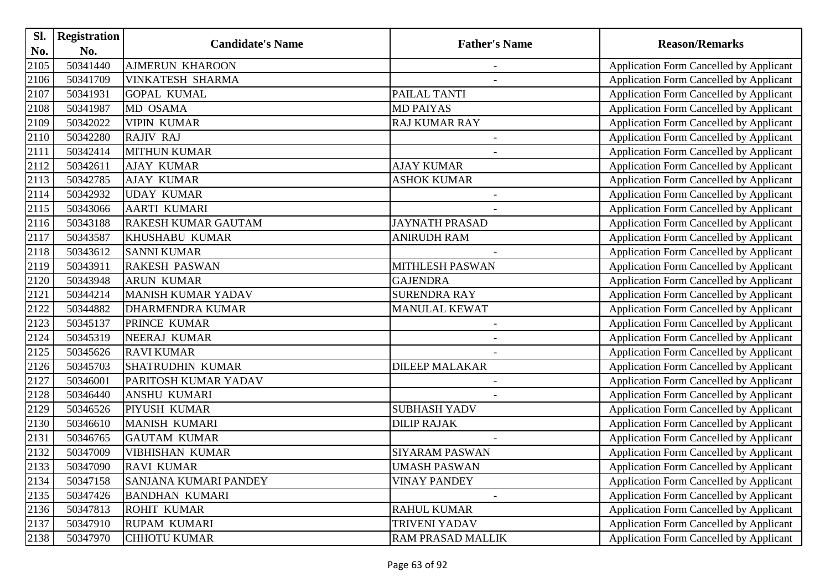| Sl.  | <b>Registration</b> |                              |                          |                                                |
|------|---------------------|------------------------------|--------------------------|------------------------------------------------|
| No.  | No.                 | <b>Candidate's Name</b>      | <b>Father's Name</b>     | <b>Reason/Remarks</b>                          |
| 2105 | 50341440            | <b>AJMERUN KHAROON</b>       | $\blacksquare$           | Application Form Cancelled by Applicant        |
| 2106 | 50341709            | <b>VINKATESH SHARMA</b>      |                          | Application Form Cancelled by Applicant        |
| 2107 | 50341931            | <b>GOPAL KUMAL</b>           | PAILAL TANTI             | Application Form Cancelled by Applicant        |
| 2108 | 50341987            | MD OSAMA                     | <b>MD PAIYAS</b>         | Application Form Cancelled by Applicant        |
| 2109 | 50342022            | <b>VIPIN KUMAR</b>           | <b>RAJ KUMAR RAY</b>     | Application Form Cancelled by Applicant        |
| 2110 | 50342280            | <b>RAJIV RAJ</b>             | $\blacksquare$           | <b>Application Form Cancelled by Applicant</b> |
| 2111 | 50342414            | <b>MITHUN KUMAR</b>          |                          | Application Form Cancelled by Applicant        |
| 2112 | 50342611            | <b>AJAY KUMAR</b>            | <b>AJAY KUMAR</b>        | Application Form Cancelled by Applicant        |
| 2113 | 50342785            | <b>AJAY KUMAR</b>            | <b>ASHOK KUMAR</b>       | Application Form Cancelled by Applicant        |
| 2114 | 50342932            | <b>UDAY KUMAR</b>            | $\overline{\phantom{a}}$ | Application Form Cancelled by Applicant        |
| 2115 | 50343066            | <b>AARTI KUMARI</b>          |                          | Application Form Cancelled by Applicant        |
| 2116 | 50343188            | <b>RAKESH KUMAR GAUTAM</b>   | <b>JAYNATH PRASAD</b>    | Application Form Cancelled by Applicant        |
| 2117 | 50343587            | <b>KHUSHABU KUMAR</b>        | <b>ANIRUDH RAM</b>       | Application Form Cancelled by Applicant        |
| 2118 | 50343612            | <b>SANNI KUMAR</b>           |                          | <b>Application Form Cancelled by Applicant</b> |
| 2119 | 50343911            | <b>RAKESH PASWAN</b>         | MITHLESH PASWAN          | Application Form Cancelled by Applicant        |
| 2120 | 50343948            | <b>ARUN KUMAR</b>            | <b>GAJENDRA</b>          | Application Form Cancelled by Applicant        |
| 2121 | 50344214            | <b>MANISH KUMAR YADAV</b>    | <b>SURENDRA RAY</b>      | Application Form Cancelled by Applicant        |
| 2122 | 50344882            | <b>DHARMENDRA KUMAR</b>      | <b>MANULAL KEWAT</b>     | <b>Application Form Cancelled by Applicant</b> |
| 2123 | 50345137            | PRINCE KUMAR                 |                          | Application Form Cancelled by Applicant        |
| 2124 | 50345319            | NEERAJ KUMAR                 | $\overline{a}$           | Application Form Cancelled by Applicant        |
| 2125 | 50345626            | <b>RAVI KUMAR</b>            |                          | Application Form Cancelled by Applicant        |
| 2126 | 50345703            | <b>SHATRUDHIN KUMAR</b>      | <b>DILEEP MALAKAR</b>    | Application Form Cancelled by Applicant        |
| 2127 | 50346001            | PARITOSH KUMAR YADAV         |                          | Application Form Cancelled by Applicant        |
| 2128 | 50346440            | <b>ANSHU KUMARI</b>          |                          | Application Form Cancelled by Applicant        |
| 2129 | 50346526            | PIYUSH KUMAR                 | <b>SUBHASH YADV</b>      | Application Form Cancelled by Applicant        |
| 2130 | 50346610            | <b>MANISH KUMARI</b>         | <b>DILIP RAJAK</b>       | Application Form Cancelled by Applicant        |
| 2131 | 50346765            | <b>GAUTAM KUMAR</b>          |                          | Application Form Cancelled by Applicant        |
| 2132 | 50347009            | <b>VIBHISHAN KUMAR</b>       | <b>SIYARAM PASWAN</b>    | Application Form Cancelled by Applicant        |
| 2133 | 50347090            | <b>RAVI KUMAR</b>            | <b>UMASH PASWAN</b>      | Application Form Cancelled by Applicant        |
| 2134 | 50347158            | <b>SANJANA KUMARI PANDEY</b> | <b>VINAY PANDEY</b>      | Application Form Cancelled by Applicant        |
| 2135 | 50347426            | <b>BANDHAN KUMARI</b>        |                          | Application Form Cancelled by Applicant        |
| 2136 | 50347813            | <b>ROHIT KUMAR</b>           | <b>RAHUL KUMAR</b>       | Application Form Cancelled by Applicant        |
| 2137 | 50347910            | <b>RUPAM KUMARI</b>          | <b>TRIVENI YADAV</b>     | Application Form Cancelled by Applicant        |
| 2138 | 50347970            | <b>CHHOTU KUMAR</b>          | RAM PRASAD MALLIK        | Application Form Cancelled by Applicant        |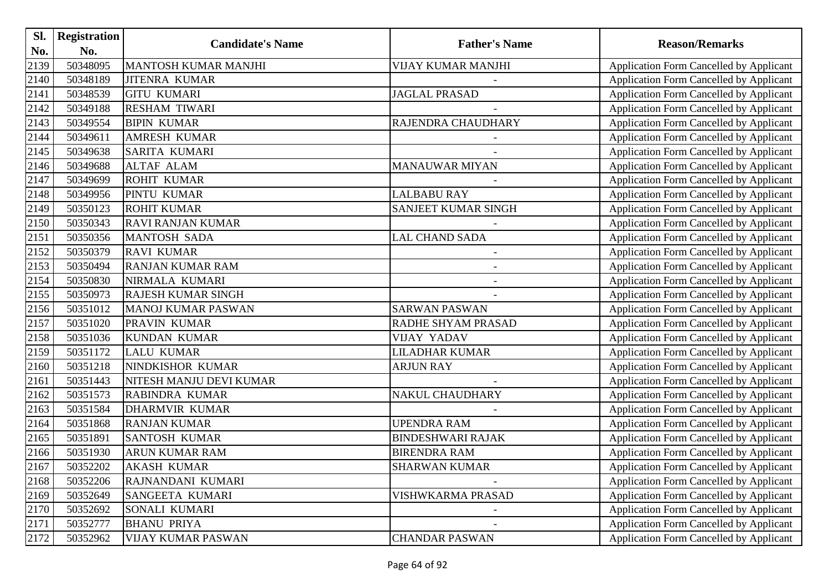| Sl.  | <b>Registration</b> |                           |                           |                                                |
|------|---------------------|---------------------------|---------------------------|------------------------------------------------|
| No.  | No.                 | <b>Candidate's Name</b>   | <b>Father's Name</b>      | <b>Reason/Remarks</b>                          |
| 2139 | 50348095            | MANTOSH KUMAR MANJHI      | <b>VIJAY KUMAR MANJHI</b> | Application Form Cancelled by Applicant        |
| 2140 | 50348189            | <b>JITENRA KUMAR</b>      |                           | Application Form Cancelled by Applicant        |
| 2141 | 50348539            | <b>GITU KUMARI</b>        | <b>JAGLAL PRASAD</b>      | Application Form Cancelled by Applicant        |
| 2142 | 50349188            | <b>RESHAM TIWARI</b>      |                           | Application Form Cancelled by Applicant        |
| 2143 | 50349554            | <b>BIPIN KUMAR</b>        | RAJENDRA CHAUDHARY        | <b>Application Form Cancelled by Applicant</b> |
| 2144 | 50349611            | <b>AMRESH KUMAR</b>       |                           | <b>Application Form Cancelled by Applicant</b> |
| 2145 | 50349638            | <b>SARITA KUMARI</b>      |                           | Application Form Cancelled by Applicant        |
| 2146 | 50349688            | <b>ALTAF ALAM</b>         | <b>MANAUWAR MIYAN</b>     | Application Form Cancelled by Applicant        |
| 2147 | 50349699            | <b>ROHIT KUMAR</b>        |                           | Application Form Cancelled by Applicant        |
| 2148 | 50349956            | PINTU KUMAR               | LALBABU RAY               | Application Form Cancelled by Applicant        |
| 2149 | 50350123            | <b>ROHIT KUMAR</b>        | SANJEET KUMAR SINGH       | Application Form Cancelled by Applicant        |
| 2150 | 50350343            | <b>RAVI RANJAN KUMAR</b>  |                           | Application Form Cancelled by Applicant        |
| 2151 | 50350356            | <b>MANTOSH SADA</b>       | <b>LAL CHAND SADA</b>     | Application Form Cancelled by Applicant        |
| 2152 | 50350379            | <b>RAVI KUMAR</b>         |                           | <b>Application Form Cancelled by Applicant</b> |
| 2153 | 50350494            | <b>RANJAN KUMAR RAM</b>   | $\overline{\phantom{a}}$  | Application Form Cancelled by Applicant        |
| 2154 | 50350830            | NIRMALA KUMARI            |                           | Application Form Cancelled by Applicant        |
| 2155 | 50350973            | <b>RAJESH KUMAR SINGH</b> |                           | Application Form Cancelled by Applicant        |
| 2156 | 50351012            | <b>MANOJ KUMAR PASWAN</b> | <b>SARWAN PASWAN</b>      | Application Form Cancelled by Applicant        |
| 2157 | 50351020            | PRAVIN KUMAR              | RADHE SHYAM PRASAD        | Application Form Cancelled by Applicant        |
| 2158 | 50351036            | <b>KUNDAN KUMAR</b>       | <b>VIJAY YADAV</b>        | Application Form Cancelled by Applicant        |
| 2159 | 50351172            | <b>LALU KUMAR</b>         | LILADHAR KUMAR            | Application Form Cancelled by Applicant        |
| 2160 | 50351218            | NINDKISHOR KUMAR          | <b>ARJUN RAY</b>          | Application Form Cancelled by Applicant        |
| 2161 | 50351443            | NITESH MANJU DEVI KUMAR   |                           | Application Form Cancelled by Applicant        |
| 2162 | 50351573            | RABINDRA KUMAR            | NAKUL CHAUDHARY           | <b>Application Form Cancelled by Applicant</b> |
| 2163 | 50351584            | <b>DHARMVIR KUMAR</b>     |                           | Application Form Cancelled by Applicant        |
| 2164 | 50351868            | <b>RANJAN KUMAR</b>       | <b>UPENDRA RAM</b>        | Application Form Cancelled by Applicant        |
| 2165 | 50351891            | <b>SANTOSH KUMAR</b>      | <b>BINDESHWARI RAJAK</b>  | Application Form Cancelled by Applicant        |
| 2166 | 50351930            | <b>ARUN KUMAR RAM</b>     | <b>BIRENDRA RAM</b>       | <b>Application Form Cancelled by Applicant</b> |
| 2167 | 50352202            | <b>AKASH KUMAR</b>        | <b>SHARWAN KUMAR</b>      | <b>Application Form Cancelled by Applicant</b> |
| 2168 | 50352206            | RAJNANDANI KUMARI         |                           | Application Form Cancelled by Applicant        |
| 2169 | 50352649            | SANGEETA KUMARI           | VISHWKARMA PRASAD         | <b>Application Form Cancelled by Applicant</b> |
| 2170 | 50352692            | SONALI KUMARI             |                           | <b>Application Form Cancelled by Applicant</b> |
| 2171 | 50352777            | <b>BHANU PRIYA</b>        |                           | <b>Application Form Cancelled by Applicant</b> |
| 2172 | 50352962            | <b>VIJAY KUMAR PASWAN</b> | <b>CHANDAR PASWAN</b>     | Application Form Cancelled by Applicant        |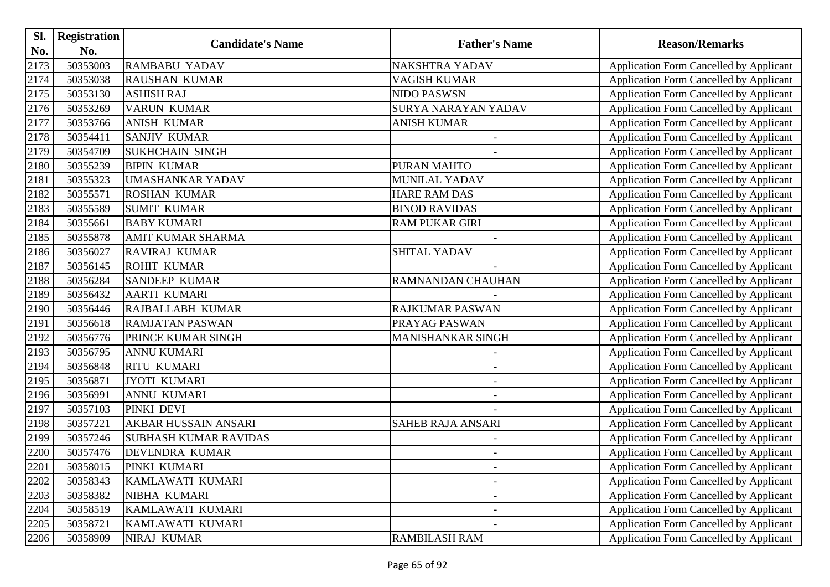| Sl.  | <b>Registration</b> |                              |                          |                                                |
|------|---------------------|------------------------------|--------------------------|------------------------------------------------|
| No.  | No.                 | <b>Candidate's Name</b>      | <b>Father's Name</b>     | <b>Reason/Remarks</b>                          |
| 2173 | 50353003            | <b>RAMBABU YADAV</b>         | <b>NAKSHTRA YADAV</b>    | Application Form Cancelled by Applicant        |
| 2174 | 50353038            | <b>RAUSHAN KUMAR</b>         | <b>VAGISH KUMAR</b>      | Application Form Cancelled by Applicant        |
| 2175 | 50353130            | <b>ASHISH RAJ</b>            | <b>NIDO PASWSN</b>       | Application Form Cancelled by Applicant        |
| 2176 | 50353269            | <b>VARUN KUMAR</b>           | SURYA NARAYAN YADAV      | Application Form Cancelled by Applicant        |
| 2177 | 50353766            | <b>ANISH KUMAR</b>           | <b>ANISH KUMAR</b>       | <b>Application Form Cancelled by Applicant</b> |
| 2178 | 50354411            | <b>SANJIV KUMAR</b>          | $\overline{\phantom{a}}$ | Application Form Cancelled by Applicant        |
| 2179 | 50354709            | <b>SUKHCHAIN SINGH</b>       |                          | Application Form Cancelled by Applicant        |
| 2180 | 50355239            | <b>BIPIN KUMAR</b>           | PURAN MAHTO              | <b>Application Form Cancelled by Applicant</b> |
| 2181 | 50355323            | <b>UMASHANKAR YADAV</b>      | <b>MUNILAL YADAV</b>     | Application Form Cancelled by Applicant        |
| 2182 | 50355571            | <b>ROSHAN KUMAR</b>          | <b>HARE RAM DAS</b>      | Application Form Cancelled by Applicant        |
| 2183 | 50355589            | <b>SUMIT KUMAR</b>           | <b>BINOD RAVIDAS</b>     | Application Form Cancelled by Applicant        |
| 2184 | 50355661            | <b>BABY KUMARI</b>           | <b>RAM PUKAR GIRI</b>    | Application Form Cancelled by Applicant        |
| 2185 | 50355878            | <b>AMIT KUMAR SHARMA</b>     |                          | Application Form Cancelled by Applicant        |
| 2186 | 50356027            | <b>RAVIRAJ KUMAR</b>         | <b>SHITAL YADAV</b>      | <b>Application Form Cancelled by Applicant</b> |
| 2187 | 50356145            | <b>ROHIT KUMAR</b>           |                          | <b>Application Form Cancelled by Applicant</b> |
| 2188 | 50356284            | <b>SANDEEP KUMAR</b>         | RAMNANDAN CHAUHAN        | Application Form Cancelled by Applicant        |
| 2189 | 50356432            | <b>AARTI KUMARI</b>          |                          | <b>Application Form Cancelled by Applicant</b> |
| 2190 | 50356446            | RAJBALLABH KUMAR             | <b>RAJKUMAR PASWAN</b>   | <b>Application Form Cancelled by Applicant</b> |
| 2191 | 50356618            | <b>RAMJATAN PASWAN</b>       | PRAYAG PASWAN            | Application Form Cancelled by Applicant        |
| 2192 | 50356776            | PRINCE KUMAR SINGH           | <b>MANISHANKAR SINGH</b> | <b>Application Form Cancelled by Applicant</b> |
| 2193 | 50356795            | <b>ANNU KUMARI</b>           |                          | Application Form Cancelled by Applicant        |
| 2194 | 50356848            | <b>RITU KUMARI</b>           | $\overline{\phantom{a}}$ | <b>Application Form Cancelled by Applicant</b> |
| 2195 | 50356871            | <b>JYOTI KUMARI</b>          |                          | Application Form Cancelled by Applicant        |
| 2196 | 50356991            | <b>ANNU KUMARI</b>           |                          | Application Form Cancelled by Applicant        |
| 2197 | 50357103            | PINKI DEVI                   | $\overline{\phantom{a}}$ | Application Form Cancelled by Applicant        |
| 2198 | 50357221            | <b>AKBAR HUSSAIN ANSARI</b>  | <b>SAHEB RAJA ANSARI</b> | Application Form Cancelled by Applicant        |
| 2199 | 50357246            | <b>SUBHASH KUMAR RAVIDAS</b> | $\overline{\phantom{a}}$ | Application Form Cancelled by Applicant        |
| 2200 | 50357476            | <b>DEVENDRA KUMAR</b>        |                          | Application Form Cancelled by Applicant        |
| 2201 | 50358015            | PINKI KUMARI                 |                          | Application Form Cancelled by Applicant        |
| 2202 | 50358343            | KAMLAWATI KUMARI             |                          | <b>Application Form Cancelled by Applicant</b> |
| 2203 | 50358382            | NIBHA KUMARI                 |                          | <b>Application Form Cancelled by Applicant</b> |
| 2204 | 50358519            | KAMLAWATI KUMARI             | $\overline{\phantom{a}}$ | <b>Application Form Cancelled by Applicant</b> |
| 2205 | 50358721            | KAMLAWATI KUMARI             | $\overline{\phantom{a}}$ | Application Form Cancelled by Applicant        |
| 2206 | 50358909            | NIRAJ KUMAR                  | <b>RAMBILASH RAM</b>     | Application Form Cancelled by Applicant        |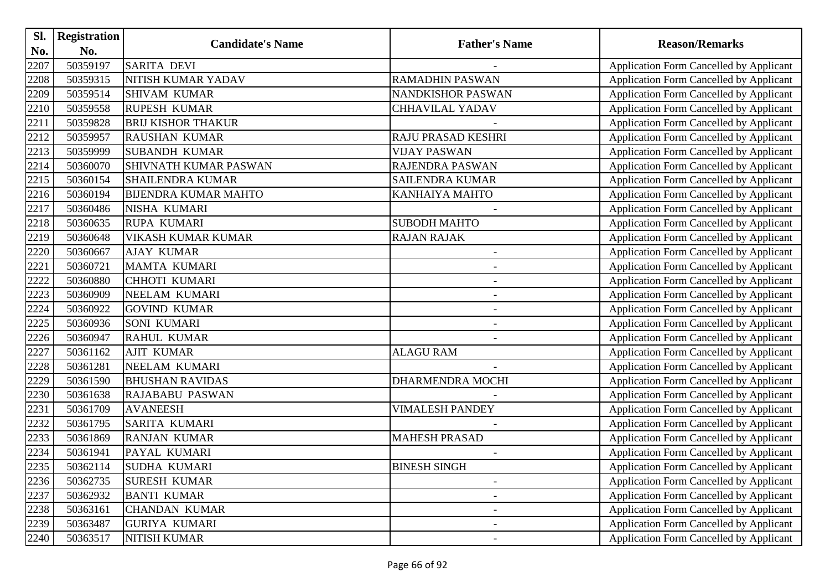| Sl.  | Registration |                              |                          |                                                |
|------|--------------|------------------------------|--------------------------|------------------------------------------------|
| No.  | No.          | <b>Candidate's Name</b>      | <b>Father's Name</b>     | <b>Reason/Remarks</b>                          |
| 2207 | 50359197     | <b>SARITA DEVI</b>           |                          | Application Form Cancelled by Applicant        |
| 2208 | 50359315     | NITISH KUMAR YADAV           | <b>RAMADHIN PASWAN</b>   | Application Form Cancelled by Applicant        |
| 2209 | 50359514     | <b>SHIVAM KUMAR</b>          | <b>NANDKISHOR PASWAN</b> | Application Form Cancelled by Applicant        |
| 2210 | 50359558     | <b>RUPESH KUMAR</b>          | <b>CHHAVILAL YADAV</b>   | Application Form Cancelled by Applicant        |
| 2211 | 50359828     | <b>BRIJ KISHOR THAKUR</b>    |                          | Application Form Cancelled by Applicant        |
| 2212 | 50359957     | <b>RAUSHAN KUMAR</b>         | RAJU PRASAD KESHRI       | <b>Application Form Cancelled by Applicant</b> |
| 2213 | 50359999     | <b>SUBANDH KUMAR</b>         | <b>VIJAY PASWAN</b>      | Application Form Cancelled by Applicant        |
| 2214 | 50360070     | <b>SHIVNATH KUMAR PASWAN</b> | RAJENDRA PASWAN          | Application Form Cancelled by Applicant        |
| 2215 | 50360154     | <b>SHAILENDRA KUMAR</b>      | <b>SAILENDRA KUMAR</b>   | Application Form Cancelled by Applicant        |
| 2216 | 50360194     | <b>BIJENDRA KUMAR MAHTO</b>  | KANHAIYA MAHTO           | Application Form Cancelled by Applicant        |
| 2217 | 50360486     | NISHA KUMARI                 |                          | Application Form Cancelled by Applicant        |
| 2218 | 50360635     | <b>RUPA KUMARI</b>           | <b>SUBODH MAHTO</b>      | Application Form Cancelled by Applicant        |
| 2219 | 50360648     | <b>VIKASH KUMAR KUMAR</b>    | <b>RAJAN RAJAK</b>       | Application Form Cancelled by Applicant        |
| 2220 | 50360667     | <b>AJAY KUMAR</b>            |                          | <b>Application Form Cancelled by Applicant</b> |
| 2221 | 50360721     | <b>MAMTA KUMARI</b>          | $\overline{\phantom{a}}$ | Application Form Cancelled by Applicant        |
| 2222 | 50360880     | <b>CHHOTI KUMARI</b>         | $\overline{\phantom{a}}$ | Application Form Cancelled by Applicant        |
| 2223 | 50360909     | NEELAM KUMARI                | $\overline{\phantom{0}}$ | Application Form Cancelled by Applicant        |
| 2224 | 50360922     | <b>GOVIND KUMAR</b>          |                          | <b>Application Form Cancelled by Applicant</b> |
| 2225 | 50360936     | <b>SONI KUMARI</b>           |                          | Application Form Cancelled by Applicant        |
| 2226 | 50360947     | <b>RAHUL KUMAR</b>           |                          | Application Form Cancelled by Applicant        |
| 2227 | 50361162     | <b>AJIT KUMAR</b>            | <b>ALAGU RAM</b>         | Application Form Cancelled by Applicant        |
| 2228 | 50361281     | NEELAM KUMARI                |                          | Application Form Cancelled by Applicant        |
| 2229 | 50361590     | <b>BHUSHAN RAVIDAS</b>       | <b>DHARMENDRA MOCHI</b>  | Application Form Cancelled by Applicant        |
| 2230 | 50361638     | <b>RAJABABU PASWAN</b>       |                          | Application Form Cancelled by Applicant        |
| 2231 | 50361709     | <b>AVANEESH</b>              | <b>VIMALESH PANDEY</b>   | Application Form Cancelled by Applicant        |
| 2232 | 50361795     | <b>SARITA KUMARI</b>         |                          | Application Form Cancelled by Applicant        |
| 2233 | 50361869     | <b>RANJAN KUMAR</b>          | <b>MAHESH PRASAD</b>     | Application Form Cancelled by Applicant        |
| 2234 | 50361941     | PAYAL KUMARI                 |                          | <b>Application Form Cancelled by Applicant</b> |
| 2235 | 50362114     | <b>SUDHA KUMARI</b>          | <b>BINESH SINGH</b>      | <b>Application Form Cancelled by Applicant</b> |
| 2236 | 50362735     | <b>SURESH KUMAR</b>          |                          | Application Form Cancelled by Applicant        |
| 2237 | 50362932     | <b>BANTI KUMAR</b>           |                          | <b>Application Form Cancelled by Applicant</b> |
| 2238 | 50363161     | <b>CHANDAN KUMAR</b>         | $\overline{\phantom{a}}$ | Application Form Cancelled by Applicant        |
| 2239 | 50363487     | <b>GURIYA KUMARI</b>         |                          | Application Form Cancelled by Applicant        |
| 2240 | 50363517     | <b>NITISH KUMAR</b>          |                          | <b>Application Form Cancelled by Applicant</b> |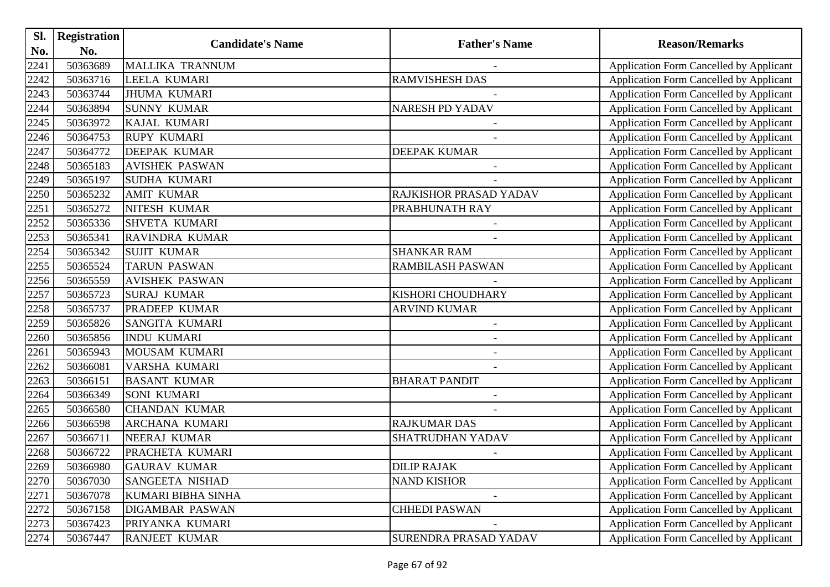| Sl.  | Registration |                         |                          |                                                |
|------|--------------|-------------------------|--------------------------|------------------------------------------------|
| No.  | No.          | <b>Candidate's Name</b> | <b>Father's Name</b>     | <b>Reason/Remarks</b>                          |
| 2241 | 50363689     | <b>MALLIKA TRANNUM</b>  |                          | Application Form Cancelled by Applicant        |
| 2242 | 50363716     | <b>LEELA KUMARI</b>     | <b>RAMVISHESH DAS</b>    | <b>Application Form Cancelled by Applicant</b> |
| 2243 | 50363744     | <b>JHUMA KUMARI</b>     |                          | <b>Application Form Cancelled by Applicant</b> |
| 2244 | 50363894     | <b>SUNNY KUMAR</b>      | <b>NARESH PD YADAV</b>   | Application Form Cancelled by Applicant        |
| 2245 | 50363972     | <b>KAJAL KUMARI</b>     |                          | Application Form Cancelled by Applicant        |
| 2246 | 50364753     | <b>RUPY KUMARI</b>      |                          | Application Form Cancelled by Applicant        |
| 2247 | 50364772     | <b>DEEPAK KUMAR</b>     | DEEPAK KUMAR             | Application Form Cancelled by Applicant        |
| 2248 | 50365183     | <b>AVISHEK PASWAN</b>   | $\blacksquare$           | Application Form Cancelled by Applicant        |
| 2249 | 50365197     | <b>SUDHA KUMARI</b>     |                          | Application Form Cancelled by Applicant        |
| 2250 | 50365232     | <b>AMIT KUMAR</b>       | RAJKISHOR PRASAD YADAV   | Application Form Cancelled by Applicant        |
| 2251 | 50365272     | NITESH KUMAR            | PRABHUNATH RAY           | Application Form Cancelled by Applicant        |
| 2252 | 50365336     | <b>SHVETA KUMARI</b>    |                          | Application Form Cancelled by Applicant        |
| 2253 | 50365341     | <b>RAVINDRA KUMAR</b>   |                          | Application Form Cancelled by Applicant        |
| 2254 | 50365342     | <b>SUJIT KUMAR</b>      | <b>SHANKAR RAM</b>       | <b>Application Form Cancelled by Applicant</b> |
| 2255 | 50365524     | <b>TARUN PASWAN</b>     | RAMBILASH PASWAN         | Application Form Cancelled by Applicant        |
| 2256 | 50365559     | <b>AVISHEK PASWAN</b>   |                          | Application Form Cancelled by Applicant        |
| 2257 | 50365723     | <b>SURAJ KUMAR</b>      | KISHORI CHOUDHARY        | Application Form Cancelled by Applicant        |
| 2258 | 50365737     | <b>PRADEEP KUMAR</b>    | <b>ARVIND KUMAR</b>      | Application Form Cancelled by Applicant        |
| 2259 | 50365826     | <b>SANGITA KUMARI</b>   | $\overline{\phantom{a}}$ | Application Form Cancelled by Applicant        |
| 2260 | 50365856     | <b>INDU KUMARI</b>      | $\overline{\phantom{a}}$ | Application Form Cancelled by Applicant        |
| 2261 | 50365943     | MOUSAM KUMARI           |                          | Application Form Cancelled by Applicant        |
| 2262 | 50366081     | VARSHA KUMARI           |                          | Application Form Cancelled by Applicant        |
| 2263 | 50366151     | <b>BASANT KUMAR</b>     | <b>BHARAT PANDIT</b>     | Application Form Cancelled by Applicant        |
| 2264 | 50366349     | <b>SONI KUMARI</b>      |                          | Application Form Cancelled by Applicant        |
| 2265 | 50366580     | <b>CHANDAN KUMAR</b>    |                          | Application Form Cancelled by Applicant        |
| 2266 | 50366598     | <b>ARCHANA KUMARI</b>   | <b>RAJKUMAR DAS</b>      | Application Form Cancelled by Applicant        |
| 2267 | 50366711     | NEERAJ KUMAR            | SHATRUDHAN YADAV         | Application Form Cancelled by Applicant        |
| 2268 | 50366722     | PRACHETA KUMARI         |                          | <b>Application Form Cancelled by Applicant</b> |
| 2269 | 50366980     | <b>GAURAV KUMAR</b>     | <b>DILIP RAJAK</b>       | <b>Application Form Cancelled by Applicant</b> |
| 2270 | 50367030     | <b>SANGEETA NISHAD</b>  | <b>NAND KISHOR</b>       | Application Form Cancelled by Applicant        |
| 2271 | 50367078     | KUMARI BIBHA SINHA      |                          | Application Form Cancelled by Applicant        |
| 2272 | 50367158     | <b>DIGAMBAR PASWAN</b>  | <b>CHHEDI PASWAN</b>     | Application Form Cancelled by Applicant        |
| 2273 | 50367423     | PRIYANKA KUMARI         |                          | Application Form Cancelled by Applicant        |
| 2274 | 50367447     | <b>RANJEET KUMAR</b>    | SURENDRA PRASAD YADAV    | Application Form Cancelled by Applicant        |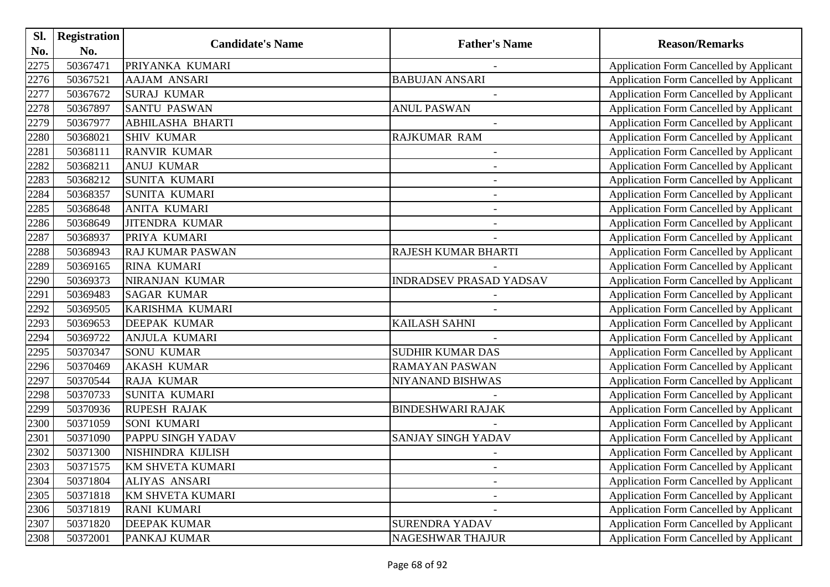| Sl.  | Registration |                          |                                |                                                |
|------|--------------|--------------------------|--------------------------------|------------------------------------------------|
| No.  | No.          | <b>Candidate's Name</b>  | <b>Father's Name</b>           | <b>Reason/Remarks</b>                          |
| 2275 | 50367471     | PRIYANKA KUMARI          |                                | Application Form Cancelled by Applicant        |
| 2276 | 50367521     | <b>AAJAM ANSARI</b>      | <b>BABUJAN ANSARI</b>          | <b>Application Form Cancelled by Applicant</b> |
| 2277 | 50367672     | <b>SURAJ KUMAR</b>       |                                | Application Form Cancelled by Applicant        |
| 2278 | 50367897     | <b>SANTU PASWAN</b>      | <b>ANUL PASWAN</b>             | Application Form Cancelled by Applicant        |
| 2279 | 50367977     | <b>ABHILASHA BHARTI</b>  |                                | Application Form Cancelled by Applicant        |
| 2280 | 50368021     | <b>SHIV KUMAR</b>        | RAJKUMAR RAM                   | Application Form Cancelled by Applicant        |
| 2281 | 50368111     | <b>RANVIR KUMAR</b>      |                                | Application Form Cancelled by Applicant        |
| 2282 | 50368211     | <b>ANUJ KUMAR</b>        | $\overline{\phantom{a}}$       | Application Form Cancelled by Applicant        |
| 2283 | 50368212     | <b>SUNITA KUMARI</b>     |                                | Application Form Cancelled by Applicant        |
| 2284 | 50368357     | <b>SUNITA KUMARI</b>     | $\overline{\phantom{a}}$       | Application Form Cancelled by Applicant        |
| 2285 | 50368648     | <b>ANITA KUMARI</b>      |                                | Application Form Cancelled by Applicant        |
| 2286 | 50368649     | <b>JITENDRA KUMAR</b>    |                                | <b>Application Form Cancelled by Applicant</b> |
| 2287 | 50368937     | PRIYA KUMARI             |                                | Application Form Cancelled by Applicant        |
| 2288 | 50368943     | <b>RAJ KUMAR PASWAN</b>  | RAJESH KUMAR BHARTI            | <b>Application Form Cancelled by Applicant</b> |
| 2289 | 50369165     | <b>RINA KUMARI</b>       |                                | Application Form Cancelled by Applicant        |
| 2290 | 50369373     | NIRANJAN KUMAR           | <b>INDRADSEV PRASAD YADSAV</b> | Application Form Cancelled by Applicant        |
| 2291 | 50369483     | <b>SAGAR KUMAR</b>       |                                | Application Form Cancelled by Applicant        |
| 2292 | 50369505     | KARISHMA KUMARI          |                                | Application Form Cancelled by Applicant        |
| 2293 | 50369653     | <b>DEEPAK KUMAR</b>      | <b>KAILASH SAHNI</b>           | Application Form Cancelled by Applicant        |
| 2294 | 50369722     | <b>ANJULA KUMARI</b>     |                                | Application Form Cancelled by Applicant        |
| 2295 | 50370347     | <b>SONU KUMAR</b>        | <b>SUDHIR KUMAR DAS</b>        | Application Form Cancelled by Applicant        |
| 2296 | 50370469     | <b>AKASH KUMAR</b>       | RAMAYAN PASWAN                 | Application Form Cancelled by Applicant        |
| 2297 | 50370544     | <b>RAJA KUMAR</b>        | NIYANAND BISHWAS               | Application Form Cancelled by Applicant        |
| 2298 | 50370733     | <b>SUNITA KUMARI</b>     |                                | Application Form Cancelled by Applicant        |
| 2299 | 50370936     | <b>RUPESH RAJAK</b>      | <b>BINDESHWARI RAJAK</b>       | Application Form Cancelled by Applicant        |
| 2300 | 50371059     | <b>SONI KUMARI</b>       |                                | Application Form Cancelled by Applicant        |
| 2301 | 50371090     | <b>PAPPU SINGH YADAV</b> | SANJAY SINGH YADAV             | Application Form Cancelled by Applicant        |
| 2302 | 50371300     | NISHINDRA KIJLISH        |                                | <b>Application Form Cancelled by Applicant</b> |
| 2303 | 50371575     | <b>KM SHVETA KUMARI</b>  |                                | <b>Application Form Cancelled by Applicant</b> |
| 2304 | 50371804     | ALIYAS ANSARI            |                                | Application Form Cancelled by Applicant        |
| 2305 | 50371818     | KM SHVETA KUMARI         |                                | Application Form Cancelled by Applicant        |
| 2306 | 50371819     | <b>RANI KUMARI</b>       |                                | <b>Application Form Cancelled by Applicant</b> |
| 2307 | 50371820     | <b>DEEPAK KUMAR</b>      | <b>SURENDRA YADAV</b>          | <b>Application Form Cancelled by Applicant</b> |
| 2308 | 50372001     | PANKAJ KUMAR             | NAGESHWAR THAJUR               | Application Form Cancelled by Applicant        |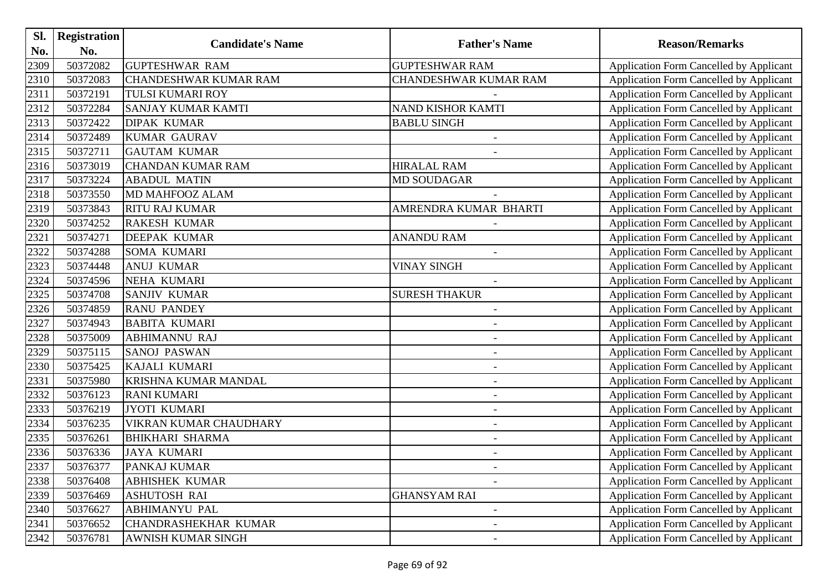| SI.  | <b>Registration</b> |                               | <b>Father's Name</b>         |                                                |
|------|---------------------|-------------------------------|------------------------------|------------------------------------------------|
| No.  | No.                 | <b>Candidate's Name</b>       |                              | <b>Reason/Remarks</b>                          |
| 2309 | 50372082            | <b>GUPTESHWAR RAM</b>         | <b>GUPTESHWAR RAM</b>        | Application Form Cancelled by Applicant        |
| 2310 | 50372083            | <b>CHANDESHWAR KUMAR RAM</b>  | <b>CHANDESHWAR KUMAR RAM</b> | Application Form Cancelled by Applicant        |
| 2311 | 50372191            | <b>TULSI KUMARI ROY</b>       |                              | <b>Application Form Cancelled by Applicant</b> |
| 2312 | 50372284            | <b>SANJAY KUMAR KAMTI</b>     | <b>NAND KISHOR KAMTI</b>     | Application Form Cancelled by Applicant        |
| 2313 | 50372422            | <b>DIPAK KUMAR</b>            | <b>BABLU SINGH</b>           | <b>Application Form Cancelled by Applicant</b> |
| 2314 | 50372489            | <b>KUMAR GAURAV</b>           | $\overline{\phantom{a}}$     | Application Form Cancelled by Applicant        |
| 2315 | 50372711            | <b>GAUTAM KUMAR</b>           |                              | Application Form Cancelled by Applicant        |
| 2316 | 50373019            | <b>CHANDAN KUMAR RAM</b>      | <b>HIRALAL RAM</b>           | <b>Application Form Cancelled by Applicant</b> |
| 2317 | 50373224            | <b>ABADUL MATIN</b>           | <b>MD SOUDAGAR</b>           | <b>Application Form Cancelled by Applicant</b> |
| 2318 | 50373550            | <b>MD MAHFOOZ ALAM</b>        |                              | <b>Application Form Cancelled by Applicant</b> |
| 2319 | 50373843            | <b>RITU RAJ KUMAR</b>         | AMRENDRA KUMAR BHARTI        | Application Form Cancelled by Applicant        |
| 2320 | 50374252            | <b>RAKESH KUMAR</b>           |                              | <b>Application Form Cancelled by Applicant</b> |
| 2321 | 50374271            | <b>DEEPAK KUMAR</b>           | <b>ANANDU RAM</b>            | Application Form Cancelled by Applicant        |
| 2322 | 50374288            | <b>SOMA KUMARI</b>            |                              | Application Form Cancelled by Applicant        |
| 2323 | 50374448            | <b>ANUJ KUMAR</b>             | <b>VINAY SINGH</b>           | <b>Application Form Cancelled by Applicant</b> |
| 2324 | 50374596            | NEHA KUMARI                   |                              | <b>Application Form Cancelled by Applicant</b> |
| 2325 | 50374708            | <b>SANJIV KUMAR</b>           | <b>SURESH THAKUR</b>         | Application Form Cancelled by Applicant        |
| 2326 | 50374859            | <b>RANU PANDEY</b>            |                              | Application Form Cancelled by Applicant        |
| 2327 | 50374943            | <b>BABITA KUMARI</b>          | $\overline{\phantom{a}}$     | <b>Application Form Cancelled by Applicant</b> |
| 2328 | 50375009            | <b>ABHIMANNU RAJ</b>          | $\blacksquare$               | <b>Application Form Cancelled by Applicant</b> |
| 2329 | 50375115            | <b>SANOJ PASWAN</b>           |                              | Application Form Cancelled by Applicant        |
| 2330 | 50375425            | <b>KAJALI KUMARI</b>          | $\blacksquare$               | <b>Application Form Cancelled by Applicant</b> |
| 2331 | 50375980            | <b>KRISHNA KUMAR MANDAL</b>   | $\overline{\phantom{a}}$     | Application Form Cancelled by Applicant        |
| 2332 | 50376123            | <b>RANI KUMARI</b>            | $\overline{\phantom{a}}$     | <b>Application Form Cancelled by Applicant</b> |
| 2333 | 50376219            | <b>JYOTI KUMARI</b>           | $\overline{\phantom{a}}$     | Application Form Cancelled by Applicant        |
| 2334 | 50376235            | <b>VIKRAN KUMAR CHAUDHARY</b> |                              | Application Form Cancelled by Applicant        |
| 2335 | 50376261            | <b>BHIKHARI SHARMA</b>        |                              | <b>Application Form Cancelled by Applicant</b> |
| 2336 | 50376336            | <b>JAYA KUMARI</b>            | $\blacksquare$               | <b>Application Form Cancelled by Applicant</b> |
| 2337 | 50376377            | <b>PANKAJ KUMAR</b>           |                              | <b>Application Form Cancelled by Applicant</b> |
| 2338 | 50376408            | <b>ABHISHEK KUMAR</b>         |                              | Application Form Cancelled by Applicant        |
| 2339 | 50376469            | <b>ASHUTOSH RAI</b>           | <b>GHANSYAM RAI</b>          | Application Form Cancelled by Applicant        |
| 2340 | 50376627            | <b>ABHIMANYU PAL</b>          |                              | Application Form Cancelled by Applicant        |
| 2341 | 50376652            | CHANDRASHEKHAR KUMAR          |                              | <b>Application Form Cancelled by Applicant</b> |
| 2342 | 50376781            | <b>AWNISH KUMAR SINGH</b>     | $\overline{\phantom{a}}$     | Application Form Cancelled by Applicant        |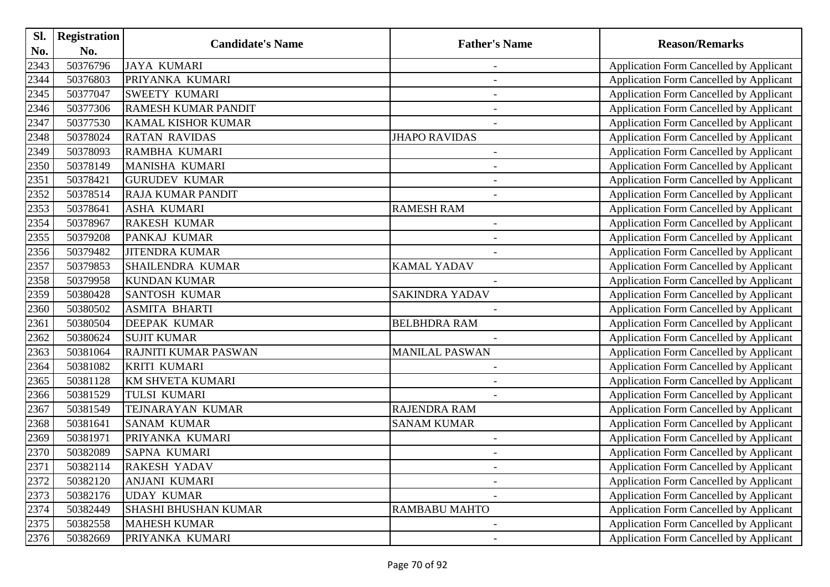| Sl.  | <b>Registration</b> | <b>Candidate's Name</b>     | <b>Father's Name</b>     |                                                |
|------|---------------------|-----------------------------|--------------------------|------------------------------------------------|
| No.  | No.                 |                             |                          | <b>Reason/Remarks</b>                          |
| 2343 | 50376796            | <b>JAYA KUMARI</b>          | $\overline{\phantom{a}}$ | <b>Application Form Cancelled by Applicant</b> |
| 2344 | 50376803            | PRIYANKA KUMARI             | $\blacksquare$           | <b>Application Form Cancelled by Applicant</b> |
| 2345 | 50377047            | <b>SWEETY KUMARI</b>        | $\overline{\phantom{a}}$ | Application Form Cancelled by Applicant        |
| 2346 | 50377306            | <b>RAMESH KUMAR PANDIT</b>  |                          | Application Form Cancelled by Applicant        |
| 2347 | 50377530            | <b>KAMAL KISHOR KUMAR</b>   | $\overline{\phantom{a}}$ | <b>Application Form Cancelled by Applicant</b> |
| 2348 | 50378024            | <b>RATAN RAVIDAS</b>        | <b>JHAPO RAVIDAS</b>     | <b>Application Form Cancelled by Applicant</b> |
| 2349 | 50378093            | RAMBHA KUMARI               | $\blacksquare$           | <b>Application Form Cancelled by Applicant</b> |
| 2350 | 50378149            | <b>MANISHA KUMARI</b>       | $\overline{\phantom{a}}$ | <b>Application Form Cancelled by Applicant</b> |
| 2351 | 50378421            | <b>GURUDEV KUMAR</b>        |                          | Application Form Cancelled by Applicant        |
| 2352 | 50378514            | <b>RAJA KUMAR PANDIT</b>    | $\overline{\phantom{a}}$ | <b>Application Form Cancelled by Applicant</b> |
| 2353 | 50378641            | <b>ASHA KUMARI</b>          | <b>RAMESH RAM</b>        | Application Form Cancelled by Applicant        |
| 2354 | 50378967            | <b>RAKESH KUMAR</b>         | $\overline{\phantom{a}}$ | Application Form Cancelled by Applicant        |
| 2355 | 50379208            | PANKAJ KUMAR                |                          | <b>Application Form Cancelled by Applicant</b> |
| 2356 | 50379482            | <b>JITENDRA KUMAR</b>       |                          | <b>Application Form Cancelled by Applicant</b> |
| 2357 | 50379853            | <b>SHAILENDRA KUMAR</b>     | <b>KAMAL YADAV</b>       | <b>Application Form Cancelled by Applicant</b> |
| 2358 | 50379958            | <b>KUNDAN KUMAR</b>         |                          | <b>Application Form Cancelled by Applicant</b> |
| 2359 | 50380428            | <b>SANTOSH KUMAR</b>        | <b>SAKINDRA YADAV</b>    | <b>Application Form Cancelled by Applicant</b> |
| 2360 | 50380502            | <b>ASMITA BHARTI</b>        |                          | Application Form Cancelled by Applicant        |
| 2361 | 50380504            | <b>DEEPAK KUMAR</b>         | <b>BELBHDRA RAM</b>      | <b>Application Form Cancelled by Applicant</b> |
| 2362 | 50380624            | <b>SUJIT KUMAR</b>          |                          | <b>Application Form Cancelled by Applicant</b> |
| 2363 | 50381064            | <b>RAJNITI KUMAR PASWAN</b> | <b>MANILAL PASWAN</b>    | <b>Application Form Cancelled by Applicant</b> |
| 2364 | 50381082            | <b>KRITI KUMARI</b>         | $\overline{\phantom{a}}$ | <b>Application Form Cancelled by Applicant</b> |
| 2365 | 50381128            | <b>KM SHVETA KUMARI</b>     |                          | Application Form Cancelled by Applicant        |
| 2366 | 50381529            | <b>TULSI KUMARI</b>         |                          | <b>Application Form Cancelled by Applicant</b> |
| 2367 | 50381549            | <b>TEJNARAYAN KUMAR</b>     | <b>RAJENDRA RAM</b>      | <b>Application Form Cancelled by Applicant</b> |
| 2368 | 50381641            | <b>SANAM KUMAR</b>          | <b>SANAM KUMAR</b>       | <b>Application Form Cancelled by Applicant</b> |
| 2369 | 50381971            | PRIYANKA KUMARI             | $\blacksquare$           | Application Form Cancelled by Applicant        |
| 2370 | 50382089            | SAPNA KUMARI                |                          | <b>Application Form Cancelled by Applicant</b> |
| 2371 | 50382114            | <b>RAKESH YADAV</b>         |                          | <b>Application Form Cancelled by Applicant</b> |
| 2372 | 50382120            | <b>ANJANI KUMARI</b>        |                          | Application Form Cancelled by Applicant        |
| 2373 | 50382176            | <b>UDAY KUMAR</b>           |                          | <b>Application Form Cancelled by Applicant</b> |
| 2374 | 50382449            | <b>SHASHI BHUSHAN KUMAR</b> | <b>RAMBABU MAHTO</b>     | <b>Application Form Cancelled by Applicant</b> |
| 2375 | 50382558            | <b>MAHESH KUMAR</b>         |                          | <b>Application Form Cancelled by Applicant</b> |
| 2376 | 50382669            | PRIYANKA KUMARI             |                          | Application Form Cancelled by Applicant        |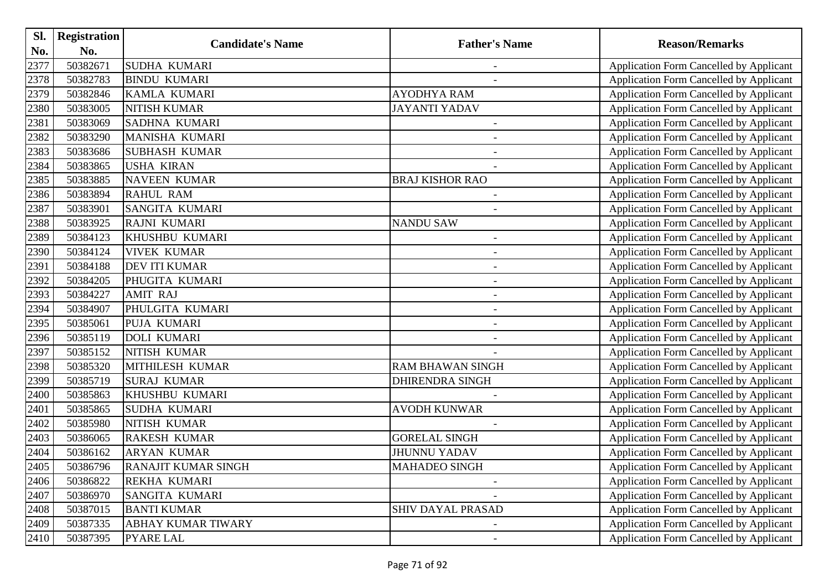| Sl.  | <b>Registration</b> |                            |                          |                                                |
|------|---------------------|----------------------------|--------------------------|------------------------------------------------|
| No.  | No.                 | <b>Candidate's Name</b>    | <b>Father's Name</b>     | <b>Reason/Remarks</b>                          |
| 2377 | 50382671            | <b>SUDHA KUMARI</b>        | $\blacksquare$           | Application Form Cancelled by Applicant        |
| 2378 | 50382783            | <b>BINDU KUMARI</b>        |                          | Application Form Cancelled by Applicant        |
| 2379 | 50382846            | <b>KAMLA KUMARI</b>        | <b>AYODHYA RAM</b>       | Application Form Cancelled by Applicant        |
| 2380 | 50383005            | <b>NITISH KUMAR</b>        | <b>JAYANTI YADAV</b>     | Application Form Cancelled by Applicant        |
| 2381 | 50383069            | <b>SADHNA KUMARI</b>       |                          | Application Form Cancelled by Applicant        |
| 2382 | 50383290            | MANISHA KUMARI             | $\overline{a}$           | Application Form Cancelled by Applicant        |
| 2383 | 50383686            | <b>SUBHASH KUMAR</b>       |                          | Application Form Cancelled by Applicant        |
| 2384 | 50383865            | <b>USHA KIRAN</b>          |                          | Application Form Cancelled by Applicant        |
| 2385 | 50383885            | <b>NAVEEN KUMAR</b>        | <b>BRAJ KISHOR RAO</b>   | Application Form Cancelled by Applicant        |
| 2386 | 50383894            | <b>RAHUL RAM</b>           | $\overline{\phantom{a}}$ | Application Form Cancelled by Applicant        |
| 2387 | 50383901            | <b>SANGITA KUMARI</b>      |                          | Application Form Cancelled by Applicant        |
| 2388 | 50383925            | RAJNI KUMARI               | <b>NANDU SAW</b>         | Application Form Cancelled by Applicant        |
| 2389 | 50384123            | <b>KHUSHBU KUMARI</b>      |                          | <b>Application Form Cancelled by Applicant</b> |
| 2390 | 50384124            | <b>VIVEK KUMAR</b>         | $\overline{\phantom{a}}$ | Application Form Cancelled by Applicant        |
| 2391 | 50384188            | <b>DEV ITI KUMAR</b>       | $\overline{\phantom{a}}$ | <b>Application Form Cancelled by Applicant</b> |
| 2392 | 50384205            | PHUGITA KUMARI             |                          | Application Form Cancelled by Applicant        |
| 2393 | 50384227            | <b>AMIT RAJ</b>            | $\overline{a}$           | Application Form Cancelled by Applicant        |
| 2394 | 50384907            | PHULGITA KUMARI            |                          | Application Form Cancelled by Applicant        |
| 2395 | 50385061            | <b>PUJA KUMARI</b>         | $\overline{a}$           | Application Form Cancelled by Applicant        |
| 2396 | 50385119            | <b>DOLI KUMARI</b>         | $\overline{\phantom{a}}$ | Application Form Cancelled by Applicant        |
| 2397 | 50385152            | NITISH KUMAR               |                          | Application Form Cancelled by Applicant        |
| 2398 | 50385320            | <b>MITHILESH KUMAR</b>     | <b>RAM BHAWAN SINGH</b>  | Application Form Cancelled by Applicant        |
| 2399 | 50385719            | <b>SURAJ KUMAR</b>         | <b>DHIRENDRA SINGH</b>   | Application Form Cancelled by Applicant        |
| 2400 | 50385863            | <b>KHUSHBU KUMARI</b>      |                          | Application Form Cancelled by Applicant        |
| 2401 | 50385865            | <b>SUDHA KUMARI</b>        | <b>AVODH KUNWAR</b>      | Application Form Cancelled by Applicant        |
| 2402 | 50385980            | NITISH KUMAR               |                          | Application Form Cancelled by Applicant        |
| 2403 | 50386065            | <b>RAKESH KUMAR</b>        | <b>GORELAL SINGH</b>     | Application Form Cancelled by Applicant        |
| 2404 | 50386162            | <b>ARYAN KUMAR</b>         | <b>JHUNNU YADAV</b>      | Application Form Cancelled by Applicant        |
| 2405 | 50386796            | <b>RANAJIT KUMAR SINGH</b> | <b>MAHADEO SINGH</b>     | Application Form Cancelled by Applicant        |
| 2406 | 50386822            | REKHA KUMARI               |                          | Application Form Cancelled by Applicant        |
| 2407 | 50386970            | <b>SANGITA KUMARI</b>      |                          | <b>Application Form Cancelled by Applicant</b> |
| 2408 | 50387015            | <b>BANTI KUMAR</b>         | <b>SHIV DAYAL PRASAD</b> | <b>Application Form Cancelled by Applicant</b> |
| 2409 | 50387335            | <b>ABHAY KUMAR TIWARY</b>  |                          | Application Form Cancelled by Applicant        |
| 2410 | 50387395            | <b>PYARE LAL</b>           |                          | <b>Application Form Cancelled by Applicant</b> |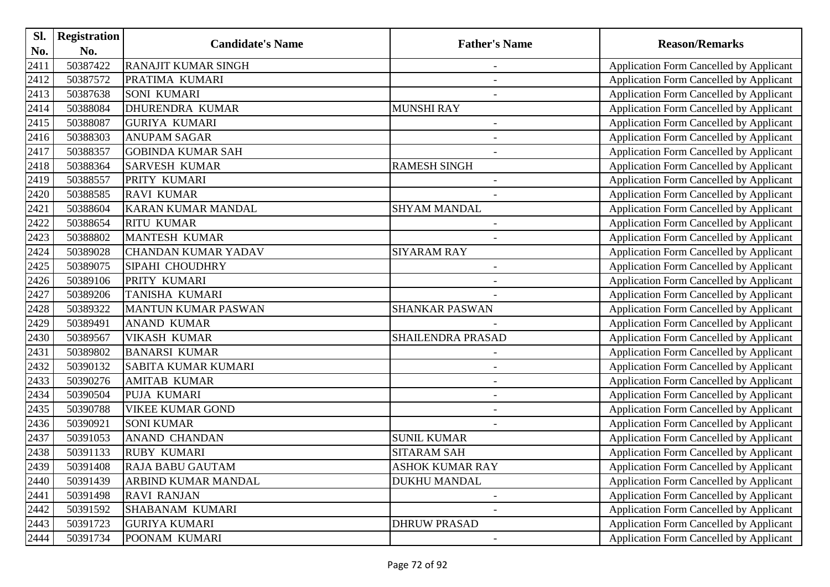| Sl.  | <b>Registration</b> | <b>Candidate's Name</b>    |                          |                                                |
|------|---------------------|----------------------------|--------------------------|------------------------------------------------|
| No.  | No.                 |                            | <b>Father's Name</b>     | <b>Reason/Remarks</b>                          |
| 2411 | 50387422            | RANAJIT KUMAR SINGH        | $\overline{\phantom{a}}$ | Application Form Cancelled by Applicant        |
| 2412 | 50387572            | PRATIMA KUMARI             |                          | Application Form Cancelled by Applicant        |
| 2413 | 50387638            | <b>SONI KUMARI</b>         |                          | <b>Application Form Cancelled by Applicant</b> |
| 2414 | 50388084            | <b>DHURENDRA KUMAR</b>     | <b>MUNSHI RAY</b>        | Application Form Cancelled by Applicant        |
| 2415 | 50388087            | <b>GURIYA KUMARI</b>       | $\overline{a}$           | <b>Application Form Cancelled by Applicant</b> |
| 2416 | 50388303            | <b>ANUPAM SAGAR</b>        |                          | Application Form Cancelled by Applicant        |
| 2417 | 50388357            | <b>GOBINDA KUMAR SAH</b>   |                          | Application Form Cancelled by Applicant        |
| 2418 | 50388364            | <b>SARVESH KUMAR</b>       | <b>RAMESH SINGH</b>      | Application Form Cancelled by Applicant        |
| 2419 | 50388557            | PRITY KUMARI               |                          | Application Form Cancelled by Applicant        |
| 2420 | 50388585            | <b>RAVI KUMAR</b>          |                          | Application Form Cancelled by Applicant        |
| 2421 | 50388604            | KARAN KUMAR MANDAL         | <b>SHYAM MANDAL</b>      | Application Form Cancelled by Applicant        |
| 2422 | 50388654            | <b>RITU KUMAR</b>          |                          | Application Form Cancelled by Applicant        |
| 2423 | 50388802            | <b>MANTESH KUMAR</b>       |                          | Application Form Cancelled by Applicant        |
| 2424 | 50389028            | <b>CHANDAN KUMAR YADAV</b> | <b>SIYARAM RAY</b>       | <b>Application Form Cancelled by Applicant</b> |
| 2425 | 50389075            | SIPAHI CHOUDHRY            | $\overline{\phantom{a}}$ | Application Form Cancelled by Applicant        |
| 2426 | 50389106            | PRITY KUMARI               |                          | Application Form Cancelled by Applicant        |
| 2427 | 50389206            | <b>TANISHA KUMARI</b>      |                          | Application Form Cancelled by Applicant        |
| 2428 | 50389322            | <b>MANTUN KUMAR PASWAN</b> | <b>SHANKAR PASWAN</b>    | <b>Application Form Cancelled by Applicant</b> |
| 2429 | 50389491            | <b>ANAND KUMAR</b>         |                          | Application Form Cancelled by Applicant        |
| 2430 | 50389567            | <b>VIKASH KUMAR</b>        | SHAILENDRA PRASAD        | Application Form Cancelled by Applicant        |
| 2431 | 50389802            | <b>BANARSI KUMAR</b>       |                          | Application Form Cancelled by Applicant        |
| 2432 | 50390132            | SABITA KUMAR KUMARI        | $\overline{\phantom{a}}$ | Application Form Cancelled by Applicant        |
| 2433 | 50390276            | <b>AMITAB KUMAR</b>        |                          | Application Form Cancelled by Applicant        |
| 2434 | 50390504            | PUJA KUMARI                | $\overline{a}$           | Application Form Cancelled by Applicant        |
| 2435 | 50390788            | <b>VIKEE KUMAR GOND</b>    |                          | Application Form Cancelled by Applicant        |
| 2436 | 50390921            | <b>SONI KUMAR</b>          |                          | Application Form Cancelled by Applicant        |
| 2437 | 50391053            | <b>ANAND CHANDAN</b>       | <b>SUNIL KUMAR</b>       | Application Form Cancelled by Applicant        |
| 2438 | 50391133            | <b>RUBY KUMARI</b>         | <b>SITARAM SAH</b>       | Application Form Cancelled by Applicant        |
| 2439 | 50391408            | <b>RAJA BABU GAUTAM</b>    | <b>ASHOK KUMAR RAY</b>   | <b>Application Form Cancelled by Applicant</b> |
| 2440 | 50391439            | ARBIND KUMAR MANDAL        | <b>DUKHU MANDAL</b>      | Application Form Cancelled by Applicant        |
| 2441 | 50391498            | <b>RAVI RANJAN</b>         |                          | Application Form Cancelled by Applicant        |
| 2442 | 50391592            | SHABANAM KUMARI            |                          | <b>Application Form Cancelled by Applicant</b> |
| 2443 | 50391723            | <b>GURIYA KUMARI</b>       | <b>DHRUW PRASAD</b>      | Application Form Cancelled by Applicant        |
| 2444 | 50391734            | POONAM KUMARI              | $\overline{\phantom{a}}$ | Application Form Cancelled by Applicant        |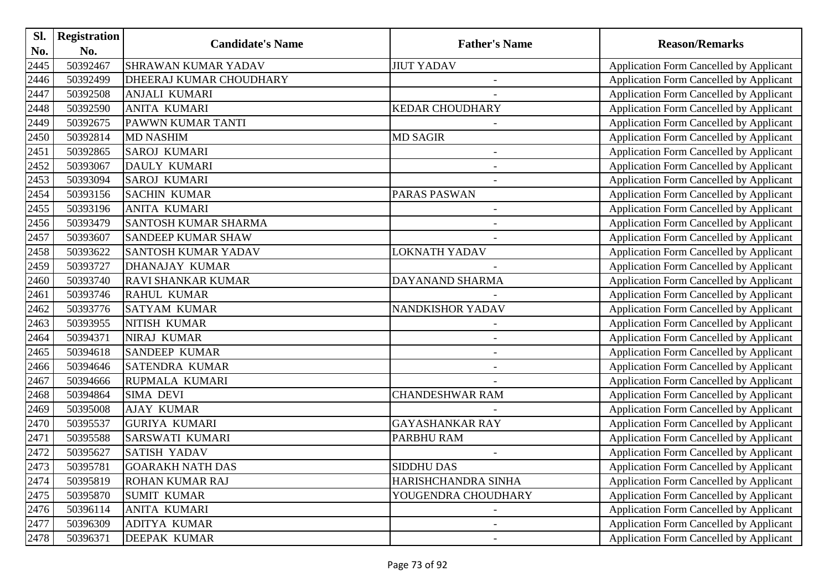| Sl.              | <b>Registration</b> |                             |                          |                                                |
|------------------|---------------------|-----------------------------|--------------------------|------------------------------------------------|
| No.              | No.                 | <b>Candidate's Name</b>     | <b>Father's Name</b>     | <b>Reason/Remarks</b>                          |
| 2445             | 50392467            | <b>SHRAWAN KUMAR YADAV</b>  | <b>JIUT YADAV</b>        | Application Form Cancelled by Applicant        |
| 2446             | 50392499            | DHEERAJ KUMAR CHOUDHARY     |                          | Application Form Cancelled by Applicant        |
| $\sqrt{2447}$    | 50392508            | <b>ANJALI KUMARI</b>        |                          | Application Form Cancelled by Applicant        |
| 2448             | 50392590            | <b>ANITA KUMARI</b>         | <b>KEDAR CHOUDHARY</b>   | Application Form Cancelled by Applicant        |
| 2449             | 50392675            | PAWWN KUMAR TANTI           |                          | Application Form Cancelled by Applicant        |
| 2450             | 50392814            | <b>MD NASHIM</b>            | <b>MD SAGIR</b>          | Application Form Cancelled by Applicant        |
| 2451             | 50392865            | <b>SAROJ KUMARI</b>         | $\overline{\phantom{a}}$ | Application Form Cancelled by Applicant        |
| 2452             | 50393067            | <b>DAULY KUMARI</b>         | $\overline{\phantom{a}}$ | Application Form Cancelled by Applicant        |
| 2453             | 50393094            | <b>SAROJ KUMARI</b>         |                          | Application Form Cancelled by Applicant        |
| 2454             | 50393156            | <b>SACHIN KUMAR</b>         | PARAS PASWAN             | Application Form Cancelled by Applicant        |
| 2455             | 50393196            | <b>ANITA KUMARI</b>         | $\overline{\phantom{a}}$ | Application Form Cancelled by Applicant        |
| 2456             | 50393479            | <b>SANTOSH KUMAR SHARMA</b> |                          | Application Form Cancelled by Applicant        |
| 2457             | 50393607            | <b>SANDEEP KUMAR SHAW</b>   |                          | Application Form Cancelled by Applicant        |
| 2458             | 50393622            | <b>SANTOSH KUMAR YADAV</b>  | LOKNATH YADAV            | Application Form Cancelled by Applicant        |
| $\frac{1}{2459}$ | 50393727            | <b>DHANAJAY KUMAR</b>       |                          | Application Form Cancelled by Applicant        |
| 2460             | 50393740            | <b>RAVI SHANKAR KUMAR</b>   | DAYANAND SHARMA          | Application Form Cancelled by Applicant        |
| 2461             | 50393746            | <b>RAHUL KUMAR</b>          |                          | Application Form Cancelled by Applicant        |
| 2462             | 50393776            | <b>SATYAM KUMAR</b>         | NANDKISHOR YADAV         | <b>Application Form Cancelled by Applicant</b> |
| 2463             | 50393955            | NITISH KUMAR                |                          | Application Form Cancelled by Applicant        |
| 2464             | 50394371            | NIRAJ KUMAR                 | $\blacksquare$           | Application Form Cancelled by Applicant        |
| 2465             | 50394618            | <b>SANDEEP KUMAR</b>        |                          | Application Form Cancelled by Applicant        |
| 2466             | 50394646            | SATENDRA KUMAR              | $\overline{\phantom{a}}$ | Application Form Cancelled by Applicant        |
| 2467             | 50394666            | RUPMALA KUMARI              |                          | Application Form Cancelled by Applicant        |
| 2468             | 50394864            | <b>SIMA DEVI</b>            | <b>CHANDESHWAR RAM</b>   | Application Form Cancelled by Applicant        |
| 2469             | 50395008            | <b>AJAY KUMAR</b>           |                          | Application Form Cancelled by Applicant        |
| 2470             | 50395537            | <b>GURIYA KUMARI</b>        | <b>GAYASHANKAR RAY</b>   | Application Form Cancelled by Applicant        |
| 2471             | 50395588            | <b>SARSWATI KUMARI</b>      | PARBHU RAM               | Application Form Cancelled by Applicant        |
| 2472             | 50395627            | <b>SATISH YADAV</b>         |                          | Application Form Cancelled by Applicant        |
| 2473             | 50395781            | <b>GOARAKH NATH DAS</b>     | <b>SIDDHU DAS</b>        | Application Form Cancelled by Applicant        |
| 2474             | 50395819            | ROHAN KUMAR RAJ             | HARISHCHANDRA SINHA      | Application Form Cancelled by Applicant        |
| 2475             | 50395870            | <b>SUMIT KUMAR</b>          | YOUGENDRA CHOUDHARY      | <b>Application Form Cancelled by Applicant</b> |
| 2476             | 50396114            | ANITA KUMARI                |                          | <b>Application Form Cancelled by Applicant</b> |
| 2477             | 50396309            | ADITYA KUMAR                | $\overline{\phantom{a}}$ | Application Form Cancelled by Applicant        |
| 2478             | 50396371            | DEEPAK KUMAR                | $\overline{\phantom{a}}$ | <b>Application Form Cancelled by Applicant</b> |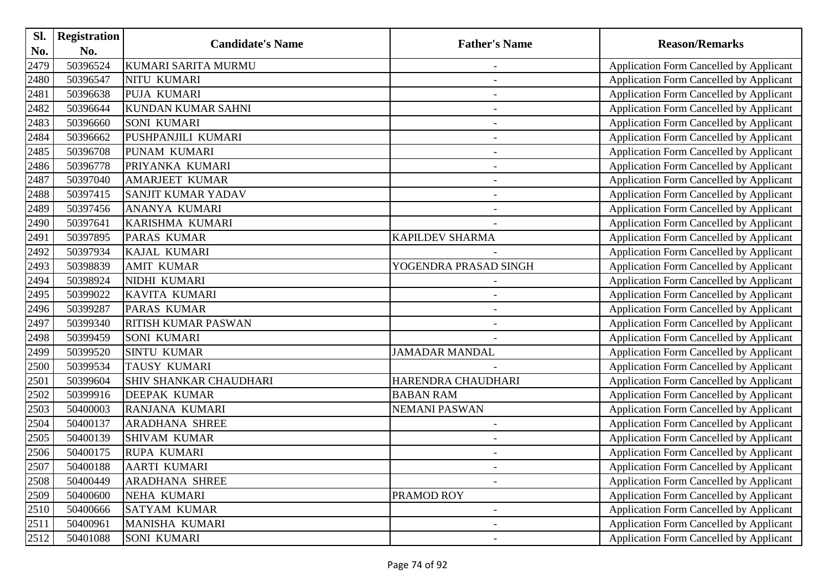| Sl.  | <b>Registration</b> | <b>Candidate's Name</b>       |                          |                                                |
|------|---------------------|-------------------------------|--------------------------|------------------------------------------------|
| No.  | No.                 |                               | <b>Father's Name</b>     | <b>Reason/Remarks</b>                          |
| 2479 | 50396524            | KUMARI SARITA MURMU           | $\blacksquare$           | Application Form Cancelled by Applicant        |
| 2480 | 50396547            | NITU KUMARI                   |                          | Application Form Cancelled by Applicant        |
| 2481 | 50396638            | PUJA KUMARI                   | $\overline{\phantom{a}}$ | Application Form Cancelled by Applicant        |
| 2482 | 50396644            | <b>KUNDAN KUMAR SAHNI</b>     |                          | Application Form Cancelled by Applicant        |
| 2483 | 50396660            | <b>SONI KUMARI</b>            |                          | Application Form Cancelled by Applicant        |
| 2484 | 50396662            | PUSHPANJILI KUMARI            | $\overline{\phantom{0}}$ | Application Form Cancelled by Applicant        |
| 2485 | 50396708            | PUNAM KUMARI                  |                          | Application Form Cancelled by Applicant        |
| 2486 | 50396778            | PRIYANKA KUMARI               | $\overline{\phantom{a}}$ | <b>Application Form Cancelled by Applicant</b> |
| 2487 | 50397040            | <b>AMARJEET KUMAR</b>         | $\overline{\phantom{a}}$ | Application Form Cancelled by Applicant        |
| 2488 | 50397415            | <b>SANJIT KUMAR YADAV</b>     | $\overline{\phantom{m}}$ | Application Form Cancelled by Applicant        |
| 2489 | 50397456            | ANANYA KUMARI                 | $\overline{a}$           | Application Form Cancelled by Applicant        |
| 2490 | 50397641            | KARISHMA KUMARI               |                          | Application Form Cancelled by Applicant        |
| 2491 | 50397895            | <b>PARAS KUMAR</b>            | KAPILDEV SHARMA          | <b>Application Form Cancelled by Applicant</b> |
| 2492 | 50397934            | KAJAL KUMARI                  |                          | Application Form Cancelled by Applicant        |
| 2493 | 50398839            | <b>AMIT KUMAR</b>             | YOGENDRA PRASAD SINGH    | Application Form Cancelled by Applicant        |
| 2494 | 50398924            | NIDHI KUMARI                  |                          | Application Form Cancelled by Applicant        |
| 2495 | 50399022            | <b>KAVITA KUMARI</b>          |                          | Application Form Cancelled by Applicant        |
| 2496 | 50399287            | <b>PARAS KUMAR</b>            |                          | <b>Application Form Cancelled by Applicant</b> |
| 2497 | 50399340            | <b>RITISH KUMAR PASWAN</b>    |                          | Application Form Cancelled by Applicant        |
| 2498 | 50399459            | <b>SONI KUMARI</b>            |                          | Application Form Cancelled by Applicant        |
| 2499 | 50399520            | <b>SINTU KUMAR</b>            | <b>JAMADAR MANDAL</b>    | Application Form Cancelled by Applicant        |
| 2500 | 50399534            | TAUSY KUMARI                  |                          | Application Form Cancelled by Applicant        |
| 2501 | 50399604            | <b>SHIV SHANKAR CHAUDHARI</b> | HARENDRA CHAUDHARI       | Application Form Cancelled by Applicant        |
| 2502 | 50399916            | <b>DEEPAK KUMAR</b>           | <b>BABAN RAM</b>         | Application Form Cancelled by Applicant        |
| 2503 | 50400003            | RANJANA KUMARI                | <b>NEMANI PASWAN</b>     | Application Form Cancelled by Applicant        |
| 2504 | 50400137            | <b>ARADHANA SHREE</b>         | $\overline{\phantom{0}}$ | Application Form Cancelled by Applicant        |
| 2505 | 50400139            | <b>SHIVAM KUMAR</b>           | $\overline{\phantom{a}}$ | <b>Application Form Cancelled by Applicant</b> |
| 2506 | 50400175            | RUPA KUMARI                   |                          | Application Form Cancelled by Applicant        |
| 2507 | 50400188            | <b>AARTI KUMARI</b>           |                          | Application Form Cancelled by Applicant        |
| 2508 | 50400449            | <b>ARADHANA SHREE</b>         |                          | Application Form Cancelled by Applicant        |
| 2509 | 50400600            | NEHA KUMARI                   | PRAMOD ROY               | <b>Application Form Cancelled by Applicant</b> |
| 2510 | 50400666            | <b>SATYAM KUMAR</b>           | $\overline{\phantom{a}}$ | <b>Application Form Cancelled by Applicant</b> |
| 2511 | 50400961            | MANISHA KUMARI                | $\overline{\phantom{a}}$ | Application Form Cancelled by Applicant        |
| 2512 | 50401088            | SONI KUMARI                   | $\overline{\phantom{a}}$ | Application Form Cancelled by Applicant        |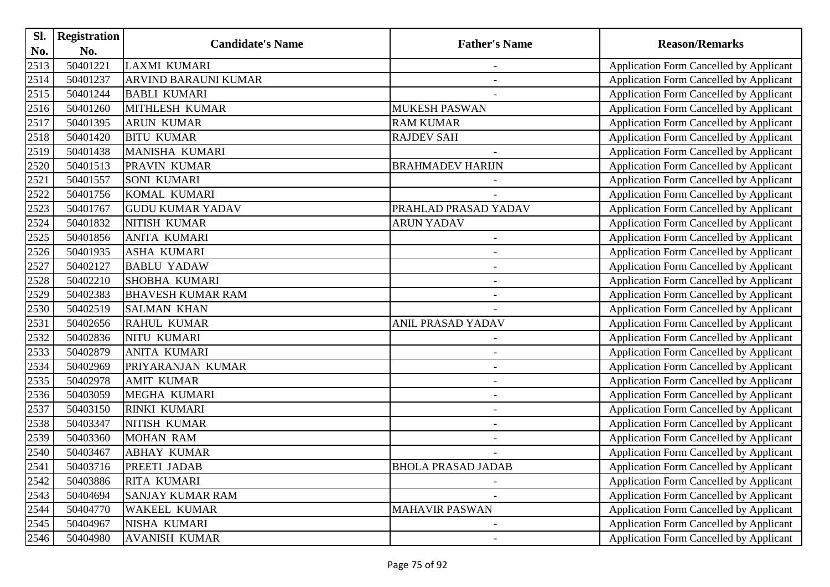| Sl.  | <b>Registration</b> | <b>Candidate's Name</b>     |                           |                                                |
|------|---------------------|-----------------------------|---------------------------|------------------------------------------------|
| No.  | No.                 |                             | <b>Father's Name</b>      | <b>Reason/Remarks</b>                          |
| 2513 | 50401221            | <b>LAXMI KUMARI</b>         | $\blacksquare$            | Application Form Cancelled by Applicant        |
| 2514 | 50401237            | <b>ARVIND BARAUNI KUMAR</b> |                           | Application Form Cancelled by Applicant        |
| 2515 | 50401244            | <b>BABLI KUMARI</b>         |                           | Application Form Cancelled by Applicant        |
| 2516 | 50401260            | <b>MITHLESH KUMAR</b>       | <b>MUKESH PASWAN</b>      | Application Form Cancelled by Applicant        |
| 2517 | 50401395            | <b>ARUN KUMAR</b>           | <b>RAM KUMAR</b>          | Application Form Cancelled by Applicant        |
| 2518 | 50401420            | <b>BITU KUMAR</b>           | <b>RAJDEV SAH</b>         | <b>Application Form Cancelled by Applicant</b> |
| 2519 | 50401438            | MANISHA KUMARI              |                           | Application Form Cancelled by Applicant        |
| 2520 | 50401513            | <b>PRAVIN KUMAR</b>         | <b>BRAHMADEV HARIJN</b>   | Application Form Cancelled by Applicant        |
| 2521 | 50401557            | <b>SONI KUMARI</b>          |                           | Application Form Cancelled by Applicant        |
| 2522 | 50401756            | <b>KOMAL KUMARI</b>         |                           | Application Form Cancelled by Applicant        |
| 2523 | 50401767            | <b>GUDU KUMAR YADAV</b>     | PRAHLAD PRASAD YADAV      | Application Form Cancelled by Applicant        |
| 2524 | 50401832            | NITISH KUMAR                | <b>ARUN YADAV</b>         | Application Form Cancelled by Applicant        |
| 2525 | 50401856            | <b>ANITA KUMARI</b>         |                           | Application Form Cancelled by Applicant        |
| 2526 | 50401935            | <b>ASHA KUMARI</b>          | $\overline{\phantom{a}}$  | Application Form Cancelled by Applicant        |
| 2527 | 50402127            | <b>BABLU YADAW</b>          | $\overline{\phantom{a}}$  | Application Form Cancelled by Applicant        |
| 2528 | 50402210            | <b>SHOBHA KUMARI</b>        |                           | Application Form Cancelled by Applicant        |
| 2529 | 50402383            | <b>BHAVESH KUMAR RAM</b>    | $\overline{\phantom{a}}$  | Application Form Cancelled by Applicant        |
| 2530 | 50402519            | <b>SALMAN KHAN</b>          |                           | <b>Application Form Cancelled by Applicant</b> |
| 2531 | 50402656            | <b>RAHUL KUMAR</b>          | ANIL PRASAD YADAV         | Application Form Cancelled by Applicant        |
| 2532 | 50402836            | NITU KUMARI                 | $\blacksquare$            | Application Form Cancelled by Applicant        |
| 2533 | 50402879            | <b>ANITA KUMARI</b>         |                           | Application Form Cancelled by Applicant        |
| 2534 | 50402969            | PRIYARANJAN KUMAR           | $\overline{\phantom{a}}$  | Application Form Cancelled by Applicant        |
| 2535 | 50402978            | <b>AMIT KUMAR</b>           |                           | Application Form Cancelled by Applicant        |
| 2536 | 50403059            | <b>MEGHA KUMARI</b>         | $\overline{a}$            | Application Form Cancelled by Applicant        |
| 2537 | 50403150            | <b>RINKI KUMARI</b>         | $\blacksquare$            | Application Form Cancelled by Applicant        |
| 2538 | 50403347            | NITISH KUMAR                | $\overline{\phantom{0}}$  | Application Form Cancelled by Applicant        |
| 2539 | 50403360            | <b>MOHAN RAM</b>            | $\overline{\phantom{a}}$  | Application Form Cancelled by Applicant        |
| 2540 | 50403467            | <b>ABHAY KUMAR</b>          |                           | Application Form Cancelled by Applicant        |
| 2541 | 50403716            | PREETI JADAB                | <b>BHOLA PRASAD JADAB</b> | Application Form Cancelled by Applicant        |
| 2542 | 50403886            | <b>RITA KUMARI</b>          |                           | Application Form Cancelled by Applicant        |
| 2543 | 50404694            | <b>SANJAY KUMAR RAM</b>     |                           | <b>Application Form Cancelled by Applicant</b> |
| 2544 | 50404770            | WAKEEL KUMAR                | <b>MAHAVIR PASWAN</b>     | <b>Application Form Cancelled by Applicant</b> |
| 2545 | 50404967            | NISHA KUMARI                |                           | Application Form Cancelled by Applicant        |
| 2546 | 50404980            | <b>AVANISH KUMAR</b>        |                           | <b>Application Form Cancelled by Applicant</b> |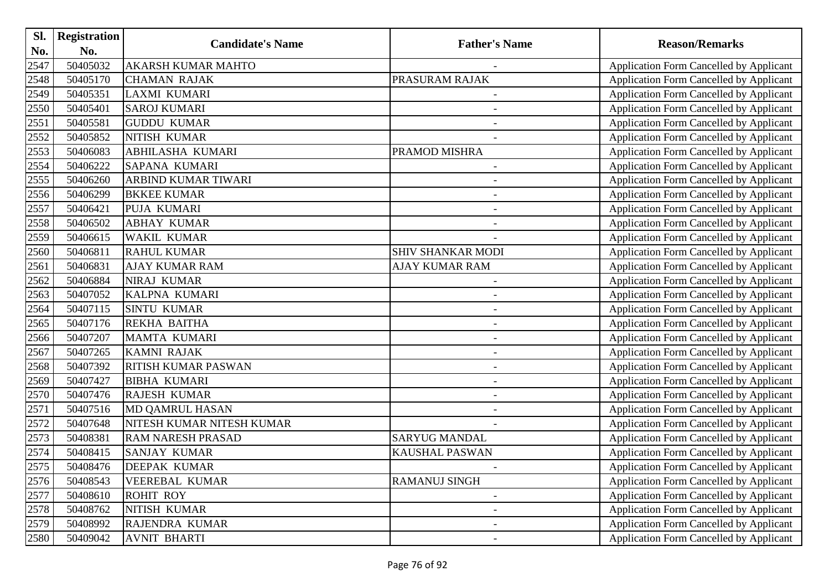| Sl.  | <b>Registration</b> |                            |                          |                                                |
|------|---------------------|----------------------------|--------------------------|------------------------------------------------|
| No.  | No.                 | <b>Candidate's Name</b>    | <b>Father's Name</b>     | <b>Reason/Remarks</b>                          |
| 2547 | 50405032            | <b>AKARSH KUMAR MAHTO</b>  |                          | <b>Application Form Cancelled by Applicant</b> |
| 2548 | 50405170            | <b>CHAMAN RAJAK</b>        | PRASURAM RAJAK           | <b>Application Form Cancelled by Applicant</b> |
| 2549 | 50405351            | LAXMI KUMARI               | $\overline{\phantom{a}}$ | <b>Application Form Cancelled by Applicant</b> |
| 2550 | 50405401            | <b>SAROJ KUMARI</b>        |                          | Application Form Cancelled by Applicant        |
| 2551 | 50405581            | <b>GUDDU KUMAR</b>         | $\qquad \qquad -$        | <b>Application Form Cancelled by Applicant</b> |
| 2552 | 50405852            | NITISH KUMAR               |                          | <b>Application Form Cancelled by Applicant</b> |
| 2553 | 50406083            | <b>ABHILASHA KUMARI</b>    | PRAMOD MISHRA            | Application Form Cancelled by Applicant        |
| 2554 | 50406222            | <b>SAPANA KUMARI</b>       | $\overline{\phantom{a}}$ | <b>Application Form Cancelled by Applicant</b> |
| 2555 | 50406260            | <b>ARBIND KUMAR TIWARI</b> | $\overline{\phantom{a}}$ | <b>Application Form Cancelled by Applicant</b> |
| 2556 | 50406299            | <b>BKKEE KUMAR</b>         | $\overline{\phantom{a}}$ | <b>Application Form Cancelled by Applicant</b> |
| 2557 | 50406421            | PUJA KUMARI                | $\overline{\phantom{a}}$ | Application Form Cancelled by Applicant        |
| 2558 | 50406502            | <b>ABHAY KUMAR</b>         |                          | <b>Application Form Cancelled by Applicant</b> |
| 2559 | 50406615            | <b>WAKIL KUMAR</b>         |                          | <b>Application Form Cancelled by Applicant</b> |
| 2560 | 50406811            | <b>RAHUL KUMAR</b>         | <b>SHIV SHANKAR MODI</b> | <b>Application Form Cancelled by Applicant</b> |
| 2561 | 50406831            | <b>AJAY KUMAR RAM</b>      | <b>AJAY KUMAR RAM</b>    | <b>Application Form Cancelled by Applicant</b> |
| 2562 | 50406884            | <b>NIRAJ KUMAR</b>         | $\overline{\phantom{a}}$ | <b>Application Form Cancelled by Applicant</b> |
| 2563 | 50407052            | KALPNA KUMARI              | $\overline{\phantom{a}}$ | <b>Application Form Cancelled by Applicant</b> |
| 2564 | 50407115            | <b>SINTU KUMAR</b>         |                          | Application Form Cancelled by Applicant        |
| 2565 | 50407176            | <b>REKHA BAITHA</b>        |                          | <b>Application Form Cancelled by Applicant</b> |
| 2566 | 50407207            | <b>MAMTA KUMARI</b>        | $\blacksquare$           | <b>Application Form Cancelled by Applicant</b> |
| 2567 | 50407265            | <b>KAMNI RAJAK</b>         | $\overline{\phantom{a}}$ | <b>Application Form Cancelled by Applicant</b> |
| 2568 | 50407392            | <b>RITISH KUMAR PASWAN</b> | $\overline{\phantom{a}}$ | Application Form Cancelled by Applicant        |
| 2569 | 50407427            | <b>BIBHA KUMARI</b>        |                          | Application Form Cancelled by Applicant        |
| 2570 | 50407476            | <b>RAJESH KUMAR</b>        | $\overline{\phantom{a}}$ | <b>Application Form Cancelled by Applicant</b> |
| 2571 | 50407516            | <b>MD QAMRUL HASAN</b>     |                          | <b>Application Form Cancelled by Applicant</b> |
| 2572 | 50407648            | NITESH KUMAR NITESH KUMAR  |                          | Application Form Cancelled by Applicant        |
| 2573 | 50408381            | <b>RAM NARESH PRASAD</b>   | <b>SARYUG MANDAL</b>     | Application Form Cancelled by Applicant        |
| 2574 | 50408415            | <b>SANJAY KUMAR</b>        | <b>KAUSHAL PASWAN</b>    | <b>Application Form Cancelled by Applicant</b> |
| 2575 | 50408476            | <b>DEEPAK KUMAR</b>        |                          | <b>Application Form Cancelled by Applicant</b> |
| 2576 | 50408543            | <b>VEEREBAL KUMAR</b>      | <b>RAMANUJ SINGH</b>     | Application Form Cancelled by Applicant        |
| 2577 | 50408610            | <b>ROHIT ROY</b>           |                          | <b>Application Form Cancelled by Applicant</b> |
| 2578 | 50408762            | NITISH KUMAR               |                          | <b>Application Form Cancelled by Applicant</b> |
| 2579 | 50408992            | RAJENDRA KUMAR             |                          | <b>Application Form Cancelled by Applicant</b> |
| 2580 | 50409042            | <b>AVNIT BHARTI</b>        | $\overline{\phantom{a}}$ | Application Form Cancelled by Applicant        |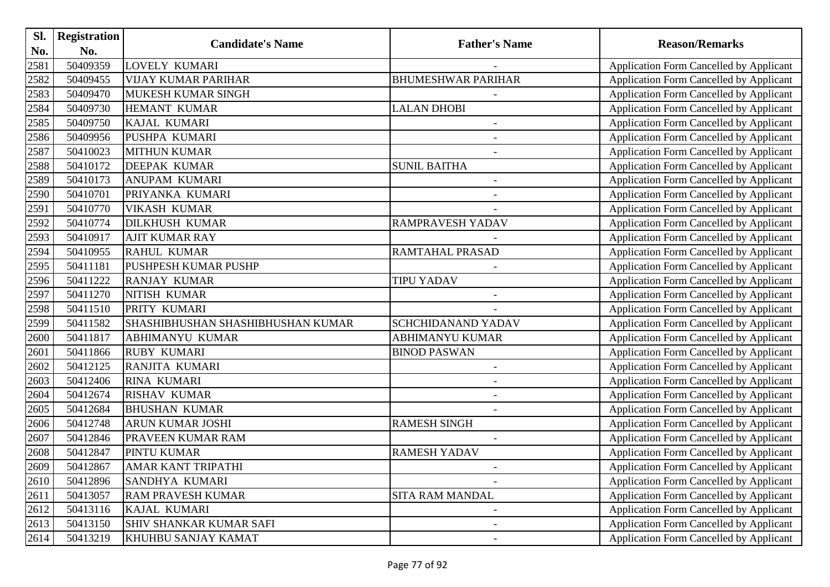| Sl.  | <b>Registration</b> |                                   |                           |                                                |
|------|---------------------|-----------------------------------|---------------------------|------------------------------------------------|
| No.  | No.                 | <b>Candidate's Name</b>           | <b>Father's Name</b>      | <b>Reason/Remarks</b>                          |
| 2581 | 50409359            | <b>LOVELY KUMARI</b>              |                           | Application Form Cancelled by Applicant        |
| 2582 | 50409455            | <b>VIJAY KUMAR PARIHAR</b>        | <b>BHUMESHWAR PARIHAR</b> | Application Form Cancelled by Applicant        |
| 2583 | 50409470            | MUKESH KUMAR SINGH                |                           | <b>Application Form Cancelled by Applicant</b> |
| 2584 | 50409730            | HEMANT KUMAR                      | <b>LALAN DHOBI</b>        | Application Form Cancelled by Applicant        |
| 2585 | 50409750            | <b>KAJAL KUMARI</b>               | $\overline{\phantom{a}}$  | <b>Application Form Cancelled by Applicant</b> |
| 2586 | 50409956            | PUSHPA KUMARI                     | $\blacksquare$            | <b>Application Form Cancelled by Applicant</b> |
| 2587 | 50410023            | <b>MITHUN KUMAR</b>               |                           | Application Form Cancelled by Applicant        |
| 2588 | 50410172            | <b>DEEPAK KUMAR</b>               | <b>SUNIL BAITHA</b>       | <b>Application Form Cancelled by Applicant</b> |
| 2589 | 50410173            | <b>ANUPAM KUMARI</b>              | $\blacksquare$            | Application Form Cancelled by Applicant        |
| 2590 | 50410701            | PRIYANKA KUMARI                   | $\overline{\phantom{a}}$  | Application Form Cancelled by Applicant        |
| 2591 | 50410770            | <b>VIKASH KUMAR</b>               |                           | Application Form Cancelled by Applicant        |
| 2592 | 50410774            | <b>DILKHUSH KUMAR</b>             | RAMPRAVESH YADAV          | <b>Application Form Cancelled by Applicant</b> |
| 2593 | 50410917            | <b>AJIT KUMAR RAY</b>             |                           | <b>Application Form Cancelled by Applicant</b> |
| 2594 | 50410955            | <b>RAHUL KUMAR</b>                | RAMTAHAL PRASAD           | Application Form Cancelled by Applicant        |
| 2595 | 50411181            | <b>PUSHPESH KUMAR PUSHP</b>       |                           | <b>Application Form Cancelled by Applicant</b> |
| 2596 | 50411222            | <b>RANJAY KUMAR</b>               | <b>TIPU YADAV</b>         | Application Form Cancelled by Applicant        |
| 2597 | 50411270            | NITISH KUMAR                      | $\overline{\phantom{a}}$  | <b>Application Form Cancelled by Applicant</b> |
| 2598 | 50411510            | PRITY KUMARI                      |                           | Application Form Cancelled by Applicant        |
| 2599 | 50411582            | SHASHIBHUSHAN SHASHIBHUSHAN KUMAR | SCHCHIDANAND YADAV        | Application Form Cancelled by Applicant        |
| 2600 | 50411817            | ABHIMANYU KUMAR                   | ABHIMANYU KUMAR           | <b>Application Form Cancelled by Applicant</b> |
| 2601 | 50411866            | <b>RUBY KUMARI</b>                | <b>BINOD PASWAN</b>       | Application Form Cancelled by Applicant        |
| 2602 | 50412125            | RANJITA KUMARI                    | $\overline{\phantom{a}}$  | <b>Application Form Cancelled by Applicant</b> |
| 2603 | 50412406            | <b>RINA KUMARI</b>                |                           | Application Form Cancelled by Applicant        |
| 2604 | 50412674            | <b>RISHAV KUMAR</b>               |                           | <b>Application Form Cancelled by Applicant</b> |
| 2605 | 50412684            | <b>BHUSHAN KUMAR</b>              | $\blacksquare$            | Application Form Cancelled by Applicant        |
| 2606 | 50412748            | <b>ARUN KUMAR JOSHI</b>           | <b>RAMESH SINGH</b>       | Application Form Cancelled by Applicant        |
| 2607 | 50412846            | PRAVEEN KUMAR RAM                 |                           | <b>Application Form Cancelled by Applicant</b> |
| 2608 | 50412847            | PINTU KUMAR                       | <b>RAMESH YADAV</b>       | Application Form Cancelled by Applicant        |
| 2609 | 50412867            | AMAR KANT TRIPATHI                |                           | Application Form Cancelled by Applicant        |
| 2610 | 50412896            | SANDHYA KUMARI                    |                           | Application Form Cancelled by Applicant        |
| 2611 | 50413057            | <b>RAM PRAVESH KUMAR</b>          | <b>SITA RAM MANDAL</b>    | <b>Application Form Cancelled by Applicant</b> |
| 2612 | 50413116            | KAJAL KUMARI                      |                           | <b>Application Form Cancelled by Applicant</b> |
| 2613 | 50413150            | <b>SHIV SHANKAR KUMAR SAFI</b>    | $\overline{\phantom{a}}$  | <b>Application Form Cancelled by Applicant</b> |
| 2614 | 50413219            | KHUHBU SANJAY KAMAT               | $\overline{\phantom{a}}$  | Application Form Cancelled by Applicant        |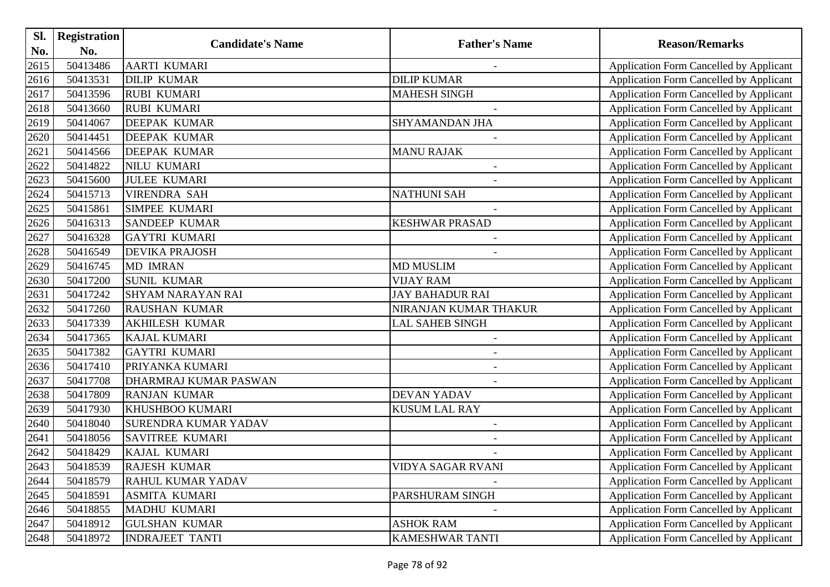| Sl.  | <b>Registration</b> |                             |                          |                                                |
|------|---------------------|-----------------------------|--------------------------|------------------------------------------------|
| No.  | No.                 | <b>Candidate's Name</b>     | <b>Father's Name</b>     | <b>Reason/Remarks</b>                          |
| 2615 | 50413486            | <b>AARTI KUMARI</b>         |                          | Application Form Cancelled by Applicant        |
| 2616 | 50413531            | <b>DILIP KUMAR</b>          | <b>DILIP KUMAR</b>       | Application Form Cancelled by Applicant        |
| 2617 | 50413596            | <b>RUBI KUMARI</b>          | <b>MAHESH SINGH</b>      | Application Form Cancelled by Applicant        |
| 2618 | 50413660            | <b>RUBI KUMARI</b>          |                          | Application Form Cancelled by Applicant        |
| 2619 | 50414067            | <b>DEEPAK KUMAR</b>         | SHYAMANDAN JHA           | <b>Application Form Cancelled by Applicant</b> |
| 2620 | 50414451            | DEEPAK KUMAR                |                          | Application Form Cancelled by Applicant        |
| 2621 | 50414566            | DEEPAK KUMAR                | <b>MANU RAJAK</b>        | Application Form Cancelled by Applicant        |
| 2622 | 50414822            | NILU KUMARI                 | $\blacksquare$           | Application Form Cancelled by Applicant        |
| 2623 | 50415600            | <b>JULEE KUMARI</b>         |                          | Application Form Cancelled by Applicant        |
| 2624 | 50415713            | <b>VIRENDRA SAH</b>         | <b>NATHUNI SAH</b>       | Application Form Cancelled by Applicant        |
| 2625 | 50415861            | SIMPEE KUMARI               |                          | Application Form Cancelled by Applicant        |
| 2626 | 50416313            | <b>SANDEEP KUMAR</b>        | <b>KESHWAR PRASAD</b>    | Application Form Cancelled by Applicant        |
| 2627 | 50416328            | <b>GAYTRI KUMARI</b>        |                          | Application Form Cancelled by Applicant        |
| 2628 | 50416549            | <b>DEVIKA PRAJOSH</b>       |                          | <b>Application Form Cancelled by Applicant</b> |
| 2629 | 50416745            | <b>MD IMRAN</b>             | <b>MD MUSLIM</b>         | Application Form Cancelled by Applicant        |
| 2630 | 50417200            | <b>SUNIL KUMAR</b>          | <b>VIJAY RAM</b>         | Application Form Cancelled by Applicant        |
| 2631 | 50417242            | <b>SHYAM NARAYAN RAI</b>    | <b>JAY BAHADUR RAI</b>   | Application Form Cancelled by Applicant        |
| 2632 | 50417260            | <b>RAUSHAN KUMAR</b>        | NIRANJAN KUMAR THAKUR    | <b>Application Form Cancelled by Applicant</b> |
| 2633 | 50417339            | <b>AKHILESH KUMAR</b>       | LAL SAHEB SINGH          | Application Form Cancelled by Applicant        |
| 2634 | 50417365            | <b>KAJAL KUMARI</b>         | $\overline{\phantom{a}}$ | Application Form Cancelled by Applicant        |
| 2635 | 50417382            | <b>GAYTRI KUMARI</b>        |                          | Application Form Cancelled by Applicant        |
| 2636 | 50417410            | PRIYANKA KUMARI             | $\overline{\phantom{a}}$ | Application Form Cancelled by Applicant        |
| 2637 | 50417708            | DHARMRAJ KUMAR PASWAN       |                          | Application Form Cancelled by Applicant        |
| 2638 | 50417809            | <b>RANJAN KUMAR</b>         | <b>DEVAN YADAV</b>       | Application Form Cancelled by Applicant        |
| 2639 | 50417930            | KHUSHBOO KUMARI             | <b>KUSUM LAL RAY</b>     | Application Form Cancelled by Applicant        |
| 2640 | 50418040            | <b>SURENDRA KUMAR YADAV</b> |                          | Application Form Cancelled by Applicant        |
| 2641 | 50418056            | <b>SAVITREE KUMARI</b>      |                          | Application Form Cancelled by Applicant        |
| 2642 | 50418429            | KAJAL KUMARI                |                          | <b>Application Form Cancelled by Applicant</b> |
| 2643 | 50418539            | <b>RAJESH KUMAR</b>         | VIDYA SAGAR RVANI        | <b>Application Form Cancelled by Applicant</b> |
| 2644 | 50418579            | RAHUL KUMAR YADAV           |                          | Application Form Cancelled by Applicant        |
| 2645 | 50418591            | <b>ASMITA KUMARI</b>        | PARSHURAM SINGH          | Application Form Cancelled by Applicant        |
| 2646 | 50418855            | MADHU KUMARI                |                          | Application Form Cancelled by Applicant        |
| 2647 | 50418912            | <b>GULSHAN KUMAR</b>        | <b>ASHOK RAM</b>         | <b>Application Form Cancelled by Applicant</b> |
| 2648 | 50418972            | <b>INDRAJEET TANTI</b>      | <b>KAMESHWAR TANTI</b>   | <b>Application Form Cancelled by Applicant</b> |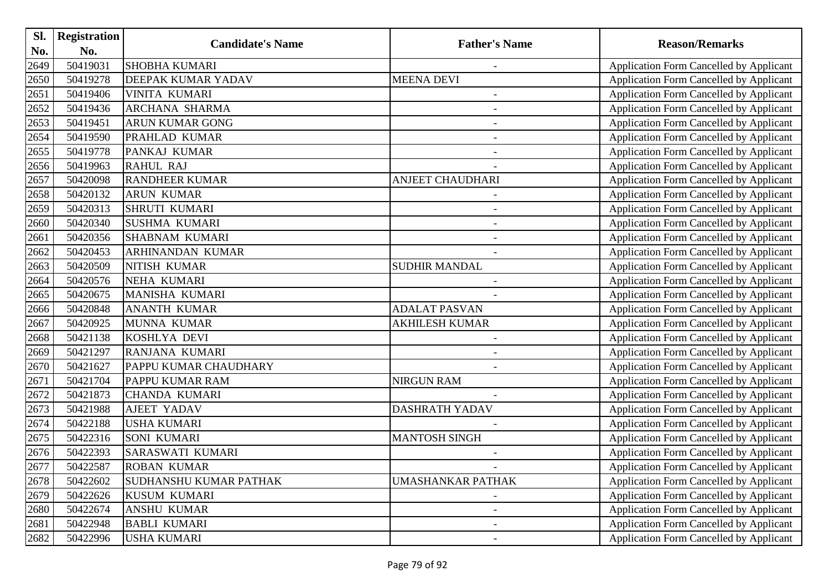| Sl.  | <b>Registration</b> |                           |                          |                                                |
|------|---------------------|---------------------------|--------------------------|------------------------------------------------|
| No.  | No.                 | <b>Candidate's Name</b>   | <b>Father's Name</b>     | <b>Reason/Remarks</b>                          |
| 2649 | 50419031            | <b>SHOBHA KUMARI</b>      | $\blacksquare$           | Application Form Cancelled by Applicant        |
| 2650 | 50419278            | <b>DEEPAK KUMAR YADAV</b> | <b>MEENA DEVI</b>        | Application Form Cancelled by Applicant        |
| 2651 | 50419406            | <b>VINITA KUMARI</b>      | $\overline{\phantom{a}}$ | Application Form Cancelled by Applicant        |
| 2652 | 50419436            | <b>ARCHANA SHARMA</b>     |                          | Application Form Cancelled by Applicant        |
| 2653 | 50419451            | <b>ARUN KUMAR GONG</b>    |                          | Application Form Cancelled by Applicant        |
| 2654 | 50419590            | <b>PRAHLAD KUMAR</b>      | $\overline{\phantom{a}}$ | Application Form Cancelled by Applicant        |
| 2655 | 50419778            | PANKAJ KUMAR              |                          | Application Form Cancelled by Applicant        |
| 2656 | 50419963            | <b>RAHUL RAJ</b>          |                          | Application Form Cancelled by Applicant        |
| 2657 | 50420098            | <b>RANDHEER KUMAR</b>     | <b>ANJEET CHAUDHARI</b>  | Application Form Cancelled by Applicant        |
| 2658 | 50420132            | <b>ARUN KUMAR</b>         | $\overline{\phantom{a}}$ | Application Form Cancelled by Applicant        |
| 2659 | 50420313            | <b>SHRUTI KUMARI</b>      | $\overline{a}$           | Application Form Cancelled by Applicant        |
| 2660 | 50420340            | <b>SUSHMA KUMARI</b>      |                          | Application Form Cancelled by Applicant        |
| 2661 | 50420356            | <b>SHABNAM KUMARI</b>     |                          | Application Form Cancelled by Applicant        |
| 2662 | 50420453            | <b>ARHINANDAN KUMAR</b>   | $\overline{\phantom{a}}$ | Application Form Cancelled by Applicant        |
| 2663 | 50420509            | NITISH KUMAR              | <b>SUDHIR MANDAL</b>     | Application Form Cancelled by Applicant        |
| 2664 | 50420576            | NEHA KUMARI               |                          | Application Form Cancelled by Applicant        |
| 2665 | 50420675            | MANISHA KUMARI            |                          | Application Form Cancelled by Applicant        |
| 2666 | 50420848            | <b>ANANTH KUMAR</b>       | <b>ADALAT PASVAN</b>     | <b>Application Form Cancelled by Applicant</b> |
| 2667 | 50420925            | MUNNA KUMAR               | <b>AKHILESH KUMAR</b>    | Application Form Cancelled by Applicant        |
| 2668 | 50421138            | <b>KOSHLYA DEVI</b>       | $\overline{\phantom{a}}$ | Application Form Cancelled by Applicant        |
| 2669 | 50421297            | RANJANA KUMARI            |                          | Application Form Cancelled by Applicant        |
| 2670 | 50421627            | PAPPU KUMAR CHAUDHARY     |                          | Application Form Cancelled by Applicant        |
| 2671 | 50421704            | <b>PAPPU KUMAR RAM</b>    | <b>NIRGUN RAM</b>        | Application Form Cancelled by Applicant        |
| 2672 | 50421873            | <b>CHANDA KUMARI</b>      |                          | Application Form Cancelled by Applicant        |
| 2673 | 50421988            | <b>AJEET YADAV</b>        | <b>DASHRATH YADAV</b>    | Application Form Cancelled by Applicant        |
| 2674 | 50422188            | <b>USHA KUMARI</b>        |                          | Application Form Cancelled by Applicant        |
| 2675 | 50422316            | <b>SONI KUMARI</b>        | <b>MANTOSH SINGH</b>     | Application Form Cancelled by Applicant        |
| 2676 | 50422393            | <b>SARASWATI KUMARI</b>   |                          | Application Form Cancelled by Applicant        |
| 2677 | 50422587            | <b>ROBAN KUMAR</b>        |                          | Application Form Cancelled by Applicant        |
| 2678 | 50422602            | SUDHANSHU KUMAR PATHAK    | UMASHANKAR PATHAK        | Application Form Cancelled by Applicant        |
| 2679 | 50422626            | KUSUM KUMARI              |                          | <b>Application Form Cancelled by Applicant</b> |
| 2680 | 50422674            | <b>ANSHU KUMAR</b>        | $\overline{\phantom{a}}$ | <b>Application Form Cancelled by Applicant</b> |
| 2681 | 50422948            | <b>BABLI KUMARI</b>       | $\overline{\phantom{a}}$ | Application Form Cancelled by Applicant        |
| 2682 | 50422996            | <b>USHA KUMARI</b>        | $\overline{\phantom{a}}$ | <b>Application Form Cancelled by Applicant</b> |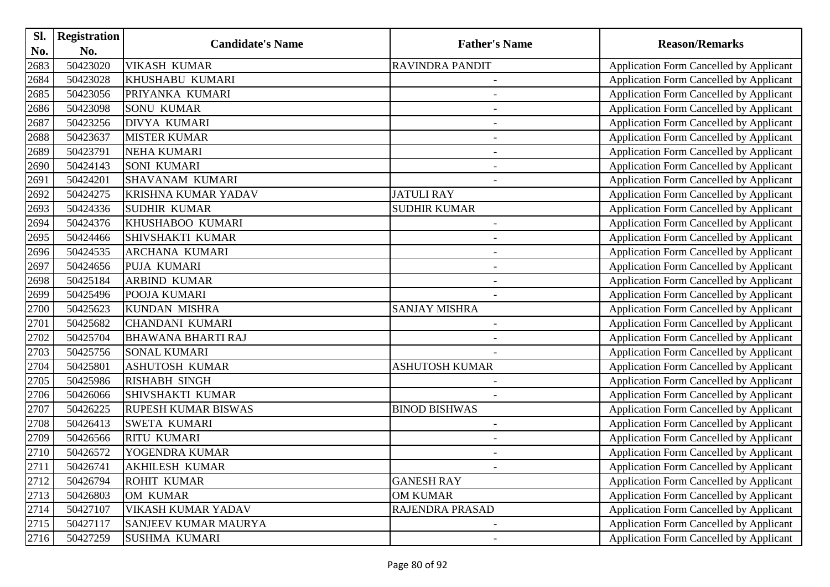| Sl.  | <b>Registration</b> | <b>Candidate's Name</b>     |                          |                                                |
|------|---------------------|-----------------------------|--------------------------|------------------------------------------------|
| No.  | No.                 |                             | <b>Father's Name</b>     | <b>Reason/Remarks</b>                          |
| 2683 | 50423020            | <b>VIKASH KUMAR</b>         | <b>RAVINDRA PANDIT</b>   | Application Form Cancelled by Applicant        |
| 2684 | 50423028            | KHUSHABU KUMARI             | $\overline{\phantom{a}}$ | Application Form Cancelled by Applicant        |
| 2685 | 50423056            | PRIYANKA KUMARI             |                          | <b>Application Form Cancelled by Applicant</b> |
| 2686 | 50423098            | <b>SONU KUMAR</b>           |                          | Application Form Cancelled by Applicant        |
| 2687 | 50423256            | <b>DIVYA KUMARI</b>         |                          | Application Form Cancelled by Applicant        |
| 2688 | 50423637            | <b>MISTER KUMAR</b>         | $\overline{\phantom{a}}$ | Application Form Cancelled by Applicant        |
| 2689 | 50423791            | <b>NEHA KUMARI</b>          |                          | Application Form Cancelled by Applicant        |
| 2690 | 50424143            | <b>SONI KUMARI</b>          | $\overline{\phantom{a}}$ | <b>Application Form Cancelled by Applicant</b> |
| 2691 | 50424201            | <b>SHAVANAM KUMARI</b>      |                          | <b>Application Form Cancelled by Applicant</b> |
| 2692 | 50424275            | <b>KRISHNA KUMAR YADAV</b>  | <b>JATULI RAY</b>        | Application Form Cancelled by Applicant        |
| 2693 | 50424336            | <b>SUDHIR KUMAR</b>         | <b>SUDHIR KUMAR</b>      | Application Form Cancelled by Applicant        |
| 2694 | 50424376            | KHUSHABOO KUMARI            | $\blacksquare$           | Application Form Cancelled by Applicant        |
| 2695 | 50424466            | <b>SHIVSHAKTI KUMAR</b>     | $\overline{a}$           | Application Form Cancelled by Applicant        |
| 2696 | 50424535            | <b>ARCHANA KUMARI</b>       | $\blacksquare$           | <b>Application Form Cancelled by Applicant</b> |
| 2697 | 50424656            | PUJA KUMARI                 | $\overline{\phantom{a}}$ | <b>Application Form Cancelled by Applicant</b> |
| 2698 | 50425184            | <b>ARBIND KUMAR</b>         | $\qquad \qquad -$        | Application Form Cancelled by Applicant        |
| 2699 | 50425496            | POOJA KUMARI                |                          | <b>Application Form Cancelled by Applicant</b> |
| 2700 | 50425623            | <b>KUNDAN MISHRA</b>        | <b>SANJAY MISHRA</b>     | <b>Application Form Cancelled by Applicant</b> |
| 2701 | 50425682            | <b>CHANDANI KUMARI</b>      | $\overline{\phantom{a}}$ | Application Form Cancelled by Applicant        |
| 2702 | 50425704            | <b>BHAWANA BHARTI RAJ</b>   | $\overline{\phantom{a}}$ | <b>Application Form Cancelled by Applicant</b> |
| 2703 | 50425756            | <b>SONAL KUMARI</b>         |                          | Application Form Cancelled by Applicant        |
| 2704 | 50425801            | <b>ASHUTOSH KUMAR</b>       | ASHUTOSH KUMAR           | <b>Application Form Cancelled by Applicant</b> |
| 2705 | 50425986            | <b>RISHABH SINGH</b>        |                          | Application Form Cancelled by Applicant        |
| 2706 | 50426066            | <b>SHIVSHAKTI KUMAR</b>     |                          | Application Form Cancelled by Applicant        |
| 2707 | 50426225            | <b>RUPESH KUMAR BISWAS</b>  | <b>BINOD BISHWAS</b>     | Application Form Cancelled by Applicant        |
| 2708 | 50426413            | <b>SWETA KUMARI</b>         | $\overline{\phantom{a}}$ | Application Form Cancelled by Applicant        |
| 2709 | 50426566            | <b>RITU KUMARI</b>          | $\overline{\phantom{a}}$ | <b>Application Form Cancelled by Applicant</b> |
| 2710 | 50426572            | YOGENDRA KUMAR              |                          | <b>Application Form Cancelled by Applicant</b> |
| 2711 | 50426741            | <b>AKHILESH KUMAR</b>       |                          | Application Form Cancelled by Applicant        |
| 2712 | 50426794            | <b>ROHIT KUMAR</b>          | <b>GANESH RAY</b>        | Application Form Cancelled by Applicant        |
| 2713 | 50426803            | <b>OM KUMAR</b>             | <b>OM KUMAR</b>          | Application Form Cancelled by Applicant        |
| 2714 | 50427107            | VIKASH KUMAR YADAV          | RAJENDRA PRASAD          | Application Form Cancelled by Applicant        |
| 2715 | 50427117            | <b>SANJEEV KUMAR MAURYA</b> |                          | <b>Application Form Cancelled by Applicant</b> |
| 2716 | 50427259            | <b>SUSHMA KUMARI</b>        |                          | <b>Application Form Cancelled by Applicant</b> |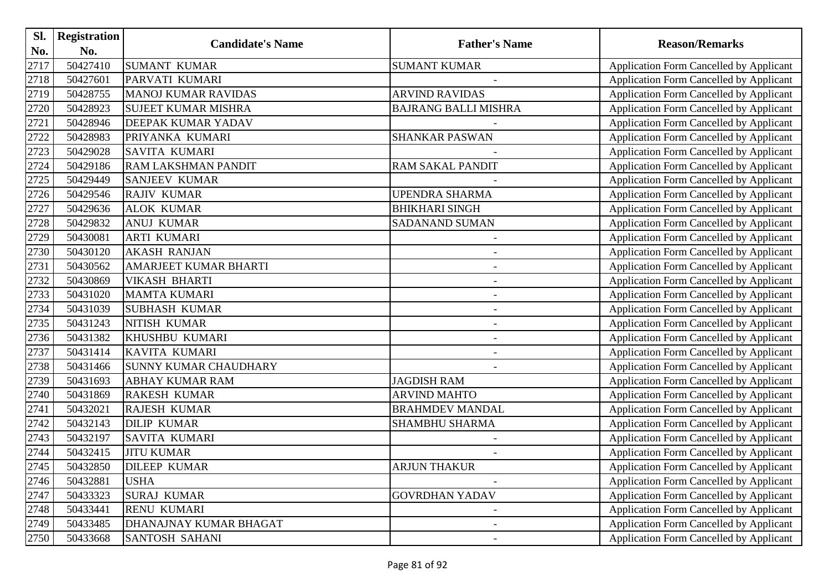| Sl.  | <b>Registration</b> |                              |                             |                                                |
|------|---------------------|------------------------------|-----------------------------|------------------------------------------------|
| No.  | No.                 | <b>Candidate's Name</b>      | <b>Father's Name</b>        | <b>Reason/Remarks</b>                          |
| 2717 | 50427410            | <b>SUMANT KUMAR</b>          | <b>SUMANT KUMAR</b>         | <b>Application Form Cancelled by Applicant</b> |
| 2718 | 50427601            | PARVATI KUMARI               |                             | <b>Application Form Cancelled by Applicant</b> |
| 2719 | 50428755            | <b>MANOJ KUMAR RAVIDAS</b>   | <b>ARVIND RAVIDAS</b>       | <b>Application Form Cancelled by Applicant</b> |
| 2720 | 50428923            | <b>SUJEET KUMAR MISHRA</b>   | <b>BAJRANG BALLI MISHRA</b> | Application Form Cancelled by Applicant        |
| 2721 | 50428946            | <b>DEEPAK KUMAR YADAV</b>    |                             | <b>Application Form Cancelled by Applicant</b> |
| 2722 | 50428983            | PRIYANKA KUMARI              | <b>SHANKAR PASWAN</b>       | <b>Application Form Cancelled by Applicant</b> |
| 2723 | 50429028            | <b>SAVITA KUMARI</b>         |                             | <b>Application Form Cancelled by Applicant</b> |
| 2724 | 50429186            | <b>RAM LAKSHMAN PANDIT</b>   | RAM SAKAL PANDIT            | <b>Application Form Cancelled by Applicant</b> |
| 2725 | 50429449            | <b>SANJEEV KUMAR</b>         |                             | Application Form Cancelled by Applicant        |
| 2726 | 50429546            | <b>RAJIV KUMAR</b>           | UPENDRA SHARMA              | <b>Application Form Cancelled by Applicant</b> |
| 2727 | 50429636            | <b>ALOK KUMAR</b>            | <b>BHIKHARI SINGH</b>       | Application Form Cancelled by Applicant        |
| 2728 | 50429832            | <b>ANUJ KUMAR</b>            | SADANAND SUMAN              | Application Form Cancelled by Applicant        |
| 2729 | 50430081            | <b>ARTI KUMARI</b>           |                             | <b>Application Form Cancelled by Applicant</b> |
| 2730 | 50430120            | <b>AKASH RANJAN</b>          | $\blacksquare$              | <b>Application Form Cancelled by Applicant</b> |
| 2731 | 50430562            | AMARJEET KUMAR BHARTI        | $\overline{\phantom{a}}$    | <b>Application Form Cancelled by Applicant</b> |
| 2732 | 50430869            | <b>VIKASH BHARTI</b>         |                             | Application Form Cancelled by Applicant        |
| 2733 | 50431020            | <b>MAMTA KUMARI</b>          | $\overline{\phantom{a}}$    | <b>Application Form Cancelled by Applicant</b> |
| 2734 | 50431039            | <b>SUBHASH KUMAR</b>         |                             | Application Form Cancelled by Applicant        |
| 2735 | 50431243            | <b>NITISH KUMAR</b>          |                             | <b>Application Form Cancelled by Applicant</b> |
| 2736 | 50431382            | KHUSHBU KUMARI               | $\blacksquare$              | <b>Application Form Cancelled by Applicant</b> |
| 2737 | 50431414            | <b>KAVITA KUMARI</b>         |                             | Application Form Cancelled by Applicant        |
| 2738 | 50431466            | <b>SUNNY KUMAR CHAUDHARY</b> |                             | <b>Application Form Cancelled by Applicant</b> |
| 2739 | 50431693            | <b>ABHAY KUMAR RAM</b>       | <b>JAGDISH RAM</b>          | Application Form Cancelled by Applicant        |
| 2740 | 50431869            | <b>RAKESH KUMAR</b>          | <b>ARVIND MAHTO</b>         | <b>Application Form Cancelled by Applicant</b> |
| 2741 | 50432021            | <b>RAJESH KUMAR</b>          | <b>BRAHMDEV MANDAL</b>      | <b>Application Form Cancelled by Applicant</b> |
| 2742 | 50432143            | <b>DILIP KUMAR</b>           | <b>SHAMBHU SHARMA</b>       | Application Form Cancelled by Applicant        |
| 2743 | 50432197            | <b>SAVITA KUMARI</b>         |                             | Application Form Cancelled by Applicant        |
| 2744 | 50432415            | <b>JITU KUMAR</b>            |                             | <b>Application Form Cancelled by Applicant</b> |
| 2745 | 50432850            | <b>DILEEP KUMAR</b>          | <b>ARJUN THAKUR</b>         | <b>Application Form Cancelled by Applicant</b> |
| 2746 | 50432881            | <b>USHA</b>                  |                             | <b>Application Form Cancelled by Applicant</b> |
| 2747 | 50433323            | <b>SURAJ KUMAR</b>           | <b>GOVRDHAN YADAV</b>       | <b>Application Form Cancelled by Applicant</b> |
| 2748 | 50433441            | <b>RENU KUMARI</b>           |                             | <b>Application Form Cancelled by Applicant</b> |
| 2749 | 50433485            | DHANAJNAY KUMAR BHAGAT       |                             | <b>Application Form Cancelled by Applicant</b> |
| 2750 | 50433668            | <b>SANTOSH SAHANI</b>        | $\overline{\phantom{a}}$    | <b>Application Form Cancelled by Applicant</b> |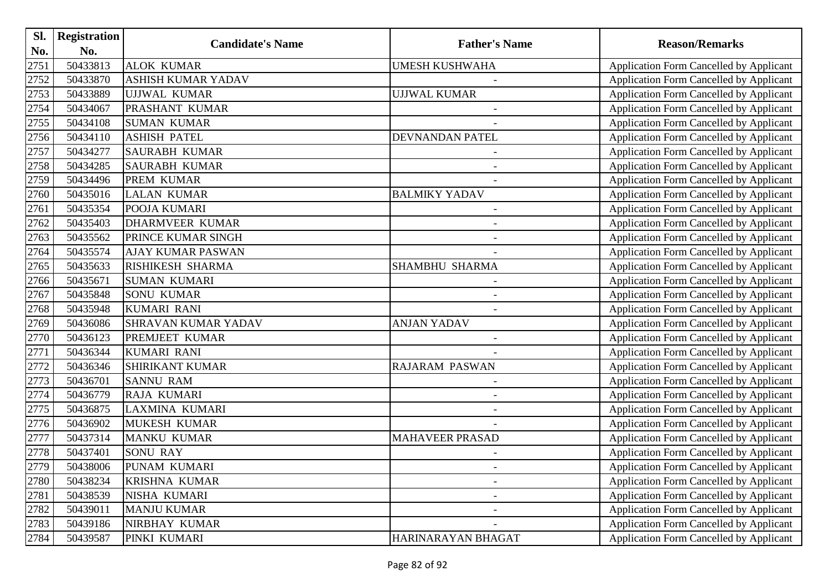| Sl.  | <b>Registration</b> |                            |                          |                                                |
|------|---------------------|----------------------------|--------------------------|------------------------------------------------|
| No.  | No.                 | <b>Candidate's Name</b>    | <b>Father's Name</b>     | <b>Reason/Remarks</b>                          |
| 2751 | 50433813            | <b>ALOK KUMAR</b>          | UMESH KUSHWAHA           | Application Form Cancelled by Applicant        |
| 2752 | 50433870            | <b>ASHISH KUMAR YADAV</b>  |                          | Application Form Cancelled by Applicant        |
| 2753 | 50433889            | UJJWAL KUMAR               | <b>UJJWAL KUMAR</b>      | <b>Application Form Cancelled by Applicant</b> |
| 2754 | 50434067            | PRASHANT KUMAR             |                          | Application Form Cancelled by Applicant        |
| 2755 | 50434108            | <b>SUMAN KUMAR</b>         |                          | <b>Application Form Cancelled by Applicant</b> |
| 2756 | 50434110            | <b>ASHISH PATEL</b>        | DEVNANDAN PATEL          | Application Form Cancelled by Applicant        |
| 2757 | 50434277            | <b>SAURABH KUMAR</b>       |                          | <b>Application Form Cancelled by Applicant</b> |
| 2758 | 50434285            | <b>SAURABH KUMAR</b>       | $\overline{\phantom{a}}$ | <b>Application Form Cancelled by Applicant</b> |
| 2759 | 50434496            | <b>PREM KUMAR</b>          |                          | <b>Application Form Cancelled by Applicant</b> |
| 2760 | 50435016            | <b>LALAN KUMAR</b>         | <b>BALMIKY YADAV</b>     | Application Form Cancelled by Applicant        |
| 2761 | 50435354            | POOJA KUMARI               |                          | Application Form Cancelled by Applicant        |
| 2762 | 50435403            | <b>DHARMVEER KUMAR</b>     |                          | Application Form Cancelled by Applicant        |
| 2763 | 50435562            | PRINCE KUMAR SINGH         | $\overline{a}$           | Application Form Cancelled by Applicant        |
| 2764 | 50435574            | <b>AJAY KUMAR PASWAN</b>   |                          | <b>Application Form Cancelled by Applicant</b> |
| 2765 | 50435633            | <b>RISHIKESH SHARMA</b>    | SHAMBHU SHARMA           | <b>Application Form Cancelled by Applicant</b> |
| 2766 | 50435671            | <b>SUMAN KUMARI</b>        |                          | Application Form Cancelled by Applicant        |
| 2767 | 50435848            | <b>SONU KUMAR</b>          | $\overline{\phantom{a}}$ | Application Form Cancelled by Applicant        |
| 2768 | 50435948            | <b>KUMARI RANI</b>         |                          | <b>Application Form Cancelled by Applicant</b> |
| 2769 | 50436086            | <b>SHRAVAN KUMAR YADAV</b> | <b>ANJAN YADAV</b>       | Application Form Cancelled by Applicant        |
| 2770 | 50436123            | PREMJEET KUMAR             | $\overline{\phantom{a}}$ | Application Form Cancelled by Applicant        |
| 2771 | 50436344            | <b>KUMARI RANI</b>         |                          | Application Form Cancelled by Applicant        |
| 2772 | 50436346            | <b>SHIRIKANT KUMAR</b>     | <b>RAJARAM PASWAN</b>    | Application Form Cancelled by Applicant        |
| 2773 | 50436701            | <b>SANNU RAM</b>           |                          | Application Form Cancelled by Applicant        |
| 2774 | 50436779            | <b>RAJA KUMARI</b>         | $\overline{\phantom{a}}$ | Application Form Cancelled by Applicant        |
| 2775 | 50436875            | LAXMINA KUMARI             | $\overline{\phantom{a}}$ | Application Form Cancelled by Applicant        |
| 2776 | 50436902            | <b>MUKESH KUMAR</b>        |                          | Application Form Cancelled by Applicant        |
| 2777 | 50437314            | <b>MANKU KUMAR</b>         | <b>MAHAVEER PRASAD</b>   | Application Form Cancelled by Applicant        |
| 2778 | 50437401            | <b>SONU RAY</b>            |                          | <b>Application Form Cancelled by Applicant</b> |
| 2779 | 50438006            | PUNAM KUMARI               | $\overline{\phantom{a}}$ | Application Form Cancelled by Applicant        |
| 2780 | 50438234            | <b>KRISHNA KUMAR</b>       |                          | <b>Application Form Cancelled by Applicant</b> |
| 2781 | 50438539            | NISHA KUMARI               |                          | <b>Application Form Cancelled by Applicant</b> |
| 2782 | 50439011            | <b>MANJU KUMAR</b>         | $\overline{\phantom{a}}$ | Application Form Cancelled by Applicant        |
| 2783 | 50439186            | NIRBHAY KUMAR              |                          | Application Form Cancelled by Applicant        |
| 2784 | 50439587            | PINKI KUMARI               | HARINARAYAN BHAGAT       | Application Form Cancelled by Applicant        |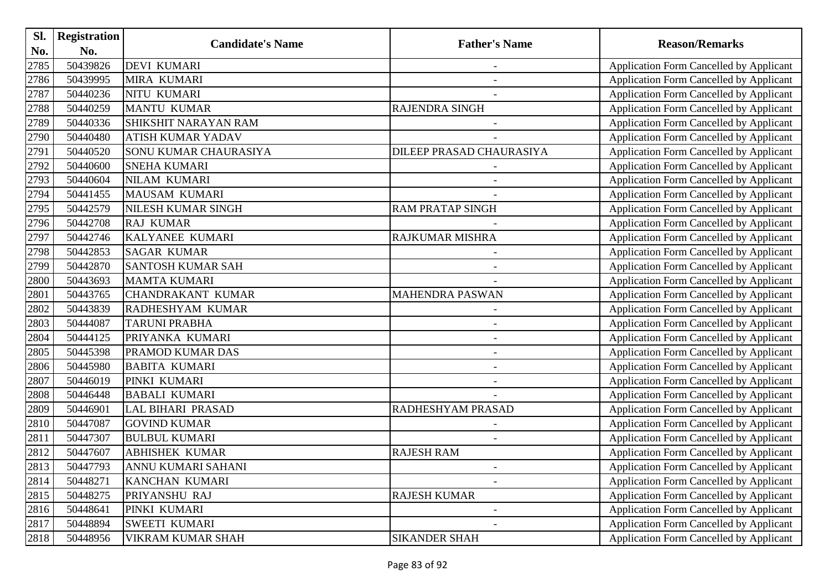| Sl.  | <b>Registration</b> |                              |                          |                                                |
|------|---------------------|------------------------------|--------------------------|------------------------------------------------|
| No.  | No.                 | <b>Candidate's Name</b>      | <b>Father's Name</b>     | <b>Reason/Remarks</b>                          |
| 2785 | 50439826            | <b>DEVI KUMARI</b>           | $\overline{\phantom{a}}$ | Application Form Cancelled by Applicant        |
| 2786 | 50439995            | <b>MIRA KUMARI</b>           |                          | <b>Application Form Cancelled by Applicant</b> |
| 2787 | 50440236            | <b>NITU KUMARI</b>           |                          | Application Form Cancelled by Applicant        |
| 2788 | 50440259            | <b>MANTU KUMAR</b>           | <b>RAJENDRA SINGH</b>    | Application Form Cancelled by Applicant        |
| 2789 | 50440336            | <b>SHIKSHIT NARAYAN RAM</b>  | $\overline{\phantom{a}}$ | Application Form Cancelled by Applicant        |
| 2790 | 50440480            | <b>ATISH KUMAR YADAV</b>     |                          | Application Form Cancelled by Applicant        |
| 2791 | 50440520            | <b>SONU KUMAR CHAURASIYA</b> | DILEEP PRASAD CHAURASIYA | Application Form Cancelled by Applicant        |
| 2792 | 50440600            | <b>SNEHA KUMARI</b>          |                          | Application Form Cancelled by Applicant        |
| 2793 | 50440604            | <b>NILAM KUMARI</b>          |                          | Application Form Cancelled by Applicant        |
| 2794 | 50441455            | <b>MAUSAM KUMARI</b>         |                          | Application Form Cancelled by Applicant        |
| 2795 | 50442579            | <b>NILESH KUMAR SINGH</b>    | <b>RAM PRATAP SINGH</b>  | Application Form Cancelled by Applicant        |
| 2796 | 50442708            | <b>RAJ KUMAR</b>             |                          | Application Form Cancelled by Applicant        |
| 2797 | 50442746            | <b>KALYANEE KUMARI</b>       | <b>RAJKUMAR MISHRA</b>   | Application Form Cancelled by Applicant        |
| 2798 | 50442853            | <b>SAGAR KUMAR</b>           |                          | <b>Application Form Cancelled by Applicant</b> |
| 2799 | 50442870            | <b>SANTOSH KUMAR SAH</b>     | $\overline{\phantom{a}}$ | Application Form Cancelled by Applicant        |
| 2800 | 50443693            | <b>MAMTA KUMARI</b>          |                          | <b>Application Form Cancelled by Applicant</b> |
| 2801 | 50443765            | <b>CHANDRAKANT KUMAR</b>     | <b>MAHENDRA PASWAN</b>   | Application Form Cancelled by Applicant        |
| 2802 | 50443839            | RADHESHYAM KUMAR             |                          | Application Form Cancelled by Applicant        |
| 2803 | 50444087            | <b>TARUNI PRABHA</b>         | $\overline{\phantom{a}}$ | Application Form Cancelled by Applicant        |
| 2804 | 50444125            | PRIYANKA KUMARI              | $\blacksquare$           | Application Form Cancelled by Applicant        |
| 2805 | 50445398            | PRAMOD KUMAR DAS             | $\overline{a}$           | Application Form Cancelled by Applicant        |
| 2806 | 50445980            | <b>BABITA KUMARI</b>         | $\overline{\phantom{a}}$ | Application Form Cancelled by Applicant        |
| 2807 | 50446019            | PINKI KUMARI                 |                          | Application Form Cancelled by Applicant        |
| 2808 | 50446448            | <b>BABALI KUMARI</b>         |                          | Application Form Cancelled by Applicant        |
| 2809 | 50446901            | <b>LAL BIHARI PRASAD</b>     | RADHESHYAM PRASAD        | Application Form Cancelled by Applicant        |
| 2810 | 50447087            | <b>GOVIND KUMAR</b>          |                          | Application Form Cancelled by Applicant        |
| 2811 | 50447307            | <b>BULBUL KUMARI</b>         |                          | Application Form Cancelled by Applicant        |
| 2812 | 50447607            | <b>ABHISHEK KUMAR</b>        | <b>RAJESH RAM</b>        | <b>Application Form Cancelled by Applicant</b> |
| 2813 | 50447793            | ANNU KUMARI SAHANI           |                          | <b>Application Form Cancelled by Applicant</b> |
| 2814 | 50448271            | KANCHAN KUMARI               |                          | <b>Application Form Cancelled by Applicant</b> |
| 2815 | 50448275            | PRIYANSHU RAJ                | <b>RAJESH KUMAR</b>      | Application Form Cancelled by Applicant        |
| 2816 | 50448641            | PINKI KUMARI                 | $\overline{\phantom{a}}$ | Application Form Cancelled by Applicant        |
| 2817 | 50448894            | <b>SWEETI KUMARI</b>         |                          | <b>Application Form Cancelled by Applicant</b> |
| 2818 | 50448956            | VIKRAM KUMAR SHAH            | <b>SIKANDER SHAH</b>     | Application Form Cancelled by Applicant        |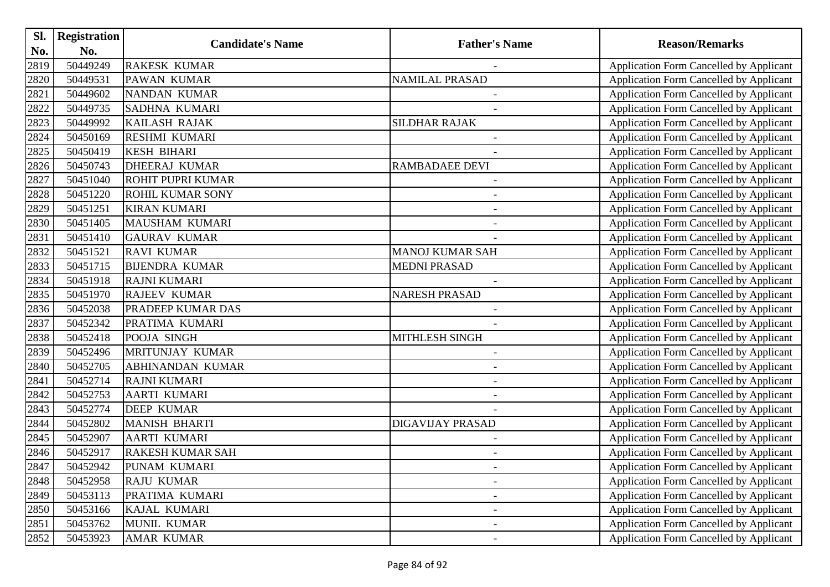| Sl.  | <b>Registration</b> |                          | <b>Father's Name</b>     |                                                |
|------|---------------------|--------------------------|--------------------------|------------------------------------------------|
| No.  | No.                 | <b>Candidate's Name</b>  |                          | <b>Reason/Remarks</b>                          |
| 2819 | 50449249            | <b>RAKESK KUMAR</b>      |                          | Application Form Cancelled by Applicant        |
| 2820 | 50449531            | <b>PAWAN KUMAR</b>       | <b>NAMILAL PRASAD</b>    | <b>Application Form Cancelled by Applicant</b> |
| 2821 | 50449602            | <b>NANDAN KUMAR</b>      | $\overline{\phantom{a}}$ | Application Form Cancelled by Applicant        |
| 2822 | 50449735            | <b>SADHNA KUMARI</b>     |                          | Application Form Cancelled by Applicant        |
| 2823 | 50449992            | <b>KAILASH RAJAK</b>     | <b>SILDHAR RAJAK</b>     | Application Form Cancelled by Applicant        |
| 2824 | 50450169            | <b>RESHMI KUMARI</b>     |                          | <b>Application Form Cancelled by Applicant</b> |
| 2825 | 50450419            | <b>KESH BIHARI</b>       |                          | Application Form Cancelled by Applicant        |
| 2826 | 50450743            | <b>DHEERAJ KUMAR</b>     | <b>RAMBADAEE DEVI</b>    | Application Form Cancelled by Applicant        |
| 2827 | 50451040            | <b>ROHIT PUPRI KUMAR</b> |                          | Application Form Cancelled by Applicant        |
| 2828 | 50451220            | <b>ROHIL KUMAR SONY</b>  | $\overline{\phantom{a}}$ | Application Form Cancelled by Applicant        |
| 2829 | 50451251            | <b>KIRAN KUMARI</b>      |                          | Application Form Cancelled by Applicant        |
| 2830 | 50451405            | <b>MAUSHAM KUMARI</b>    |                          | Application Form Cancelled by Applicant        |
| 2831 | 50451410            | <b>GAURAV KUMAR</b>      |                          | Application Form Cancelled by Applicant        |
| 2832 | 50451521            | <b>RAVI KUMAR</b>        | <b>MANOJ KUMAR SAH</b>   | <b>Application Form Cancelled by Applicant</b> |
| 2833 | 50451715            | <b>BIJENDRA KUMAR</b>    | <b>MEDNI PRASAD</b>      | <b>Application Form Cancelled by Applicant</b> |
| 2834 | 50451918            | <b>RAJNI KUMARI</b>      |                          | Application Form Cancelled by Applicant        |
| 2835 | 50451970            | <b>RAJEEV KUMAR</b>      | <b>NARESH PRASAD</b>     | Application Form Cancelled by Applicant        |
| 2836 | 50452038            | <b>PRADEEP KUMAR DAS</b> |                          | Application Form Cancelled by Applicant        |
| 2837 | 50452342            | PRATIMA KUMARI           |                          | Application Form Cancelled by Applicant        |
| 2838 | 50452418            | POOJA SINGH              | <b>MITHLESH SINGH</b>    | Application Form Cancelled by Applicant        |
| 2839 | 50452496            | <b>MRITUNJAY KUMAR</b>   | $\overline{\phantom{a}}$ | Application Form Cancelled by Applicant        |
| 2840 | 50452705            | <b>ABHINANDAN KUMAR</b>  | $\overline{a}$           | Application Form Cancelled by Applicant        |
| 2841 | 50452714            | <b>RAJNI KUMARI</b>      |                          | Application Form Cancelled by Applicant        |
| 2842 | 50452753            | <b>AARTI KUMARI</b>      | $\overline{a}$           | Application Form Cancelled by Applicant        |
| 2843 | 50452774            | <b>DEEP KUMAR</b>        |                          | Application Form Cancelled by Applicant        |
| 2844 | 50452802            | <b>MANISH BHARTI</b>     | <b>DIGAVIJAY PRASAD</b>  | Application Form Cancelled by Applicant        |
| 2845 | 50452907            | <b>AARTI KUMARI</b>      |                          | Application Form Cancelled by Applicant        |
| 2846 | 50452917            | <b>RAKESH KUMAR SAH</b>  |                          | <b>Application Form Cancelled by Applicant</b> |
| 2847 | 50452942            | PUNAM KUMARI             |                          | <b>Application Form Cancelled by Applicant</b> |
| 2848 | 50452958            | <b>RAJU KUMAR</b>        |                          | Application Form Cancelled by Applicant        |
| 2849 | 50453113            | PRATIMA KUMARI           |                          | <b>Application Form Cancelled by Applicant</b> |
| 2850 | 50453166            | KAJAL KUMARI             | $\overline{\phantom{0}}$ | Application Form Cancelled by Applicant        |
| 2851 | 50453762            | <b>MUNIL KUMAR</b>       |                          | Application Form Cancelled by Applicant        |
| 2852 | 50453923            | <b>AMAR KUMAR</b>        |                          | Application Form Cancelled by Applicant        |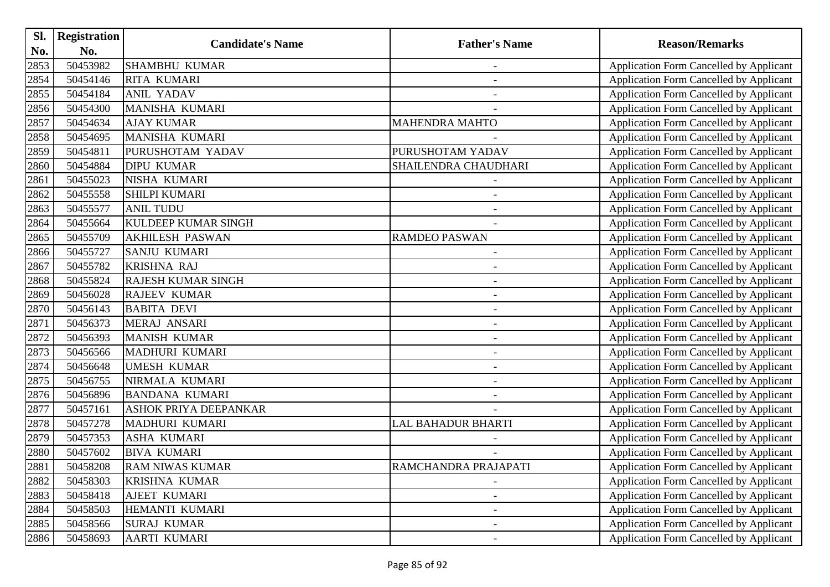| SI.  | <b>Registration</b> |                            |                          |                                                |
|------|---------------------|----------------------------|--------------------------|------------------------------------------------|
| No.  | No.                 | <b>Candidate's Name</b>    | <b>Father's Name</b>     | <b>Reason/Remarks</b>                          |
| 2853 | 50453982            | <b>SHAMBHU KUMAR</b>       | $\blacksquare$           | Application Form Cancelled by Applicant        |
| 2854 | 50454146            | <b>RITA KUMARI</b>         |                          | Application Form Cancelled by Applicant        |
| 2855 | 50454184            | <b>ANIL YADAV</b>          | $\overline{\phantom{a}}$ | Application Form Cancelled by Applicant        |
| 2856 | 50454300            | MANISHA KUMARI             |                          | Application Form Cancelled by Applicant        |
| 2857 | 50454634            | <b>AJAY KUMAR</b>          | <b>MAHENDRA MAHTO</b>    | Application Form Cancelled by Applicant        |
| 2858 | 50454695            | MANISHA KUMARI             |                          | Application Form Cancelled by Applicant        |
| 2859 | 50454811            | PURUSHOTAM YADAV           | PURUSHOTAM YADAV         | Application Form Cancelled by Applicant        |
| 2860 | 50454884            | <b>DIPU KUMAR</b>          | SHAILENDRA CHAUDHARI     | Application Form Cancelled by Applicant        |
| 2861 | 50455023            | NISHA KUMARI               |                          | Application Form Cancelled by Applicant        |
| 2862 | 50455558            | <b>SHILPI KUMARI</b>       | $\overline{\phantom{a}}$ | Application Form Cancelled by Applicant        |
| 2863 | 50455577            | <b>ANIL TUDU</b>           | $\overline{a}$           | Application Form Cancelled by Applicant        |
| 2864 | 50455664            | <b>KULDEEP KUMAR SINGH</b> |                          | Application Form Cancelled by Applicant        |
| 2865 | 50455709            | <b>AKHILESH PASWAN</b>     | <b>RAMDEO PASWAN</b>     | Application Form Cancelled by Applicant        |
| 2866 | 50455727            | <b>SANJU KUMARI</b>        | $\overline{\phantom{a}}$ | Application Form Cancelled by Applicant        |
| 2867 | 50455782            | <b>KRISHNA RAJ</b>         | $\overline{\phantom{a}}$ | <b>Application Form Cancelled by Applicant</b> |
| 2868 | 50455824            | <b>RAJESH KUMAR SINGH</b>  |                          | Application Form Cancelled by Applicant        |
| 2869 | 50456028            | <b>RAJEEV KUMAR</b>        | $\overline{a}$           | Application Form Cancelled by Applicant        |
| 2870 | 50456143            | <b>BABITA DEVI</b>         |                          | <b>Application Form Cancelled by Applicant</b> |
| 2871 | 50456373            | <b>MERAJ ANSARI</b>        | $\blacksquare$           | Application Form Cancelled by Applicant        |
| 2872 | 50456393            | <b>MANISH KUMAR</b>        | $\overline{\phantom{a}}$ | Application Form Cancelled by Applicant        |
| 2873 | 50456566            | MADHURI KUMARI             |                          | Application Form Cancelled by Applicant        |
| 2874 | 50456648            | <b>UMESH KUMAR</b>         | $\overline{\phantom{a}}$ | Application Form Cancelled by Applicant        |
| 2875 | 50456755            | NIRMALA KUMARI             |                          | Application Form Cancelled by Applicant        |
| 2876 | 50456896            | <b>BANDANA KUMARI</b>      |                          | Application Form Cancelled by Applicant        |
| 2877 | 50457161            | ASHOK PRIYA DEEPANKAR      |                          | Application Form Cancelled by Applicant        |
| 2878 | 50457278            | MADHURI KUMARI             | LAL BAHADUR BHARTI       | Application Form Cancelled by Applicant        |
| 2879 | 50457353            | <b>ASHA KUMARI</b>         |                          | Application Form Cancelled by Applicant        |
| 2880 | 50457602            | <b>BIVA KUMARI</b>         |                          | Application Form Cancelled by Applicant        |
| 2881 | 50458208            | <b>RAM NIWAS KUMAR</b>     | RAMCHANDRA PRAJAPATI     | Application Form Cancelled by Applicant        |
| 2882 | 50458303            | <b>KRISHNA KUMAR</b>       |                          | Application Form Cancelled by Applicant        |
| 2883 | 50458418            | <b>AJEET KUMARI</b>        |                          | <b>Application Form Cancelled by Applicant</b> |
| 2884 | 50458503            | HEMANTI KUMARI             | $\overline{\phantom{a}}$ | <b>Application Form Cancelled by Applicant</b> |
| 2885 | 50458566            | <b>SURAJ KUMAR</b>         | $\overline{\phantom{0}}$ | Application Form Cancelled by Applicant        |
| 2886 | 50458693            | <b>AARTI KUMARI</b>        | $\overline{\phantom{a}}$ | Application Form Cancelled by Applicant        |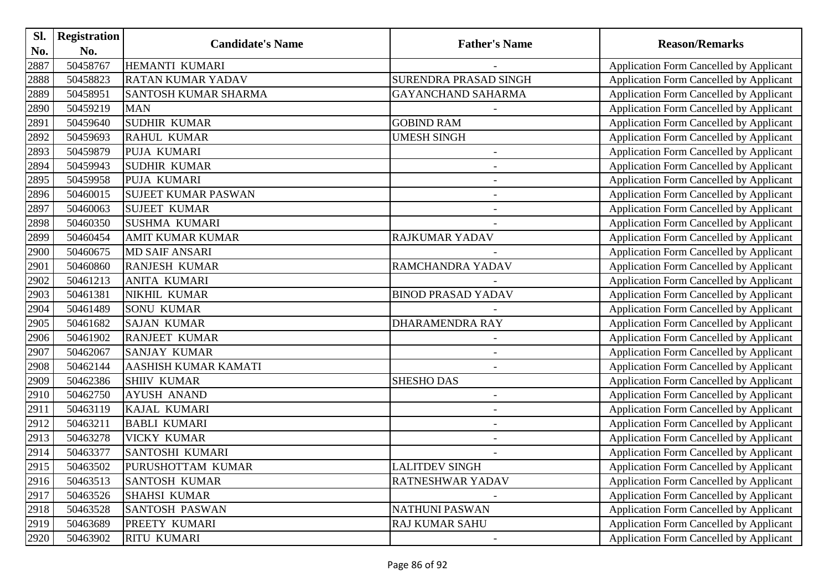| Sl.  | <b>Registration</b> |                             |                              |                                                |
|------|---------------------|-----------------------------|------------------------------|------------------------------------------------|
| No.  | No.                 | <b>Candidate's Name</b>     | <b>Father's Name</b>         | <b>Reason/Remarks</b>                          |
| 2887 | 50458767            | HEMANTI KUMARI              |                              | Application Form Cancelled by Applicant        |
| 2888 | 50458823            | <b>RATAN KUMAR YADAV</b>    | <b>SURENDRA PRASAD SINGH</b> | <b>Application Form Cancelled by Applicant</b> |
| 2889 | 50458951            | SANTOSH KUMAR SHARMA        | GAYANCHAND SAHARMA           | <b>Application Form Cancelled by Applicant</b> |
| 2890 | 50459219            | <b>MAN</b>                  |                              | Application Form Cancelled by Applicant        |
| 2891 | 50459640            | <b>SUDHIR KUMAR</b>         | <b>GOBIND RAM</b>            | <b>Application Form Cancelled by Applicant</b> |
| 2892 | 50459693            | <b>RAHUL KUMAR</b>          | <b>UMESH SINGH</b>           | <b>Application Form Cancelled by Applicant</b> |
| 2893 | 50459879            | PUJA KUMARI                 | $\blacksquare$               | Application Form Cancelled by Applicant        |
| 2894 | 50459943            | <b>SUDHIR KUMAR</b>         | $\overline{\phantom{a}}$     | <b>Application Form Cancelled by Applicant</b> |
| 2895 | 50459958            | PUJA KUMARI                 | $\overline{\phantom{a}}$     | Application Form Cancelled by Applicant        |
| 2896 | 50460015            | <b>SUJEET KUMAR PASWAN</b>  | $\overline{\phantom{a}}$     | <b>Application Form Cancelled by Applicant</b> |
| 2897 | 50460063            | <b>SUJEET KUMAR</b>         | $\overline{\phantom{a}}$     | Application Form Cancelled by Applicant        |
| 2898 | 50460350            | <b>SUSHMA KUMARI</b>        |                              | <b>Application Form Cancelled by Applicant</b> |
| 2899 | 50460454            | <b>AMIT KUMAR KUMAR</b>     | <b>RAJKUMAR YADAV</b>        | <b>Application Form Cancelled by Applicant</b> |
| 2900 | 50460675            | <b>MD SAIF ANSARI</b>       |                              | Application Form Cancelled by Applicant        |
| 2901 | 50460860            | <b>RANJESH KUMAR</b>        | RAMCHANDRA YADAV             | <b>Application Form Cancelled by Applicant</b> |
| 2902 | 50461213            | <b>ANITA KUMARI</b>         |                              | Application Form Cancelled by Applicant        |
| 2903 | 50461381            | NIKHIL KUMAR                | <b>BINOD PRASAD YADAV</b>    | <b>Application Form Cancelled by Applicant</b> |
| 2904 | 50461489            | <b>SONU KUMAR</b>           |                              | Application Form Cancelled by Applicant        |
| 2905 | 50461682            | <b>SAJAN KUMAR</b>          | <b>DHARAMENDRA RAY</b>       | <b>Application Form Cancelled by Applicant</b> |
| 2906 | 50461902            | <b>RANJEET KUMAR</b>        |                              | <b>Application Form Cancelled by Applicant</b> |
| 2907 | 50462067            | <b>SANJAY KUMAR</b>         | $\blacksquare$               | <b>Application Form Cancelled by Applicant</b> |
| 2908 | 50462144            | <b>AASHISH KUMAR KAMATI</b> |                              | Application Form Cancelled by Applicant        |
| 2909 | 50462386            | <b>SHIIV KUMAR</b>          | <b>SHESHO DAS</b>            | Application Form Cancelled by Applicant        |
| 2910 | 50462750            | <b>AYUSH ANAND</b>          | $\qquad \qquad -$            | <b>Application Form Cancelled by Applicant</b> |
| 2911 | 50463119            | KAJAL KUMARI                | $\overline{\phantom{a}}$     | <b>Application Form Cancelled by Applicant</b> |
| 2912 | 50463211            | <b>BABLI KUMARI</b>         |                              | Application Form Cancelled by Applicant        |
| 2913 | 50463278            | <b>VICKY KUMAR</b>          | $\blacksquare$               | Application Form Cancelled by Applicant        |
| 2914 | 50463377            | <b>SANTOSHI KUMARI</b>      |                              | <b>Application Form Cancelled by Applicant</b> |
| 2915 | 50463502            | PURUSHOTTAM KUMAR           | <b>LALITDEV SINGH</b>        | <b>Application Form Cancelled by Applicant</b> |
| 2916 | 50463513            | <b>SANTOSH KUMAR</b>        | RATNESHWAR YADAV             | <b>Application Form Cancelled by Applicant</b> |
| 2917 | 50463526            | <b>SHAHSI KUMAR</b>         |                              | Application Form Cancelled by Applicant        |
| 2918 | 50463528            | <b>SANTOSH PASWAN</b>       | <b>NATHUNI PASWAN</b>        | Application Form Cancelled by Applicant        |
| 2919 | 50463689            | PREETY KUMARI               | <b>RAJ KUMAR SAHU</b>        | <b>Application Form Cancelled by Applicant</b> |
| 2920 | 50463902            | <b>RITU KUMARI</b>          |                              | Application Form Cancelled by Applicant        |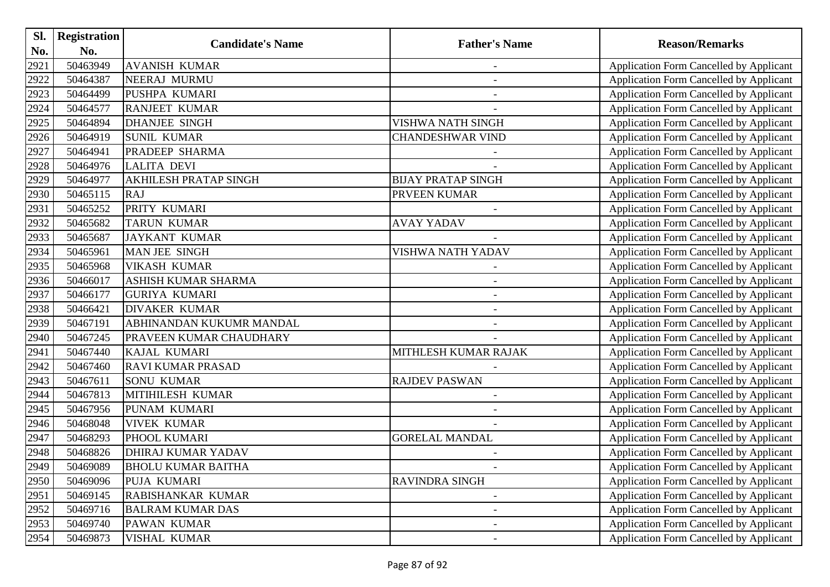| Sl.  | <b>Registration</b> |                              |                           |                                                |
|------|---------------------|------------------------------|---------------------------|------------------------------------------------|
| No.  | No.                 | <b>Candidate's Name</b>      | <b>Father's Name</b>      | <b>Reason/Remarks</b>                          |
| 2921 | 50463949            | <b>AVANISH KUMAR</b>         | $\blacksquare$            | Application Form Cancelled by Applicant        |
| 2922 | 50464387            | <b>NEERAJ MURMU</b>          |                           | Application Form Cancelled by Applicant        |
| 2923 | 50464499            | PUSHPA KUMARI                |                           | <b>Application Form Cancelled by Applicant</b> |
| 2924 | 50464577            | <b>RANJEET KUMAR</b>         |                           | Application Form Cancelled by Applicant        |
| 2925 | 50464894            | <b>DHANJEE SINGH</b>         | <b>VISHWA NATH SINGH</b>  | Application Form Cancelled by Applicant        |
| 2926 | 50464919            | <b>SUNIL KUMAR</b>           | <b>CHANDESHWAR VIND</b>   | Application Form Cancelled by Applicant        |
| 2927 | 50464941            | <b>PRADEEP SHARMA</b>        |                           | Application Form Cancelled by Applicant        |
| 2928 | 50464976            | <b>LALITA DEVI</b>           |                           | Application Form Cancelled by Applicant        |
| 2929 | 50464977            | <b>AKHILESH PRATAP SINGH</b> | <b>BIJAY PRATAP SINGH</b> | Application Form Cancelled by Applicant        |
| 2930 | 50465115            | <b>RAJ</b>                   | PRVEEN KUMAR              | Application Form Cancelled by Applicant        |
| 2931 | 50465252            | PRITY KUMARI                 |                           | Application Form Cancelled by Applicant        |
| 2932 | 50465682            | <b>TARUN KUMAR</b>           | <b>AVAY YADAV</b>         | Application Form Cancelled by Applicant        |
| 2933 | 50465687            | <b>JAYKANT KUMAR</b>         |                           | Application Form Cancelled by Applicant        |
| 2934 | 50465961            | MAN JEE SINGH                | VISHWA NATH YADAV         | Application Form Cancelled by Applicant        |
| 2935 | 50465968            | <b>VIKASH KUMAR</b>          | $\overline{\phantom{a}}$  | <b>Application Form Cancelled by Applicant</b> |
| 2936 | 50466017            | ASHISH KUMAR SHARMA          | $\qquad \qquad -$         | Application Form Cancelled by Applicant        |
| 2937 | 50466177            | <b>GURIYA KUMARI</b>         | $\overline{a}$            | <b>Application Form Cancelled by Applicant</b> |
| 2938 | 50466421            | <b>DIVAKER KUMAR</b>         |                           | Application Form Cancelled by Applicant        |
| 2939 | 50467191            | ABHINANDAN KUKUMR MANDAL     |                           | Application Form Cancelled by Applicant        |
| 2940 | 50467245            | PRAVEEN KUMAR CHAUDHARY      |                           | Application Form Cancelled by Applicant        |
| 2941 | 50467440            | KAJAL KUMARI                 | MITHLESH KUMAR RAJAK      | Application Form Cancelled by Applicant        |
| 2942 | 50467460            | <b>RAVI KUMAR PRASAD</b>     |                           | Application Form Cancelled by Applicant        |
| 2943 | 50467611            | <b>SONU KUMAR</b>            | <b>RAJDEV PASWAN</b>      | Application Form Cancelled by Applicant        |
| 2944 | 50467813            | MITIHILESH KUMAR             | $\overline{\phantom{a}}$  | Application Form Cancelled by Applicant        |
| 2945 | 50467956            | PUNAM KUMARI                 | $\overline{\phantom{a}}$  | Application Form Cancelled by Applicant        |
| 2946 | 50468048            | <b>VIVEK KUMAR</b>           |                           | Application Form Cancelled by Applicant        |
| 2947 | 50468293            | PHOOL KUMARI                 | <b>GORELAL MANDAL</b>     | Application Form Cancelled by Applicant        |
| 2948 | 50468826            | <b>DHIRAJ KUMAR YADAV</b>    |                           | Application Form Cancelled by Applicant        |
| 2949 | 50469089            | <b>BHOLU KUMAR BAITHA</b>    |                           | Application Form Cancelled by Applicant        |
| 2950 | 50469096            | PUJA KUMARI                  | <b>RAVINDRA SINGH</b>     | <b>Application Form Cancelled by Applicant</b> |
| 2951 | 50469145            | RABISHANKAR KUMAR            |                           | <b>Application Form Cancelled by Applicant</b> |
| 2952 | 50469716            | <b>BALRAM KUMAR DAS</b>      | $\overline{\phantom{a}}$  | <b>Application Form Cancelled by Applicant</b> |
| 2953 | 50469740            | PAWAN KUMAR                  | $\overline{\phantom{a}}$  | Application Form Cancelled by Applicant        |
| 2954 | 50469873            | VISHAL KUMAR                 | $\overline{\phantom{a}}$  | Application Form Cancelled by Applicant        |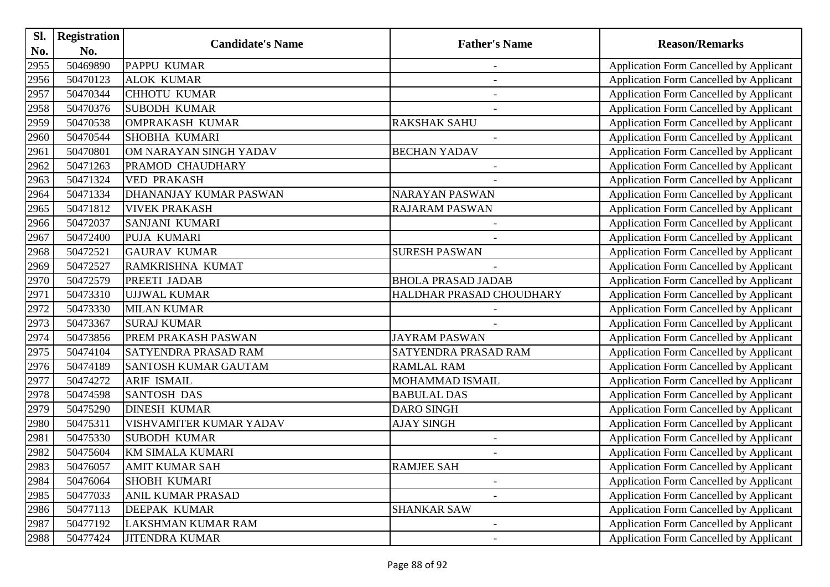| Sl.  | <b>Registration</b> |                             |                           |                                                |
|------|---------------------|-----------------------------|---------------------------|------------------------------------------------|
| No.  | No.                 | <b>Candidate's Name</b>     | <b>Father's Name</b>      | <b>Reason/Remarks</b>                          |
| 2955 | 50469890            | <b>PAPPU KUMAR</b>          | $\blacksquare$            | Application Form Cancelled by Applicant        |
| 2956 | 50470123            | <b>ALOK KUMAR</b>           |                           | Application Form Cancelled by Applicant        |
| 2957 | 50470344            | <b>CHHOTU KUMAR</b>         |                           | <b>Application Form Cancelled by Applicant</b> |
| 2958 | 50470376            | <b>SUBODH KUMAR</b>         |                           | Application Form Cancelled by Applicant        |
| 2959 | 50470538            | <b>OMPRAKASH KUMAR</b>      | <b>RAKSHAK SAHU</b>       | Application Form Cancelled by Applicant        |
| 2960 | 50470544            | <b>SHOBHA KUMARI</b>        | $\blacksquare$            | <b>Application Form Cancelled by Applicant</b> |
| 2961 | 50470801            | OM NARAYAN SINGH YADAV      | <b>BECHAN YADAV</b>       | Application Form Cancelled by Applicant        |
| 2962 | 50471263            | PRAMOD CHAUDHARY            |                           | Application Form Cancelled by Applicant        |
| 2963 | 50471324            | <b>VED PRAKASH</b>          |                           | Application Form Cancelled by Applicant        |
| 2964 | 50471334            | DHANANJAY KUMAR PASWAN      | <b>NARAYAN PASWAN</b>     | Application Form Cancelled by Applicant        |
| 2965 | 50471812            | <b>VIVEK PRAKASH</b>        | <b>RAJARAM PASWAN</b>     | Application Form Cancelled by Applicant        |
| 2966 | 50472037            | <b>SANJANI KUMARI</b>       | $\blacksquare$            | Application Form Cancelled by Applicant        |
| 2967 | 50472400            | PUJA KUMARI                 |                           | Application Form Cancelled by Applicant        |
| 2968 | 50472521            | <b>GAURAV KUMAR</b>         | <b>SURESH PASWAN</b>      | Application Form Cancelled by Applicant        |
| 2969 | 50472527            | RAMKRISHNA KUMAT            |                           | <b>Application Form Cancelled by Applicant</b> |
| 2970 | 50472579            | PREETI JADAB                | <b>BHOLA PRASAD JADAB</b> | Application Form Cancelled by Applicant        |
| 2971 | 50473310            | UJJWAL KUMAR                | HALDHAR PRASAD CHOUDHARY  | <b>Application Form Cancelled by Applicant</b> |
| 2972 | 50473330            | <b>MILAN KUMAR</b>          |                           | <b>Application Form Cancelled by Applicant</b> |
| 2973 | 50473367            | <b>SURAJ KUMAR</b>          |                           | Application Form Cancelled by Applicant        |
| 2974 | 50473856            | PREM PRAKASH PASWAN         | <b>JAYRAM PASWAN</b>      | <b>Application Form Cancelled by Applicant</b> |
| 2975 | 50474104            | <b>SATYENDRA PRASAD RAM</b> | SATYENDRA PRASAD RAM      | Application Form Cancelled by Applicant        |
| 2976 | 50474189            | <b>SANTOSH KUMAR GAUTAM</b> | <b>RAMLAL RAM</b>         | <b>Application Form Cancelled by Applicant</b> |
| 2977 | 50474272            | <b>ARIF ISMAIL</b>          | MOHAMMAD ISMAIL           | Application Form Cancelled by Applicant        |
| 2978 | 50474598            | <b>SANTOSH DAS</b>          | <b>BABULAL DAS</b>        | Application Form Cancelled by Applicant        |
| 2979 | 50475290            | <b>DINESH KUMAR</b>         | <b>DARO SINGH</b>         | Application Form Cancelled by Applicant        |
| 2980 | 50475311            | VISHVAMITER KUMAR YADAV     | <b>AJAY SINGH</b>         | Application Form Cancelled by Applicant        |
| 2981 | 50475330            | <b>SUBODH KUMAR</b>         | $\overline{\phantom{a}}$  | Application Form Cancelled by Applicant        |
| 2982 | 50475604            | <b>KM SIMALA KUMARI</b>     |                           | Application Form Cancelled by Applicant        |
| 2983 | 50476057            | <b>AMIT KUMAR SAH</b>       | <b>RAMJEE SAH</b>         | Application Form Cancelled by Applicant        |
| 2984 | 50476064            | <b>SHOBH KUMARI</b>         |                           | Application Form Cancelled by Applicant        |
| 2985 | 50477033            | <b>ANIL KUMAR PRASAD</b>    |                           | <b>Application Form Cancelled by Applicant</b> |
| 2986 | 50477113            | <b>DEEPAK KUMAR</b>         | <b>SHANKAR SAW</b>        | <b>Application Form Cancelled by Applicant</b> |
| 2987 | 50477192            | <b>LAKSHMAN KUMAR RAM</b>   | $\qquad \qquad -$         | Application Form Cancelled by Applicant        |
| 2988 | 50477424            | <b>JITENDRA KUMAR</b>       |                           | <b>Application Form Cancelled by Applicant</b> |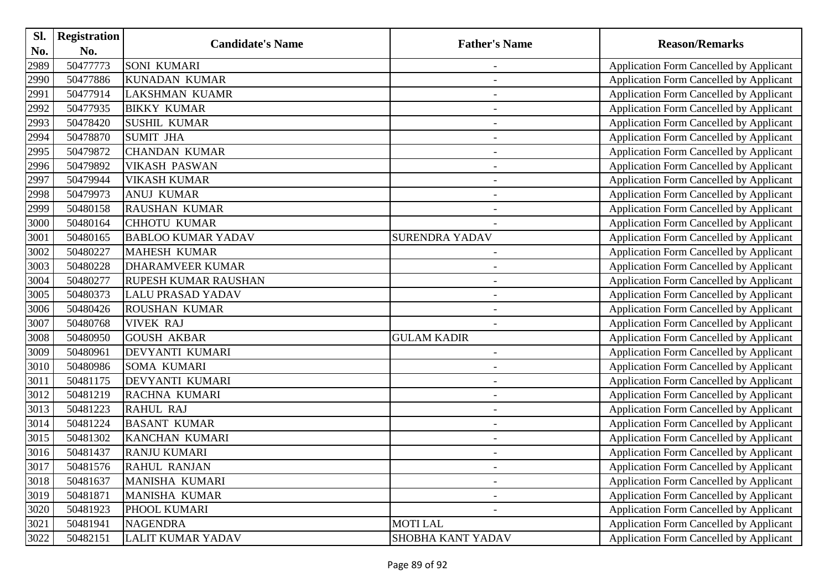| Sl.   | <b>Registration</b> |                           |                          |                                                |
|-------|---------------------|---------------------------|--------------------------|------------------------------------------------|
| No.   | No.                 | <b>Candidate's Name</b>   | <b>Father's Name</b>     | <b>Reason/Remarks</b>                          |
| 2989  | 50477773            | SONI KUMARI               | $\blacksquare$           | Application Form Cancelled by Applicant        |
| 2990  | 50477886            | <b>KUNADAN KUMAR</b>      |                          | Application Form Cancelled by Applicant        |
| 2991  | 50477914            | <b>LAKSHMAN KUAMR</b>     | $\overline{\phantom{a}}$ | Application Form Cancelled by Applicant        |
| 2992  | 50477935            | <b>BIKKY KUMAR</b>        |                          | Application Form Cancelled by Applicant        |
| 2993  | 50478420            | <b>SUSHIL KUMAR</b>       |                          | Application Form Cancelled by Applicant        |
| 2994  | 50478870            | <b>SUMIT JHA</b>          | $\blacksquare$           | Application Form Cancelled by Applicant        |
| 2995  | 50479872            | <b>CHANDAN KUMAR</b>      |                          | <b>Application Form Cancelled by Applicant</b> |
| 2996  | 50479892            | <b>VIKASH PASWAN</b>      | $\overline{\phantom{a}}$ | Application Form Cancelled by Applicant        |
| 2997  | 50479944            | <b>VIKASH KUMAR</b>       |                          | <b>Application Form Cancelled by Applicant</b> |
| 2998  | 50479973            | <b>ANUJ KUMAR</b>         | $\overline{\phantom{a}}$ | <b>Application Form Cancelled by Applicant</b> |
| 29999 | 50480158            | <b>RAUSHAN KUMAR</b>      | $\overline{a}$           | Application Form Cancelled by Applicant        |
| 3000  | 50480164            | <b>CHHOTU KUMAR</b>       |                          | <b>Application Form Cancelled by Applicant</b> |
| 3001  | 50480165            | <b>BABLOO KUMAR YADAV</b> | <b>SURENDRA YADAV</b>    | Application Form Cancelled by Applicant        |
| 3002  | 50480227            | <b>MAHESH KUMAR</b>       | $\overline{\phantom{a}}$ | <b>Application Form Cancelled by Applicant</b> |
| 3003  | 50480228            | <b>DHARAMVEER KUMAR</b>   | $\overline{\phantom{a}}$ | Application Form Cancelled by Applicant        |
| 3004  | 50480277            | RUPESH KUMAR RAUSHAN      |                          | Application Form Cancelled by Applicant        |
| 3005  | 50480373            | <b>LALU PRASAD YADAV</b>  |                          | Application Form Cancelled by Applicant        |
| 3006  | 50480426            | <b>ROUSHAN KUMAR</b>      |                          | <b>Application Form Cancelled by Applicant</b> |
| 3007  | 50480768            | <b>VIVEK RAJ</b>          |                          | Application Form Cancelled by Applicant        |
| 3008  | 50480950            | <b>GOUSH AKBAR</b>        | <b>GULAM KADIR</b>       | Application Form Cancelled by Applicant        |
| 3009  | 50480961            | DEVYANTI KUMARI           | $\blacksquare$           | Application Form Cancelled by Applicant        |
| 3010  | 50480986            | <b>SOMA KUMARI</b>        | $\overline{\phantom{a}}$ | Application Form Cancelled by Applicant        |
| 3011  | 50481175            | DEVYANTI KUMARI           |                          | Application Form Cancelled by Applicant        |
| 3012  | 50481219            | RACHNA KUMARI             | $\overline{a}$           | Application Form Cancelled by Applicant        |
| 3013  | 50481223            | <b>RAHUL RAJ</b>          | $\blacksquare$           | Application Form Cancelled by Applicant        |
| 3014  | 50481224            | <b>BASANT KUMAR</b>       | $\overline{\phantom{a}}$ | Application Form Cancelled by Applicant        |
| 3015  | 50481302            | KANCHAN KUMARI            | $\overline{\phantom{a}}$ | Application Form Cancelled by Applicant        |
| 3016  | 50481437            | <b>RANJU KUMARI</b>       |                          | Application Form Cancelled by Applicant        |
| 3017  | 50481576            | <b>RAHUL RANJAN</b>       |                          | Application Form Cancelled by Applicant        |
| 3018  | 50481637            | MANISHA KUMARI            |                          | <b>Application Form Cancelled by Applicant</b> |
| 3019  | 50481871            | MANISHA KUMAR             |                          | <b>Application Form Cancelled by Applicant</b> |
| 3020  | 50481923            | PHOOL KUMARI              |                          | <b>Application Form Cancelled by Applicant</b> |
| 3021  | 50481941            | <b>NAGENDRA</b>           | <b>MOTILAL</b>           | Application Form Cancelled by Applicant        |
| 3022  | 50482151            | LALIT KUMAR YADAV         | SHOBHA KANT YADAV        | Application Form Cancelled by Applicant        |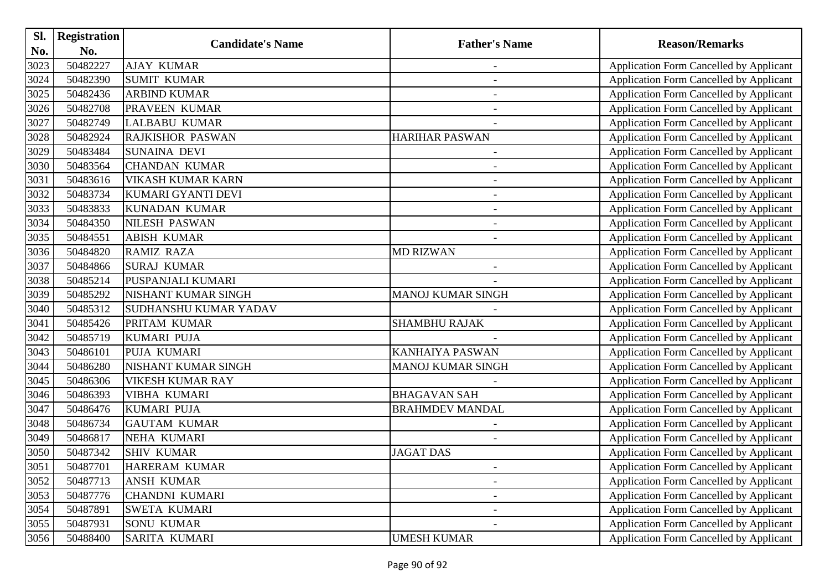| SI.  | <b>Registration</b> |                              |                          |                                                |
|------|---------------------|------------------------------|--------------------------|------------------------------------------------|
| No.  | No.                 | <b>Candidate's Name</b>      | <b>Father's Name</b>     | <b>Reason/Remarks</b>                          |
| 3023 | 50482227            | <b>AJAY KUMAR</b>            | $\blacksquare$           | Application Form Cancelled by Applicant        |
| 3024 | 50482390            | <b>SUMIT KUMAR</b>           |                          | Application Form Cancelled by Applicant        |
| 3025 | 50482436            | <b>ARBIND KUMAR</b>          | $\overline{\phantom{a}}$ | Application Form Cancelled by Applicant        |
| 3026 | 50482708            | <b>PRAVEEN KUMAR</b>         |                          | Application Form Cancelled by Applicant        |
| 3027 | 50482749            | <b>LALBABU KUMAR</b>         |                          | Application Form Cancelled by Applicant        |
| 3028 | 50482924            | <b>RAJKISHOR PASWAN</b>      | <b>HARIHAR PASWAN</b>    | Application Form Cancelled by Applicant        |
| 3029 | 50483484            | <b>SUNAINA DEVI</b>          |                          | Application Form Cancelled by Applicant        |
| 3030 | 50483564            | <b>CHANDAN KUMAR</b>         | $\overline{\phantom{a}}$ | Application Form Cancelled by Applicant        |
| 3031 | 50483616            | <b>VIKASH KUMAR KARN</b>     | $\overline{\phantom{a}}$ | Application Form Cancelled by Applicant        |
| 3032 | 50483734            | KUMARI GYANTI DEVI           | $\overline{\phantom{0}}$ | Application Form Cancelled by Applicant        |
| 3033 | 50483833            | <b>KUNADAN KUMAR</b>         | $\overline{a}$           | Application Form Cancelled by Applicant        |
| 3034 | 50484350            | <b>NILESH PASWAN</b>         |                          | Application Form Cancelled by Applicant        |
| 3035 | 50484551            | <b>ABISH KUMAR</b>           |                          | Application Form Cancelled by Applicant        |
| 3036 | 50484820            | <b>RAMIZ RAZA</b>            | <b>MD RIZWAN</b>         | Application Form Cancelled by Applicant        |
| 3037 | 50484866            | <b>SURAJ KUMAR</b>           | $\overline{\phantom{a}}$ | <b>Application Form Cancelled by Applicant</b> |
| 3038 | 50485214            | PUSPANJALI KUMARI            |                          | Application Form Cancelled by Applicant        |
| 3039 | 50485292            | NISHANT KUMAR SINGH          | MANOJ KUMAR SINGH        | Application Form Cancelled by Applicant        |
| 3040 | 50485312            | <b>SUDHANSHU KUMAR YADAV</b> |                          | <b>Application Form Cancelled by Applicant</b> |
| 3041 | 50485426            | PRITAM KUMAR                 | <b>SHAMBHU RAJAK</b>     | Application Form Cancelled by Applicant        |
| 3042 | 50485719            | <b>KUMARI PUJA</b>           |                          | Application Form Cancelled by Applicant        |
| 3043 | 50486101            | PUJA KUMARI                  | <b>KANHAIYA PASWAN</b>   | Application Form Cancelled by Applicant        |
| 3044 | 50486280            | NISHANT KUMAR SINGH          | MANOJ KUMAR SINGH        | Application Form Cancelled by Applicant        |
| 3045 | 50486306            | <b>VIKESH KUMAR RAY</b>      |                          | Application Form Cancelled by Applicant        |
| 3046 | 50486393            | <b>VIBHA KUMARI</b>          | <b>BHAGAVAN SAH</b>      | Application Form Cancelled by Applicant        |
| 3047 | 50486476            | <b>KUMARI PUJA</b>           | <b>BRAHMDEV MANDAL</b>   | Application Form Cancelled by Applicant        |
| 3048 | 50486734            | <b>GAUTAM KUMAR</b>          |                          | Application Form Cancelled by Applicant        |
| 3049 | 50486817            | NEHA KUMARI                  |                          | Application Form Cancelled by Applicant        |
| 3050 | 50487342            | <b>SHIV KUMAR</b>            | <b>JAGAT DAS</b>         | Application Form Cancelled by Applicant        |
| 3051 | 50487701            | HARERAM KUMAR                | $\overline{\phantom{a}}$ | Application Form Cancelled by Applicant        |
| 3052 | 50487713            | <b>ANSH KUMAR</b>            |                          | Application Form Cancelled by Applicant        |
| 3053 | 50487776            | <b>CHANDNI KUMARI</b>        |                          | <b>Application Form Cancelled by Applicant</b> |
| 3054 | 50487891            | <b>SWETA KUMARI</b>          | $\overline{\phantom{a}}$ | Application Form Cancelled by Applicant        |
| 3055 | 50487931            | <b>SONU KUMAR</b>            |                          | Application Form Cancelled by Applicant        |
| 3056 | 50488400            | <b>SARITA KUMARI</b>         | <b>UMESH KUMAR</b>       | Application Form Cancelled by Applicant        |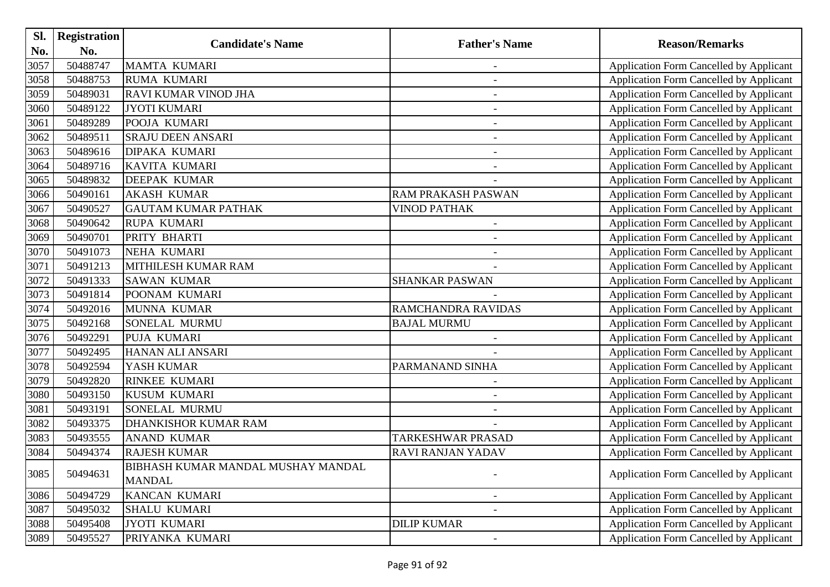| Sl.  | <b>Registration</b> | <b>Candidate's Name</b>            |                           | <b>Reason/Remarks</b>                          |
|------|---------------------|------------------------------------|---------------------------|------------------------------------------------|
| No.  | No.                 |                                    | <b>Father's Name</b>      |                                                |
| 3057 | 50488747            | <b>MAMTA KUMARI</b>                | $\blacksquare$            | Application Form Cancelled by Applicant        |
| 3058 | 50488753            | <b>RUMA KUMARI</b>                 |                           | Application Form Cancelled by Applicant        |
| 3059 | 50489031            | <b>RAVI KUMAR VINOD JHA</b>        | $\overline{\phantom{a}}$  | <b>Application Form Cancelled by Applicant</b> |
| 3060 | 50489122            | <b>JYOTI KUMARI</b>                |                           | Application Form Cancelled by Applicant        |
| 3061 | 50489289            | <b>POOJA KUMARI</b>                |                           | Application Form Cancelled by Applicant        |
| 3062 | 50489511            | <b>SRAJU DEEN ANSARI</b>           | $\overline{\phantom{a}}$  | <b>Application Form Cancelled by Applicant</b> |
| 3063 | 50489616            | <b>DIPAKA KUMARI</b>               |                           | <b>Application Form Cancelled by Applicant</b> |
| 3064 | 50489716            | KAVITA KUMARI                      | $\overline{\phantom{a}}$  | <b>Application Form Cancelled by Applicant</b> |
| 3065 | 50489832            | <b>DEEPAK KUMAR</b>                |                           | Application Form Cancelled by Applicant        |
| 3066 | 50490161            | <b>AKASH KUMAR</b>                 | RAM PRAKASH PASWAN        | Application Form Cancelled by Applicant        |
| 3067 | 50490527            | <b>GAUTAM KUMAR PATHAK</b>         | <b>VINOD PATHAK</b>       | Application Form Cancelled by Applicant        |
| 3068 | 50490642            | <b>RUPA KUMARI</b>                 | $\blacksquare$            | Application Form Cancelled by Applicant        |
| 3069 | 50490701            | PRITY BHARTI                       | $\overline{\phantom{a}}$  | <b>Application Form Cancelled by Applicant</b> |
| 3070 | 50491073            | NEHA KUMARI                        |                           | Application Form Cancelled by Applicant        |
| 3071 | 50491213            | MITHILESH KUMAR RAM                |                           | Application Form Cancelled by Applicant        |
| 3072 | 50491333            | <b>SAWAN KUMAR</b>                 | SHANKAR PASWAN            | Application Form Cancelled by Applicant        |
| 3073 | 50491814            | POONAM KUMARI                      |                           | <b>Application Form Cancelled by Applicant</b> |
| 3074 | 50492016            | MUNNA KUMAR                        | <b>RAMCHANDRA RAVIDAS</b> | <b>Application Form Cancelled by Applicant</b> |
| 3075 | 50492168            | <b>SONELAL MURMU</b>               | <b>BAJAL MURMU</b>        | Application Form Cancelled by Applicant        |
| 3076 | 50492291            | PUJA KUMARI                        | $\overline{\phantom{a}}$  | <b>Application Form Cancelled by Applicant</b> |
| 3077 | 50492495            | <b>HANAN ALI ANSARI</b>            |                           | Application Form Cancelled by Applicant        |
| 3078 | 50492594            | YASH KUMAR                         | PARMANAND SINHA           | <b>Application Form Cancelled by Applicant</b> |
| 3079 | 50492820            | <b>RINKEE KUMARI</b>               |                           | Application Form Cancelled by Applicant        |
| 3080 | 50493150            | <b>KUSUM KUMARI</b>                | $\overline{\phantom{a}}$  | Application Form Cancelled by Applicant        |
| 3081 | 50493191            | <b>SONELAL MURMU</b>               | $\overline{\phantom{a}}$  | Application Form Cancelled by Applicant        |
| 3082 | 50493375            | <b>DHANKISHOR KUMAR RAM</b>        |                           | Application Form Cancelled by Applicant        |
| 3083 | 50493555            | <b>ANAND KUMAR</b>                 | <b>TARKESHWAR PRASAD</b>  | <b>Application Form Cancelled by Applicant</b> |
| 3084 | 50494374            | <b>RAJESH KUMAR</b>                | <b>RAVI RANJAN YADAV</b>  | <b>Application Form Cancelled by Applicant</b> |
|      |                     | BIBHASH KUMAR MANDAL MUSHAY MANDAL |                           |                                                |
| 3085 | 50494631            | <b>MANDAL</b>                      |                           | Application Form Cancelled by Applicant        |
| 3086 | 50494729            | KANCAN KUMARI                      |                           | Application Form Cancelled by Applicant        |
| 3087 | 50495032            | <b>SHALU KUMARI</b>                | $\overline{\phantom{a}}$  | Application Form Cancelled by Applicant        |
| 3088 | 50495408            | <b>JYOTI KUMARI</b>                | <b>DILIP KUMAR</b>        | <b>Application Form Cancelled by Applicant</b> |
| 3089 | 50495527            | PRIYANKA KUMARI                    |                           | <b>Application Form Cancelled by Applicant</b> |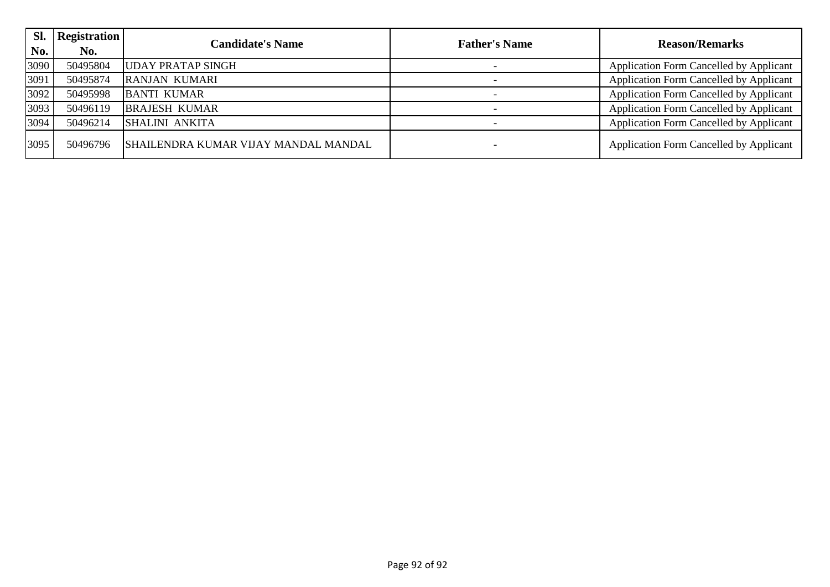| Sl.<br>No. | <b>Registration</b><br>No. | <b>Candidate's Name</b>              | <b>Father's Name</b> | <b>Reason/Remarks</b>                          |
|------------|----------------------------|--------------------------------------|----------------------|------------------------------------------------|
| 3090       | 50495804                   | <b>UDAY PRATAP SINGH</b>             |                      | <b>Application Form Cancelled by Applicant</b> |
| 3091       | 50495874                   | <b>RANJAN KUMARI</b>                 |                      | Application Form Cancelled by Applicant        |
| 3092       | 50495998                   | <b>BANTI KUMAR</b>                   |                      | <b>Application Form Cancelled by Applicant</b> |
| 3093       | 50496119                   | <b>BRAJESH KUMAR</b>                 |                      | <b>Application Form Cancelled by Applicant</b> |
| 3094       | 50496214                   | <b>SHALINI ANKITA</b>                |                      | <b>Application Form Cancelled by Applicant</b> |
| 3095       | 50496796                   | SHAILENDRA KUMAR VIJAY MANDAL MANDAL |                      | <b>Application Form Cancelled by Applicant</b> |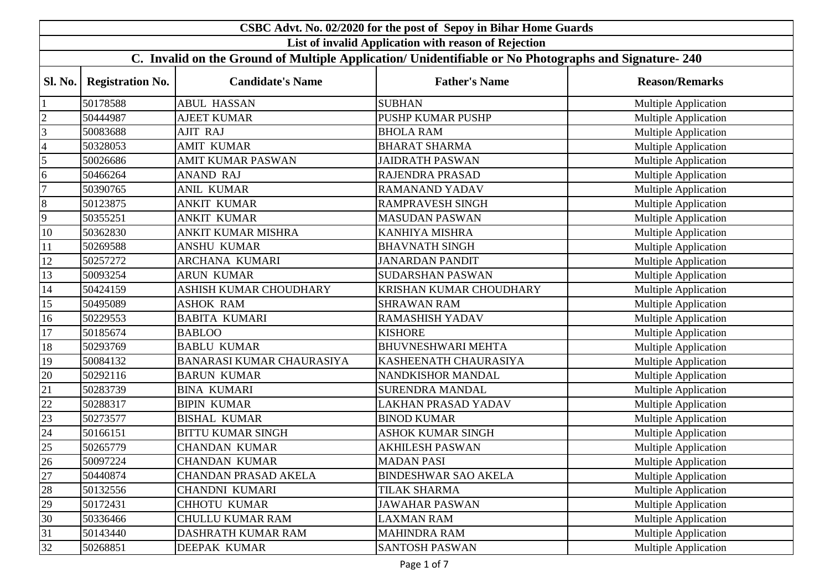|                | CSBC Advt. No. 02/2020 for the post of Sepoy in Bihar Home Guards |                           |                                                                                                      |                             |  |  |
|----------------|-------------------------------------------------------------------|---------------------------|------------------------------------------------------------------------------------------------------|-----------------------------|--|--|
|                | List of invalid Application with reason of Rejection              |                           |                                                                                                      |                             |  |  |
|                |                                                                   |                           | C. Invalid on the Ground of Multiple Application/ Unidentifiable or No Photographs and Signature-240 |                             |  |  |
| Sl. No.        | <b>Registration No.</b>                                           | <b>Candidate's Name</b>   | <b>Father's Name</b>                                                                                 | <b>Reason/Remarks</b>       |  |  |
|                | 50178588                                                          | <b>ABUL HASSAN</b>        | <b>SUBHAN</b>                                                                                        | <b>Multiple Application</b> |  |  |
| $\overline{2}$ | 50444987                                                          | <b>AJEET KUMAR</b>        | PUSHP KUMAR PUSHP                                                                                    | Multiple Application        |  |  |
| 3              | 50083688                                                          | AJIT RAJ                  | <b>BHOLA RAM</b>                                                                                     | Multiple Application        |  |  |
|                | 50328053                                                          | <b>AMIT KUMAR</b>         | <b>BHARAT SHARMA</b>                                                                                 | Multiple Application        |  |  |
| 5              | 50026686                                                          | <b>AMIT KUMAR PASWAN</b>  | <b>JAIDRATH PASWAN</b>                                                                               | Multiple Application        |  |  |
| 6              | 50466264                                                          | <b>ANAND RAJ</b>          | <b>RAJENDRA PRASAD</b>                                                                               | Multiple Application        |  |  |
| $\overline{7}$ | 50390765                                                          | <b>ANIL KUMAR</b>         | <b>RAMANAND YADAV</b>                                                                                | Multiple Application        |  |  |
| 8              | 50123875                                                          | <b>ANKIT KUMAR</b>        | <b>RAMPRAVESH SINGH</b>                                                                              | Multiple Application        |  |  |
| 9              | 50355251                                                          | <b>ANKIT KUMAR</b>        | <b>MASUDAN PASWAN</b>                                                                                | Multiple Application        |  |  |
| 10             | 50362830                                                          | ANKIT KUMAR MISHRA        | <b>KANHIYA MISHRA</b>                                                                                | Multiple Application        |  |  |
| 11             | 50269588                                                          | <b>ANSHU KUMAR</b>        | <b>BHAVNATH SINGH</b>                                                                                | Multiple Application        |  |  |
| 12             | 50257272                                                          | <b>ARCHANA KUMARI</b>     | <b>JANARDAN PANDIT</b>                                                                               | Multiple Application        |  |  |
| 13             | 50093254                                                          | <b>ARUN KUMAR</b>         | <b>SUDARSHAN PASWAN</b>                                                                              | Multiple Application        |  |  |
| 14             | 50424159                                                          | ASHISH KUMAR CHOUDHARY    | KRISHAN KUMAR CHOUDHARY                                                                              | Multiple Application        |  |  |
| 15             | 50495089                                                          | <b>ASHOK RAM</b>          | <b>SHRAWAN RAM</b>                                                                                   | Multiple Application        |  |  |
| 16             | 50229553                                                          | <b>BABITA KUMARI</b>      | <b>RAMASHISH YADAV</b>                                                                               | Multiple Application        |  |  |
| 17             | 50185674                                                          | <b>BABLOO</b>             | <b>KISHORE</b>                                                                                       | Multiple Application        |  |  |
| 18             | 50293769                                                          | <b>BABLU KUMAR</b>        | <b>BHUVNESHWARI MEHTA</b>                                                                            | Multiple Application        |  |  |
| 19             | 50084132                                                          | BANARASI KUMAR CHAURASIYA | KASHEENATH CHAURASIYA                                                                                | Multiple Application        |  |  |
| 20             | 50292116                                                          | <b>BARUN KUMAR</b>        | NANDKISHOR MANDAL                                                                                    | Multiple Application        |  |  |
| 21             | 50283739                                                          | <b>BINA KUMARI</b>        | <b>SURENDRA MANDAL</b>                                                                               | Multiple Application        |  |  |
| 22             | 50288317                                                          | <b>BIPIN KUMAR</b>        | <b>LAKHAN PRASAD YADAV</b>                                                                           | Multiple Application        |  |  |
| 23             | 50273577                                                          | <b>BISHAL KUMAR</b>       | <b>BINOD KUMAR</b>                                                                                   | Multiple Application        |  |  |
| 24             | 50166151                                                          | <b>BITTU KUMAR SINGH</b>  | <b>ASHOK KUMAR SINGH</b>                                                                             | <b>Multiple Application</b> |  |  |
| 25             | 50265779                                                          | <b>CHANDAN KUMAR</b>      | AKHILESH PASWAN                                                                                      | Multiple Application        |  |  |
| 26             | 50097224                                                          | <b>CHANDAN KUMAR</b>      | <b>MADAN PASI</b>                                                                                    | Multiple Application        |  |  |
| 27             | 50440874                                                          | CHANDAN PRASAD AKELA      | <b>BINDESHWAR SAO AKELA</b>                                                                          | <b>Multiple Application</b> |  |  |
| 28             | 50132556                                                          | <b>CHANDNI KUMARI</b>     | <b>TILAK SHARMA</b>                                                                                  | Multiple Application        |  |  |
| 29             | 50172431                                                          | <b>CHHOTU KUMAR</b>       | <b>JAWAHAR PASWAN</b>                                                                                | <b>Multiple Application</b> |  |  |
| 30             | 50336466                                                          | CHULLU KUMAR RAM          | <b>LAXMAN RAM</b>                                                                                    | <b>Multiple Application</b> |  |  |
| 31             | 50143440                                                          | DASHRATH KUMAR RAM        | <b>MAHINDRA RAM</b>                                                                                  | <b>Multiple Application</b> |  |  |
| 32             | 50268851                                                          | DEEPAK KUMAR              | <b>SANTOSH PASWAN</b>                                                                                | <b>Multiple Application</b> |  |  |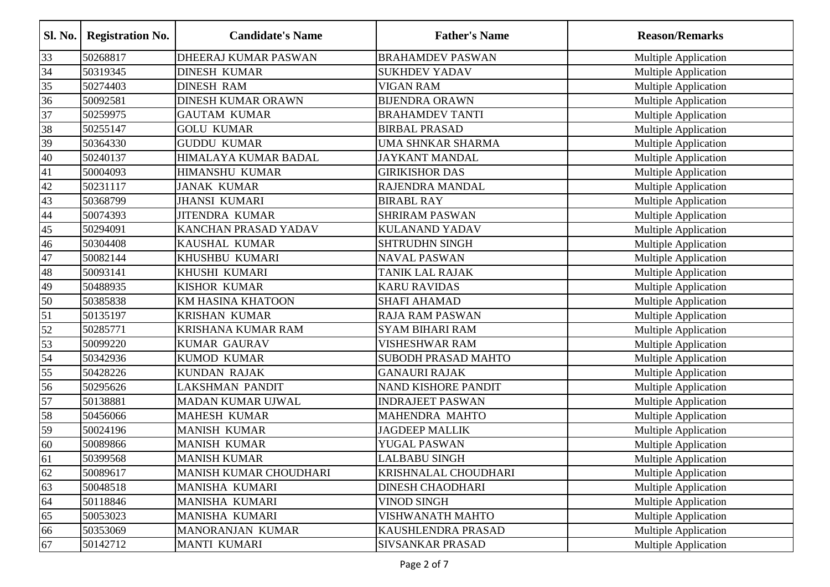| Sl. No. | <b>Registration No.</b> | <b>Candidate's Name</b>   | <b>Father's Name</b>       | <b>Reason/Remarks</b>       |
|---------|-------------------------|---------------------------|----------------------------|-----------------------------|
| 33      | 50268817                | DHEERAJ KUMAR PASWAN      | <b>BRAHAMDEV PASWAN</b>    | <b>Multiple Application</b> |
| 34      | 50319345                | <b>DINESH KUMAR</b>       | <b>SUKHDEV YADAV</b>       | Multiple Application        |
| 35      | 50274403                | <b>DINESH RAM</b>         | <b>VIGAN RAM</b>           | Multiple Application        |
| 36      | 50092581                | <b>DINESH KUMAR ORAWN</b> | <b>BIJENDRA ORAWN</b>      | Multiple Application        |
| 37      | 50259975                | <b>GAUTAM KUMAR</b>       | <b>BRAHAMDEV TANTI</b>     | <b>Multiple Application</b> |
| 38      | 50255147                | <b>GOLU KUMAR</b>         | <b>BIRBAL PRASAD</b>       | Multiple Application        |
| 39      | 50364330                | <b>GUDDU KUMAR</b>        | UMA SHNKAR SHARMA          | Multiple Application        |
| 40      | 50240137                | HIMALAYA KUMAR BADAL      | <b>JAYKANT MANDAL</b>      | <b>Multiple Application</b> |
| 41      | 50004093                | <b>HIMANSHU KUMAR</b>     | <b>GIRIKISHOR DAS</b>      | Multiple Application        |
| $42\,$  | 50231117                | <b>JANAK KUMAR</b>        | RAJENDRA MANDAL            | <b>Multiple Application</b> |
| 43      | 50368799                | <b>JHANSI KUMARI</b>      | <b>BIRABL RAY</b>          | Multiple Application        |
| 44      | 50074393                | <b>JITENDRA KUMAR</b>     | <b>SHRIRAM PASWAN</b>      | Multiple Application        |
| 45      | 50294091                | KANCHAN PRASAD YADAV      | <b>KULANAND YADAV</b>      | Multiple Application        |
| 46      | 50304408                | KAUSHAL KUMAR             | <b>SHTRUDHN SINGH</b>      | Multiple Application        |
| 47      | 50082144                | KHUSHBU KUMARI            | <b>NAVAL PASWAN</b>        | Multiple Application        |
| 48      | 50093141                | KHUSHI KUMARI             | <b>TANIK LAL RAJAK</b>     | Multiple Application        |
| 49      | 50488935                | <b>KISHOR KUMAR</b>       | <b>KARU RAVIDAS</b>        | Multiple Application        |
| 50      | 50385838                | KM HASINA KHATOON         | <b>SHAFI AHAMAD</b>        | Multiple Application        |
| 51      | 50135197                | <b>KRISHAN KUMAR</b>      | <b>RAJA RAM PASWAN</b>     | Multiple Application        |
| 52      | 50285771                | KRISHANA KUMAR RAM        | <b>SYAM BIHARI RAM</b>     | Multiple Application        |
| 53      | 50099220                | <b>KUMAR GAURAV</b>       | <b>VISHESHWAR RAM</b>      | Multiple Application        |
| 54      | 50342936                | <b>KUMOD KUMAR</b>        | <b>SUBODH PRASAD MAHTO</b> | Multiple Application        |
| 55      | 50428226                | <b>KUNDAN RAJAK</b>       | <b>GANAURI RAJAK</b>       | Multiple Application        |
| 56      | 50295626                | <b>LAKSHMAN PANDIT</b>    | <b>NAND KISHORE PANDIT</b> | Multiple Application        |
| 57      | 50138881                | MADAN KUMAR UJWAL         | <b>INDRAJEET PASWAN</b>    | Multiple Application        |
| 58      | 50456066                | <b>MAHESH KUMAR</b>       | MAHENDRA MAHTO             | Multiple Application        |
| 59      | 50024196                | <b>MANISH KUMAR</b>       | <b>JAGDEEP MALLIK</b>      | Multiple Application        |
| 60      | 50089866                | <b>MANISH KUMAR</b>       | YUGAL PASWAN               | Multiple Application        |
| 61      | 50399568                | <b>MANISH KUMAR</b>       | <b>LALBABU SINGH</b>       | Multiple Application        |
| 62      | 50089617                | MANISH KUMAR CHOUDHARI    | KRISHNALAL CHOUDHARI       | Multiple Application        |
| 63      | 50048518                | MANISHA KUMARI            | <b>DINESH CHAODHARI</b>    | Multiple Application        |
| 64      | 50118846                | MANISHA KUMARI            | <b>VINOD SINGH</b>         | Multiple Application        |
| 65      | 50053023                | MANISHA KUMARI            | VISHWANATH MAHTO           | <b>Multiple Application</b> |
| 66      | 50353069                | MANORANJAN KUMAR          | KAUSHLENDRA PRASAD         | Multiple Application        |
| 67      | 50142712                | <b>MANTI KUMARI</b>       | <b>SIVSANKAR PRASAD</b>    | Multiple Application        |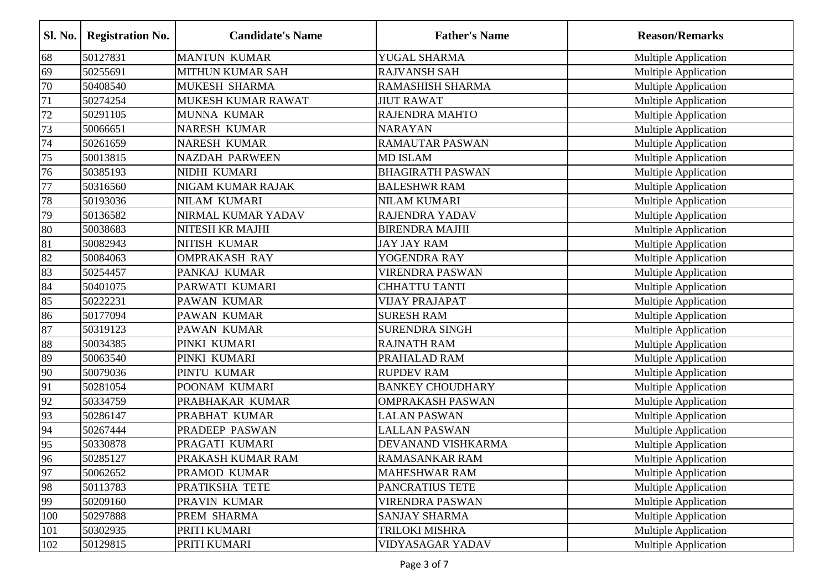| Sl. No. | <b>Registration No.</b> | <b>Candidate's Name</b> | <b>Father's Name</b>    | <b>Reason/Remarks</b>       |
|---------|-------------------------|-------------------------|-------------------------|-----------------------------|
| 68      | 50127831                | <b>MANTUN KUMAR</b>     | YUGAL SHARMA            | <b>Multiple Application</b> |
| 69      | 50255691                | MITHUN KUMAR SAH        | <b>RAJVANSH SAH</b>     | Multiple Application        |
| 70      | 50408540                | MUKESH SHARMA           | RAMASHISH SHARMA        | <b>Multiple Application</b> |
| 71      | 50274254                | MUKESH KUMAR RAWAT      | <b>JIUT RAWAT</b>       | Multiple Application        |
| $72\,$  | 50291105                | MUNNA KUMAR             | <b>RAJENDRA MAHTO</b>   | Multiple Application        |
| 73      | 50066651                | <b>NARESH KUMAR</b>     | <b>NARAYAN</b>          | Multiple Application        |
| 74      | 50261659                | <b>NARESH KUMAR</b>     | <b>RAMAUTAR PASWAN</b>  | Multiple Application        |
| 75      | 50013815                | <b>NAZDAH PARWEEN</b>   | <b>MD ISLAM</b>         | <b>Multiple Application</b> |
| 76      | 50385193                | NIDHI KUMARI            | <b>BHAGIRATH PASWAN</b> | Multiple Application        |
| 77      | 50316560                | NIGAM KUMAR RAJAK       | <b>BALESHWR RAM</b>     | Multiple Application        |
| 78      | 50193036                | NILAM KUMARI            | <b>NILAM KUMARI</b>     | Multiple Application        |
| 79      | 50136582                | NIRMAL KUMAR YADAV      | <b>RAJENDRA YADAV</b>   | Multiple Application        |
| 80      | 50038683                | NITESH KR MAJHI         | <b>BIRENDRA MAJHI</b>   | <b>Multiple Application</b> |
| 81      | 50082943                | NITISH KUMAR            | <b>JAY JAY RAM</b>      | Multiple Application        |
| 82      | 50084063                | <b>OMPRAKASH RAY</b>    | YOGENDRA RAY            | Multiple Application        |
| 83      | 50254457                | PANKAJ KUMAR            | <b>VIRENDRA PASWAN</b>  | Multiple Application        |
| 84      | 50401075                | PARWATI KUMARI          | <b>CHHATTU TANTI</b>    | Multiple Application        |
| 85      | 50222231                | PAWAN KUMAR             | <b>VIJAY PRAJAPAT</b>   | <b>Multiple Application</b> |
| 86      | 50177094                | PAWAN KUMAR             | <b>SURESH RAM</b>       | Multiple Application        |
| 87      | 50319123                | PAWAN KUMAR             | <b>SURENDRA SINGH</b>   | Multiple Application        |
| 88      | 50034385                | PINKI KUMARI            | <b>RAJNATH RAM</b>      | Multiple Application        |
| 89      | 50063540                | PINKI KUMARI            | PRAHALAD RAM            | <b>Multiple Application</b> |
| 90      | 50079036                | PINTU KUMAR             | <b>RUPDEV RAM</b>       | Multiple Application        |
| 91      | 50281054                | POONAM KUMARI           | <b>BANKEY CHOUDHARY</b> | Multiple Application        |
| 92      | 50334759                | PRABHAKAR KUMAR         | <b>OMPRAKASH PASWAN</b> | <b>Multiple Application</b> |
| 93      | 50286147                | PRABHAT KUMAR           | <b>LALAN PASWAN</b>     | Multiple Application        |
| 94      | 50267444                | PRADEEP PASWAN          | LALLAN PASWAN           | Multiple Application        |
| 95      | 50330878                | PRAGATI KUMARI          | DEVANAND VISHKARMA      | Multiple Application        |
| 96      | 50285127                | PRAKASH KUMAR RAM       | <b>RAMASANKAR RAM</b>   | <b>Multiple Application</b> |
| 97      | 50062652                | PRAMOD KUMAR            | <b>MAHESHWAR RAM</b>    | Multiple Application        |
| 98      | 50113783                | PRATIKSHA TETE          | PANCRATIUS TETE         | <b>Multiple Application</b> |
| 99      | 50209160                | PRAVIN KUMAR            | <b>VIRENDRA PASWAN</b>  | Multiple Application        |
| 100     | 50297888                | PREM SHARMA             | <b>SANJAY SHARMA</b>    | Multiple Application        |
| 101     | 50302935                | PRITI KUMARI            | TRILOKI MISHRA          | <b>Multiple Application</b> |
| 102     | 50129815                | PRITI KUMARI            | VIDYASAGAR YADAV        | Multiple Application        |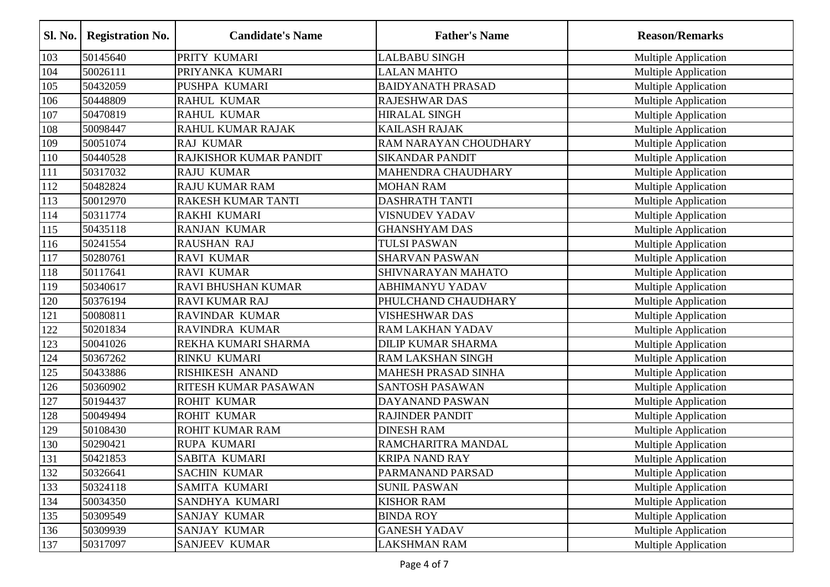| Sl. No. | <b>Registration No.</b> | <b>Candidate's Name</b>   | <b>Father's Name</b>         | <b>Reason/Remarks</b>       |
|---------|-------------------------|---------------------------|------------------------------|-----------------------------|
| 103     | 50145640                | PRITY KUMARI              | LALBABU SINGH                | <b>Multiple Application</b> |
| 104     | 50026111                | PRIYANKA KUMARI           | <b>LALAN MAHTO</b>           | Multiple Application        |
| 105     | 50432059                | PUSHPA KUMARI             | <b>BAIDYANATH PRASAD</b>     | <b>Multiple Application</b> |
| 106     | 50448809                | RAHUL KUMAR               | RAJESHWAR DAS                | <b>Multiple Application</b> |
| 107     | 50470819                | <b>RAHUL KUMAR</b>        | <b>HIRALAL SINGH</b>         | <b>Multiple Application</b> |
| 108     | 50098447                | RAHUL KUMAR RAJAK         | KAILASH RAJAK                | <b>Multiple Application</b> |
| 109     | 50051074                | <b>RAJ KUMAR</b>          | <b>RAM NARAYAN CHOUDHARY</b> | <b>Multiple Application</b> |
| 110     | 50440528                | RAJKISHOR KUMAR PANDIT    | <b>SIKANDAR PANDIT</b>       | <b>Multiple Application</b> |
| 111     | 50317032                | <b>RAJU KUMAR</b>         | MAHENDRA CHAUDHARY           | Multiple Application        |
| 112     | 50482824                | <b>RAJU KUMAR RAM</b>     | <b>MOHAN RAM</b>             | <b>Multiple Application</b> |
| 113     | 50012970                | RAKESH KUMAR TANTI        | <b>DASHRATH TANTI</b>        | <b>Multiple Application</b> |
| 114     | 50311774                | RAKHI KUMARI              | <b>VISNUDEV YADAV</b>        | <b>Multiple Application</b> |
| 115     | 50435118                | <b>RANJAN KUMAR</b>       | <b>GHANSHYAM DAS</b>         | <b>Multiple Application</b> |
| 116     | 50241554                | <b>RAUSHAN RAJ</b>        | <b>TULSI PASWAN</b>          | Multiple Application        |
| 117     | 50280761                | <b>RAVI KUMAR</b>         | <b>SHARVAN PASWAN</b>        | <b>Multiple Application</b> |
| 118     | 50117641                | <b>RAVI KUMAR</b>         | SHIVNARAYAN MAHATO           | Multiple Application        |
| 119     | 50340617                | <b>RAVI BHUSHAN KUMAR</b> | <b>ABHIMANYU YADAV</b>       | <b>Multiple Application</b> |
| 120     | 50376194                | <b>RAVI KUMAR RAJ</b>     | PHULCHAND CHAUDHARY          | Multiple Application        |
| 121     | 50080811                | RAVINDAR KUMAR            | VISHESHWAR DAS               | <b>Multiple Application</b> |
| 122     | 50201834                | RAVINDRA KUMAR            | RAM LAKHAN YADAV             | <b>Multiple Application</b> |
| 123     | 50041026                | REKHA KUMARI SHARMA       | <b>DILIP KUMAR SHARMA</b>    | Multiple Application        |
| 124     | 50367262                | RINKU KUMARI              | RAM LAKSHAN SINGH            | <b>Multiple Application</b> |
| 125     | 50433886                | RISHIKESH ANAND           | MAHESH PRASAD SINHA          | <b>Multiple Application</b> |
| 126     | 50360902                | RITESH KUMAR PASAWAN      | <b>SANTOSH PASAWAN</b>       | <b>Multiple Application</b> |
| 127     | 50194437                | <b>ROHIT KUMAR</b>        | DAYANAND PASWAN              | Multiple Application        |
| 128     | 50049494                | ROHIT KUMAR               | <b>RAJINDER PANDIT</b>       | <b>Multiple Application</b> |
| 129     | 50108430                | ROHIT KUMAR RAM           | <b>DINESH RAM</b>            | Multiple Application        |
| 130     | 50290421                | RUPA KUMARI               | RAMCHARITRA MANDAL           | Multiple Application        |
| 131     | 50421853                | SABITA KUMARI             | <b>KRIPA NAND RAY</b>        | <b>Multiple Application</b> |
| 132     | 50326641                | <b>SACHIN KUMAR</b>       | PARMANAND PARSAD             | Multiple Application        |
| 133     | 50324118                | SAMITA KUMARI             | <b>SUNIL PASWAN</b>          | Multiple Application        |
| 134     | 50034350                | SANDHYA KUMARI            | <b>KISHOR RAM</b>            | Multiple Application        |
| 135     | 50309549                | SANJAY KUMAR              | <b>BINDA ROY</b>             | Multiple Application        |
| 136     | 50309939                | <b>SANJAY KUMAR</b>       | <b>GANESH YADAV</b>          | <b>Multiple Application</b> |
| 137     | 50317097                | SANJEEV KUMAR             | <b>LAKSHMAN RAM</b>          | Multiple Application        |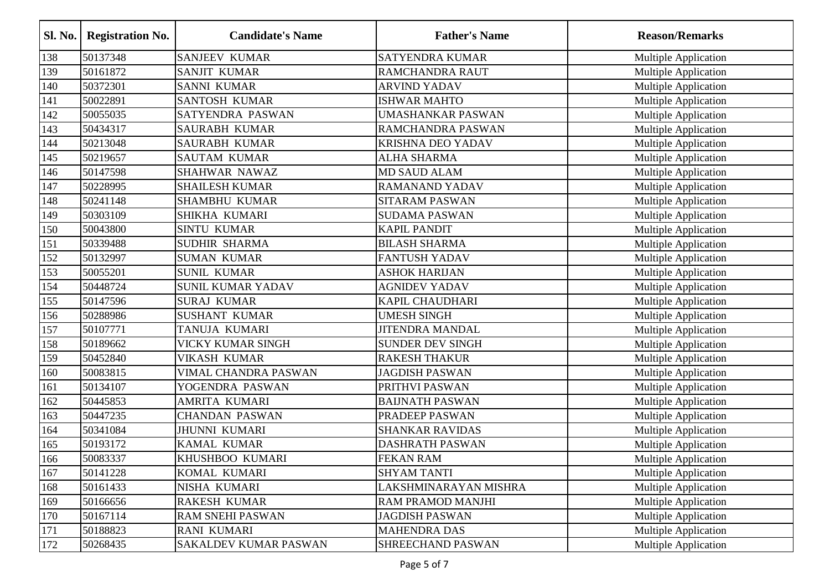| Sl. No. | <b>Registration No.</b> | <b>Candidate's Name</b>  | <b>Father's Name</b>     | <b>Reason/Remarks</b>       |
|---------|-------------------------|--------------------------|--------------------------|-----------------------------|
| 138     | 50137348                | <b>SANJEEV KUMAR</b>     | SATYENDRA KUMAR          | <b>Multiple Application</b> |
| 139     | 50161872                | SANJIT KUMAR             | RAMCHANDRA RAUT          | Multiple Application        |
| 140     | 50372301                | <b>SANNI KUMAR</b>       | <b>ARVIND YADAV</b>      | <b>Multiple Application</b> |
| 141     | 50022891                | SANTOSH KUMAR            | <b>ISHWAR MAHTO</b>      | <b>Multiple Application</b> |
| 142     | 50055035                | SATYENDRA PASWAN         | UMASHANKAR PASWAN        | <b>Multiple Application</b> |
| 143     | 50434317                | <b>SAURABH KUMAR</b>     | RAMCHANDRA PASWAN        | <b>Multiple Application</b> |
| 144     | 50213048                | SAURABH KUMAR            | <b>KRISHNA DEO YADAV</b> | <b>Multiple Application</b> |
| 145     | 50219657                | <b>SAUTAM KUMAR</b>      | <b>ALHA SHARMA</b>       | <b>Multiple Application</b> |
| 146     | 50147598                | SHAHWAR NAWAZ            | <b>MD SAUD ALAM</b>      | Multiple Application        |
| 147     | 50228995                | <b>SHAILESH KUMAR</b>    | <b>RAMANAND YADAV</b>    | <b>Multiple Application</b> |
| 148     | 50241148                | SHAMBHU KUMAR            | <b>SITARAM PASWAN</b>    | Multiple Application        |
| 149     | 50303109                | SHIKHA KUMARI            | <b>SUDAMA PASWAN</b>     | Multiple Application        |
| 150     | 50043800                | <b>SINTU KUMAR</b>       | <b>KAPIL PANDIT</b>      | <b>Multiple Application</b> |
| 151     | 50339488                | SUDHIR SHARMA            | <b>BILASH SHARMA</b>     | Multiple Application        |
| 152     | 50132997                | <b>SUMAN KUMAR</b>       | <b>FANTUSH YADAV</b>     | <b>Multiple Application</b> |
| 153     | 50055201                | <b>SUNIL KUMAR</b>       | <b>ASHOK HARIJAN</b>     | Multiple Application        |
| 154     | 50448724                | <b>SUNIL KUMAR YADAV</b> | <b>AGNIDEV YADAV</b>     | <b>Multiple Application</b> |
| 155     | 50147596                | <b>SURAJ KUMAR</b>       | <b>KAPIL CHAUDHARI</b>   | Multiple Application        |
| 156     | 50288986                | <b>SUSHANT KUMAR</b>     | <b>UMESH SINGH</b>       | <b>Multiple Application</b> |
| 157     | 50107771                | TANUJA KUMARI            | <b>JITENDRA MANDAL</b>   | <b>Multiple Application</b> |
| 158     | 50189662                | VICKY KUMAR SINGH        | <b>SUNDER DEV SINGH</b>  | Multiple Application        |
| 159     | 50452840                | <b>VIKASH KUMAR</b>      | <b>RAKESH THAKUR</b>     | <b>Multiple Application</b> |
| 160     | 50083815                | VIMAL CHANDRA PASWAN     | <b>JAGDISH PASWAN</b>    | <b>Multiple Application</b> |
| 161     | 50134107                | YOGENDRA PASWAN          | PRITHVI PASWAN           | Multiple Application        |
| 162     | 50445853                | AMRITA KUMARI            | <b>BAIJNATH PASWAN</b>   | Multiple Application        |
| 163     | 50447235                | <b>CHANDAN PASWAN</b>    | PRADEEP PASWAN           | <b>Multiple Application</b> |
| 164     | 50341084                | <b>JHUNNI KUMARI</b>     | <b>SHANKAR RAVIDAS</b>   | Multiple Application        |
| 165     | 50193172                | <b>KAMAL KUMAR</b>       | DASHRATH PASWAN          | Multiple Application        |
| 166     | 50083337                | KHUSHBOO KUMARI          | <b>FEKAN RAM</b>         | <b>Multiple Application</b> |
| 167     | 50141228                | KOMAL KUMARI             | <b>SHYAM TANTI</b>       | Multiple Application        |
| 168     | 50161433                | NISHA KUMARI             | LAKSHMINARAYAN MISHRA    | Multiple Application        |
| 169     | 50166656                | <b>RAKESH KUMAR</b>      | RAM PRAMOD MANJHI        | Multiple Application        |
| 170     | 50167114                | RAM SNEHI PASWAN         | <b>JAGDISH PASWAN</b>    | Multiple Application        |
| 171     | 50188823                | <b>RANI KUMARI</b>       | <b>MAHENDRA DAS</b>      | Multiple Application        |
| 172     | 50268435                | SAKALDEV KUMAR PASWAN    | SHREECHAND PASWAN        | Multiple Application        |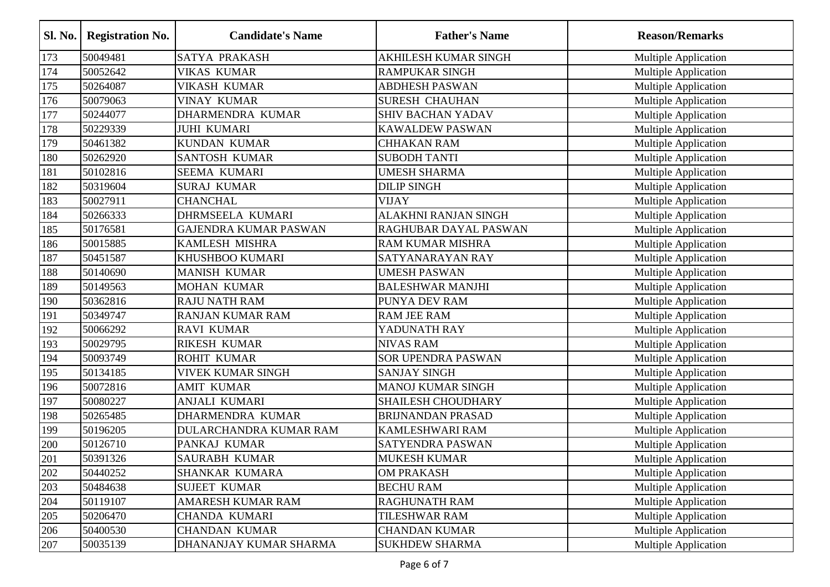| Sl. No. | <b>Registration No.</b> | <b>Candidate's Name</b> | <b>Father's Name</b>        | <b>Reason/Remarks</b>       |
|---------|-------------------------|-------------------------|-----------------------------|-----------------------------|
| 173     | 50049481                | <b>SATYA PRAKASH</b>    | <b>AKHILESH KUMAR SINGH</b> | <b>Multiple Application</b> |
| 174     | 50052642                | <b>VIKAS KUMAR</b>      | <b>RAMPUKAR SINGH</b>       | <b>Multiple Application</b> |
| 175     | 50264087                | VIKASH KUMAR            | <b>ABDHESH PASWAN</b>       | <b>Multiple Application</b> |
| 176     | 50079063                | <b>VINAY KUMAR</b>      | <b>SURESH CHAUHAN</b>       | <b>Multiple Application</b> |
| 177     | 50244077                | DHARMENDRA KUMAR        | <b>SHIV BACHAN YADAV</b>    | <b>Multiple Application</b> |
| 178     | 50229339                | <b>JUHI KUMARI</b>      | KAWALDEW PASWAN             | Multiple Application        |
| 179     | 50461382                | <b>KUNDAN KUMAR</b>     | <b>CHHAKAN RAM</b>          | <b>Multiple Application</b> |
| 180     | 50262920                | <b>SANTOSH KUMAR</b>    | <b>SUBODH TANTI</b>         | <b>Multiple Application</b> |
| 181     | 50102816                | SEEMA KUMARI            | <b>UMESH SHARMA</b>         | Multiple Application        |
| 182     | 50319604                | <b>SURAJ KUMAR</b>      | <b>DILIP SINGH</b>          | Multiple Application        |
| 183     | 50027911                | <b>CHANCHAL</b>         | <b>VIJAY</b>                | <b>Multiple Application</b> |
| 184     | 50266333                | DHRMSEELA KUMARI        | <b>ALAKHNI RANJAN SINGH</b> | <b>Multiple Application</b> |
| 185     | 50176581                | GAJENDRA KUMAR PASWAN   | RAGHUBAR DAYAL PASWAN       | <b>Multiple Application</b> |
| 186     | 50015885                | KAMLESH MISHRA          | <b>RAM KUMAR MISHRA</b>     | Multiple Application        |
| 187     | 50451587                | KHUSHBOO KUMARI         | SATYANARAYAN RAY            | Multiple Application        |
| 188     | 50140690                | <b>MANISH KUMAR</b>     | <b>UMESH PASWAN</b>         | Multiple Application        |
| 189     | 50149563                | <b>MOHAN KUMAR</b>      | <b>BALESHWAR MANJHI</b>     | Multiple Application        |
| 190     | 50362816                | <b>RAJU NATH RAM</b>    | PUNYA DEV RAM               | Multiple Application        |
| 191     | 50349747                | RANJAN KUMAR RAM        | <b>RAM JEE RAM</b>          | Multiple Application        |
| 192     | 50066292                | <b>RAVI KUMAR</b>       | YADUNATH RAY                | Multiple Application        |
| 193     | 50029795                | RIKESH KUMAR            | <b>NIVAS RAM</b>            | Multiple Application        |
| 194     | 50093749                | <b>ROHIT KUMAR</b>      | SOR UPENDRA PASWAN          | Multiple Application        |
| 195     | 50134185                | VIVEK KUMAR SINGH       | <b>SANJAY SINGH</b>         | Multiple Application        |
| 196     | 50072816                | <b>AMIT KUMAR</b>       | <b>MANOJ KUMAR SINGH</b>    | Multiple Application        |
| 197     | 50080227                | ANJALI KUMARI           | <b>SHAILESH CHOUDHARY</b>   | Multiple Application        |
| 198     | 50265485                | DHARMENDRA KUMAR        | <b>BRIJNANDAN PRASAD</b>    | Multiple Application        |
| 199     | 50196205                | DULARCHANDRA KUMAR RAM  | KAMLESHWARI RAM             | Multiple Application        |
| 200     | 50126710                | PANKAJ KUMAR            | SATYENDRA PASWAN            | Multiple Application        |
| 201     | 50391326                | SAURABH KUMAR           | <b>MUKESH KUMAR</b>         | <b>Multiple Application</b> |
| 202     | 50440252                | SHANKAR KUMARA          | <b>OM PRAKASH</b>           | Multiple Application        |
| 203     | 50484638                | <b>SUJEET KUMAR</b>     | <b>BECHU RAM</b>            | Multiple Application        |
| 204     | 50119107                | AMARESH KUMAR RAM       | RAGHUNATH RAM               | Multiple Application        |
| 205     | 50206470                | <b>CHANDA KUMARI</b>    | <b>TILESHWAR RAM</b>        | Multiple Application        |
| 206     | 50400530                | <b>CHANDAN KUMAR</b>    | <b>CHANDAN KUMAR</b>        | Multiple Application        |
| 207     | 50035139                | DHANANJAY KUMAR SHARMA  | <b>SUKHDEW SHARMA</b>       | Multiple Application        |